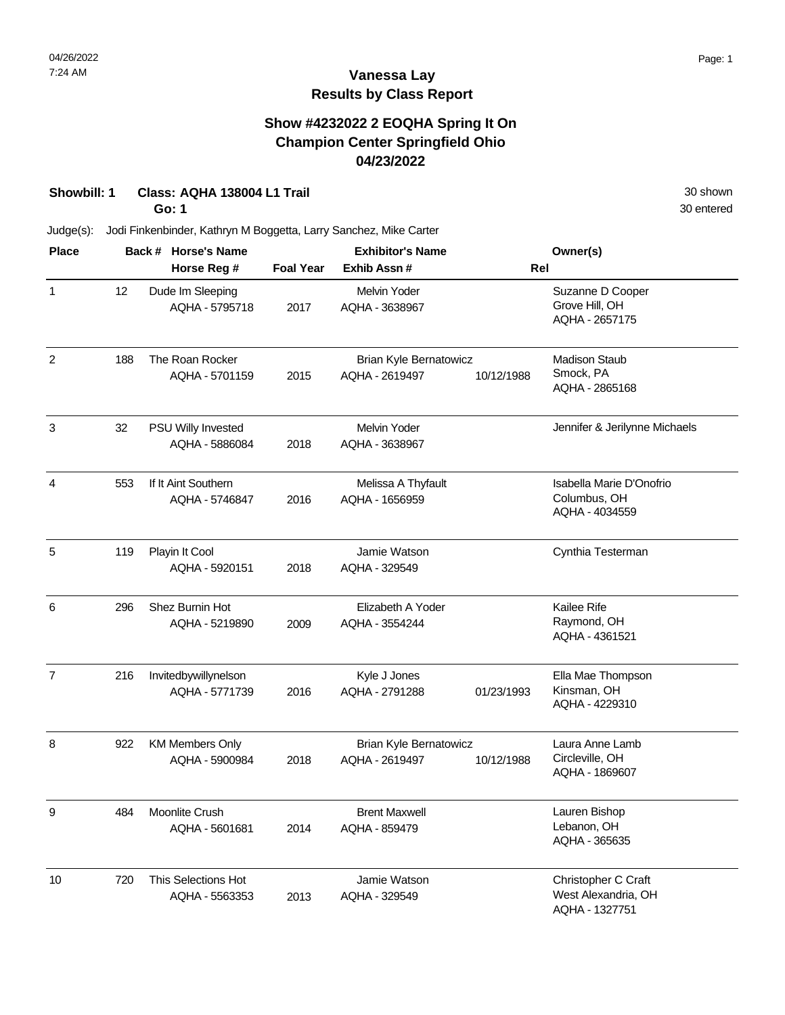**Go: 1**

## **Vanessa Lay Results by Class Report**

#### **Show #4232022 2 EOQHA Spring It On Champion Center Springfield Ohio 04/23/2022**

| Judge(s):      |     |                                          |                  | Jodi Finkenbinder, Kathryn M Boggetta, Larry Sanchez, Mike Carter |            |                                                              |
|----------------|-----|------------------------------------------|------------------|-------------------------------------------------------------------|------------|--------------------------------------------------------------|
| <b>Place</b>   |     | Back # Horse's Name<br>Horse Reg #       | <b>Foal Year</b> | <b>Exhibitor's Name</b><br>Exhib Assn#                            | Rel        | Owner(s)                                                     |
| $\mathbf{1}$   | 12  | Dude Im Sleeping<br>AQHA - 5795718       | 2017             | Melvin Yoder<br>AQHA - 3638967                                    |            | Suzanne D Cooper<br>Grove Hill, OH<br>AQHA - 2657175         |
| $\overline{c}$ | 188 | The Roan Rocker<br>AQHA - 5701159        | 2015             | Brian Kyle Bernatowicz<br>AQHA - 2619497                          | 10/12/1988 | <b>Madison Staub</b><br>Smock, PA<br>AQHA - 2865168          |
| 3              | 32  | PSU Willy Invested<br>AQHA - 5886084     | 2018             | Melvin Yoder<br>AQHA - 3638967                                    |            | Jennifer & Jerilynne Michaels                                |
| 4              | 553 | If It Aint Southern<br>AQHA - 5746847    | 2016             | Melissa A Thyfault<br>AQHA - 1656959                              |            | Isabella Marie D'Onofrio<br>Columbus, OH<br>AQHA - 4034559   |
| 5              | 119 | Playin It Cool<br>AQHA - 5920151         | 2018             | Jamie Watson<br>AQHA - 329549                                     |            | Cynthia Testerman                                            |
| 6              | 296 | Shez Burnin Hot<br>AQHA - 5219890        | 2009             | Elizabeth A Yoder<br>AQHA - 3554244                               |            | Kailee Rife<br>Raymond, OH<br>AQHA - 4361521                 |
| $\overline{7}$ | 216 | Invitedbywillynelson<br>AQHA - 5771739   | 2016             | Kyle J Jones<br>AQHA - 2791288                                    | 01/23/1993 | Ella Mae Thompson<br>Kinsman, OH<br>AQHA - 4229310           |
| 8              | 922 | <b>KM Members Only</b><br>AQHA - 5900984 | 2018             | <b>Brian Kyle Bernatowicz</b><br>AQHA - 2619497                   | 10/12/1988 | Laura Anne Lamb<br>Circleville, OH<br>AQHA - 1869607         |
| 9              | 484 | Moonlite Crush<br>AQHA - 5601681         | 2014             | <b>Brent Maxwell</b><br>AQHA - 859479                             |            | Lauren Bishop<br>Lebanon, OH<br>AQHA - 365635                |
| 10             | 720 | This Selections Hot<br>AQHA - 5563353    | 2013             | Jamie Watson<br>AQHA - 329549                                     |            | Christopher C Craft<br>West Alexandria, OH<br>AQHA - 1327751 |

**Showbill: 1 Class: AQHA 138004 L1 Trail 30 shown** 30 shown 30 entered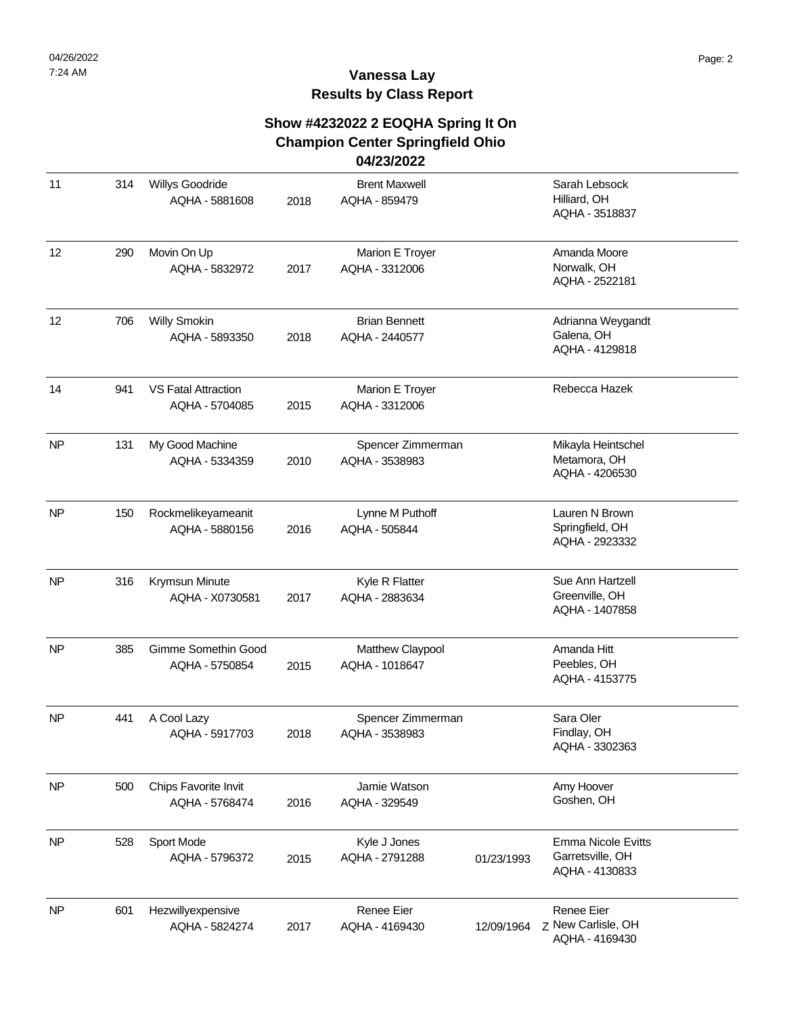# **Show #4232022 2 EOQHA Spring It On Champion Center Springfield Ohio**

## **04/23/2022**

| 11        | 314 | Willys Goodride<br>AQHA - 5881608            | 2018 | <b>Brent Maxwell</b><br>AQHA - 859479  |            | Sarah Lebsock<br>Hilliard, OH<br>AQHA - 3518837                 |
|-----------|-----|----------------------------------------------|------|----------------------------------------|------------|-----------------------------------------------------------------|
| 12        | 290 | Movin On Up<br>AQHA - 5832972                | 2017 | Marion E Troyer<br>AQHA - 3312006      |            | Amanda Moore<br>Norwalk, OH<br>AQHA - 2522181                   |
| 12        | 706 | Willy Smokin<br>AQHA - 5893350               | 2018 | <b>Brian Bennett</b><br>AQHA - 2440577 |            | Adrianna Weygandt<br>Galena, OH<br>AQHA - 4129818               |
| 14        | 941 | <b>VS Fatal Attraction</b><br>AQHA - 5704085 | 2015 | Marion E Troyer<br>AQHA - 3312006      |            | Rebecca Hazek                                                   |
| NP        | 131 | My Good Machine<br>AQHA - 5334359            | 2010 | Spencer Zimmerman<br>AQHA - 3538983    |            | Mikayla Heintschel<br>Metamora, OH<br>AQHA - 4206530            |
| <b>NP</b> | 150 | Rockmelikeyameanit<br>AQHA - 5880156         | 2016 | Lynne M Puthoff<br>AQHA - 505844       |            | Lauren N Brown<br>Springfield, OH<br>AQHA - 2923332             |
| NP        | 316 | Krymsun Minute<br>AQHA - X0730581            | 2017 | Kyle R Flatter<br>AQHA - 2883634       |            | Sue Ann Hartzell<br>Greenville, OH<br>AQHA - 1407858            |
| <b>NP</b> | 385 | Gimme Somethin Good<br>AQHA - 5750854        | 2015 | Matthew Claypool<br>AQHA - 1018647     |            | Amanda Hitt<br>Peebles, OH<br>AQHA - 4153775                    |
| <b>NP</b> | 441 | A Cool Lazy<br>AQHA - 5917703                | 2018 | Spencer Zimmerman<br>AQHA - 3538983    |            | Sara Oler<br>Findlay, OH<br>AQHA - 3302363                      |
| NP        | 500 | Chips Favorite Invit<br>AQHA - 5768474       | 2016 | Jamie Watson<br>AQHA - 329549          |            | Amy Hoover<br>Goshen, OH                                        |
| NP        | 528 | Sport Mode<br>AQHA - 5796372                 | 2015 | Kyle J Jones<br>AQHA - 2791288         | 01/23/1993 | <b>Emma Nicole Evitts</b><br>Garretsville, OH<br>AQHA - 4130833 |
| <b>NP</b> | 601 | Hezwillyexpensive<br>AQHA - 5824274          | 2017 | Renee Eier<br>AQHA - 4169430           | 12/09/1964 | Renee Eier<br>Z New Carlisle, OH<br>AQHA - 4169430              |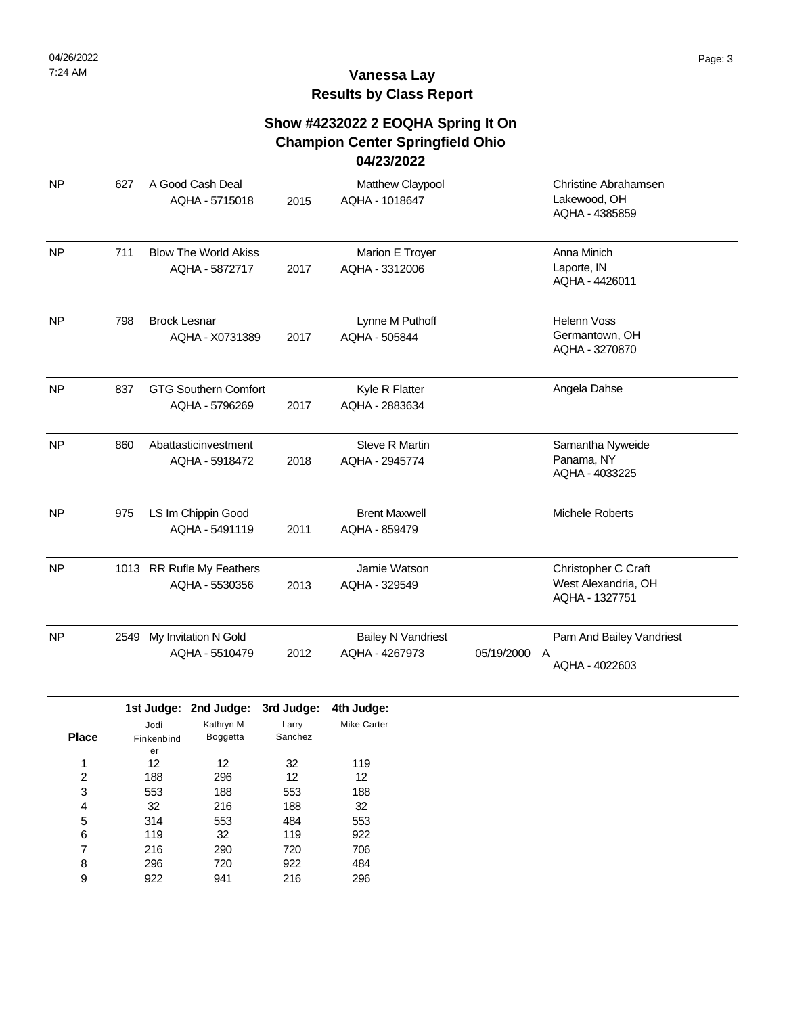| <b>NP</b> | 627  | A Good Cash Deal<br>AQHA - 5715018            | 2015 | Matthew Claypool<br>AQHA - 1018647          |                                                        | <b>Christine Abrahamsen</b><br>Lakewood, OH<br>AQHA - 4385859 |
|-----------|------|-----------------------------------------------|------|---------------------------------------------|--------------------------------------------------------|---------------------------------------------------------------|
| <b>NP</b> | 711  | <b>Blow The World Akiss</b><br>AQHA - 5872717 | 2017 | Marion E Troyer<br>AQHA - 3312006           |                                                        | Anna Minich<br>Laporte, IN<br>AQHA - 4426011                  |
| <b>NP</b> | 798  | <b>Brock Lesnar</b><br>AQHA - X0731389        | 2017 | Lynne M Puthoff<br>AQHA - 505844            | <b>Helenn Voss</b><br>Germantown, OH<br>AQHA - 3270870 |                                                               |
| <b>NP</b> | 837  | <b>GTG Southern Comfort</b><br>AQHA - 5796269 | 2017 | Kyle R Flatter<br>AQHA - 2883634            |                                                        | Angela Dahse                                                  |
| <b>NP</b> | 860  | Abattasticinvestment<br>AQHA - 5918472        | 2018 | <b>Steve R Martin</b><br>AQHA - 2945774     |                                                        | Samantha Nyweide<br>Panama, NY<br>AQHA - 4033225              |
| <b>NP</b> | 975  | LS Im Chippin Good<br>AQHA - 5491119          | 2011 | <b>Brent Maxwell</b><br>AQHA - 859479       |                                                        | <b>Michele Roberts</b>                                        |
| <b>NP</b> |      | 1013 RR Rufle My Feathers<br>AQHA - 5530356   | 2013 | Jamie Watson<br>AQHA - 329549               |                                                        | Christopher C Craft<br>West Alexandria, OH<br>AQHA - 1327751  |
| <b>NP</b> | 2549 | My Invitation N Gold<br>AQHA - 5510479        | 2012 | <b>Bailey N Vandriest</b><br>AQHA - 4267973 | 05/19/2000                                             | Pam And Bailey Vandriest<br>A<br>AQHA - 4022603               |

|              |            | 1st Judge: 2nd Judge: | 3rd Judge: | 4th Judge:  |
|--------------|------------|-----------------------|------------|-------------|
|              | Jodi       | Kathryn M             | Larry      | Mike Carter |
| <b>Place</b> | Finkenbind | Boggetta              | Sanchez    |             |
|              | er         |                       |            |             |
| 1            | 12         | 12                    | 32         | 119         |
| 2            | 188        | 296                   | 12         | 12          |
| 3            | 553        | 188                   | 553        | 188         |
| 4            | 32         | 216                   | 188        | 32          |
| 5            | 314        | 553                   | 484        | 553         |
| 6            | 119        | 32                    | 119        | 922         |
| 7            | 216        | 290                   | 720        | 706         |
| 8            | 296        | 720                   | 922        | 484         |
| 9            | 922        | 941                   | 216        | 296         |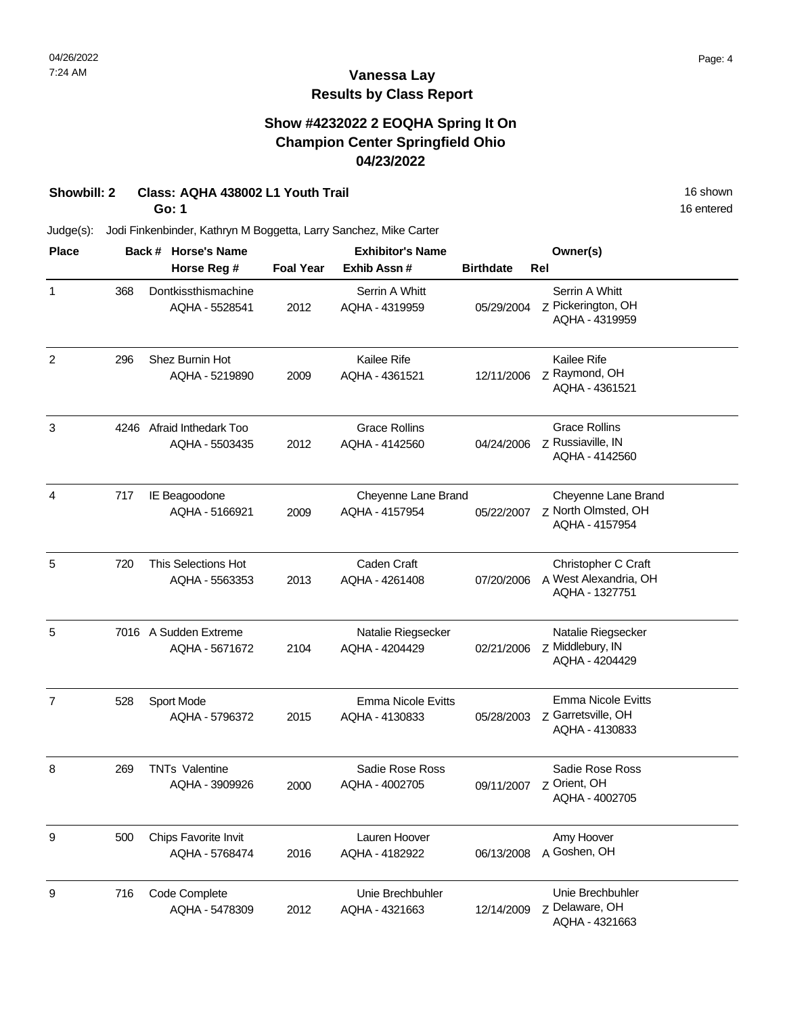#### **Show #4232022 2 EOQHA Spring It On Champion Center Springfield Ohio 04/23/2022**

### **Showbill: 2 Class: AQHA 438002 L1 Youth Trail 16 Shown 16 Shown 16 Shown 16 Shown**

**Go: 1**

16 entered

| <b>Place</b> |     | Back # Horse's Name                         |                  | <b>Exhibitor's Name</b>                     |                  | Owner(s)                                                          |
|--------------|-----|---------------------------------------------|------------------|---------------------------------------------|------------------|-------------------------------------------------------------------|
|              |     | Horse Reg #                                 | <b>Foal Year</b> | Exhib Assn#                                 | <b>Birthdate</b> | Rel                                                               |
| 1            | 368 | Dontkissthismachine<br>AQHA - 5528541       | 2012             | Serrin A Whitt<br>AQHA - 4319959            | 05/29/2004       | Serrin A Whitt<br>Z Pickerington, OH<br>AQHA - 4319959            |
| 2            | 296 | Shez Burnin Hot<br>AQHA - 5219890           | 2009             | Kailee Rife<br>AQHA - 4361521               | 12/11/2006       | Kailee Rife<br>Z Raymond, OH<br>AQHA - 4361521                    |
| 3            |     | 4246 Afraid Inthedark Too<br>AQHA - 5503435 | 2012             | <b>Grace Rollins</b><br>AQHA - 4142560      | 04/24/2006       | <b>Grace Rollins</b><br>Z Russiaville, IN<br>AQHA - 4142560       |
| 4            | 717 | IE Beagoodone<br>AQHA - 5166921             | 2009             | Cheyenne Lane Brand<br>AQHA - 4157954       | 05/22/2007       | Cheyenne Lane Brand<br>z North Olmsted, OH<br>AQHA - 4157954      |
| 5            | 720 | This Selections Hot<br>AQHA - 5563353       | 2013             | Caden Craft<br>AQHA - 4261408               | 07/20/2006       | Christopher C Craft<br>A West Alexandria, OH<br>AQHA - 1327751    |
| 5            |     | 7016 A Sudden Extreme<br>AQHA - 5671672     | 2104             | Natalie Riegsecker<br>AQHA - 4204429        | 02/21/2006       | Natalie Riegsecker<br>Z Middlebury, IN<br>AQHA - 4204429          |
| 7            | 528 | Sport Mode<br>AQHA - 5796372                | 2015             | <b>Emma Nicole Evitts</b><br>AQHA - 4130833 | 05/28/2003       | <b>Emma Nicole Evitts</b><br>Z Garretsville, OH<br>AQHA - 4130833 |
| 8            | 269 | <b>TNTs Valentine</b><br>AQHA - 3909926     | 2000             | Sadie Rose Ross<br>AQHA - 4002705           | 09/11/2007       | Sadie Rose Ross<br>Z Orient, OH<br>AQHA - 4002705                 |
| 9            | 500 | Chips Favorite Invit<br>AQHA - 5768474      | 2016             | Lauren Hoover<br>AQHA - 4182922             | 06/13/2008       | Amy Hoover<br>A Goshen, OH                                        |
| 9            | 716 | Code Complete<br>AQHA - 5478309             | 2012             | Unie Brechbuhler<br>AQHA - 4321663          | 12/14/2009       | Unie Brechbuhler<br>z Delaware, OH<br>AQHA - 4321663              |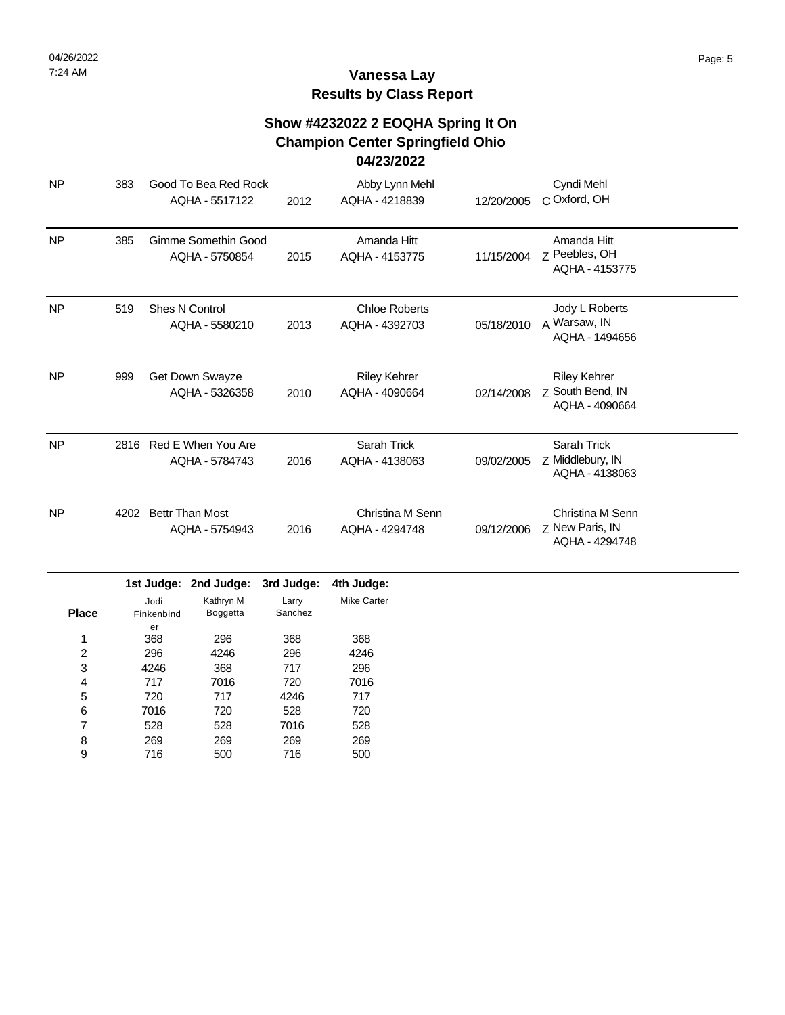| <b>NP</b> | 383  | Good To Bea Red Rock<br>AQHA - 5517122   | 2012 | Abby Lynn Mehl<br>AQHA - 4218839       | 12/20/2005 | Cyndi Mehl<br>C Oxford, OH                                |  |
|-----------|------|------------------------------------------|------|----------------------------------------|------------|-----------------------------------------------------------|--|
| NP        | 385  | Gimme Somethin Good<br>AQHA - 5750854    | 2015 | Amanda Hitt<br>AQHA - 4153775          | 11/15/2004 | Amanda Hitt<br>Z Peebles, OH<br>AQHA - 4153775            |  |
| <b>NP</b> | 519  | Shes N Control<br>AQHA - 5580210         | 2013 | <b>Chloe Roberts</b><br>AQHA - 4392703 | 05/18/2010 | Jody L Roberts<br>A Warsaw, IN<br>AQHA - 1494656          |  |
| <b>NP</b> | 999  | Get Down Swayze<br>AQHA - 5326358        | 2010 | <b>Riley Kehrer</b><br>AQHA - 4090664  | 02/14/2008 | <b>Riley Kehrer</b><br>Z South Bend, IN<br>AQHA - 4090664 |  |
| <b>NP</b> | 2816 | Red E When You Are<br>AQHA - 5784743     | 2016 | Sarah Trick<br>AQHA - 4138063          | 09/02/2005 | Sarah Trick<br>Z Middlebury, IN<br>AQHA - 4138063         |  |
| <b>NP</b> | 4202 | <b>Bettr Than Most</b><br>AQHA - 5754943 | 2016 | Christina M Senn<br>AQHA - 4294748     | 09/12/2006 | Christina M Senn<br>Z New Paris, IN<br>AQHA - 4294748     |  |

|              |            | 1st Judge: 2nd Judge: | 3rd Judge: | 4th Judge:  |
|--------------|------------|-----------------------|------------|-------------|
|              | Jodi       | Kathryn M             | Larry      | Mike Carter |
| <b>Place</b> | Finkenbind | Boggetta              | Sanchez    |             |
|              | er         |                       |            |             |
| 1            | 368        | 296                   | 368        | 368         |
| 2            | 296        | 4246                  | 296        | 4246        |
| 3            | 4246       | 368                   | 717        | 296         |
| 4            | 717        | 7016                  | 720        | 7016        |
| 5            | 720        | 717                   | 4246       | 717         |
| 6            | 7016       | 720                   | 528        | 720         |
| 7            | 528        | 528                   | 7016       | 528         |
| 8            | 269        | 269                   | 269        | 269         |
| 9            | 716        | 500                   | 716        | 500         |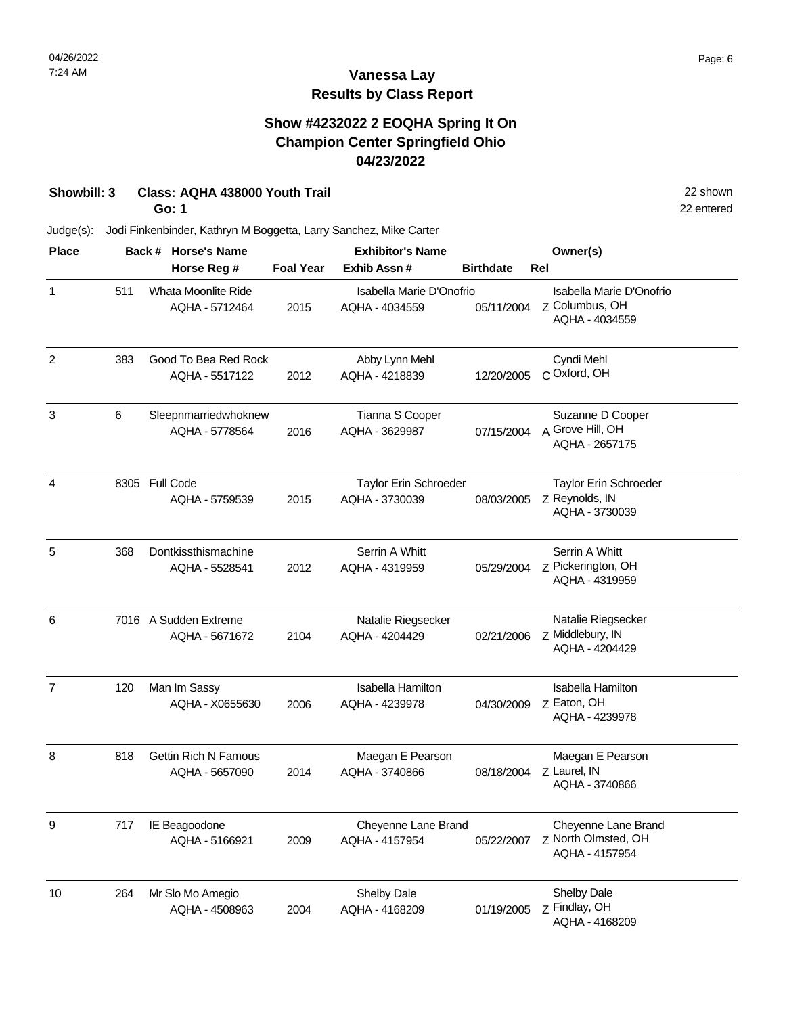#### **Show #4232022 2 EOQHA Spring It On Champion Center Springfield Ohio 04/23/2022**

## **Showbill: 3 Class: AQHA 438000 Youth Trail 22 shown 22 shown 22 shown**

**Go: 1**

22 entered

| <b>Place</b>   |     | Back # Horse's Name                           |                  | <b>Exhibitor's Name</b>                    |                  | Owner(s)                                                     |
|----------------|-----|-----------------------------------------------|------------------|--------------------------------------------|------------------|--------------------------------------------------------------|
|                |     | Horse Reg #                                   | <b>Foal Year</b> | Exhib Assn#                                | <b>Birthdate</b> | Rel                                                          |
| $\mathbf{1}$   | 511 | Whata Moonlite Ride<br>AQHA - 5712464         | 2015             | Isabella Marie D'Onofrio<br>AQHA - 4034559 | 05/11/2004       | Isabella Marie D'Onofrio<br>Z Columbus, OH<br>AQHA - 4034559 |
| 2              | 383 | Good To Bea Red Rock<br>AQHA - 5517122        | 2012             | Abby Lynn Mehl<br>AQHA - 4218839           | 12/20/2005       | Cyndi Mehl<br>C Oxford, OH                                   |
| 3              | 6   | Sleepnmarriedwhoknew<br>AQHA - 5778564        | 2016             | Tianna S Cooper<br>AQHA - 3629987          | 07/15/2004       | Suzanne D Cooper<br>A Grove Hill, OH<br>AQHA - 2657175       |
| 4              |     | 8305 Full Code<br>AQHA - 5759539              | 2015             | Taylor Erin Schroeder<br>AQHA - 3730039    | 08/03/2005       | Taylor Erin Schroeder<br>Z Reynolds, IN<br>AQHA - 3730039    |
| 5              | 368 | Dontkissthismachine<br>AQHA - 5528541         | 2012             | Serrin A Whitt<br>AQHA - 4319959           | 05/29/2004       | Serrin A Whitt<br>Z Pickerington, OH<br>AQHA - 4319959       |
| 6              |     | 7016 A Sudden Extreme<br>AQHA - 5671672       | 2104             | Natalie Riegsecker<br>AQHA - 4204429       | 02/21/2006       | Natalie Riegsecker<br>Z Middlebury, IN<br>AQHA - 4204429     |
| $\overline{7}$ | 120 | Man Im Sassy<br>AQHA - X0655630               | 2006             | Isabella Hamilton<br>AQHA - 4239978        | 04/30/2009       | Isabella Hamilton<br>Z Eaton, OH<br>AQHA - 4239978           |
| 8              | 818 | <b>Gettin Rich N Famous</b><br>AQHA - 5657090 | 2014             | Maegan E Pearson<br>AQHA - 3740866         | 08/18/2004       | Maegan E Pearson<br>Z Laurel, IN<br>AQHA - 3740866           |
| 9              | 717 | IE Beagoodone<br>AQHA - 5166921               | 2009             | Cheyenne Lane Brand<br>AQHA - 4157954      | 05/22/2007       | Cheyenne Lane Brand<br>Z North Olmsted, OH<br>AQHA - 4157954 |
| 10             | 264 | Mr Slo Mo Amegio<br>AQHA - 4508963            | 2004             | Shelby Dale<br>AQHA - 4168209              | 01/19/2005       | Shelby Dale<br>Z Findlay, OH<br>AQHA - 4168209               |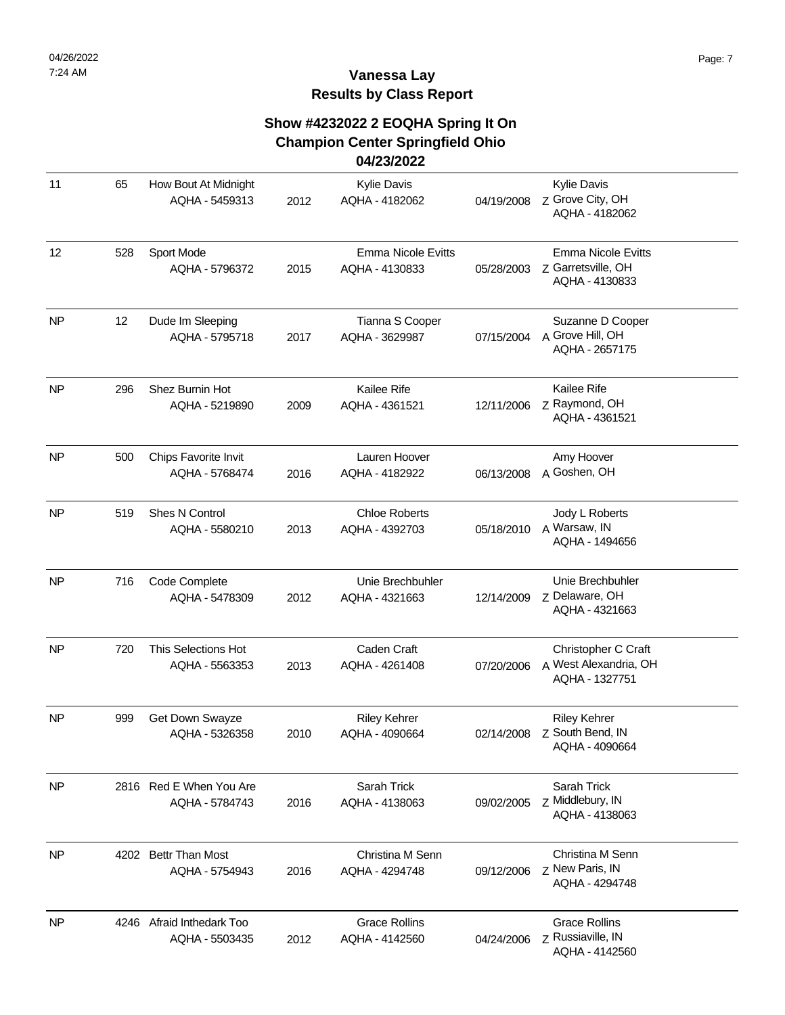## **Show #4232022 2 EOQHA Spring It On Champion Center Springfield Ohio**

#### **04/23/2022**

| 11        | 65  | How Bout At Midnight<br>AQHA - 5459313      | 2012 | <b>Kylie Davis</b><br>AQHA - 4182062        | 04/19/2008 | <b>Kylie Davis</b><br>Z Grove City, OH<br>AQHA - 4182062          |
|-----------|-----|---------------------------------------------|------|---------------------------------------------|------------|-------------------------------------------------------------------|
| 12        | 528 | Sport Mode<br>AQHA - 5796372                | 2015 | <b>Emma Nicole Evitts</b><br>AQHA - 4130833 | 05/28/2003 | <b>Emma Nicole Evitts</b><br>Z Garretsville, OH<br>AQHA - 4130833 |
| <b>NP</b> | 12  | Dude Im Sleeping<br>AQHA - 5795718          | 2017 | Tianna S Cooper<br>AQHA - 3629987           | 07/15/2004 | Suzanne D Cooper<br>A Grove Hill, OH<br>AQHA - 2657175            |
| <b>NP</b> | 296 | Shez Burnin Hot<br>AQHA - 5219890           | 2009 | Kailee Rife<br>AQHA - 4361521               | 12/11/2006 | Kailee Rife<br>z Raymond, OH<br>AQHA - 4361521                    |
| NP        | 500 | Chips Favorite Invit<br>AQHA - 5768474      | 2016 | Lauren Hoover<br>AQHA - 4182922             | 06/13/2008 | Amy Hoover<br>A Goshen, OH                                        |
| <b>NP</b> | 519 | Shes N Control<br>AQHA - 5580210            | 2013 | <b>Chloe Roberts</b><br>AQHA - 4392703      | 05/18/2010 | Jody L Roberts<br>A Warsaw, IN<br>AQHA - 1494656                  |
| NP        | 716 | Code Complete<br>AQHA - 5478309             | 2012 | Unie Brechbuhler<br>AQHA - 4321663          | 12/14/2009 | Unie Brechbuhler<br>Z Delaware, OH<br>AQHA - 4321663              |
| <b>NP</b> | 720 | This Selections Hot<br>AQHA - 5563353       | 2013 | Caden Craft<br>AQHA - 4261408               | 07/20/2006 | Christopher C Craft<br>A West Alexandria, OH<br>AQHA - 1327751    |
| <b>NP</b> | 999 | Get Down Swayze<br>AQHA - 5326358           | 2010 | <b>Riley Kehrer</b><br>AQHA - 4090664       | 02/14/2008 | <b>Riley Kehrer</b><br>Z South Bend, IN<br>AQHA - 4090664         |
| <b>NP</b> |     | 2816 Red E When You Are<br>AQHA - 5784743   | 2016 | Sarah Trick<br>AQHA - 4138063               | 09/02/2005 | Sarah Trick<br>Z Middlebury, IN<br>AQHA - 4138063                 |
| <b>NP</b> |     | 4202 Bettr Than Most<br>AQHA - 5754943      | 2016 | Christina M Senn<br>AQHA - 4294748          | 09/12/2006 | Christina M Senn<br>Z New Paris, IN<br>AQHA - 4294748             |
| <b>NP</b> |     | 4246 Afraid Inthedark Too<br>AQHA - 5503435 | 2012 | <b>Grace Rollins</b><br>AQHA - 4142560      | 04/24/2006 | <b>Grace Rollins</b><br>z Russiaville, IN<br>AQHA - 4142560       |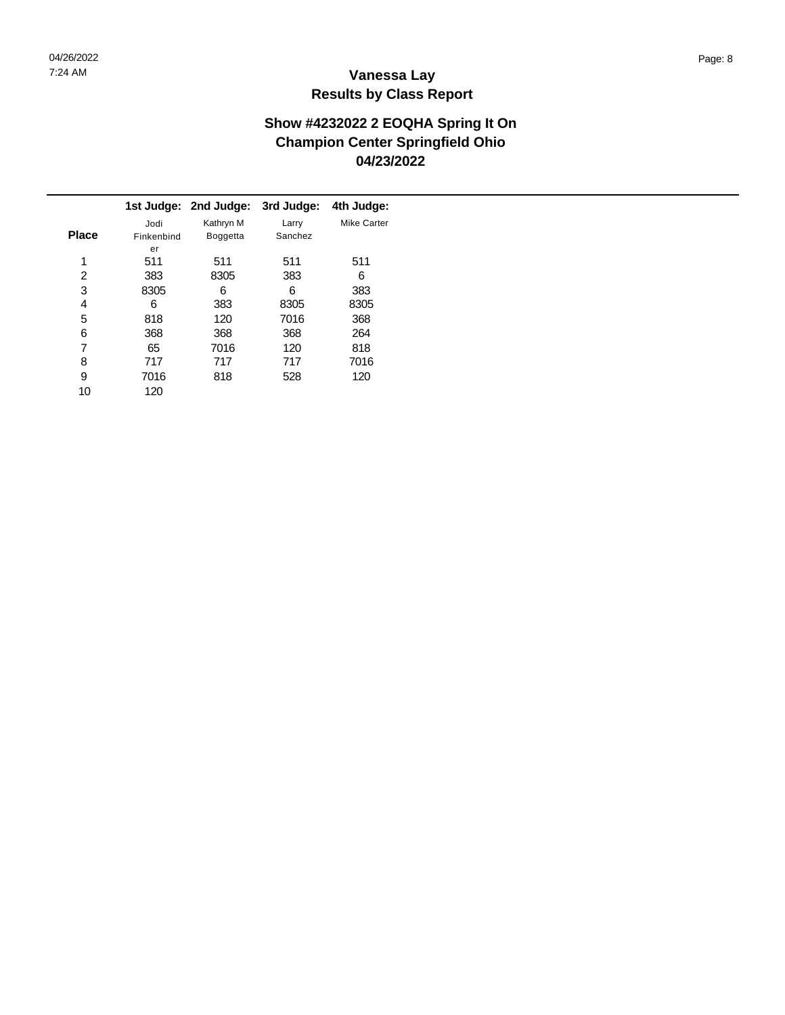|              |            | 1st Judge: 2nd Judge: | 3rd Judge: | 4th Judge:  |
|--------------|------------|-----------------------|------------|-------------|
|              | Jodi       | Kathryn M             | Larry      | Mike Carter |
| <b>Place</b> | Finkenbind | <b>Boggetta</b>       | Sanchez    |             |
|              | er         |                       |            |             |
| 1            | 511        | 511                   | 511        | 511         |
| 2            | 383        | 8305                  | 383        | 6           |
| 3            | 8305       | 6                     | 6          | 383         |
| 4            | 6          | 383                   | 8305       | 8305        |
| 5            | 818        | 120                   | 7016       | 368         |
| 6            | 368        | 368                   | 368        | 264         |
| 7            | 65         | 7016                  | 120        | 818         |
| 8            | 717        | 717                   | 717        | 7016        |
| 9            | 7016       | 818                   | 528        | 120         |
| 10           | 120        |                       |            |             |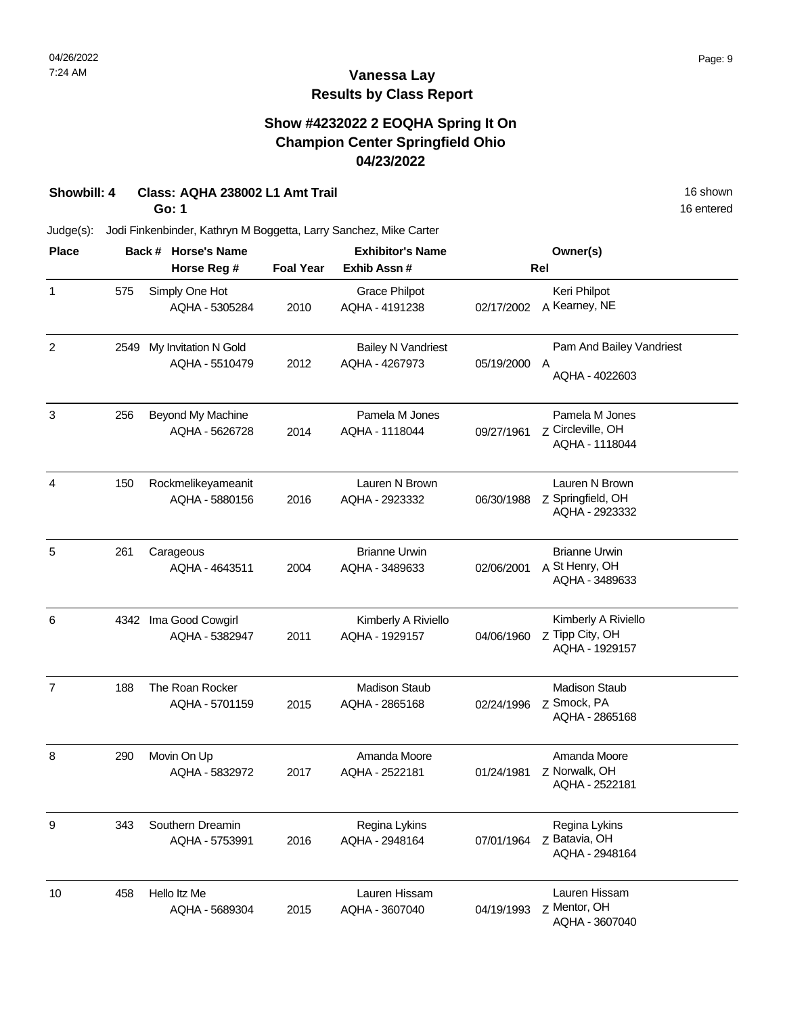#### **Show #4232022 2 EOQHA Spring It On Champion Center Springfield Ohio 04/23/2022**

#### **Showbill: 4 Class: AQHA 238002 L1 Amt Trail 16 Shown 16 Shown 16 Shown 16 Shown**

**Go: 1**

16 entered

| <b>Place</b>   |      | Back # Horse's Name                     |                  | <b>Exhibitor's Name</b>                     |            | Owner(s)                                                 |  |
|----------------|------|-----------------------------------------|------------------|---------------------------------------------|------------|----------------------------------------------------------|--|
|                |      | Horse Reg #                             | <b>Foal Year</b> | Exhib Assn#                                 | Rel        |                                                          |  |
| $\mathbf{1}$   | 575  | Simply One Hot<br>AQHA - 5305284        | 2010             | <b>Grace Philpot</b><br>AQHA - 4191238      | 02/17/2002 | Keri Philpot<br>A Kearney, NE                            |  |
| 2              | 2549 | My Invitation N Gold<br>AQHA - 5510479  | 2012             | <b>Bailey N Vandriest</b><br>AQHA - 4267973 | 05/19/2000 | Pam And Bailey Vandriest<br>A<br>AQHA - 4022603          |  |
| 3              | 256  | Beyond My Machine<br>AQHA - 5626728     | 2014             | Pamela M Jones<br>AQHA - 1118044            | 09/27/1961 | Pamela M Jones<br>Z Circleville, OH<br>AQHA - 1118044    |  |
| 4              | 150  | Rockmelikeyameanit<br>AQHA - 5880156    | 2016             | Lauren N Brown<br>AQHA - 2923332            | 06/30/1988 | Lauren N Brown<br>Z Springfield, OH<br>AQHA - 2923332    |  |
| 5              | 261  | Carageous<br>AQHA - 4643511             | 2004             | <b>Brianne Urwin</b><br>AQHA - 3489633      | 02/06/2001 | <b>Brianne Urwin</b><br>A St Henry, OH<br>AQHA - 3489633 |  |
| 6              |      | 4342 Ima Good Cowgirl<br>AQHA - 5382947 | 2011             | Kimberly A Riviello<br>AQHA - 1929157       | 04/06/1960 | Kimberly A Riviello<br>Z Tipp City, OH<br>AQHA - 1929157 |  |
| $\overline{7}$ | 188  | The Roan Rocker<br>AQHA - 5701159       | 2015             | <b>Madison Staub</b><br>AQHA - 2865168      | 02/24/1996 | <b>Madison Staub</b><br>Z Smock, PA<br>AQHA - 2865168    |  |
| 8              | 290  | Movin On Up<br>AQHA - 5832972           | 2017             | Amanda Moore<br>AQHA - 2522181              | 01/24/1981 | Amanda Moore<br>Z Norwalk, OH<br>AQHA - 2522181          |  |
| 9              | 343  | Southern Dreamin<br>AQHA - 5753991      | 2016             | Regina Lykins<br>AQHA - 2948164             | 07/01/1964 | Regina Lykins<br>Z Batavia, OH<br>AQHA - 2948164         |  |
| 10             | 458  | Hello Itz Me<br>AQHA - 5689304          | 2015             | Lauren Hissam<br>AQHA - 3607040             | 04/19/1993 | Lauren Hissam<br>Z Mentor, OH<br>AQHA - 3607040          |  |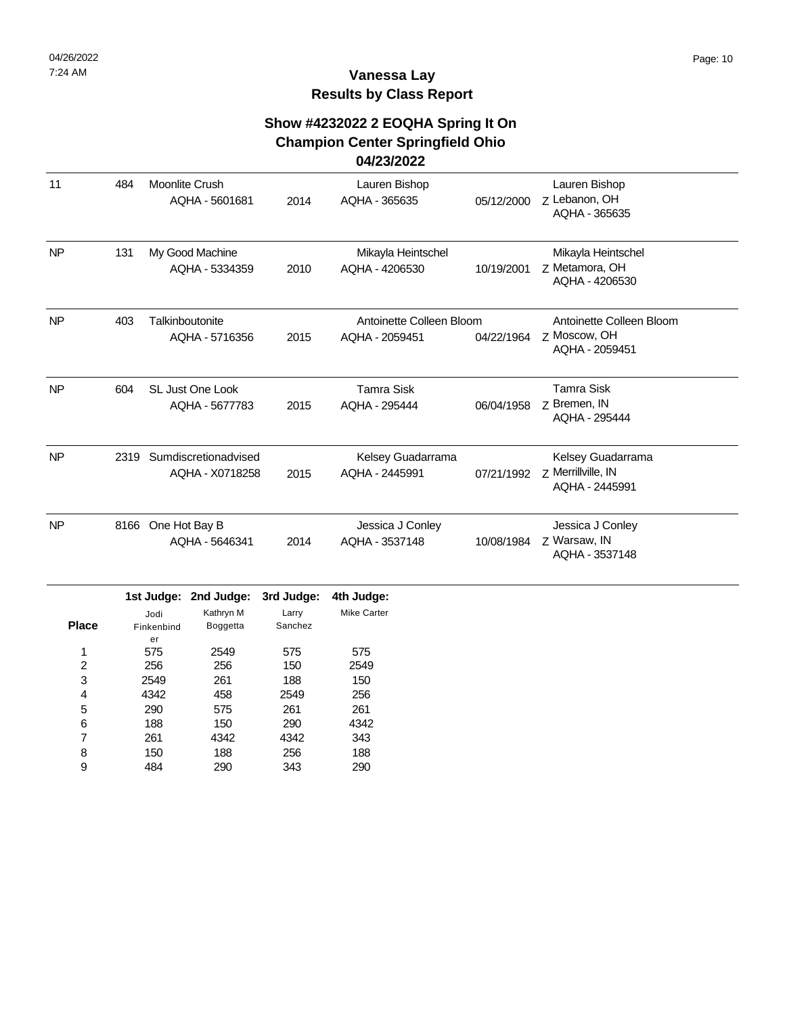## **Show #4232022 2 EOQHA Spring It On Champion Center Springfield Ohio**

#### **04/23/2022**

| 11        | 484  | <b>Moonlite Crush</b><br>AQHA - 5601681   | 2014 | Lauren Bishop<br>AQHA - 365635             | 05/12/2000 | Lauren Bishop<br>Z Lebanon, OH<br>AQHA - 365635            |
|-----------|------|-------------------------------------------|------|--------------------------------------------|------------|------------------------------------------------------------|
| <b>NP</b> | 131  | My Good Machine<br>AQHA - 5334359         | 2010 | Mikayla Heintschel<br>AQHA - 4206530       | 10/19/2001 | Mikayla Heintschel<br>Z Metamora, OH<br>AQHA - 4206530     |
| <b>NP</b> | 403  | Talkinboutonite<br>AQHA - 5716356         | 2015 | Antoinette Colleen Bloom<br>AQHA - 2059451 | 04/22/1964 | Antoinette Colleen Bloom<br>Z Moscow, OH<br>AQHA - 2059451 |
| <b>NP</b> | 604  | <b>SL Just One Look</b><br>AQHA - 5677783 | 2015 | <b>Tamra Sisk</b><br>AQHA - 295444         | 06/04/1958 | <b>Tamra Sisk</b><br>Z Bremen, IN<br>AQHA - 295444         |
| <b>NP</b> | 2319 | Sumdiscretionadvised<br>AQHA - X0718258   | 2015 | Kelsey Guadarrama<br>AQHA - 2445991        | 07/21/1992 | Kelsey Guadarrama<br>Z Merrillville, IN<br>AQHA - 2445991  |
| <b>NP</b> | 8166 | One Hot Bay B<br>AQHA - 5646341           | 2014 | Jessica J Conley<br>AQHA - 3537148         | 10/08/1984 | Jessica J Conley<br>Z Warsaw, IN<br>AQHA - 3537148         |

|              |            | 1st Judge: 2nd Judge: | 3rd Judge: | 4th Judge:  |
|--------------|------------|-----------------------|------------|-------------|
|              | Jodi       | Kathryn M             | Larry      | Mike Carter |
| <b>Place</b> | Finkenbind | <b>Boggetta</b>       | Sanchez    |             |
|              | er         |                       |            |             |
| 1            | 575        | 2549                  | 575        | 575         |
| 2            | 256        | 256                   | 150        | 2549        |
| 3            | 2549       | 261                   | 188        | 150         |
| 4            | 4342       | 458                   | 2549       | 256         |
| 5            | 290        | 575                   | 261        | 261         |
| 6            | 188        | 150                   | 290        | 4342        |
| 7            | 261        | 4342                  | 4342       | 343         |
| 8            | 150        | 188                   | 256        | 188         |
| 9            | 484        | 290                   | 343        | 290         |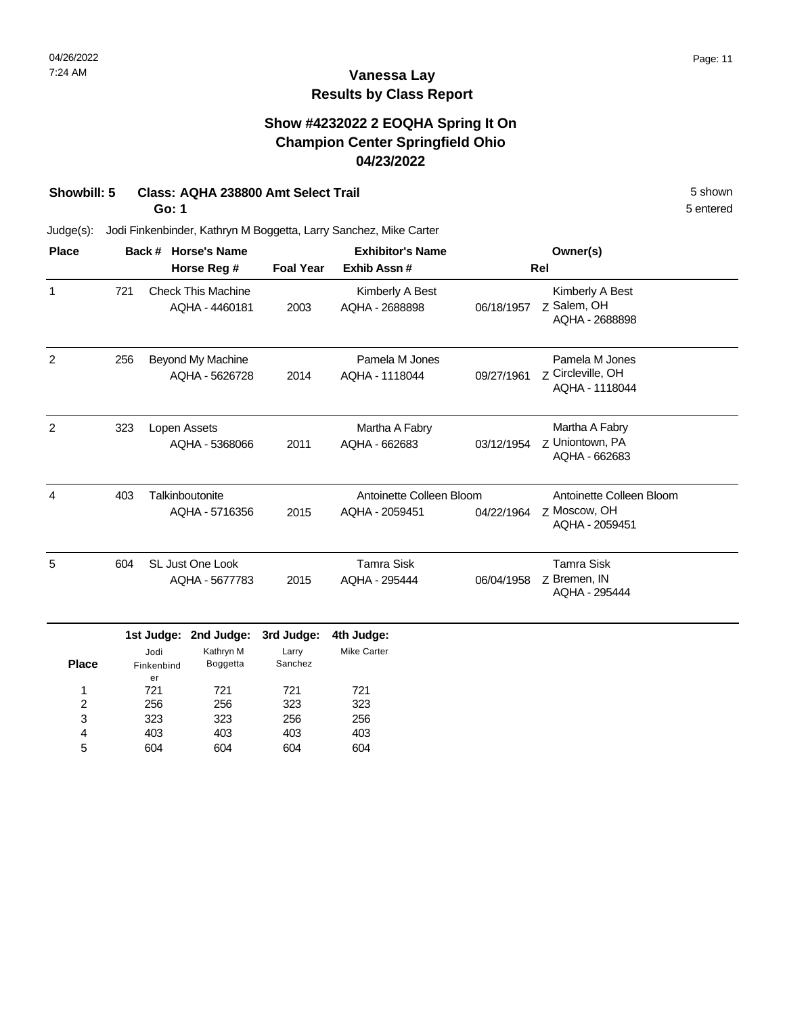## **Vanessa Lay Results by Class Report**

#### **Show #4232022 2 EOQHA Spring It On Champion Center Springfield Ohio 04/23/2022**

## **Showbill: 5 Class: AQHA 238800 Amt Select Trail** 5 shown

**Go: 1**

er

| <b>Place</b> | <b>Horse's Name</b><br>Back # |                    |                                             | <b>Exhibitor's Name</b> |                                    |            | Owner(s)                                              |
|--------------|-------------------------------|--------------------|---------------------------------------------|-------------------------|------------------------------------|------------|-------------------------------------------------------|
|              |                               | Horse Reg #        |                                             |                         | Exhib Assn#                        | Rel        |                                                       |
| $\mathbf{1}$ | 721                           |                    | <b>Check This Machine</b><br>AQHA - 4460181 | 2003                    | Kimberly A Best<br>AQHA - 2688898  | 06/18/1957 | Kimberly A Best<br>Z Salem, OH<br>AQHA - 2688898      |
| 2            | 256                           |                    | <b>Beyond My Machine</b><br>AQHA - 5626728  | 2014                    | Pamela M Jones<br>AQHA - 1118044   | 09/27/1961 | Pamela M Jones<br>Z Circleville, OH<br>AQHA - 1118044 |
| 2            | 323                           |                    | Lopen Assets<br>AQHA - 5368066              | 2011                    | Martha A Fabry<br>AQHA - 662683    | 03/12/1954 | Martha A Fabry<br>7 Uniontown, PA<br>AQHA - 662683    |
| 4            | 403                           |                    | Talkinboutonite                             |                         | Antoinette Colleen Bloom           |            | Antoinette Colleen Bloom                              |
|              |                               |                    | AQHA - 5716356                              | 2015                    | AQHA - 2059451                     | 04/22/1964 | 7 Moscow, OH<br>AQHA - 2059451                        |
| 5            | 604                           |                    | SL Just One Look<br>AQHA - 5677783          | 2015                    | <b>Tamra Sisk</b><br>AQHA - 295444 | 06/04/1958 | <b>Tamra Sisk</b><br>Z Bremen, IN<br>AQHA - 295444    |
|              |                               | 1st Judge:         | 2nd Judge:                                  | 3rd Judge:              | 4th Judge:                         |            |                                                       |
| <b>Place</b> |                               | Jodi<br>Finkenbind | Kathryn M<br>Boggetta                       | Larry<br>Sanchez        | <b>Mike Carter</b>                 |            |                                                       |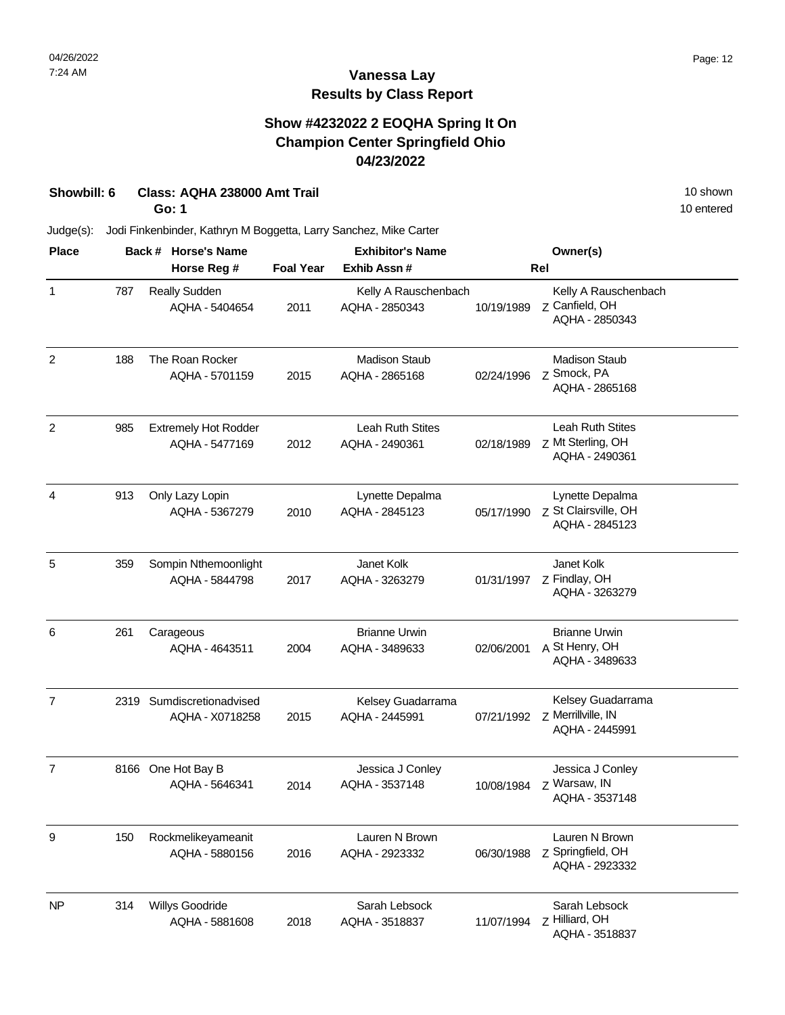#### **Show #4232022 2 EOQHA Spring It On Champion Center Springfield Ohio 04/23/2022**

**Showbill: 6 Class: AQHA 238000 Amt Trail 10 shown** 10 shown

| Go: 1          |      |  |                                               |                  |                                                                   | 10 entered |                                                           |  |
|----------------|------|--|-----------------------------------------------|------------------|-------------------------------------------------------------------|------------|-----------------------------------------------------------|--|
| Judge(s):      |      |  |                                               |                  | Jodi Finkenbinder, Kathryn M Boggetta, Larry Sanchez, Mike Carter |            |                                                           |  |
| <b>Place</b>   |      |  | Back # Horse's Name                           |                  | <b>Exhibitor's Name</b>                                           |            | Owner(s)                                                  |  |
|                |      |  | Horse Reg #                                   | <b>Foal Year</b> | Exhib Assn#                                                       |            | Rel                                                       |  |
| 1              | 787  |  | <b>Really Sudden</b><br>AQHA - 5404654        | 2011             | Kelly A Rauschenbach<br>AQHA - 2850343                            | 10/19/1989 | Kelly A Rauschenbach<br>Z Canfield, OH<br>AQHA - 2850343  |  |
| $\overline{c}$ | 188  |  | The Roan Rocker<br>AQHA - 5701159             | 2015             | <b>Madison Staub</b><br>AQHA - 2865168                            | 02/24/1996 | <b>Madison Staub</b><br>Z Smock, PA<br>AQHA - 2865168     |  |
| 2              | 985  |  | <b>Extremely Hot Rodder</b><br>AQHA - 5477169 | 2012             | Leah Ruth Stites<br>AQHA - 2490361                                | 02/18/1989 | Leah Ruth Stites<br>Z Mt Sterling, OH<br>AQHA - 2490361   |  |
| 4              | 913  |  | Only Lazy Lopin<br>AQHA - 5367279             | 2010             | Lynette Depalma<br>AQHA - 2845123                                 | 05/17/1990 | Lynette Depalma<br>Z St Clairsville, OH<br>AQHA - 2845123 |  |
| 5              | 359  |  | Sompin Nthemoonlight<br>AQHA - 5844798        | 2017             | Janet Kolk<br>AQHA - 3263279                                      | 01/31/1997 | Janet Kolk<br>Z Findlay, OH<br>AQHA - 3263279             |  |
| 6              | 261  |  | Carageous<br>AQHA - 4643511                   | 2004             | <b>Brianne Urwin</b><br>AQHA - 3489633                            | 02/06/2001 | <b>Brianne Urwin</b><br>A St Henry, OH<br>AQHA - 3489633  |  |
| $\overline{7}$ | 2319 |  | Sumdiscretionadvised<br>AQHA - X0718258       | 2015             | Kelsey Guadarrama<br>AQHA - 2445991                               | 07/21/1992 | Kelsey Guadarrama<br>Z Merrillville, IN<br>AQHA - 2445991 |  |
| 7              |      |  | 8166 One Hot Bay B<br>AQHA - 5646341          | 2014             | Jessica J Conley<br>AQHA - 3537148                                | 10/08/1984 | Jessica J Conley<br>z Warsaw, IN<br>AQHA - 3537148        |  |
| 9              | 150  |  | Rockmelikeyameanit<br>AQHA - 5880156          | 2016             | Lauren N Brown<br>AQHA - 2923332                                  | 06/30/1988 | Lauren N Brown<br>Z Springfield, OH<br>AQHA - 2923332     |  |
| <b>NP</b>      | 314  |  | Willys Goodride<br>AQHA - 5881608             | 2018             | Sarah Lebsock<br>AQHA - 3518837                                   | 11/07/1994 | Sarah Lebsock<br>Z Hilliard, OH<br>AQHA - 3518837         |  |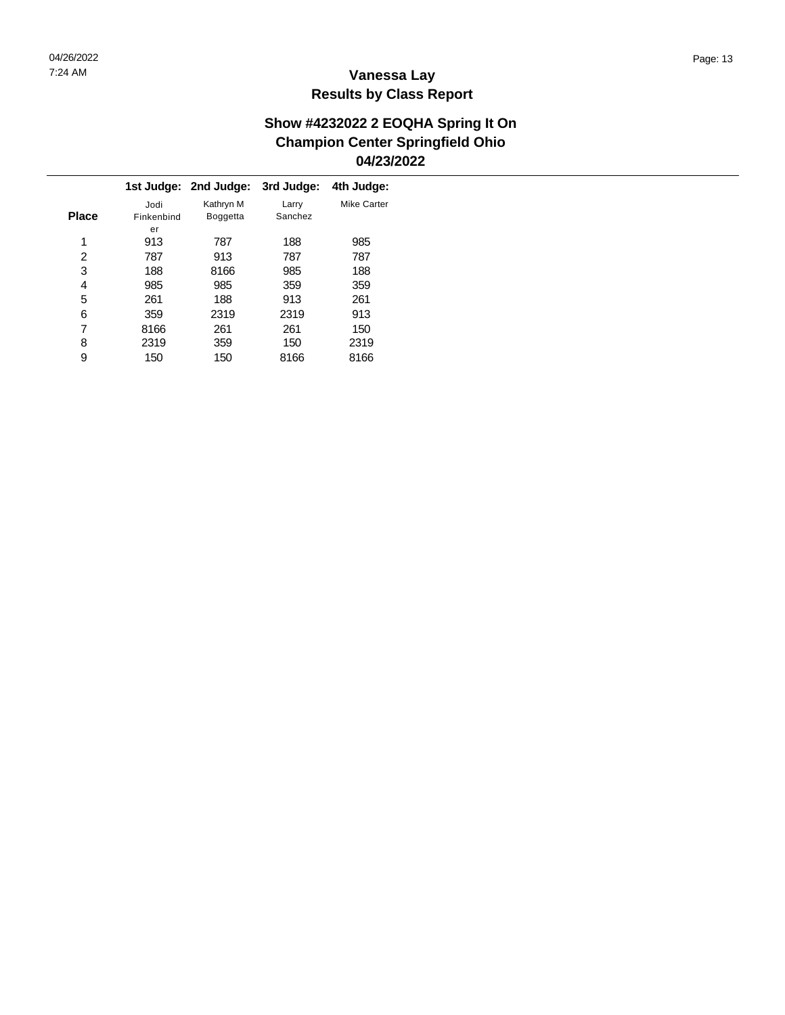|              |            | 1st Judge: 2nd Judge: | 3rd Judge: | 4th Judge:  |
|--------------|------------|-----------------------|------------|-------------|
|              | Jodi       | Kathryn M             | Larry      | Mike Carter |
| <b>Place</b> | Finkenbind | <b>Boggetta</b>       | Sanchez    |             |
|              | er         |                       |            |             |
| 1            | 913        | 787                   | 188        | 985         |
| 2            | 787        | 913                   | 787        | 787         |
| 3            | 188        | 8166                  | 985        | 188         |
| 4            | 985        | 985                   | 359        | 359         |
| 5            | 261        | 188                   | 913        | 261         |
| 6            | 359        | 2319                  | 2319       | 913         |
| 7            | 8166       | 261                   | 261        | 150         |
| 8            | 2319       | 359                   | 150        | 2319        |
| 9            | 150        | 150                   | 8166       | 8166        |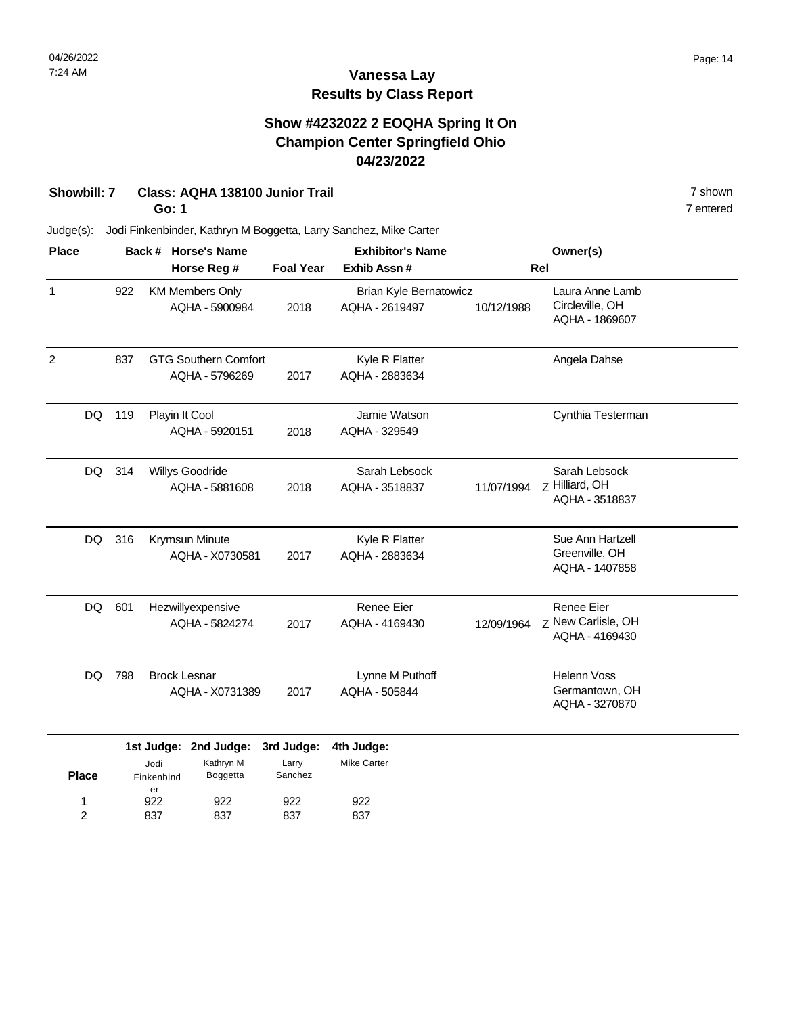## **Vanessa Lay Results by Class Report**

#### **Show #4232022 2 EOQHA Spring It On Champion Center Springfield Ohio 04/23/2022**

## **Showbill: 7 Class: AQHA 138100 Junior Trail** 7 shown

**Go: 1**

837

2

837

837

837

| <b>Place</b>   |     | Back # Horse's Name      |                                                |                                | <b>Exhibitor's Name</b>                         |            | Owner(s)                                               |  |
|----------------|-----|--------------------------|------------------------------------------------|--------------------------------|-------------------------------------------------|------------|--------------------------------------------------------|--|
|                |     | Horse Reg #              |                                                | <b>Foal Year</b>               | Exhib Assn#                                     |            | Rel                                                    |  |
| $\mathbf{1}$   | 922 |                          | <b>KM Members Only</b><br>AQHA - 5900984       | 2018                           | <b>Brian Kyle Bernatowicz</b><br>AQHA - 2619497 | 10/12/1988 | Laura Anne Lamb<br>Circleville, OH<br>AQHA - 1869607   |  |
| $\overline{c}$ | 837 |                          | <b>GTG Southern Comfort</b><br>AQHA - 5796269  | 2017                           | Kyle R Flatter<br>AQHA - 2883634                |            | Angela Dahse                                           |  |
| DQ.            | 119 | Playin It Cool           | AQHA - 5920151                                 | 2018                           | Jamie Watson<br>AQHA - 329549                   |            | Cynthia Testerman                                      |  |
| DQ             | 314 |                          | Willys Goodride<br>AQHA - 5881608              | 2018                           | Sarah Lebsock<br>AQHA - 3518837                 | 11/07/1994 | Sarah Lebsock<br>Z Hilliard, OH<br>AQHA - 3518837      |  |
| DQ             | 316 |                          | Krymsun Minute<br>AQHA - X0730581              | 2017                           | Kyle R Flatter<br>AQHA - 2883634                |            | Sue Ann Hartzell<br>Greenville, OH<br>AQHA - 1407858   |  |
| DQ             | 601 |                          | Hezwillyexpensive<br>AQHA - 5824274            | 2017                           | Renee Eier<br>AQHA - 4169430                    | 12/09/1964 | Renee Eier<br>Z New Carlisle, OH<br>AQHA - 4169430     |  |
| DQ             | 798 | <b>Brock Lesnar</b>      | AQHA - X0731389                                | 2017                           | Lynne M Puthoff<br>AQHA - 505844                |            | <b>Helenn Voss</b><br>Germantown, OH<br>AQHA - 3270870 |  |
| <b>Place</b>   |     | Jodi<br>Finkenbind<br>er | 1st Judge: 2nd Judge:<br>Kathryn M<br>Boggetta | 3rd Judge:<br>Larry<br>Sanchez | 4th Judge:<br><b>Mike Carter</b>                |            |                                                        |  |
| 1              |     | 922                      | 922                                            | 922                            | 922                                             |            |                                                        |  |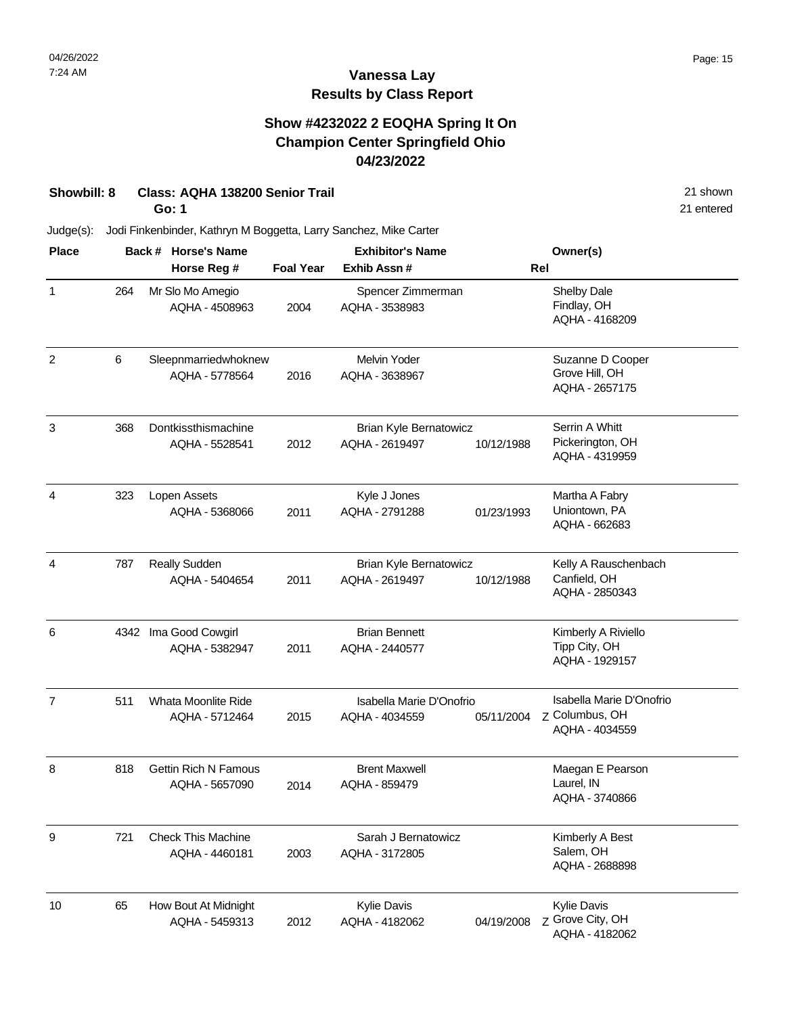#### **Show #4232022 2 EOQHA Spring It On Champion Center Springfield Ohio 04/23/2022**

| Showbill: 8 | Class: AQHA 138200 Senior Trail | 21 shown |
|-------------|---------------------------------|----------|
|             |                                 |          |

**Go: 1**

21 entered

| <b>Place</b>   |       | Back # Horse's Name                           |                  | <b>Exhibitor's Name</b>                         |            | Owner(s)                                                     |
|----------------|-------|-----------------------------------------------|------------------|-------------------------------------------------|------------|--------------------------------------------------------------|
|                |       | Horse Reg #                                   | <b>Foal Year</b> | Exhib Assn#                                     |            | Rel                                                          |
| $\mathbf 1$    | 264   | Mr Slo Mo Amegio<br>AQHA - 4508963            | 2004             | Spencer Zimmerman<br>AQHA - 3538983             |            | Shelby Dale<br>Findlay, OH<br>AQHA - 4168209                 |
| $\overline{c}$ | $\,6$ | Sleepnmarriedwhoknew<br>AQHA - 5778564        | 2016             | Melvin Yoder<br>AQHA - 3638967                  |            | Suzanne D Cooper<br>Grove Hill, OH<br>AQHA - 2657175         |
| 3              | 368   | Dontkissthismachine<br>AQHA - 5528541         | 2012             | <b>Brian Kyle Bernatowicz</b><br>AQHA - 2619497 | 10/12/1988 | Serrin A Whitt<br>Pickerington, OH<br>AQHA - 4319959         |
| 4              | 323   | Lopen Assets<br>AQHA - 5368066                | 2011             | Kyle J Jones<br>AQHA - 2791288                  | 01/23/1993 | Martha A Fabry<br>Uniontown, PA<br>AQHA - 662683             |
| 4              | 787   | Really Sudden<br>AQHA - 5404654               | 2011             | <b>Brian Kyle Bernatowicz</b><br>AQHA - 2619497 | 10/12/1988 | Kelly A Rauschenbach<br>Canfield, OH<br>AQHA - 2850343       |
| 6              |       | 4342 Ima Good Cowgirl<br>AQHA - 5382947       | 2011             | <b>Brian Bennett</b><br>AQHA - 2440577          |            | Kimberly A Riviello<br>Tipp City, OH<br>AQHA - 1929157       |
| 7              | 511   | Whata Moonlite Ride<br>AQHA - 5712464         | 2015             | Isabella Marie D'Onofrio<br>AQHA - 4034559      | 05/11/2004 | Isabella Marie D'Onofrio<br>Z Columbus, OH<br>AQHA - 4034559 |
| 8              | 818   | <b>Gettin Rich N Famous</b><br>AQHA - 5657090 | 2014             | <b>Brent Maxwell</b><br>AQHA - 859479           |            | Maegan E Pearson<br>Laurel, IN<br>AQHA - 3740866             |
| 9              | 721   | <b>Check This Machine</b><br>AQHA - 4460181   | 2003             | Sarah J Bernatowicz<br>AQHA - 3172805           |            | Kimberly A Best<br>Salem, OH<br>AQHA - 2688898               |
| 10             | 65    | How Bout At Midnight<br>AQHA - 5459313        | 2012             | <b>Kylie Davis</b><br>AQHA - 4182062            | 04/19/2008 | <b>Kylie Davis</b><br>Z Grove City, OH<br>AQHA - 4182062     |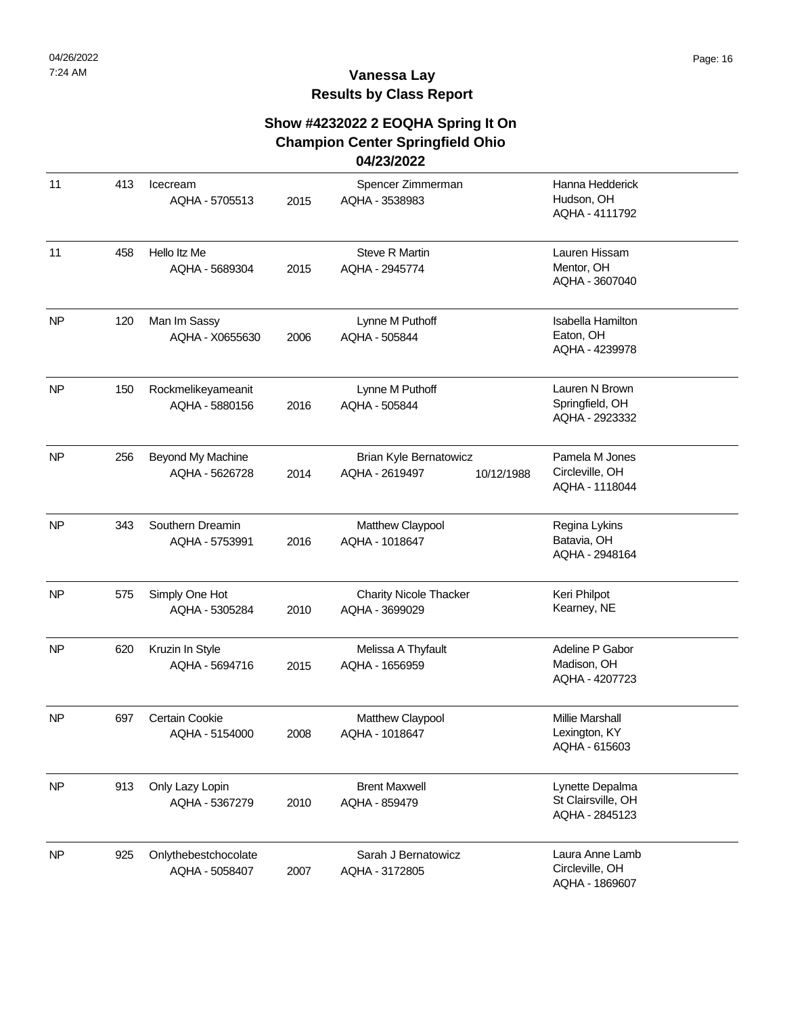| 11        | 413 | Icecream<br>AQHA - 5705513             | 2015 | Spencer Zimmerman<br>AQHA - 3538983                           | Hanna Hedderick<br>Hudson, OH<br>AQHA - 4111792         |
|-----------|-----|----------------------------------------|------|---------------------------------------------------------------|---------------------------------------------------------|
| 11        | 458 | Hello Itz Me<br>AQHA - 5689304         | 2015 | <b>Steve R Martin</b><br>AQHA - 2945774                       | Lauren Hissam<br>Mentor, OH<br>AQHA - 3607040           |
| <b>NP</b> | 120 | Man Im Sassy<br>AQHA - X0655630        | 2006 | Lynne M Puthoff<br>AQHA - 505844                              | <b>Isabella Hamilton</b><br>Eaton, OH<br>AQHA - 4239978 |
| <b>NP</b> | 150 | Rockmelikeyameanit<br>AQHA - 5880156   | 2016 | Lynne M Puthoff<br>AQHA - 505844                              | Lauren N Brown<br>Springfield, OH<br>AQHA - 2923332     |
| <b>NP</b> | 256 | Beyond My Machine<br>AQHA - 5626728    | 2014 | <b>Brian Kyle Bernatowicz</b><br>AQHA - 2619497<br>10/12/1988 | Pamela M Jones<br>Circleville, OH<br>AQHA - 1118044     |
| <b>NP</b> | 343 | Southern Dreamin<br>AQHA - 5753991     | 2016 | Matthew Claypool<br>AQHA - 1018647                            | Regina Lykins<br>Batavia, OH<br>AQHA - 2948164          |
| <b>NP</b> | 575 | Simply One Hot<br>AQHA - 5305284       | 2010 | <b>Charity Nicole Thacker</b><br>AQHA - 3699029               | Keri Philpot<br>Kearney, NE                             |
| <b>NP</b> | 620 | Kruzin In Style<br>AQHA - 5694716      | 2015 | Melissa A Thyfault<br>AQHA - 1656959                          | Adeline P Gabor<br>Madison, OH<br>AQHA - 4207723        |
| <b>NP</b> | 697 | Certain Cookie<br>AQHA - 5154000       | 2008 | Matthew Claypool<br>AQHA - 1018647                            | Millie Marshall<br>Lexington, KY<br>AQHA - 615603       |
| <b>NP</b> | 913 | Only Lazy Lopin<br>AQHA - 5367279      | 2010 | <b>Brent Maxwell</b><br>AQHA - 859479                         | Lynette Depalma<br>St Clairsville, OH<br>AQHA - 2845123 |
| <b>NP</b> | 925 | Onlythebestchocolate<br>AQHA - 5058407 | 2007 | Sarah J Bernatowicz<br>AQHA - 3172805                         | Laura Anne Lamb<br>Circleville, OH<br>AQHA - 1869607    |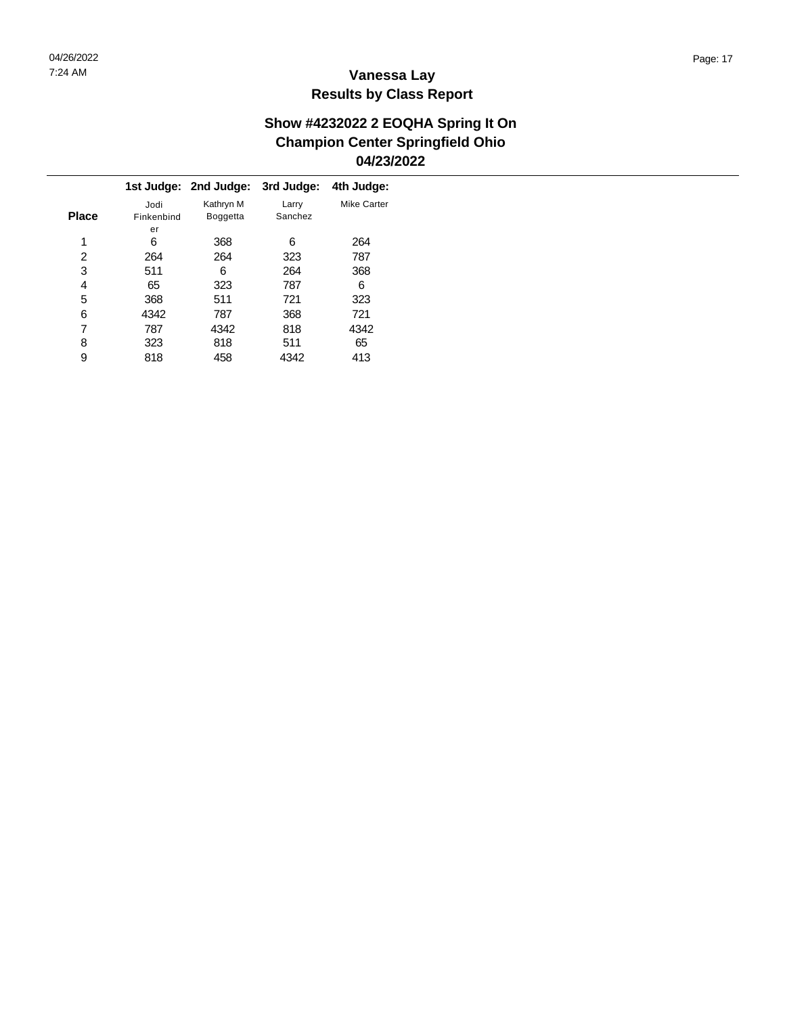|              |            | 1st Judge: 2nd Judge: | 3rd Judge: | 4th Judge:         |
|--------------|------------|-----------------------|------------|--------------------|
|              | Jodi       | Kathryn M             | Larry      | <b>Mike Carter</b> |
| <b>Place</b> | Finkenbind | <b>Boggetta</b>       | Sanchez    |                    |
|              | er         |                       |            |                    |
| 1            | 6          | 368                   | 6          | 264                |
| 2            | 264        | 264                   | 323        | 787                |
| 3            | 511        | 6                     | 264        | 368                |
| 4            | 65         | 323                   | 787        | 6                  |
| 5            | 368        | 511                   | 721        | 323                |
| 6            | 4342       | 787                   | 368        | 721                |
| 7            | 787        | 4342                  | 818        | 4342               |
| 8            | 323        | 818                   | 511        | 65                 |
| 9            | 818        | 458                   | 4342       | 413                |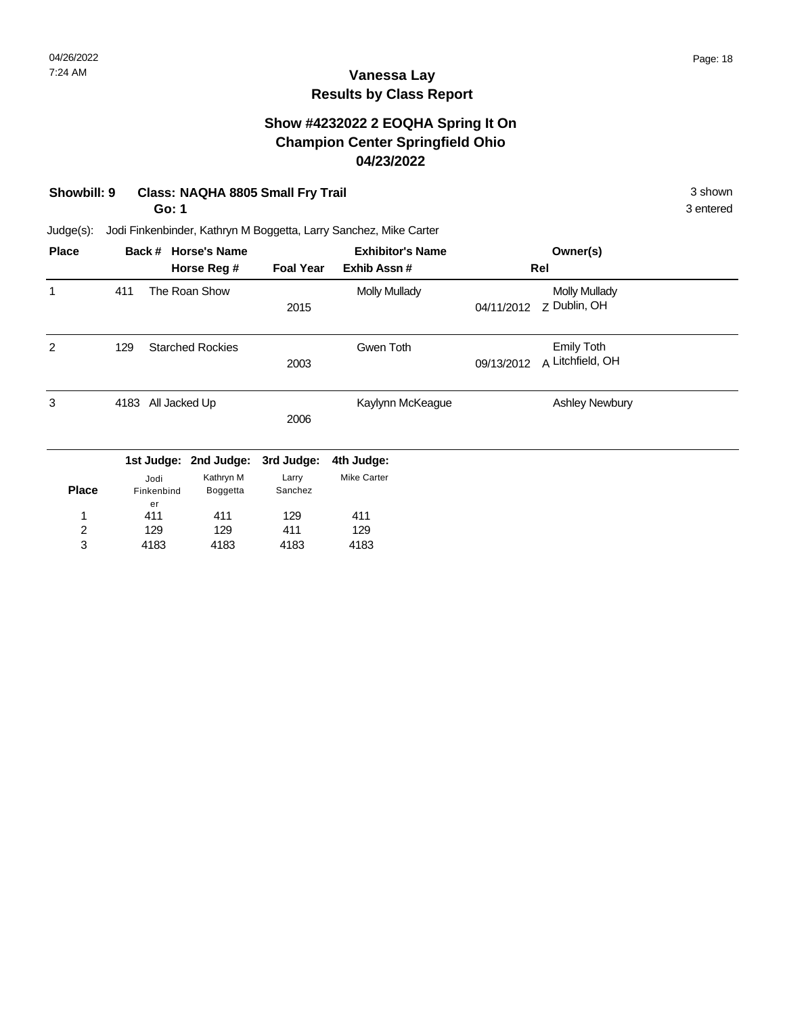#### **Show #4232022 2 EOQHA Spring It On Champion Center Springfield Ohio 04/23/2022**

| Showbill: 9 | <b>Class: NAQHA 8805 Small Fry Trail</b> | 3 shown |
|-------------|------------------------------------------|---------|
|-------------|------------------------------------------|---------|

**Go: 1**

3 entered

| <b>Place</b>   | Back # |                  | <b>Horse's Name</b>     |                  | <b>Exhibitor's Name</b> |            | Owner(s)              |  |
|----------------|--------|------------------|-------------------------|------------------|-------------------------|------------|-----------------------|--|
|                |        |                  | Horse Reg #             | <b>Foal Year</b> | Exhib Assn#             |            | Rel                   |  |
| 1              | 411    |                  | The Roan Show           |                  | <b>Molly Mullady</b>    |            | <b>Molly Mullady</b>  |  |
|                |        |                  |                         | 2015             |                         | 04/11/2012 | Z Dublin, OH          |  |
| $\overline{2}$ | 129    |                  | <b>Starched Rockies</b> |                  | Gwen Toth               |            | <b>Emily Toth</b>     |  |
|                |        |                  |                         | 2003             |                         | 09/13/2012 | A Litchfield, OH      |  |
| 3              | 4183   | All Jacked Up    |                         |                  | Kaylynn McKeague        |            | <b>Ashley Newbury</b> |  |
|                |        |                  |                         | 2006             |                         |            |                       |  |
|                |        |                  | 1st Judge: 2nd Judge:   | 3rd Judge:       | 4th Judge:              |            |                       |  |
|                |        | Jodi             | Kathryn M               | Larry            | Mike Carter             |            |                       |  |
| <b>Place</b>   |        | Finkenbind<br>er | Boggetta                | Sanchez          |                         |            |                       |  |
| 1              |        | 411              | 411                     | 129              | 411                     |            |                       |  |
| $\overline{c}$ |        | 129              | 129                     | 411              | 129                     |            |                       |  |
| 3              |        | 4183             | 4183                    | 4183             | 4183                    |            |                       |  |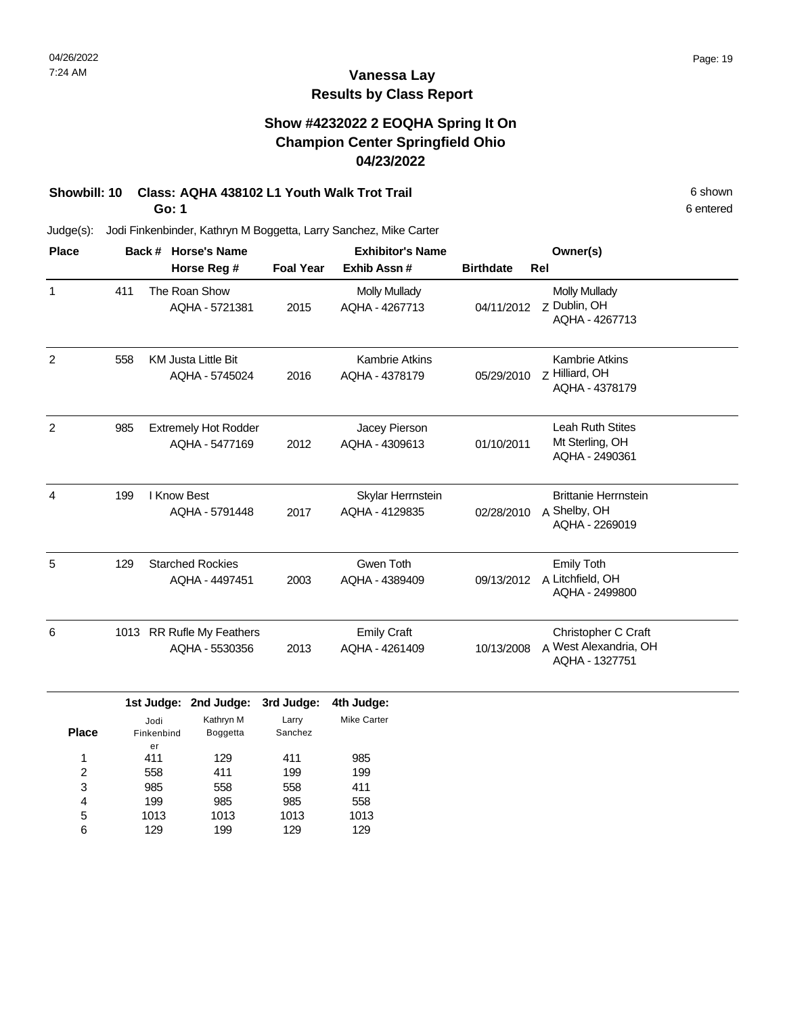#### **Show #4232022 2 EOQHA Spring It On Champion Center Springfield Ohio 04/23/2022**

#### **Showbill: 10 Class: AQHA 438102 L1 Youth Walk Trot Trail** 6 shown **Go: 1**

Judge(s): Jodi Finkenbinder, Kathryn M Boggetta, Larry Sanchez, Mike Carter

| <b>Place</b>   |     | <b>Horse's Name</b><br>Back #                 |                  | <b>Exhibitor's Name</b>                 |                  | Owner(s)                                                       |
|----------------|-----|-----------------------------------------------|------------------|-----------------------------------------|------------------|----------------------------------------------------------------|
|                |     | Horse Reg #                                   | <b>Foal Year</b> | Exhib Assn#                             | <b>Birthdate</b> | Rel                                                            |
| 1              | 411 | The Roan Show<br>AQHA - 5721381               | 2015             | <b>Molly Mullady</b><br>AQHA - 4267713  | 04/11/2012       | <b>Molly Mullady</b><br>Z Dublin, OH<br>AQHA - 4267713         |
| 2              | 558 | <b>KM Justa Little Bit</b><br>AQHA - 5745024  | 2016             | <b>Kambrie Atkins</b><br>AQHA - 4378179 | 05/29/2010       | Kambrie Atkins<br>7 Hilliard, OH<br>AQHA - 4378179             |
| 2              | 985 | <b>Extremely Hot Rodder</b><br>AQHA - 5477169 | 2012             | Jacey Pierson<br>AQHA - 4309613         | 01/10/2011       | <b>Leah Ruth Stites</b><br>Mt Sterling, OH<br>AQHA - 2490361   |
| $\overline{4}$ | 199 | I Know Best<br>AQHA - 5791448                 | 2017             | Skylar Herrnstein<br>AQHA - 4129835     | 02/28/2010       | <b>Brittanie Herrnstein</b><br>A Shelby, OH<br>AQHA - 2269019  |
| 5              | 129 | <b>Starched Rockies</b><br>AQHA - 4497451     | 2003             | Gwen Toth<br>AQHA - 4389409             | 09/13/2012       | <b>Emily Toth</b><br>A Litchfield, OH<br>AQHA - 2499800        |
| 6              |     | 1013 RR Rufle My Feathers<br>AQHA - 5530356   | 2013             | <b>Emily Craft</b><br>AQHA - 4261409    | 10/13/2008       | Christopher C Craft<br>A West Alexandria, OH<br>AQHA - 1327751 |

|              |            | 1st Judge: 2nd Judge: 3rd Judge: |         | 4th Judge:  |
|--------------|------------|----------------------------------|---------|-------------|
|              | Jodi       | Kathryn M                        | Larry   | Mike Carter |
| <b>Place</b> | Finkenbind | <b>Boggetta</b>                  | Sanchez |             |
|              | er         |                                  |         |             |
| 1            | 411        | 129                              | 411     | 985         |
| 2            | 558        | 411                              | 199     | 199         |
| 3            | 985        | 558                              | 558     | 411         |
| 4            | 199        | 985                              | 985     | 558         |
| 5            | 1013       | 1013                             | 1013    | 1013        |
| 6            | 129        | 199                              | 129     | 129         |

6 entered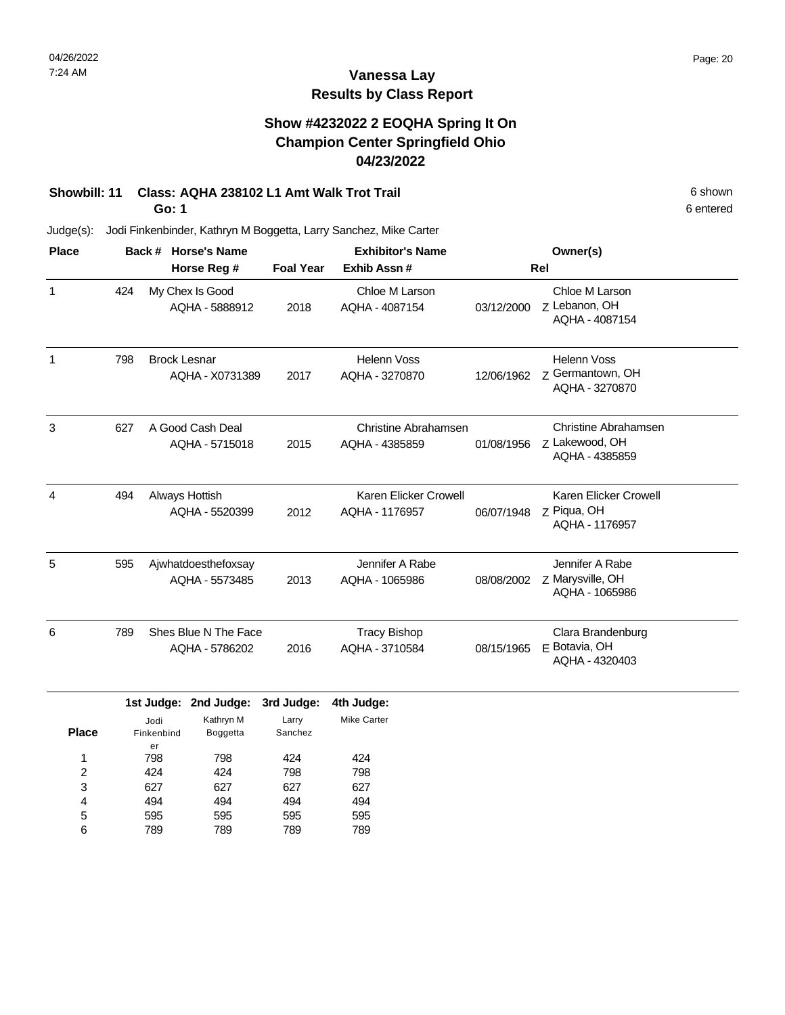#### **Show #4232022 2 EOQHA Spring It On Champion Center Springfield Ohio 04/23/2022**

# **Showbill: 11 Class: AQHA 238102 L1 Amt Walk Trot Trail** 6 shown

**Go: 1**

Judge(s): Jodi Finkenbinder, Kathryn M Boggetta, Larry Sanchez, Mike Carter

| <b>Place</b> |     | <b>Horse's Name</b><br>Back #          |                  | <b>Exhibitor's Name</b>                 |            | Owner(s)                                                 |
|--------------|-----|----------------------------------------|------------------|-----------------------------------------|------------|----------------------------------------------------------|
|              |     | Horse Reg #                            | <b>Foal Year</b> | Exhib Assn#                             |            | Rel                                                      |
| 1            | 424 | My Chex Is Good<br>AQHA - 5888912      | 2018             | Chloe M Larson<br>AQHA - 4087154        | 03/12/2000 | Chloe M Larson<br>Z Lebanon, OH<br>AQHA - 4087154        |
| 1            | 798 | <b>Brock Lesnar</b><br>AQHA - X0731389 | 2017             | <b>Helenn Voss</b><br>AQHA - 3270870    | 12/06/1962 | <b>Helenn Voss</b><br>7 Germantown, OH<br>AQHA - 3270870 |
| 3            | 627 | A Good Cash Deal<br>AQHA - 5715018     | 2015             | Christine Abrahamsen<br>AQHA - 4385859  | 01/08/1956 | Christine Abrahamsen<br>z Lakewood, OH<br>AQHA - 4385859 |
| 4            | 494 | Always Hottish<br>AQHA - 5520399       | 2012             | Karen Elicker Crowell<br>AQHA - 1176957 | 06/07/1948 | Karen Elicker Crowell<br>7 Piqua, OH<br>AQHA - 1176957   |
| 5            | 595 | Ajwhatdoesthefoxsay<br>AQHA - 5573485  | 2013             | Jennifer A Rabe<br>AQHA - 1065986       | 08/08/2002 | Jennifer A Rabe<br>Z Marysville, OH<br>AQHA - 1065986    |
| 6            | 789 | Shes Blue N The Face<br>AQHA - 5786202 | 2016             | <b>Tracy Bishop</b><br>AQHA - 3710584   | 08/15/1965 | Clara Brandenburg<br>E Botavia, OH<br>AQHA - 4320403     |

|              |            | 1st Judge: 2nd Judge: 3rd Judge: |         | 4th Judge:         |
|--------------|------------|----------------------------------|---------|--------------------|
|              | Jodi       | Kathryn M                        | Larry   | <b>Mike Carter</b> |
| <b>Place</b> | Finkenbind | <b>Boggetta</b>                  | Sanchez |                    |
|              | er         |                                  |         |                    |
| 1            | 798        | 798                              | 424     | 424                |
| 2            | 424        | 424                              | 798     | 798                |
| 3            | 627        | 627                              | 627     | 627                |
| 4            | 494        | 494                              | 494     | 494                |
| 5            | 595        | 595                              | 595     | 595                |
| 6            | 789        | 789                              | 789     | 789                |

6 entered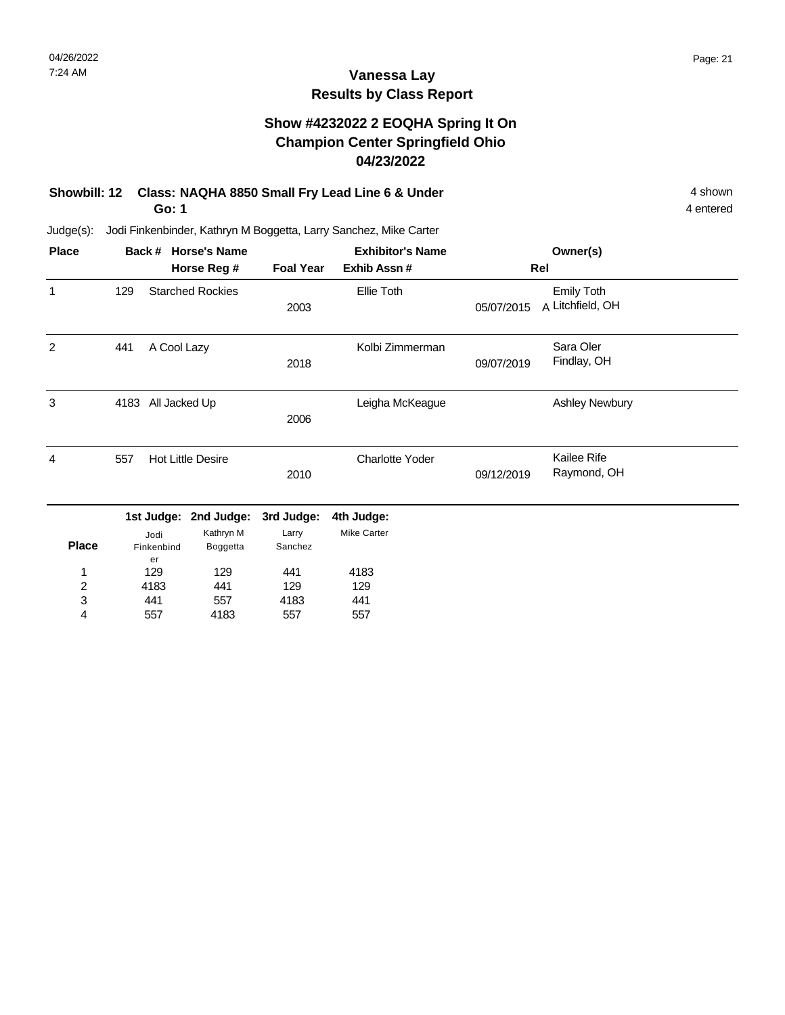### **Vanessa Lay Results by Class Report**

#### **Show #4232022 2 EOQHA Spring It On Champion Center Springfield Ohio 04/23/2022**

#### **Showbill: 12 Class: NAQHA 8850 Small Fry Lead Line 6 & Under** 4 shown 4 shown **Go: 1**

441 557

3 4

557 4183 4183 557

441 557

| <b>Place</b>   |      | Back #                   | <b>Horse's Name</b>      |                  | <b>Exhibitor's Name</b> |            | Owner(s)                       |  |
|----------------|------|--------------------------|--------------------------|------------------|-------------------------|------------|--------------------------------|--|
|                |      |                          | Horse Reg #              | <b>Foal Year</b> | Exhib Assn#             |            | Rel                            |  |
| 1              | 129  |                          | <b>Starched Rockies</b>  | 2003             | Ellie Toth              | 05/07/2015 | Emily Toth<br>A Litchfield, OH |  |
| 2              | 441  | A Cool Lazy              |                          | 2018             | Kolbi Zimmerman         | 09/07/2019 | Sara Oler<br>Findlay, OH       |  |
| 3              | 4183 | All Jacked Up            |                          | 2006             | Leigha McKeague         |            | Ashley Newbury                 |  |
| 4              | 557  |                          | <b>Hot Little Desire</b> | 2010             | <b>Charlotte Yoder</b>  | 09/12/2019 | Kailee Rife<br>Raymond, OH     |  |
|                |      | 1st Judge:               | 2nd Judge:               | 3rd Judge:       | 4th Judge:              |            |                                |  |
| <b>Place</b>   |      | Jodi<br>Finkenbind<br>er | Kathryn M<br>Boggetta    | Larry<br>Sanchez | <b>Mike Carter</b>      |            |                                |  |
| 1              |      | 129                      | 129                      | 441              | 4183                    |            |                                |  |
| $\overline{2}$ |      | 4183                     | 441                      | 129              | 129                     |            |                                |  |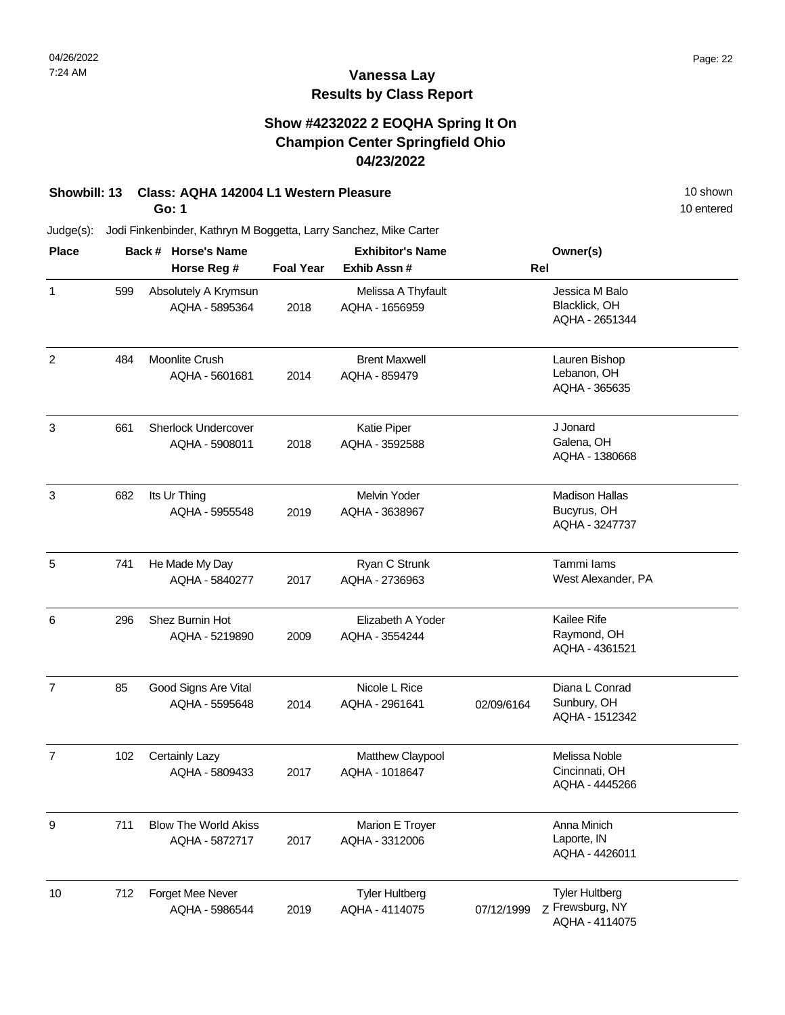## **Vanessa Lay Results by Class Report**

#### **Show #4232022 2 EOQHA Spring It On Champion Center Springfield Ohio 04/23/2022**

## **Showbill: 13 Class: AQHA 142004 L1 Western Pleasure** 10 Shown 10 shown

**Go: 1**

| <b>Place</b>   |     | Back # Horse's Name                           |                  | <b>Exhibitor's Name</b>                 |            | Owner(s)                                                   |
|----------------|-----|-----------------------------------------------|------------------|-----------------------------------------|------------|------------------------------------------------------------|
|                |     | Horse Reg #                                   | <b>Foal Year</b> | Exhib Assn#                             |            | Rel                                                        |
| $\mathbf{1}$   | 599 | Absolutely A Krymsun<br>AQHA - 5895364        | 2018             | Melissa A Thyfault<br>AQHA - 1656959    |            | Jessica M Balo<br>Blacklick, OH<br>AQHA - 2651344          |
| $\overline{c}$ | 484 | Moonlite Crush<br>AQHA - 5601681              | 2014             | <b>Brent Maxwell</b><br>AQHA - 859479   |            | Lauren Bishop<br>Lebanon, OH<br>AQHA - 365635              |
| 3              | 661 | Sherlock Undercover<br>AQHA - 5908011         | 2018             | Katie Piper<br>AQHA - 3592588           |            | J Jonard<br>Galena, OH<br>AQHA - 1380668                   |
| 3              | 682 | Its Ur Thing<br>AQHA - 5955548                | 2019             | Melvin Yoder<br>AQHA - 3638967          |            | <b>Madison Hallas</b><br>Bucyrus, OH<br>AQHA - 3247737     |
| 5              | 741 | He Made My Day<br>AQHA - 5840277              | 2017             | Ryan C Strunk<br>AQHA - 2736963         |            | Tammi lams<br>West Alexander, PA                           |
| 6              | 296 | Shez Burnin Hot<br>AQHA - 5219890             | 2009             | Elizabeth A Yoder<br>AQHA - 3554244     |            | Kailee Rife<br>Raymond, OH<br>AQHA - 4361521               |
| $\overline{7}$ | 85  | Good Signs Are Vital<br>AQHA - 5595648        | 2014             | Nicole L Rice<br>AQHA - 2961641         | 02/09/6164 | Diana L Conrad<br>Sunbury, OH<br>AQHA - 1512342            |
| $\overline{7}$ | 102 | Certainly Lazy<br>AQHA - 5809433              | 2017             | Matthew Claypool<br>AQHA - 1018647      |            | Melissa Noble<br>Cincinnati, OH<br>AQHA - 4445266          |
| 9              | 711 | <b>Blow The World Akiss</b><br>AQHA - 5872717 | 2017             | Marion E Troyer<br>AQHA - 3312006       |            | Anna Minich<br>Laporte, IN<br>AQHA - 4426011               |
| 10             | 712 | Forget Mee Never<br>AQHA - 5986544            | 2019             | <b>Tyler Hultberg</b><br>AQHA - 4114075 | 07/12/1999 | <b>Tyler Hultberg</b><br>Z Frewsburg, NY<br>AQHA - 4114075 |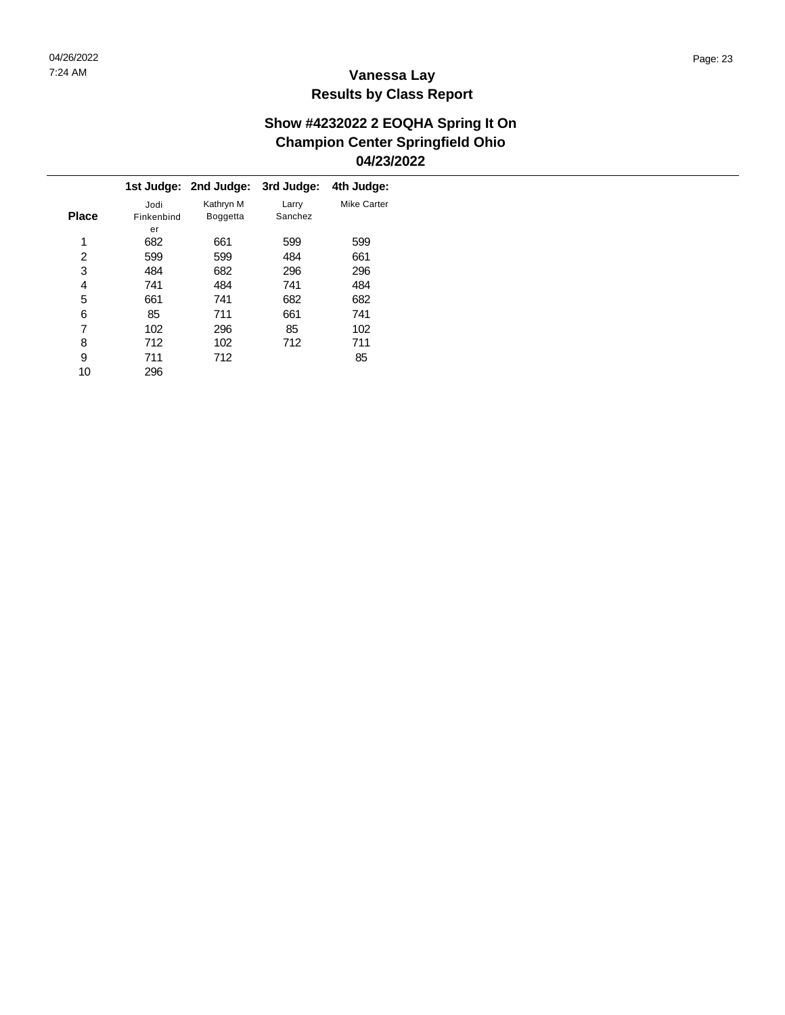|              |            | 1st Judge: 2nd Judge: | 3rd Judge: | 4th Judge:  |
|--------------|------------|-----------------------|------------|-------------|
|              | Jodi       | Kathryn M             | Larry      | Mike Carter |
| <b>Place</b> | Finkenbind | <b>Boggetta</b>       | Sanchez    |             |
|              | er         |                       |            |             |
| 1            | 682        | 661                   | 599        | 599         |
| 2            | 599        | 599                   | 484        | 661         |
| 3            | 484        | 682                   | 296        | 296         |
| 4            | 741        | 484                   | 741        | 484         |
| 5            | 661        | 741                   | 682        | 682         |
| 6            | 85         | 711                   | 661        | 741         |
| 7            | 102        | 296                   | 85         | 102         |
| 8            | 712        | 102                   | 712        | 711         |
| 9            | 711        | 712                   |            | 85          |
| 10           | 296        |                       |            |             |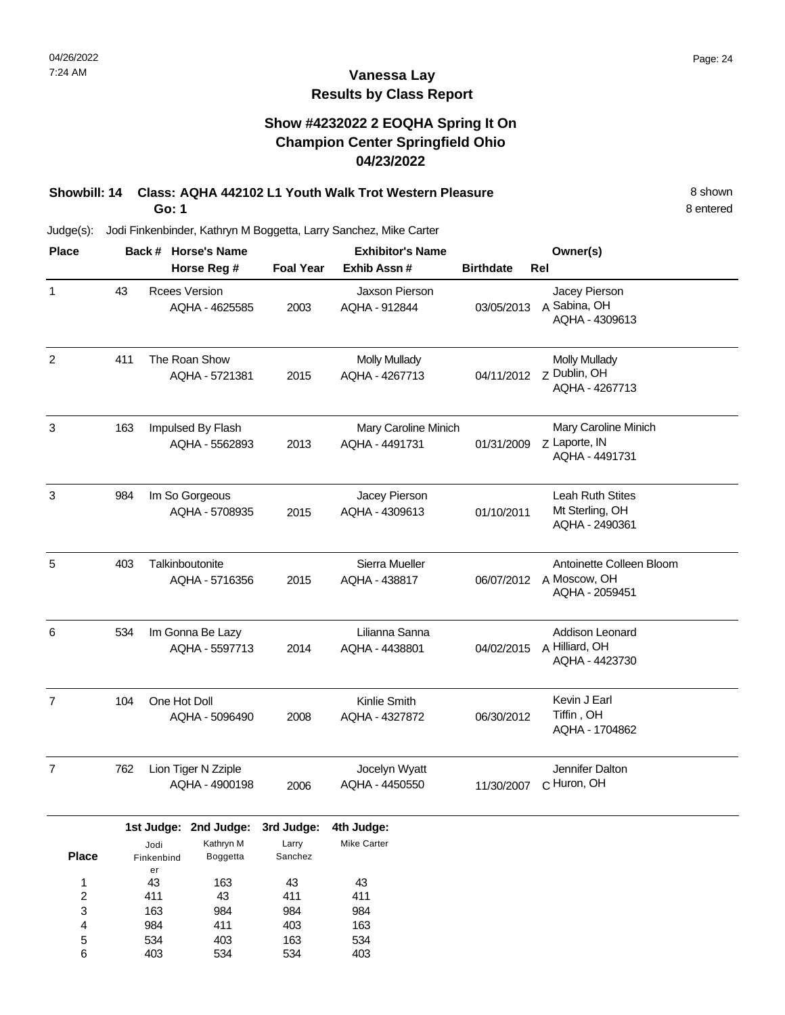#### **Vanessa Lay Results by Class Report**

#### **Show #4232022 2 EOQHA Spring It On Champion Center Springfield Ohio 04/23/2022**

#### **Showbill: 14 Class: AQHA 442102 L1 Youth Walk Trot Western Pleasure** 8 Shown **Go: 1**

| <b>Place</b>                           |     |                          | Back # Horse's Name                    |                         | <b>Exhibitor's Name</b>                |                  | Owner(s)                                                   |
|----------------------------------------|-----|--------------------------|----------------------------------------|-------------------------|----------------------------------------|------------------|------------------------------------------------------------|
|                                        |     |                          | Horse Reg #                            | <b>Foal Year</b>        | Exhib Assn#                            | <b>Birthdate</b> | Rel                                                        |
| $\mathbf{1}$                           | 43  |                          | <b>Rcees Version</b><br>AQHA - 4625585 | 2003                    | Jaxson Pierson<br>AQHA - 912844        | 03/05/2013       | Jacey Pierson<br>A Sabina, OH<br>AQHA - 4309613            |
| $\overline{c}$                         | 411 |                          | The Roan Show<br>AQHA - 5721381        | 2015                    | <b>Molly Mullady</b><br>AQHA - 4267713 | 04/11/2012       | <b>Molly Mullady</b><br>Z Dublin, OH<br>AQHA - 4267713     |
| 3                                      | 163 |                          | Impulsed By Flash<br>AQHA - 5562893    | 2013                    | Mary Caroline Minich<br>AQHA - 4491731 | 01/31/2009       | Mary Caroline Minich<br>Z Laporte, IN<br>AQHA - 4491731    |
| 3                                      | 984 |                          | Im So Gorgeous<br>AQHA - 5708935       | 2015                    | Jacey Pierson<br>AQHA - 4309613        | 01/10/2011       | Leah Ruth Stites<br>Mt Sterling, OH<br>AQHA - 2490361      |
| 5                                      | 403 |                          | Talkinboutonite<br>AQHA - 5716356      | 2015                    | Sierra Mueller<br>AQHA - 438817        | 06/07/2012       | Antoinette Colleen Bloom<br>A Moscow, OH<br>AQHA - 2059451 |
| 6                                      | 534 |                          | Im Gonna Be Lazy<br>AQHA - 5597713     | 2014                    | Lilianna Sanna<br>AQHA - 4438801       | 04/02/2015       | Addison Leonard<br>A Hilliard, OH<br>AQHA - 4423730        |
| 7                                      | 104 | One Hot Doll             | AQHA - 5096490                         | 2008                    | Kinlie Smith<br>AQHA - 4327872         | 06/30/2012       | Kevin J Earl<br>Tiffin, OH<br>AQHA - 1704862               |
| $\overline{7}$                         | 762 |                          | Lion Tiger N Zziple<br>AQHA - 4900198  | 2006                    | Jocelyn Wyatt<br>AQHA - 4450550        | 11/30/2007       | Jennifer Dalton<br>C Huron, OH                             |
|                                        |     |                          | 1st Judge: 2nd Judge:                  | 3rd Judge:              | 4th Judge:                             |                  |                                                            |
| <b>Place</b>                           |     | Jodi<br>Finkenbind<br>er | Kathryn M<br>Boggetta                  | Larry<br>Sanchez        | Mike Carter                            |                  |                                                            |
| 1<br>$\overline{\mathbf{c}}$<br>3<br>4 |     | 43<br>411<br>163<br>984  | 163<br>43<br>984<br>411                | 43<br>411<br>984<br>403 | 43<br>411<br>984<br>163                |                  |                                                            |
| 5<br>6                                 |     | 534<br>403               | 403<br>534                             | 163<br>534              | 534<br>403                             |                  |                                                            |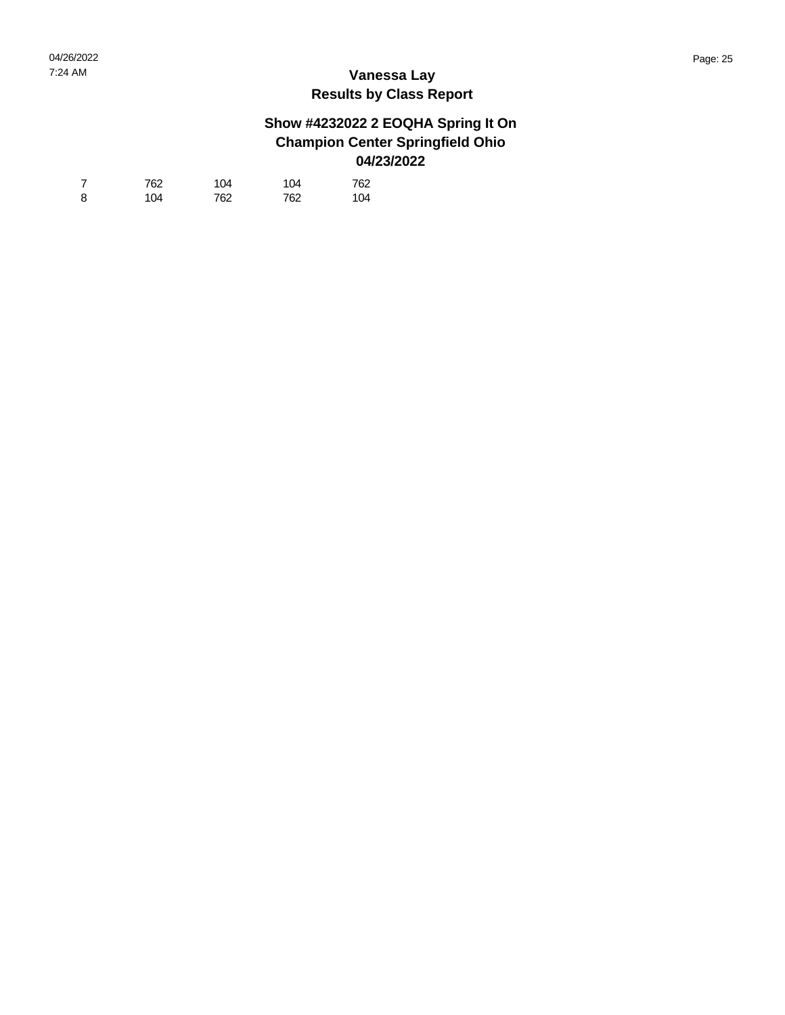| $\overline{ }$ | 762 | 104 | 104 | 762 |
|----------------|-----|-----|-----|-----|
| -8             | 104 | 762 | 762 | 104 |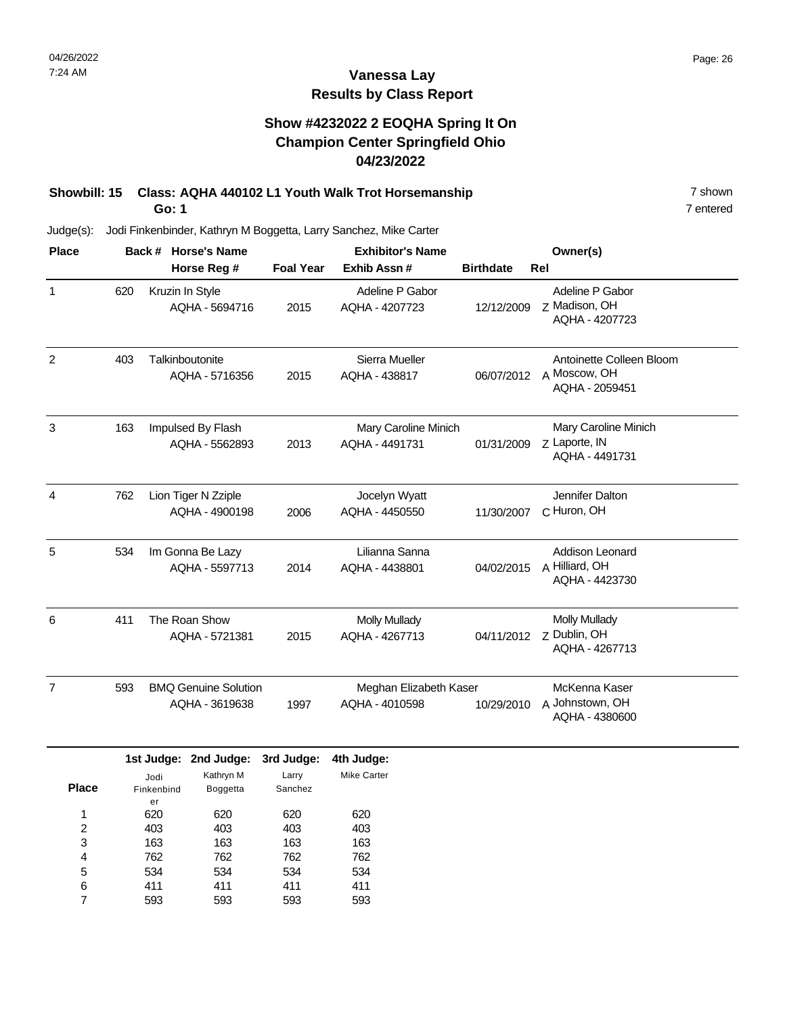## **Vanessa Lay Results by Class Report**

#### **Show #4232022 2 EOQHA Spring It On Champion Center Springfield Ohio 04/23/2022**

**Showbill: 15 Class: AQHA 440102 L1 Youth Walk Trot Horsemanship** 7 shown 7 shown **Go: 1**

|     |                             |                  |                      |                  | Owner(s)                                                     |
|-----|-----------------------------|------------------|----------------------|------------------|--------------------------------------------------------------|
|     | Horse Reg #                 | <b>Foal Year</b> | Exhib Assn #         | <b>Birthdate</b> | Rel                                                          |
| 620 | Kruzin In Style             |                  | Adeline P Gabor      |                  | Adeline P Gabor                                              |
|     |                             |                  |                      |                  | Z Madison, OH<br>AQHA - 4207723                              |
| 403 | Talkinboutonite             |                  | Sierra Mueller       |                  | Antoinette Colleen Bloom                                     |
|     | AQHA - 5716356              | 2015             | AQHA - 438817        | 06/07/2012       | A Moscow, OH<br>AQHA - 2059451                               |
| 163 | Impulsed By Flash           |                  |                      |                  | Mary Caroline Minich                                         |
|     | AQHA - 5562893              | 2013             | AQHA - 4491731       | 01/31/2009       | z Laporte, IN<br>AQHA - 4491731                              |
| 762 | Lion Tiger N Zziple         |                  | Jocelyn Wyatt        |                  | Jennifer Dalton                                              |
|     | AQHA - 4900198              | 2006             | AQHA - 4450550       | 11/30/2007       | C Huron, OH                                                  |
| 534 | Im Gonna Be Lazy            |                  | Lilianna Sanna       |                  | Addison Leonard                                              |
|     | AQHA - 5597713              | 2014             | AQHA - 4438801       | 04/02/2015       | A Hilliard, OH<br>AQHA - 4423730                             |
| 411 | The Roan Show               |                  | <b>Molly Mullady</b> |                  | <b>Molly Mullady</b>                                         |
|     | AQHA - 5721381              | 2015             | AQHA - 4267713       | 04/11/2012       | z Dublin, OH<br>AQHA - 4267713                               |
| 593 | <b>BMQ Genuine Solution</b> |                  |                      |                  | McKenna Kaser                                                |
|     | AQHA - 3619638              | 1997             | AQHA - 4010598       | 10/29/2010       | A Johnstown, OH<br>AQHA - 4380600                            |
|     |                             | AQHA - 5694716   | 2015                 | AQHA - 4207723   | 12/12/2009<br>Mary Caroline Minich<br>Meghan Elizabeth Kaser |

|              |            | 1st Judge: 2nd Judge: | sra Juage: | 4th Judge:  |
|--------------|------------|-----------------------|------------|-------------|
|              | Jodi       | Kathryn M             | Larry      | Mike Carter |
| <b>Place</b> | Finkenbind | <b>Boggetta</b>       | Sanchez    |             |
|              | er         |                       |            |             |
| 1            | 620        | 620                   | 620        | 620         |
| 2            | 403        | 403                   | 403        | 403         |
| 3            | 163        | 163                   | 163        | 163         |
| 4            | 762        | 762                   | 762        | 762         |
| 5            | 534        | 534                   | 534        | 534         |
| 6            | 411        | 411                   | 411        | 411         |
|              | 593        | 593                   | 593        | 593         |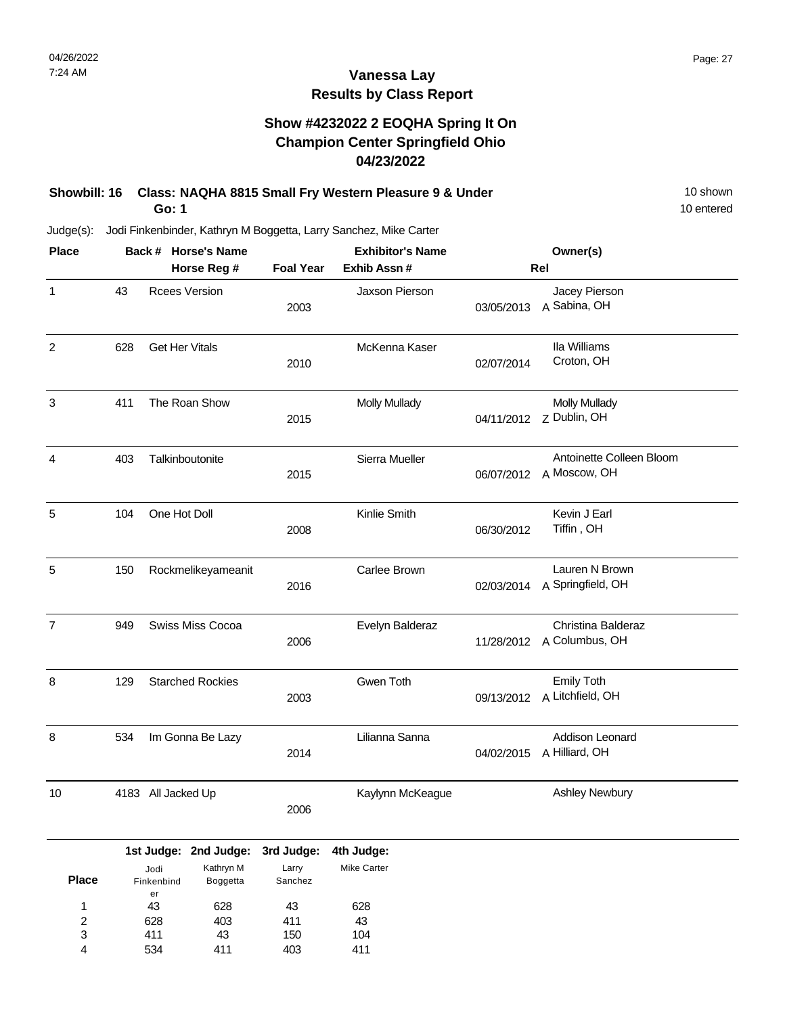#### **Show #4232022 2 EOQHA Spring It On Champion Center Springfield Ohio 04/23/2022**

#### **Showbill: 16 Class: NAQHA 8815 Small Fry Western Pleasure 9 & Under** 10 Shown **Go: 1**

Judge(s): Jodi Finkenbinder, Kathryn M Boggetta, Larry Sanchez, Mike Carter

| <b>Place</b>   |     | Back # Horse's Name                                           |                                  | <b>Exhibitor's Name</b>   |            | Owner(s)                                            |  |
|----------------|-----|---------------------------------------------------------------|----------------------------------|---------------------------|------------|-----------------------------------------------------|--|
|                |     | Horse Reg #                                                   | <b>Foal Year</b><br>Exhib Assn # |                           | Rel        |                                                     |  |
| $\mathbf{1}$   | 43  | Rcees Version                                                 | 2003                             | Jaxson Pierson            | 03/05/2013 | Jacey Pierson<br>A Sabina, OH                       |  |
| $\overline{2}$ | 628 | <b>Get Her Vitals</b>                                         | 2010                             | McKenna Kaser             | 02/07/2014 | Ila Williams<br>Croton, OH                          |  |
| 3              | 411 | The Roan Show                                                 | 2015                             | <b>Molly Mullady</b>      |            | <b>Molly Mullady</b>                                |  |
| 4              | 403 | Talkinboutonite                                               | 2015                             | Sierra Mueller            |            | Antoinette Colleen Bloom<br>06/07/2012 A Moscow, OH |  |
| 5              | 104 | One Hot Doll                                                  | 2008                             | Kinlie Smith              | 06/30/2012 | Kevin J Earl<br>Tiffin, OH                          |  |
| 5              | 150 | Rockmelikeyameanit                                            | 2016                             | Carlee Brown              | 02/03/2014 | Lauren N Brown<br>A Springfield, OH                 |  |
| $\overline{7}$ | 949 | Swiss Miss Cocoa                                              | 2006                             | Evelyn Balderaz           |            | Christina Balderaz<br>11/28/2012 A Columbus, OH     |  |
| 8              | 129 | <b>Starched Rockies</b>                                       | 2003                             | Gwen Toth                 |            | <b>Emily Toth</b><br>09/13/2012 A Litchfield, OH    |  |
| 8              | 534 | Im Gonna Be Lazy                                              | 2014                             | Lilianna Sanna            | 04/02/2015 | Addison Leonard<br>A Hilliard, OH                   |  |
| 10             |     | 4183 All Jacked Up                                            | 2006                             | Kaylynn McKeague          |            | <b>Ashley Newbury</b>                               |  |
|                |     | 1st Judge: 2nd Judge: 3rd Judge:<br>Kathryn M<br>$I \cap A$ i | l arrv                           | 4th Judge:<br>Mike Carter |            |                                                     |  |

|              | Jodi       | Kathryn M       | Larry   | <b>Mike Carter</b> |  |
|--------------|------------|-----------------|---------|--------------------|--|
| <b>Place</b> | Finkenbind | <b>Boggetta</b> | Sanchez |                    |  |
|              | er         |                 |         |                    |  |
| 1            | 43         | 628             | 43      | 628                |  |
| 2            | 628        | 403             | 411     | 43                 |  |
| 3            | 411        | 43              | 150     | 104                |  |
| 4            | 534        | 411             | 403     | 411                |  |

10 entered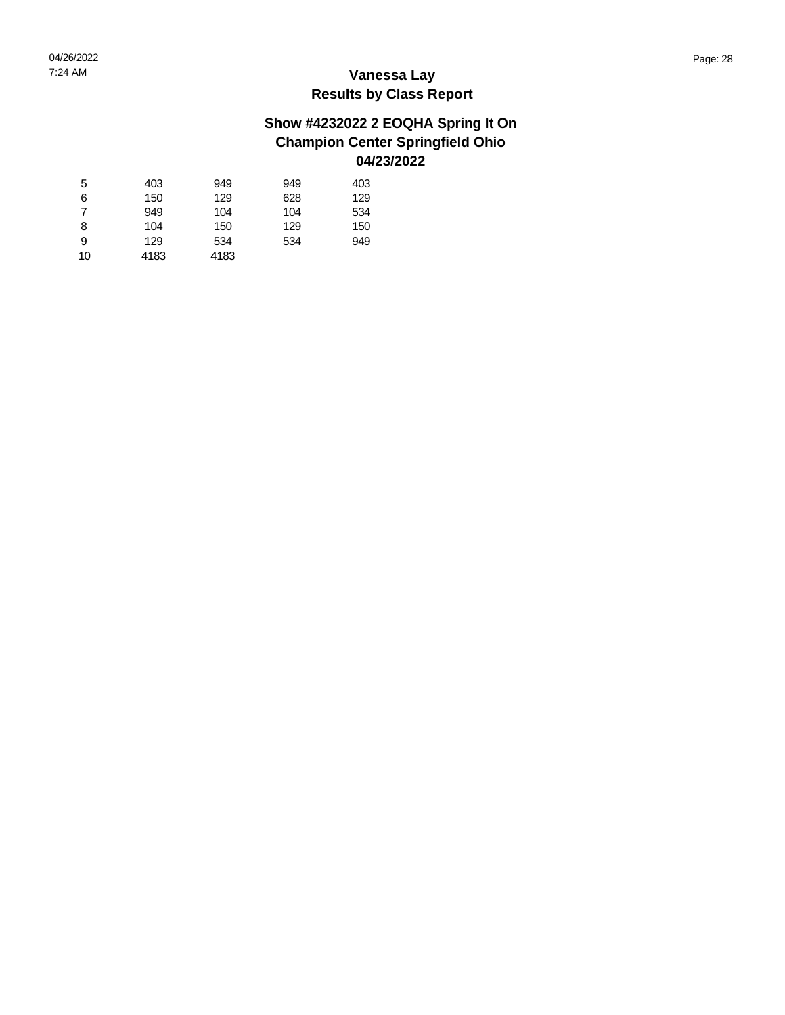| 5  | 403  | 949  | 949 | 403 |
|----|------|------|-----|-----|
| 6  | 150  | 129  | 628 | 129 |
| 7  | 949  | 104  | 104 | 534 |
| 8  | 104  | 150  | 129 | 150 |
| 9  | 129  | 534  | 534 | 949 |
| 10 | 4183 | 4183 |     |     |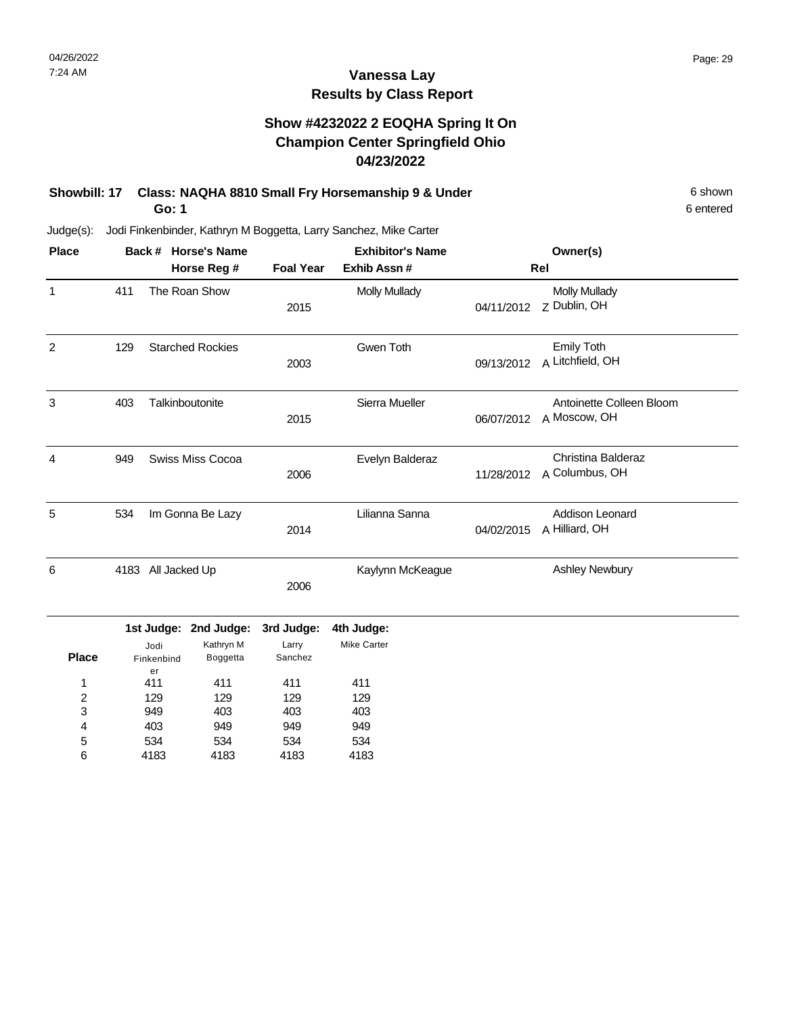#### **Show #4232022 2 EOQHA Spring It On Champion Center Springfield Ohio 04/23/2022**

#### **Showbill: 17 Class: NAQHA 8810 Small Fry Horsemanship 9 & Under** 6 Shown 6 shown **Go: 1**

6 entered

| <b>Place</b>   |      | <b>Horse's Name</b><br>Back #<br>Horse Reg # | <b>Foal Year</b> | <b>Exhibitor's Name</b><br>Exhib Assn# |            | Owner(s)<br>Rel                          |
|----------------|------|----------------------------------------------|------------------|----------------------------------------|------------|------------------------------------------|
| 1              | 411  | The Roan Show                                | 2015             | <b>Molly Mullady</b>                   | 04/11/2012 | <b>Molly Mullady</b><br>Z Dublin, OH     |
| $\overline{2}$ | 129  | <b>Starched Rockies</b>                      | 2003             | Gwen Toth                              | 09/13/2012 | <b>Emily Toth</b><br>A Litchfield, OH    |
| 3              | 403  | Talkinboutonite                              | 2015             | Sierra Mueller                         | 06/07/2012 | Antoinette Colleen Bloom<br>A Moscow, OH |
| 4              | 949  | Swiss Miss Cocoa                             | 2006             | Evelyn Balderaz                        | 11/28/2012 | Christina Balderaz<br>A Columbus, OH     |
| 5              | 534  | Im Gonna Be Lazy                             | 2014             | Lilianna Sanna                         | 04/02/2015 | Addison Leonard<br>A Hilliard, OH        |
| 6              | 4183 | All Jacked Up                                | 2006             | Kaylynn McKeague                       |            | <b>Ashley Newbury</b>                    |

|              |            | 1st Judge: 2nd Judge: 3rd Judge: |         | 4th Judge:  |
|--------------|------------|----------------------------------|---------|-------------|
|              | Jodi       | Kathryn M                        | Larry   | Mike Carter |
| <b>Place</b> | Finkenbind | Boggetta                         | Sanchez |             |
|              | er         |                                  |         |             |
|              | 411        | 411                              | 411     | 411         |
| 2            | 129        | 129                              | 129     | 129         |
| 3            | 949        | 403                              | 403     | 403         |
| 4            | 403        | 949                              | 949     | 949         |
| 5            | 534        | 534                              | 534     | 534         |
| 6            | 4183       | 4183                             | 4183    | 4183        |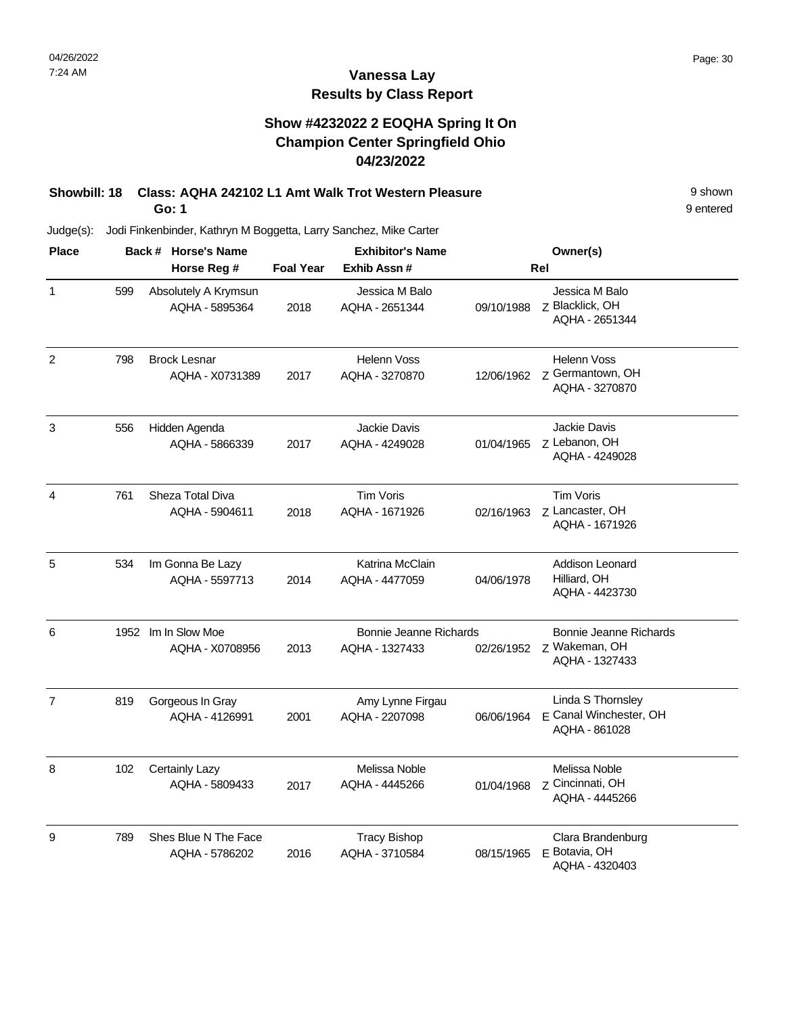## **Vanessa Lay Results by Class Report**

#### **Show #4232022 2 EOQHA Spring It On Champion Center Springfield Ohio 04/23/2022**

**Showbill: 18 Class: AQHA 242102 L1 Amt Walk Trot Western Pleasure** 9 Shown **Go: 1**

| <b>Place</b>   |     | Back # Horse's Name                    |                  | <b>Exhibitor's Name</b>                  |            | Owner(s)                                                     |
|----------------|-----|----------------------------------------|------------------|------------------------------------------|------------|--------------------------------------------------------------|
|                |     | Horse Reg #                            | <b>Foal Year</b> | Exhib Assn#                              |            | Rel                                                          |
| 1              | 599 | Absolutely A Krymsun<br>AQHA - 5895364 | 2018             | Jessica M Balo<br>AQHA - 2651344         | 09/10/1988 | Jessica M Balo<br>Z Blacklick, OH<br>AQHA - 2651344          |
| $\overline{2}$ | 798 | <b>Brock Lesnar</b><br>AQHA - X0731389 | 2017             | <b>Helenn Voss</b><br>AQHA - 3270870     | 12/06/1962 | <b>Helenn Voss</b><br>Z Germantown, OH<br>AQHA - 3270870     |
| 3              | 556 | Hidden Agenda<br>AQHA - 5866339        | 2017             | <b>Jackie Davis</b><br>AQHA - 4249028    | 01/04/1965 | Jackie Davis<br>z Lebanon, OH<br>AQHA - 4249028              |
| 4              | 761 | Sheza Total Diva<br>AQHA - 5904611     | 2018             | Tim Voris<br>AQHA - 1671926              | 02/16/1963 | <b>Tim Voris</b><br>z Lancaster, OH<br>AQHA - 1671926        |
| 5              | 534 | Im Gonna Be Lazy<br>AQHA - 5597713     | 2014             | Katrina McClain<br>AQHA - 4477059        | 04/06/1978 | Addison Leonard<br>Hilliard, OH<br>AQHA - 4423730            |
| 6              |     | 1952 Im In Slow Moe<br>AQHA - X0708956 | 2013             | Bonnie Jeanne Richards<br>AQHA - 1327433 | 02/26/1952 | Bonnie Jeanne Richards<br>Z Wakeman, OH<br>AQHA - 1327433    |
| $\overline{7}$ | 819 | Gorgeous In Gray<br>AQHA - 4126991     | 2001             | Amy Lynne Firgau<br>AQHA - 2207098       | 06/06/1964 | Linda S Thornsley<br>E Canal Winchester, OH<br>AQHA - 861028 |
| 8              | 102 | Certainly Lazy<br>AQHA - 5809433       | 2017             | Melissa Noble<br>AQHA - 4445266          | 01/04/1968 | Melissa Noble<br>Z Cincinnati, OH<br>AQHA - 4445266          |
| 9              | 789 | Shes Blue N The Face<br>AQHA - 5786202 | 2016             | <b>Tracy Bishop</b><br>AQHA - 3710584    | 08/15/1965 | Clara Brandenburg<br>E Botavia, OH<br>AQHA - 4320403         |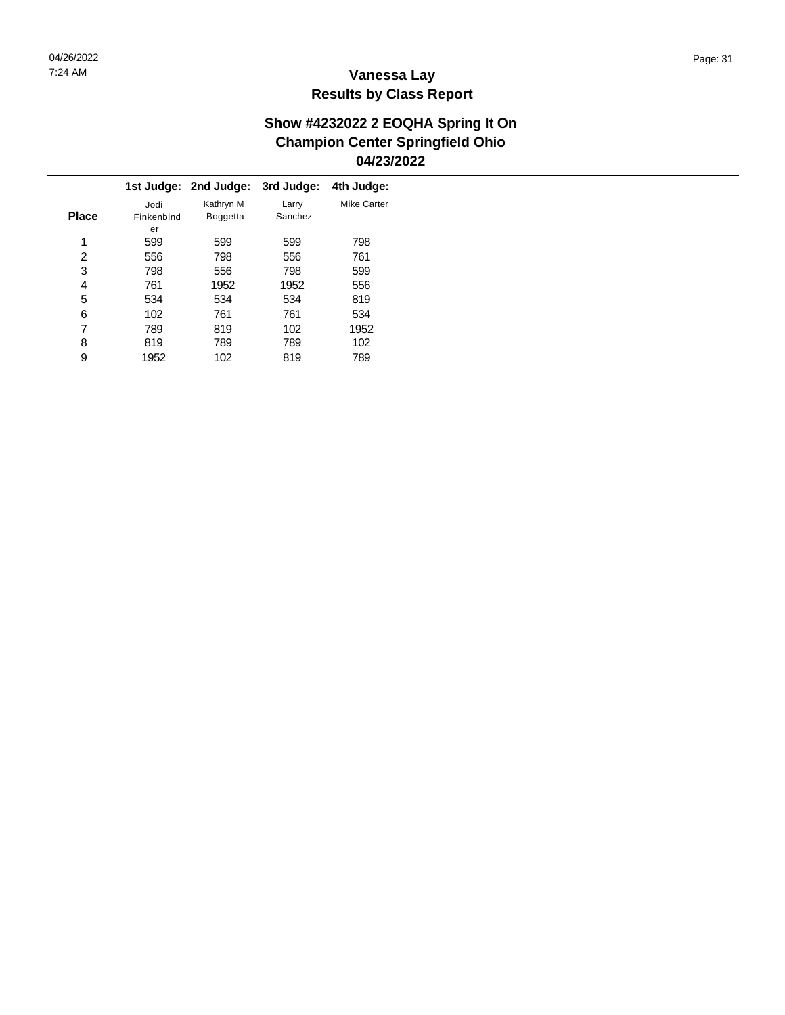$\overline{\phantom{a}}$ 

## **Vanessa Lay Results by Class Report**

|              |            | 1st Judge: 2nd Judge: | 3rd Judge: | 4th Judge:  |
|--------------|------------|-----------------------|------------|-------------|
|              | Jodi       | Kathryn M             | Larry      | Mike Carter |
| <b>Place</b> | Finkenbind | <b>Boggetta</b>       | Sanchez    |             |
|              | er         |                       |            |             |
| 1            | 599        | 599                   | 599        | 798         |
| 2            | 556        | 798                   | 556        | 761         |
| 3            | 798        | 556                   | 798        | 599         |
| 4            | 761        | 1952                  | 1952       | 556         |
| 5            | 534        | 534                   | 534        | 819         |
| 6            | 102        | 761                   | 761        | 534         |
| 7            | 789        | 819                   | 102        | 1952        |
| 8            | 819        | 789                   | 789        | 102         |
| 9            | 1952       | 102                   | 819        | 789         |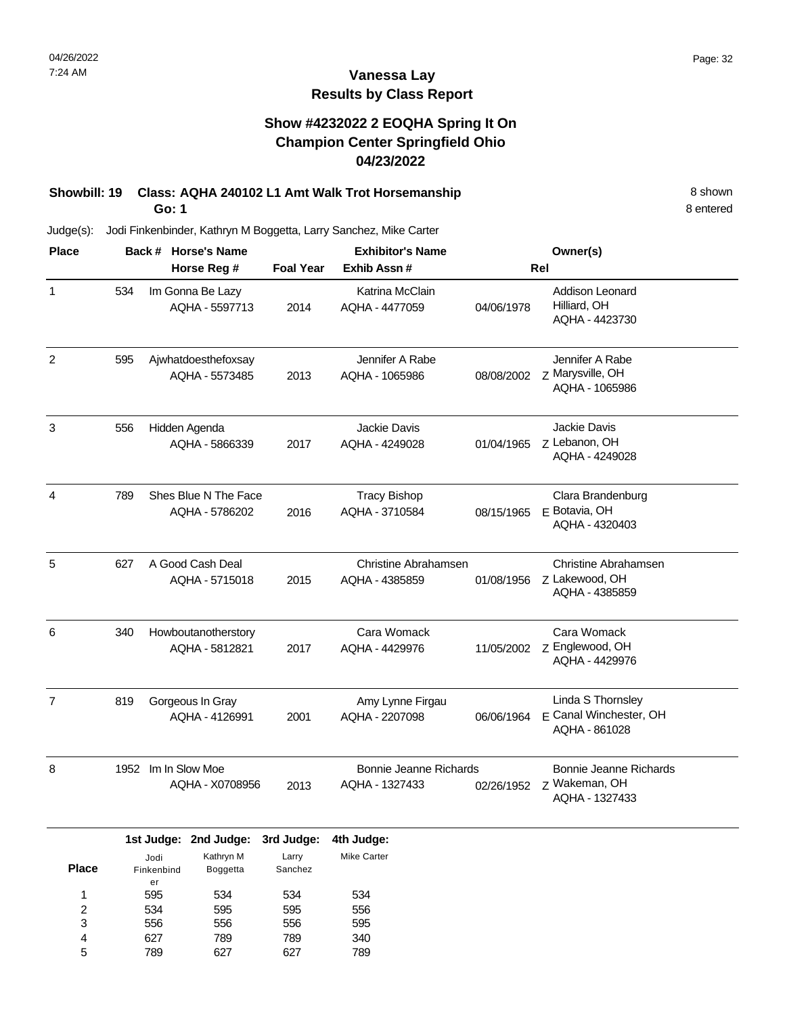## **Vanessa Lay Results by Class Report**

#### **Show #4232022 2 EOQHA Spring It On Champion Center Springfield Ohio 04/23/2022**

#### **Showbill: 19 Class: AQHA 240102 L1 Amt Walk Trot Horsemanship** 8 Shown 8 shown **Go: 1**

| <b>Place</b>   |     |                          | Back # Horse's Name                    |                  | <b>Exhibitor's Name</b>                         |            | Owner(s)                                                     |
|----------------|-----|--------------------------|----------------------------------------|------------------|-------------------------------------------------|------------|--------------------------------------------------------------|
|                |     |                          | Horse Reg #                            | <b>Foal Year</b> | Exhib Assn#                                     |            | Rel                                                          |
| 1              | 534 |                          | Im Gonna Be Lazy<br>AQHA - 5597713     | 2014             | Katrina McClain<br>AQHA - 4477059               | 04/06/1978 | Addison Leonard<br>Hilliard, OH<br>AQHA - 4423730            |
| $\overline{c}$ | 595 |                          | Ajwhatdoesthefoxsay<br>AQHA - 5573485  | 2013             | Jennifer A Rabe<br>AQHA - 1065986               | 08/08/2002 | Jennifer A Rabe<br>Z Marysville, OH<br>AQHA - 1065986        |
| 3              | 556 |                          | Hidden Agenda<br>AQHA - 5866339        | 2017             | Jackie Davis<br>AQHA - 4249028                  | 01/04/1965 | Jackie Davis<br>z Lebanon, OH<br>AQHA - 4249028              |
| $\overline{4}$ | 789 |                          | Shes Blue N The Face<br>AQHA - 5786202 | 2016             | <b>Tracy Bishop</b><br>AQHA - 3710584           | 08/15/1965 | Clara Brandenburg<br>F Botavia, OH<br>AQHA - 4320403         |
| 5              | 627 |                          | A Good Cash Deal<br>AQHA - 5715018     | 2015             | Christine Abrahamsen<br>AQHA - 4385859          | 01/08/1956 | Christine Abrahamsen<br>Z Lakewood, OH<br>AQHA - 4385859     |
| 6              | 340 |                          | Howboutanotherstory<br>AQHA - 5812821  | 2017             | Cara Womack<br>AQHA - 4429976                   | 11/05/2002 | Cara Womack<br>Z Englewood, OH<br>AQHA - 4429976             |
| $\overline{7}$ | 819 |                          | Gorgeous In Gray<br>AQHA - 4126991     | 2001             | Amy Lynne Firgau<br>AQHA - 2207098              | 06/06/1964 | Linda S Thornsley<br>E Canal Winchester, OH<br>AQHA - 861028 |
| 8              |     | 1952 Im In Slow Moe      | AQHA - X0708956                        | 2013             | <b>Bonnie Jeanne Richards</b><br>AQHA - 1327433 | 02/26/1952 | Bonnie Jeanne Richards<br>z Wakeman, OH<br>AQHA - 1327433    |
|                |     |                          | 1st Judge: 2nd Judge:                  | 3rd Judge:       | 4th Judge:                                      |            |                                                              |
| <b>Place</b>   |     | Jodi<br>Finkenbind<br>er | Kathryn M<br>Boggetta                  | Larry<br>Sanchez | Mike Carter                                     |            |                                                              |
| 1              |     | 595                      | 534                                    | 534              | 534                                             |            |                                                              |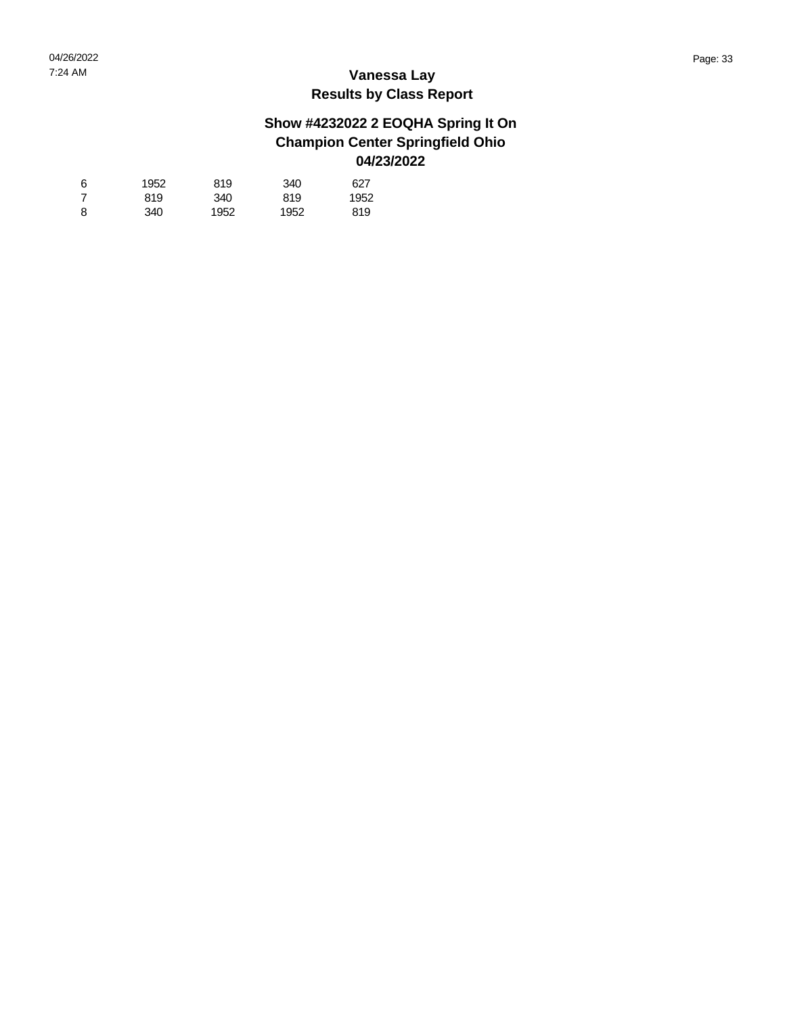| 6 | 1952 | 819  | 340  | 627  |
|---|------|------|------|------|
|   | 819  | 340  | 819  | 1952 |
| 8 | 340  | 1952 | 1952 | 819  |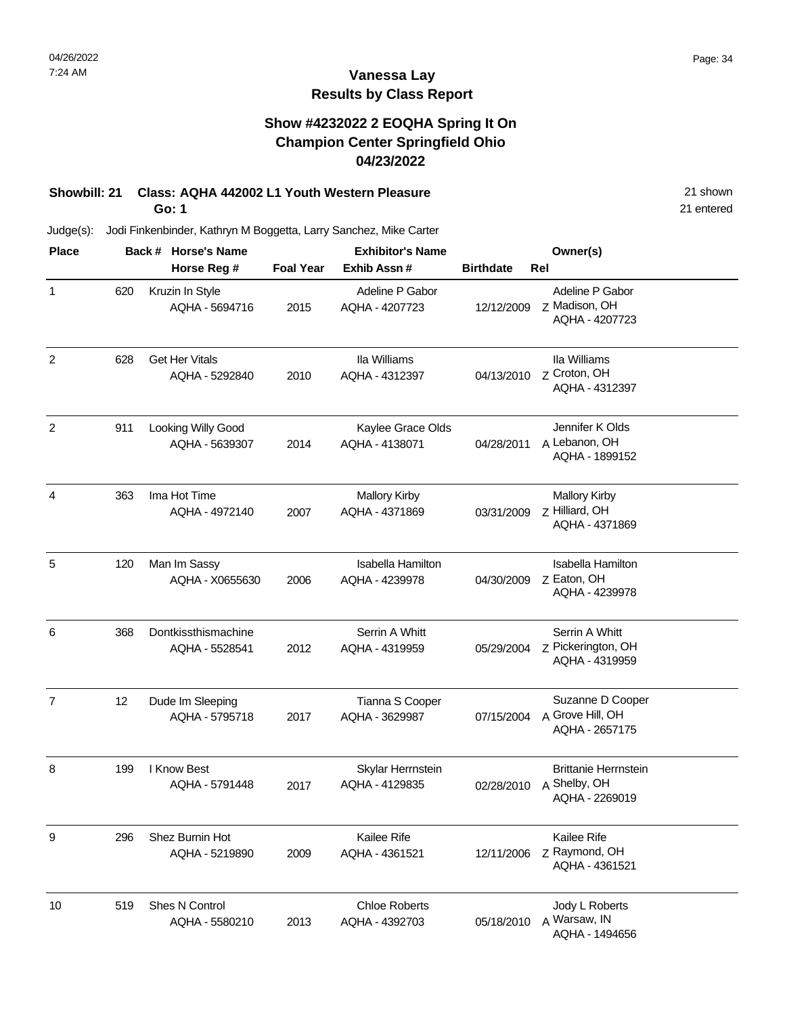#### **Vanessa Lay Results by Class Report**

#### **Show #4232022 2 EOQHA Spring It On Champion Center Springfield Ohio 04/23/2022**

# **Showbill: 21 Class: AQHA 442002 L1 Youth Western Pleasure** 21 Shown 21 shown

**Go: 1**

| <b>Place</b>   |     |  | Back # Horse's Name                     |                  | <b>Exhibitor's Name</b>                |                  | Owner(s)                                                      |
|----------------|-----|--|-----------------------------------------|------------------|----------------------------------------|------------------|---------------------------------------------------------------|
|                |     |  | Horse Reg #                             | <b>Foal Year</b> | Exhib Assn#                            | <b>Birthdate</b> | Rel                                                           |
| $\mathbf{1}$   | 620 |  | Kruzin In Style<br>AQHA - 5694716       | 2015             | Adeline P Gabor<br>AQHA - 4207723      | 12/12/2009       | Adeline P Gabor<br>Z Madison, OH<br>AQHA - 4207723            |
| $\overline{c}$ | 628 |  | <b>Get Her Vitals</b><br>AQHA - 5292840 | 2010             | Ila Williams<br>AQHA - 4312397         | 04/13/2010       | Ila Williams<br>Z Croton, OH<br>AQHA - 4312397                |
| $\overline{c}$ | 911 |  | Looking Willy Good<br>AQHA - 5639307    | 2014             | Kaylee Grace Olds<br>AQHA - 4138071    | 04/28/2011       | Jennifer K Olds<br>A Lebanon, OH<br>AQHA - 1899152            |
| 4              | 363 |  | Ima Hot Time<br>AQHA - 4972140          | 2007             | <b>Mallory Kirby</b><br>AQHA - 4371869 | 03/31/2009       | <b>Mallory Kirby</b><br>7 Hilliard, OH<br>AQHA - 4371869      |
| 5              | 120 |  | Man Im Sassy<br>AQHA - X0655630         | 2006             | Isabella Hamilton<br>AQHA - 4239978    | 04/30/2009       | <b>Isabella Hamilton</b><br>Z Eaton, OH<br>AQHA - 4239978     |
| 6              | 368 |  | Dontkissthismachine<br>AQHA - 5528541   | 2012             | Serrin A Whitt<br>AQHA - 4319959       | 05/29/2004       | Serrin A Whitt<br>Z Pickerington, OH<br>AQHA - 4319959        |
| $\overline{7}$ | 12  |  | Dude Im Sleeping<br>AQHA - 5795718      | 2017             | Tianna S Cooper<br>AQHA - 3629987      | 07/15/2004       | Suzanne D Cooper<br>A Grove Hill, OH<br>AQHA - 2657175        |
| 8              | 199 |  | I Know Best<br>AQHA - 5791448           | 2017             | Skylar Herrnstein<br>AQHA - 4129835    | 02/28/2010       | <b>Brittanie Herrnstein</b><br>A Shelby, OH<br>AQHA - 2269019 |
| 9              | 296 |  | Shez Burnin Hot<br>AQHA - 5219890       | 2009             | Kailee Rife<br>AQHA - 4361521          | 12/11/2006       | Kailee Rife<br>Z Raymond, OH<br>AQHA - 4361521                |
| 10             | 519 |  | Shes N Control<br>AQHA - 5580210        | 2013             | <b>Chloe Roberts</b><br>AQHA - 4392703 | 05/18/2010       | Jody L Roberts<br>A Warsaw, IN<br>AQHA - 1494656              |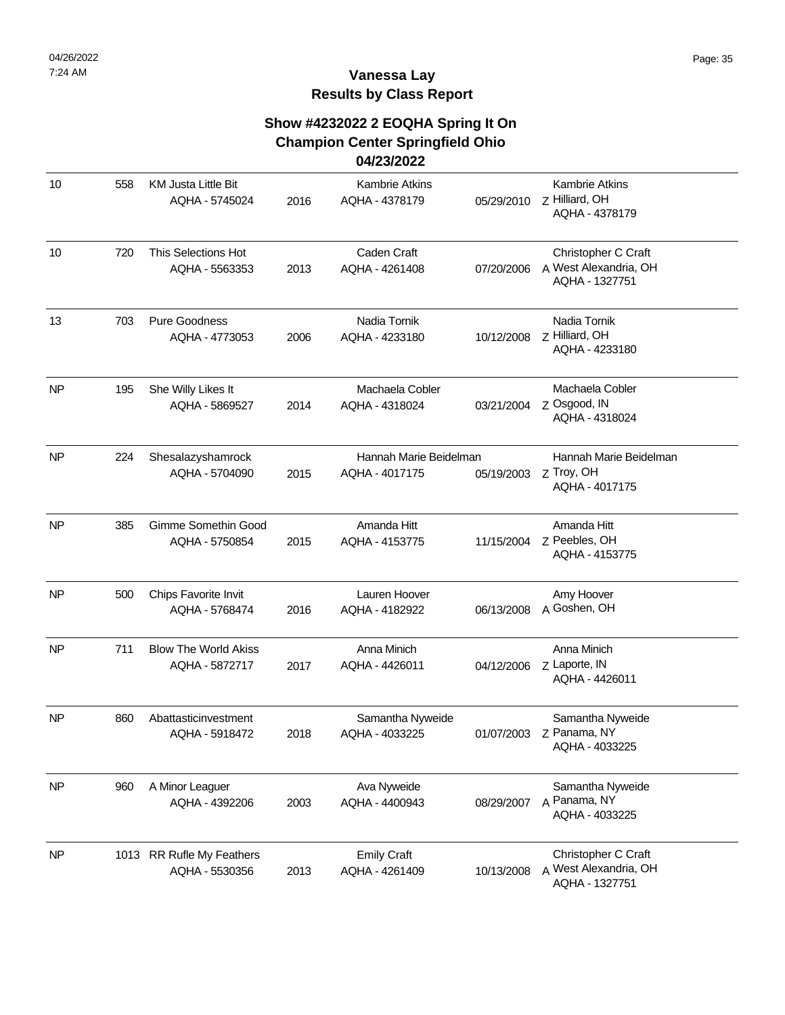## **Show #4232022 2 EOQHA Spring It On Champion Center Springfield Ohio**

#### **04/23/2022**

| 10        | 558 | <b>KM Justa Little Bit</b><br>AQHA - 5745024  | 2016 | <b>Kambrie Atkins</b><br>AQHA - 4378179  | 05/29/2010 | Kambrie Atkins<br>Z Hilliard, OH<br>AQHA - 4378179             |
|-----------|-----|-----------------------------------------------|------|------------------------------------------|------------|----------------------------------------------------------------|
| 10        | 720 | This Selections Hot<br>AQHA - 5563353         | 2013 | Caden Craft<br>AQHA - 4261408            | 07/20/2006 | Christopher C Craft<br>A West Alexandria, OH<br>AQHA - 1327751 |
| 13        | 703 | <b>Pure Goodness</b><br>AQHA - 4773053        | 2006 | Nadia Tornik<br>AQHA - 4233180           | 10/12/2008 | Nadia Tornik<br>Z Hilliard, OH<br>AQHA - 4233180               |
| <b>NP</b> | 195 | She Willy Likes It<br>AQHA - 5869527          | 2014 | Machaela Cobler<br>AQHA - 4318024        | 03/21/2004 | Machaela Cobler<br>Z Osgood, IN<br>AQHA - 4318024              |
| <b>NP</b> | 224 | Shesalazyshamrock<br>AQHA - 5704090           | 2015 | Hannah Marie Beidelman<br>AQHA - 4017175 | 05/19/2003 | Hannah Marie Beidelman<br>Z Troy, OH<br>AQHA - 4017175         |
| <b>NP</b> | 385 | Gimme Somethin Good<br>AQHA - 5750854         | 2015 | Amanda Hitt<br>AQHA - 4153775            | 11/15/2004 | Amanda Hitt<br>Z Peebles, OH<br>AQHA - 4153775                 |
| <b>NP</b> | 500 | Chips Favorite Invit<br>AQHA - 5768474        | 2016 | Lauren Hoover<br>AQHA - 4182922          | 06/13/2008 | Amy Hoover<br>A Goshen, OH                                     |
| NP        | 711 | <b>Blow The World Akiss</b><br>AQHA - 5872717 | 2017 | Anna Minich<br>AQHA - 4426011            | 04/12/2006 | Anna Minich<br>z Laporte, IN<br>AQHA - 4426011                 |
| <b>NP</b> | 860 | Abattasticinvestment<br>AQHA - 5918472        | 2018 | Samantha Nyweide<br>AQHA - 4033225       | 01/07/2003 | Samantha Nyweide<br>Z Panama, NY<br>AQHA - 4033225             |
| NP        | 960 | A Minor Leaguer<br>AQHA - 4392206             | 2003 | Ava Nyweide<br>AQHA - 4400943            | 08/29/2007 | Samantha Nyweide<br>A Panama, NY<br>AQHA - 4033225             |
| NP        |     | 1013 RR Rufle My Feathers<br>AQHA - 5530356   | 2013 | <b>Emily Craft</b><br>AQHA - 4261409     | 10/13/2008 | Christopher C Craft<br>A West Alexandria, OH<br>AQHA - 1327751 |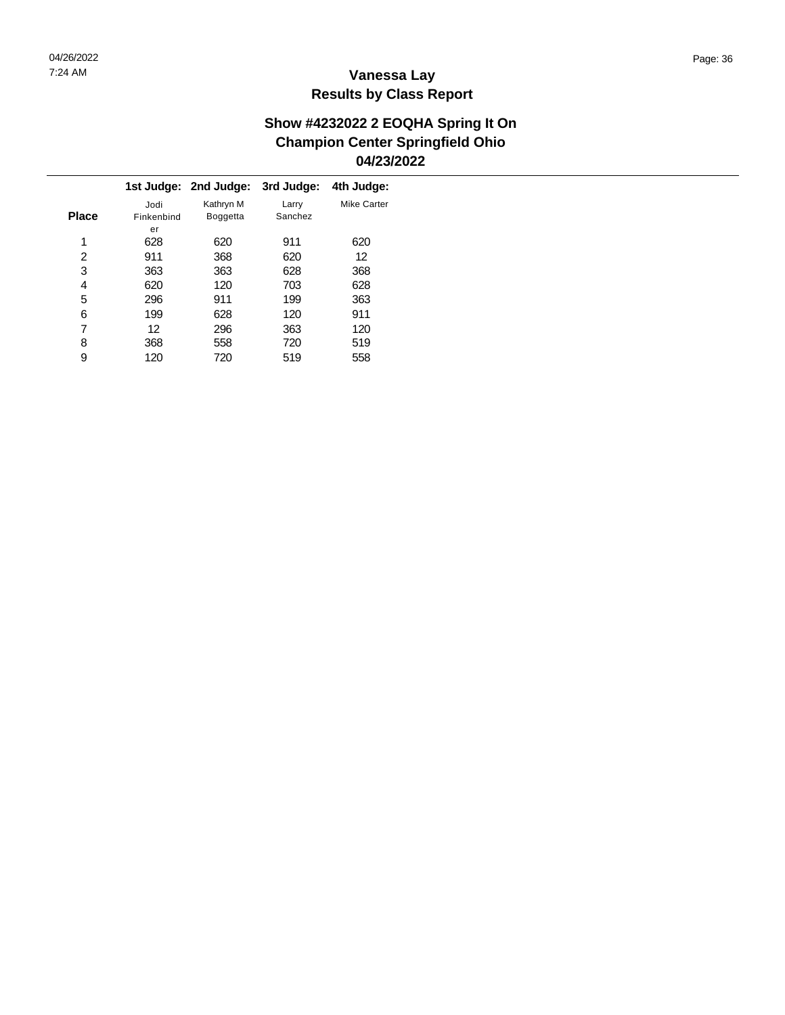$\overline{\phantom{a}}$ 

## **Vanessa Lay Results by Class Report**

|              |            | 1st Judge: 2nd Judge: | 3rd Judge: | 4th Judge:  |
|--------------|------------|-----------------------|------------|-------------|
|              | Jodi       | Kathryn M             | Larry      | Mike Carter |
| <b>Place</b> | Finkenbind | <b>Boggetta</b>       | Sanchez    |             |
|              | er         |                       |            |             |
| 1            | 628        | 620                   | 911        | 620         |
| 2            | 911        | 368                   | 620        | 12          |
| 3            | 363        | 363                   | 628        | 368         |
| 4            | 620        | 120                   | 703        | 628         |
| 5            | 296        | 911                   | 199        | 363         |
| 6            | 199        | 628                   | 120        | 911         |
| 7            | 12         | 296                   | 363        | 120         |
| 8            | 368        | 558                   | 720        | 519         |
| 9            | 120        | 720                   | 519        | 558         |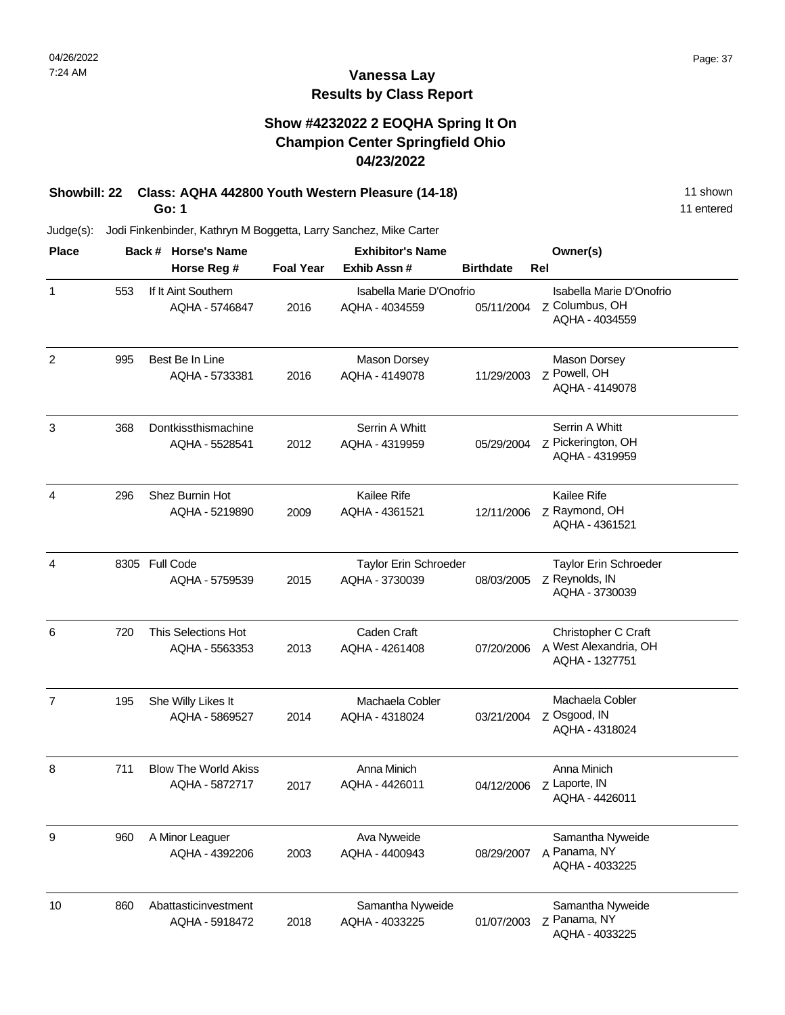## **Vanessa Lay Results by Class Report**

## **Show #4232022 2 EOQHA Spring It On Champion Center Springfield Ohio 04/23/2022**

# **Showbill: 22 Class: AQHA 442800 Youth Western Pleasure (14-18)** 11 Shown

**Go: 1**

| <b>Place</b>   |      | Back # Horse's Name                           |                  | <b>Exhibitor's Name</b>                    |                  | Owner(s)                                                       |
|----------------|------|-----------------------------------------------|------------------|--------------------------------------------|------------------|----------------------------------------------------------------|
|                |      | Horse Reg #                                   | <b>Foal Year</b> | Exhib Assn#                                | <b>Birthdate</b> | Rel                                                            |
| $\mathbf{1}$   | 553  | If It Aint Southern<br>AQHA - 5746847         | 2016             | Isabella Marie D'Onofrio<br>AQHA - 4034559 | 05/11/2004       | Isabella Marie D'Onofrio<br>Z Columbus, OH<br>AQHA - 4034559   |
| $\overline{c}$ | 995  | Best Be In Line<br>AQHA - 5733381             | 2016             | Mason Dorsey<br>AQHA - 4149078             | 11/29/2003       | <b>Mason Dorsey</b><br>Z Powell, OH<br>AQHA - 4149078          |
| 3              | 368  | Dontkissthismachine<br>AQHA - 5528541         | 2012             | Serrin A Whitt<br>AQHA - 4319959           | 05/29/2004       | Serrin A Whitt<br>Z Pickerington, OH<br>AQHA - 4319959         |
| 4              | 296  | Shez Burnin Hot<br>AQHA - 5219890             | 2009             | Kailee Rife<br>AQHA - 4361521              | 12/11/2006       | Kailee Rife<br>z Raymond, OH<br>AQHA - 4361521                 |
| 4              | 8305 | <b>Full Code</b><br>AQHA - 5759539            | 2015             | Taylor Erin Schroeder<br>AQHA - 3730039    | 08/03/2005       | Taylor Erin Schroeder<br>Z Reynolds, IN<br>AQHA - 3730039      |
| 6              | 720  | This Selections Hot<br>AQHA - 5563353         | 2013             | Caden Craft<br>AQHA - 4261408              | 07/20/2006       | Christopher C Craft<br>A West Alexandria, OH<br>AQHA - 1327751 |
| $\overline{7}$ | 195  | She Willy Likes It<br>AQHA - 5869527          | 2014             | Machaela Cobler<br>AQHA - 4318024          | 03/21/2004       | Machaela Cobler<br>Z Osgood, IN<br>AQHA - 4318024              |
| 8              | 711  | <b>Blow The World Akiss</b><br>AQHA - 5872717 | 2017             | Anna Minich<br>AQHA - 4426011              | 04/12/2006       | Anna Minich<br>z Laporte, IN<br>AQHA - 4426011                 |
| 9              | 960  | A Minor Leaguer<br>AQHA - 4392206             | 2003             | Ava Nyweide<br>AQHA - 4400943              | 08/29/2007       | Samantha Nyweide<br>A Panama, NY<br>AQHA - 4033225             |
| 10             | 860  | Abattasticinvestment<br>AQHA - 5918472        | 2018             | Samantha Nyweide<br>AQHA - 4033225         | 01/07/2003       | Samantha Nyweide<br>Z Panama, NY<br>AQHA - 4033225             |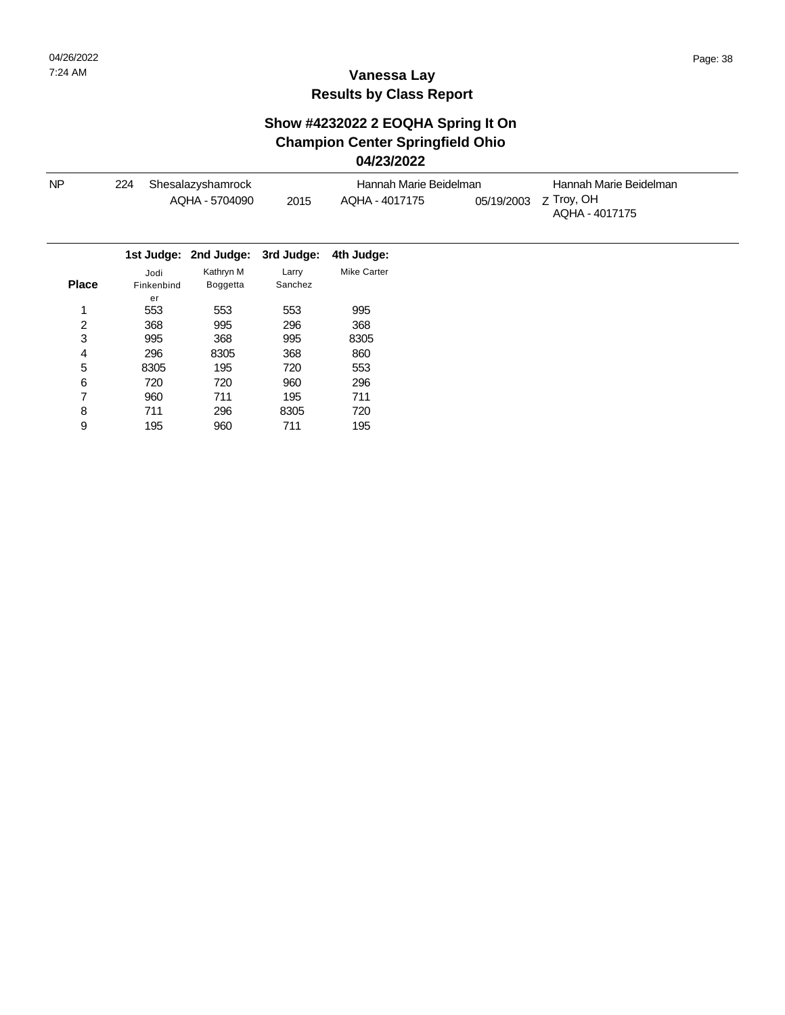| <b>NP</b>    | 224                | Shesalazyshamrock     |                  | Hannah Marie Beidelman |            | Hannah Marie Beidelman       |  |  |
|--------------|--------------------|-----------------------|------------------|------------------------|------------|------------------------------|--|--|
|              |                    | AQHA - 5704090        | 2015             | AQHA - 4017175         | 05/19/2003 | Z Troy, OH<br>AQHA - 4017175 |  |  |
|              |                    | 1st Judge: 2nd Judge: | 3rd Judge:       | 4th Judge:             |            |                              |  |  |
| <b>Place</b> | Jodi<br>Finkenbind | Kathryn M<br>Boggetta | Larry<br>Sanchez | <b>Mike Carter</b>     |            |                              |  |  |
|              | er                 |                       |                  |                        |            |                              |  |  |
| 1            | 553                | 553                   | 553              | 995                    |            |                              |  |  |
| 2            | 368                | 995                   | 296              | 368                    |            |                              |  |  |
| 3            | 995                | 368                   | 995              | 8305                   |            |                              |  |  |
| 4            | 296                | 8305                  | 368              | 860                    |            |                              |  |  |
| 5            | 8305               | 195                   | 720              | 553                    |            |                              |  |  |
| 6            | 720                | 720                   | 960              | 296                    |            |                              |  |  |
| 7            | 960                | 711                   | 195              | 711                    |            |                              |  |  |
| 8            | 711                | 296                   | 8305             | 720                    |            |                              |  |  |
| 9            | 195                | 960                   | 711              | 195                    |            |                              |  |  |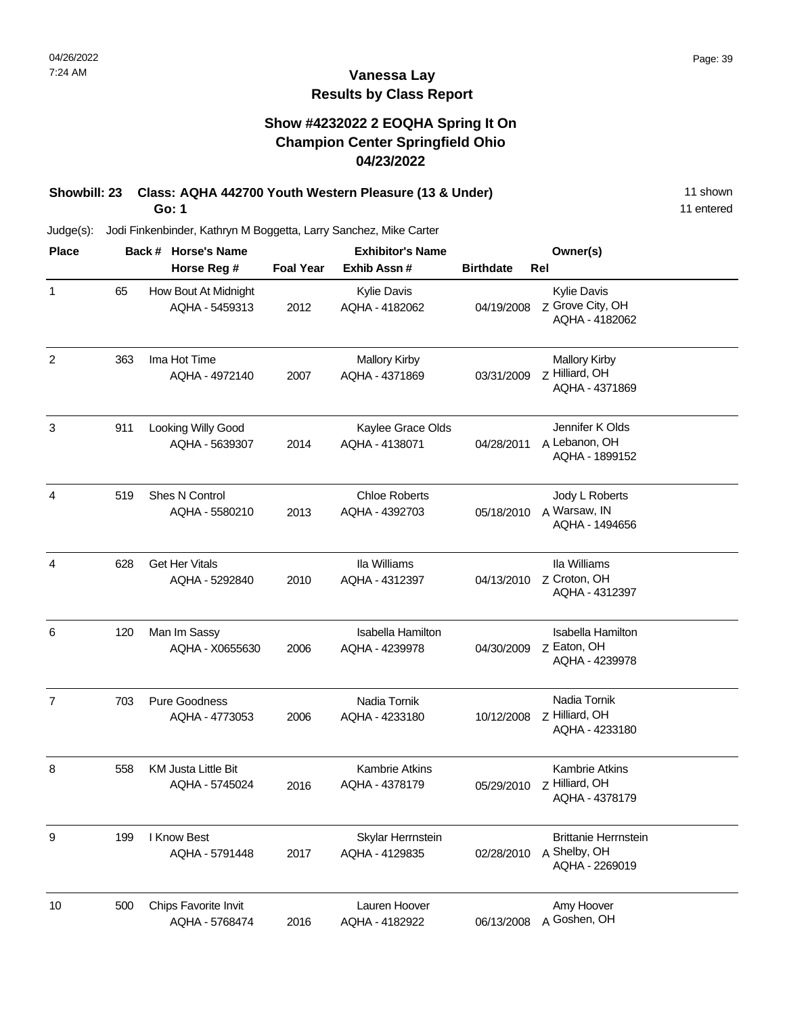## **Vanessa Lay Results by Class Report**

## **Show #4232022 2 EOQHA Spring It On Champion Center Springfield Ohio 04/23/2022**

#### **Showbill: 23 Class: AQHA 442700 Youth Western Pleasure (13 & Under)** 11 Shown **Go: 1**

| <b>Place</b>   |     | Back # Horse's Name                          |                  | <b>Exhibitor's Name</b>                    |                  | Owner(s)                                                      |
|----------------|-----|----------------------------------------------|------------------|--------------------------------------------|------------------|---------------------------------------------------------------|
|                |     | Horse Reg #                                  | <b>Foal Year</b> | Exhib Assn #                               | <b>Birthdate</b> | Rel                                                           |
| $\mathbf{1}$   | 65  | How Bout At Midnight<br>AQHA - 5459313       | 2012             | <b>Kylie Davis</b><br>AQHA - 4182062       | 04/19/2008       | Kylie Davis<br>Z Grove City, OH<br>AQHA - 4182062             |
| $\overline{2}$ | 363 | Ima Hot Time<br>AQHA - 4972140               | 2007             | <b>Mallory Kirby</b><br>AQHA - 4371869     | 03/31/2009       | <b>Mallory Kirby</b><br>Z Hilliard, OH<br>AQHA - 4371869      |
| 3              | 911 | Looking Willy Good<br>AQHA - 5639307         | 2014             | Kaylee Grace Olds<br>AQHA - 4138071        | 04/28/2011       | Jennifer K Olds<br>A Lebanon, OH<br>AQHA - 1899152            |
| 4              | 519 | Shes N Control<br>AQHA - 5580210             | 2013             | <b>Chloe Roberts</b><br>AQHA - 4392703     | 05/18/2010       | Jody L Roberts<br>A Warsaw, IN<br>AQHA - 1494656              |
| 4              | 628 | <b>Get Her Vitals</b><br>AQHA - 5292840      | 2010             | Ila Williams<br>AQHA - 4312397             | 04/13/2010       | Ila Williams<br>Z Croton, OH<br>AQHA - 4312397                |
| 6              | 120 | Man Im Sassy<br>AQHA - X0655630              | 2006             | <b>Isabella Hamilton</b><br>AQHA - 4239978 | 04/30/2009       | Isabella Hamilton<br>Z Eaton, OH<br>AQHA - 4239978            |
| 7              | 703 | <b>Pure Goodness</b><br>AQHA - 4773053       | 2006             | Nadia Tornik<br>AQHA - 4233180             | 10/12/2008       | Nadia Tornik<br>Z Hilliard, OH<br>AQHA - 4233180              |
| 8              | 558 | <b>KM Justa Little Bit</b><br>AQHA - 5745024 | 2016             | Kambrie Atkins<br>AQHA - 4378179           | 05/29/2010       | <b>Kambrie Atkins</b><br>Z Hilliard, OH<br>AQHA - 4378179     |
| 9              | 199 | I Know Best<br>AQHA - 5791448                | 2017             | Skylar Herrnstein<br>AQHA - 4129835        | 02/28/2010       | <b>Brittanie Herrnstein</b><br>A Shelby, OH<br>AQHA - 2269019 |
| 10             | 500 | Chips Favorite Invit<br>AQHA - 5768474       | 2016             | Lauren Hoover<br>AQHA - 4182922            | 06/13/2008       | Amy Hoover<br>A Goshen, OH                                    |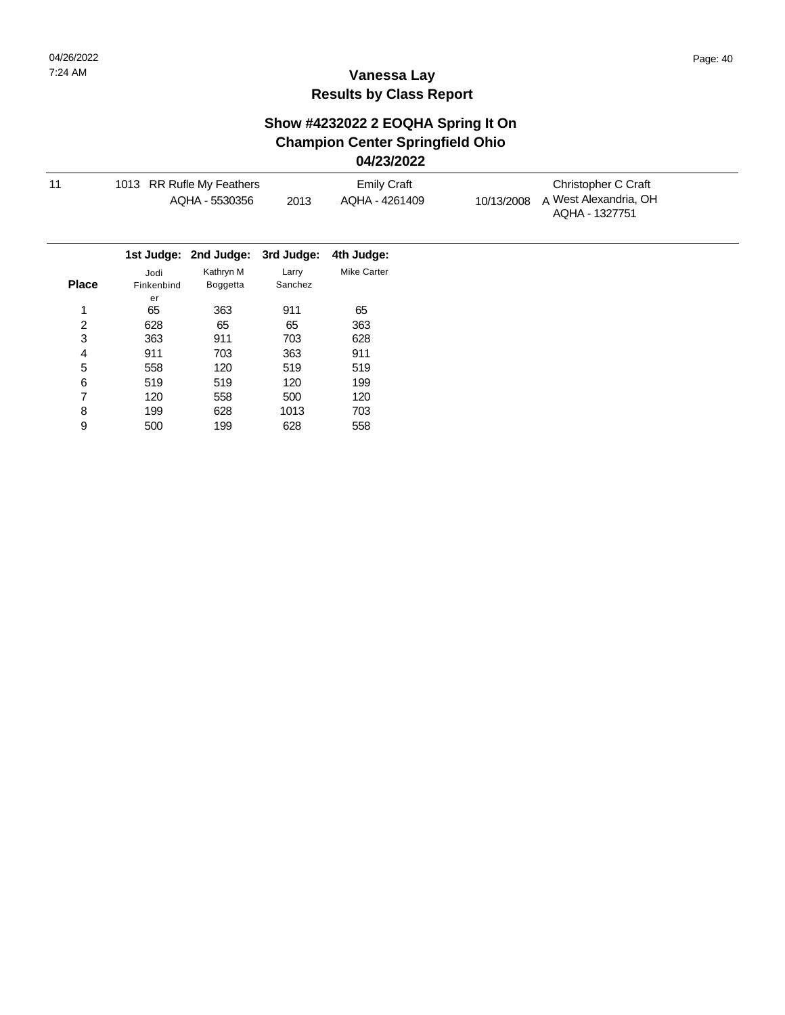## **Vanessa Lay Results by Class Report**

#### **Show #4232022 2 EOQHA Spring It On Champion Center Springfield Ohio 04/23/2022**

|              |                    |                                             |                  | ◡┭ァム◡ァム◡ム                            |            |                                                                |  |
|--------------|--------------------|---------------------------------------------|------------------|--------------------------------------|------------|----------------------------------------------------------------|--|
| 11           |                    | 1013 RR Rufle My Feathers<br>AQHA - 5530356 | 2013             | <b>Emily Craft</b><br>AQHA - 4261409 | 10/13/2008 | Christopher C Craft<br>A West Alexandria, OH<br>AQHA - 1327751 |  |
|              |                    | 1st Judge: 2nd Judge:                       | 3rd Judge:       | 4th Judge:                           |            |                                                                |  |
| <b>Place</b> | Jodi<br>Finkenbind | Kathryn M<br>Boggetta                       | Larry<br>Sanchez | <b>Mike Carter</b>                   |            |                                                                |  |
|              | er                 |                                             |                  |                                      |            |                                                                |  |
| 1            | 65                 | 363                                         | 911              | 65                                   |            |                                                                |  |
| 2            | 628                | 65                                          | 65               | 363                                  |            |                                                                |  |
| 3            | 363                | 911                                         | 703              | 628                                  |            |                                                                |  |
| 4            | 911                | 703                                         | 363              | 911                                  |            |                                                                |  |
| 5            | 558                | 120                                         | 519              | 519                                  |            |                                                                |  |
| 6            | 519                | 519                                         | 120              | 199                                  |            |                                                                |  |
| 7            | 120                | 558                                         | 500              | 120                                  |            |                                                                |  |
| 8            | 199                | 628                                         | 1013             | 703                                  |            |                                                                |  |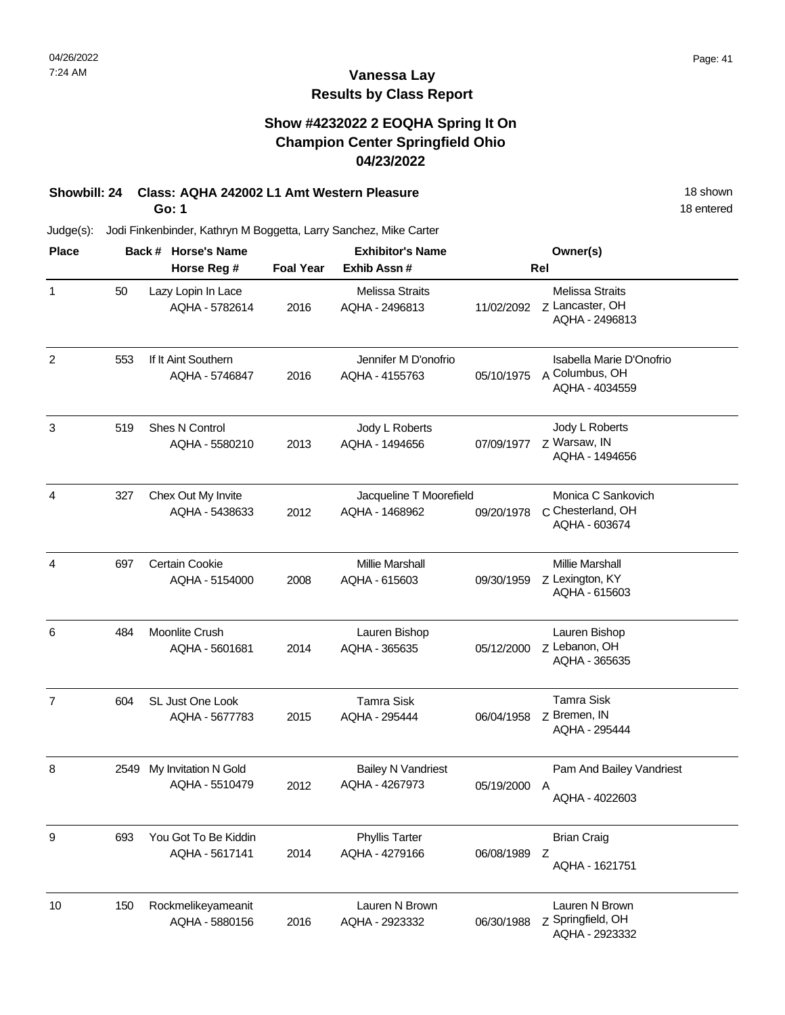## **Vanessa Lay Results by Class Report**

## **Show #4232022 2 EOQHA Spring It On Champion Center Springfield Ohio 04/23/2022**

## **Showbill: 24 Class: AQHA 242002 L1 Amt Western Pleasure** 18 Shown 18 shown

**Go: 1**

| <b>Place</b>   |      | Back # Horse's Name                     |                  | <b>Exhibitor's Name</b>                     |            | Owner(s)                                                     |
|----------------|------|-----------------------------------------|------------------|---------------------------------------------|------------|--------------------------------------------------------------|
|                |      | Horse Reg #                             | <b>Foal Year</b> | Exhib Assn#                                 | Rel        |                                                              |
| 1              | 50   | Lazy Lopin In Lace<br>AQHA - 5782614    | 2016             | <b>Melissa Straits</b><br>AQHA - 2496813    |            | <b>Melissa Straits</b><br>AQHA - 2496813                     |
| $\overline{2}$ | 553  | If It Aint Southern<br>AQHA - 5746847   | 2016             | Jennifer M D'onofrio<br>AQHA - 4155763      | 05/10/1975 | Isabella Marie D'Onofrio<br>A Columbus, OH<br>AQHA - 4034559 |
| 3              | 519  | <b>Shes N Control</b><br>AQHA - 5580210 | 2013             | Jody L Roberts<br>AQHA - 1494656            | 07/09/1977 | Jody L Roberts<br>z Warsaw, IN<br>AQHA - 1494656             |
| 4              | 327  | Chex Out My Invite<br>AQHA - 5438633    | 2012             | Jacqueline T Moorefield<br>AQHA - 1468962   | 09/20/1978 | Monica C Sankovich<br>C Chesterland, OH<br>AQHA - 603674     |
| 4              | 697  | <b>Certain Cookie</b><br>AQHA - 5154000 | 2008             | <b>Millie Marshall</b><br>AQHA - 615603     | 09/30/1959 | <b>Millie Marshall</b><br>Z Lexington, KY<br>AQHA - 615603   |
| 6              | 484  | Moonlite Crush<br>AQHA - 5601681        | 2014             | Lauren Bishop<br>AQHA - 365635              | 05/12/2000 | Lauren Bishop<br>Z Lebanon, OH<br>AQHA - 365635              |
| $\overline{7}$ | 604  | SL Just One Look<br>AQHA - 5677783      | 2015             | <b>Tamra Sisk</b><br>AQHA - 295444          | 06/04/1958 | <b>Tamra Sisk</b><br>z Bremen, IN<br>AQHA - 295444           |
| 8              | 2549 | My Invitation N Gold<br>AQHA - 5510479  | 2012             | <b>Bailey N Vandriest</b><br>AQHA - 4267973 | 05/19/2000 | Pam And Bailey Vandriest<br>A<br>AQHA - 4022603              |
| 9              | 693  | You Got To Be Kiddin<br>AQHA - 5617141  | 2014             | <b>Phyllis Tarter</b><br>AQHA - 4279166     | 06/08/1989 | <b>Brian Craig</b><br>Z<br>AQHA - 1621751                    |
| 10             | 150  | Rockmelikeyameanit<br>AQHA - 5880156    | 2016             | Lauren N Brown<br>AQHA - 2923332            | 06/30/1988 | Lauren N Brown<br>Z Springfield, OH<br>AQHA - 2923332        |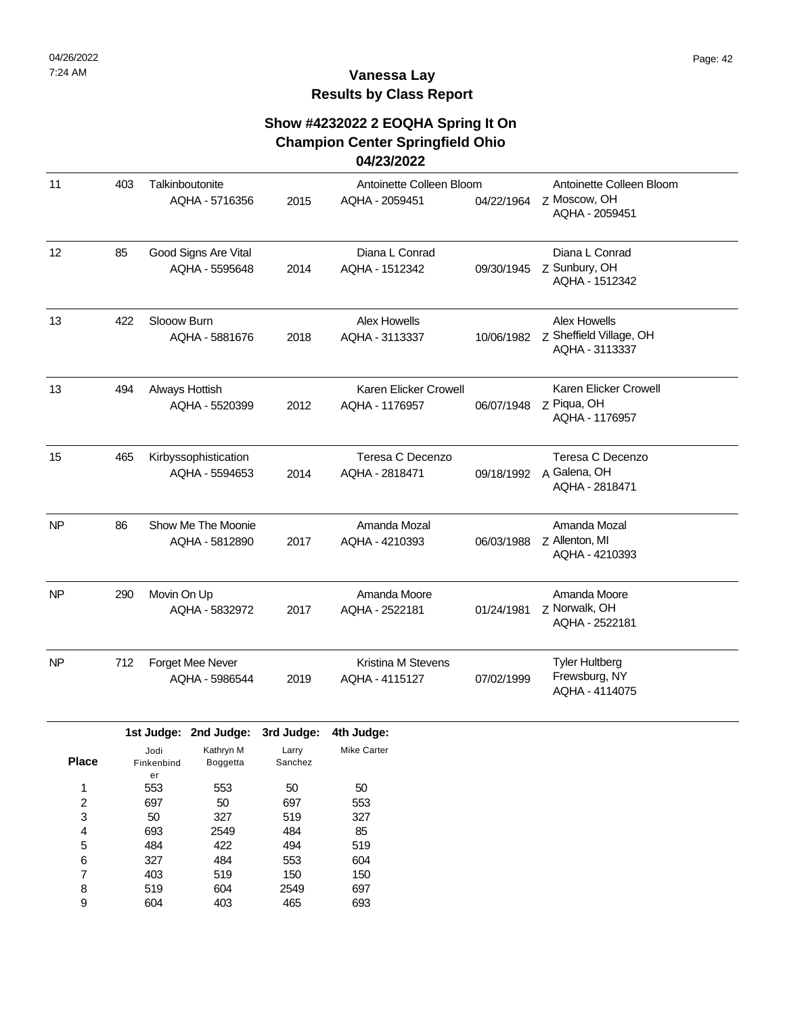| 11        | 403 | Talkinboutonite                        |      | Antoinette Colleen Bloom                    |            | Antoinette Colleen Bloom                                  |
|-----------|-----|----------------------------------------|------|---------------------------------------------|------------|-----------------------------------------------------------|
|           |     | AQHA - 5716356                         | 2015 | AQHA - 2059451                              | 04/22/1964 | z Moscow, OH<br>AQHA - 2059451                            |
| 12        | 85  | Good Signs Are Vital<br>AQHA - 5595648 | 2014 | Diana L Conrad<br>AQHA - 1512342            | 09/30/1945 | Diana L Conrad<br>Z Sunbury, OH<br>AQHA - 1512342         |
| 13        | 422 | Slooow Burn<br>AQHA - 5881676          | 2018 | Alex Howells<br>AQHA - 3113337              | 10/06/1982 | Alex Howells<br>Z Sheffield Village, OH<br>AQHA - 3113337 |
| 13        | 494 | Always Hottish<br>AQHA - 5520399       | 2012 | Karen Elicker Crowell<br>AQHA - 1176957     | 06/07/1948 | Karen Elicker Crowell<br>z Piqua, OH<br>AQHA - 1176957    |
| 15        | 465 | Kirbyssophistication<br>AQHA - 5594653 | 2014 | Teresa C Decenzo<br>AQHA - 2818471          | 09/18/1992 | Teresa C Decenzo<br>A Galena, OH<br>AQHA - 2818471        |
| <b>NP</b> | 86  | Show Me The Moonie<br>AQHA - 5812890   | 2017 | Amanda Mozal<br>AQHA - 4210393              | 06/03/1988 | Amanda Mozal<br>Z Allenton, MI<br>AQHA - 4210393          |
| <b>NP</b> | 290 | Movin On Up<br>AQHA - 5832972          | 2017 | Amanda Moore<br>AQHA - 2522181              | 01/24/1981 | Amanda Moore<br><b>Z Norwalk, OH</b><br>AQHA - 2522181    |
| <b>NP</b> | 712 | Forget Mee Never<br>AQHA - 5986544     | 2019 | <b>Kristina M Stevens</b><br>AQHA - 4115127 | 07/02/1999 | <b>Tyler Hultberg</b><br>Frewsburg, NY<br>AQHA - 4114075  |

|              |            | 1st Judge: 2nd Judge: | 3rd Judge: | 4th Judge:  |
|--------------|------------|-----------------------|------------|-------------|
|              | Jodi       | Kathryn M             | Larry      | Mike Carter |
| <b>Place</b> | Finkenbind | <b>Boggetta</b>       | Sanchez    |             |
|              | er         |                       |            |             |
| 1            | 553        | 553                   | 50         | 50          |
| 2            | 697        | 50                    | 697        | 553         |
| 3            | 50         | 327                   | 519        | 327         |
| 4            | 693        | 2549                  | 484        | 85          |
| 5            | 484        | 422                   | 494        | 519         |
| 6            | 327        | 484                   | 553        | 604         |
| 7            | 403        | 519                   | 150        | 150         |
| 8            | 519        | 604                   | 2549       | 697         |
| 9            | 604        | 403                   | 465        | 693         |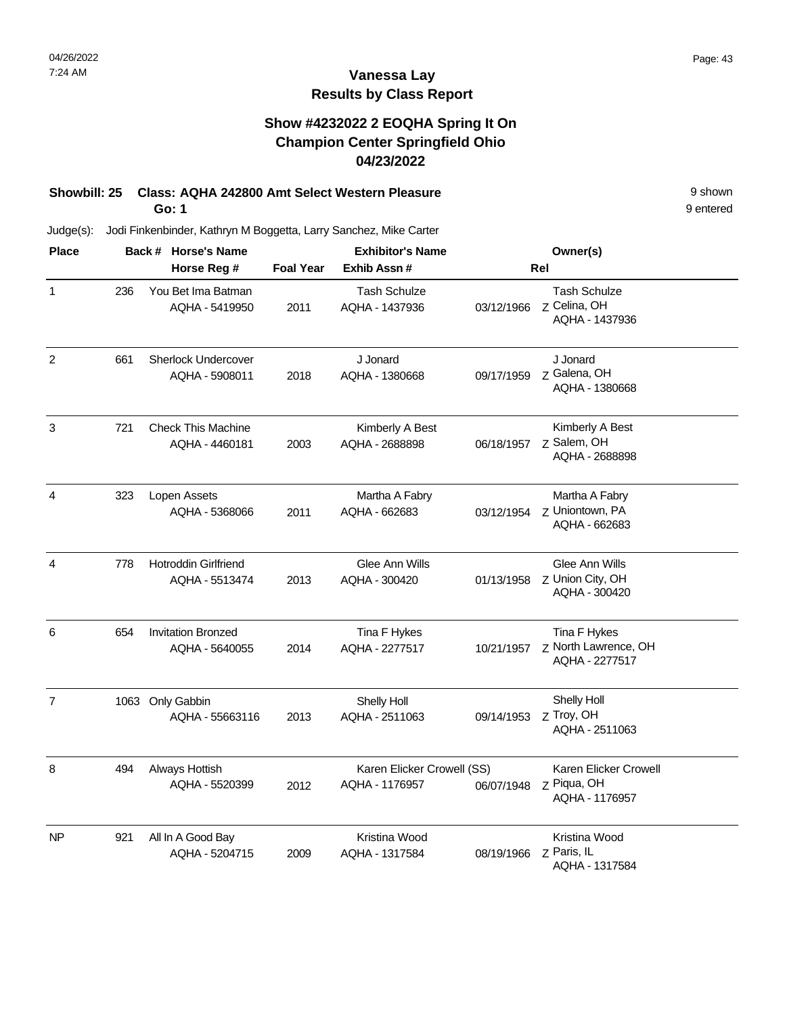## **Show #4232022 2 EOQHA Spring It On Champion Center Springfield Ohio 04/23/2022**

#### **Showbill: 25 Class: AQHA 242800 Amt Select Western Pleasure** 9 **Shown** 9 shown **Go: 1**

Judge(s): Jodi Finkenbinder, Kathryn M Boggetta, Larry Sanchez, Mike Carter

| <b>Place</b>   |      | Back # Horse's Name                          |                  | <b>Exhibitor's Name</b>                      |            | Owner(s)                                               |
|----------------|------|----------------------------------------------|------------------|----------------------------------------------|------------|--------------------------------------------------------|
|                |      | Horse Reg #                                  | <b>Foal Year</b> | Exhib Assn#                                  | Rel        |                                                        |
| $\mathbf{1}$   | 236  | You Bet Ima Batman<br>AQHA - 5419950         | 2011             | <b>Tash Schulze</b><br>AQHA - 1437936        | 03/12/1966 | <b>Tash Schulze</b><br>Z Celina, OH<br>AQHA - 1437936  |
| $\overline{2}$ | 661  | <b>Sherlock Undercover</b><br>AQHA - 5908011 | 2018             | J Jonard<br>AQHA - 1380668                   | 09/17/1959 | J Jonard<br>Z Galena, OH<br>AQHA - 1380668             |
| 3              | 721  | <b>Check This Machine</b><br>AQHA - 4460181  | 2003             | Kimberly A Best<br>AQHA - 2688898            | 06/18/1957 | Kimberly A Best<br>Z Salem, OH<br>AQHA - 2688898       |
| $\overline{4}$ | 323  | Lopen Assets<br>AQHA - 5368066               | 2011             | Martha A Fabry<br>AQHA - 662683              | 03/12/1954 | Martha A Fabry<br>z Uniontown, PA<br>AQHA - 662683     |
| 4              | 778  | Hotroddin Girlfriend<br>AQHA - 5513474       | 2013             | Glee Ann Wills<br>AQHA - 300420              | 01/13/1958 | Glee Ann Wills<br>Z Union City, OH<br>AQHA - 300420    |
| 6              | 654  | <b>Invitation Bronzed</b><br>AQHA - 5640055  | 2014             | Tina F Hykes<br>AQHA - 2277517               | 10/21/1957 | Tina F Hykes<br>Z North Lawrence, OH<br>AQHA - 2277517 |
| $\overline{7}$ | 1063 | Only Gabbin<br>AQHA - 55663116               | 2013             | Shelly Holl<br>AQHA - 2511063                | 09/14/1953 | Shelly Holl<br>z Troy, OH<br>AQHA - 2511063            |
| 8              | 494  | Always Hottish<br>AQHA - 5520399             | 2012             | Karen Elicker Crowell (SS)<br>AQHA - 1176957 | 06/07/1948 | Karen Elicker Crowell<br>z Piqua, OH<br>AQHA - 1176957 |
| N <sub>P</sub> | 921  | All In A Good Bay<br>AQHA - 5204715          | 2009             | Kristina Wood<br>AQHA - 1317584              | 08/19/1966 | Kristina Wood<br>Z Paris, IL<br>AQHA - 1317584         |

9 entered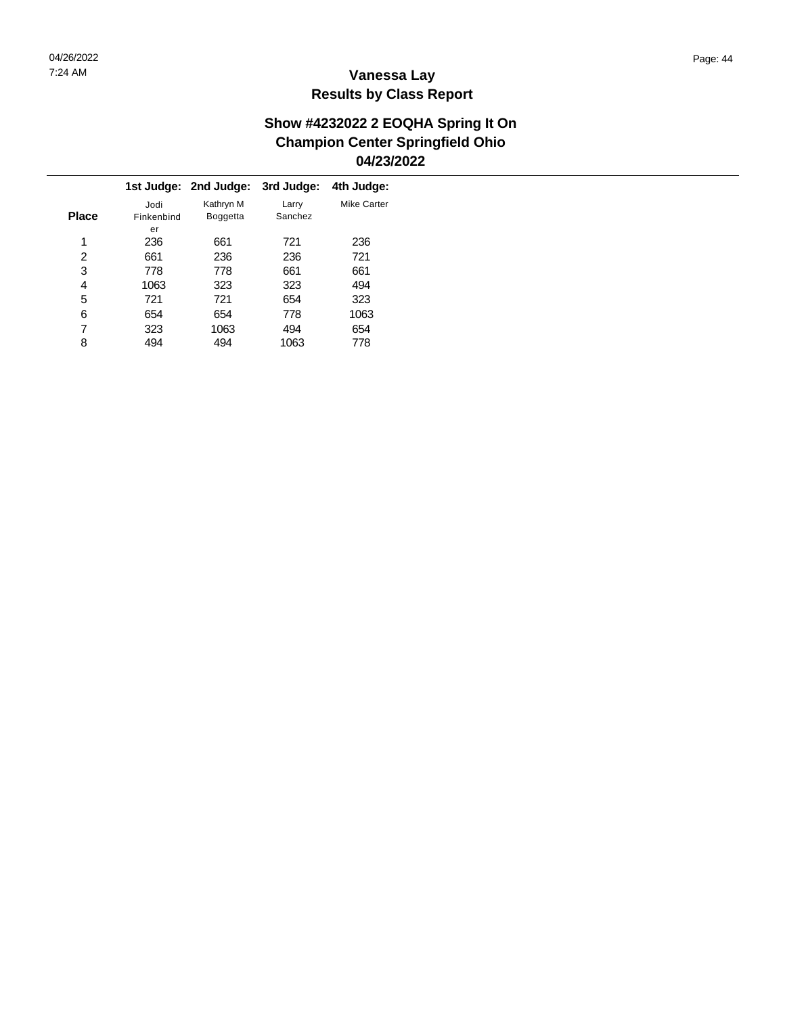$\overline{\phantom{a}}$ 

## **Vanessa Lay Results by Class Report**

|              |            | 1st Judge: 2nd Judge: | 3rd Judge: | 4th Judge:  |
|--------------|------------|-----------------------|------------|-------------|
|              | Jodi       | Kathryn M             | Larry      | Mike Carter |
| <b>Place</b> | Finkenbind | <b>Boggetta</b>       | Sanchez    |             |
|              | er         |                       |            |             |
| 1            | 236        | 661                   | 721        | 236         |
| 2            | 661        | 236                   | 236        | 721         |
| 3            | 778        | 778                   | 661        | 661         |
| 4            | 1063       | 323                   | 323        | 494         |
| 5            | 721        | 721                   | 654        | 323         |
| 6            | 654        | 654                   | 778        | 1063        |
| 7            | 323        | 1063                  | 494        | 654         |
| 8            | 494        | 494                   | 1063       | 778         |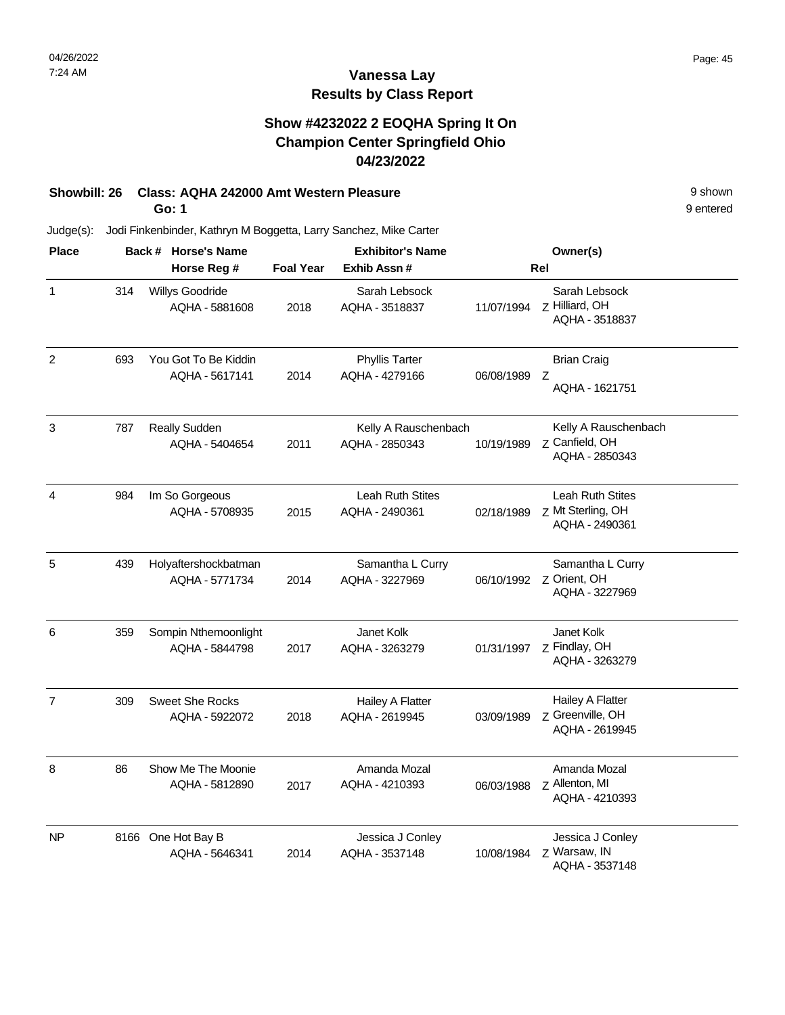## **Vanessa Lay Results by Class Report**

## **Show #4232022 2 EOQHA Spring It On Champion Center Springfield Ohio 04/23/2022**

## **Showbill: 26 Class: AQHA 242000 Amt Western Pleasure** 9 **Shown** 9 shown

**Go: 1**

| <b>Place</b>   |     | Back # Horse's Name                      |                  | <b>Exhibitor's Name</b>                 |            | Owner(s)                                                 |
|----------------|-----|------------------------------------------|------------------|-----------------------------------------|------------|----------------------------------------------------------|
|                |     | Horse Reg #                              | <b>Foal Year</b> | Exhib Assn #                            | Rel        |                                                          |
| 1              | 314 | Willys Goodride<br>AQHA - 5881608        | 2018             | Sarah Lebsock<br>AQHA - 3518837         | 11/07/1994 | Sarah Lebsock<br>Z Hilliard, OH<br>AQHA - 3518837        |
| 2              | 693 | You Got To Be Kiddin<br>AQHA - 5617141   | 2014             | <b>Phyllis Tarter</b><br>AQHA - 4279166 | 06/08/1989 | <b>Brian Craig</b><br>Z<br>AQHA - 1621751                |
| 3              | 787 | Really Sudden<br>AQHA - 5404654          | 2011             | Kelly A Rauschenbach<br>AQHA - 2850343  | 10/19/1989 | Kelly A Rauschenbach<br>z Canfield, OH<br>AQHA - 2850343 |
| 4              | 984 | Im So Gorgeous<br>AQHA - 5708935         | 2015             | Leah Ruth Stites<br>AQHA - 2490361      | 02/18/1989 | Leah Ruth Stites<br>Z Mt Sterling, OH<br>AQHA - 2490361  |
| 5              | 439 | Holyaftershockbatman<br>AQHA - 5771734   | 2014             | Samantha L Curry<br>AQHA - 3227969      | 06/10/1992 | Samantha L Curry<br>Z Orient, OH<br>AQHA - 3227969       |
| 6              | 359 | Sompin Nthemoonlight<br>AQHA - 5844798   | 2017             | Janet Kolk<br>AQHA - 3263279            | 01/31/1997 | Janet Kolk<br>Z Findlay, OH<br>AQHA - 3263279            |
| $\overline{7}$ | 309 | <b>Sweet She Rocks</b><br>AQHA - 5922072 | 2018             | Hailey A Flatter<br>AQHA - 2619945      | 03/09/1989 | Hailey A Flatter<br>Z Greenville, OH<br>AQHA - 2619945   |
| 8              | 86  | Show Me The Moonie<br>AQHA - 5812890     | 2017             | Amanda Mozal<br>AQHA - 4210393          | 06/03/1988 | Amanda Mozal<br>Z Allenton, MI<br>AQHA - 4210393         |
| N <sub>P</sub> |     | 8166 One Hot Bay B<br>AQHA - 5646341     | 2014             | Jessica J Conley<br>AQHA - 3537148      | 10/08/1984 | Jessica J Conley<br>Z Warsaw, IN<br>AQHA - 3537148       |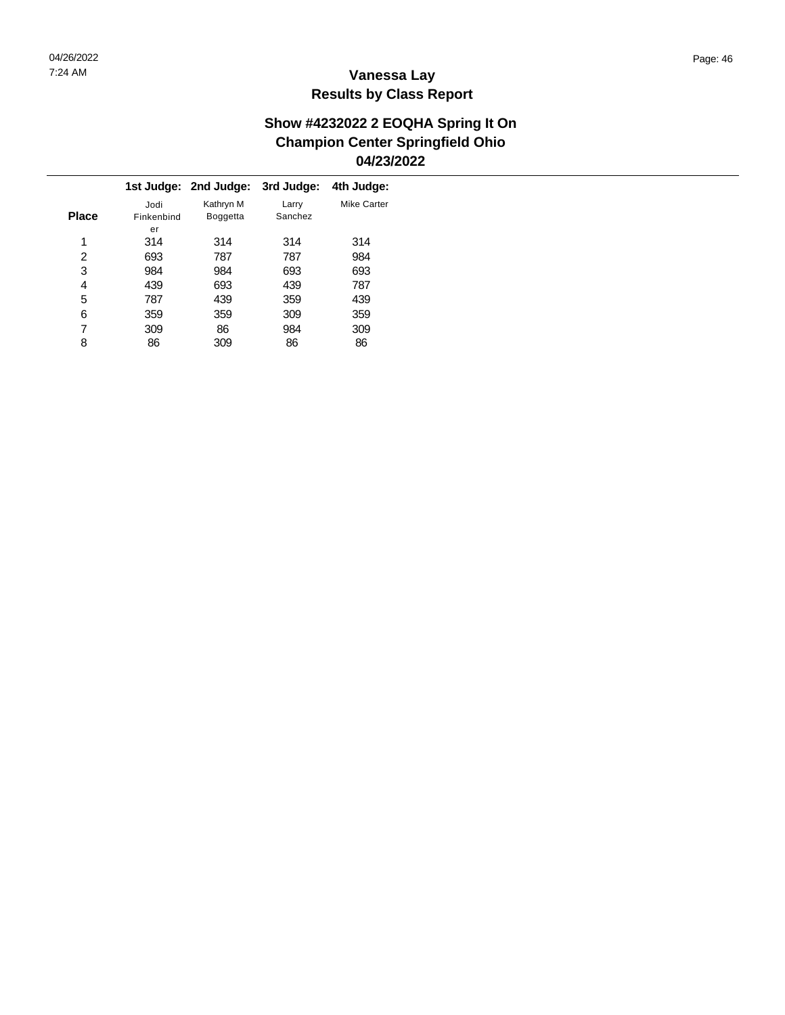|       |            | 1st Judge: 2nd Judge: | 3rd Judge: | 4th Judge:  |
|-------|------------|-----------------------|------------|-------------|
|       | Jodi       | Kathryn M             | Larry      | Mike Carter |
| Place | Finkenbind | <b>Boggetta</b>       | Sanchez    |             |
|       | er         |                       |            |             |
| 1     | 314        | 314                   | 314        | 314         |
| 2     | 693        | 787                   | 787        | 984         |
| 3     | 984        | 984                   | 693        | 693         |
| 4     | 439        | 693                   | 439        | 787         |
| 5     | 787        | 439                   | 359        | 439         |
| 6     | 359        | 359                   | 309        | 359         |
| 7     | 309        | 86                    | 984        | 309         |
| 8     | 86         | 309                   | 86         | 86          |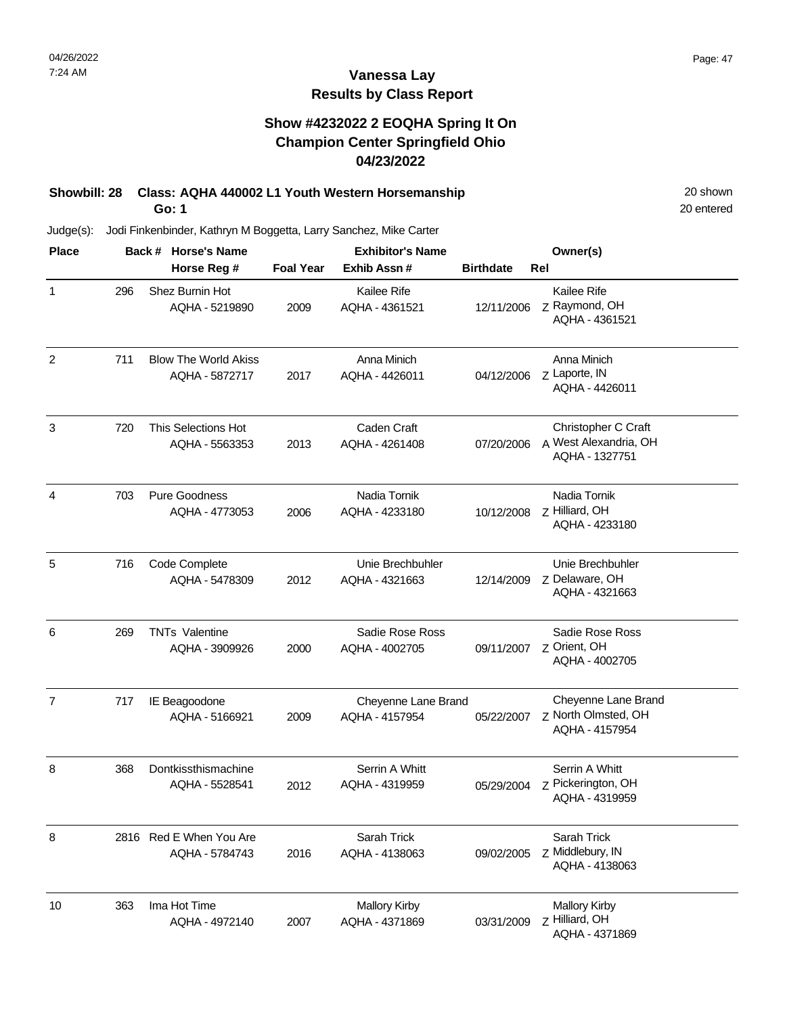## **Vanessa Lay Results by Class Report**

## **Show #4232022 2 EOQHA Spring It On Champion Center Springfield Ohio 04/23/2022**

#### **Showbill: 28 Class: AQHA 440002 L1 Youth Western Horsemanship** 20 Shown 20 shown **Go: 1**

| <b>Place</b>   |     | Back # Horse's Name                           |                  | <b>Exhibitor's Name</b>                |                  | Owner(s)                                                       |
|----------------|-----|-----------------------------------------------|------------------|----------------------------------------|------------------|----------------------------------------------------------------|
|                |     | Horse Reg #                                   | <b>Foal Year</b> | Exhib Assn #                           | <b>Birthdate</b> | Rel                                                            |
| $\mathbf{1}$   | 296 | Shez Burnin Hot<br>AQHA - 5219890             | 2009             | Kailee Rife<br>AQHA - 4361521          | 12/11/2006       | Kailee Rife<br>Z Raymond, OH<br>AQHA - 4361521                 |
| $\overline{c}$ | 711 | <b>Blow The World Akiss</b><br>AQHA - 5872717 | 2017             | Anna Minich<br>AQHA - 4426011          | 04/12/2006       | Anna Minich<br>Z Laporte, IN<br>AQHA - 4426011                 |
| 3              | 720 | This Selections Hot<br>AQHA - 5563353         | 2013             | Caden Craft<br>AQHA - 4261408          | 07/20/2006       | Christopher C Craft<br>A West Alexandria, OH<br>AQHA - 1327751 |
| 4              | 703 | Pure Goodness<br>AQHA - 4773053               | 2006             | Nadia Tornik<br>AQHA - 4233180         | 10/12/2008       | Nadia Tornik<br>z Hilliard, OH<br>AQHA - 4233180               |
| 5              | 716 | Code Complete<br>AQHA - 5478309               | 2012             | Unie Brechbuhler<br>AQHA - 4321663     | 12/14/2009       | Unie Brechbuhler<br>Z Delaware, OH<br>AQHA - 4321663           |
| 6              | 269 | <b>TNTs Valentine</b><br>AQHA - 3909926       | 2000             | Sadie Rose Ross<br>AQHA - 4002705      | 09/11/2007       | Sadie Rose Ross<br>Z Orient, OH<br>AQHA - 4002705              |
| 7              | 717 | IE Beagoodone<br>AQHA - 5166921               | 2009             | Cheyenne Lane Brand<br>AQHA - 4157954  | 05/22/2007       | Cheyenne Lane Brand<br>z North Olmsted, OH<br>AQHA - 4157954   |
| 8              | 368 | Dontkissthismachine<br>AQHA - 5528541         | 2012             | Serrin A Whitt<br>AQHA - 4319959       | 05/29/2004       | Serrin A Whitt<br>Z Pickerington, OH<br>AQHA - 4319959         |
| 8              |     | 2816 Red E When You Are<br>AQHA - 5784743     | 2016             | Sarah Trick<br>AQHA - 4138063          | 09/02/2005       | Sarah Trick<br>Z Middlebury, IN<br>AQHA - 4138063              |
| 10             | 363 | Ima Hot Time<br>AQHA - 4972140                | 2007             | <b>Mallory Kirby</b><br>AQHA - 4371869 | 03/31/2009       | <b>Mallory Kirby</b><br>Z Hilliard, OH<br>AQHA - 4371869       |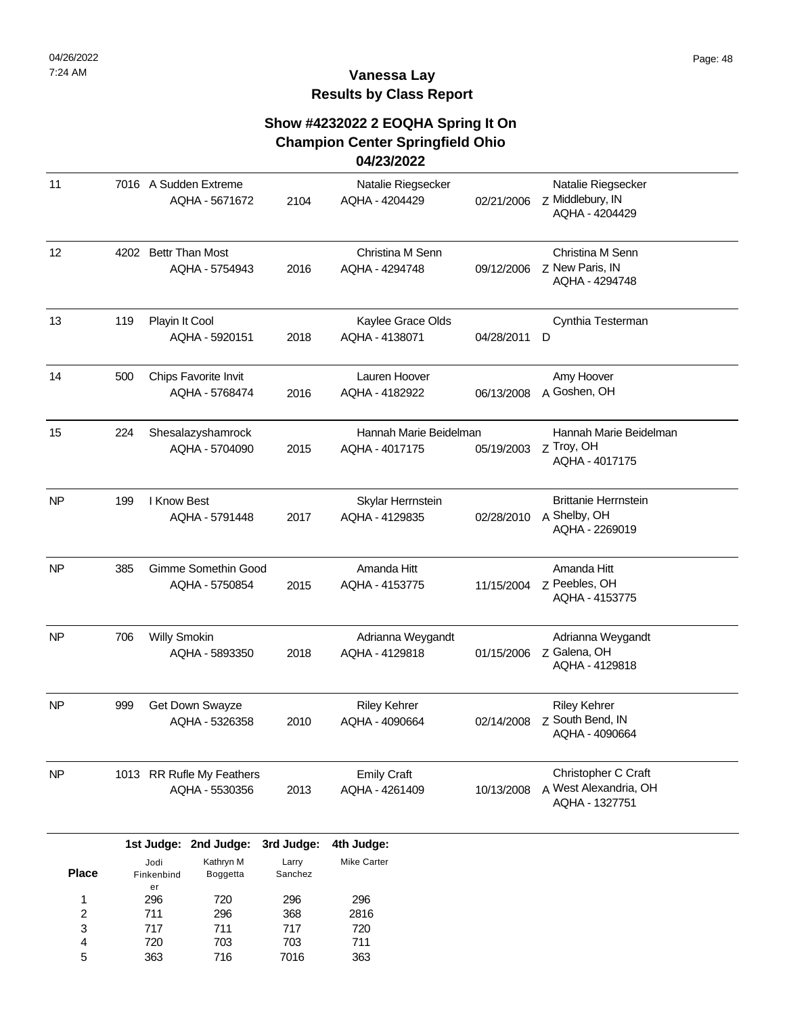| 11        |      | 7016 A Sudden Extreme<br>AQHA - 5671672     | 2104 | Natalie Riegsecker<br>AQHA - 4204429     | 02/21/2006 | Natalie Riegsecker<br>z Middlebury, IN<br>AQHA - 4204429       |
|-----------|------|---------------------------------------------|------|------------------------------------------|------------|----------------------------------------------------------------|
| 12        | 4202 | <b>Bettr Than Most</b><br>AQHA - 5754943    | 2016 | Christina M Senn<br>AQHA - 4294748       | 09/12/2006 | Christina M Senn<br>Z New Paris, IN<br>AQHA - 4294748          |
| 13        | 119  | Playin It Cool<br>AQHA - 5920151            | 2018 | Kaylee Grace Olds<br>AQHA - 4138071      | 04/28/2011 | Cynthia Testerman<br>D                                         |
| 14        | 500  | Chips Favorite Invit<br>AQHA - 5768474      | 2016 | Lauren Hoover<br>AQHA - 4182922          | 06/13/2008 | Amy Hoover<br>A Goshen, OH                                     |
| 15        | 224  | Shesalazyshamrock<br>AQHA - 5704090         | 2015 | Hannah Marie Beidelman<br>AQHA - 4017175 | 05/19/2003 | Hannah Marie Beidelman<br>Z Troy, OH<br>AQHA - 4017175         |
| <b>NP</b> | 199  | I Know Best<br>AQHA - 5791448               | 2017 | Skylar Herrnstein<br>AQHA - 4129835      | 02/28/2010 | <b>Brittanie Herrnstein</b><br>A Shelby, OH<br>AQHA - 2269019  |
| <b>NP</b> | 385  | Gimme Somethin Good<br>AQHA - 5750854       | 2015 | Amanda Hitt<br>AQHA - 4153775            | 11/15/2004 | Amanda Hitt<br>Z Peebles, OH<br>AQHA - 4153775                 |
| NP        | 706  | <b>Willy Smokin</b><br>AQHA - 5893350       | 2018 | Adrianna Weygandt<br>AQHA - 4129818      | 01/15/2006 | Adrianna Weygandt<br>Z Galena, OH<br>AQHA - 4129818            |
| NP        | 999  | Get Down Swayze<br>AQHA - 5326358           | 2010 | <b>Riley Kehrer</b><br>AQHA - 4090664    | 02/14/2008 | <b>Riley Kehrer</b><br>Z South Bend, IN<br>AQHA - 4090664      |
| <b>NP</b> |      | 1013 RR Rufle My Feathers<br>AQHA - 5530356 | 2013 | <b>Emily Craft</b><br>AQHA - 4261409     | 10/13/2008 | Christopher C Craft<br>A West Alexandria, OH<br>AQHA - 1327751 |
|           |      | 1st Judge: 2nd Judge: 3rd Judge:            |      | 4th Judge:                               |            |                                                                |

| Place | Jodi<br>Finkenbind<br>er | Kathryn M<br><b>Boggetta</b> | Larry<br>Sanchez | <b>Mike Carter</b> |
|-------|--------------------------|------------------------------|------------------|--------------------|
| 1     | 296                      | 720                          | 296              | 296                |
| 2     | 711                      | 296                          | 368              | 2816               |
| 3     | 717                      | 711                          | 717              | 720                |
| 4     | 720                      | 703                          | 703              | 711                |
| 5     | 363                      | 716                          | 7016             | 363                |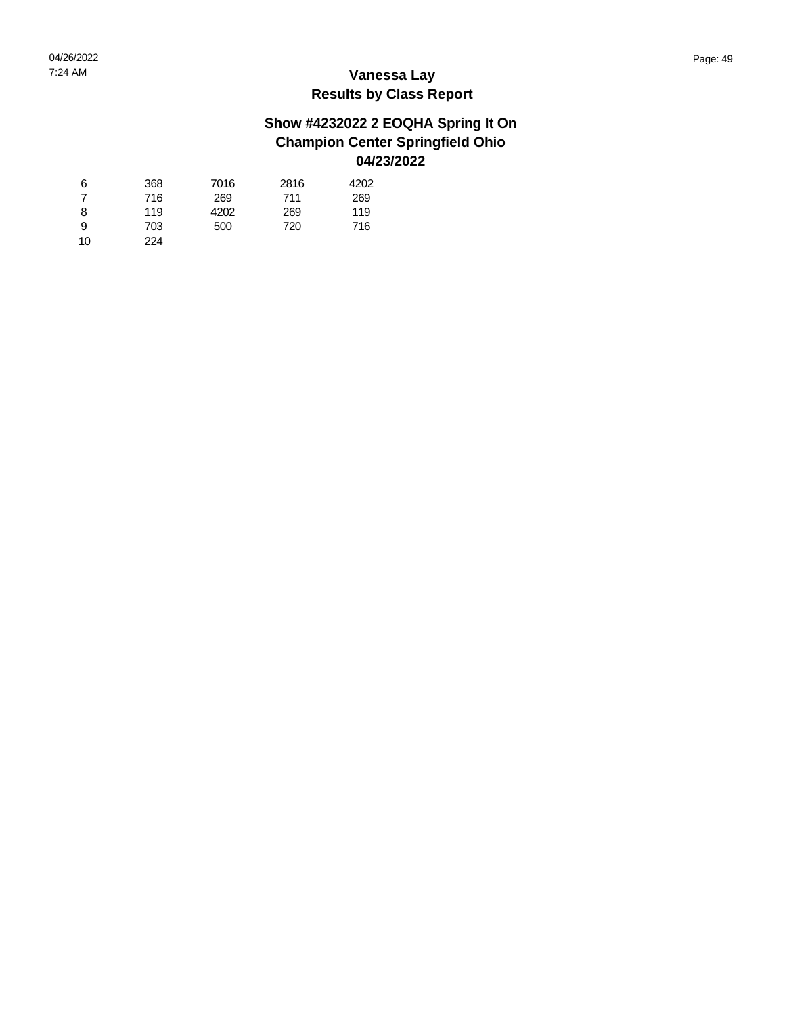| 6  | 368 | 7016 | 2816 | 4202 |
|----|-----|------|------|------|
| -7 | 716 | 269  | 711  | 269  |
| 8  | 119 | 4202 | 269  | 119  |
| 9  | 703 | 500  | 720  | 716  |
| 10 | 224 |      |      |      |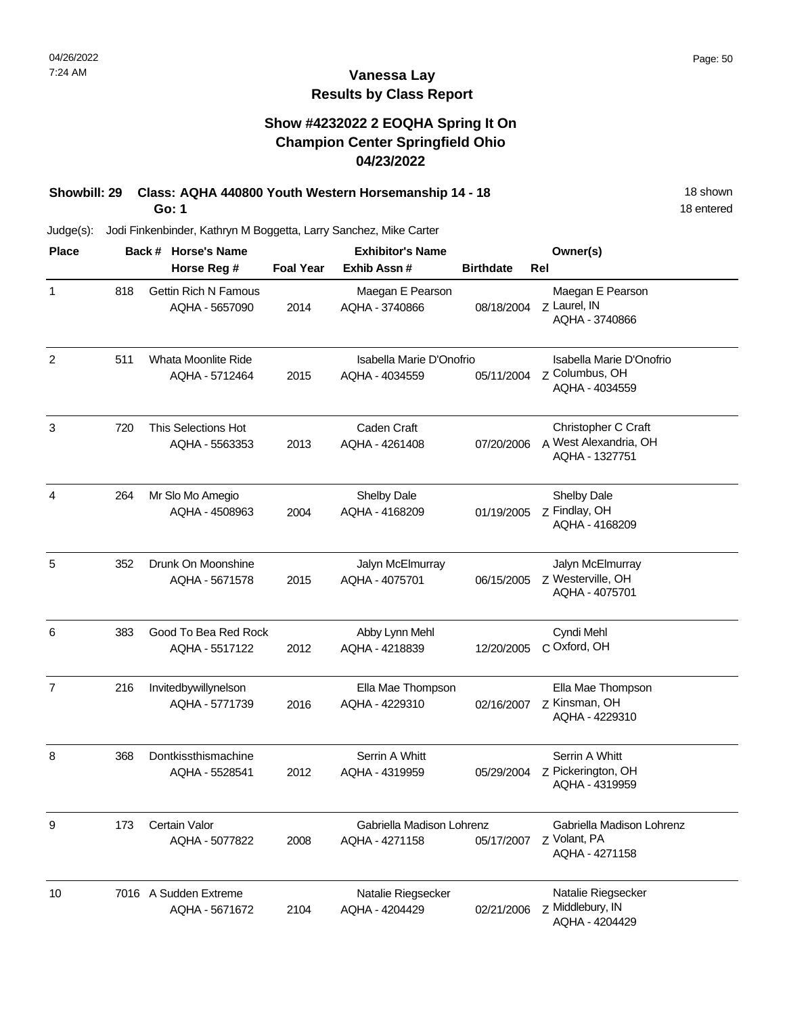## **Vanessa Lay Results by Class Report**

## **Show #4232022 2 EOQHA Spring It On Champion Center Springfield Ohio 04/23/2022**

#### **Showbill: 29 Class: AQHA 440800 Youth Western Horsemanship 14 - 18** 18 Nown 18 shown **Go: 1**

| <b>Place</b>   |     | Back # Horse's Name                           |                  | <b>Exhibitor's Name</b>                     |                  | Owner(s)                                                       |
|----------------|-----|-----------------------------------------------|------------------|---------------------------------------------|------------------|----------------------------------------------------------------|
|                |     | Horse Reg #                                   | <b>Foal Year</b> | Exhib Assn#                                 | <b>Birthdate</b> | Rel                                                            |
| $\mathbf{1}$   | 818 | <b>Gettin Rich N Famous</b><br>AQHA - 5657090 | 2014             | Maegan E Pearson<br>AQHA - 3740866          | 08/18/2004       | Maegan E Pearson<br>Z Laurel, IN<br>AQHA - 3740866             |
| $\overline{c}$ | 511 | Whata Moonlite Ride<br>AQHA - 5712464         | 2015             | Isabella Marie D'Onofrio<br>AQHA - 4034559  | 05/11/2004       | Isabella Marie D'Onofrio<br>Z Columbus, OH<br>AQHA - 4034559   |
| 3              | 720 | This Selections Hot<br>AQHA - 5563353         | 2013             | Caden Craft<br>AQHA - 4261408               | 07/20/2006       | Christopher C Craft<br>A West Alexandria, OH<br>AQHA - 1327751 |
| 4              | 264 | Mr Slo Mo Amegio<br>AQHA - 4508963            | 2004             | Shelby Dale<br>AQHA - 4168209               | 01/19/2005       | Shelby Dale<br>Z Findlay, OH<br>AQHA - 4168209                 |
| 5              | 352 | Drunk On Moonshine<br>AQHA - 5671578          | 2015             | Jalyn McElmurray<br>AQHA - 4075701          | 06/15/2005       | Jalyn McElmurray<br>Z Westerville, OH<br>AQHA - 4075701        |
| 6              | 383 | Good To Bea Red Rock<br>AQHA - 5517122        | 2012             | Abby Lynn Mehl<br>AQHA - 4218839            | 12/20/2005       | Cyndi Mehl<br>C Oxford, OH                                     |
| $\overline{7}$ | 216 | Invitedbywillynelson<br>AQHA - 5771739        | 2016             | Ella Mae Thompson<br>AQHA - 4229310         | 02/16/2007       | Ella Mae Thompson<br>z Kinsman, OH<br>AQHA - 4229310           |
| 8              | 368 | Dontkissthismachine<br>AQHA - 5528541         | 2012             | Serrin A Whitt<br>AQHA - 4319959            | 05/29/2004       | Serrin A Whitt<br>Z Pickerington, OH<br>AQHA - 4319959         |
| 9              | 173 | Certain Valor<br>AQHA - 5077822               | 2008             | Gabriella Madison Lohrenz<br>AQHA - 4271158 | 05/17/2007       | Gabriella Madison Lohrenz<br>Z Volant, PA<br>AQHA - 4271158    |
| 10             |     | 7016 A Sudden Extreme<br>AQHA - 5671672       | 2104             | Natalie Riegsecker<br>AQHA - 4204429        | 02/21/2006       | Natalie Riegsecker<br>Z Middlebury, IN<br>AQHA - 4204429       |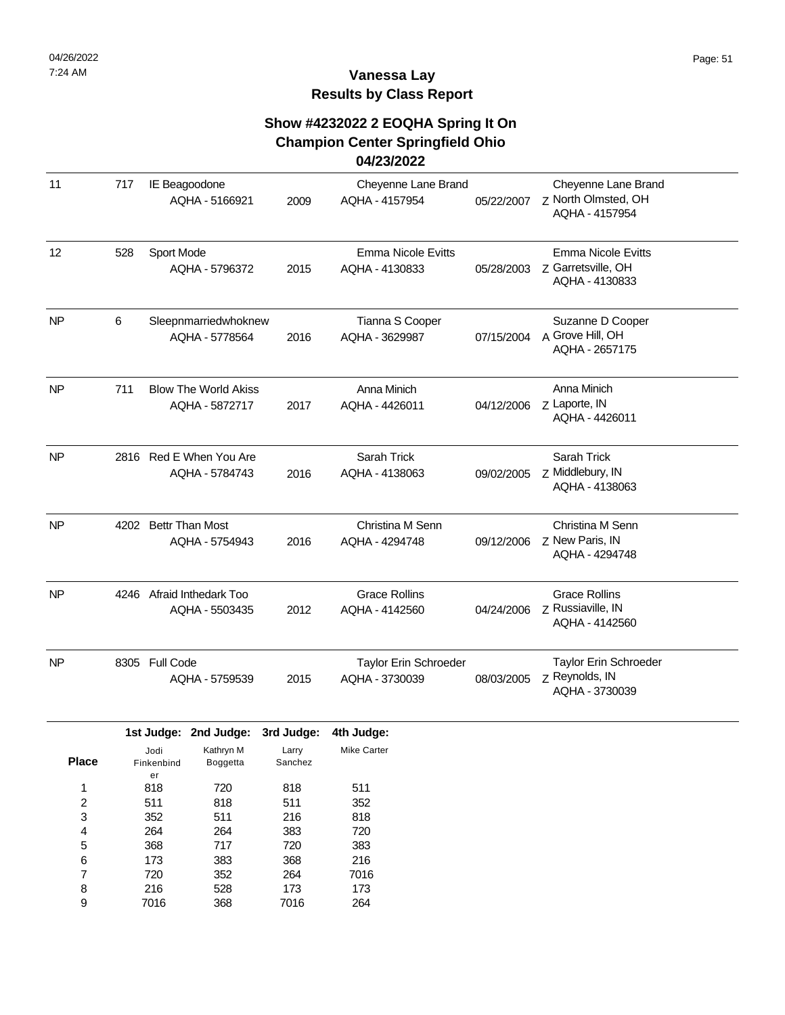# **Show #4232022 2 EOQHA Spring It On Champion Center Springfield Ohio**

#### **04/23/2022**

| 11           | 717  | IE Beagoodone          | AQHA - 5166921                                | 2009             | Cheyenne Lane Brand<br>AQHA - 4157954       | 05/22/2007 | Cheyenne Lane Brand<br>Z North Olmsted, OH<br>AQHA - 4157954      |
|--------------|------|------------------------|-----------------------------------------------|------------------|---------------------------------------------|------------|-------------------------------------------------------------------|
| 12           | 528  | Sport Mode             | AQHA - 5796372                                | 2015             | <b>Emma Nicole Evitts</b><br>AQHA - 4130833 | 05/28/2003 | <b>Emma Nicole Evitts</b><br>Z Garretsville, OH<br>AQHA - 4130833 |
| <b>NP</b>    | 6    |                        | Sleepnmarriedwhoknew<br>AQHA - 5778564        | 2016             | Tianna S Cooper<br>AQHA - 3629987           | 07/15/2004 | Suzanne D Cooper<br>A Grove Hill, OH<br>AQHA - 2657175            |
| <b>NP</b>    | 711  |                        | <b>Blow The World Akiss</b><br>AQHA - 5872717 | 2017             | Anna Minich<br>AQHA - 4426011               | 04/12/2006 | Anna Minich<br>z Laporte, IN<br>AQHA - 4426011                    |
| NP           |      |                        | 2816 Red E When You Are<br>AQHA - 5784743     | 2016             | Sarah Trick<br>AQHA - 4138063               | 09/02/2005 | Sarah Trick<br>Z Middlebury, IN<br>AQHA - 4138063                 |
| <b>NP</b>    | 4202 | <b>Bettr Than Most</b> | AQHA - 5754943                                | 2016             | Christina M Senn<br>AQHA - 4294748          | 09/12/2006 | Christina M Senn<br>Z New Paris, IN<br>AQHA - 4294748             |
| <b>NP</b>    |      |                        | 4246 Afraid Inthedark Too<br>AQHA - 5503435   | 2012             | <b>Grace Rollins</b><br>AQHA - 4142560      | 04/24/2006 | <b>Grace Rollins</b><br>Z Russiaville, IN<br>AQHA - 4142560       |
| <b>NP</b>    |      | 8305 Full Code         | AQHA - 5759539                                | 2015             | Taylor Erin Schroeder<br>AQHA - 3730039     | 08/03/2005 | Taylor Erin Schroeder<br>Z Reynolds, IN<br>AQHA - 3730039         |
|              |      |                        | 1st Judge: 2nd Judge:                         | 3rd Judge:       | 4th Judge:                                  |            |                                                                   |
| <b>Place</b> |      | Jodi<br>Finkenbind     | Kathryn M<br>Boggetta                         | Larry<br>Sanchez | <b>Mike Carter</b>                          |            |                                                                   |

| <b>Place</b> | Finkenbind | Boggetta | Sanchez |      |  |
|--------------|------------|----------|---------|------|--|
|              | er         |          |         |      |  |
| 1            | 818        | 720      | 818     | 511  |  |
| 2            | 511        | 818      | 511     | 352  |  |
| 3            | 352        | 511      | 216     | 818  |  |
| 4            | 264        | 264      | 383     | 720  |  |
| 5            | 368        | 717      | 720     | 383  |  |
| 6            | 173        | 383      | 368     | 216  |  |
| 7            | 720        | 352      | 264     | 7016 |  |
| 8            | 216        | 528      | 173     | 173  |  |
| 9            | 7016       | 368      | 7016    | 264  |  |
|              |            |          |         |      |  |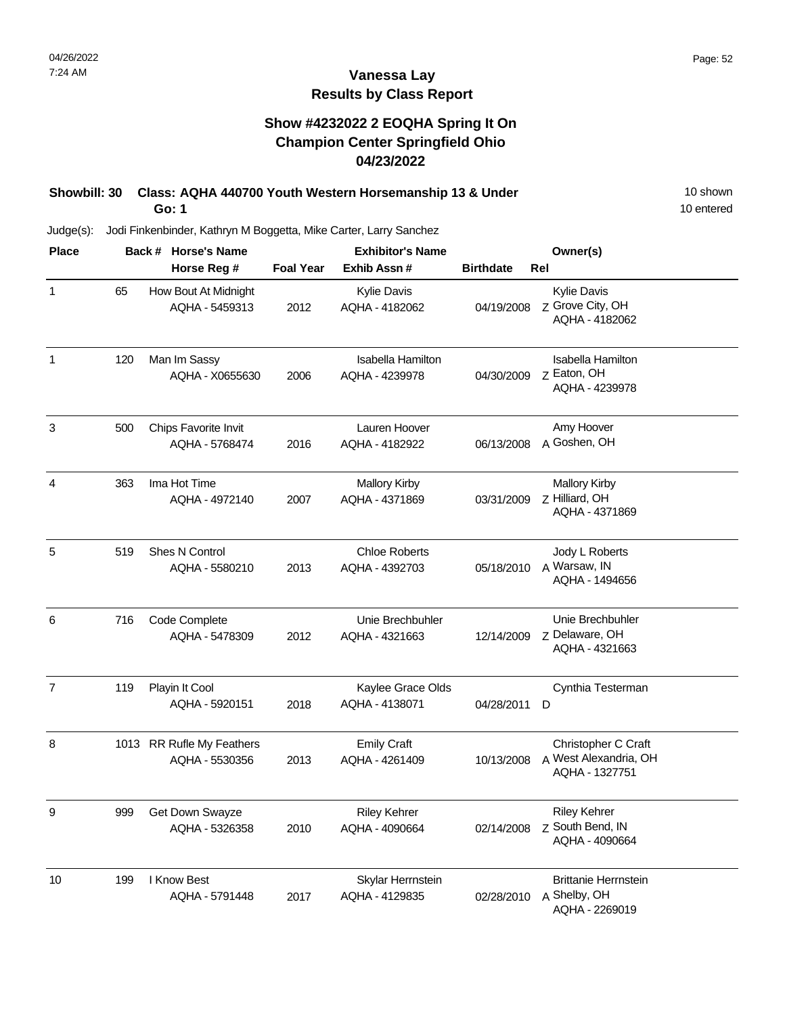## **Vanessa Lay Results by Class Report**

## **Show #4232022 2 EOQHA Spring It On Champion Center Springfield Ohio 04/23/2022**

#### **Showbill: 30 Class: AQHA 440700 Youth Western Horsemanship 13 & Under** 10 Shown **Go: 1**

Judge(s): Jodi Finkenbinder, Kathryn M Boggetta, Mike Carter, Larry Sanchez

| <b>Place</b>   |     |                      | Back # Horse's Name                         |                  | <b>Exhibitor's Name</b>                |                  |                                                                          | Owner(s) |
|----------------|-----|----------------------|---------------------------------------------|------------------|----------------------------------------|------------------|--------------------------------------------------------------------------|----------|
|                |     |                      | Horse Reg #                                 | <b>Foal Year</b> | Exhib Assn#                            | <b>Birthdate</b> | Rel                                                                      |          |
| $\mathbf{1}$   | 65  |                      | How Bout At Midnight<br>AQHA - 5459313      | 2012             | <b>Kylie Davis</b><br>AQHA - 4182062   | 04/19/2008       | <b>Kylie Davis</b><br>Z Grove City, OH<br>AQHA - 4182062                 |          |
| 1              | 120 | Man Im Sassy         | AQHA - X0655630                             | 2006             | Isabella Hamilton<br>AQHA - 4239978    | 04/30/2009       | Isabella Hamilton<br>Z Eaton, OH<br>AQHA - 4239978                       |          |
| 3              | 500 | Chips Favorite Invit | AQHA - 5768474                              | 2016             | Lauren Hoover<br>AQHA - 4182922        | 06/13/2008       | Amy Hoover<br>A Goshen, OH                                               |          |
| 4              | 363 | Ima Hot Time         | AQHA - 4972140                              | 2007             | <b>Mallory Kirby</b><br>AQHA - 4371869 | 03/31/2009       | <b>Mallory Kirby</b><br>Z Hilliard, OH<br>AQHA - 4371869                 |          |
| 5              | 519 | Shes N Control       | AQHA - 5580210                              | 2013             | <b>Chloe Roberts</b><br>AQHA - 4392703 | 05/18/2010       | Jody L Roberts<br>A Warsaw, IN<br>AQHA - 1494656                         |          |
| 6              | 716 | Code Complete        | AQHA - 5478309                              | 2012             | Unie Brechbuhler<br>AQHA - 4321663     | 12/14/2009       | Unie Brechbuhler<br>Z Delaware, OH<br>AQHA - 4321663                     |          |
| $\overline{7}$ | 119 | Playin It Cool       | AQHA - 5920151                              | 2018             | Kaylee Grace Olds<br>AQHA - 4138071    | 04/28/2011       | Cynthia Testerman<br>D                                                   |          |
| 8              |     |                      | 1013 RR Rufle My Feathers<br>AQHA - 5530356 | 2013             | <b>Emily Craft</b><br>AQHA - 4261409   | 10/13/2008       | Christopher C Craft<br>A West Alexandria, OH<br>AQHA - 1327751           |          |
| g              | 999 | Get Down Swayze      | AQHA - 5326358                              | 2010             | <b>Riley Kehrer</b><br>AQHA - 4090664  | 02/14/2008       | <b>Riley Kehrer</b><br>Z South Bend, IN<br>AQHA - 4090664                |          |
| 10             | 199 | I Know Best          | AQHA - 5791448                              | 2017             | Skylar Herrnstein<br>AQHA - 4129835    |                  | <b>Brittanie Herrnstein</b><br>02/28/2010 A Shelby, OH<br>AQHA - 2269019 |          |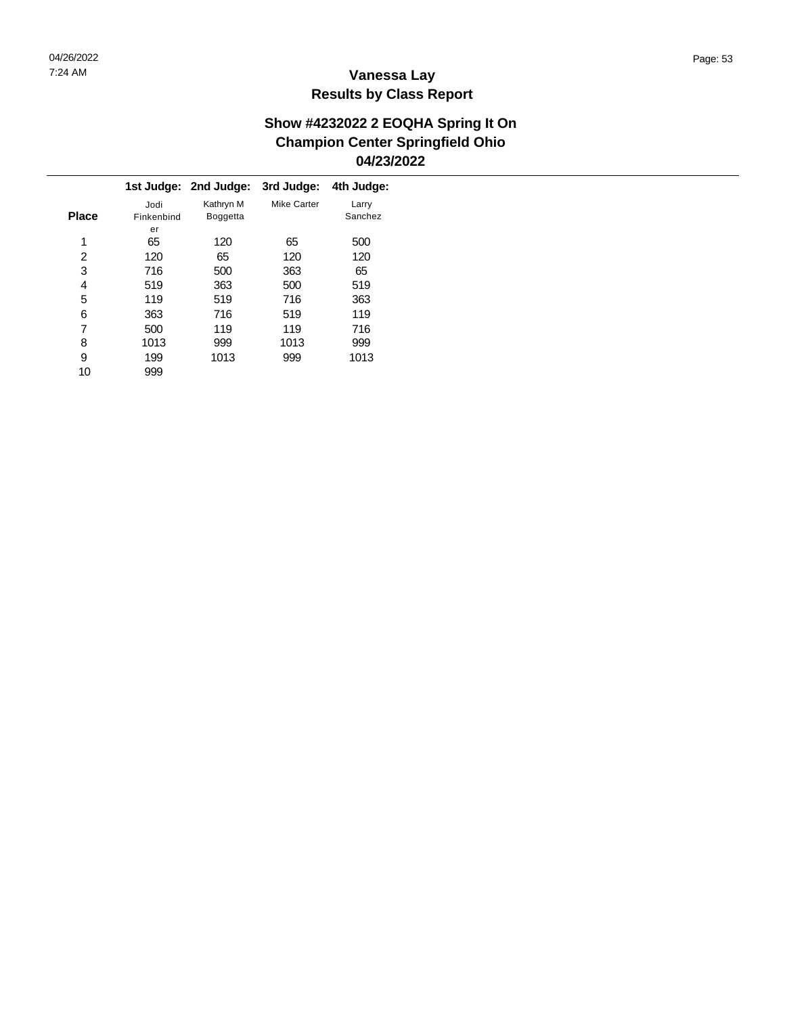|       |            | 1st Judge: 2nd Judge: | 3rd Judge:         | 4th Judge: |
|-------|------------|-----------------------|--------------------|------------|
|       | Jodi       | Kathryn M             | <b>Mike Carter</b> | Larry      |
| Place | Finkenbind | <b>Boggetta</b>       |                    | Sanchez    |
|       | er         |                       |                    |            |
| 1     | 65         | 120                   | 65                 | 500        |
| 2     | 120        | 65                    | 120                | 120        |
| 3     | 716        | 500                   | 363                | 65         |
| 4     | 519        | 363                   | 500                | 519        |
| 5     | 119        | 519                   | 716                | 363        |
| 6     | 363        | 716                   | 519                | 119        |
| 7     | 500        | 119                   | 119                | 716        |
| 8     | 1013       | 999                   | 1013               | 999        |
| 9     | 199        | 1013                  | 999                | 1013       |
| 10    | 999        |                       |                    |            |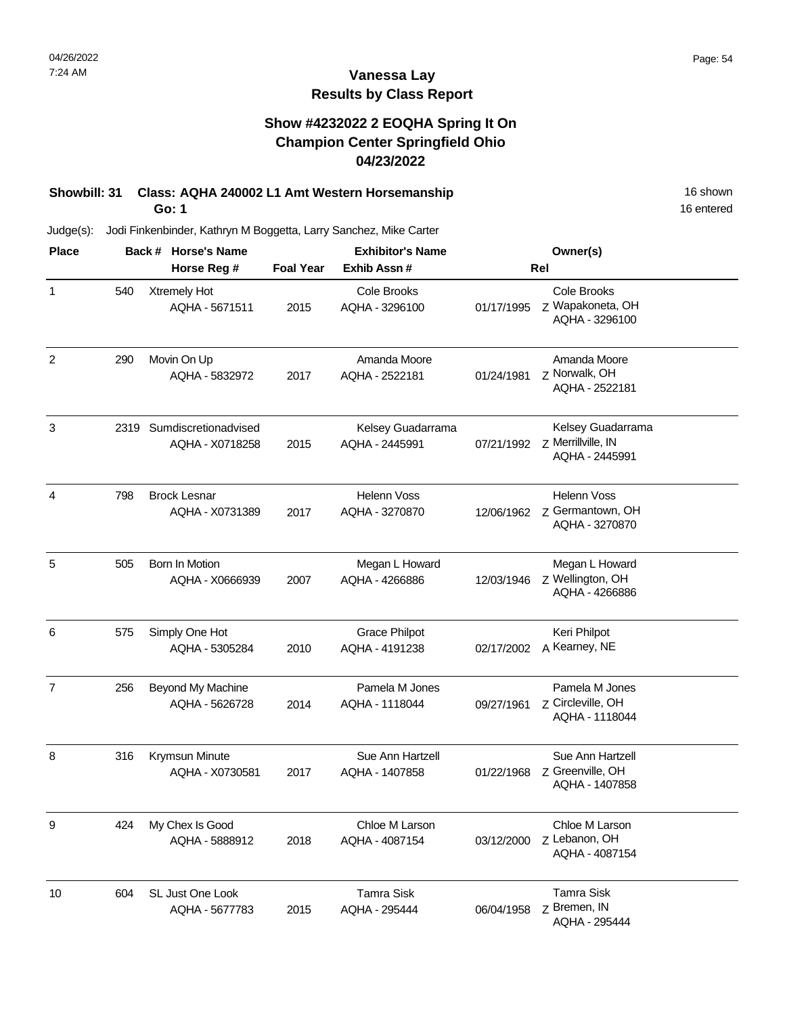## **Vanessa Lay Results by Class Report**

## **Show #4232022 2 EOQHA Spring It On Champion Center Springfield Ohio 04/23/2022**

#### **Showbill: 31 Class: AQHA 240002 L1 Amt Western Horsemanship** 16 Shown 16 shown **Go: 1**

| <b>Place</b>   |      | Back # Horse's Name                     | <b>Exhibitor's Name</b> |                                        | Owner(s)   |                                                           |  |
|----------------|------|-----------------------------------------|-------------------------|----------------------------------------|------------|-----------------------------------------------------------|--|
|                |      | Horse Reg #                             | <b>Foal Year</b>        | Exhib Assn #                           |            | Rel                                                       |  |
| 1              | 540  | Xtremely Hot<br>AQHA - 5671511          | 2015                    | Cole Brooks<br>AQHA - 3296100          | 01/17/1995 | Cole Brooks<br>Z Wapakoneta, OH<br>AQHA - 3296100         |  |
| $\overline{c}$ | 290  | Movin On Up<br>AQHA - 5832972           | 2017                    | Amanda Moore<br>AQHA - 2522181         | 01/24/1981 | Amanda Moore<br>Z Norwalk, OH<br>AQHA - 2522181           |  |
| 3              | 2319 | Sumdiscretionadvised<br>AQHA - X0718258 | 2015                    | Kelsey Guadarrama<br>AQHA - 2445991    | 07/21/1992 | Kelsey Guadarrama<br>Z Merrillville, IN<br>AQHA - 2445991 |  |
| 4              | 798  | <b>Brock Lesnar</b><br>AQHA - X0731389  | 2017                    | <b>Helenn Voss</b><br>AQHA - 3270870   | 12/06/1962 | <b>Helenn Voss</b><br>Z Germantown, OH<br>AQHA - 3270870  |  |
| 5              | 505  | Born In Motion<br>AQHA - X0666939       | 2007                    | Megan L Howard<br>AQHA - 4266886       | 12/03/1946 | Megan L Howard<br>Z Wellington, OH<br>AQHA - 4266886      |  |
| 6              | 575  | Simply One Hot<br>AQHA - 5305284        | 2010                    | <b>Grace Philpot</b><br>AQHA - 4191238 | 02/17/2002 | Keri Philpot<br>A Kearney, NE                             |  |
| $\overline{7}$ | 256  | Beyond My Machine<br>AQHA - 5626728     | 2014                    | Pamela M Jones<br>AQHA - 1118044       | 09/27/1961 | Pamela M Jones<br>Z Circleville, OH<br>AQHA - 1118044     |  |
| 8              | 316  | Krymsun Minute<br>AQHA - X0730581       | 2017                    | Sue Ann Hartzell<br>AQHA - 1407858     | 01/22/1968 | Sue Ann Hartzell<br>Z Greenville, OH<br>AQHA - 1407858    |  |
| 9              | 424  | My Chex Is Good<br>AQHA - 5888912       | 2018                    | Chloe M Larson<br>AQHA - 4087154       | 03/12/2000 | Chloe M Larson<br>Z Lebanon, OH<br>AQHA - 4087154         |  |
| 10             | 604  | SL Just One Look<br>AQHA - 5677783      | 2015                    | <b>Tamra Sisk</b><br>AQHA - 295444     | 06/04/1958 | <b>Tamra Sisk</b><br>Z Bremen, IN<br>AQHA - 295444        |  |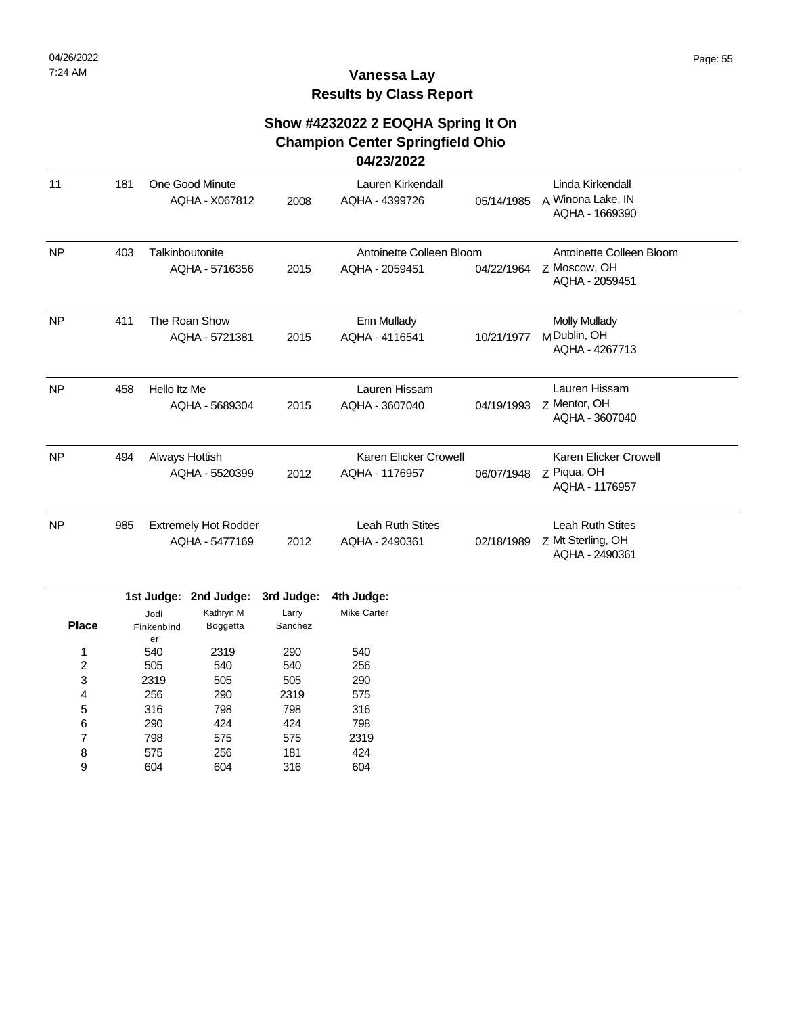# **Show #4232022 2 EOQHA Spring It On Champion Center Springfield Ohio**

## **04/23/2022**

| 11        | 181 | One Good Minute<br>AQHA - X067812             | 2008 | Lauren Kirkendall<br>AQHA - 4399726        | 05/14/1985 | Linda Kirkendall<br>A Winona Lake, IN<br>AQHA - 1669390        |
|-----------|-----|-----------------------------------------------|------|--------------------------------------------|------------|----------------------------------------------------------------|
| <b>NP</b> | 403 | Talkinboutonite<br>AQHA - 5716356             | 2015 | Antoinette Colleen Bloom<br>AQHA - 2059451 | 04/22/1964 | Antoinette Colleen Bloom<br>Z Moscow, OH<br>AQHA - 2059451     |
| <b>NP</b> | 411 | The Roan Show<br>AQHA - 5721381               | 2015 | Erin Mullady<br>AQHA - 4116541             | 10/21/1977 | <b>Molly Mullady</b><br>M Dublin, OH<br>AQHA - 4267713         |
| <b>NP</b> | 458 | Hello Itz Me<br>AQHA - 5689304                | 2015 | Lauren Hissam<br>AQHA - 3607040            | 04/19/1993 | Lauren Hissam<br>Z Mentor, OH<br>AQHA - 3607040                |
| <b>NP</b> | 494 | Always Hottish<br>AQHA - 5520399              | 2012 | Karen Elicker Crowell<br>AQHA - 1176957    | 06/07/1948 | Karen Elicker Crowell<br>Z Piqua, OH<br>AQHA - 1176957         |
| <b>NP</b> | 985 | <b>Extremely Hot Rodder</b><br>AQHA - 5477169 | 2012 | Leah Ruth Stites<br>AQHA - 2490361         | 02/18/1989 | <b>Leah Ruth Stites</b><br>Z Mt Sterling, OH<br>AQHA - 2490361 |

|              |            | 1st Judge: 2nd Judge: | 3rd Judge: | 4th Judge:  |
|--------------|------------|-----------------------|------------|-------------|
|              | Jodi       | Kathryn M             | Larry      | Mike Carter |
| <b>Place</b> | Finkenbind | <b>Boggetta</b>       | Sanchez    |             |
|              | er         |                       |            |             |
| 1            | 540        | 2319                  | 290        | 540         |
| 2            | 505        | 540                   | 540        | 256         |
| 3            | 2319       | 505                   | 505        | 290         |
| 4            | 256        | 290                   | 2319       | 575         |
| 5            | 316        | 798                   | 798        | 316         |
| 6            | 290        | 424                   | 424        | 798         |
| 7            | 798        | 575                   | 575        | 2319        |
| 8            | 575        | 256                   | 181        | 424         |
| 9            | 604        | 604                   | 316        | 604         |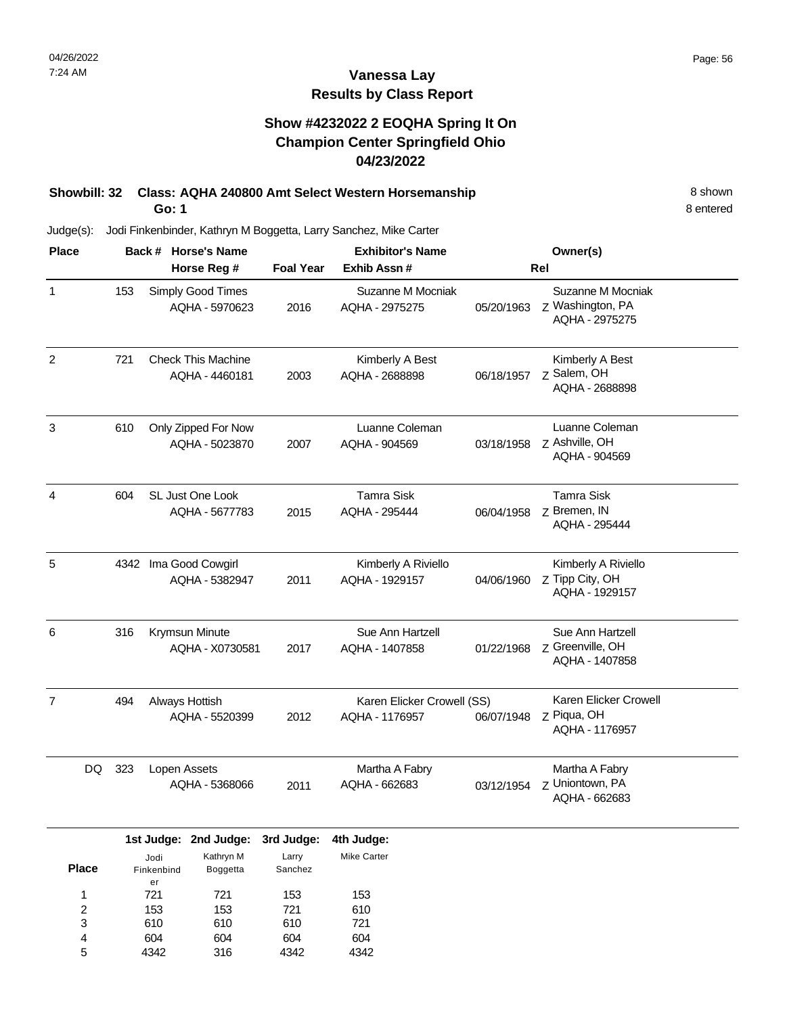## **Show #4232022 2 EOQHA Spring It On Champion Center Springfield Ohio 04/23/2022**

#### **Showbill: 32 Class: AQHA 240800 Amt Select Western Horsemanship** 8 Shown 8 shown **Go: 1**

8 entered

| <b>Place</b>                       |     |                                        | <b>Exhibitor's Name</b><br>Back # Horse's Name<br><b>Foal Year</b><br>Exhib Assn #<br>Horse Reg # |                                  |                                              | Owner(s)<br>Rel |                                                          |
|------------------------------------|-----|----------------------------------------|---------------------------------------------------------------------------------------------------|----------------------------------|----------------------------------------------|-----------------|----------------------------------------------------------|
| 1                                  | 153 |                                        | Simply Good Times<br>AQHA - 5970623                                                               | 2016                             | Suzanne M Mocniak<br>AQHA - 2975275          | 05/20/1963      | Suzanne M Mocniak<br>Z Washington, PA<br>AQHA - 2975275  |
| $\overline{2}$                     | 721 |                                        | <b>Check This Machine</b><br>AQHA - 4460181                                                       | 2003                             | Kimberly A Best<br>AQHA - 2688898            | 06/18/1957      | Kimberly A Best<br>Z Salem, OH<br>AQHA - 2688898         |
| 3                                  | 610 |                                        | Only Zipped For Now<br>AQHA - 5023870                                                             | 2007                             | Luanne Coleman<br>AQHA - 904569              | 03/18/1958      | Luanne Coleman<br>Z Ashville, OH<br>AQHA - 904569        |
| 4                                  | 604 |                                        | SL Just One Look<br>AQHA - 5677783                                                                | 2015                             | <b>Tamra Sisk</b><br>AQHA - 295444           | 06/04/1958      | <b>Tamra Sisk</b><br>z Bremen, IN<br>AQHA - 295444       |
| 5                                  |     |                                        | 4342 Ima Good Cowgirl<br>AQHA - 5382947                                                           | 2011                             | Kimberly A Riviello<br>AQHA - 1929157        | 04/06/1960      | Kimberly A Riviello<br>Z Tipp City, OH<br>AQHA - 1929157 |
| 6                                  | 316 |                                        | Krymsun Minute<br>AQHA - X0730581                                                                 | 2017                             | Sue Ann Hartzell<br>AQHA - 1407858           | 01/22/1968      | Sue Ann Hartzell<br>Z Greenville, OH<br>AQHA - 1407858   |
| $\overline{7}$                     | 494 |                                        | Always Hottish<br>AQHA - 5520399                                                                  | 2012                             | Karen Elicker Crowell (SS)<br>AQHA - 1176957 | 06/07/1948      | Karen Elicker Crowell<br>Z Piqua, OH<br>AQHA - 1176957   |
| DQ.                                | 323 |                                        | Lopen Assets<br>AQHA - 5368066                                                                    | 2011                             | Martha A Fabry<br>AQHA - 662683              | 03/12/1954      | Martha A Fabry<br>Z Uniontown, PA<br>AQHA - 662683       |
| <b>Place</b>                       |     | Jodi<br>Finkenbind                     | 1st Judge: 2nd Judge:<br>Kathryn M<br>Boggetta                                                    | 3rd Judge:<br>Larry<br>Sanchez   | 4th Judge:<br>Mike Carter                    |                 |                                                          |
| 1<br>$\overline{c}$<br>3<br>4<br>5 |     | er<br>721<br>153<br>610<br>604<br>4342 | 721<br>153<br>610<br>604<br>316                                                                   | 153<br>721<br>610<br>604<br>4342 | 153<br>610<br>721<br>604<br>4342             |                 |                                                          |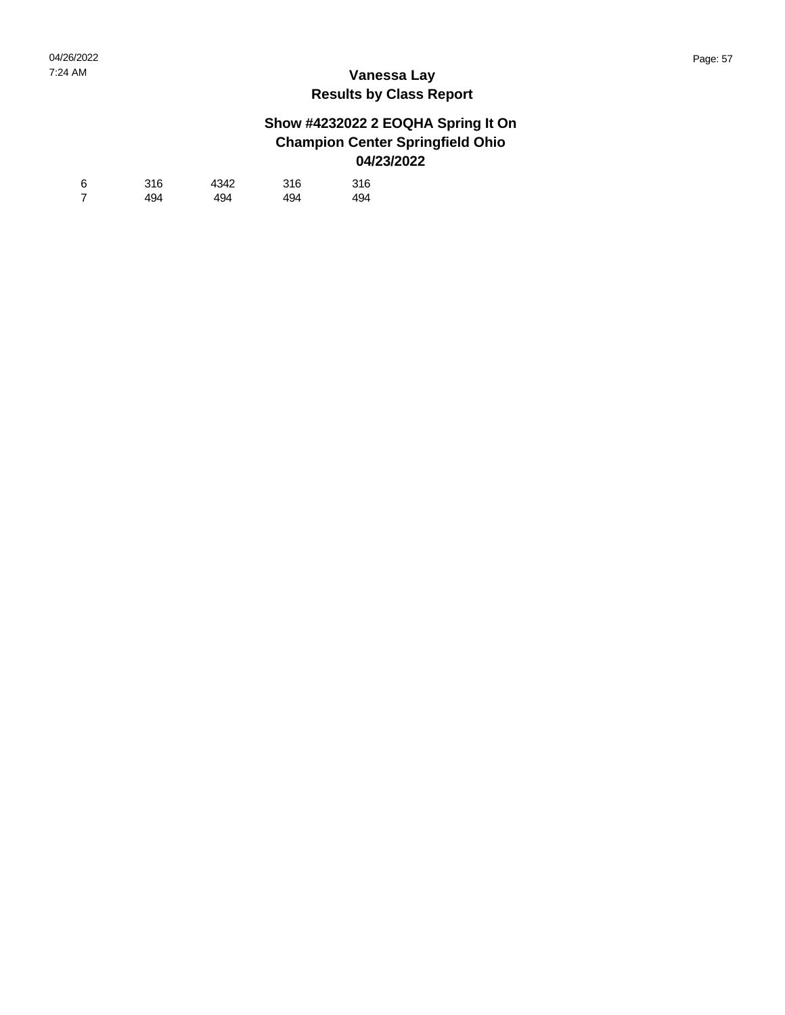| 6 | 316 | 4342 | 316 | 316 |
|---|-----|------|-----|-----|
| 7 | 494 | 494  | 494 | 494 |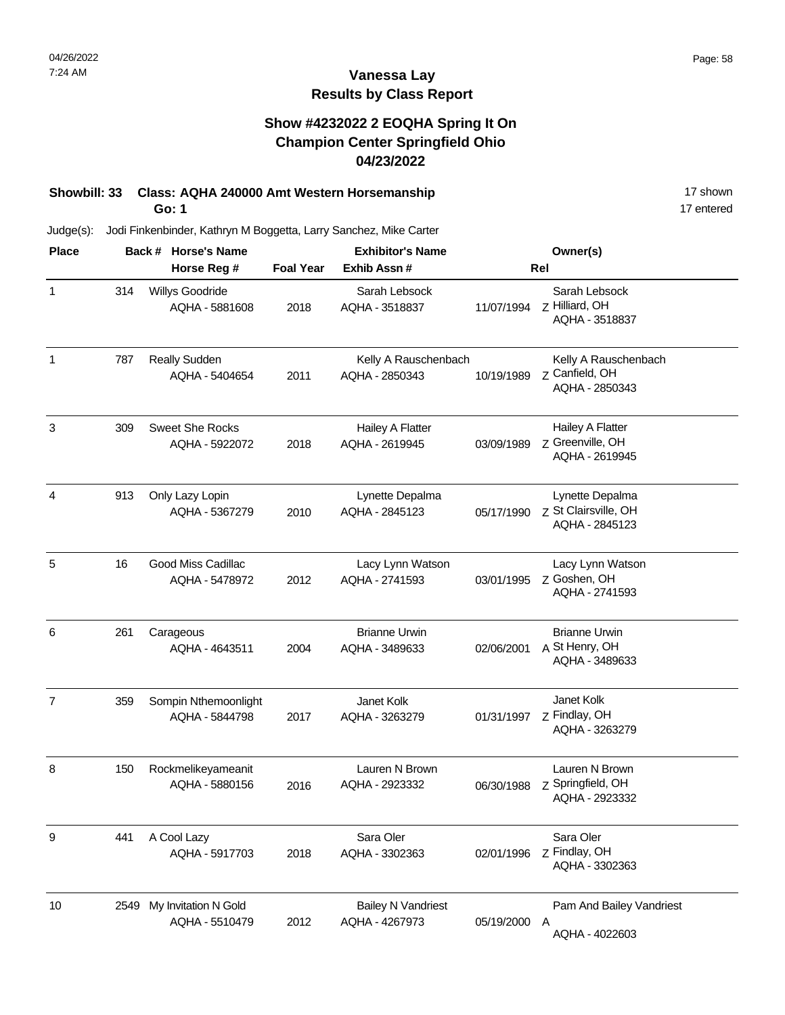## **Vanessa Lay Results by Class Report**

## **Show #4232022 2 EOQHA Spring It On Champion Center Springfield Ohio 04/23/2022**

#### **Showbill: 33 Class: AQHA 240000 Amt Western Horsemanship** 17 shown 17 shown **Go: 1**

| <b>Place</b> |      | Back # Horse's Name                      |                  | <b>Exhibitor's Name</b>                     | Owner(s)   |                                                               |  |
|--------------|------|------------------------------------------|------------------|---------------------------------------------|------------|---------------------------------------------------------------|--|
|              |      | Horse Reg #                              | <b>Foal Year</b> | Exhib Assn #                                | Rel        |                                                               |  |
| $\mathbf{1}$ | 314  | Willys Goodride<br>AQHA - 5881608        | 2018             | Sarah Lebsock<br>AQHA - 3518837             | 11/07/1994 | Sarah Lebsock<br>Z Hilliard, OH<br>AQHA - 3518837             |  |
| 1            | 787  | Really Sudden<br>AQHA - 5404654          | 2011             | Kelly A Rauschenbach<br>AQHA - 2850343      | 10/19/1989 | Kelly A Rauschenbach<br>Z Canfield, OH<br>AQHA - 2850343      |  |
| 3            | 309  | <b>Sweet She Rocks</b><br>AQHA - 5922072 | 2018             | Hailey A Flatter<br>AQHA - 2619945          | 03/09/1989 | <b>Hailey A Flatter</b><br>Z Greenville, OH<br>AQHA - 2619945 |  |
| 4            | 913  | Only Lazy Lopin<br>AQHA - 5367279        | 2010             | Lynette Depalma<br>AQHA - 2845123           | 05/17/1990 | Lynette Depalma<br>Z St Clairsville, OH<br>AQHA - 2845123     |  |
| 5            | 16   | Good Miss Cadillac<br>AQHA - 5478972     | 2012             | Lacy Lynn Watson<br>AQHA - 2741593          | 03/01/1995 | Lacy Lynn Watson<br>Z Goshen, OH<br>AQHA - 2741593            |  |
| 6            | 261  | Carageous<br>AQHA - 4643511              | 2004             | <b>Brianne Urwin</b><br>AQHA - 3489633      | 02/06/2001 | <b>Brianne Urwin</b><br>A St Henry, OH<br>AQHA - 3489633      |  |
| 7            | 359  | Sompin Nthemoonlight<br>AQHA - 5844798   | 2017             | Janet Kolk<br>AQHA - 3263279                | 01/31/1997 | Janet Kolk<br>Z Findlay, OH<br>AQHA - 3263279                 |  |
| 8            | 150  | Rockmelikeyameanit<br>AQHA - 5880156     | 2016             | Lauren N Brown<br>AQHA - 2923332            | 06/30/1988 | Lauren N Brown<br>Z Springfield, OH<br>AQHA - 2923332         |  |
| 9            | 441  | A Cool Lazy<br>AQHA - 5917703            | 2018             | Sara Oler<br>AQHA - 3302363                 | 02/01/1996 | Sara Oler<br>Z Findlay, OH<br>AQHA - 3302363                  |  |
| 10           | 2549 | My Invitation N Gold<br>AQHA - 5510479   | 2012             | <b>Bailey N Vandriest</b><br>AQHA - 4267973 | 05/19/2000 | Pam And Bailey Vandriest<br>A<br>AQHA - 4022603               |  |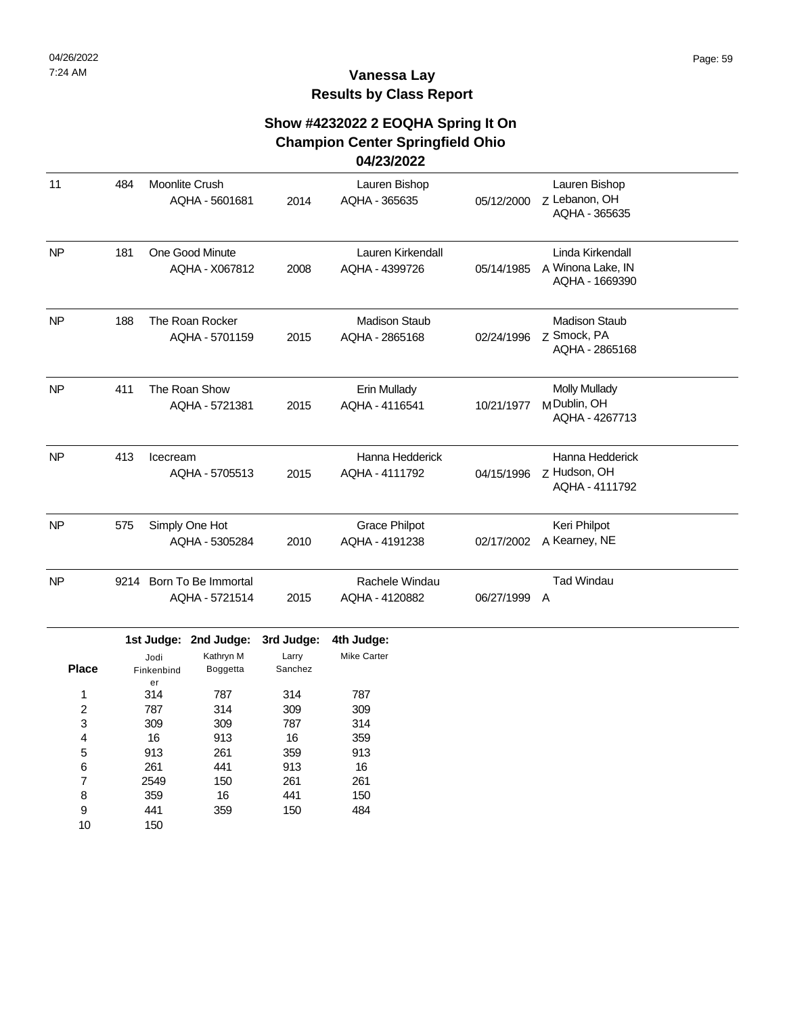## **Show #4232022 2 EOQHA Spring It On Champion Center Springfield Ohio**

#### **04/23/2022**

| 11        | 484  | <b>Moonlite Crush</b><br>AQHA - 5601681 | 2014 | Lauren Bishop<br>AQHA - 365635         | 05/12/2000 | Lauren Bishop<br>z Lebanon, OH<br>AQHA - 365635         |  |
|-----------|------|-----------------------------------------|------|----------------------------------------|------------|---------------------------------------------------------|--|
| <b>NP</b> | 181  | One Good Minute<br>AQHA - X067812       | 2008 | Lauren Kirkendall<br>AQHA - 4399726    | 05/14/1985 | Linda Kirkendall<br>A Winona Lake, IN<br>AQHA - 1669390 |  |
| <b>NP</b> | 188  | The Roan Rocker<br>AQHA - 5701159       | 2015 | <b>Madison Staub</b><br>AQHA - 2865168 | 02/24/1996 | <b>Madison Staub</b><br>Z Smock, PA<br>AQHA - 2865168   |  |
| <b>NP</b> | 411  | The Roan Show<br>AQHA - 5721381         | 2015 | Erin Mullady<br>AQHA - 4116541         | 10/21/1977 | <b>Molly Mullady</b><br>M Dublin, OH<br>AQHA - 4267713  |  |
| <b>NP</b> | 413  | Icecream<br>AQHA - 5705513              | 2015 | Hanna Hedderick<br>AQHA - 4111792      | 04/15/1996 | Hanna Hedderick<br>Z Hudson, OH<br>AQHA - 4111792       |  |
| <b>NP</b> | 575  | Simply One Hot<br>AQHA - 5305284        | 2010 | <b>Grace Philpot</b><br>AQHA - 4191238 | 02/17/2002 | Keri Philpot<br>A Kearney, NE                           |  |
| <b>NP</b> | 9214 | Born To Be Immortal<br>AQHA - 5721514   | 2015 | Rachele Windau<br>AQHA - 4120882       | 06/27/1999 | <b>Tad Windau</b><br>$\mathsf{A}$                       |  |

|              |            | 1st Judge: 2nd Judge: | 3rd Judge: | 4th Judge:         |
|--------------|------------|-----------------------|------------|--------------------|
|              | Jodi       | Kathryn M             | Larry      | <b>Mike Carter</b> |
| <b>Place</b> | Finkenbind | <b>Boggetta</b>       | Sanchez    |                    |
|              | er         |                       |            |                    |
| 1            | 314        | 787                   | 314        | 787                |
| 2            | 787        | 314                   | 309        | 309                |
| 3            | 309        | 309                   | 787        | 314                |
| 4            | 16         | 913                   | 16         | 359                |
| 5            | 913        | 261                   | 359        | 913                |
| 6            | 261        | 441                   | 913        | 16                 |
| 7            | 2549       | 150                   | 261        | 261                |
| 8            | 359        | 16                    | 441        | 150                |
| 9            | 441        | 359                   | 150        | 484                |
| 10           | 150        |                       |            |                    |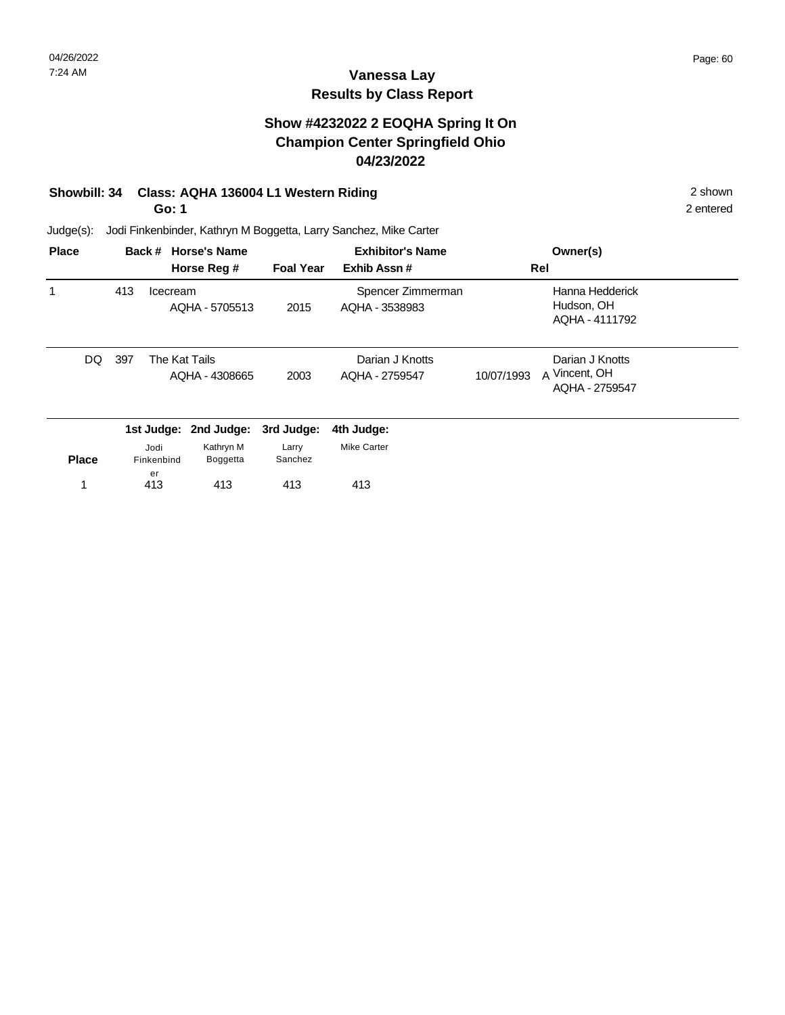## **Vanessa Lay Results by Class Report**

## **Show #4232022 2 EOQHA Spring It On Champion Center Springfield Ohio 04/23/2022**

## **Showbill: 34 Class: AQHA 136004 L1 Western Riding 2 shown 2 shown** 2 shown

**Go: 1**

| <b>Place</b> |     | Back #             | <b>Horse's Name</b><br>Horse Reg # | <b>Foal Year</b> | <b>Exhibitor's Name</b><br>Exhib Assn# | Owner(s)<br>Rel                                                  |
|--------------|-----|--------------------|------------------------------------|------------------|----------------------------------------|------------------------------------------------------------------|
|              | 413 | Icecream           | AQHA - 5705513                     | 2015             | Spencer Zimmerman<br>AQHA - 3538983    | Hanna Hedderick<br>Hudson, OH<br>AQHA - 4111792                  |
| DQ.          | 397 | The Kat Tails      | AQHA - 4308665                     | 2003             | Darian J Knotts<br>AQHA - 2759547      | Darian J Knotts<br>A Vincent, OH<br>10/07/1993<br>AQHA - 2759547 |
|              |     |                    | 1st Judge: 2nd Judge:              | 3rd Judge:       | 4th Judge:                             |                                                                  |
| <b>Place</b> |     | Jodi<br>Finkenbind | Kathryn M<br>Boggetta              | Larry<br>Sanchez | <b>Mike Carter</b>                     |                                                                  |
| 1            |     | er<br>413          | 413                                | 413              | 413                                    |                                                                  |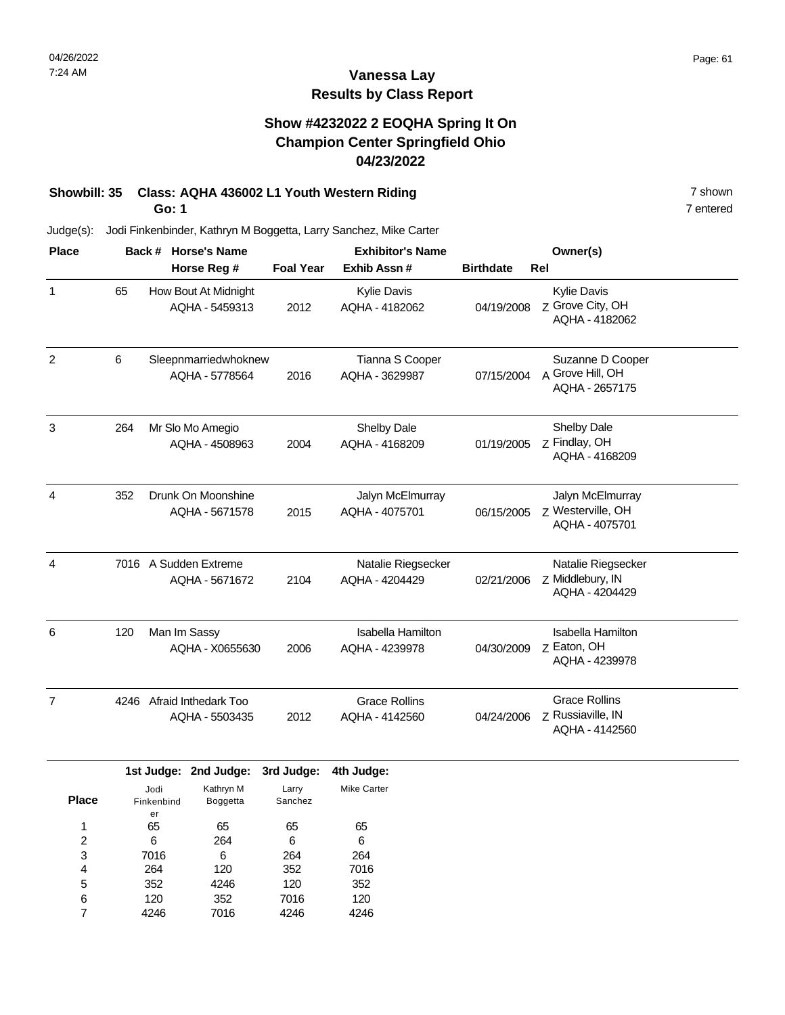## **Show #4232022 2 EOQHA Spring It On Champion Center Springfield Ohio 04/23/2022**

# **Showbill: 35 Class: AQHA 436002 L1 Youth Western Riding 7 Shown 7 shown**

**Go: 1**

Judge(s): Jodi Finkenbinder, Kathryn M Boggetta, Larry Sanchez, Mike Carter

| <b>Place</b>   |      | Back #                    | <b>Horse's Name</b>                           |                  | <b>Exhibitor's Name</b>                    |                  | Owner(s)                                                    |
|----------------|------|---------------------------|-----------------------------------------------|------------------|--------------------------------------------|------------------|-------------------------------------------------------------|
|                |      |                           | Horse Reg #                                   | <b>Foal Year</b> | Exhib Assn #                               | <b>Birthdate</b> | Rel                                                         |
| $\mathbf{1}$   | 65   |                           | How Bout At Midnight<br>AQHA - 5459313        | 2012             | <b>Kylie Davis</b><br>AQHA - 4182062       | 04/19/2008       | Kylie Davis<br>Z Grove City, OH<br>AQHA - 4182062           |
| $\overline{c}$ | 6    |                           | Sleepnmarriedwhoknew<br>AQHA - 5778564        | 2016             | Tianna S Cooper<br>AQHA - 3629987          | 07/15/2004       | Suzanne D Cooper<br>A Grove Hill, OH<br>AQHA - 2657175      |
| 3              | 264  |                           | Mr Slo Mo Amegio<br>AQHA - 4508963            | 2004             | Shelby Dale<br>AQHA - 4168209              | 01/19/2005       | Shelby Dale<br>z Findlay, OH<br>AQHA - 4168209              |
| 4              | 352  |                           | Drunk On Moonshine<br>AQHA - 5671578          | 2015             | Jalyn McElmurray<br>AQHA - 4075701         | 06/15/2005       | Jalyn McElmurray<br>z Westerville, OH<br>AQHA - 4075701     |
| 4              |      |                           | 7016 A Sudden Extreme<br>AQHA - 5671672       | 2104             | Natalie Riegsecker<br>AQHA - 4204429       | 02/21/2006       | Natalie Riegsecker<br>Z Middlebury, IN<br>AQHA - 4204429    |
| 6              | 120  |                           | Man Im Sassy<br>AQHA - X0655630               | 2006             | <b>Isabella Hamilton</b><br>AQHA - 4239978 | 04/30/2009       | <b>Isabella Hamilton</b><br>Z Eaton, OH<br>AQHA - 4239978   |
| $\overline{7}$ | 4246 |                           | <b>Afraid Inthedark Too</b><br>AQHA - 5503435 | 2012             | <b>Grace Rollins</b><br>AQHA - 4142560     | 04/24/2006       | <b>Grace Rollins</b><br>7 Russiaville, IN<br>AQHA - 4142560 |
|                |      |                           | 1st Judge: 2nd Judge:                         | 3rd Judge:       | 4th Judge:                                 |                  |                                                             |
| Place          |      | Jodi<br><b>Finkenhind</b> | Kathryn M<br>Boggetta                         | Larry<br>Sanchez | <b>Mike Carter</b>                         |                  |                                                             |

7 entered

|              |            | 1st Judge: 2nd Judge: | 3rd Judge: | 4th Judge         |
|--------------|------------|-----------------------|------------|-------------------|
|              | Jodi       | Kathryn M             | Larry      | <b>Mike Carte</b> |
| <b>Place</b> | Finkenbind | Boggetta              | Sanchez    |                   |
|              | er         |                       |            |                   |
| 1            | 65         | 65                    | 65         | 65                |
| 2            | 6          | 264                   | 6          | 6                 |
| 3            | 7016       | 6                     | 264        | 264               |
| 4            | 264        | 120                   | 352        | 7016              |
| 5            | 352        | 4246                  | 120        | 352               |
| 6            | 120        | 352                   | 7016       | 120               |
|              | 4246       | 7016                  | 4246       | 4246              |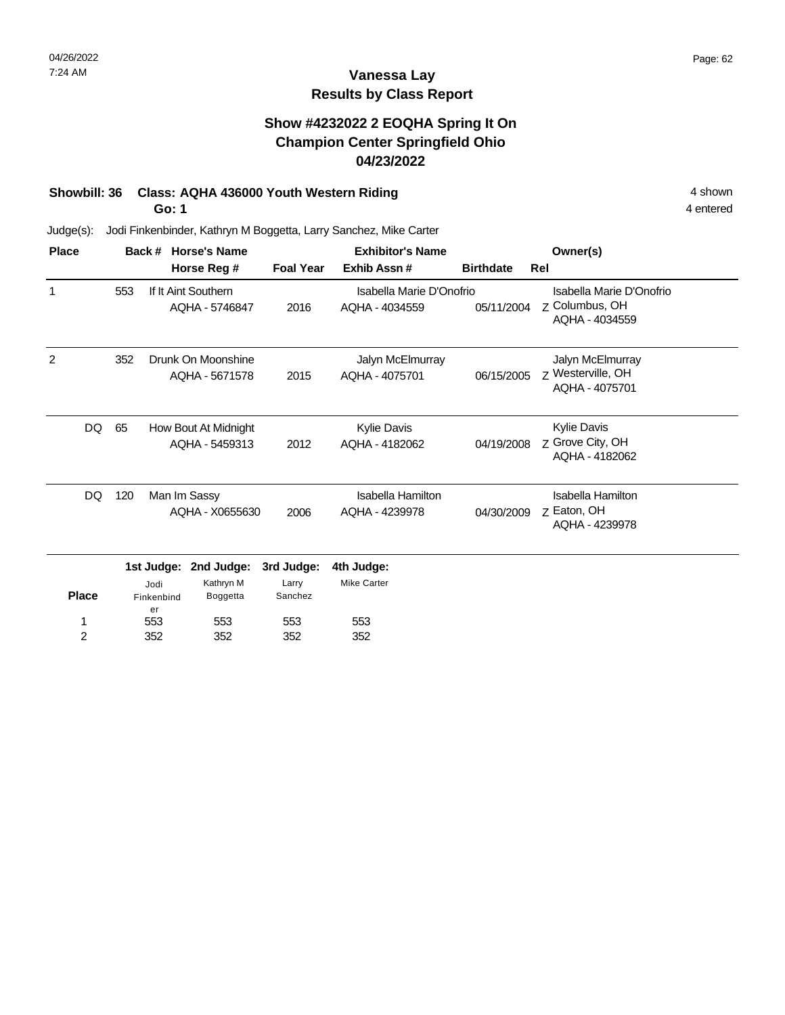## **Vanessa Lay Results by Class Report**

## **Show #4232022 2 EOQHA Spring It On Champion Center Springfield Ohio 04/23/2022**

## **Showbill: 36 Class: AQHA 436000 Youth Western Riding 4 Shown 4 shown 4 shown**

**Go: 1**

| <b>Place</b>   |     | Back #           | <b>Horse's Name</b>  |                  | <b>Exhibitor's Name</b>  |                  |     | Owner(s)                            |
|----------------|-----|------------------|----------------------|------------------|--------------------------|------------------|-----|-------------------------------------|
|                |     |                  | Horse Reg #          | <b>Foal Year</b> | Exhib Assn#              | <b>Birthdate</b> | Rel |                                     |
| 1              | 553 |                  | If It Aint Southern  |                  | Isabella Marie D'Onofrio |                  |     | Isabella Marie D'Onofrio            |
|                |     |                  | AQHA - 5746847       | 2016             | AQHA - 4034559           | 05/11/2004       |     | Z Columbus, OH<br>AQHA - 4034559    |
| 2              | 352 |                  | Drunk On Moonshine   |                  | Jalyn McElmurray         |                  |     | Jalyn McElmurray                    |
|                |     |                  | AQHA - 5671578       | 2015             | AQHA - 4075701           | 06/15/2005       |     | Z Westerville, OH<br>AQHA - 4075701 |
| DQ             | 65  |                  | How Bout At Midnight |                  | <b>Kylie Davis</b>       |                  |     | <b>Kylie Davis</b>                  |
|                |     |                  | AQHA - 5459313       | 2012             | AQHA - 4182062           | 04/19/2008       |     | Z Grove City, OH<br>AQHA - 4182062  |
| DQ             | 120 |                  | Man Im Sassy         |                  | Isabella Hamilton        |                  |     | <b>Isabella Hamilton</b>            |
|                |     |                  | AQHA - X0655630      | 2006             | AQHA - 4239978           | 04/30/2009       |     | Z Eaton, OH<br>AQHA - 4239978       |
|                |     | 1st Judge:       | 2nd Judge:           | 3rd Judge:       | 4th Judge:               |                  |     |                                     |
|                |     | Jodi             | Kathryn M            | Larry            | <b>Mike Carter</b>       |                  |     |                                     |
| <b>Place</b>   |     | Finkenbind<br>er | <b>Boggetta</b>      | Sanchez          |                          |                  |     |                                     |
| 1              |     | 553              | 553                  | 553              | 553                      |                  |     |                                     |
| $\overline{c}$ |     | 352              | 352                  | 352              | 352                      |                  |     |                                     |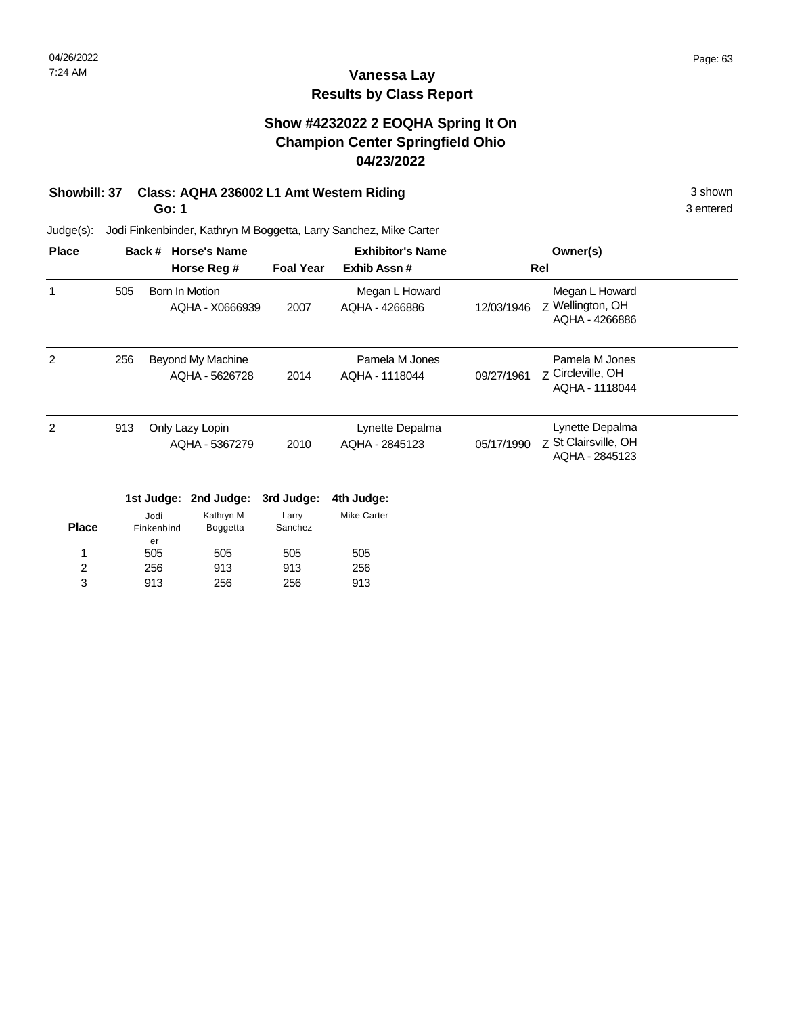## **Show #4232022 2 EOQHA Spring It On Champion Center Springfield Ohio 04/23/2022**

## **Showbill: 37 Class: AQHA 236002 L1 Amt Western Riding 3 Shown 3 shown 3 shown**

**Go: 1**

Judge(s): Jodi Finkenbinder, Kathryn M Boggetta, Larry Sanchez, Mike Carter

| <b>Place</b> |     | Back #                   | <b>Horse's Name</b>                 |                  | <b>Exhibitor's Name</b>           |            | Owner(s)                                                  |  |
|--------------|-----|--------------------------|-------------------------------------|------------------|-----------------------------------|------------|-----------------------------------------------------------|--|
|              |     |                          | Horse Reg #                         | <b>Foal Year</b> | Exhib Assn#                       | Rel        |                                                           |  |
| 1            | 505 |                          | Born In Motion<br>AQHA - X0666939   | 2007             | Megan L Howard<br>AQHA - 4266886  | 12/03/1946 | Megan L Howard<br>Z Wellington, OH<br>AQHA - 4266886      |  |
| 2            | 256 |                          | Beyond My Machine<br>AQHA - 5626728 | 2014             | Pamela M Jones<br>AQHA - 1118044  | 09/27/1961 | Pamela M Jones<br>Z Circleville, OH<br>AQHA - 1118044     |  |
| 2            | 913 |                          | Only Lazy Lopin<br>AQHA - 5367279   | 2010             | Lynette Depalma<br>AQHA - 2845123 | 05/17/1990 | Lynette Depalma<br>Z St Clairsville, OH<br>AQHA - 2845123 |  |
|              |     |                          | 1st Judge: 2nd Judge:               | 3rd Judge:       | 4th Judge:                        |            |                                                           |  |
| <b>Place</b> |     | Jodi<br>Finkenbind<br>er | Kathryn M<br>Boggetta               | Larry<br>Sanchez | <b>Mike Carter</b>                |            |                                                           |  |
| 1            |     | 505                      | 505                                 | 505              | 505                               |            |                                                           |  |
| 2            |     | 256                      | 913                                 | 913              | 256                               |            |                                                           |  |
| 3            |     | 913                      | 256                                 | 256              | 913                               |            |                                                           |  |

3 entered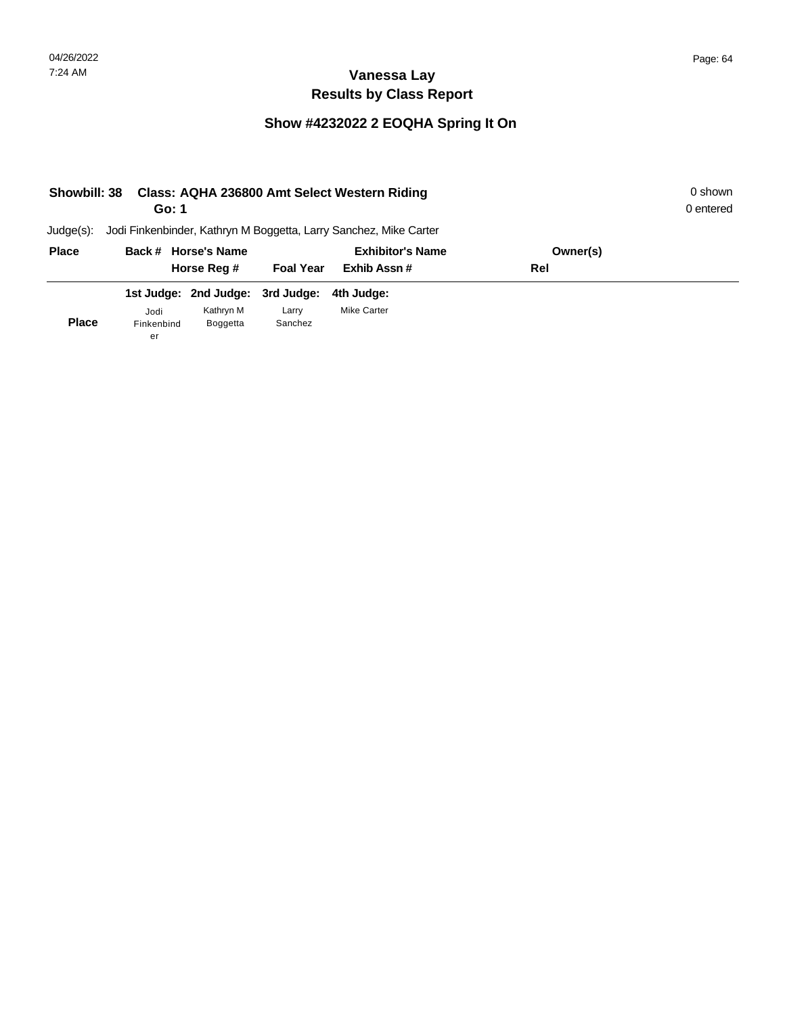## **Show #4232022 2 EOQHA Spring It On**

| <b>Showbill: 38</b> | Go: 1            |                                  |                  | Class: AQHA 236800 Amt Select Western Riding                      |          | 0 shown<br>0 entered |
|---------------------|------------------|----------------------------------|------------------|-------------------------------------------------------------------|----------|----------------------|
| $Judge(s)$ :        |                  |                                  |                  | Jodi Finkenbinder, Kathryn M Boggetta, Larry Sanchez, Mike Carter |          |                      |
| <b>Place</b>        |                  | Back # Horse's Name              |                  | <b>Exhibitor's Name</b>                                           | Owner(s) |                      |
|                     |                  | Horse Reg #                      | <b>Foal Year</b> | Exhib Assn#                                                       | Rel      |                      |
|                     |                  | 1st Judge: 2nd Judge: 3rd Judge: |                  | 4th Judge:                                                        |          |                      |
|                     | Jodi             | Kathryn M                        | Larry            | Mike Carter                                                       |          |                      |
| <b>Place</b>        | Finkenbind<br>er | <b>Boggetta</b>                  | Sanchez          |                                                                   |          |                      |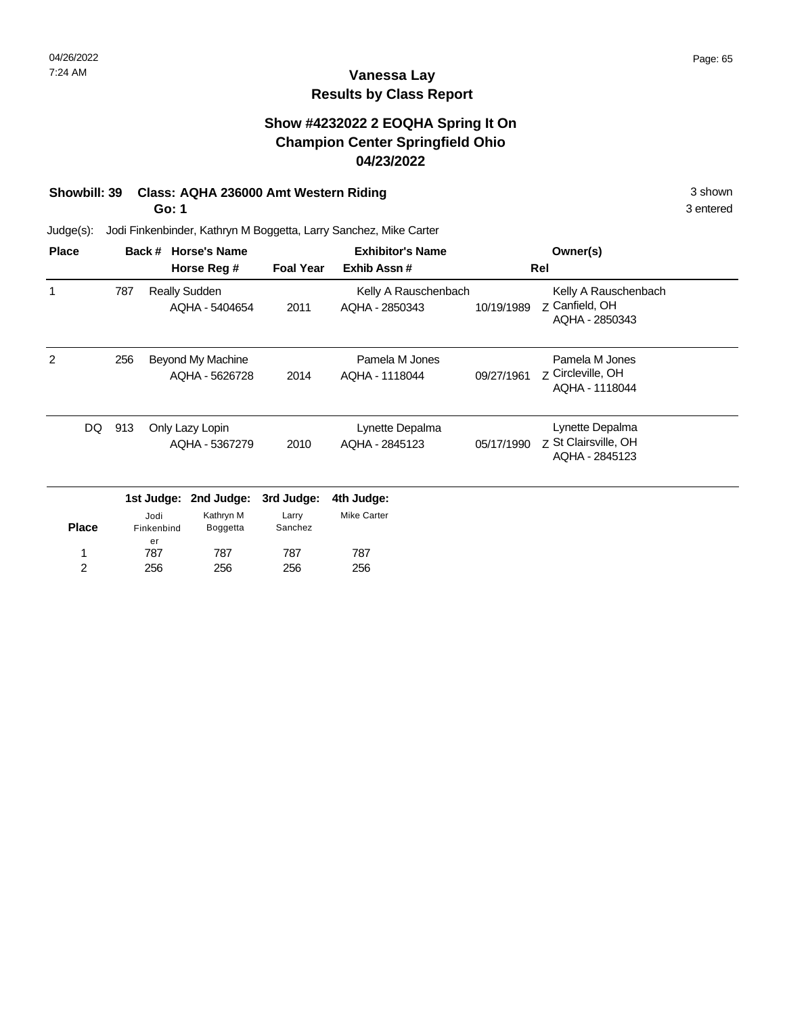## **Vanessa Lay Results by Class Report**

## **Show #4232022 2 EOQHA Spring It On Champion Center Springfield Ohio 04/23/2022**

## **Showbill: 39 Class: AQHA 236000 Amt Western Riding 3 Shown 3 shown 3 shown**

**Go: 1**

| <b>Place</b> |     |                    | Back # Horse's Name   | <b>Exhibitor's Name</b> |                      |            | Owner(s)                               |  |
|--------------|-----|--------------------|-----------------------|-------------------------|----------------------|------------|----------------------------------------|--|
|              |     |                    | Horse Reg #           | <b>Foal Year</b>        | Exhib Assn#          |            | Rel                                    |  |
| 1            | 787 |                    | <b>Really Sudden</b>  |                         | Kelly A Rauschenbach |            | Kelly A Rauschenbach                   |  |
|              |     |                    | AQHA - 5404654        | 2011                    | AQHA - 2850343       | 10/19/1989 | Z Canfield, OH<br>AQHA - 2850343       |  |
| 2            | 256 |                    | Beyond My Machine     |                         | Pamela M Jones       |            | Pamela M Jones                         |  |
|              |     |                    | AQHA - 5626728        | 2014                    | AQHA - 1118044       | 09/27/1961 | Z Circleville, OH<br>AQHA - 1118044    |  |
| DQ.          | 913 |                    | Only Lazy Lopin       |                         | Lynette Depalma      |            | Lynette Depalma                        |  |
|              |     |                    | AQHA - 5367279        | 2010                    | AQHA - 2845123       | 05/17/1990 | Z St Clairsville, OH<br>AQHA - 2845123 |  |
|              |     | 1st Judge:         | 2nd Judge:            | 3rd Judge:              | 4th Judge:           |            |                                        |  |
| <b>Place</b> |     | Jodi<br>Finkenbind | Kathryn M<br>Boggetta | Larry<br>Sanchez        | <b>Mike Carter</b>   |            |                                        |  |
| 1            |     | er<br>787          | 787                   | 787                     | 787                  |            |                                        |  |
| 2            |     | 256                | 256                   | 256                     | 256                  |            |                                        |  |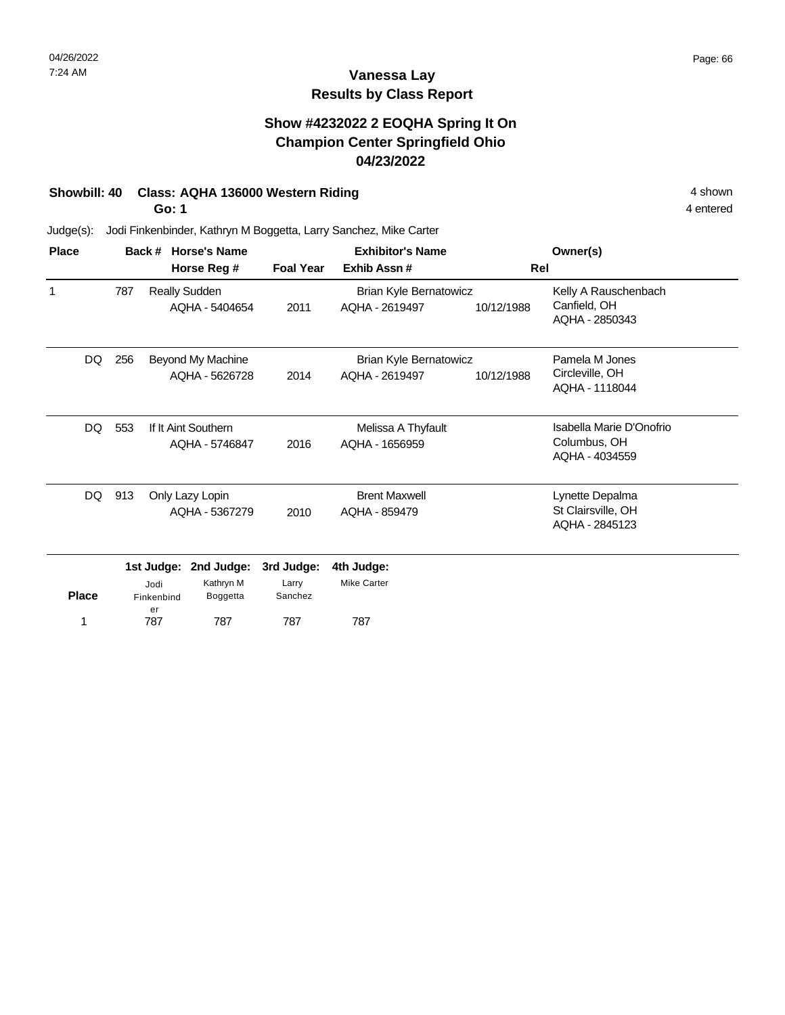## **Vanessa Lay Results by Class Report**

## **Show #4232022 2 EOQHA Spring It On Champion Center Springfield Ohio 04/23/2022**

### **Showbill: 40 Class: AQHA 136000 Western Riding 4 shown 4 shown 4 shown**

**Go: 1**

Judge(s): Jodi Finkenbinder, Kathryn M Boggetta, Larry Sanchez, Mike Carter

1 787

| <b>Place</b> |     | Back # Horse's Name                     |                                 | <b>Exhibitor's Name</b> |                                                 |            | Owner(s)                             |
|--------------|-----|-----------------------------------------|---------------------------------|-------------------------|-------------------------------------------------|------------|--------------------------------------|
|              |     |                                         | Horse Reg #                     | <b>Foal Year</b>        | Exhib Assn#                                     | Rel        |                                      |
| 1            | 787 |                                         | Really Sudden<br>AQHA - 5404654 | 2011                    | <b>Brian Kyle Bernatowicz</b><br>AQHA - 2619497 | 10/12/1988 | Kelly A Rauschenbach<br>Canfield, OH |
|              |     |                                         |                                 |                         |                                                 |            | AQHA - 2850343                       |
| DQ           | 256 |                                         | Beyond My Machine               |                         | <b>Brian Kyle Bernatowicz</b>                   |            | Pamela M Jones                       |
|              |     |                                         | AQHA - 5626728                  | 2014                    | AQHA - 2619497                                  | 10/12/1988 | Circleville, OH                      |
|              |     |                                         |                                 |                         |                                                 |            | AQHA - 1118044                       |
| DQ.          | 553 | If It Aint Southern                     |                                 |                         | Melissa A Thyfault                              |            | Isabella Marie D'Onofrio             |
|              |     |                                         | AQHA - 5746847                  | 2016                    | AQHA - 1656959                                  |            | Columbus, OH                         |
|              |     |                                         |                                 |                         |                                                 |            | AQHA - 4034559                       |
| DQ           | 913 |                                         | Only Lazy Lopin                 |                         | <b>Brent Maxwell</b>                            |            | Lynette Depalma                      |
|              |     |                                         | AQHA - 5367279                  | 2010                    | AQHA - 859479                                   |            | St Clairsville, OH                   |
|              |     |                                         |                                 |                         |                                                 |            | AQHA - 2845123                       |
|              |     | 1st Judge:                              | 2nd Judge:                      | 3rd Judge:              | 4th Judge:                                      |            |                                      |
|              |     | Jodi                                    | Kathryn M                       | Larry                   | <b>Mike Carter</b>                              |            |                                      |
| <b>Place</b> |     | Sanchez<br>Boggetta<br>Finkenbind<br>er |                                 |                         |                                                 |            |                                      |
| 1            |     | 787                                     | 787                             | 787                     | 787                                             |            |                                      |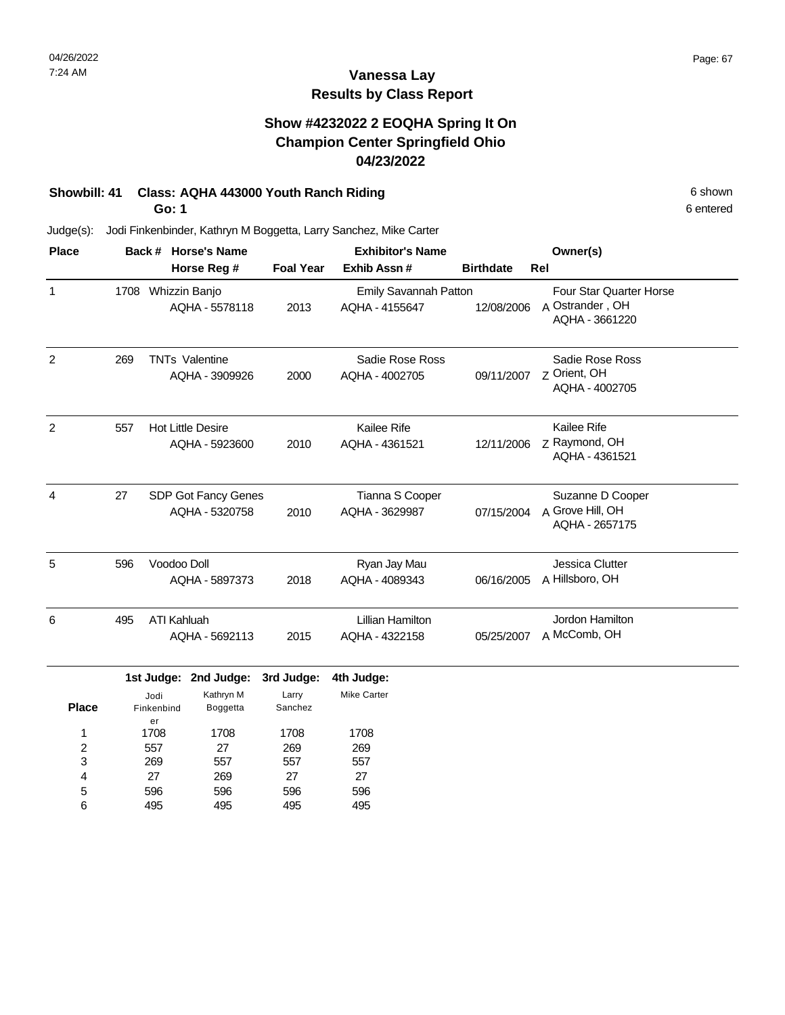## **Vanessa Lay Results by Class Report**

## **Show #4232022 2 EOQHA Spring It On Champion Center Springfield Ohio 04/23/2022**

## **Showbill: 41 Class: AQHA 443000 Youth Ranch Riding 6 Shown 6 Shown 6 shown**

**Go: 1**

27 596 495

4 5 6 269 596 495

27 596 495

27 596 495

| <b>Place</b>   | Back # Horse's Name |                    |                          |                  | <b>Exhibitor's Name</b> | Owner(s)         |                                |
|----------------|---------------------|--------------------|--------------------------|------------------|-------------------------|------------------|--------------------------------|
|                |                     |                    | Horse Reg #              | <b>Foal Year</b> | Exhib Assn #            | <b>Birthdate</b> | Rel                            |
| $\mathbf{1}$   |                     | 1708 Whizzin Banjo |                          |                  | Emily Savannah Patton   |                  | <b>Four Star Quarter Horse</b> |
|                |                     |                    | AQHA - 5578118           | 2013             | AQHA - 4155647          | 12/08/2006       | A Ostrander, OH                |
|                |                     |                    |                          |                  |                         |                  | AQHA - 3661220                 |
| $\overline{2}$ | 269                 |                    | <b>TNTs Valentine</b>    |                  | Sadie Rose Ross         |                  | Sadie Rose Ross                |
|                |                     |                    | AQHA - 3909926           | 2000             | AQHA - 4002705          | 09/11/2007       | Z Orient, OH                   |
|                |                     |                    |                          |                  |                         |                  | AQHA - 4002705                 |
| $\overline{2}$ | 557                 |                    | <b>Hot Little Desire</b> |                  | Kailee Rife             |                  | Kailee Rife                    |
|                |                     |                    | AQHA - 5923600           | 2010             | AQHA - 4361521          | 12/11/2006       | z Raymond, OH                  |
|                |                     |                    |                          |                  |                         |                  | AQHA - 4361521                 |
| $\overline{4}$ | 27                  |                    | SDP Got Fancy Genes      |                  | Tianna S Cooper         |                  | Suzanne D Cooper               |
|                |                     |                    | AQHA - 5320758           | 2010             | AQHA - 3629987          | 07/15/2004       | A Grove Hill, OH               |
|                |                     |                    |                          |                  |                         | AQHA - 2657175   |                                |
| 5              | 596                 | Voodoo Doll        |                          |                  | Ryan Jay Mau            |                  | Jessica Clutter                |
|                |                     |                    | AQHA - 5897373           | 2018             | AQHA - 4089343          | 06/16/2005       | A Hillsboro, OH                |
| 6              | 495                 | ATI Kahluah        |                          |                  | <b>Lillian Hamilton</b> |                  | Jordon Hamilton                |
|                |                     |                    | AQHA - 5692113           | 2015             | AQHA - 4322158          | 05/25/2007       | A McComb, OH                   |
|                |                     |                    | 1st Judge: 2nd Judge:    | 3rd Judge:       | 4th Judge:              |                  |                                |
|                |                     | Jodi               | Kathryn M                | Larry            | <b>Mike Carter</b>      |                  |                                |
| <b>Place</b>   |                     | Finkenbind         | Boggetta                 | Sanchez          |                         |                  |                                |
| 1              |                     | er<br>1708         | 1708                     | 1708             | 1708                    |                  |                                |
| 2              |                     | 557                | 27                       | 269              | 269                     |                  |                                |
| 3              | 269                 |                    | 557                      | 557              | 557                     |                  |                                |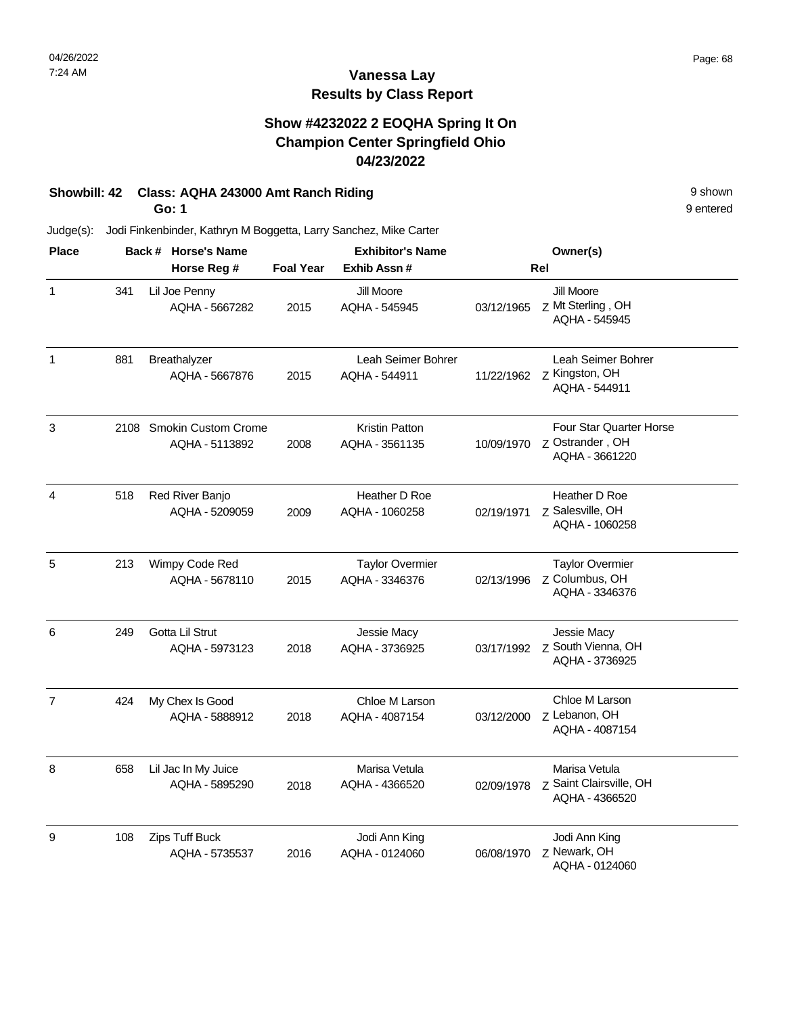## **Show #4232022 2 EOQHA Spring It On Champion Center Springfield Ohio 04/23/2022**

## **Showbill: 42 Class: AQHA 243000 Amt Ranch Riding 8 and 80 shown 9 shown 9 shown**

**Go: 1**

Judge(s): Jodi Finkenbinder, Kathryn M Boggetta, Larry Sanchez, Mike Carter

| <b>Place</b>            |     | Back # Horse's Name                        |                  | <b>Exhibitor's Name</b>                     | Owner(s)<br>Rel |                                                                     |  |
|-------------------------|-----|--------------------------------------------|------------------|---------------------------------------------|-----------------|---------------------------------------------------------------------|--|
|                         |     | Horse Reg #                                | <b>Foal Year</b> | Exhib Assn #<br>Jill Moore<br>AQHA - 545945 |                 |                                                                     |  |
| $\mathbf{1}$            | 341 | Lil Joe Penny<br>AQHA - 5667282            | 2015             |                                             | 03/12/1965      | Jill Moore<br>Z Mt Sterling, OH<br>AQHA - 545945                    |  |
| $\mathbf{1}$            | 881 | Breathalyzer<br>AQHA - 5667876             | 2015             | Leah Seimer Bohrer<br>AQHA - 544911         | 11/22/1962      | Leah Seimer Bohrer<br>Z Kingston, OH<br>AQHA - 544911               |  |
| 3                       |     | 2108 Smokin Custom Crome<br>AQHA - 5113892 | 2008             | <b>Kristin Patton</b><br>AQHA - 3561135     | 10/09/1970      | <b>Four Star Quarter Horse</b><br>Z Ostrander, OH<br>AQHA - 3661220 |  |
| $\overline{\mathbf{4}}$ | 518 | Red River Banjo<br>AQHA - 5209059          | 2009             | Heather D Roe<br>AQHA - 1060258             | 02/19/1971      | Heather D Roe<br>Z Salesville, OH<br>AQHA - 1060258                 |  |
| $\overline{5}$          | 213 | Wimpy Code Red<br>AQHA - 5678110           | 2015             | <b>Taylor Overmier</b><br>AQHA - 3346376    | 02/13/1996      | <b>Taylor Overmier</b><br>Z Columbus, OH<br>AQHA - 3346376          |  |
| 6                       | 249 | Gotta Lil Strut<br>AQHA - 5973123          | 2018             | Jessie Macy<br>AQHA - 3736925               | 03/17/1992      | Jessie Macy<br>Z South Vienna, OH<br>AQHA - 3736925                 |  |
| $\overline{7}$          | 424 | My Chex Is Good<br>AQHA - 5888912          | 2018             | Chloe M Larson<br>AQHA - 4087154            | 03/12/2000      | Chloe M Larson<br>z Lebanon, OH<br>AQHA - 4087154                   |  |
| 8                       | 658 | Lil Jac In My Juice<br>AQHA - 5895290      | 2018             | Marisa Vetula<br>AQHA - 4366520             | 02/09/1978      | Marisa Vetula<br><b>Z</b> Saint Clairsville, OH<br>AQHA - 4366520   |  |
| 9                       | 108 | Zips Tuff Buck<br>AQHA - 5735537           | 2016             | Jodi Ann King<br>AQHA - 0124060             | 06/08/1970      | Jodi Ann King<br>Z Newark, OH<br>AQHA - 0124060                     |  |

9 entered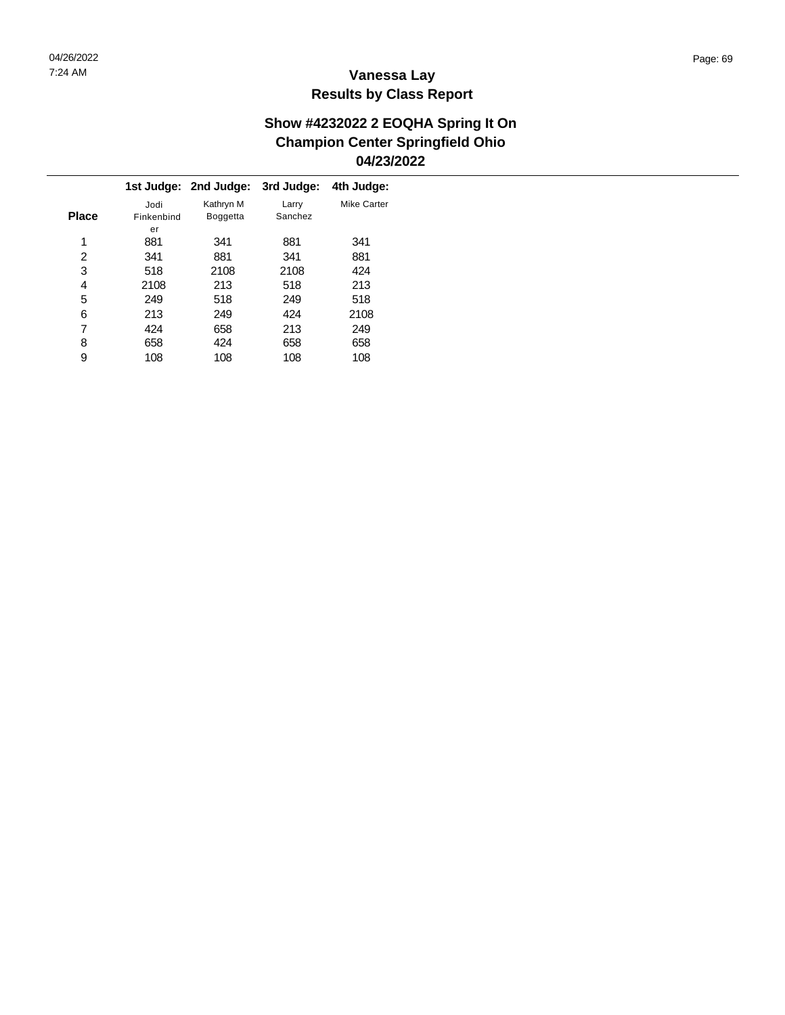$\overline{\phantom{a}}$ 

## **Vanessa Lay Results by Class Report**

|              |            | 1st Judge: 2nd Judge: | 3rd Judge: | 4th Judge:  |
|--------------|------------|-----------------------|------------|-------------|
|              | Jodi       | Kathryn M             | Larry      | Mike Carter |
| <b>Place</b> | Finkenbind | <b>Boggetta</b>       | Sanchez    |             |
|              | er         |                       |            |             |
| 1            | 881        | 341                   | 881        | 341         |
| 2            | 341        | 881                   | 341        | 881         |
| 3            | 518        | 2108                  | 2108       | 424         |
| 4            | 2108       | 213                   | 518        | 213         |
| 5            | 249        | 518                   | 249        | 518         |
| 6            | 213        | 249                   | 424        | 2108        |
| 7            | 424        | 658                   | 213        | 249         |
| 8            | 658        | 424                   | 658        | 658         |
| 9            | 108        | 108                   | 108        | 108         |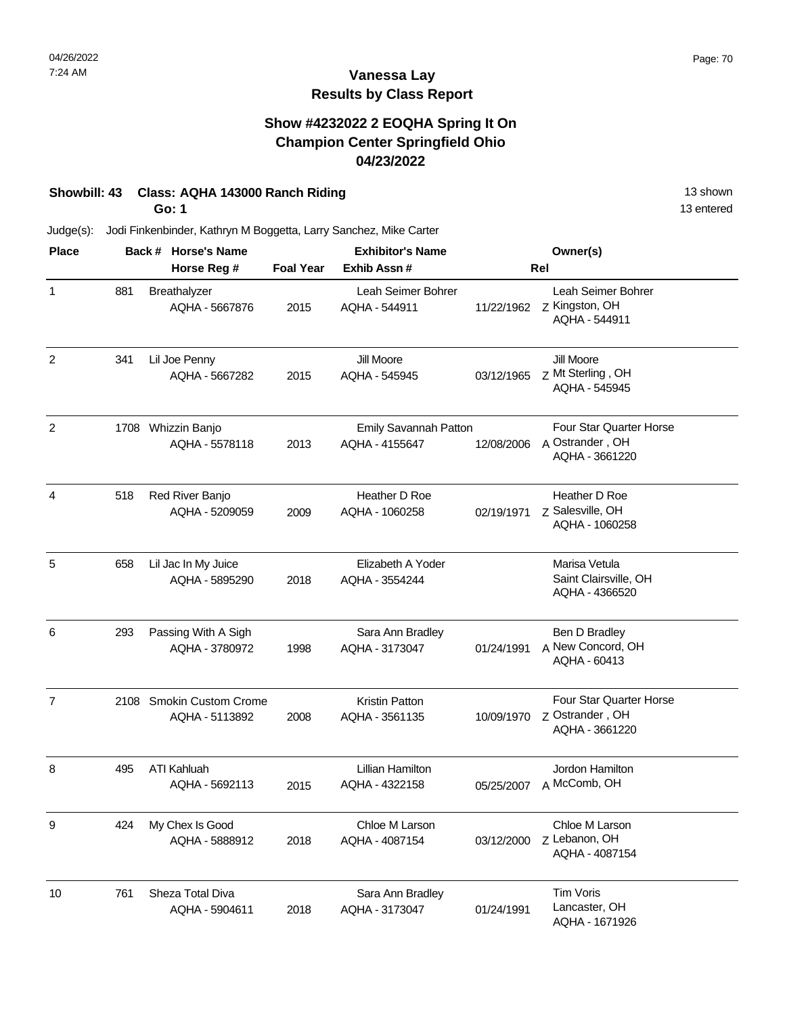## **Show #4232022 2 EOQHA Spring It On Champion Center Springfield Ohio 04/23/2022**

## **Showbill: 43 Class: AQHA 143000 Ranch Riding** 13 Shown 13 shown

**Go: 1**

13 entered

| <b>Place</b>   |      | Back # Horse's Name                          |                  | <b>Exhibitor's Name</b>                 |            | Owner(s)                                                     |
|----------------|------|----------------------------------------------|------------------|-----------------------------------------|------------|--------------------------------------------------------------|
|                |      | Horse Reg #                                  | <b>Foal Year</b> | Exhib Assn#                             |            | Rel                                                          |
| 1              | 881  | Breathalyzer<br>AQHA - 5667876               | 2015             | Leah Seimer Bohrer<br>AQHA - 544911     | 11/22/1962 | Leah Seimer Bohrer<br>Z Kingston, OH<br>AQHA - 544911        |
| $\overline{c}$ | 341  | Lil Joe Penny<br>AQHA - 5667282              | 2015             | Jill Moore<br>AQHA - 545945             | 03/12/1965 | Jill Moore<br>Z Mt Sterling, OH<br>AQHA - 545945             |
| 2              |      | 1708 Whizzin Banjo<br>AQHA - 5578118         | 2013             | Emily Savannah Patton<br>AQHA - 4155647 | 12/08/2006 | Four Star Quarter Horse<br>A Ostrander, OH<br>AQHA - 3661220 |
| 4              | 518  | Red River Banjo<br>AQHA - 5209059            | 2009             | Heather D Roe<br>AQHA - 1060258         | 02/19/1971 | Heather D Roe<br>Z Salesville, OH<br>AQHA - 1060258          |
| 5              | 658  | Lil Jac In My Juice<br>AQHA - 5895290        | 2018             | Elizabeth A Yoder<br>AQHA - 3554244     |            | Marisa Vetula<br>Saint Clairsville, OH<br>AQHA - 4366520     |
| 6              | 293  | Passing With A Sigh<br>AQHA - 3780972        | 1998             | Sara Ann Bradley<br>AQHA - 3173047      | 01/24/1991 | Ben D Bradley<br>A New Concord, OH<br>AQHA - 60413           |
| 7              | 2108 | <b>Smokin Custom Crome</b><br>AQHA - 5113892 | 2008             | Kristin Patton<br>AQHA - 3561135        | 10/09/1970 | Four Star Quarter Horse<br>Z Ostrander, OH<br>AQHA - 3661220 |
| 8              | 495  | <b>ATI Kahluah</b><br>AQHA - 5692113         | 2015             | Lillian Hamilton<br>AQHA - 4322158      | 05/25/2007 | Jordon Hamilton<br>A McComb, OH                              |
| 9              | 424  | My Chex Is Good<br>AQHA - 5888912            | 2018             | Chloe M Larson<br>AQHA - 4087154        | 03/12/2000 | Chloe M Larson<br>Z Lebanon, OH<br>AQHA - 4087154            |
| 10             | 761  | Sheza Total Diva<br>AQHA - 5904611           | 2018             | Sara Ann Bradley<br>AQHA - 3173047      | 01/24/1991 | Tim Voris<br>Lancaster, OH<br>AQHA - 1671926                 |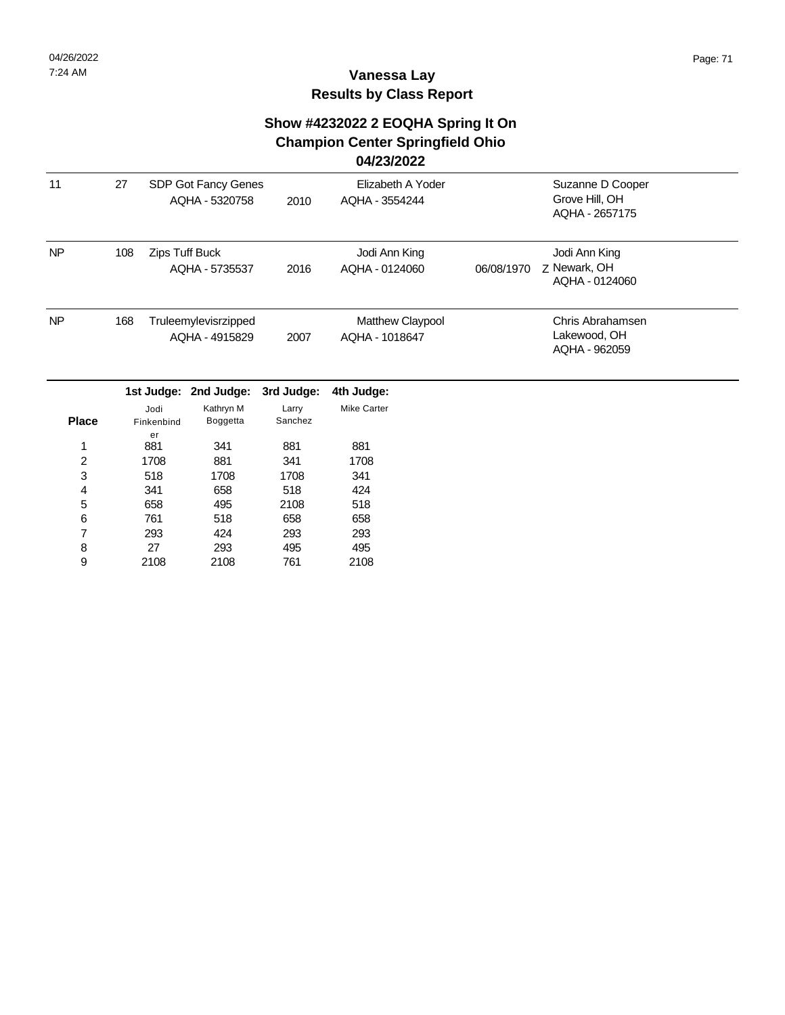## **Show #4232022 2 EOQHA Spring It On Champion Center Springfield Ohio**

#### **04/23/2022**

| 11             | 27                                            |                    | SDP Got Fancy Genes<br>AQHA - 5320758 | 2010                               | Elizabeth A Yoder<br>AQHA - 3554244 |                                                   | Suzanne D Cooper<br>Grove Hill, OH<br>AQHA - 2657175 |  |
|----------------|-----------------------------------------------|--------------------|---------------------------------------|------------------------------------|-------------------------------------|---------------------------------------------------|------------------------------------------------------|--|
| N <sub>P</sub> | 108                                           |                    | Zips Tuff Buck<br>AQHA - 5735537      | 2016                               | Jodi Ann King<br>AQHA - 0124060     | 06/08/1970                                        | Jodi Ann King<br>Z Newark, OH<br>AQHA - 0124060      |  |
| NP             | 168<br>Truleemylevisrzipped<br>AQHA - 4915829 |                    | 2007                                  | Matthew Claypool<br>AQHA - 1018647 |                                     | Chris Abrahamsen<br>Lakewood, OH<br>AQHA - 962059 |                                                      |  |
|                |                                               | 1st Judge:         | 2nd Judge:                            | 3rd Judge:                         | 4th Judge:                          |                                                   |                                                      |  |
| <b>Place</b>   |                                               | Jodi<br>Finkenbind | Kathryn M<br>Boggetta                 | Larry<br>Sanchez                   | Mike Carter                         |                                                   |                                                      |  |
|                |                                               | er<br>881          | 341                                   | 881                                | 881                                 |                                                   |                                                      |  |

|   | எ    |      |      |      |
|---|------|------|------|------|
| 1 | 881  | 341  | 881  | 881  |
| 2 | 1708 | 881  | 341  | 1708 |
| 3 | 518  | 1708 | 1708 | 341  |
| 4 | 341  | 658  | 518  | 424  |
| 5 | 658  | 495  | 2108 | 518  |
| 6 | 761  | 518  | 658  | 658  |
| 7 | 293  | 424  | 293  | 293  |
| 8 | 27   | 293  | 495  | 495  |
| 9 | 2108 | 2108 | 761  | 2108 |
|   |      |      |      |      |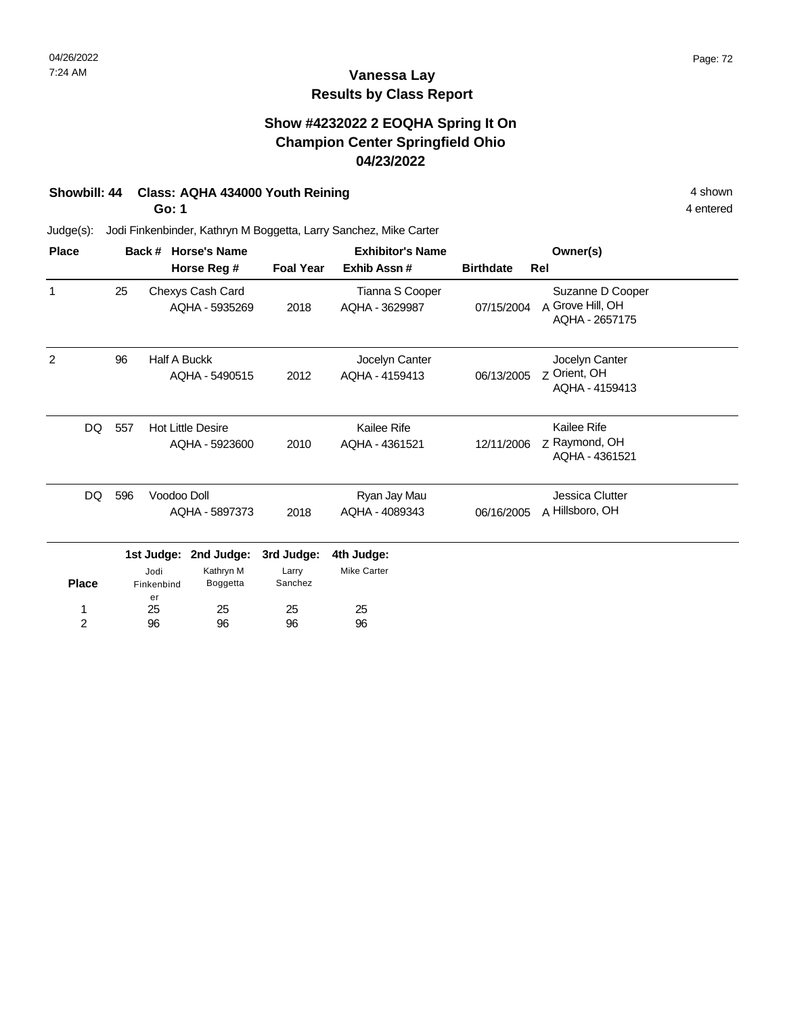## **Show #4232022 2 EOQHA Spring It On Champion Center Springfield Ohio 04/23/2022**

## **Showbill: 44 Class: AQHA 434000 Youth Reining 4 shown 4 shown 4 shown**

**Go: 1**

4 entered

| <b>Place</b>        |     | Back #                           | <b>Horse's Name</b>                        | <b>Exhibitor's Name</b>        |                                   |                  | Owner(s)                                               |
|---------------------|-----|----------------------------------|--------------------------------------------|--------------------------------|-----------------------------------|------------------|--------------------------------------------------------|
|                     |     |                                  | Horse Reg #                                | <b>Foal Year</b>               | Exhib Assn#                       | <b>Birthdate</b> | Rel                                                    |
| 1                   | 25  |                                  | Chexys Cash Card<br>AQHA - 5935269         | 2018                           | Tianna S Cooper<br>AQHA - 3629987 | 07/15/2004       | Suzanne D Cooper<br>A Grove Hill, OH<br>AQHA - 2657175 |
| 2                   | 96  | <b>Half A Buckk</b>              | AQHA - 5490515                             | 2012                           | Jocelyn Canter<br>AQHA - 4159413  | 06/13/2005       | Jocelyn Canter<br>Z Orient, OH<br>AQHA - 4159413       |
| DQ                  | 557 |                                  | <b>Hot Little Desire</b><br>AQHA - 5923600 | 2010                           | Kailee Rife<br>AQHA - 4361521     | 12/11/2006       | Kailee Rife<br>z Raymond, OH<br>AQHA - 4361521         |
| DQ.                 | 596 | Voodoo Doll                      | AQHA - 5897373                             | 2018                           | Ryan Jay Mau<br>AQHA - 4089343    | 06/16/2005       | Jessica Clutter<br>A Hillsboro, OH                     |
| <b>Place</b>        |     | 1st Judge:<br>Jodi<br>Finkenbind | 2nd Judge:<br>Kathryn M<br>Boggetta        | 3rd Judge:<br>Larry<br>Sanchez | 4th Judge:<br><b>Mike Carter</b>  |                  |                                                        |
| 1<br>$\overline{c}$ |     | er<br>25<br>96                   | 25<br>96                                   | 25<br>96                       | 25<br>96                          |                  |                                                        |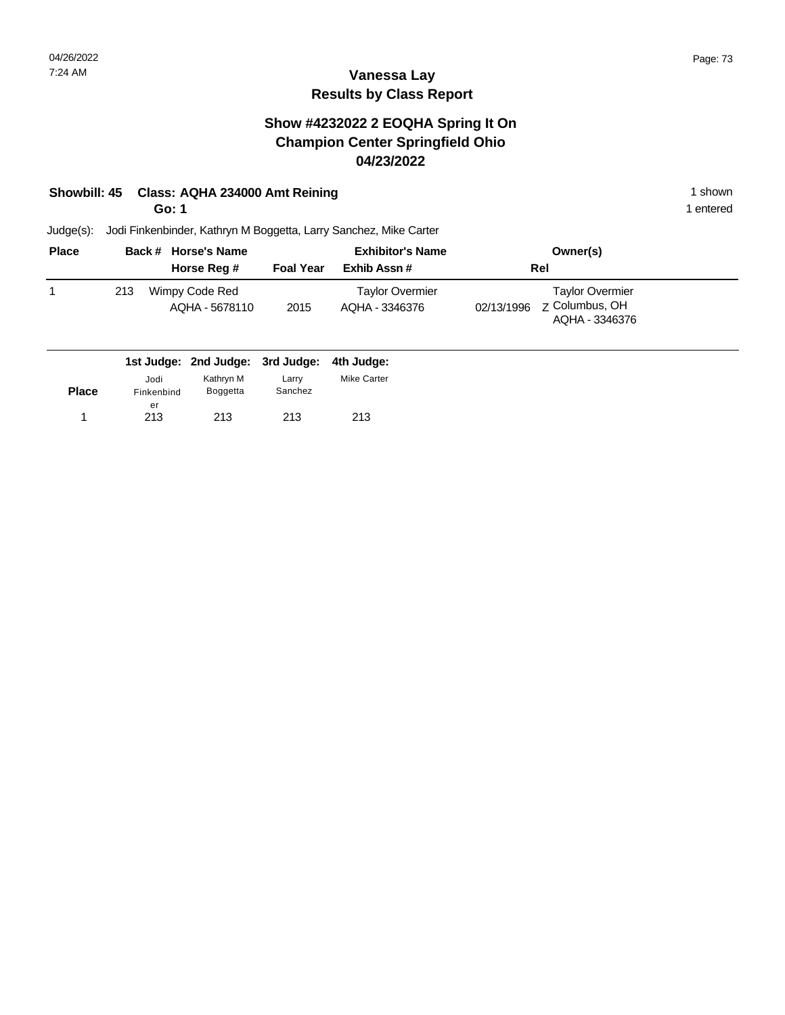## **Show #4232022 2 EOQHA Spring It On Champion Center Springfield Ohio 04/23/2022**

## **Showbill: 45 Class: AQHA 234000 Amt Reining 1 shown 1 shown 1 shown**

**Go: 1**

1 entered

| <b>Place</b> |     | Back # Horse's Name              | <b>Exhibitor's Name</b> |                                          | Owner(s)   |                                                                   |  |
|--------------|-----|----------------------------------|-------------------------|------------------------------------------|------------|-------------------------------------------------------------------|--|
|              |     | Horse Reg #                      | <b>Foal Year</b>        | Exhib Assn #                             |            | Rel                                                               |  |
|              | 213 | Wimpy Code Red<br>AQHA - 5678110 | 2015                    | <b>Taylor Overmier</b><br>AQHA - 3346376 | 02/13/1996 | <b>Taylor Overmier</b><br><b>Z</b> Columbus, OH<br>AQHA - 3346376 |  |

|              |            | 1st Judge: 2nd Judge: 3rd Judge: 4th Judge: |         |             |
|--------------|------------|---------------------------------------------|---------|-------------|
|              | Jodi       | Kathrvn M                                   | Larrv   | Mike Carter |
| <b>Place</b> | Finkenbind | Boggetta                                    | Sanchez |             |
|              | er         |                                             |         |             |
|              | 213        | 213                                         | 213     | 213         |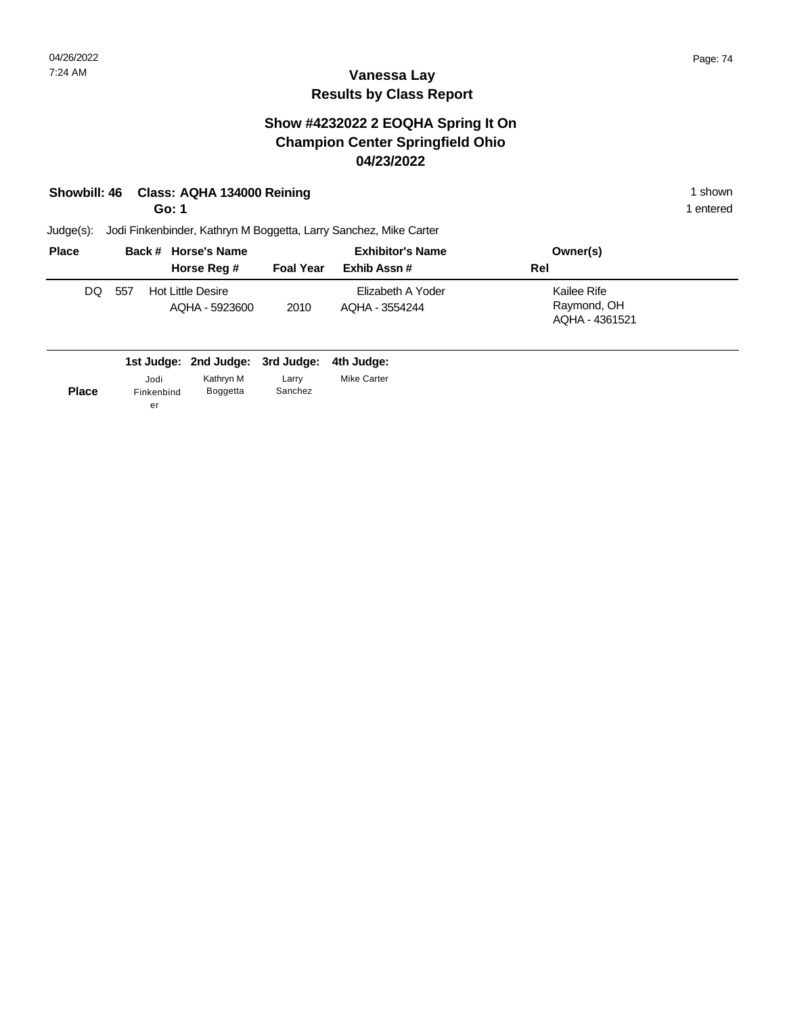## **Show #4232022 2 EOQHA Spring It On Champion Center Springfield Ohio 04/23/2022**

|  | Showbill: 46 Class: AQHA 134000 Reining | shown |
|--|-----------------------------------------|-------|
|--|-----------------------------------------|-------|

**Go: 1**

1 entered

| <b>Place</b> |     | Back # Horse's Name                        |                  | <b>Exhibitor's Name</b>             | Owner(s)                                     |
|--------------|-----|--------------------------------------------|------------------|-------------------------------------|----------------------------------------------|
|              |     | Horse Reg #                                | <b>Foal Year</b> | Exhib Assn #                        | Rel                                          |
| DQ           | 557 | <b>Hot Little Desire</b><br>AQHA - 5923600 | 2010             | Elizabeth A Yoder<br>AQHA - 3554244 | Kailee Rife<br>Raymond, OH<br>AQHA - 4361521 |

|              |                          | 1st Judge: 2nd Judge: 3rd Judge: 4th Judge: |                  |             |
|--------------|--------------------------|---------------------------------------------|------------------|-------------|
| <b>Place</b> | Jodi<br>Finkenbind<br>er | Kathrvn M<br>Boggetta                       | Larrv<br>Sanchez | Mike Carter |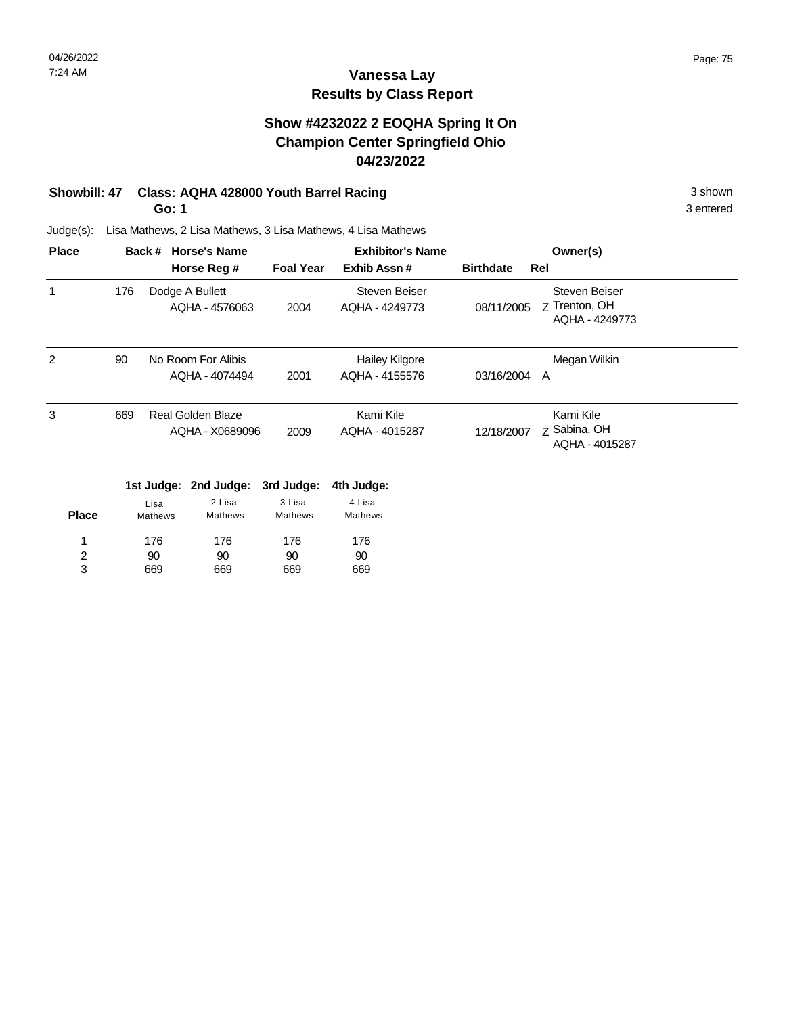## **Vanessa Lay Results by Class Report**

## **Show #4232022 2 EOQHA Spring It On Champion Center Springfield Ohio 04/23/2022**

# **Showbill: 47 Class: AQHA 428000 Youth Barrel Racing 3 Shown 3 shown** 3 shown

**Go: 1**

| <b>Place</b>   |     | Back #         | <b>Horse's Name</b>      |                  | <b>Exhibitor's Name</b> |                  | Owner(s)                        |
|----------------|-----|----------------|--------------------------|------------------|-------------------------|------------------|---------------------------------|
|                |     |                | Horse Reg #              | <b>Foal Year</b> | Exhib Assn#             | <b>Birthdate</b> | Rel                             |
| 1              | 176 |                | Dodge A Bullett          |                  | <b>Steven Beiser</b>    |                  | <b>Steven Beiser</b>            |
|                |     |                | AQHA - 4576063           | 2004             | AQHA - 4249773          | 08/11/2005       | Z Trenton, OH<br>AQHA - 4249773 |
| $\overline{2}$ | 90  |                | No Room For Alibis       |                  | <b>Hailey Kilgore</b>   |                  | Megan Wilkin                    |
|                |     |                | AQHA - 4074494           | 2001             | AQHA - 4155576          | 03/16/2004       | A                               |
| 3              | 669 |                | <b>Real Golden Blaze</b> |                  | Kami Kile               |                  | Kami Kile                       |
|                |     |                | AQHA - X0689096          | 2009             | AQHA - 4015287          | 12/18/2007       | Z Sabina, OH<br>AQHA - 4015287  |
|                |     |                | 1st Judge: 2nd Judge:    | 3rd Judge:       | 4th Judge:              |                  |                                 |
|                |     | Lisa           | 2 Lisa                   | 3 Lisa           | 4 Lisa                  |                  |                                 |
| <b>Place</b>   |     | <b>Mathews</b> | Mathews                  | <b>Mathews</b>   | <b>Mathews</b>          |                  |                                 |
| 1              |     | 176            | 176                      | 176              | 176                     |                  |                                 |
| 2              |     | 90             | 90                       | 90               | 90                      |                  |                                 |
| 3              |     | 669            | 669                      | 669              | 669                     |                  |                                 |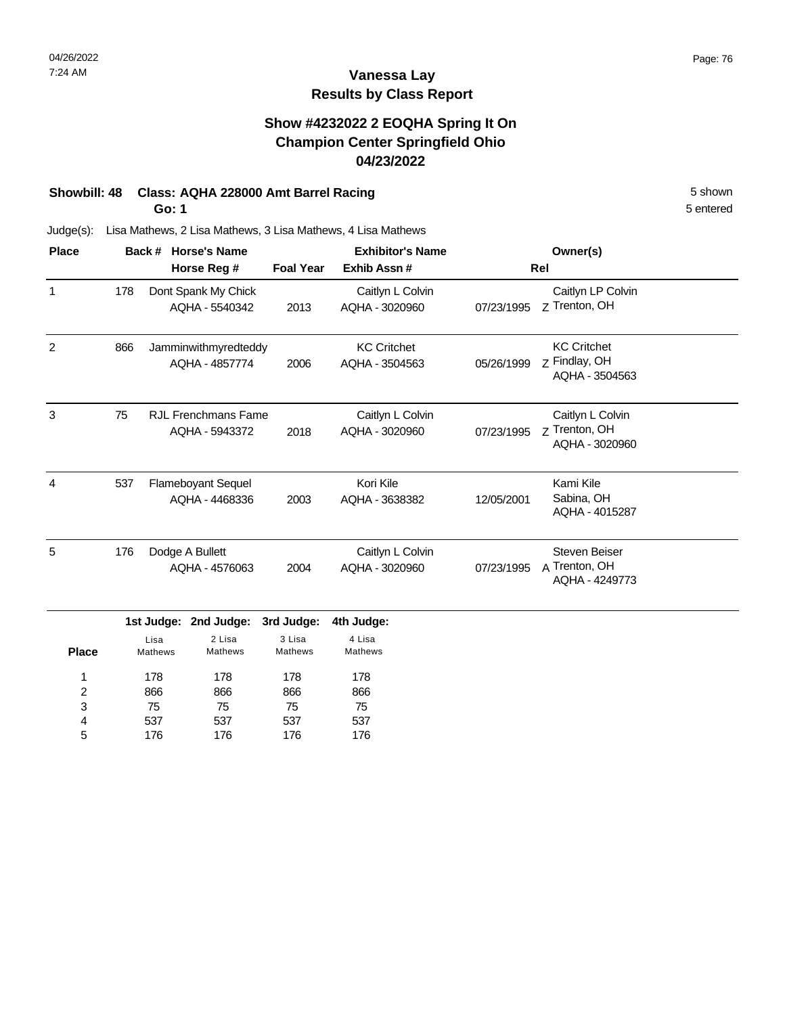## **Show #4232022 2 EOQHA Spring It On Champion Center Springfield Ohio 04/23/2022**

## **Showbill: 48 Class: AQHA 228000 Amt Barrel Racing 5 Shown 5 Shown 5 shown**

**Go: 1**

5 entered

| <b>Place</b> |     | Back # Horse's Name                          |                      | <b>Exhibitor's Name</b>              |            | Owner(s)                                                |  |
|--------------|-----|----------------------------------------------|----------------------|--------------------------------------|------------|---------------------------------------------------------|--|
|              |     | Horse Reg #                                  | <b>Foal Year</b>     | Exhib Assn#                          | Rel        |                                                         |  |
| 1            | 178 | Dont Spank My Chick<br>AQHA - 5540342        | 2013                 | Caitlyn L Colvin<br>AQHA - 3020960   | 07/23/1995 | Caitlyn LP Colvin<br>Z Trenton, OH                      |  |
| 2            | 866 | Jamminwithmyredteddy<br>AQHA - 4857774       | 2006                 | <b>KC Critchet</b><br>AQHA - 3504563 | 05/26/1999 | <b>KC Critchet</b><br>Z Findlay, OH<br>AQHA - 3504563   |  |
| 3            | 75  | <b>RJL Frenchmans Fame</b><br>AQHA - 5943372 | 2018                 | Caitlyn L Colvin<br>AQHA - 3020960   | 07/23/1995 | Caitlyn L Colvin<br>Z Trenton, OH<br>AQHA - 3020960     |  |
| 4            | 537 | <b>Flameboyant Sequel</b><br>AQHA - 4468336  | 2003                 | Kori Kile<br>AQHA - 3638382          | 12/05/2001 | Kami Kile<br>Sabina, OH<br>AQHA - 4015287               |  |
| 5            | 176 | Dodge A Bullett<br>AQHA - 4576063            | 2004                 | Caitlyn L Colvin<br>AQHA - 3020960   | 07/23/1995 | <b>Steven Beiser</b><br>A Trenton, OH<br>AQHA - 4249773 |  |
|              |     | 1st Judge: 2nd Judge:<br>$2$ lies<br>$l$ ico | 3rd Judge:<br>3 lisa | 4th Judge:<br>$\Delta$ lies          |            |                                                         |  |

|              |                | rət ouuye. Lena ouuye. | <b>DIG DUGGU.</b> THE DUGGU. |                |
|--------------|----------------|------------------------|------------------------------|----------------|
|              | Lisa           | 2 Lisa                 | 3 Lisa                       | 4 Lisa         |
| <b>Place</b> | <b>Mathews</b> | Mathews                | <b>Mathews</b>               | <b>Mathews</b> |
| 1            | 178            | 178                    | 178                          | 178            |
| 2            | 866            | 866                    | 866                          | 866            |
| 3            | 75             | 75                     | 75                           | 75             |
| 4            | 537            | 537                    | 537                          | 537            |
| 5            | 176            | 176                    | 176                          | 176            |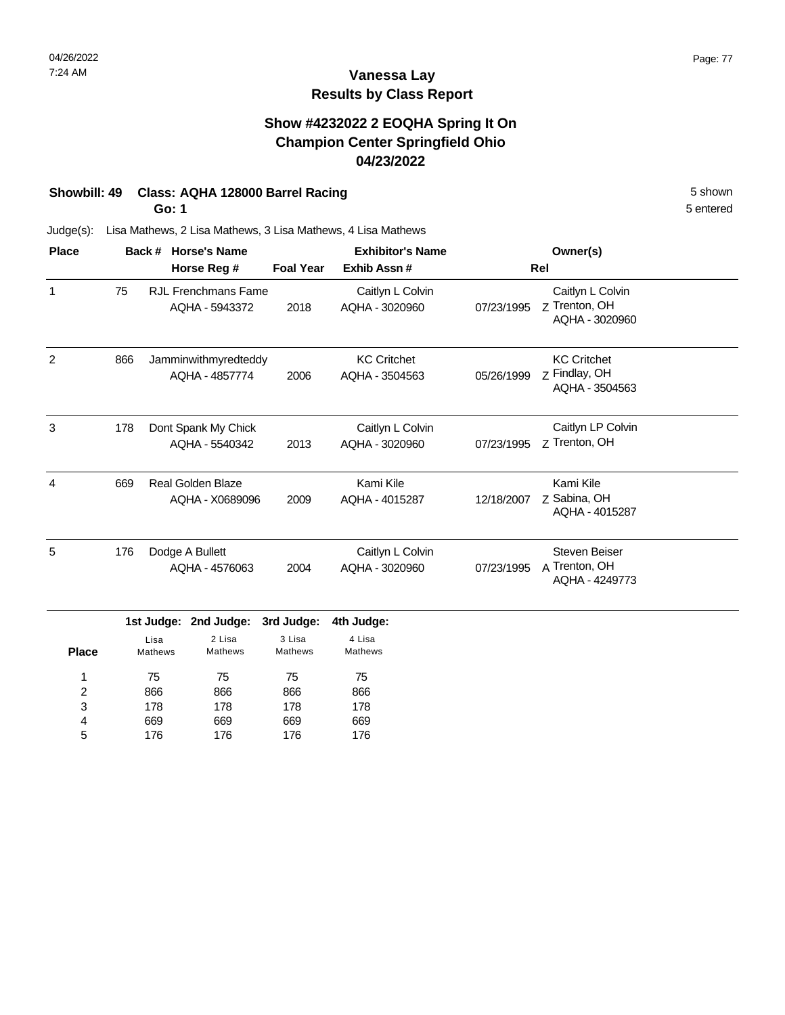## **Show #4232022 2 EOQHA Spring It On Champion Center Springfield Ohio 04/23/2022**

## **Showbill: 49 Class: AQHA 128000 Barrel Racing 5 Shown 5 Shown 5 Shown 5 Shown**

**Go: 1**

5 entered

| 75  | Horse Reg #                                  | <b>Foal Year</b> | Exhib Assn#                          |            |                                                         |
|-----|----------------------------------------------|------------------|--------------------------------------|------------|---------------------------------------------------------|
|     |                                              |                  |                                      | Rel        |                                                         |
|     | <b>RJL Frenchmans Fame</b><br>AQHA - 5943372 | 2018             | Caitlyn L Colvin<br>AQHA - 3020960   | 07/23/1995 | Caitlyn L Colvin<br>Z Trenton, OH<br>AQHA - 3020960     |
| 866 | AQHA - 4857774                               | 2006             | <b>KC Critchet</b><br>AQHA - 3504563 | 05/26/1999 | <b>KC Critchet</b><br>Z Findlay, OH<br>AQHA - 3504563   |
| 178 | Dont Spank My Chick<br>AQHA - 5540342        | 2013             | Caitlyn L Colvin<br>AQHA - 3020960   | 07/23/1995 | Caitlyn LP Colvin<br>Z Trenton, OH                      |
| 669 | Real Golden Blaze<br>AQHA - X0689096         | 2009             | Kami Kile<br>AQHA - 4015287          | 12/18/2007 | Kami Kile<br>Z Sabina, OH<br>AQHA - 4015287             |
| 176 | Dodge A Bullett<br>AQHA - 4576063            | 2004             | Caitlyn L Colvin<br>AQHA - 3020960   | 07/23/1995 | <b>Steven Beiser</b><br>A Trenton, OH<br>AQHA - 4249773 |
|     |                                              |                  | Jamminwithmyredteddy                 |            |                                                         |

|              |                | rat buugu. Liiu buugu. | <b>DIG DUGGU.</b> THE DUGGU. |         |
|--------------|----------------|------------------------|------------------------------|---------|
|              | Lisa           | 2 Lisa                 | 3 Lisa                       | 4 Lisa  |
| <b>Place</b> | <b>Mathews</b> | Mathews                | <b>Mathews</b>               | Mathews |
| 1            | 75             | 75                     | 75                           | 75      |
| 2            | 866            | 866                    | 866                          | 866     |
| 3            | 178            | 178                    | 178                          | 178     |
| 4            | 669            | 669                    | 669                          | 669     |
| 5            | 176            | 176                    | 176                          | 176     |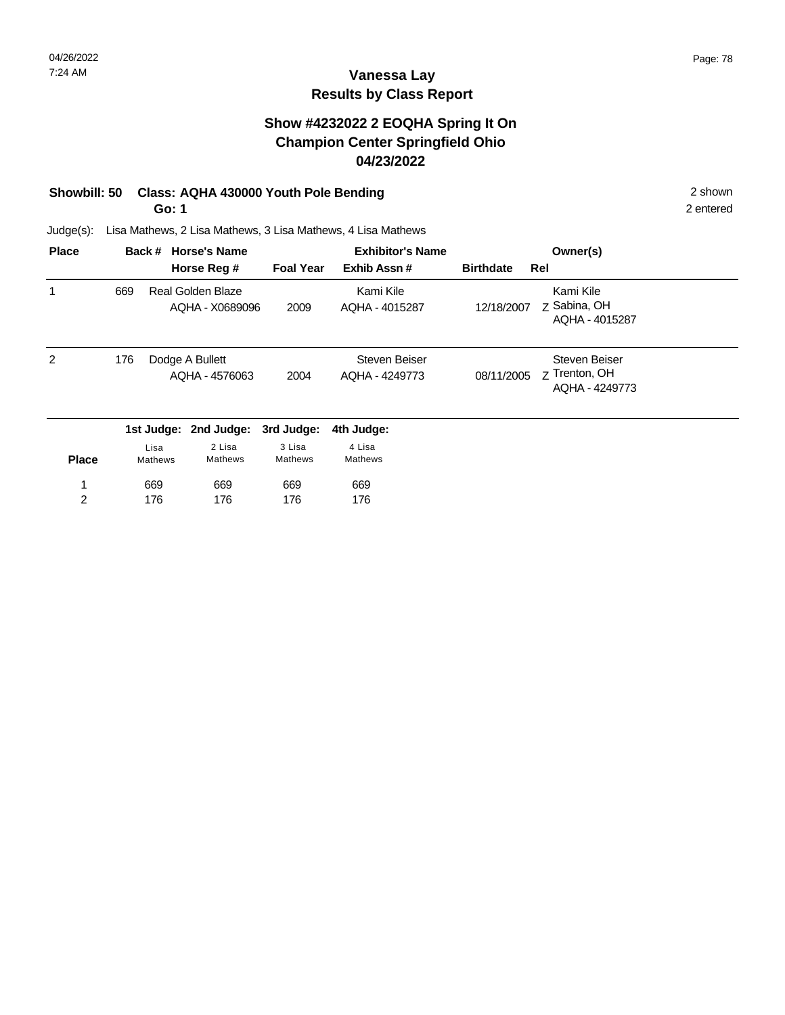## **Vanessa Lay Results by Class Report**

## **Show #4232022 2 EOQHA Spring It On Champion Center Springfield Ohio 04/23/2022**

# **Showbill: 50 Class: AQHA 430000 Youth Pole Bending 2 shown 2 shown** 2 shown

**Go: 1**

| <b>Place</b>   |     | Back #          | <b>Horse's Name</b>                         |                   | <b>Exhibitor's Name</b>         |                  | Owner(s)                                         |
|----------------|-----|-----------------|---------------------------------------------|-------------------|---------------------------------|------------------|--------------------------------------------------|
|                |     |                 | Horse Reg #                                 | <b>Foal Year</b>  | Exhib Assn#                     | <b>Birthdate</b> | Rel                                              |
|                | 669 |                 | <b>Real Golden Blaze</b><br>AQHA - X0689096 | 2009              | Kami Kile<br>AQHA - 4015287     | 12/18/2007       | Kami Kile<br>Z Sabina, OH<br>AQHA - 4015287      |
| $\overline{2}$ | 176 |                 | Dodge A Bullett<br>AQHA - 4576063           | 2004              | Steven Beiser<br>AQHA - 4249773 | 08/11/2005       | Steven Beiser<br>Z Trenton, OH<br>AQHA - 4249773 |
|                |     |                 | 1st Judge: 2nd Judge:                       | 3rd Judge:        | 4th Judge:                      |                  |                                                  |
| <b>Place</b>   |     | Lisa<br>Mathews | 2 Lisa<br>Mathews                           | 3 Lisa<br>Mathews | 4 Lisa<br>Mathews               |                  |                                                  |
| 1              |     | 669             | 669                                         | 669               | 669                             |                  |                                                  |
| 2              |     | 176             | 176                                         | 176               | 176                             |                  |                                                  |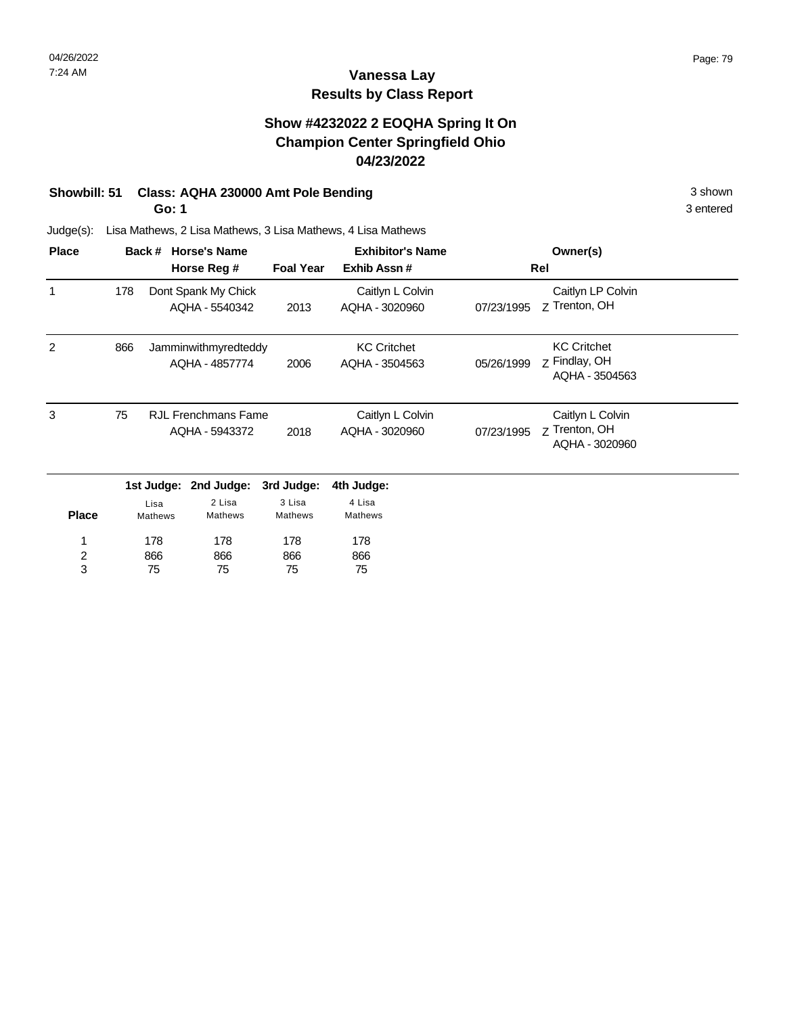## **Show #4232022 2 EOQHA Spring It On Champion Center Springfield Ohio 04/23/2022**

## **Showbill: 51 Class: AQHA 230000 Amt Pole Bending 3 Shown 3 shown 3 shown**

**Go: 1**

3 entered

| <b>Place</b>   |     | Back #     | <b>Horse's Name</b>        |                  | <b>Exhibitor's Name</b> |            | Owner(s)                        |  |
|----------------|-----|------------|----------------------------|------------------|-------------------------|------------|---------------------------------|--|
|                |     |            | Horse Reg #                | <b>Foal Year</b> | Exhib Assn#             |            | Rel                             |  |
| 1              | 178 |            | Dont Spank My Chick        |                  | Caitlyn L Colvin        |            | Caitlyn LP Colvin               |  |
|                |     |            | AQHA - 5540342             | 2013             | AQHA - 3020960          | 07/23/1995 | Z Trenton, OH                   |  |
| 2              | 866 |            | Jamminwithmyredteddy       |                  | <b>KC Critchet</b>      |            | <b>KC Critchet</b>              |  |
|                |     |            | AQHA - 4857774             | 2006             | AQHA - 3504563          | 05/26/1999 | z Findlay, OH<br>AQHA - 3504563 |  |
| 3              | 75  |            | <b>RJL Frenchmans Fame</b> |                  | Caitlyn L Colvin        |            | Caitlyn L Colvin                |  |
|                |     |            | AQHA - 5943372             | 2018             | AQHA - 3020960          | 07/23/1995 | Z Trenton, OH<br>AQHA - 3020960 |  |
|                |     | 1st Judge: | 2nd Judge:                 | 3rd Judge:       | 4th Judge:              |            |                                 |  |
|                |     | Lisa       | 2 Lisa                     | 3 Lisa           | 4 Lisa                  |            |                                 |  |
| <b>Place</b>   |     | Mathews    | Mathews                    | Mathews          | Mathews                 |            |                                 |  |
|                |     | 178        | 178                        | 178              | 178                     |            |                                 |  |
| $\overline{c}$ |     | 866        | 866                        | 866              | 866                     |            |                                 |  |
| 3              |     | 75         | 75                         | 75               | 75                      |            |                                 |  |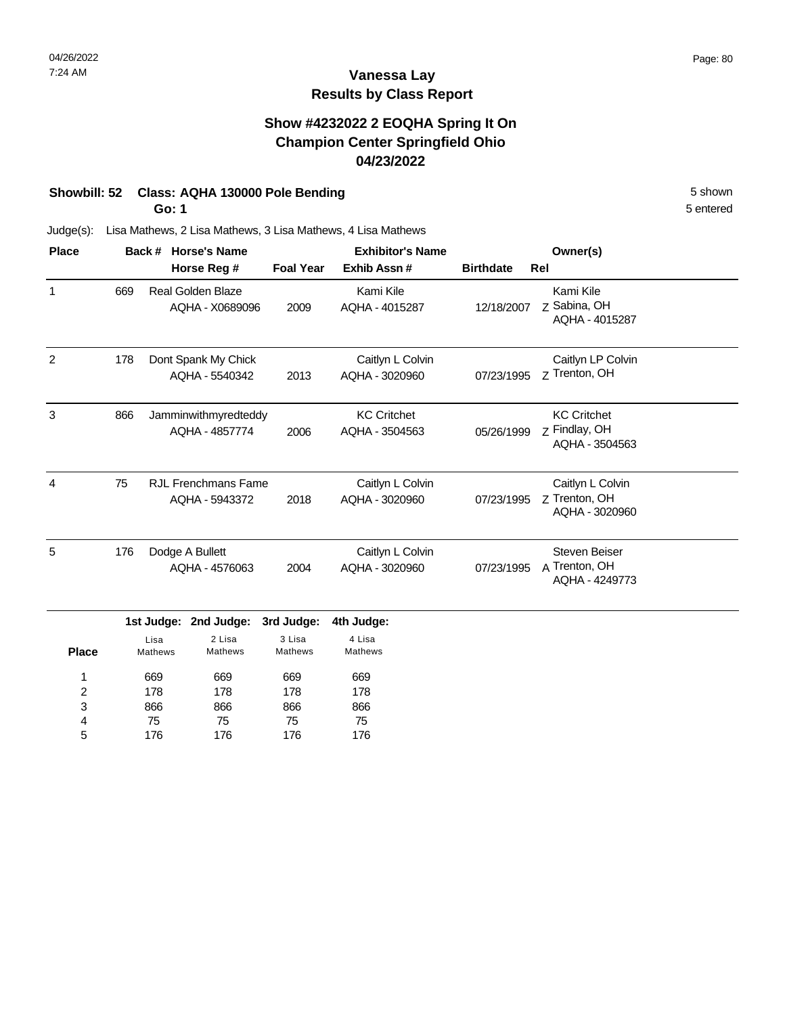## **Show #4232022 2 EOQHA Spring It On Champion Center Springfield Ohio 04/23/2022**

## **Showbill: 52 Class: AQHA 130000 Pole Bending** 5 **Shown** 5 shown

**Go: 1**

5 entered

| <b>Place</b> |     | <b>Horse's Name</b><br>Back #               |                  | <b>Exhibitor's Name</b>              |                  | Owner(s)                                              |
|--------------|-----|---------------------------------------------|------------------|--------------------------------------|------------------|-------------------------------------------------------|
|              |     | Horse Reg #                                 | <b>Foal Year</b> | Exhib Assn#                          | <b>Birthdate</b> | Rel                                                   |
|              | 669 | <b>Real Golden Blaze</b><br>AQHA - X0689096 | 2009             | Kami Kile<br>AQHA - 4015287          | 12/18/2007       | Kami Kile<br>Z Sabina, OH<br>AQHA - 4015287           |
| 2            | 178 | Dont Spank My Chick<br>AQHA - 5540342       | 2013             | Caitlyn L Colvin<br>AQHA - 3020960   | 07/23/1995       | Caitlyn LP Colvin<br>Z Trenton, OH                    |
| 3            | 866 | Jamminwithmyredteddy<br>AQHA - 4857774      | 2006             | <b>KC Critchet</b><br>AQHA - 3504563 | 05/26/1999       | <b>KC Critchet</b><br>z Findlay, OH<br>AQHA - 3504563 |
| 4            | 75  | R.IL Frenchmans Fame<br>AQHA - 5943372      | 2018             | Caitlyn L Colvin<br>AQHA - 3020960   | 07/23/1995       | Caitlyn L Colvin<br>Z Trenton, OH<br>AQHA - 3020960   |
| 5            | 176 | Dodge A Bullett<br>AQHA - 4576063           | 2004             | Caitlyn L Colvin<br>AQHA - 3020960   | 07/23/1995       | Steven Beiser<br>A Trenton, OH<br>AQHA - 4249773      |
|              |     | 1st Judge: 2nd Judge:                       | 3rd Judge:       | 4th Judge:                           |                  |                                                       |

| <b>Place</b> | Lisa<br><b>Mathews</b> | 2 Lisa<br><b>Mathews</b> | 3 Lisa<br>Mathews | 4 Lisa<br>Mathews |
|--------------|------------------------|--------------------------|-------------------|-------------------|
| 1            | 669                    | 669                      | 669               | 669               |
| 2            | 178                    | 178                      | 178               | 178               |
| 3            | 866                    | 866                      | 866               | 866               |
| 4            | 75                     | 75                       | 75                | 75                |
| 5            | 176                    | 176                      | 176               | 176               |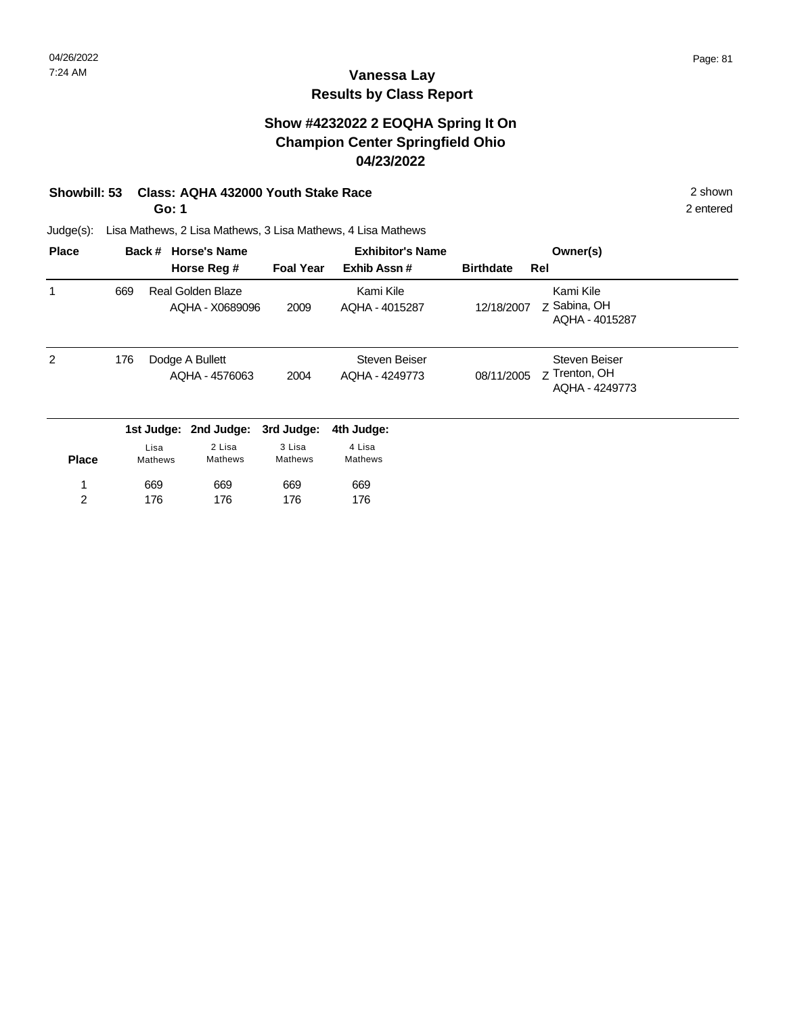## **Show #4232022 2 EOQHA Spring It On Champion Center Springfield Ohio 04/23/2022**

## **Showbill: 53 Class: AQHA 432000 Youth Stake Race** 2 shown

**Go: 1**

2 entered

| <b>Place</b> |     | Back #          | <b>Horse's Name</b>                  | <b>Exhibitor's Name</b> |                                        |                  |     | Owner(s)                                         |  |
|--------------|-----|-----------------|--------------------------------------|-------------------------|----------------------------------------|------------------|-----|--------------------------------------------------|--|
|              |     |                 | Horse Reg #                          | <b>Foal Year</b>        | Exhib Assn#                            | <b>Birthdate</b> | Rel |                                                  |  |
|              | 669 |                 | Real Golden Blaze<br>AQHA - X0689096 | 2009                    | Kami Kile<br>AQHA - 4015287            | 12/18/2007       |     | Kami Kile<br>Z Sabina, OH<br>AQHA - 4015287      |  |
| 2            | 176 |                 | Dodge A Bullett<br>AQHA - 4576063    | 2004                    | <b>Steven Beiser</b><br>AQHA - 4249773 | 08/11/2005       |     | Steven Beiser<br>Z Trenton, OH<br>AQHA - 4249773 |  |
|              |     | 1st Judge:      | 2nd Judge:                           | 3rd Judge:              | 4th Judge:                             |                  |     |                                                  |  |
| <b>Place</b> |     | Lisa<br>Mathews | 2 Lisa<br>Mathews                    | 3 Lisa<br>Mathews       | 4 Lisa<br>Mathews                      |                  |     |                                                  |  |
| 1            |     | 669             | 669                                  | 669                     | 669                                    |                  |     |                                                  |  |
| 2            |     | 176             | 176                                  | 176                     | 176                                    |                  |     |                                                  |  |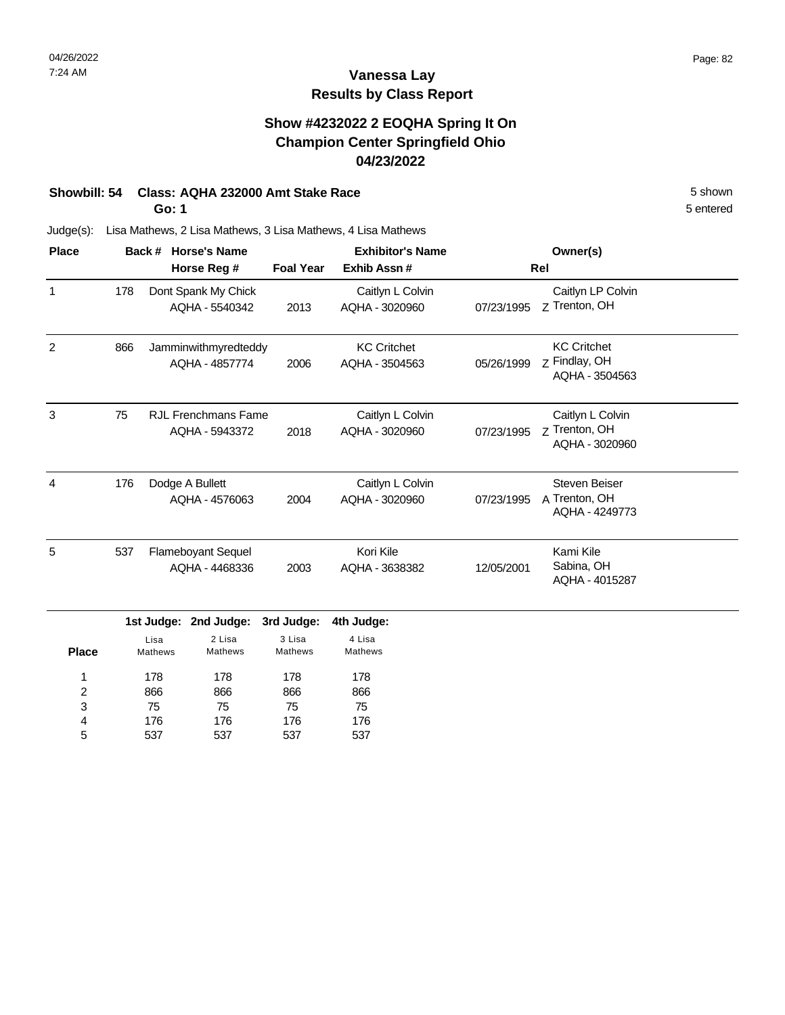## **Show #4232022 2 EOQHA Spring It On Champion Center Springfield Ohio 04/23/2022**

## **Showbill: 54 Class: AQHA 232000 Amt Stake Race** 5 Shown 5 Shown

**Go: 1**

5 entered

| <b>Place</b>   |     |                               | Back # Horse's Name                          |                                 | <b>Exhibitor's Name</b>              |            | Owner(s)                                                |  |
|----------------|-----|-------------------------------|----------------------------------------------|---------------------------------|--------------------------------------|------------|---------------------------------------------------------|--|
|                |     |                               | Horse Reg #                                  | <b>Foal Year</b>                | Exhib Assn#                          |            | Rel                                                     |  |
| 1              | 178 |                               | Dont Spank My Chick<br>AQHA - 5540342        | 2013                            | Caitlyn L Colvin<br>AQHA - 3020960   | 07/23/1995 | Caitlyn LP Colvin<br>Z Trenton, OH                      |  |
| $\overline{c}$ | 866 |                               | Jamminwithmyredteddy<br>AQHA - 4857774       | 2006                            | <b>KC Critchet</b><br>AQHA - 3504563 | 05/26/1999 | <b>KC Critchet</b><br>Z Findlay, OH<br>AQHA - 3504563   |  |
| 3              | 75  |                               | <b>RJL Frenchmans Fame</b><br>AQHA - 5943372 | 2018                            | Caitlyn L Colvin<br>AQHA - 3020960   | 07/23/1995 | Caitlyn L Colvin<br>Z Trenton, OH<br>AQHA - 3020960     |  |
| 4              | 176 |                               | Dodge A Bullett<br>AQHA - 4576063            | 2004                            | Caitlyn L Colvin<br>AQHA - 3020960   | 07/23/1995 | <b>Steven Beiser</b><br>A Trenton, OH<br>AQHA - 4249773 |  |
| 5              | 537 |                               | <b>Flameboyant Sequel</b><br>AQHA - 4468336  | 2003                            | Kori Kile<br>AQHA - 3638382          | 12/05/2001 | Kami Kile<br>Sabina, OH<br>AQHA - 4015287               |  |
| <b>Place</b>   |     | 1st Judge:<br>Lisa<br>Mathews | 2nd Judge:<br>2 Lisa<br><b>Mathews</b>       | 3rd Judge:<br>3 Lisa<br>Mathews | 4th Judge:<br>4 Lisa<br>Mathews      |            |                                                         |  |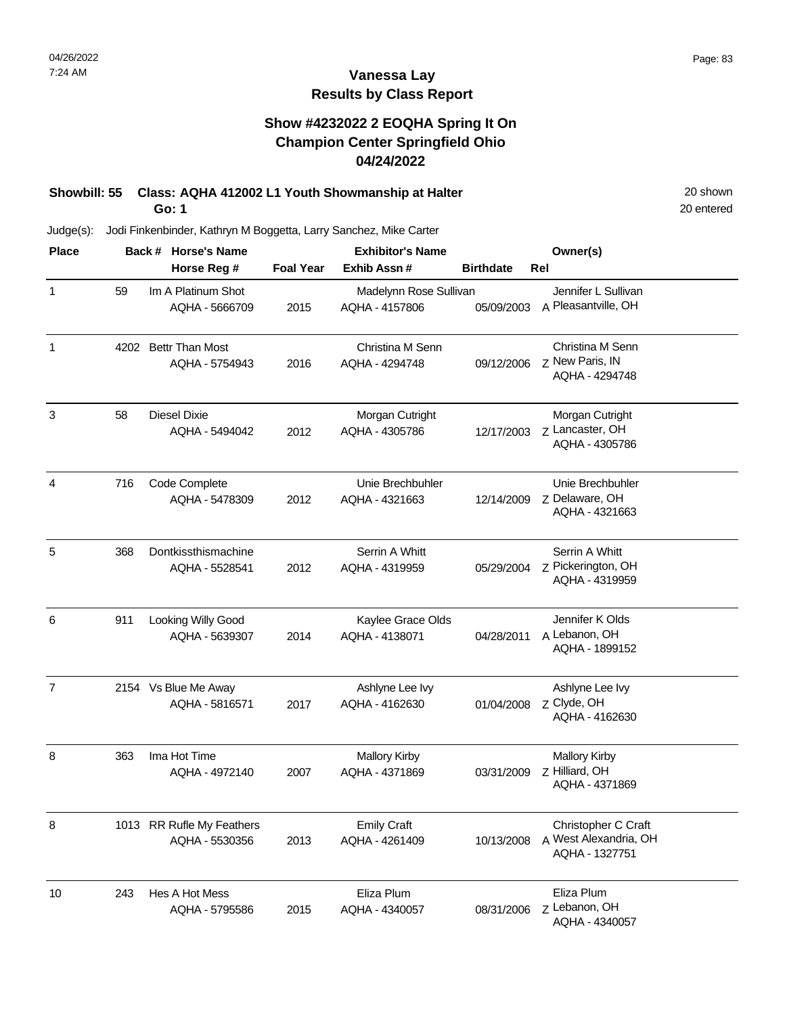## **Vanessa Lay Results by Class Report**

## **Show #4232022 2 EOQHA Spring It On Champion Center Springfield Ohio 04/24/2022**

**Showbill: 55 Class: AQHA 412002 L1 Youth Showmanship at Halter** 20 Shown 20 shown

**Go: 1**

| <b>Place</b>   |     | Back # Horse's Name       |                  | <b>Exhibitor's Name</b> |                  | Owner(s)                                |
|----------------|-----|---------------------------|------------------|-------------------------|------------------|-----------------------------------------|
|                |     | Horse Reg #               | <b>Foal Year</b> | Exhib Assn#             | <b>Birthdate</b> | Rel                                     |
| $\mathbf{1}$   | 59  | Im A Platinum Shot        |                  | Madelynn Rose Sullivan  |                  | Jennifer L Sullivan                     |
|                |     | AQHA - 5666709            | 2015             | AQHA - 4157806          | 05/09/2003       | A Pleasantville, OH                     |
| 1              |     | 4202 Bettr Than Most      |                  | Christina M Senn        |                  | Christina M Senn                        |
|                |     | AQHA - 5754943            | 2016             | AQHA - 4294748          | 09/12/2006       | Z New Paris, IN<br>AQHA - 4294748       |
| 3              | 58  | <b>Diesel Dixie</b>       |                  | Morgan Cutright         |                  | Morgan Cutright                         |
|                |     | AQHA - 5494042            | 2012             | AQHA - 4305786          | 12/17/2003       | z Lancaster, OH<br>AQHA - 4305786       |
| 4              | 716 | Code Complete             |                  | Unie Brechbuhler        |                  | Unie Brechbuhler                        |
|                |     | AQHA - 5478309            | 2012             | AQHA - 4321663          | 12/14/2009       | Z Delaware, OH<br>AQHA - 4321663        |
| 5              | 368 | Dontkissthismachine       |                  | Serrin A Whitt          |                  | Serrin A Whitt                          |
|                |     | AQHA - 5528541            | 2012             | AQHA - 4319959          | 05/29/2004       | Z Pickerington, OH<br>AQHA - 4319959    |
| 6              | 911 | Looking Willy Good        |                  | Kaylee Grace Olds       |                  | Jennifer K Olds                         |
|                |     | AQHA - 5639307            | 2014             | AQHA - 4138071          | 04/28/2011       | A Lebanon, OH<br>AQHA - 1899152         |
| $\overline{7}$ |     | 2154 Vs Blue Me Away      |                  | Ashlyne Lee Ivy         |                  | Ashlyne Lee Ivy                         |
|                |     | AQHA - 5816571            | 2017             | AQHA - 4162630          | 01/04/2008       | Z Clyde, OH<br>AQHA - 4162630           |
| 8              | 363 | Ima Hot Time              |                  | <b>Mallory Kirby</b>    |                  | <b>Mallory Kirby</b>                    |
|                |     | AQHA - 4972140            | 2007             | AQHA - 4371869          | 03/31/2009       | Z Hilliard, OH<br>AQHA - 4371869        |
| 8              |     | 1013 RR Rufle My Feathers |                  | <b>Emily Craft</b>      |                  | Christopher C Craft                     |
|                |     | AQHA - 5530356            | 2013             | AQHA - 4261409          | 10/13/2008       | A West Alexandria, OH<br>AQHA - 1327751 |
| 10             | 243 | Hes A Hot Mess            |                  | Eliza Plum              |                  | Eliza Plum                              |
|                |     | AQHA - 5795586            | 2015             | AQHA - 4340057          | 08/31/2006       | z Lebanon, OH<br>AQHA - 4340057         |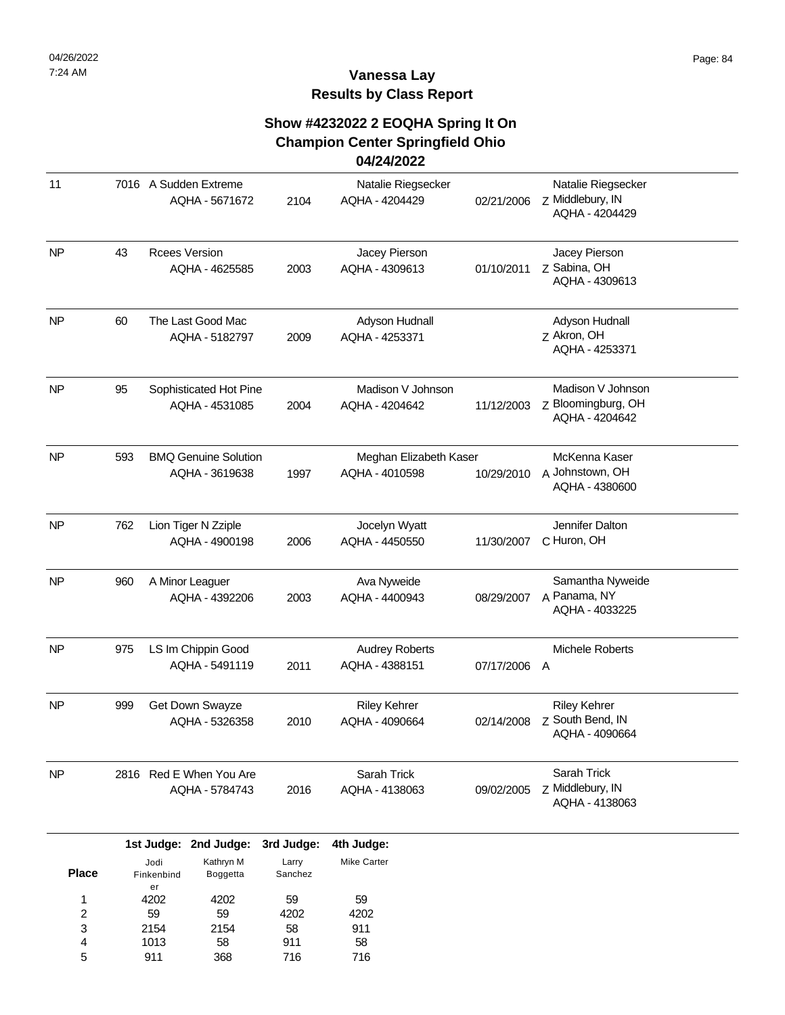## **Show #4232022 2 EOQHA Spring It On Champion Center Springfield Ohio**

#### **04/24/2022**

|           |     | 1st Judge: 2nd Judge: 3rd Judge:              |      | 4th Judge:                               |            |                                                           |
|-----------|-----|-----------------------------------------------|------|------------------------------------------|------------|-----------------------------------------------------------|
| <b>NP</b> |     | 2816 Red E When You Are<br>AQHA - 5784743     | 2016 | Sarah Trick<br>AQHA - 4138063            | 09/02/2005 | Sarah Trick<br>z Middlebury, IN<br>AQHA - 4138063         |
| <b>NP</b> | 999 | Get Down Swayze<br>AQHA - 5326358             | 2010 | <b>Riley Kehrer</b><br>AQHA - 4090664    | 02/14/2008 | <b>Riley Kehrer</b><br>Z South Bend, IN<br>AQHA - 4090664 |
| <b>NP</b> | 975 | LS Im Chippin Good<br>AQHA - 5491119          | 2011 | <b>Audrey Roberts</b><br>AQHA - 4388151  | 07/17/2006 | Michele Roberts<br>A                                      |
| <b>NP</b> | 960 | A Minor Leaguer<br>AQHA - 4392206             | 2003 | Ava Nyweide<br>AQHA - 4400943            | 08/29/2007 | Samantha Nyweide<br>A Panama, NY<br>AQHA - 4033225        |
| <b>NP</b> | 762 | Lion Tiger N Zziple<br>AQHA - 4900198         | 2006 | Jocelyn Wyatt<br>AQHA - 4450550          | 11/30/2007 | Jennifer Dalton<br>C Huron, OH                            |
| <b>NP</b> | 593 | <b>BMQ Genuine Solution</b><br>AQHA - 3619638 | 1997 | Meghan Elizabeth Kaser<br>AQHA - 4010598 | 10/29/2010 | McKenna Kaser<br>A Johnstown, OH<br>AQHA - 4380600        |
| <b>NP</b> | 95  | Sophisticated Hot Pine<br>AQHA - 4531085      | 2004 | Madison V Johnson<br>AQHA - 4204642      | 11/12/2003 | Madison V Johnson<br>Z Bloomingburg, OH<br>AQHA - 4204642 |
| <b>NP</b> | 60  | The Last Good Mac<br>AQHA - 5182797           | 2009 | Adyson Hudnall<br>AQHA - 4253371         |            | Adyson Hudnall<br>Z Akron, OH<br>AQHA - 4253371           |
| <b>NP</b> | 43  | <b>Rcees Version</b><br>AQHA - 4625585        | 2003 | Jacey Pierson<br>AQHA - 4309613          | 01/10/2011 | Jacey Pierson<br>Z Sabina, OH<br>AQHA - 4309613           |
| 11        |     | 7016 A Sudden Extreme<br>AQHA - 5671672       | 2104 | Natalie Riegsecker<br>AQHA - 4204429     | 02/21/2006 | Natalie Riegsecker<br>Z Middlebury, IN<br>AQHA - 4204429  |

|              | Jodi       | Kathryn M       | Larry   | <b>Mike Carter</b> |
|--------------|------------|-----------------|---------|--------------------|
| <b>Place</b> | Finkenbind | <b>Boggetta</b> | Sanchez |                    |
| 1            | er<br>4202 | 4202            | 59      | 59                 |
| 2            | 59         | 59              | 4202    | 4202               |
| 3            | 2154       | 2154            | 58      | 911                |
| 4            | 1013       | 58              | 911     | 58                 |
| 5            | 911        | 368             | 716     | 716                |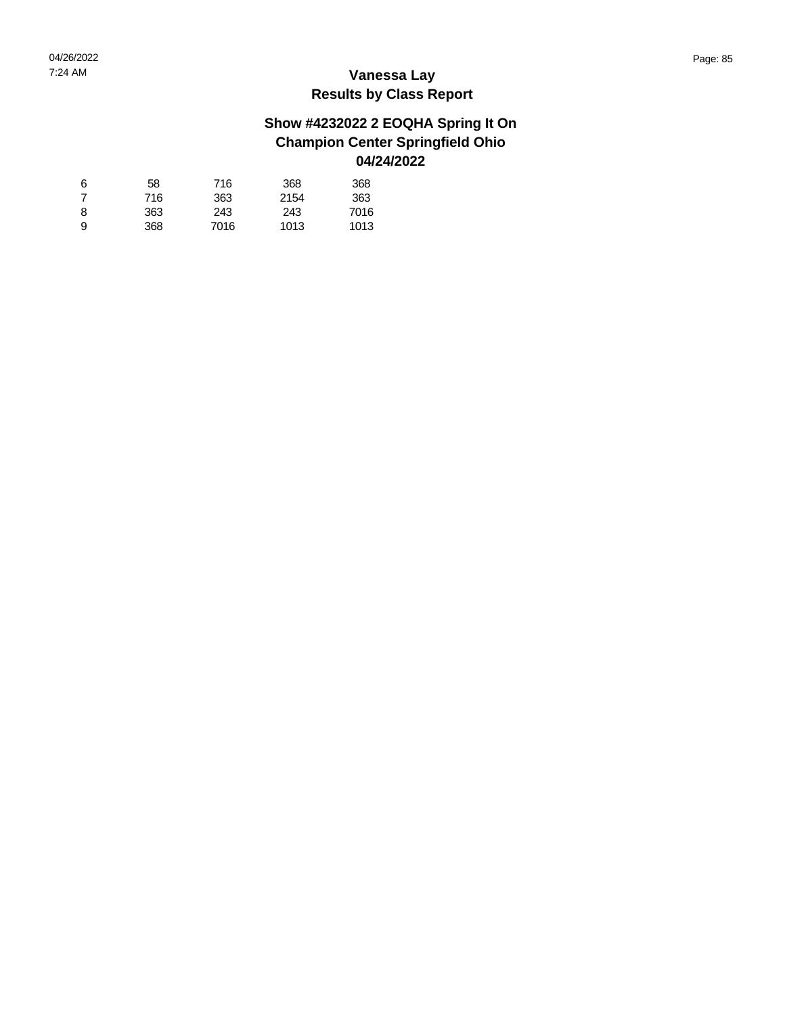| 6 | 58  | 716  | 368  | 368  |
|---|-----|------|------|------|
|   | 716 | 363  | 2154 | 363  |
| 8 | 363 | 243  | 243  | 7016 |
| 9 | 368 | 7016 | 1013 | 1013 |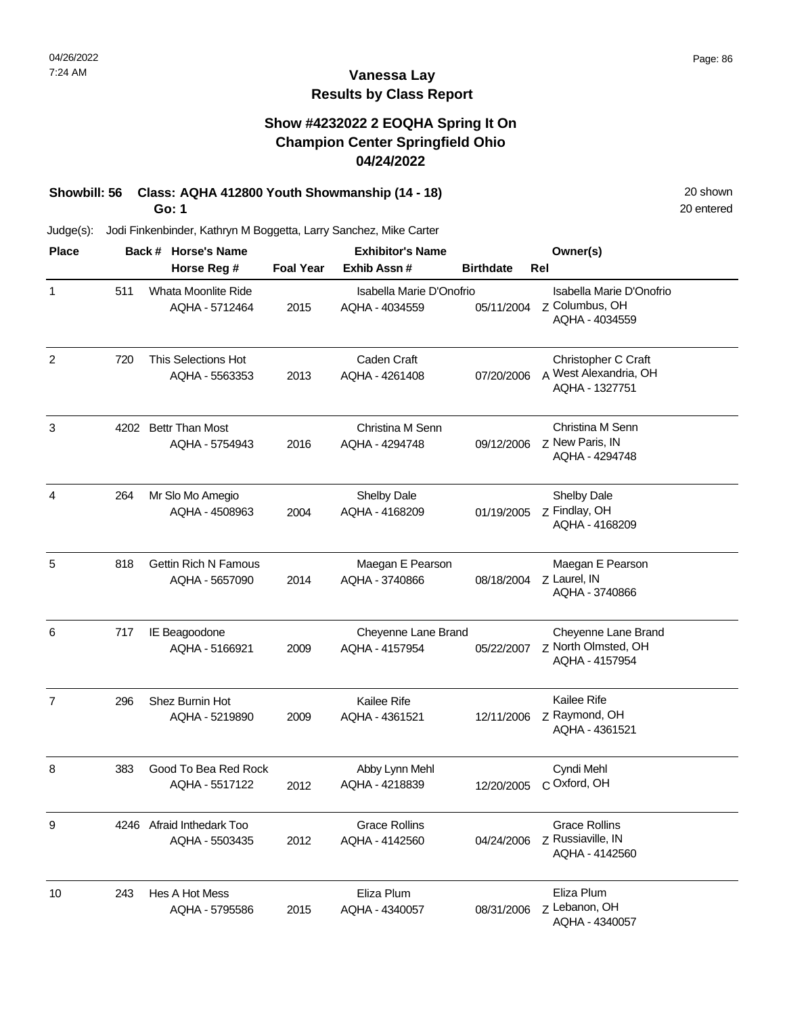## **Vanessa Lay Results by Class Report**

## **Show #4232022 2 EOQHA Spring It On Champion Center Springfield Ohio 04/24/2022**

# **Showbill: 56 Class: AQHA 412800 Youth Showmanship (14 - 18)** 20 Shown 20 shown

**Go: 1**

| <b>Place</b> |     | Back # Horse's Name         |                  | <b>Exhibitor's Name</b>  |                  | Owner(s)                                |
|--------------|-----|-----------------------------|------------------|--------------------------|------------------|-----------------------------------------|
|              |     | Horse Reg #                 | <b>Foal Year</b> | Exhib Assn#              | <b>Birthdate</b> | Rel                                     |
| $\mathbf{1}$ | 511 | Whata Moonlite Ride         |                  | Isabella Marie D'Onofrio |                  | Isabella Marie D'Onofrio                |
|              |     | AQHA - 5712464              | 2015             | AQHA - 4034559           | 05/11/2004       | Z Columbus, OH<br>AQHA - 4034559        |
| 2            | 720 | This Selections Hot         |                  | Caden Craft              |                  | Christopher C Craft                     |
|              |     | AQHA - 5563353              | 2013             | AQHA - 4261408           | 07/20/2006       | A West Alexandria, OH<br>AQHA - 1327751 |
| 3            |     | 4202 Bettr Than Most        |                  | Christina M Senn         |                  | Christina M Senn                        |
|              |     | AQHA - 5754943              | 2016             | AQHA - 4294748           | 09/12/2006       | Z New Paris, IN<br>AQHA - 4294748       |
| 4            | 264 | Mr Slo Mo Amegio            |                  | Shelby Dale              |                  | Shelby Dale                             |
|              |     | AQHA - 4508963              | 2004             | AQHA - 4168209           | 01/19/2005       | z Findlay, OH<br>AQHA - 4168209         |
| 5            | 818 | <b>Gettin Rich N Famous</b> |                  | Maegan E Pearson         |                  | Maegan E Pearson                        |
|              |     | AQHA - 5657090              | 2014             | AQHA - 3740866           | 08/18/2004       | Z Laurel, IN<br>AQHA - 3740866          |
| 6            | 717 | IE Beagoodone               |                  | Cheyenne Lane Brand      |                  | Cheyenne Lane Brand                     |
|              |     | AQHA - 5166921              | 2009             | AQHA - 4157954           | 05/22/2007       | Z North Olmsted, OH<br>AQHA - 4157954   |
| 7            | 296 | Shez Burnin Hot             |                  | <b>Kailee Rife</b>       |                  | Kailee Rife                             |
|              |     | AQHA - 5219890              | 2009             | AQHA - 4361521           | 12/11/2006       | Z Raymond, OH<br>AQHA - 4361521         |
| 8            | 383 | Good To Bea Red Rock        |                  | Abby Lynn Mehl           |                  | Cyndi Mehl                              |
|              |     | AQHA - 5517122              | 2012             | AQHA - 4218839           | 12/20/2005       | C Oxford, OH                            |
| 9            |     | 4246 Afraid Inthedark Too   |                  | <b>Grace Rollins</b>     |                  | <b>Grace Rollins</b>                    |
|              |     | AQHA - 5503435              | 2012             | AQHA - 4142560           | 04/24/2006       | Z Russiaville, IN<br>AQHA - 4142560     |
| 10           | 243 | Hes A Hot Mess              |                  | Eliza Plum               |                  | Eliza Plum                              |
|              |     | AQHA - 5795586              | 2015             | AQHA - 4340057           | 08/31/2006       | z Lebanon, OH<br>AQHA - 4340057         |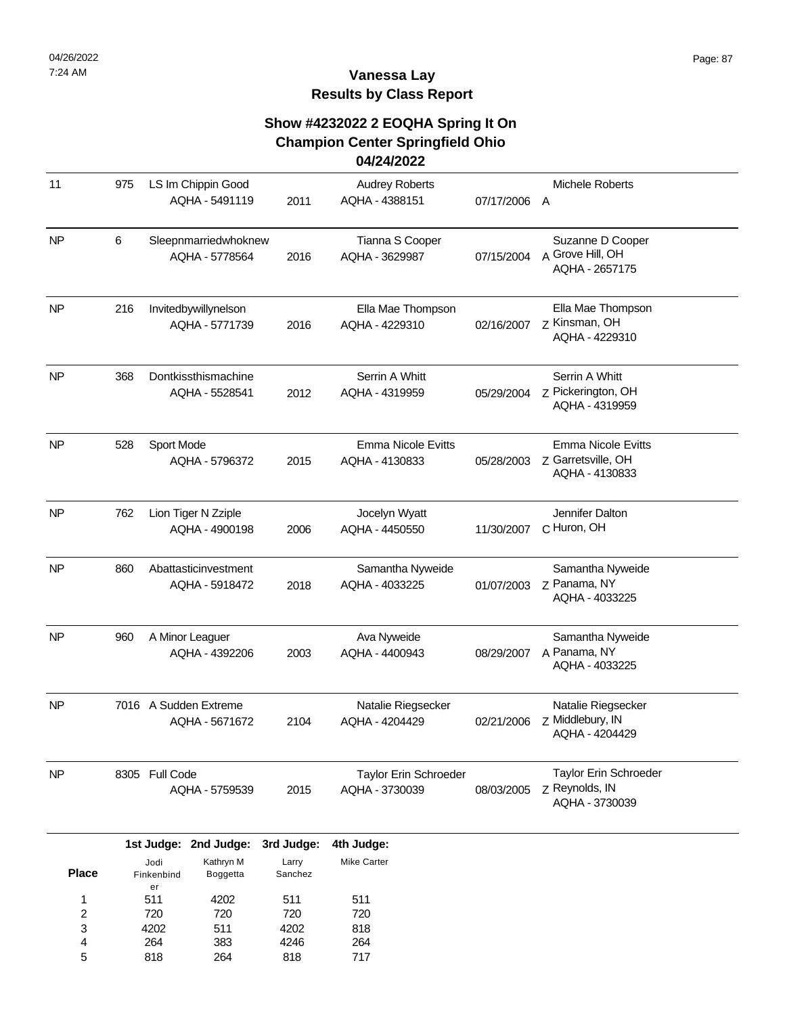264 818

4 5

383 264

4246 818

264 717

## **Vanessa Lay Results by Class Report**

| 11           | 975 |                          | LS Im Chippin Good<br>AQHA - 5491119    | 2011               | <b>Audrey Roberts</b><br>AQHA - 4388151     | 07/17/2006 | <b>Michele Roberts</b><br>A                                       |
|--------------|-----|--------------------------|-----------------------------------------|--------------------|---------------------------------------------|------------|-------------------------------------------------------------------|
| <b>NP</b>    | 6   |                          | Sleepnmarriedwhoknew<br>AQHA - 5778564  | 2016               | Tianna S Cooper<br>AQHA - 3629987           | 07/15/2004 | Suzanne D Cooper<br>A Grove Hill, OH<br>AQHA - 2657175            |
| <b>NP</b>    | 216 |                          | Invitedbywillynelson<br>AQHA - 5771739  | 2016               | Ella Mae Thompson<br>AQHA - 4229310         | 02/16/2007 | Ella Mae Thompson<br>z Kinsman, OH<br>AQHA - 4229310              |
| <b>NP</b>    | 368 |                          | Dontkissthismachine<br>AQHA - 5528541   | 2012               | Serrin A Whitt<br>AQHA - 4319959            | 05/29/2004 | Serrin A Whitt<br>Z Pickerington, OH<br>AQHA - 4319959            |
| <b>NP</b>    | 528 | Sport Mode               | AQHA - 5796372                          | 2015               | <b>Emma Nicole Evitts</b><br>AQHA - 4130833 | 05/28/2003 | <b>Emma Nicole Evitts</b><br>Z Garretsville, OH<br>AQHA - 4130833 |
| <b>NP</b>    | 762 |                          | Lion Tiger N Zziple<br>AQHA - 4900198   | 2006               | Jocelyn Wyatt<br>AQHA - 4450550             | 11/30/2007 | Jennifer Dalton<br>C Huron, OH                                    |
| <b>NP</b>    | 860 |                          | Abattasticinvestment<br>AQHA - 5918472  | 2018               | Samantha Nyweide<br>AQHA - 4033225          | 01/07/2003 | Samantha Nyweide<br>Z Panama, NY<br>AQHA - 4033225                |
| <b>NP</b>    | 960 |                          | A Minor Leaguer<br>AQHA - 4392206       | 2003               | Ava Nyweide<br>AQHA - 4400943               | 08/29/2007 | Samantha Nyweide<br>A Panama, NY<br>AQHA - 4033225                |
| <b>NP</b>    |     |                          | 7016 A Sudden Extreme<br>AQHA - 5671672 | 2104               | Natalie Riegsecker<br>AQHA - 4204429        | 02/21/2006 | Natalie Riegsecker<br>Z Middlebury, IN<br>AQHA - 4204429          |
| <b>NP</b>    |     | 8305 Full Code           | AQHA - 5759539                          | 2015               | Taylor Erin Schroeder<br>AQHA - 3730039     | 08/03/2005 | Taylor Erin Schroeder<br>Z Reynolds, IN<br>AQHA - 3730039         |
|              |     |                          | 1st Judge: 2nd Judge:                   | 3rd Judge:         | 4th Judge:                                  |            |                                                                   |
| <b>Place</b> |     | Jodi<br>Finkenbind<br>er | Kathryn M<br>Boggetta                   | Larry<br>Sanchez   | <b>Mike Carter</b>                          |            |                                                                   |
| 1<br>2<br>3  |     | 511<br>720<br>4202       | 4202<br>720<br>511                      | 511<br>720<br>4202 | 511<br>720<br>818                           |            |                                                                   |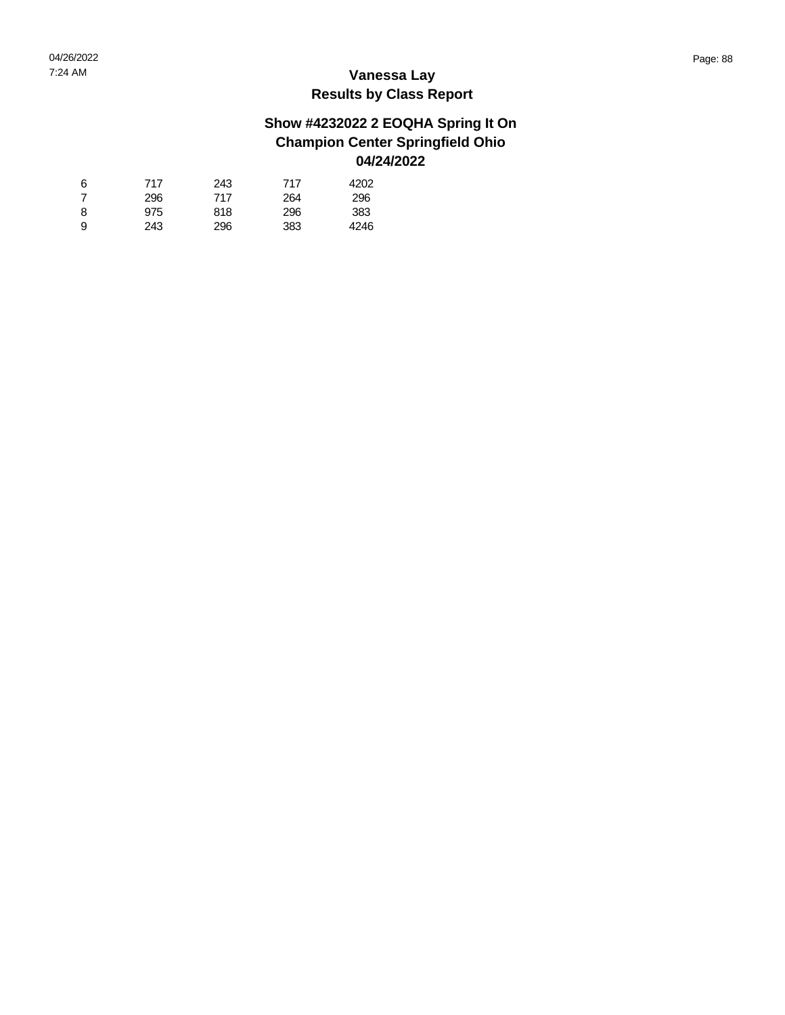| 6 | 717 | 243 | 717 | 4202 |
|---|-----|-----|-----|------|
| 7 | 296 | 717 | 264 | 296  |
| 8 | 975 | 818 | 296 | 383  |
| 9 | 243 | 296 | 383 | 4246 |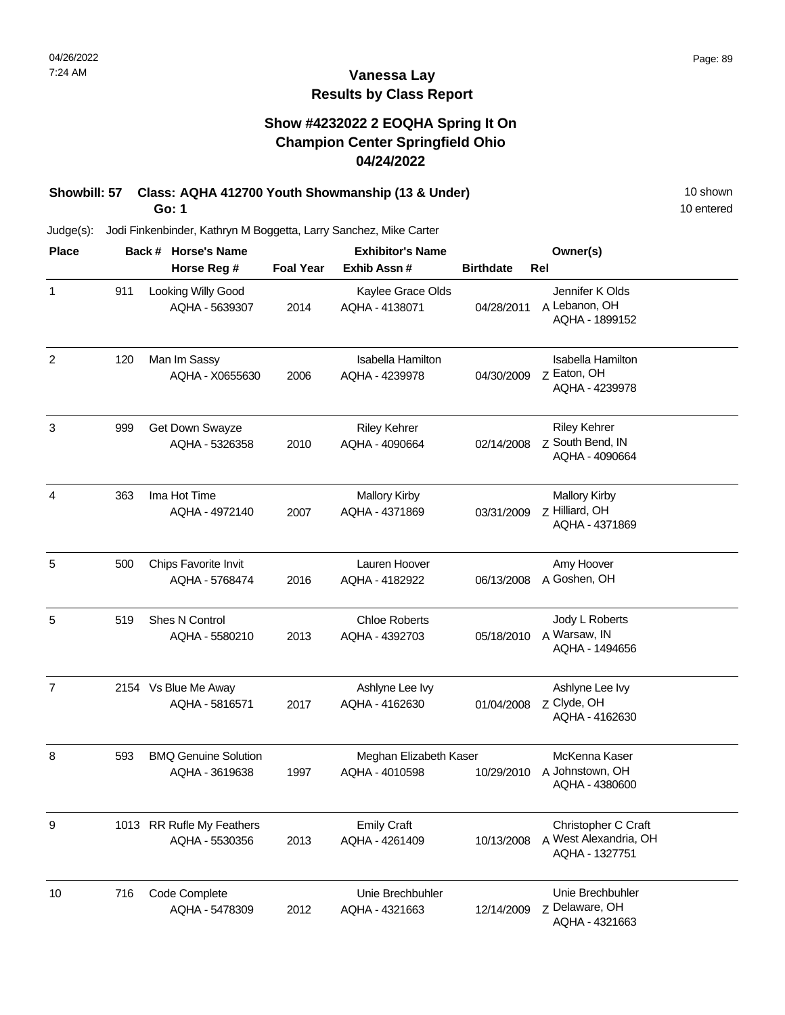## **Vanessa Lay Results by Class Report**

## **Show #4232022 2 EOQHA Spring It On Champion Center Springfield Ohio 04/24/2022**

# **Showbill: 57 Class: AQHA 412700 Youth Showmanship (13 & Under)** 10 Shown 10 shown

**Go: 1**

| <b>Place</b>   |     | <b>Horse's Name</b><br>Back #                 | <b>Exhibitor's Name</b> |                                          |                  | Owner(s)                                                       |  |
|----------------|-----|-----------------------------------------------|-------------------------|------------------------------------------|------------------|----------------------------------------------------------------|--|
|                |     | Horse Reg #                                   | <b>Foal Year</b>        | Exhib Assn#                              | <b>Birthdate</b> | Rel                                                            |  |
| $\mathbf 1$    | 911 | Looking Willy Good<br>AQHA - 5639307          | 2014                    | Kaylee Grace Olds<br>AQHA - 4138071      | 04/28/2011       | Jennifer K Olds<br>A Lebanon, OH<br>AQHA - 1899152             |  |
| 2              | 120 | Man Im Sassy<br>AQHA - X0655630               | 2006                    | Isabella Hamilton<br>AQHA - 4239978      | 04/30/2009       | Isabella Hamilton<br>Z Eaton, OH<br>AQHA - 4239978             |  |
| 3              | 999 | Get Down Swayze<br>AQHA - 5326358             | 2010                    | <b>Riley Kehrer</b><br>AQHA - 4090664    | 02/14/2008       | <b>Riley Kehrer</b><br>Z South Bend, IN<br>AQHA - 4090664      |  |
| 4              | 363 | Ima Hot Time<br>AQHA - 4972140                | 2007                    | <b>Mallory Kirby</b><br>AQHA - 4371869   | 03/31/2009       | <b>Mallory Kirby</b><br>z Hilliard, OH<br>AQHA - 4371869       |  |
| 5              | 500 | Chips Favorite Invit<br>AQHA - 5768474        | 2016                    | Lauren Hoover<br>AQHA - 4182922          | 06/13/2008       | Amy Hoover<br>A Goshen, OH                                     |  |
| 5              | 519 | Shes N Control<br>AQHA - 5580210              | 2013                    | <b>Chloe Roberts</b><br>AQHA - 4392703   | 05/18/2010       | Jody L Roberts<br>A Warsaw, IN<br>AQHA - 1494656               |  |
| $\overline{7}$ |     | 2154 Vs Blue Me Away<br>AQHA - 5816571        | 2017                    | Ashlyne Lee Ivy<br>AQHA - 4162630        | 01/04/2008       | Ashlyne Lee Ivy<br>Z Clyde, OH<br>AQHA - 4162630               |  |
| 8              | 593 | <b>BMQ Genuine Solution</b><br>AQHA - 3619638 | 1997                    | Meghan Elizabeth Kaser<br>AQHA - 4010598 | 10/29/2010       | McKenna Kaser<br>A Johnstown, OH<br>AQHA - 4380600             |  |
| 9              |     | 1013 RR Rufle My Feathers<br>AQHA - 5530356   | 2013                    | <b>Emily Craft</b><br>AQHA - 4261409     | 10/13/2008       | Christopher C Craft<br>A West Alexandria, OH<br>AQHA - 1327751 |  |
| 10             | 716 | Code Complete<br>AQHA - 5478309               | 2012                    | Unie Brechbuhler<br>AQHA - 4321663       | 12/14/2009       | Unie Brechbuhler<br>z Delaware, OH<br>AQHA - 4321663           |  |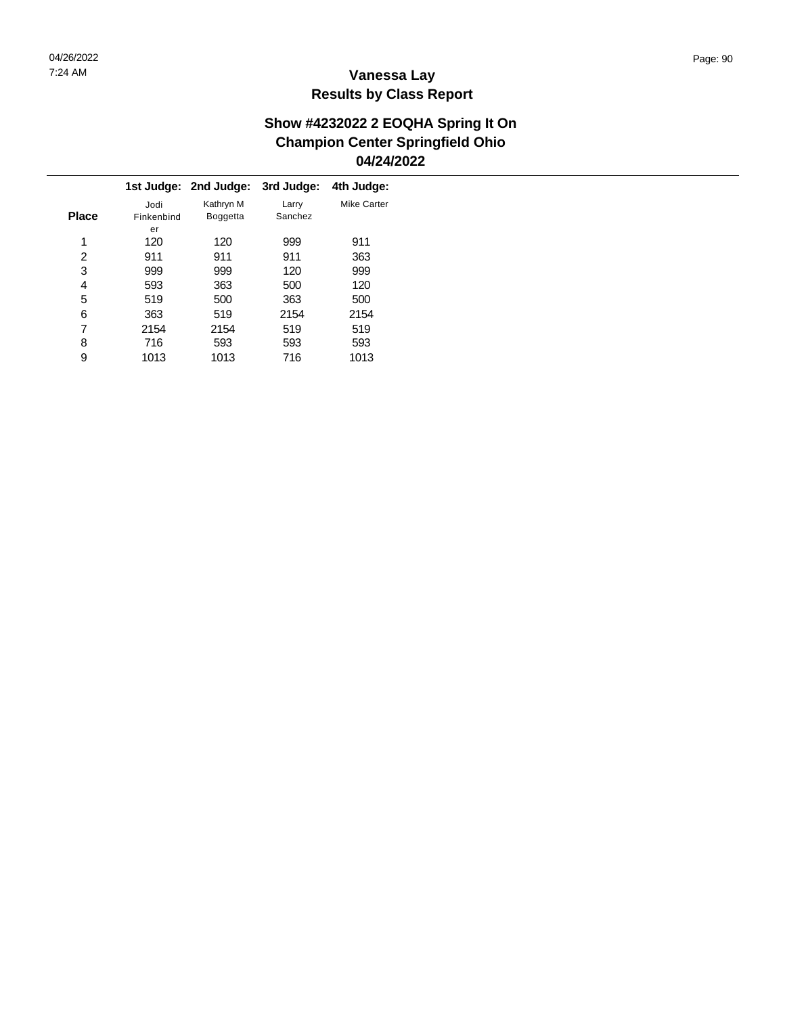|              |            | 1st Judge: 2nd Judge: | 3rd Judge: | 4th Judge:         |
|--------------|------------|-----------------------|------------|--------------------|
|              | Jodi       | Kathryn M             | Larry      | <b>Mike Carter</b> |
| <b>Place</b> | Finkenbind | <b>Boggetta</b>       | Sanchez    |                    |
|              | er         |                       |            |                    |
| 1            | 120        | 120                   | 999        | 911                |
| 2            | 911        | 911                   | 911        | 363                |
| 3            | 999        | 999                   | 120        | 999                |
| 4            | 593        | 363                   | 500        | 120                |
| 5            | 519        | 500                   | 363        | 500                |
| 6            | 363        | 519                   | 2154       | 2154               |
| 7            | 2154       | 2154                  | 519        | 519                |
| 8            | 716        | 593                   | 593        | 593                |
| 9            | 1013       | 1013                  | 716        | 1013               |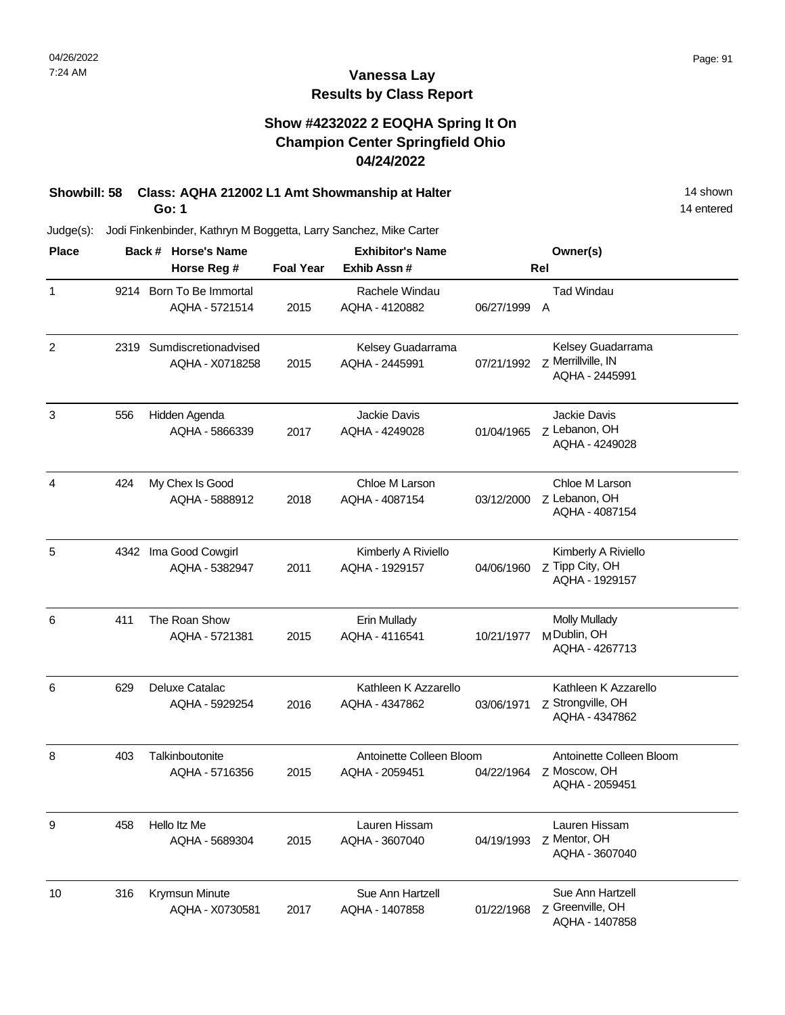## **Vanessa Lay Results by Class Report**

## **Show #4232022 2 EOQHA Spring It On Champion Center Springfield Ohio 04/24/2022**

# **Showbill: 58 Class: AQHA 212002 L1 Amt Showmanship at Halter** 19 **14 shown**

**Go: 1**

| <b>Place</b>   |     | Back # Horse's Name                          | <b>Exhibitor's Name</b> |                                            | Owner(s)   |                                                             |
|----------------|-----|----------------------------------------------|-------------------------|--------------------------------------------|------------|-------------------------------------------------------------|
|                |     | Horse Reg #                                  | <b>Foal Year</b>        | Exhib Assn#                                |            | Rel                                                         |
| 1              |     | 9214 Born To Be Immortal<br>AQHA - 5721514   | 2015                    | Rachele Windau<br>AQHA - 4120882           | 06/27/1999 | <b>Tad Windau</b><br>A                                      |
| $\overline{2}$ |     | 2319 Sumdiscretionadvised<br>AQHA - X0718258 | 2015                    | Kelsey Guadarrama<br>AQHA - 2445991        | 07/21/1992 | Kelsey Guadarrama<br>Z Merrillville, IN<br>AQHA - 2445991   |
| 3              | 556 | Hidden Agenda<br>AQHA - 5866339              | 2017                    | Jackie Davis<br>AQHA - 4249028             | 01/04/1965 | Jackie Davis<br>z Lebanon, OH<br>AQHA - 4249028             |
| 4              | 424 | My Chex Is Good<br>AQHA - 5888912            | 2018                    | Chloe M Larson<br>AQHA - 4087154           | 03/12/2000 | Chloe M Larson<br>Z Lebanon, OH<br>AQHA - 4087154           |
| 5              |     | 4342 Ima Good Cowgirl<br>AQHA - 5382947      | 2011                    | Kimberly A Riviello<br>AQHA - 1929157      | 04/06/1960 | Kimberly A Riviello<br>Z Tipp City, OH<br>AQHA - 1929157    |
| 6              | 411 | The Roan Show<br>AQHA - 5721381              | 2015                    | Erin Mullady<br>AQHA - 4116541             | 10/21/1977 | <b>Molly Mullady</b><br>M Dublin, OH<br>AQHA - 4267713      |
| 6              | 629 | Deluxe Catalac<br>AQHA - 5929254             | 2016                    | Kathleen K Azzarello<br>AQHA - 4347862     | 03/06/1971 | Kathleen K Azzarello<br>Z Strongville, OH<br>AQHA - 4347862 |
| 8              | 403 | Talkinboutonite<br>AQHA - 5716356            | 2015                    | Antoinette Colleen Bloom<br>AQHA - 2059451 | 04/22/1964 | Antoinette Colleen Bloom<br>Z Moscow, OH<br>AQHA - 2059451  |
| 9              | 458 | Hello Itz Me<br>AQHA - 5689304               | 2015                    | Lauren Hissam<br>AQHA - 3607040            | 04/19/1993 | Lauren Hissam<br>Z Mentor, OH<br>AQHA - 3607040             |
| 10             | 316 | Krymsun Minute<br>AQHA - X0730581            | 2017                    | Sue Ann Hartzell<br>AQHA - 1407858         | 01/22/1968 | Sue Ann Hartzell<br>Z Greenville, OH<br>AQHA - 1407858      |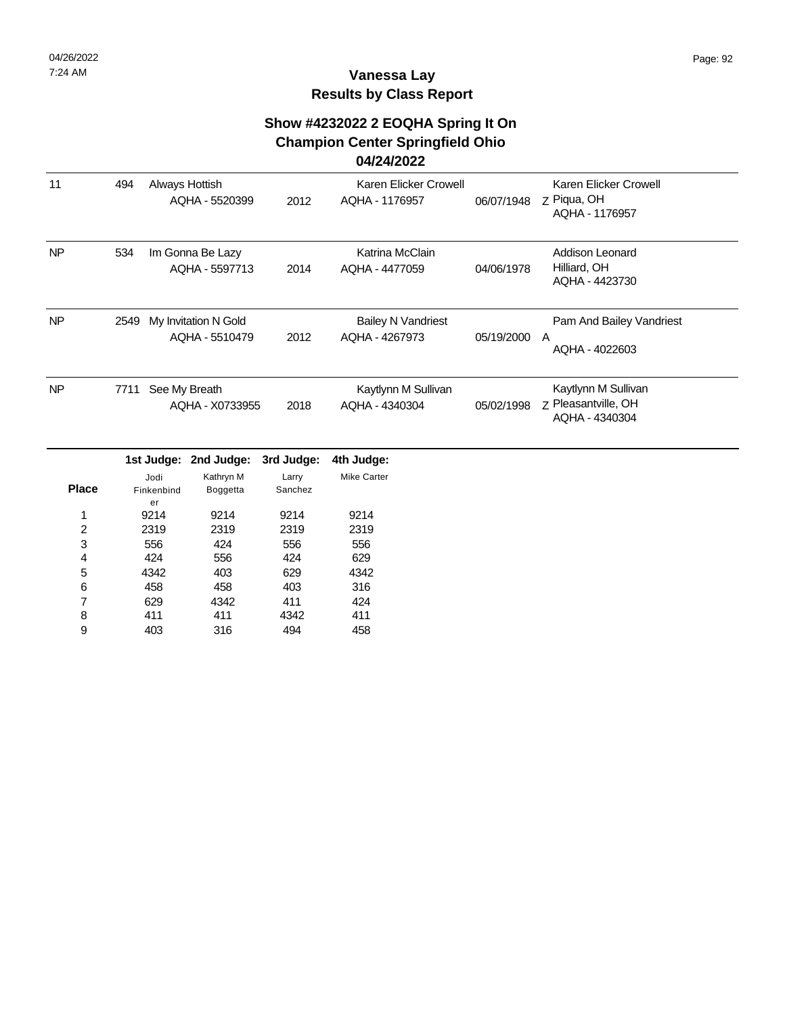## **Show #4232022 2 EOQHA Spring It On Champion Center Springfield Ohio**

#### **04/24/2022**

| 11                      | 494  |                          | Always Hottish<br>AQHA - 5520399       | 2012             | Karen Elicker Crowell<br>AQHA - 1176957     | 06/07/1948 | Karen Elicker Crowell<br>Z Piqua, OH<br>AQHA - 1176957       |
|-------------------------|------|--------------------------|----------------------------------------|------------------|---------------------------------------------|------------|--------------------------------------------------------------|
| <b>NP</b>               | 534  |                          | Im Gonna Be Lazy<br>AQHA - 5597713     | 2014             | Katrina McClain<br>AQHA - 4477059           | 04/06/1978 | Addison Leonard<br>Hilliard, OH<br>AQHA - 4423730            |
| <b>NP</b>               | 2549 |                          | My Invitation N Gold<br>AQHA - 5510479 | 2012             | <b>Bailey N Vandriest</b><br>AQHA - 4267973 | 05/19/2000 | Pam And Bailey Vandriest<br>$\mathsf{A}$<br>AQHA - 4022603   |
| <b>NP</b>               | 7711 |                          | See My Breath<br>AQHA - X0733955       | 2018             | Kaytlynn M Sullivan<br>AQHA - 4340304       | 05/02/1998 | Kaytlynn M Sullivan<br>7 Pleasantville, OH<br>AQHA - 4340304 |
|                         |      |                          | 1st Judge: 2nd Judge:                  | 3rd Judge:       | 4th Judge:                                  |            |                                                              |
| <b>Place</b>            |      | Jodi<br>Finkenbind<br>er | Kathryn M<br>Boggetta                  | Larry<br>Sanchez | <b>Mike Carter</b>                          |            |                                                              |
| 1                       |      | 9214                     | 9214                                   | 9214             | 9214                                        |            |                                                              |
| $\overline{\mathbf{c}}$ |      | 2319                     | 2319                                   | 2319             | 2319                                        |            |                                                              |
| 3                       |      | 556                      | 424                                    | 556              | 556                                         |            |                                                              |
| 4                       |      | 424                      | 556                                    | 424              | 629                                         |            |                                                              |
| 5                       |      | 4342                     | 403                                    | 629              | 4342                                        |            |                                                              |
| 6                       |      | 458                      | 458                                    | 403              | 316                                         |            |                                                              |
| 7                       |      | 629                      | 4342                                   | 411              | 424                                         |            |                                                              |
| 8<br>9                  |      | 411<br>403               | 411<br>316                             | 4342<br>494      | 411<br>458                                  |            |                                                              |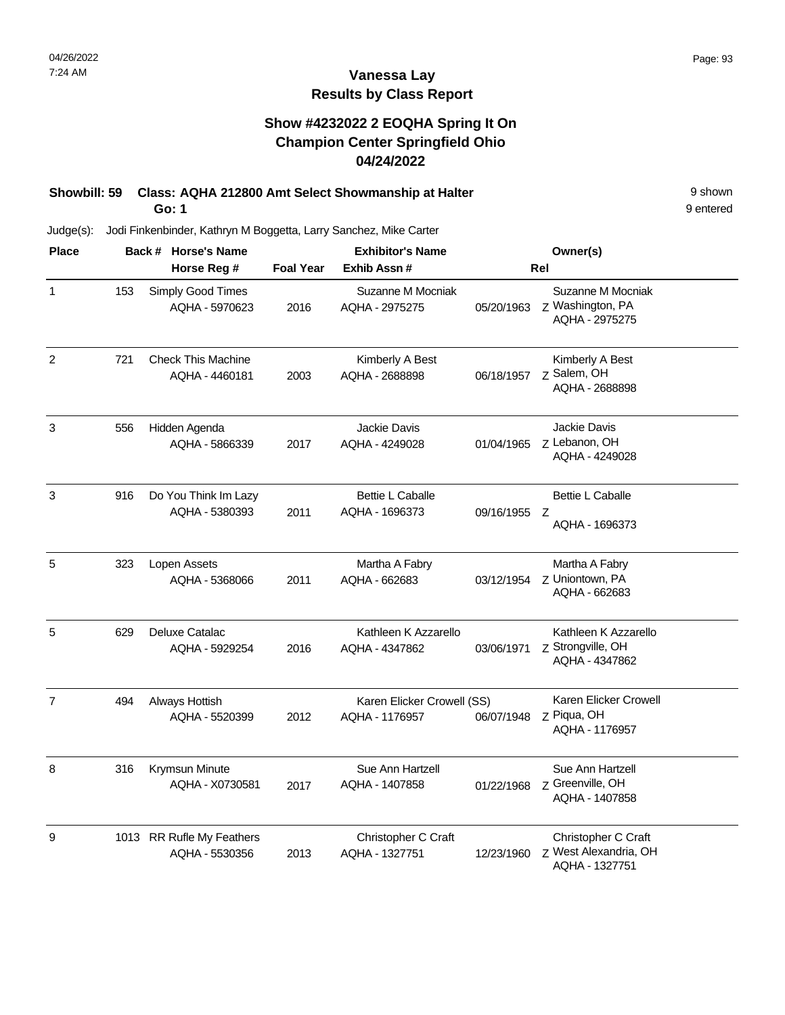## **Show #4232022 2 EOQHA Spring It On Champion Center Springfield Ohio 04/24/2022**

#### **Showbill: 59 Class: AQHA 212800 Amt Select Showmanship at Halter** 9 Shown **Go: 1**

Judge(s): Jodi Finkenbinder, Kathryn M Boggetta, Larry Sanchez, Mike Carter

| <b>Place</b>   |     | Back # Horse's Name                         | <b>Exhibitor's Name</b> |                                              |            | Owner(s)                                                       |  |
|----------------|-----|---------------------------------------------|-------------------------|----------------------------------------------|------------|----------------------------------------------------------------|--|
|                |     | Horse Reg #                                 | <b>Foal Year</b>        | Exhib Assn #                                 |            | Rel                                                            |  |
| $\mathbf{1}$   | 153 | Simply Good Times<br>AQHA - 5970623         | 2016                    | Suzanne M Mocniak<br>AQHA - 2975275          | 05/20/1963 | Suzanne M Mocniak<br>Z Washington, PA<br>AQHA - 2975275        |  |
| $\overline{c}$ | 721 | <b>Check This Machine</b><br>AQHA - 4460181 | 2003                    | Kimberly A Best<br>AQHA - 2688898            | 06/18/1957 | Kimberly A Best<br>Z Salem, OH<br>AQHA - 2688898               |  |
| 3              | 556 | Hidden Agenda<br>AQHA - 5866339             | 2017                    | Jackie Davis<br>AQHA - 4249028               | 01/04/1965 | Jackie Davis<br>z Lebanon, OH<br>AQHA - 4249028                |  |
| 3              | 916 | Do You Think Im Lazy<br>AQHA - 5380393      | 2011                    | Bettie L Caballe<br>AQHA - 1696373           | 09/16/1955 | <b>Bettie L Caballe</b><br>Z<br>AQHA - 1696373                 |  |
| 5              | 323 | Lopen Assets<br>AQHA - 5368066              | 2011                    | Martha A Fabry<br>AQHA - 662683              | 03/12/1954 | Martha A Fabry<br>Z Uniontown, PA<br>AQHA - 662683             |  |
| 5              | 629 | Deluxe Catalac<br>AQHA - 5929254            | 2016                    | Kathleen K Azzarello<br>AQHA - 4347862       | 03/06/1971 | Kathleen K Azzarello<br>Z Strongville, OH<br>AQHA - 4347862    |  |
| $\overline{7}$ | 494 | Always Hottish<br>AQHA - 5520399            | 2012                    | Karen Elicker Crowell (SS)<br>AQHA - 1176957 | 06/07/1948 | Karen Elicker Crowell<br>Z Piqua, OH<br>AQHA - 1176957         |  |
| 8              | 316 | Krymsun Minute<br>AQHA - X0730581           | 2017                    | Sue Ann Hartzell<br>AQHA - 1407858           | 01/22/1968 | Sue Ann Hartzell<br>z Greenville, OH<br>AQHA - 1407858         |  |
| 9              |     | 1013 RR Rufle My Feathers<br>AQHA - 5530356 | 2013                    | Christopher C Craft<br>AQHA - 1327751        | 12/23/1960 | Christopher C Craft<br>Z West Alexandria, OH<br>AQHA - 1327751 |  |

9 entered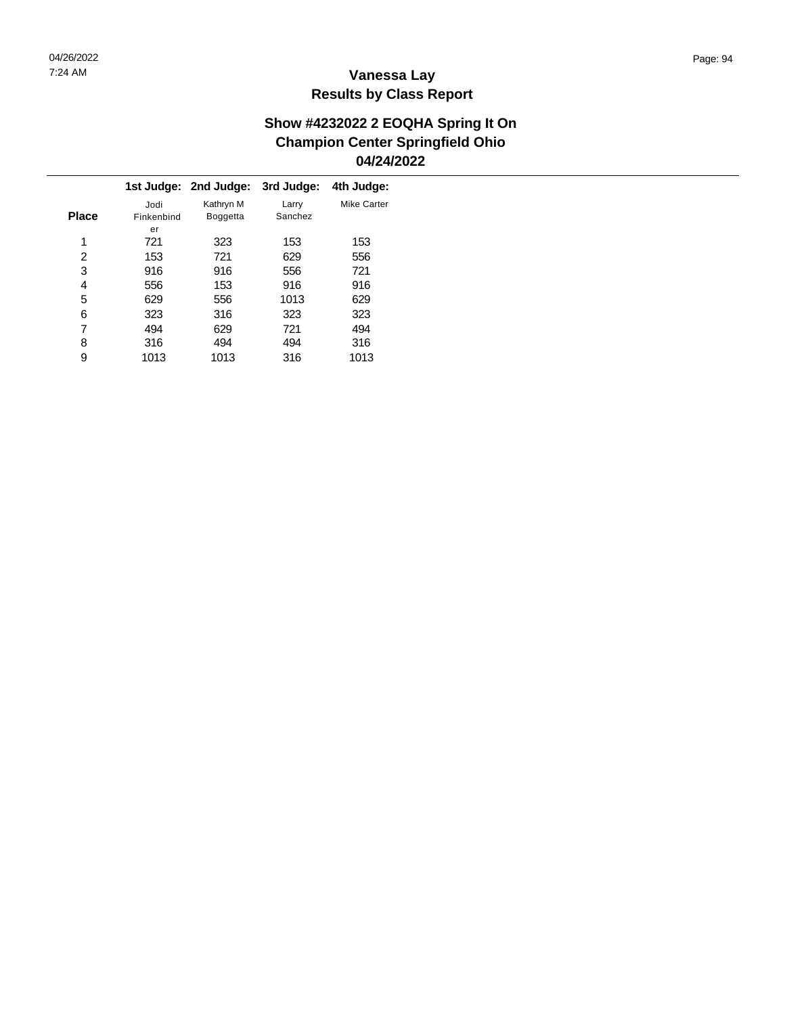|              |            | 1st Judge: 2nd Judge: | 3rd Judge: | 4th Judge:         |
|--------------|------------|-----------------------|------------|--------------------|
|              | Jodi       | Kathryn M             | Larry      | <b>Mike Carter</b> |
| <b>Place</b> | Finkenbind | <b>Boggetta</b>       | Sanchez    |                    |
|              | er         |                       |            |                    |
| 1            | 721        | 323                   | 153        | 153                |
| 2            | 153        | 721                   | 629        | 556                |
| 3            | 916        | 916                   | 556        | 721                |
| 4            | 556        | 153                   | 916        | 916                |
| 5            | 629        | 556                   | 1013       | 629                |
| 6            | 323        | 316                   | 323        | 323                |
| 7            | 494        | 629                   | 721        | 494                |
| 8            | 316        | 494                   | 494        | 316                |
| 9            | 1013       | 1013                  | 316        | 1013               |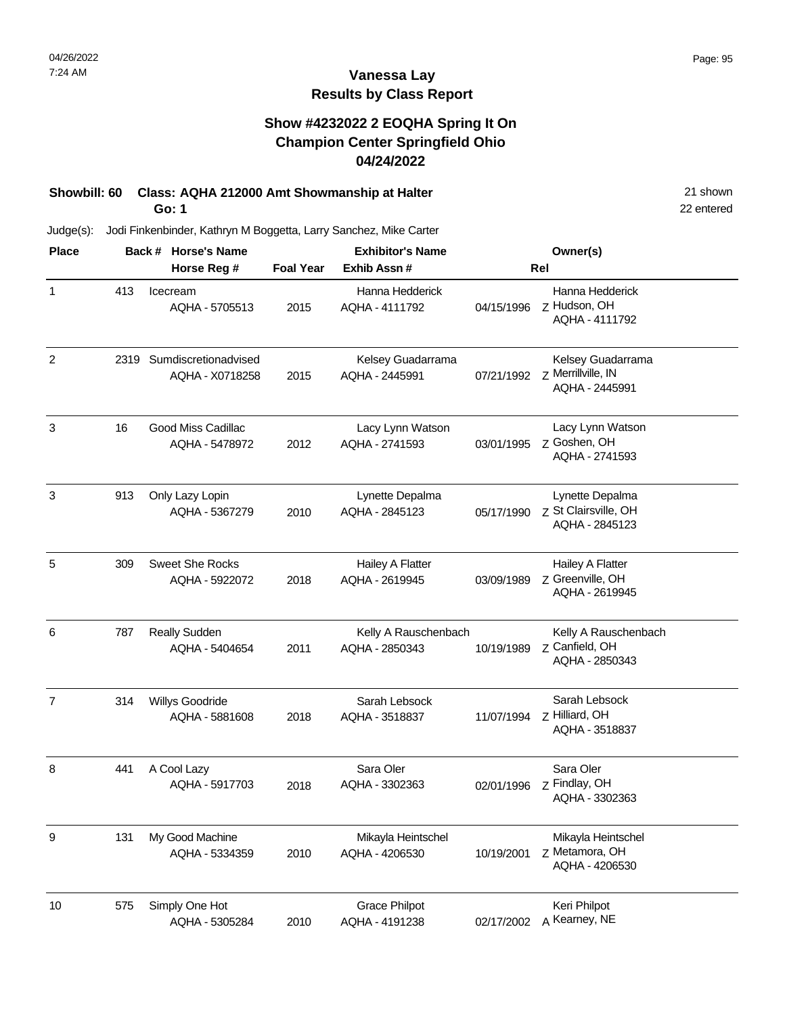## **Vanessa Lay Results by Class Report**

## **Show #4232022 2 EOQHA Spring It On Champion Center Springfield Ohio 04/24/2022**

# **Showbill: 60 Class: AQHA 212000 Amt Showmanship at Halter** 21 shown 21 shown

**Go: 1**

| <b>Place</b>   |      | Back # Horse's Name                      | <b>Exhibitor's Name</b> |                                           |            | Owner(s)                                                      |
|----------------|------|------------------------------------------|-------------------------|-------------------------------------------|------------|---------------------------------------------------------------|
|                |      | Horse Reg #                              | <b>Foal Year</b>        | Exhib Assn#                               | Rel        |                                                               |
| $\mathbf{1}$   | 413  | Icecream<br>AQHA - 5705513               | 2015                    | Hanna Hedderick<br>AQHA - 4111792         | 04/15/1996 | Hanna Hedderick<br>Z Hudson, OH<br>AQHA - 4111792             |
| $\overline{c}$ | 2319 | Sumdiscretionadvised<br>AQHA - X0718258  | 2015                    | Kelsey Guadarrama<br>AQHA - 2445991       | 07/21/1992 | Kelsey Guadarrama<br>Z Merrillville, IN<br>AQHA - 2445991     |
| 3              | 16   | Good Miss Cadillac<br>AQHA - 5478972     | 2012                    | Lacy Lynn Watson<br>AQHA - 2741593        | 03/01/1995 | Lacy Lynn Watson<br>Z Goshen, OH<br>AQHA - 2741593            |
| 3              | 913  | Only Lazy Lopin<br>AQHA - 5367279        | 2010                    | Lynette Depalma<br>AQHA - 2845123         | 05/17/1990 | Lynette Depalma<br>Z St Clairsville, OH<br>AQHA - 2845123     |
| 5              | 309  | <b>Sweet She Rocks</b><br>AQHA - 5922072 | 2018                    | <b>Hailey A Flatter</b><br>AQHA - 2619945 | 03/09/1989 | <b>Hailey A Flatter</b><br>Z Greenville, OH<br>AQHA - 2619945 |
| 6              | 787  | <b>Really Sudden</b><br>AQHA - 5404654   | 2011                    | Kelly A Rauschenbach<br>AQHA - 2850343    | 10/19/1989 | Kelly A Rauschenbach<br>Z Canfield, OH<br>AQHA - 2850343      |
| 7              | 314  | Willys Goodride<br>AQHA - 5881608        | 2018                    | Sarah Lebsock<br>AQHA - 3518837           | 11/07/1994 | Sarah Lebsock<br>Z Hilliard, OH<br>AQHA - 3518837             |
| 8              | 441  | A Cool Lazy<br>AQHA - 5917703            | 2018                    | Sara Oler<br>AQHA - 3302363               | 02/01/1996 | Sara Oler<br>Z Findlay, OH<br>AQHA - 3302363                  |
| 9              | 131  | My Good Machine<br>AQHA - 5334359        | 2010                    | Mikayla Heintschel<br>AQHA - 4206530      | 10/19/2001 | Mikayla Heintschel<br>Z Metamora, OH<br>AQHA - 4206530        |
| 10             | 575  | Simply One Hot<br>AQHA - 5305284         | 2010                    | <b>Grace Philpot</b><br>AQHA - 4191238    | 02/17/2002 | Keri Philpot<br>A Kearney, NE                                 |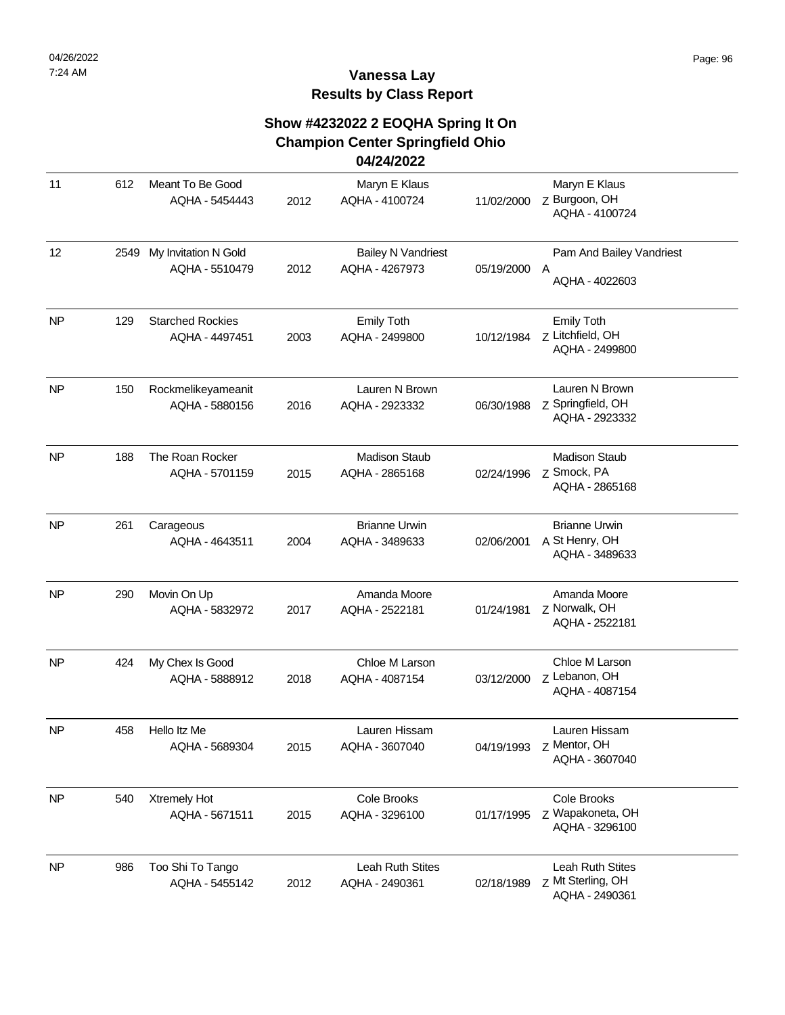## **Show #4232022 2 EOQHA Spring It On Champion Center Springfield Ohio**

#### **04/24/2022**

| 11        | 612  | Meant To Be Good<br>AQHA - 5454443        | 2012 | Maryn E Klaus<br>AQHA - 4100724             | 11/02/2000   | Maryn E Klaus<br>Z Burgoon, OH<br>AQHA - 4100724         |
|-----------|------|-------------------------------------------|------|---------------------------------------------|--------------|----------------------------------------------------------|
| 12        | 2549 | My Invitation N Gold<br>AQHA - 5510479    | 2012 | <b>Bailey N Vandriest</b><br>AQHA - 4267973 | 05/19/2000 A | Pam And Bailey Vandriest<br>AQHA - 4022603               |
| <b>NP</b> | 129  | <b>Starched Rockies</b><br>AQHA - 4497451 | 2003 | Emily Toth<br>AQHA - 2499800                | 10/12/1984   | <b>Emily Toth</b><br>Z Litchfield, OH<br>AQHA - 2499800  |
| <b>NP</b> | 150  | Rockmelikeyameanit<br>AQHA - 5880156      | 2016 | Lauren N Brown<br>AQHA - 2923332            | 06/30/1988   | Lauren N Brown<br>Z Springfield, OH<br>AQHA - 2923332    |
| <b>NP</b> | 188  | The Roan Rocker<br>AQHA - 5701159         | 2015 | <b>Madison Staub</b><br>AQHA - 2865168      | 02/24/1996   | <b>Madison Staub</b><br>Z Smock, PA<br>AQHA - 2865168    |
| NP        | 261  | Carageous<br>AQHA - 4643511               | 2004 | <b>Brianne Urwin</b><br>AQHA - 3489633      | 02/06/2001   | <b>Brianne Urwin</b><br>A St Henry, OH<br>AQHA - 3489633 |
| <b>NP</b> | 290  | Movin On Up<br>AQHA - 5832972             | 2017 | Amanda Moore<br>AQHA - 2522181              | 01/24/1981   | Amanda Moore<br>Z Norwalk, OH<br>AQHA - 2522181          |
| <b>NP</b> | 424  | My Chex Is Good<br>AQHA - 5888912         | 2018 | Chloe M Larson<br>AQHA - 4087154            | 03/12/2000   | Chloe M Larson<br>Z Lebanon, OH<br>AQHA - 4087154        |
| <b>NP</b> | 458  | Hello Itz Me<br>AQHA - 5689304            | 2015 | Lauren Hissam<br>AQHA - 3607040             |              | Lauren Hissam<br>AQHA - 3607040                          |
| NP        | 540  | Xtremely Hot<br>AQHA - 5671511            | 2015 | Cole Brooks<br>AQHA - 3296100               | 01/17/1995   | Cole Brooks<br>Z Wapakoneta, OH<br>AQHA - 3296100        |
| NP        | 986  | Too Shi To Tango<br>AQHA - 5455142        | 2012 | Leah Ruth Stites<br>AQHA - 2490361          | 02/18/1989   | Leah Ruth Stites<br>Z Mt Sterling, OH<br>AQHA - 2490361  |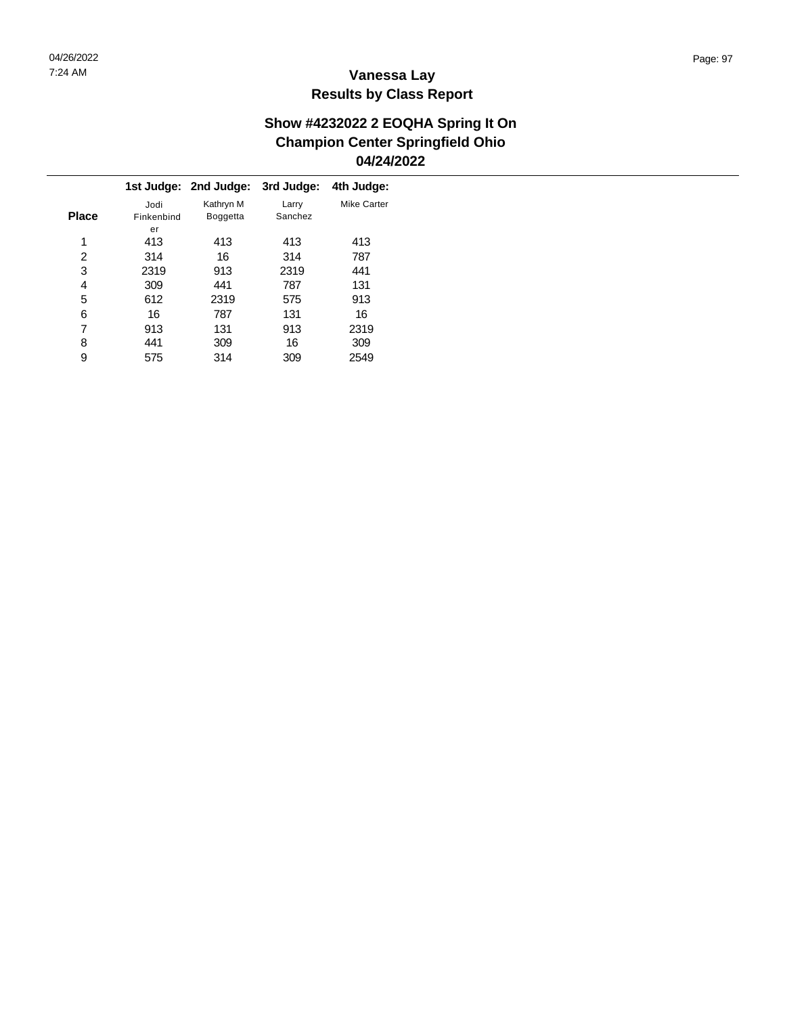$\overline{\phantom{a}}$ 

## **Vanessa Lay Results by Class Report**

|              |            | 1st Judge: 2nd Judge: | 3rd Judge: | 4th Judge:  |
|--------------|------------|-----------------------|------------|-------------|
|              | Jodi       | Kathryn M             | Larry      | Mike Carter |
| <b>Place</b> | Finkenbind | <b>Boggetta</b>       | Sanchez    |             |
|              | er         |                       |            |             |
| 1            | 413        | 413                   | 413        | 413         |
| 2            | 314        | 16                    | 314        | 787         |
| 3            | 2319       | 913                   | 2319       | 441         |
| 4            | 309        | 441                   | 787        | 131         |
| 5            | 612        | 2319                  | 575        | 913         |
| 6            | 16         | 787                   | 131        | 16          |
| 7            | 913        | 131                   | 913        | 2319        |
| 8            | 441        | 309                   | 16         | 309         |
| 9            | 575        | 314                   | 309        | 2549        |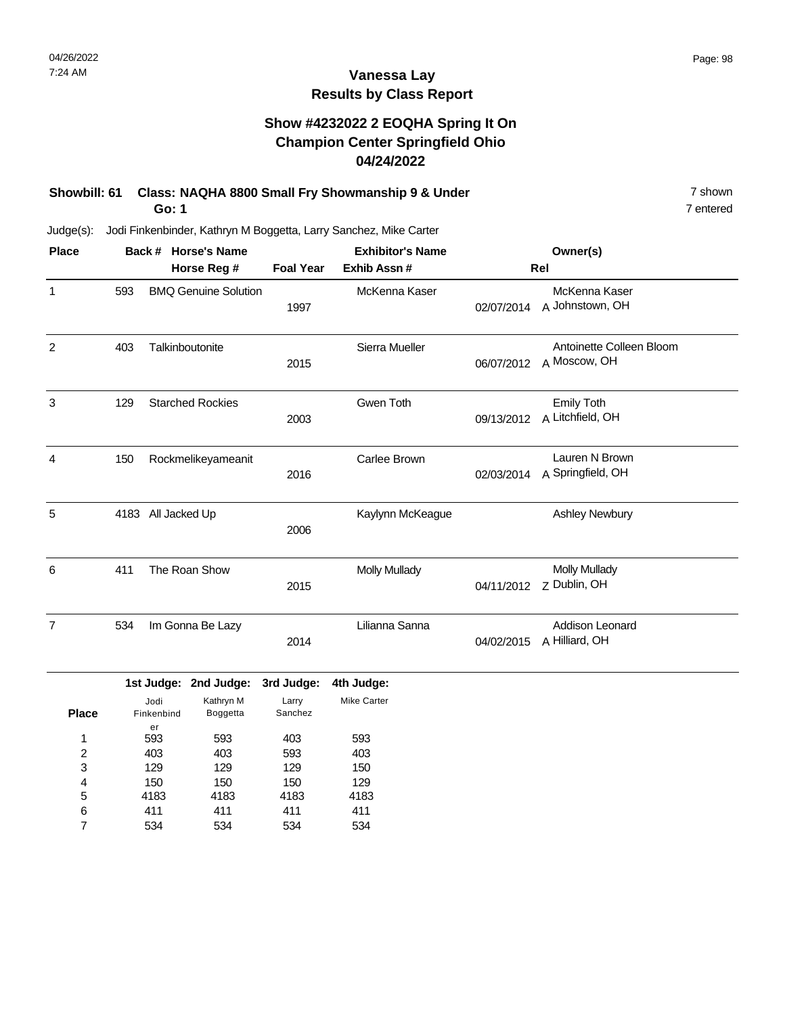## **Vanessa Lay Results by Class Report**

## **Show #4232022 2 EOQHA Spring It On Champion Center Springfield Ohio 04/24/2022**

# **Showbill: 61 Class: NAQHA 8800 Small Fry Showmanship 9 & Under** 7 shown

**Go: 1**

| <b>Place</b>   |      | Back # Horse's Name<br>Horse Reg # | <b>Foal Year</b> | <b>Exhibitor's Name</b><br>Exhib Assn# |            | Owner(s)<br>Rel                          |
|----------------|------|------------------------------------|------------------|----------------------------------------|------------|------------------------------------------|
| $\mathbf{1}$   | 593  | <b>BMQ Genuine Solution</b>        | 1997             | McKenna Kaser                          | 02/07/2014 | McKenna Kaser<br>A Johnstown, OH         |
| 2              | 403  | Talkinboutonite                    | 2015             | Sierra Mueller                         | 06/07/2012 | Antoinette Colleen Bloom<br>A Moscow, OH |
| 3              | 129  | <b>Starched Rockies</b>            | 2003             | Gwen Toth                              | 09/13/2012 | <b>Emily Toth</b><br>A Litchfield, OH    |
| 4              | 150  | Rockmelikeyameanit                 | 2016             | Carlee Brown                           | 02/03/2014 | Lauren N Brown<br>A Springfield, OH      |
| 5              | 4183 | All Jacked Up                      | 2006             | Kaylynn McKeague                       |            | Ashley Newbury                           |
| 6              | 411  | The Roan Show                      | 2015             | <b>Molly Mullady</b>                   | 04/11/2012 | <b>Molly Mullady</b><br>Z Dublin, OH     |
| $\overline{7}$ | 534  | Im Gonna Be Lazy                   | 2014             | Lilianna Sanna                         | 04/02/2015 | Addison Leonard<br>A Hilliard, OH        |

|              |            | 1st Judge: 2nd Judge: | 3rd Judge: | 4th Judge:  |
|--------------|------------|-----------------------|------------|-------------|
|              | Jodi       | Kathryn M             | Larry      | Mike Carter |
| <b>Place</b> | Finkenbind | <b>Boggetta</b>       | Sanchez    |             |
|              | er         |                       |            |             |
| 1            | 593        | 593                   | 403        | 593         |
| 2            | 403        | 403                   | 593        | 403         |
| 3            | 129        | 129                   | 129        | 150         |
| 4            | 150        | 150                   | 150        | 129         |
| 5            | 4183       | 4183                  | 4183       | 4183        |
| 6            | 411        | 411                   | 411        | 411         |
|              | 534        | 534                   | 534        | 534         |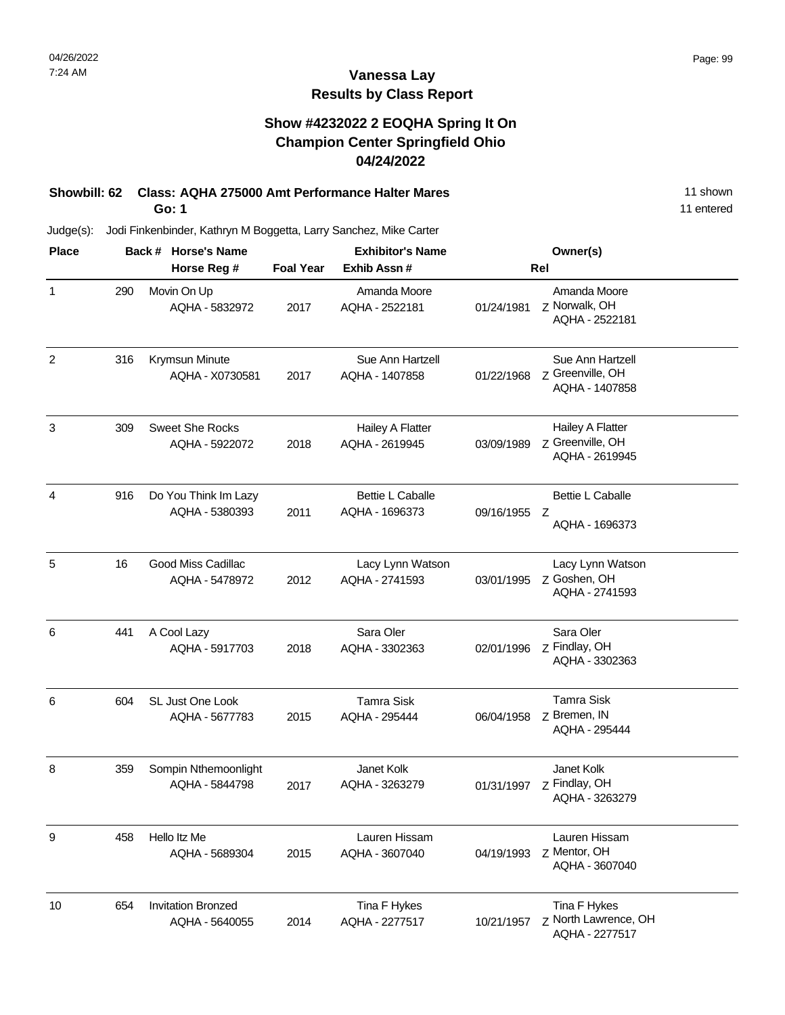## **Vanessa Lay Results by Class Report**

## **Show #4232022 2 EOQHA Spring It On Champion Center Springfield Ohio 04/24/2022**

#### **Showbill: 62 Class: AQHA 275000 Amt Performance Halter Mares** 11 **Shown** 11 shown **Go: 1**

| <b>Place</b>   |     | Back # Horse's Name                         |                  | <b>Exhibitor's Name</b>            |            | Owner(s)                                               |
|----------------|-----|---------------------------------------------|------------------|------------------------------------|------------|--------------------------------------------------------|
|                |     | Horse Reg #                                 | <b>Foal Year</b> | Exhib Assn#                        |            | Rel                                                    |
| $\mathbf{1}$   | 290 | Movin On Up<br>AQHA - 5832972               | 2017             | Amanda Moore<br>AQHA - 2522181     | 01/24/1981 | Amanda Moore<br>Z Norwalk, OH<br>AQHA - 2522181        |
| $\overline{c}$ | 316 | Krymsun Minute<br>AQHA - X0730581           | 2017             | Sue Ann Hartzell<br>AQHA - 1407858 | 01/22/1968 | Sue Ann Hartzell<br>Z Greenville, OH<br>AQHA - 1407858 |
| 3              | 309 | <b>Sweet She Rocks</b><br>AQHA - 5922072    | 2018             | Hailey A Flatter<br>AQHA - 2619945 | 03/09/1989 | Hailey A Flatter<br>Z Greenville, OH<br>AQHA - 2619945 |
| 4              | 916 | Do You Think Im Lazy<br>AQHA - 5380393      | 2011             | Bettie L Caballe<br>AQHA - 1696373 | 09/16/1955 | <b>Bettie L Caballe</b><br>Z<br>AQHA - 1696373         |
| 5              | 16  | Good Miss Cadillac<br>AQHA - 5478972        | 2012             | Lacy Lynn Watson<br>AQHA - 2741593 | 03/01/1995 | Lacy Lynn Watson<br>Z Goshen, OH<br>AQHA - 2741593     |
| 6              | 441 | A Cool Lazy<br>AQHA - 5917703               | 2018             | Sara Oler<br>AQHA - 3302363        | 02/01/1996 | Sara Oler<br>Z Findlay, OH<br>AQHA - 3302363           |
| 6              | 604 | SL Just One Look<br>AQHA - 5677783          | 2015             | <b>Tamra Sisk</b><br>AQHA - 295444 | 06/04/1958 | <b>Tamra Sisk</b><br>Z Bremen, IN<br>AQHA - 295444     |
| 8              | 359 | Sompin Nthemoonlight<br>AQHA - 5844798      | 2017             | Janet Kolk<br>AQHA - 3263279       | 01/31/1997 | Janet Kolk<br>z Findlay, OH<br>AQHA - 3263279          |
| 9              | 458 | Hello Itz Me<br>AQHA - 5689304              | 2015             | Lauren Hissam<br>AQHA - 3607040    | 04/19/1993 | Lauren Hissam<br>Z Mentor, OH<br>AQHA - 3607040        |
| 10             | 654 | <b>Invitation Bronzed</b><br>AQHA - 5640055 | 2014             | Tina F Hykes<br>AQHA - 2277517     | 10/21/1957 | Tina F Hykes<br>Z North Lawrence, OH<br>AQHA - 2277517 |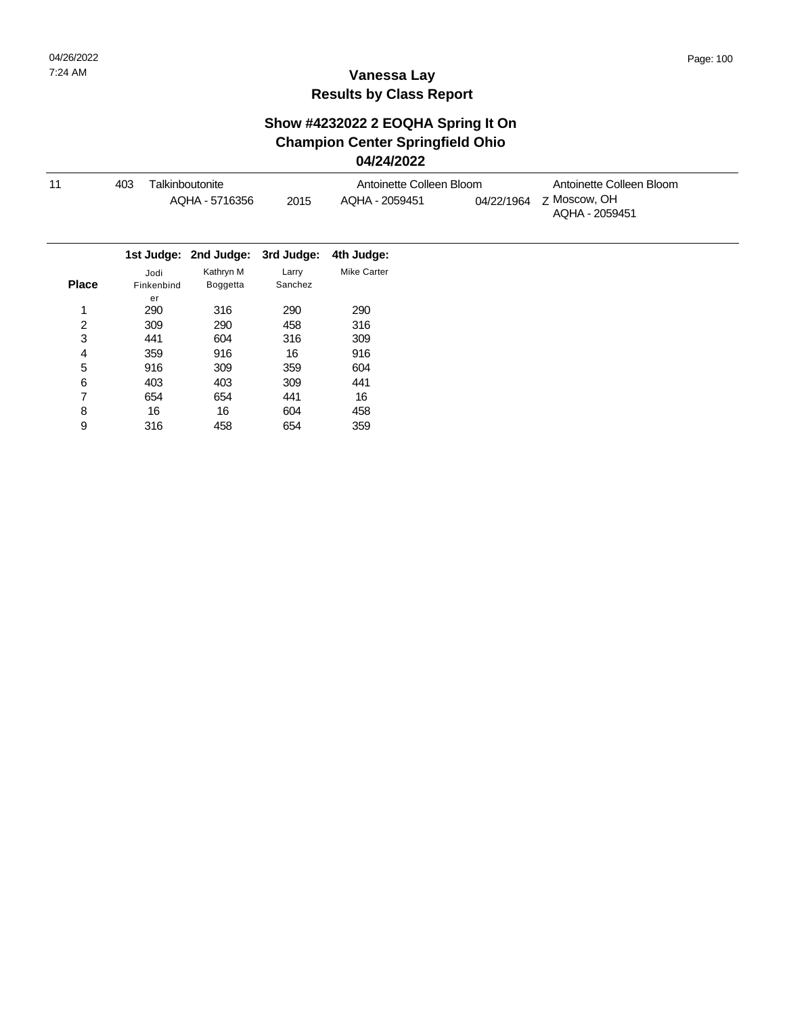| 11             | 403                | Talkinboutonite       |                  | Antoinette Colleen Bloom |            | Antoinette Colleen Bloom       |
|----------------|--------------------|-----------------------|------------------|--------------------------|------------|--------------------------------|
|                |                    | AQHA - 5716356        | 2015             | AQHA - 2059451           | 04/22/1964 | z Moscow, OH<br>AQHA - 2059451 |
|                |                    | 1st Judge: 2nd Judge: | 3rd Judge:       | 4th Judge:               |            |                                |
| <b>Place</b>   | Jodi<br>Finkenbind | Kathryn M<br>Boggetta | Larry<br>Sanchez | <b>Mike Carter</b>       |            |                                |
|                | er                 |                       |                  |                          |            |                                |
| 1              | 290                | 316                   | 290              | 290                      |            |                                |
| $\overline{c}$ | 309                | 290                   | 458              | 316                      |            |                                |
| 3              | 441                | 604                   | 316              | 309                      |            |                                |
| 4              | 359                | 916                   | 16               | 916                      |            |                                |
| 5              | 916                | 309                   | 359              | 604                      |            |                                |
| 6              | 403                | 403                   | 309              | 441                      |            |                                |
| 7              | 654                | 654                   | 441              | 16                       |            |                                |
| 8              | 16                 | 16                    | 604              | 458                      |            |                                |
| 9              | 316                | 458                   | 654              | 359                      |            |                                |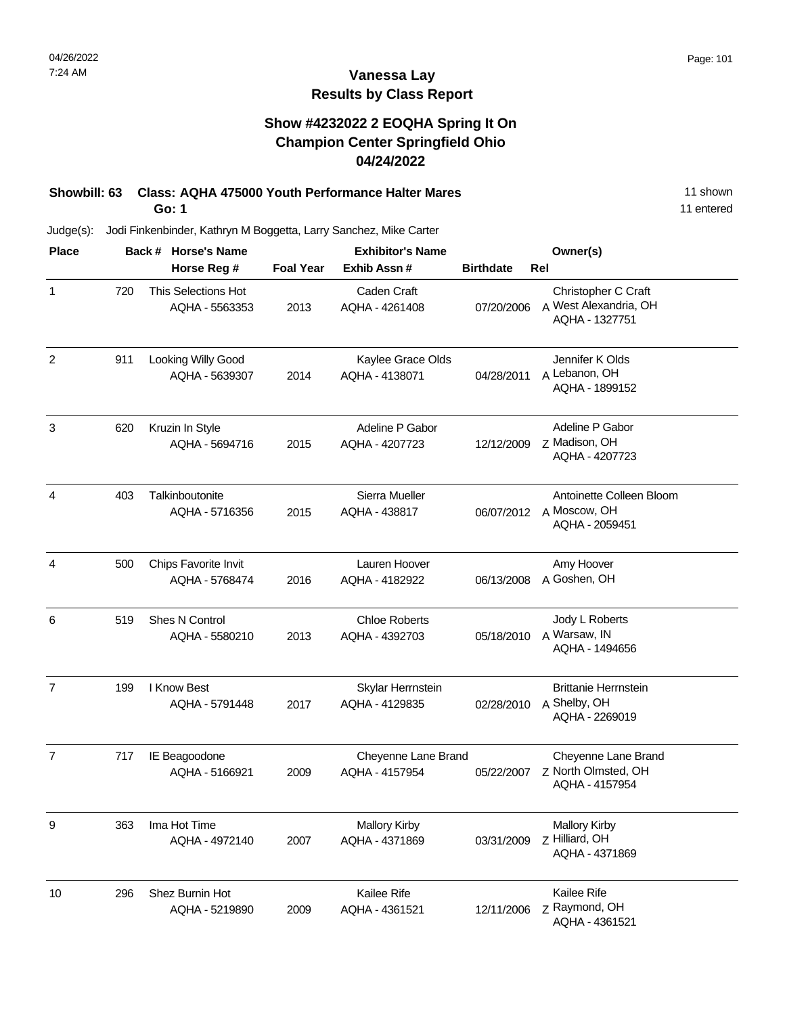## **Show #4232022 2 EOQHA Spring It On Champion Center Springfield Ohio 04/24/2022**

#### **Showbill: 63 Class: AQHA 475000 Youth Performance Halter Mares** 11 Shown 11 shown **Go: 1**

11 entered

| <b>Place</b>   |     |                      | Back # Horse's Name |                  | <b>Exhibitor's Name</b>                |                  | Owner(s)                                                       |
|----------------|-----|----------------------|---------------------|------------------|----------------------------------------|------------------|----------------------------------------------------------------|
|                |     |                      | Horse Reg #         | <b>Foal Year</b> | Exhib Assn#                            | <b>Birthdate</b> | Rel                                                            |
| $\mathbf{1}$   | 720 | This Selections Hot  | AQHA - 5563353      | 2013             | Caden Craft<br>AQHA - 4261408          | 07/20/2006       | Christopher C Craft<br>A West Alexandria, OH<br>AQHA - 1327751 |
| $\overline{2}$ | 911 | Looking Willy Good   | AQHA - 5639307      | 2014             | Kaylee Grace Olds<br>AQHA - 4138071    | 04/28/2011       | Jennifer K Olds<br>A Lebanon, OH<br>AQHA - 1899152             |
| 3              | 620 | Kruzin In Style      | AQHA - 5694716      | 2015             | Adeline P Gabor<br>AQHA - 4207723      | 12/12/2009       | Adeline P Gabor<br>Z Madison, OH<br>AQHA - 4207723             |
| 4              | 403 | Talkinboutonite      | AQHA - 5716356      | 2015             | Sierra Mueller<br>AQHA - 438817        | 06/07/2012       | Antoinette Colleen Bloom<br>A Moscow, OH<br>AQHA - 2059451     |
| 4              | 500 | Chips Favorite Invit | AQHA - 5768474      | 2016             | Lauren Hoover<br>AQHA - 4182922        | 06/13/2008       | Amy Hoover<br>A Goshen, OH                                     |
| 6              | 519 | Shes N Control       | AQHA - 5580210      | 2013             | <b>Chloe Roberts</b><br>AQHA - 4392703 | 05/18/2010       | Jody L Roberts<br>A Warsaw, IN<br>AQHA - 1494656               |
| $\overline{7}$ | 199 | I Know Best          | AQHA - 5791448      | 2017             | Skylar Herrnstein<br>AQHA - 4129835    | 02/28/2010       | <b>Brittanie Herrnstein</b><br>A Shelby, OH<br>AQHA - 2269019  |
| $\overline{7}$ | 717 | IE Beagoodone        | AQHA - 5166921      | 2009             | Cheyenne Lane Brand<br>AQHA - 4157954  | 05/22/2007       | Cheyenne Lane Brand<br>Z North Olmsted, OH<br>AQHA - 4157954   |
| 9              | 363 | Ima Hot Time         | AQHA - 4972140      | 2007             | <b>Mallory Kirby</b><br>AQHA - 4371869 | 03/31/2009       | <b>Mallory Kirby</b><br>Z Hilliard, OH<br>AQHA - 4371869       |
| 10             | 296 | Shez Burnin Hot      | AQHA - 5219890      | 2009             | Kailee Rife<br>AQHA - 4361521          | 12/11/2006       | Kailee Rife<br>Z Raymond, OH<br>AQHA - 4361521                 |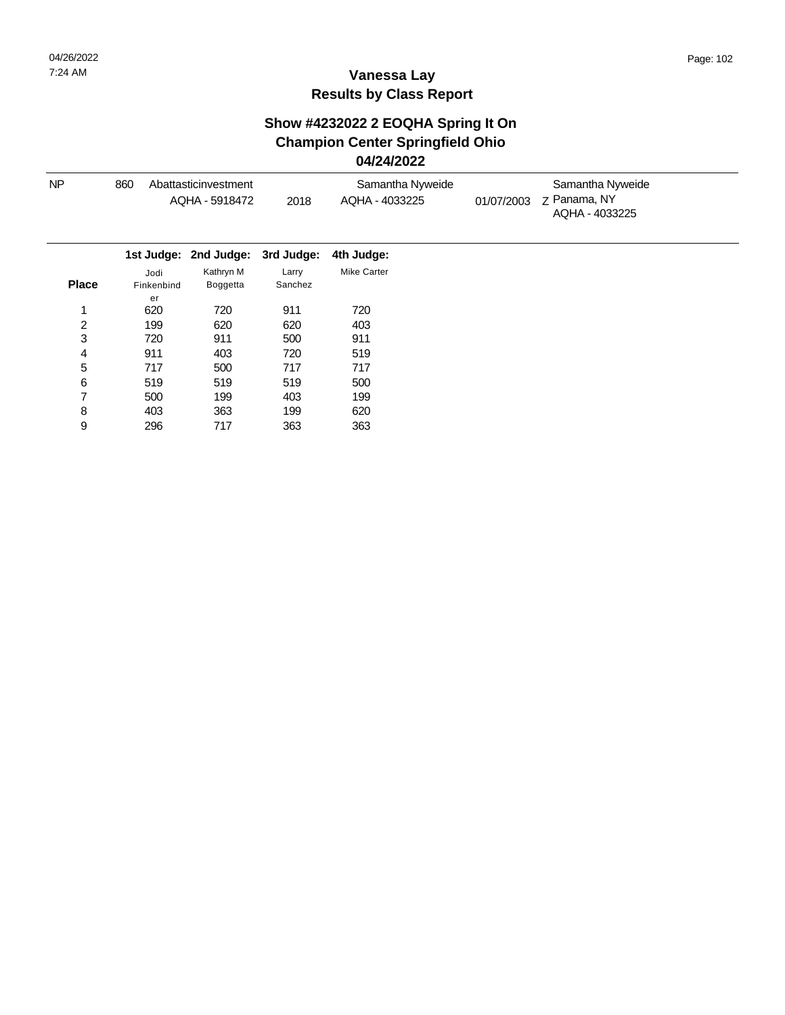| <b>NP</b>      | 860        | Abattasticinvestment<br>AQHA - 5918472 | 2018       | Samantha Nyweide<br>AQHA - 4033225 | 01/07/2003 | Samantha Nyweide<br>Z Panama, NY<br>AQHA - 4033225 |
|----------------|------------|----------------------------------------|------------|------------------------------------|------------|----------------------------------------------------|
|                |            | 1st Judge: 2nd Judge:                  | 3rd Judge: | 4th Judge:                         |            |                                                    |
|                | Jodi       | Kathryn M                              | Larry      | <b>Mike Carter</b>                 |            |                                                    |
| <b>Place</b>   | Finkenbind | Boggetta                               | Sanchez    |                                    |            |                                                    |
|                | er         |                                        |            |                                    |            |                                                    |
| 1              | 620        | 720                                    | 911        | 720                                |            |                                                    |
| $\overline{c}$ | 199        | 620                                    | 620        | 403                                |            |                                                    |
| 3              | 720        | 911                                    | 500        | 911                                |            |                                                    |
| 4              | 911        | 403                                    | 720        | 519                                |            |                                                    |
| 5              | 717        | 500                                    | 717        | 717                                |            |                                                    |
| 6              | 519        | 519                                    | 519        | 500                                |            |                                                    |
| 7              | 500        | 199                                    | 403        | 199                                |            |                                                    |
| 8              | 403        | 363                                    | 199        | 620                                |            |                                                    |
| 9              | 296        | 717                                    | 363        | 363                                |            |                                                    |
|                |            |                                        |            |                                    |            |                                                    |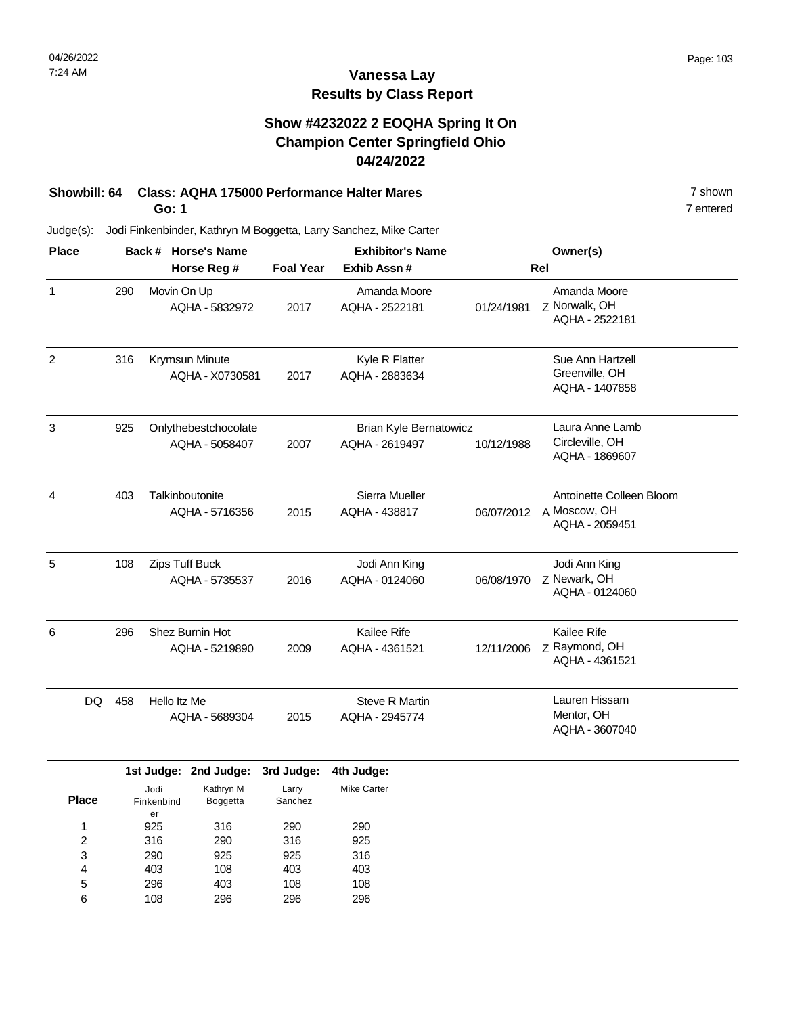## **Show #4232022 2 EOQHA Spring It On Champion Center Springfield Ohio 04/24/2022**

# **Showbill: 64 Class: AQHA 175000 Performance Halter Mares** 7 shown

**Go: 1**

Judge(s): Jodi Finkenbinder, Kathryn M Boggetta, Larry Sanchez, Mike Carter

| <b>Place</b> |            | Back # Horse's Name                    | <b>Exhibitor's Name</b> |                                                 |            | Owner(s)                                                   |
|--------------|------------|----------------------------------------|-------------------------|-------------------------------------------------|------------|------------------------------------------------------------|
|              |            | Horse Reg #                            | <b>Foal Year</b>        | Exhib Assn #                                    |            | Rel                                                        |
| $\mathbf{1}$ | 290        | Movin On Up<br>AQHA - 5832972          | 2017                    | Amanda Moore<br>AQHA - 2522181                  | 01/24/1981 | Amanda Moore<br>Z Norwalk, OH<br>AQHA - 2522181            |
| 2            | 316        | Krymsun Minute<br>AQHA - X0730581      | 2017                    | Kyle R Flatter<br>AQHA - 2883634                |            | Sue Ann Hartzell<br>Greenville, OH<br>AQHA - 1407858       |
| 3            | 925        | Onlythebestchocolate<br>AQHA - 5058407 | 2007                    | <b>Brian Kyle Bernatowicz</b><br>AQHA - 2619497 | 10/12/1988 | Laura Anne Lamb<br>Circleville, OH<br>AQHA - 1869607       |
| 4            | 403        | Talkinboutonite<br>AQHA - 5716356      | 2015                    | Sierra Mueller<br>AQHA - 438817                 | 06/07/2012 | Antoinette Colleen Bloom<br>A Moscow, OH<br>AQHA - 2059451 |
| 5            | 108        | Zips Tuff Buck<br>AQHA - 5735537       | 2016                    | Jodi Ann King<br>AQHA - 0124060                 | 06/08/1970 | Jodi Ann King<br>Z Newark, OH<br>AQHA - 0124060            |
| 6            | 296        | Shez Burnin Hot<br>AQHA - 5219890      | 2009                    | Kailee Rife<br>AQHA - 4361521                   | 12/11/2006 | Kailee Rife<br>Z Raymond, OH<br>AQHA - 4361521             |
|              | 458<br>DQ. | Hello Itz Me<br>AQHA - 5689304         | 2015                    | <b>Steve R Martin</b><br>AQHA - 2945774         |            | Lauren Hissam<br>Mentor, OH<br>AQHA - 3607040              |
|              |            | 1st Judge: 2nd Judge: 3rd Judge:       |                         | 4th Judge:                                      |            |                                                            |

|              |            | 1st Judge: 2nd Judge: | 3rd Judge: | 4th Judge:         |
|--------------|------------|-----------------------|------------|--------------------|
|              | Jodi       | Kathryn M             | Larry      | <b>Mike Carter</b> |
| <b>Place</b> | Finkenbind | <b>Boggetta</b>       | Sanchez    |                    |
|              | er         |                       |            |                    |
| 1            | 925        | 316                   | 290        | 290                |
| 2            | 316        | 290                   | 316        | 925                |
| 3            | 290        | 925                   | 925        | 316                |
| 4            | 403        | 108                   | 403        | 403                |
| 5            | 296        | 403                   | 108        | 108                |
| 6            | 108        | 296                   | 296        | 296                |

7 entered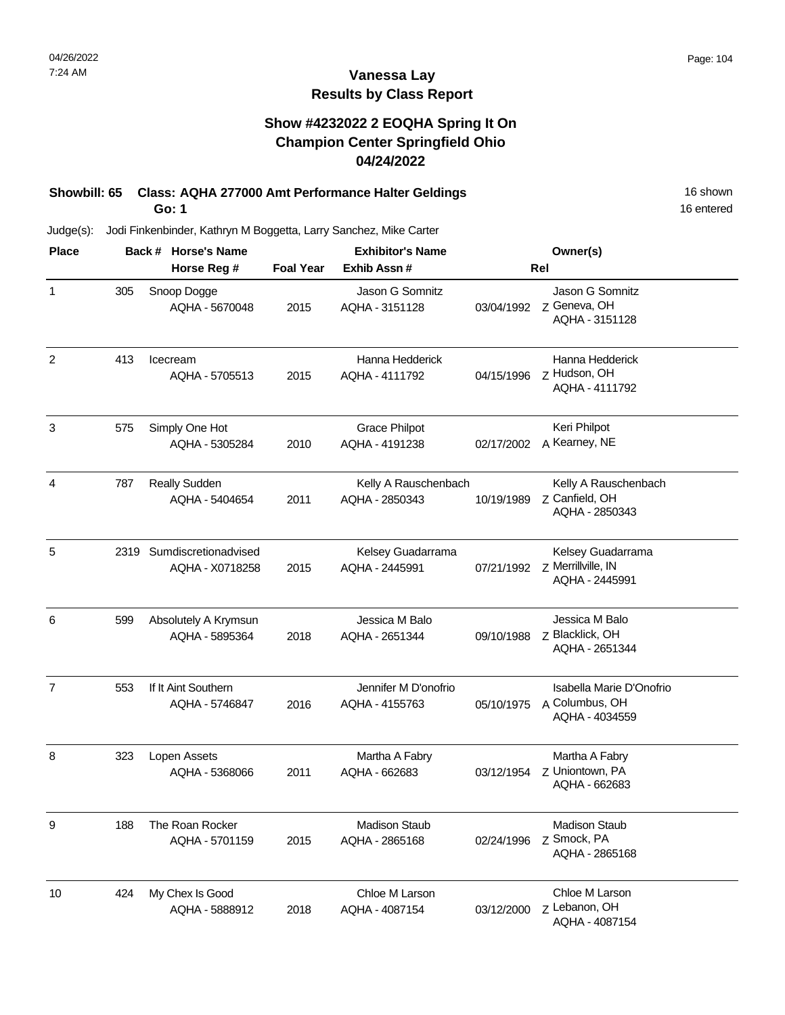## **Vanessa Lay Results by Class Report**

## **Show #4232022 2 EOQHA Spring It On Champion Center Springfield Ohio 04/24/2022**

#### **Showbill: 65 Class: AQHA 277000 Amt Performance Halter Geldings** 16 Shown 16 shown **Go: 1**

| <b>Place</b>   |      | Back # Horse's Name                     |                  | <b>Exhibitor's Name</b>                |            | Owner(s)                                                     |
|----------------|------|-----------------------------------------|------------------|----------------------------------------|------------|--------------------------------------------------------------|
|                |      | Horse Reg #                             | <b>Foal Year</b> | Exhib Assn#                            |            | Rel                                                          |
| $\mathbf{1}$   | 305  | Snoop Dogge<br>AQHA - 5670048           | 2015             | Jason G Somnitz<br>AQHA - 3151128      | 03/04/1992 | Jason G Somnitz<br>Z Geneva, OH<br>AQHA - 3151128            |
| $\overline{c}$ | 413  | Icecream<br>AQHA - 5705513              | 2015             | Hanna Hedderick<br>AQHA - 4111792      | 04/15/1996 | Hanna Hedderick<br>Z Hudson, OH<br>AQHA - 4111792            |
| 3              | 575  | Simply One Hot<br>AQHA - 5305284        | 2010             | <b>Grace Philpot</b><br>AQHA - 4191238 | 02/17/2002 | Keri Philpot<br>A Kearney, NE                                |
| 4              | 787  | Really Sudden<br>AQHA - 5404654         | 2011             | Kelly A Rauschenbach<br>AQHA - 2850343 | 10/19/1989 | Kelly A Rauschenbach<br>Z Canfield, OH<br>AQHA - 2850343     |
| 5              | 2319 | Sumdiscretionadvised<br>AQHA - X0718258 | 2015             | Kelsey Guadarrama<br>AQHA - 2445991    | 07/21/1992 | Kelsey Guadarrama<br>Z Merrillville, IN<br>AQHA - 2445991    |
| 6              | 599  | Absolutely A Krymsun<br>AQHA - 5895364  | 2018             | Jessica M Balo<br>AQHA - 2651344       | 09/10/1988 | Jessica M Balo<br>Z Blacklick, OH<br>AQHA - 2651344          |
| $\overline{7}$ | 553  | If It Aint Southern<br>AQHA - 5746847   | 2016             | Jennifer M D'onofrio<br>AQHA - 4155763 | 05/10/1975 | Isabella Marie D'Onofrio<br>A Columbus, OH<br>AQHA - 4034559 |
| 8              | 323  | Lopen Assets<br>AQHA - 5368066          | 2011             | Martha A Fabry<br>AQHA - 662683        | 03/12/1954 | Martha A Fabry<br>Z Uniontown, PA<br>AQHA - 662683           |
| 9              | 188  | The Roan Rocker<br>AQHA - 5701159       | 2015             | <b>Madison Staub</b><br>AQHA - 2865168 | 02/24/1996 | <b>Madison Staub</b><br>Z Smock, PA<br>AQHA - 2865168        |
| 10             | 424  | My Chex Is Good<br>AQHA - 5888912       | 2018             | Chloe M Larson<br>AQHA - 4087154       | 03/12/2000 | Chloe M Larson<br>z Lebanon, OH<br>AQHA - 4087154            |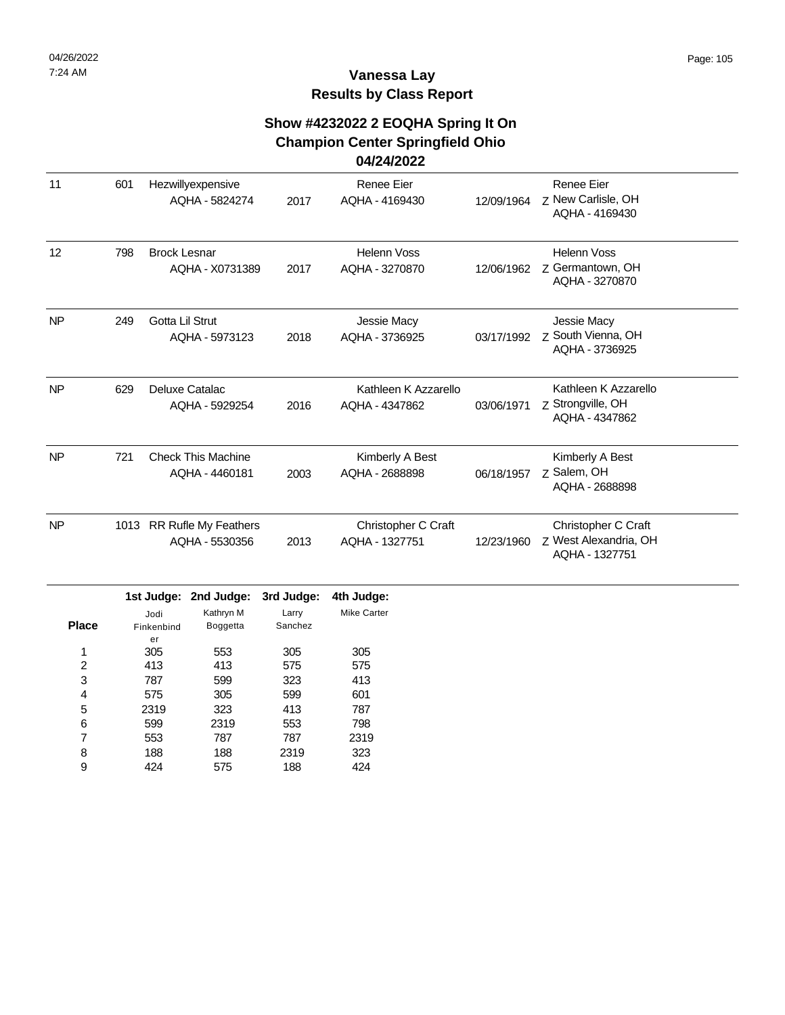### **Show #4232022 2 EOQHA Spring It On Champion Center Springfield Ohio**

#### **04/24/2022**

| 11        | 601  | Hezwillyexpensive<br>AQHA - 5824274         | 2017 | <b>Renee Eier</b><br>AQHA - 4169430    | 12/09/1964 | Renee Eier<br>Z New Carlisle, OH<br>AQHA - 4169430             |
|-----------|------|---------------------------------------------|------|----------------------------------------|------------|----------------------------------------------------------------|
| 12        | 798  | <b>Brock Lesnar</b><br>AQHA - X0731389      | 2017 | <b>Helenn Voss</b><br>AQHA - 3270870   | 12/06/1962 | Helenn Voss<br>Z Germantown, OH<br>AQHA - 3270870              |
| <b>NP</b> | 249  | Gotta Lil Strut<br>AQHA - 5973123           | 2018 | Jessie Macy<br>AQHA - 3736925          | 03/17/1992 | Jessie Macy<br>Z South Vienna, OH<br>AQHA - 3736925            |
| <b>NP</b> | 629  | Deluxe Catalac<br>AQHA - 5929254            | 2016 | Kathleen K Azzarello<br>AQHA - 4347862 | 03/06/1971 | Kathleen K Azzarello<br>Z Strongville, OH<br>AQHA - 4347862    |
| <b>NP</b> | 721  | <b>Check This Machine</b><br>AQHA - 4460181 | 2003 | Kimberly A Best<br>AQHA - 2688898      | 06/18/1957 | Kimberly A Best<br>z Salem, OH<br>AQHA - 2688898               |
| <b>NP</b> | 1013 | RR Rufle My Feathers<br>AQHA - 5530356      | 2013 | Christopher C Craft<br>AQHA - 1327751  | 12/23/1960 | Christopher C Craft<br>Z West Alexandria, OH<br>AQHA - 1327751 |

|              |            | 1st Judge: 2nd Judge: | 3rd Judge: | 4th Judge:  |
|--------------|------------|-----------------------|------------|-------------|
|              | Jodi       | Kathryn M             | Larry      | Mike Carter |
| <b>Place</b> | Finkenbind | <b>Boggetta</b>       | Sanchez    |             |
|              | er         |                       |            |             |
| 1            | 305        | 553                   | 305        | 305         |
| 2            | 413        | 413                   | 575        | 575         |
| 3            | 787        | 599                   | 323        | 413         |
| 4            | 575        | 305                   | 599        | 601         |
| 5            | 2319       | 323                   | 413        | 787         |
| 6            | 599        | 2319                  | 553        | 798         |
| 7            | 553        | 787                   | 787        | 2319        |
| 8            | 188        | 188                   | 2319       | 323         |
| 9            | 424        | 575                   | 188        | 424         |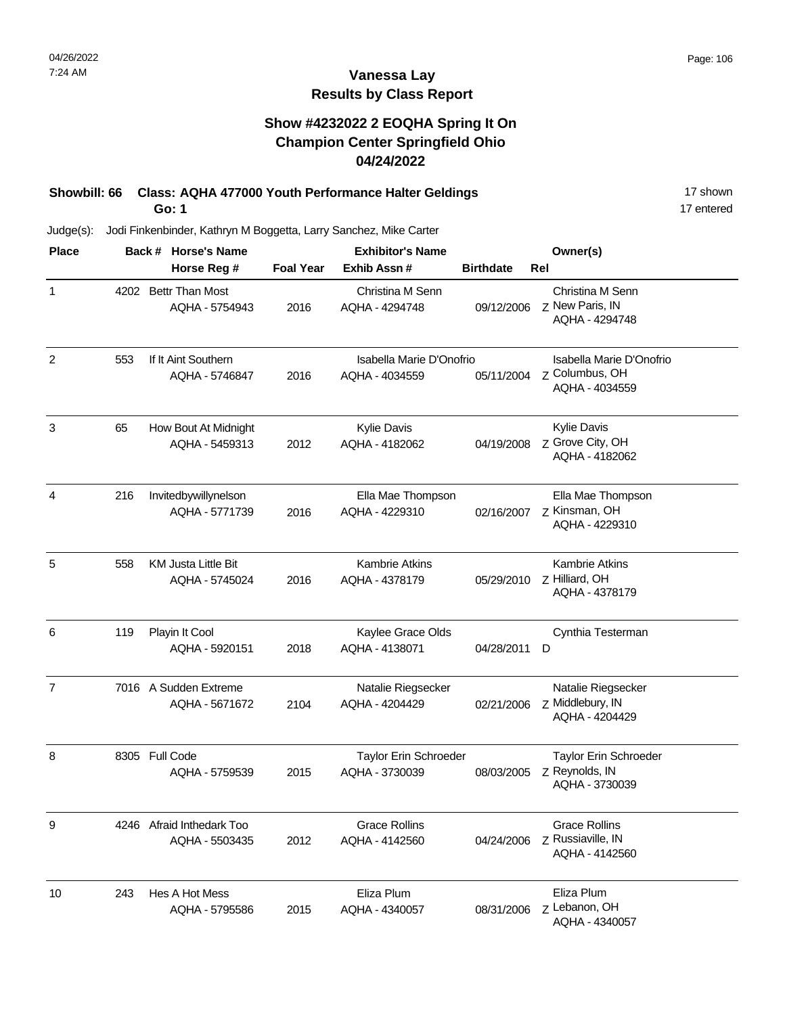## **Vanessa Lay Results by Class Report**

## **Show #4232022 2 EOQHA Spring It On Champion Center Springfield Ohio 04/24/2022**

**Showbill: 66 Class: AQHA 477000 Youth Performance Halter Geldings** 17 Shown **Go: 1**

| <b>Place</b>   |      | Back # Horse's Name                      |                  | <b>Exhibitor's Name</b>                    |                  | Owner(s)                                              |
|----------------|------|------------------------------------------|------------------|--------------------------------------------|------------------|-------------------------------------------------------|
|                |      | Horse Reg #                              | <b>Foal Year</b> | Exhib Assn#                                | <b>Birthdate</b> | Rel                                                   |
| $\mathbf{1}$   | 4202 | <b>Bettr Than Most</b><br>AQHA - 5754943 | 2016             | Christina M Senn<br>AQHA - 4294748         | 09/12/2006       | Christina M Senn<br>Z New Paris, IN<br>AQHA - 4294748 |
| 2              | 553  | If It Aint Southern<br>AQHA - 5746847    | 2016             | Isabella Marie D'Onofrio<br>AQHA - 4034559 | 05/11/2004       | Isabella Marie D'Onofrio<br>Z Columbus, OH            |
|                |      |                                          |                  |                                            |                  | AQHA - 4034559                                        |
| 3              | 65   | How Bout At Midnight                     |                  | Kylie Davis                                |                  | Kylie Davis                                           |
|                |      | AQHA - 5459313                           | 2012             | AQHA - 4182062                             | 04/19/2008       | Z Grove City, OH<br>AQHA - 4182062                    |
| 4              | 216  | Invitedbywillynelson                     |                  | Ella Mae Thompson                          |                  | Ella Mae Thompson                                     |
|                |      | AQHA - 5771739                           | 2016             | AQHA - 4229310                             | 02/16/2007       | z Kinsman, OH<br>AQHA - 4229310                       |
| 5              | 558  | <b>KM Justa Little Bit</b>               |                  | <b>Kambrie Atkins</b>                      |                  | <b>Kambrie Atkins</b>                                 |
|                |      | AQHA - 5745024                           | 2016             | AQHA - 4378179                             | 05/29/2010       | Z Hilliard, OH<br>AQHA - 4378179                      |
| 6              | 119  | Playin It Cool                           |                  | Kaylee Grace Olds                          |                  | Cynthia Testerman                                     |
|                |      | AQHA - 5920151                           | 2018             | AQHA - 4138071                             | 04/28/2011       | D                                                     |
| $\overline{7}$ |      | 7016 A Sudden Extreme                    |                  | Natalie Riegsecker                         |                  | Natalie Riegsecker                                    |
|                |      | AQHA - 5671672                           | 2104             | AQHA - 4204429                             | 02/21/2006       | z Middlebury, IN<br>AQHA - 4204429                    |
| 8              |      | 8305 Full Code                           |                  | Taylor Erin Schroeder                      |                  | Taylor Erin Schroeder                                 |
|                |      | AQHA - 5759539                           | 2015             | AQHA - 3730039                             | 08/03/2005       | Z Reynolds, IN<br>AQHA - 3730039                      |
| 9              |      | 4246 Afraid Inthedark Too                |                  | <b>Grace Rollins</b>                       |                  | <b>Grace Rollins</b>                                  |
|                |      | AQHA - 5503435                           | 2012             | AQHA - 4142560                             | 04/24/2006       | Z Russiaville, IN<br>AQHA - 4142560                   |
| 10             | 243  | Hes A Hot Mess                           |                  | Eliza Plum                                 |                  | Eliza Plum                                            |
|                |      | AQHA - 5795586                           | 2015             | AQHA - 4340057                             | 08/31/2006       | z Lebanon, OH<br>AQHA - 4340057                       |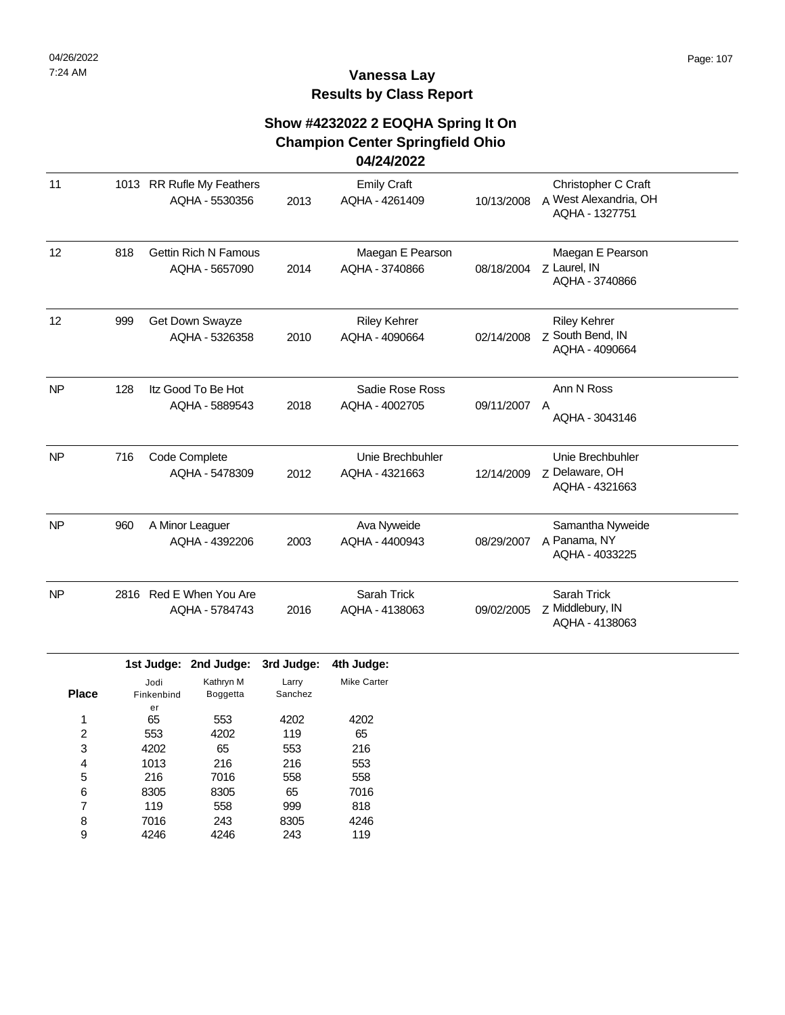## **Show #4232022 2 EOQHA Spring It On Champion Center Springfield Ohio**

## **04/24/2022**

| 11        |      | 1013 RR Rufle My Feathers<br>AQHA - 5530356   | 2013 | <b>Emily Craft</b><br>AQHA - 4261409  | 10/13/2008 | Christopher C Craft<br>A West Alexandria, OH<br>AQHA - 1327751 |
|-----------|------|-----------------------------------------------|------|---------------------------------------|------------|----------------------------------------------------------------|
| 12        | 818  | <b>Gettin Rich N Famous</b><br>AQHA - 5657090 | 2014 | Maegan E Pearson<br>AQHA - 3740866    | 08/18/2004 | Maegan E Pearson<br>Z Laurel, IN<br>AQHA - 3740866             |
| 12        | 999  | Get Down Swayze<br>AQHA - 5326358             | 2010 | <b>Riley Kehrer</b><br>AQHA - 4090664 | 02/14/2008 | <b>Riley Kehrer</b><br>Z South Bend, IN<br>AQHA - 4090664      |
| <b>NP</b> | 128  | Itz Good To Be Hot<br>AQHA - 5889543          | 2018 | Sadie Rose Ross<br>AQHA - 4002705     | 09/11/2007 | Ann N Ross<br>$\mathsf{A}$<br>AQHA - 3043146                   |
| <b>NP</b> | 716  | Code Complete<br>AQHA - 5478309               | 2012 | Unie Brechbuhler<br>AQHA - 4321663    | 12/14/2009 | Unie Brechbuhler<br>z Delaware, OH<br>AQHA - 4321663           |
| <b>NP</b> | 960  | A Minor Leaguer<br>AQHA - 4392206             | 2003 | Ava Nyweide<br>AQHA - 4400943         | 08/29/2007 | Samantha Nyweide<br>A Panama, NY<br>AQHA - 4033225             |
| <b>NP</b> | 2816 | Red E When You Are<br>AQHA - 5784743          | 2016 | Sarah Trick<br>AQHA - 4138063         | 09/02/2005 | Sarah Trick<br>Z Middlebury, IN<br>AQHA - 4138063              |

|              |            | 1st Judge: 2nd Judge: | 3rd Judge: | 4th Judge:  |  |
|--------------|------------|-----------------------|------------|-------------|--|
|              | Jodi       | Kathryn M             | Larry      | Mike Carter |  |
| <b>Place</b> | Finkenbind | Boggetta              | Sanchez    |             |  |
|              | er         |                       |            |             |  |
| 1            | 65         | 553                   | 4202       | 4202        |  |
| 2            | 553        | 4202                  | 119        | 65          |  |
| 3            | 4202       | 65                    | 553        | 216         |  |
| 4            | 1013       | 216                   | 216        | 553         |  |
| 5            | 216        | 7016                  | 558        | 558         |  |
| 6            | 8305       | 8305                  | 65         | 7016        |  |
| 7            | 119        | 558                   | 999        | 818         |  |
| 8            | 7016       | 243                   | 8305       | 4246        |  |
| 9            | 4246       | 4246                  | 243        | 119         |  |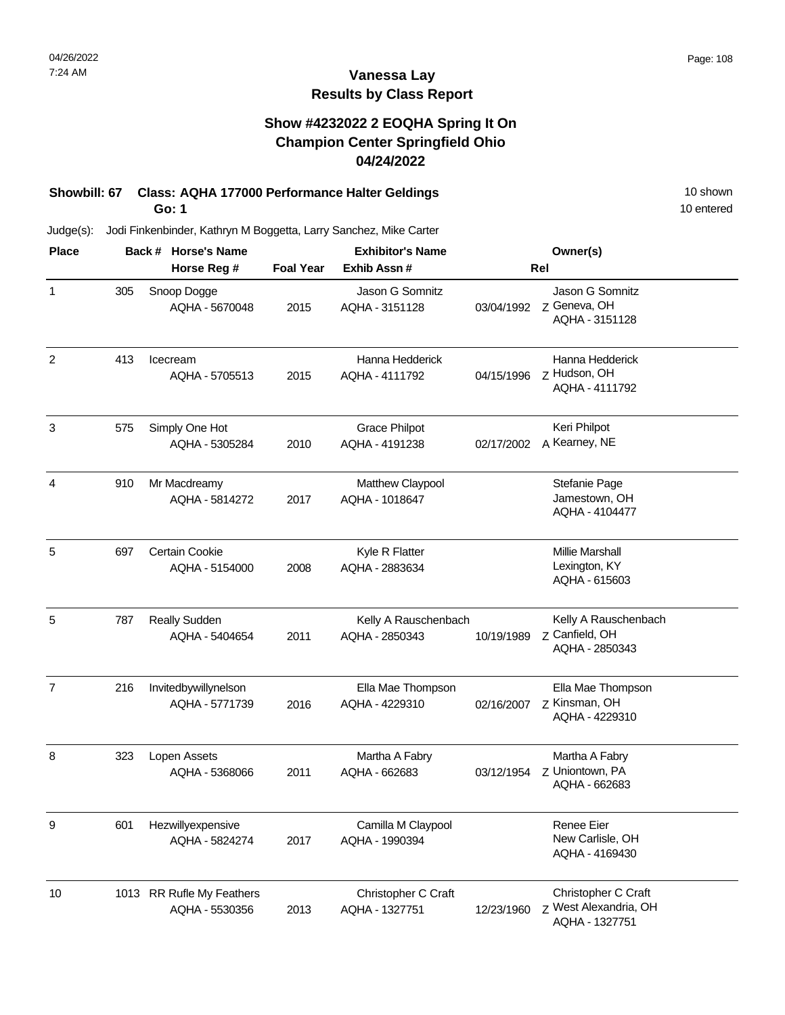## **Vanessa Lay Results by Class Report**

## **Show #4232022 2 EOQHA Spring It On Champion Center Springfield Ohio 04/24/2022**

#### **Showbill: 67 Class: AQHA 177000 Performance Halter Geldings** 10 Shown 10 shown **Go: 1**

| <b>Place</b>   |     | Back # Horse's Name                         | <b>Exhibitor's Name</b> |                                        | Owner(s)   |                                                                |  |
|----------------|-----|---------------------------------------------|-------------------------|----------------------------------------|------------|----------------------------------------------------------------|--|
|                |     | Horse Reg #                                 | <b>Foal Year</b>        | Exhib Assn#                            |            | Rel                                                            |  |
| $\mathbf 1$    | 305 | Snoop Dogge<br>AQHA - 5670048               | 2015                    | Jason G Somnitz<br>AQHA - 3151128      | 03/04/1992 | Jason G Somnitz<br>Z Geneva, OH<br>AQHA - 3151128              |  |
| $\overline{c}$ | 413 | Icecream<br>AQHA - 5705513                  | 2015                    | Hanna Hedderick<br>AQHA - 4111792      | 04/15/1996 | Hanna Hedderick<br>Z Hudson, OH<br>AQHA - 4111792              |  |
| 3              | 575 | Simply One Hot<br>AQHA - 5305284            | 2010                    | <b>Grace Philpot</b><br>AQHA - 4191238 | 02/17/2002 | Keri Philpot<br>A Kearney, NE                                  |  |
| 4              | 910 | Mr Macdreamy<br>AQHA - 5814272              | 2017                    | Matthew Claypool<br>AQHA - 1018647     |            | Stefanie Page<br>Jamestown, OH<br>AQHA - 4104477               |  |
| 5              | 697 | Certain Cookie<br>AQHA - 5154000            | 2008                    | Kyle R Flatter<br>AQHA - 2883634       |            | Millie Marshall<br>Lexington, KY<br>AQHA - 615603              |  |
| 5              | 787 | <b>Really Sudden</b><br>AQHA - 5404654      | 2011                    | Kelly A Rauschenbach<br>AQHA - 2850343 | 10/19/1989 | Kelly A Rauschenbach<br>Z Canfield, OH<br>AQHA - 2850343       |  |
| $\overline{7}$ | 216 | Invitedbywillynelson<br>AQHA - 5771739      | 2016                    | Ella Mae Thompson<br>AQHA - 4229310    | 02/16/2007 | Ella Mae Thompson<br>Z Kinsman, OH<br>AQHA - 4229310           |  |
| 8              | 323 | Lopen Assets<br>AQHA - 5368066              | 2011                    | Martha A Fabry<br>AQHA - 662683        | 03/12/1954 | Martha A Fabry<br>Z Uniontown, PA<br>AQHA - 662683             |  |
| 9              | 601 | Hezwillyexpensive<br>AQHA - 5824274         | 2017                    | Camilla M Claypool<br>AQHA - 1990394   |            | Renee Eier<br>New Carlisle, OH<br>AQHA - 4169430               |  |
| 10             |     | 1013 RR Rufle My Feathers<br>AQHA - 5530356 | 2013                    | Christopher C Craft<br>AQHA - 1327751  | 12/23/1960 | Christopher C Craft<br>Z West Alexandria, OH<br>AQHA - 1327751 |  |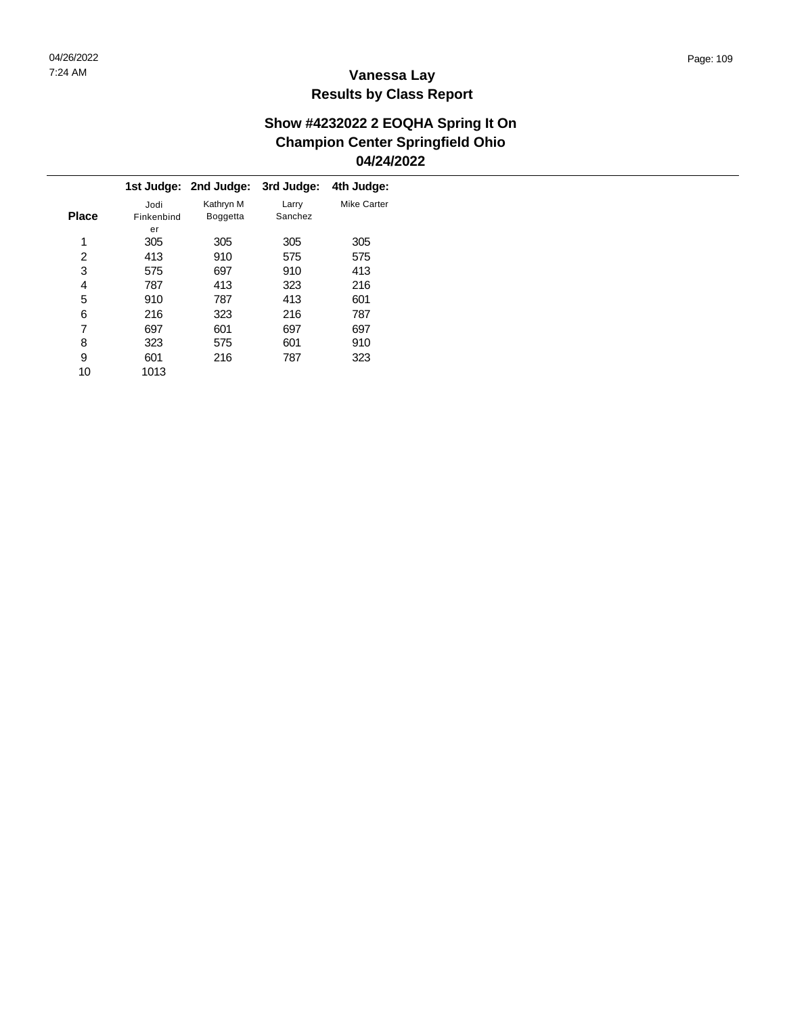$\overline{\phantom{a}}$ 

## **Vanessa Lay Results by Class Report**

#### **Show #4232022 2 EOQHA Spring It On Champion Center Springfield Ohio 04/24/2022**

|              |            | 1st Judge: 2nd Judge: | 3rd Judge: | 4th Judge:  |
|--------------|------------|-----------------------|------------|-------------|
|              | Jodi       | Kathryn M             | Larry      | Mike Carter |
| <b>Place</b> | Finkenbind | <b>Boggetta</b>       | Sanchez    |             |
|              | er         |                       |            |             |
| 1            | 305        | 305                   | 305        | 305         |
| 2            | 413        | 910                   | 575        | 575         |
| 3            | 575        | 697                   | 910        | 413         |
| 4            | 787        | 413                   | 323        | 216         |
| 5            | 910        | 787                   | 413        | 601         |
| 6            | 216        | 323                   | 216        | 787         |
| 7            | 697        | 601                   | 697        | 697         |
| 8            | 323        | 575                   | 601        | 910         |
| 9            | 601        | 216                   | 787        | 323         |
| 10           | 1013       |                       |            |             |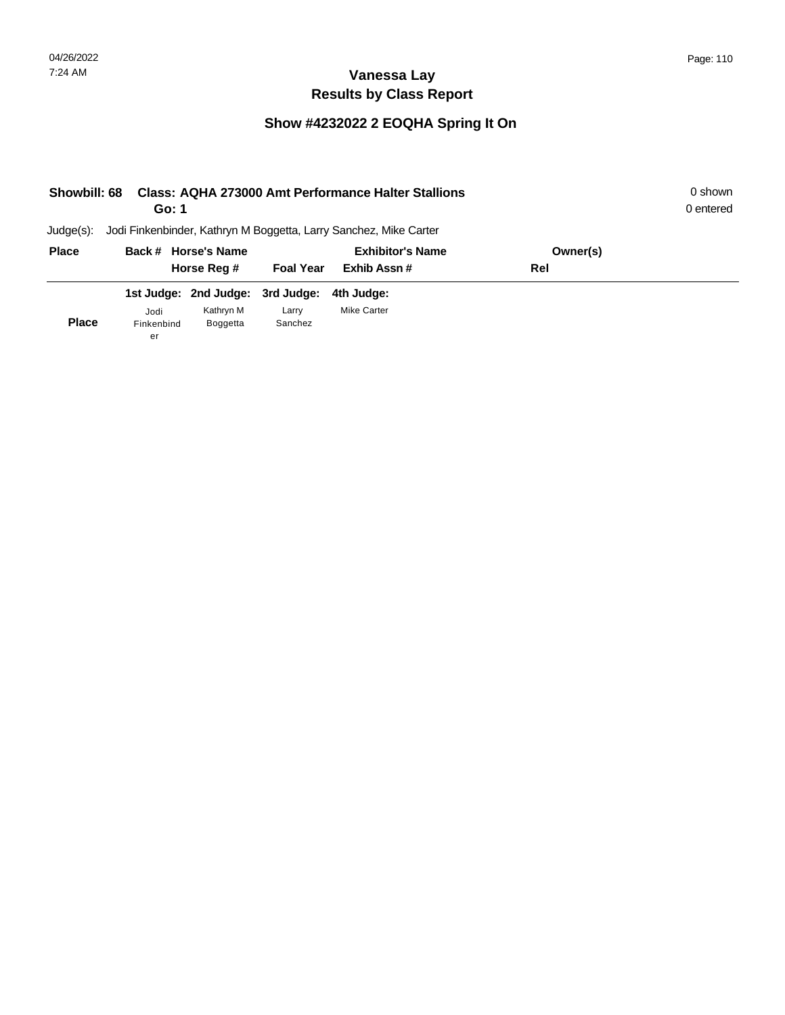| Showbill: 68 | Go: 1      |                                  |                  | Class: AQHA 273000 Amt Performance Halter Stallions               |          | 0 shown<br>0 entered |
|--------------|------------|----------------------------------|------------------|-------------------------------------------------------------------|----------|----------------------|
| $Judge(s)$ : |            |                                  |                  | Jodi Finkenbinder, Kathryn M Boggetta, Larry Sanchez, Mike Carter |          |                      |
| <b>Place</b> |            | Back # Horse's Name              |                  | <b>Exhibitor's Name</b>                                           | Owner(s) |                      |
|              |            | Horse Reg #                      | <b>Foal Year</b> | Exhib Assn#                                                       | Rel      |                      |
|              |            | 1st Judge: 2nd Judge: 3rd Judge: |                  | 4th Judge:                                                        |          |                      |
|              | Jodi       | Kathryn M                        | Larry            | <b>Mike Carter</b>                                                |          |                      |
| <b>Place</b> | Finkenbind | Boggetta                         | Sanchez          |                                                                   |          |                      |
|              | er         |                                  |                  |                                                                   |          |                      |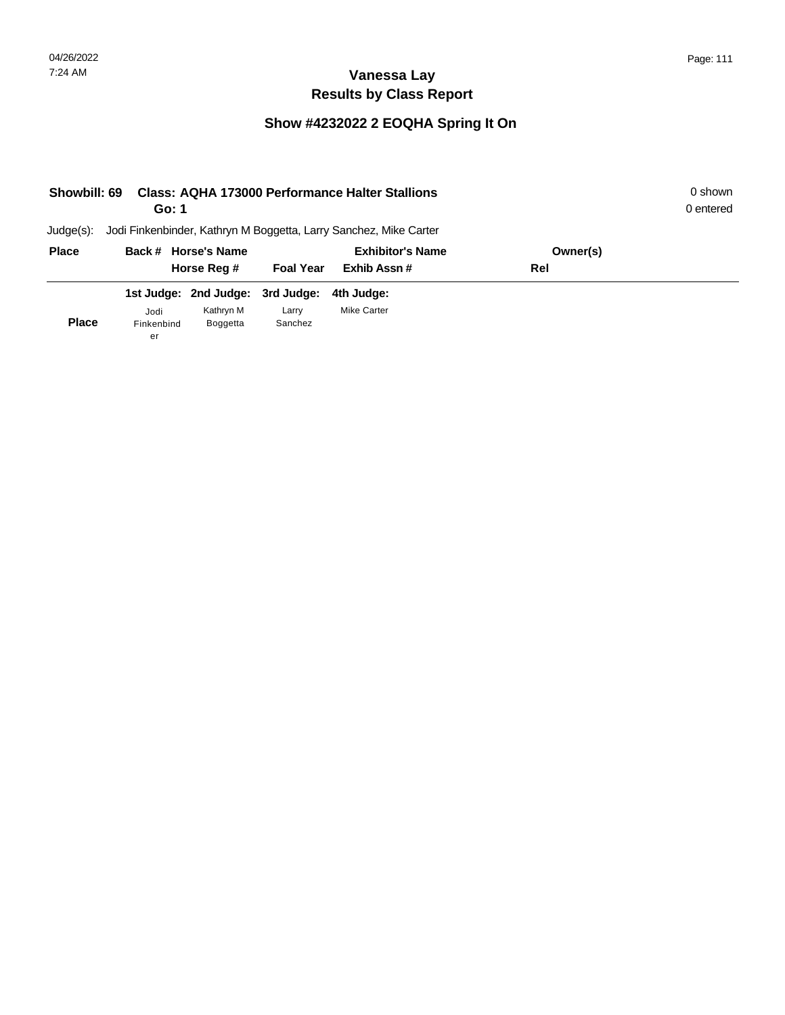| Showbill: 69 | Go: 1            |                       |                  | <b>Class: AQHA 173000 Performance Halter Stallions</b>            |          | 0 shown<br>0 entered |
|--------------|------------------|-----------------------|------------------|-------------------------------------------------------------------|----------|----------------------|
| $Judge(s)$ : |                  |                       |                  | Jodi Finkenbinder, Kathryn M Boggetta, Larry Sanchez, Mike Carter |          |                      |
| <b>Place</b> |                  | Back # Horse's Name   |                  | <b>Exhibitor's Name</b>                                           | Owner(s) |                      |
|              |                  | Horse Reg #           | <b>Foal Year</b> | Exhib Assn #                                                      | Rel      |                      |
|              |                  | 1st Judge: 2nd Judge: | 3rd Judge:       | 4th Judge:                                                        |          |                      |
|              | Jodi             | Kathryn M             | Larry            | <b>Mike Carter</b>                                                |          |                      |
| <b>Place</b> | Finkenbind<br>er | <b>Boggetta</b>       | Sanchez          |                                                                   |          |                      |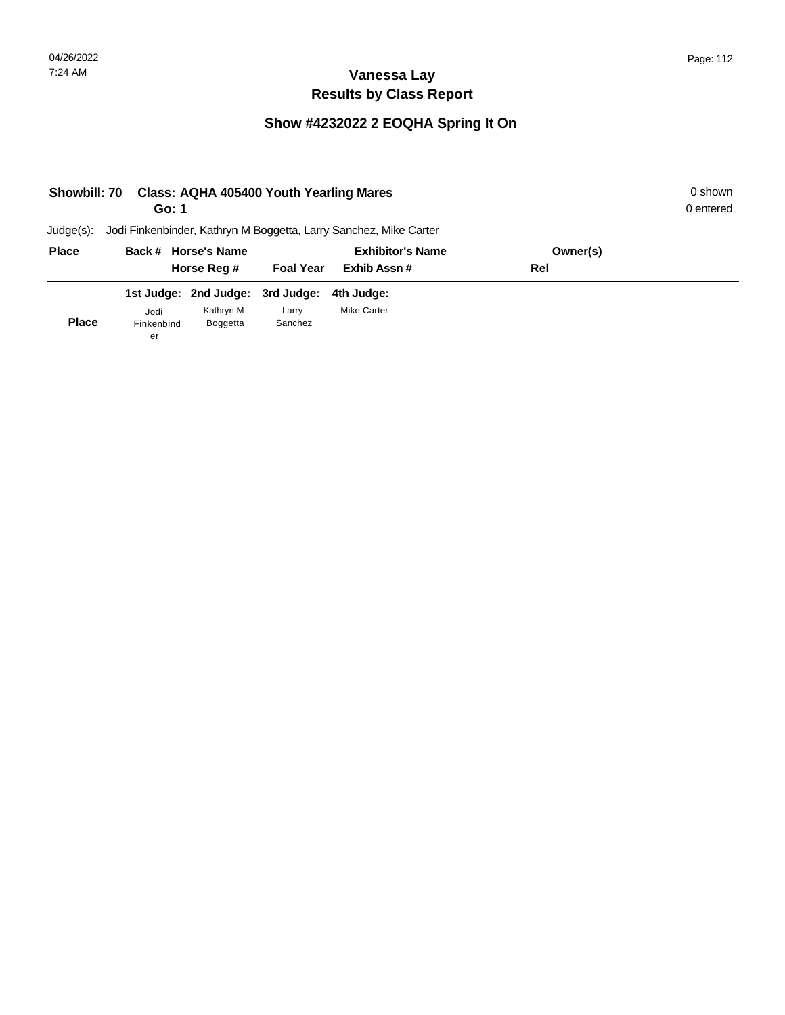| <b>Showbill: 70</b> | Go: 1      | Class: AQHA 405400 Youth Yearling Mares |                  |                                                                   |          | 0 shown<br>0 entered |
|---------------------|------------|-----------------------------------------|------------------|-------------------------------------------------------------------|----------|----------------------|
| $Judge(s)$ :        |            |                                         |                  | Jodi Finkenbinder, Kathryn M Boggetta, Larry Sanchez, Mike Carter |          |                      |
| <b>Place</b>        |            | Back # Horse's Name                     |                  | <b>Exhibitor's Name</b>                                           | Owner(s) |                      |
|                     |            | Horse Reg #                             | <b>Foal Year</b> | Exhib Assn#                                                       | Rel      |                      |
|                     |            | 1st Judge: 2nd Judge: 3rd Judge:        |                  | 4th Judge:                                                        |          |                      |
|                     | Jodi       | Kathryn M                               | Larry            | <b>Mike Carter</b>                                                |          |                      |
| <b>Place</b>        | Finkenbind | Boggetta                                | Sanchez          |                                                                   |          |                      |
|                     | er         |                                         |                  |                                                                   |          |                      |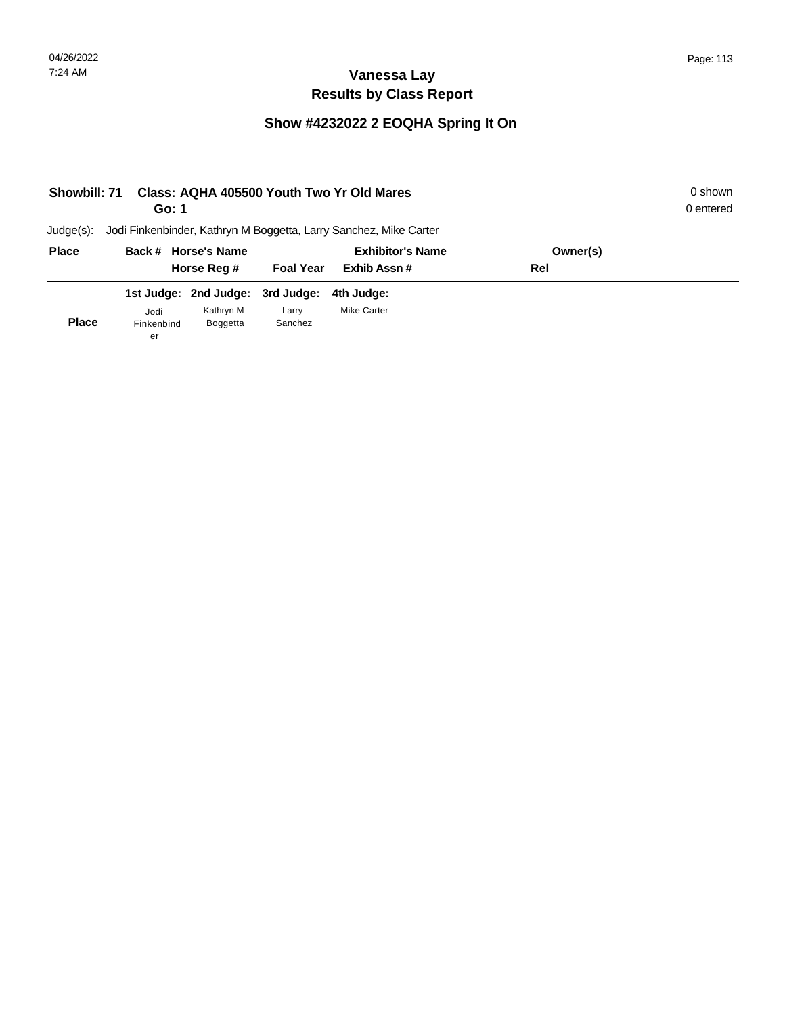| <b>Showbill: 71</b> | Go: 1            |                                  |                  | Class: AQHA 405500 Youth Two Yr Old Mares                         |          | 0 shown<br>0 entered |
|---------------------|------------------|----------------------------------|------------------|-------------------------------------------------------------------|----------|----------------------|
| Judge(s):           |                  |                                  |                  | Jodi Finkenbinder, Kathryn M Boggetta, Larry Sanchez, Mike Carter |          |                      |
| <b>Place</b>        |                  | Back # Horse's Name              |                  | <b>Exhibitor's Name</b>                                           | Owner(s) |                      |
|                     |                  | Horse Reg #                      | <b>Foal Year</b> | Exhib Assn#                                                       | Rel      |                      |
|                     |                  | 1st Judge: 2nd Judge: 3rd Judge: |                  | 4th Judge:                                                        |          |                      |
|                     | Jodi             | Kathryn M                        | Larry            | <b>Mike Carter</b>                                                |          |                      |
| <b>Place</b>        | Finkenbind<br>er | Boggetta                         | Sanchez          |                                                                   |          |                      |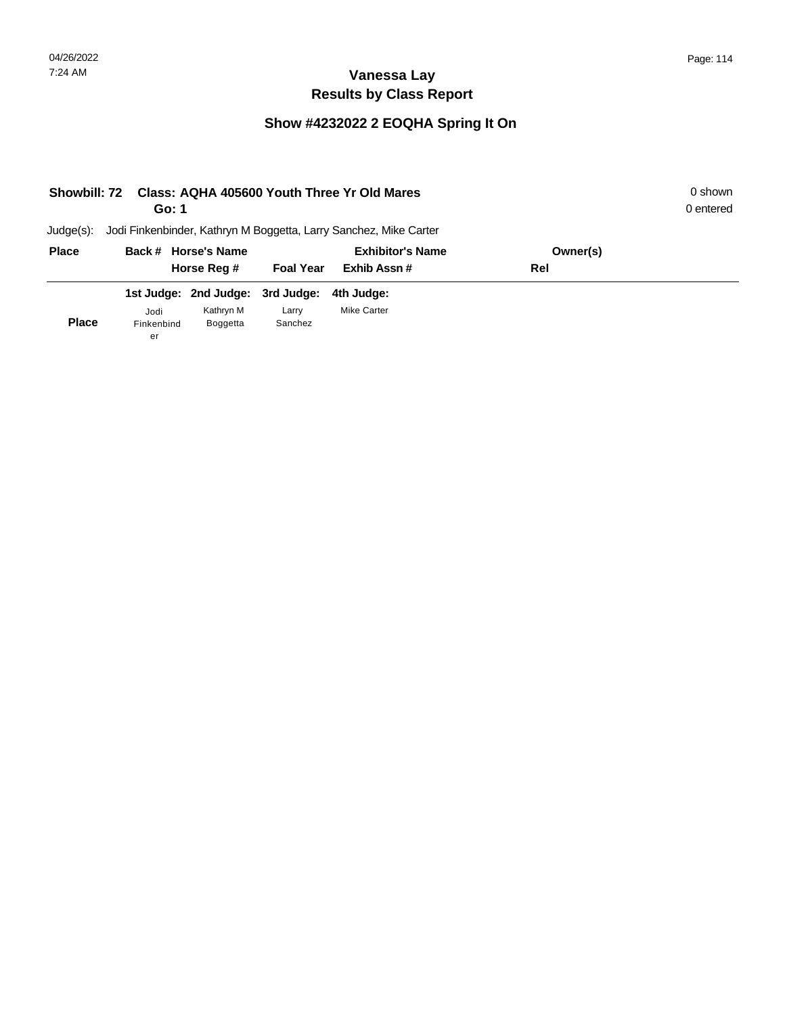| Showbill: 72 |                  | Go: 1                            |                  | 0 shown<br>Class: AQHA 405600 Youth Three Yr Old Mares<br>0 entered |          |  |  |
|--------------|------------------|----------------------------------|------------------|---------------------------------------------------------------------|----------|--|--|
| $Judge(s)$ : |                  |                                  |                  | Jodi Finkenbinder, Kathryn M Boggetta, Larry Sanchez, Mike Carter   |          |  |  |
| <b>Place</b> |                  | Back # Horse's Name              |                  | <b>Exhibitor's Name</b>                                             | Owner(s) |  |  |
|              |                  | Horse Reg #                      | <b>Foal Year</b> | Exhib Assn#                                                         | Rel      |  |  |
|              |                  | 1st Judge: 2nd Judge: 3rd Judge: |                  | 4th Judge:                                                          |          |  |  |
|              | Jodi             | Kathryn M                        | Larry            | <b>Mike Carter</b>                                                  |          |  |  |
| <b>Place</b> | Finkenbind<br>er | <b>Boggetta</b>                  | Sanchez          |                                                                     |          |  |  |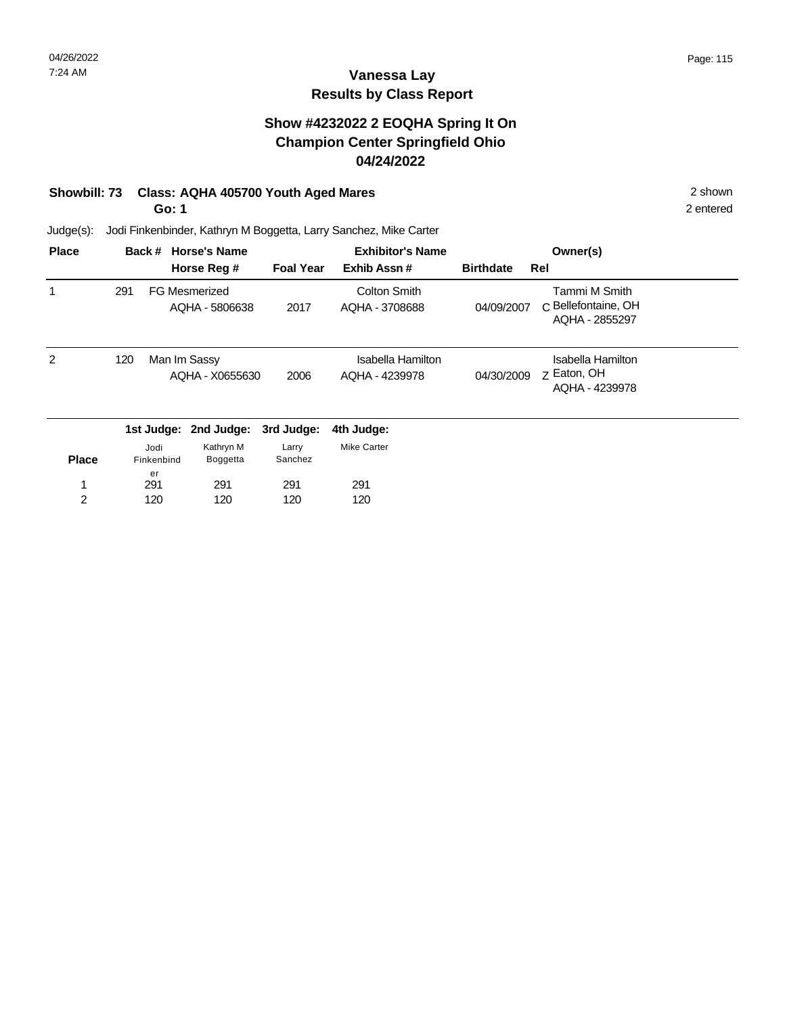### **Vanessa Lay Results by Class Report**

#### **Show #4232022 2 EOQHA Spring It On Champion Center Springfield Ohio 04/24/2022**

#### **Showbill: 73 Class: AQHA 405700 Youth Aged Mares** 2 shown

**Go: 1**

120

2

120

120

Judge(s): Jodi Finkenbinder, Kathryn M Boggetta, Larry Sanchez, Mike Carter

| <b>Place</b> |     | Back #           | <b>Horse's Name</b>                    |                  | <b>Exhibitor's Name</b>               |                  | Owner(s)                                               |
|--------------|-----|------------------|----------------------------------------|------------------|---------------------------------------|------------------|--------------------------------------------------------|
|              |     |                  | Horse Reg #                            | <b>Foal Year</b> | Exhib Assn#                           | <b>Birthdate</b> | Rel                                                    |
|              | 291 |                  | <b>FG Mesmerized</b><br>AQHA - 5806638 | 2017             | <b>Colton Smith</b><br>AQHA - 3708688 | 04/09/2007       | Tammi M Smith<br>C Bellefontaine, OH<br>AQHA - 2855297 |
| 2            | 120 |                  | Man Im Sassy<br>AQHA - X0655630        | 2006             | Isabella Hamilton<br>AQHA - 4239978   | 04/30/2009       | Isabella Hamilton<br>Z Eaton, OH<br>AQHA - 4239978     |
|              |     |                  | 1st Judge: 2nd Judge:                  | 3rd Judge:       | 4th Judge:                            |                  |                                                        |
| <b>Place</b> |     | Jodi             | Kathryn M                              | Larry<br>Sanchez | <b>Mike Carter</b>                    |                  |                                                        |
|              |     | Finkenbind<br>er | Boggetta                               |                  |                                       |                  |                                                        |
|              |     | 291              | 291                                    | 291              | 291                                   |                  |                                                        |

120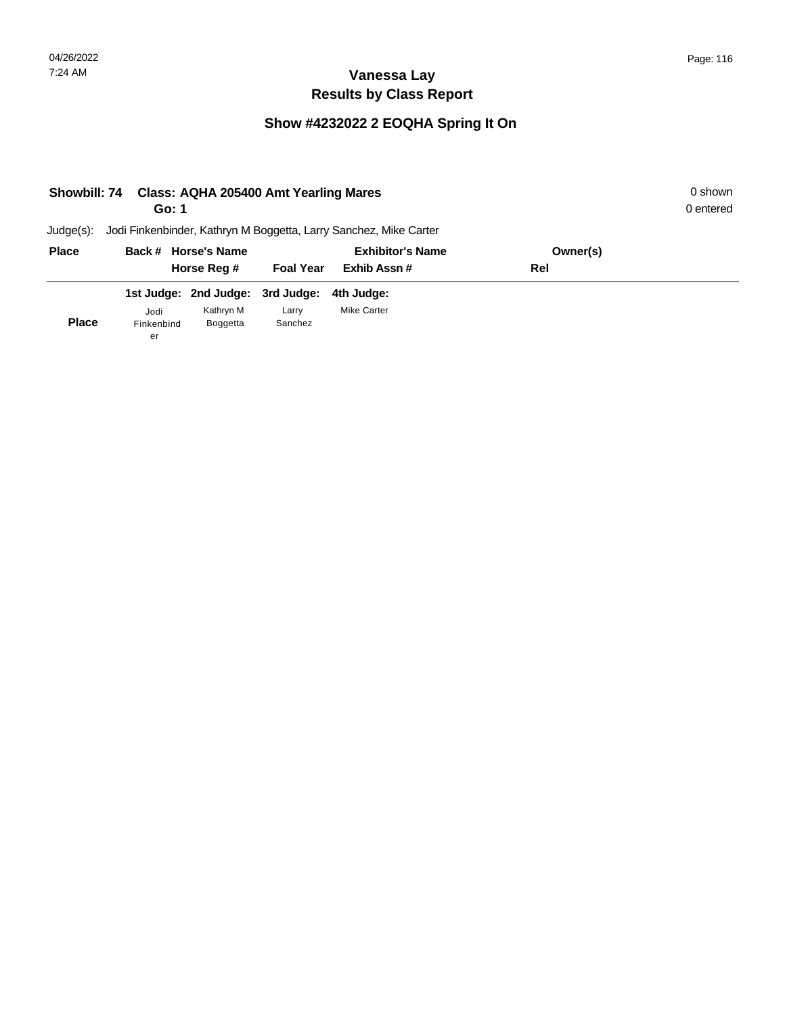| <b>Showbill: 74</b> | Go: 1                                                             | Class: AQHA 205400 Amt Yearling Mares |                  |                                     |     | 0 shown<br>0 entered |
|---------------------|-------------------------------------------------------------------|---------------------------------------|------------------|-------------------------------------|-----|----------------------|
| $Judge(s)$ :        | Jodi Finkenbinder, Kathryn M Boggetta, Larry Sanchez, Mike Carter |                                       |                  |                                     |     |                      |
| <b>Place</b>        |                                                                   | Back # Horse's Name                   |                  | <b>Exhibitor's Name</b><br>Owner(s) |     |                      |
|                     |                                                                   | Horse Reg #                           | <b>Foal Year</b> | Exhib Assn#                         | Rel |                      |
|                     |                                                                   | 1st Judge: 2nd Judge: 3rd Judge:      |                  | 4th Judge:                          |     |                      |
|                     | Jodi                                                              | Kathryn M                             | Larry            | <b>Mike Carter</b>                  |     |                      |
| <b>Place</b>        | Finkenbind<br>er                                                  | <b>Boggetta</b>                       | Sanchez          |                                     |     |                      |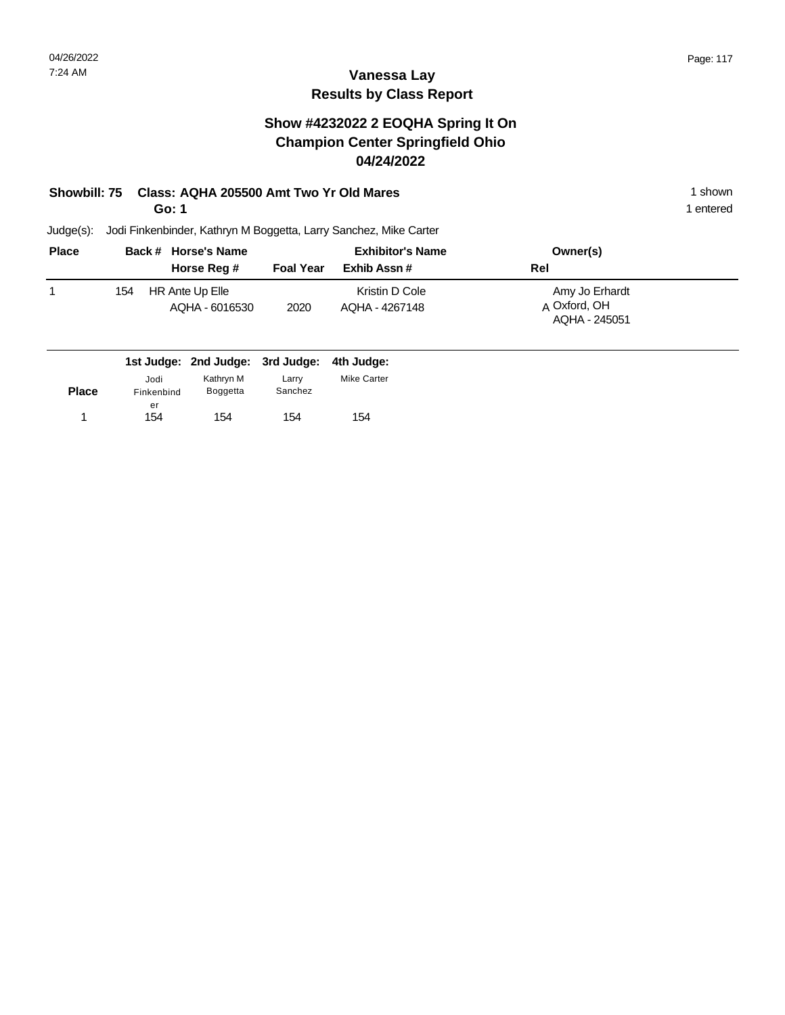### **Vanessa Lay Results by Class Report**

#### **Show #4232022 2 EOQHA Spring It On Champion Center Springfield Ohio 04/24/2022**

## **Showbill: 75 Class: AQHA 205500 Amt Two Yr Old Mares** 1 shown

**Go: 1**

| <b>Place</b> |     | Back # Horse's Name               |                  | <b>Exhibitor's Name</b>          | Owner(s)                                        |  |
|--------------|-----|-----------------------------------|------------------|----------------------------------|-------------------------------------------------|--|
|              |     | Horse Reg #                       | <b>Foal Year</b> | Exhib Assn#                      | Rel                                             |  |
|              | 154 | HR Ante Up Elle<br>AQHA - 6016530 | 2020             | Kristin D Cole<br>AQHA - 4267148 | Amy Jo Erhardt<br>A Oxford, OH<br>AQHA - 245051 |  |

|              |                  |           | 1st Judge: 2nd Judge: 3rd Judge: 4th Judge: |             |
|--------------|------------------|-----------|---------------------------------------------|-------------|
| <b>Place</b> | Jodi             | Kathrvn M | Larrv<br>Sanchez                            | Mike Carter |
|              | Finkenbind<br>er | Boggetta  |                                             |             |
|              | 154              | 154       | 154                                         | 154         |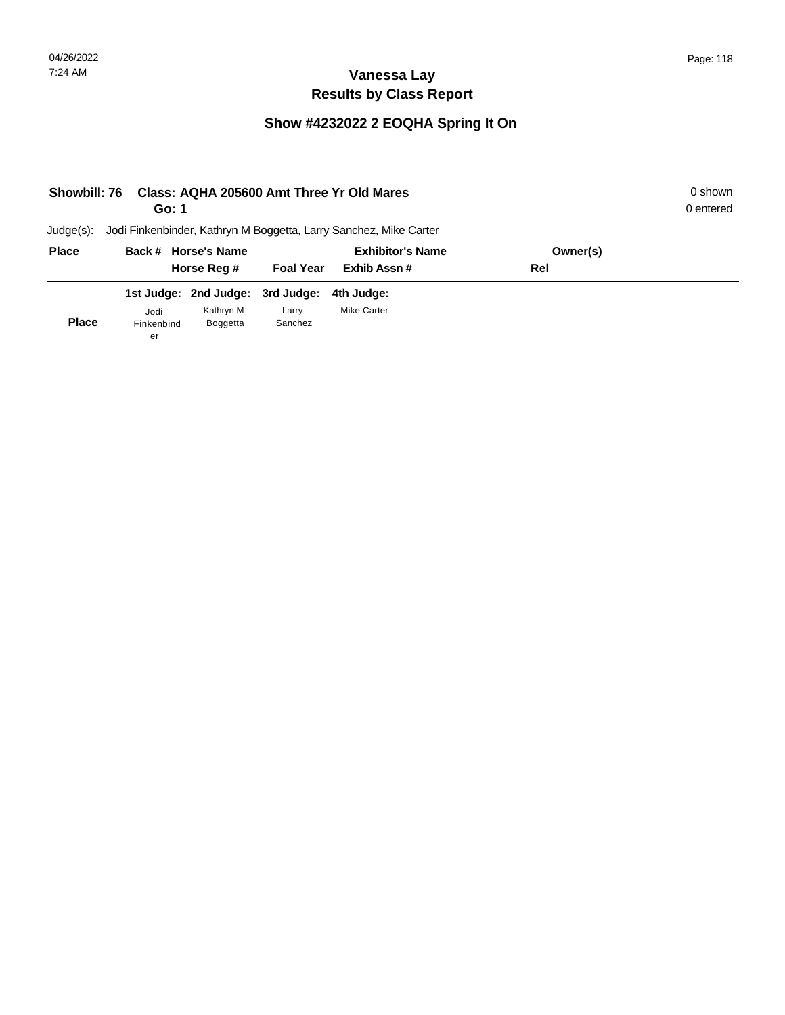| Showbill: 76 | Go: 1            |                                  |                  | Class: AQHA 205600 Amt Three Yr Old Mares                         |          | 0 shown<br>0 entered |
|--------------|------------------|----------------------------------|------------------|-------------------------------------------------------------------|----------|----------------------|
| $Judge(s)$ : |                  |                                  |                  | Jodi Finkenbinder, Kathryn M Boggetta, Larry Sanchez, Mike Carter |          |                      |
| <b>Place</b> |                  | Back # Horse's Name              |                  | <b>Exhibitor's Name</b>                                           | Owner(s) |                      |
|              |                  | Horse Reg #                      | <b>Foal Year</b> | Exhib Assn#                                                       | Rel      |                      |
|              |                  | 1st Judge: 2nd Judge: 3rd Judge: |                  | 4th Judge:                                                        |          |                      |
|              | Jodi             | Kathryn M                        | Larry            | <b>Mike Carter</b>                                                |          |                      |
| <b>Place</b> | Finkenbind<br>er | <b>Boggetta</b>                  | Sanchez          |                                                                   |          |                      |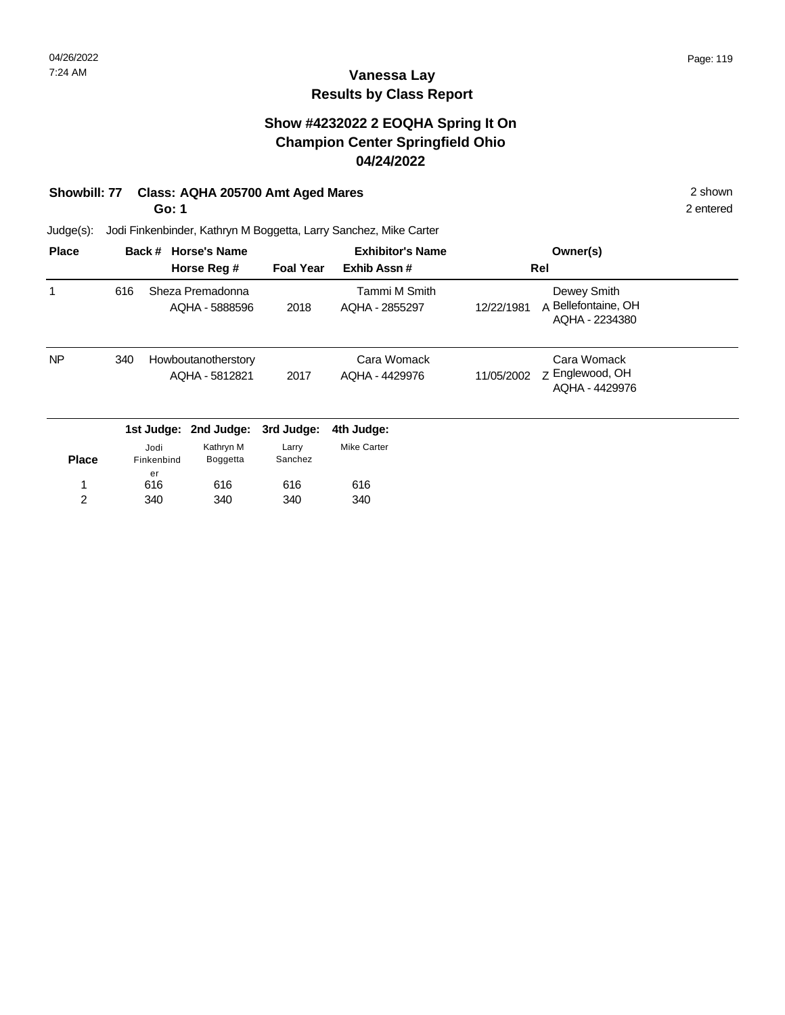### **Vanessa Lay Results by Class Report**

#### **Show #4232022 2 EOQHA Spring It On Champion Center Springfield Ohio 04/24/2022**

#### **Showbill: 77 Class: AQHA 205700 Amt Aged Mares** 2 shown

**Go: 1**

340

2

340

340

Judge(s): Jodi Finkenbinder, Kathryn M Boggetta, Larry Sanchez, Mike Carter

| <b>Place</b> |     | Back #             | <b>Horse's Name</b><br>Horse Reg #    | <b>Foal Year</b> | <b>Exhibitor's Name</b><br>Exhib Assn# |            | Owner(s)<br>Rel                                      |  |
|--------------|-----|--------------------|---------------------------------------|------------------|----------------------------------------|------------|------------------------------------------------------|--|
|              | 616 |                    | Sheza Premadonna<br>AQHA - 5888596    | 2018             | Tammi M Smith<br>AQHA - 2855297        | 12/22/1981 | Dewey Smith<br>A Bellefontaine, OH<br>AQHA - 2234380 |  |
| NP           | 340 |                    | Howboutanotherstory<br>AQHA - 5812821 | 2017             | Cara Womack<br>AQHA - 4429976          | 11/05/2002 | Cara Womack<br>Z Englewood, OH<br>AQHA - 4429976     |  |
|              |     |                    | 1st Judge: 2nd Judge:                 | 3rd Judge:       | 4th Judge:                             |            |                                                      |  |
| <b>Place</b> |     | Jodi<br>Finkenbind | Kathryn M<br>Boggetta                 | Larry<br>Sanchez | <b>Mike Carter</b>                     |            |                                                      |  |
|              |     | er<br>616          | 616                                   | 616              | 616                                    |            |                                                      |  |

340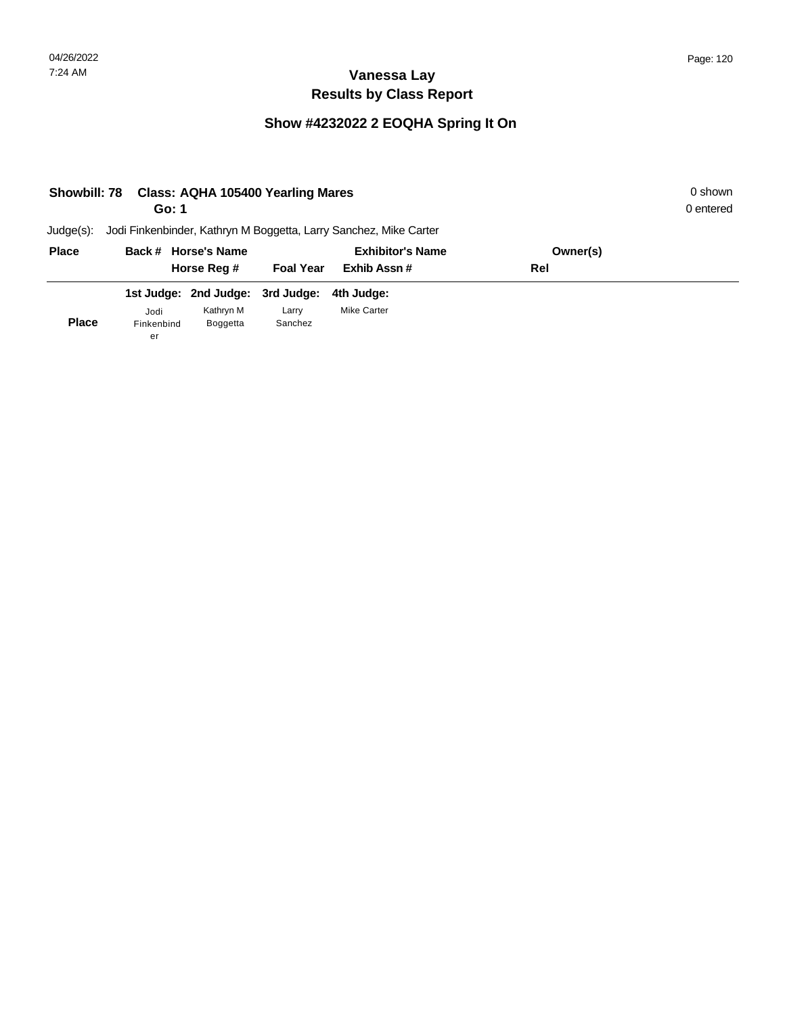| <b>Showbill: 78</b> | Go: 1      | Class: AQHA 105400 Yearling Mares |                  |                                                                   |          | 0 shown<br>0 entered |
|---------------------|------------|-----------------------------------|------------------|-------------------------------------------------------------------|----------|----------------------|
| Judge(s):           |            |                                   |                  | Jodi Finkenbinder, Kathryn M Boggetta, Larry Sanchez, Mike Carter |          |                      |
| <b>Place</b>        |            | Back # Horse's Name               |                  | <b>Exhibitor's Name</b>                                           | Owner(s) |                      |
|                     |            | Horse Reg #                       | <b>Foal Year</b> | Exhib Assn#                                                       | Rel      |                      |
|                     |            | 1st Judge: 2nd Judge: 3rd Judge:  |                  | 4th Judge:                                                        |          |                      |
|                     | Jodi       | Kathryn M                         | Larry            | <b>Mike Carter</b>                                                |          |                      |
| <b>Place</b>        | Finkenbind | Boggetta                          | Sanchez          |                                                                   |          |                      |
|                     | er         |                                   |                  |                                                                   |          |                      |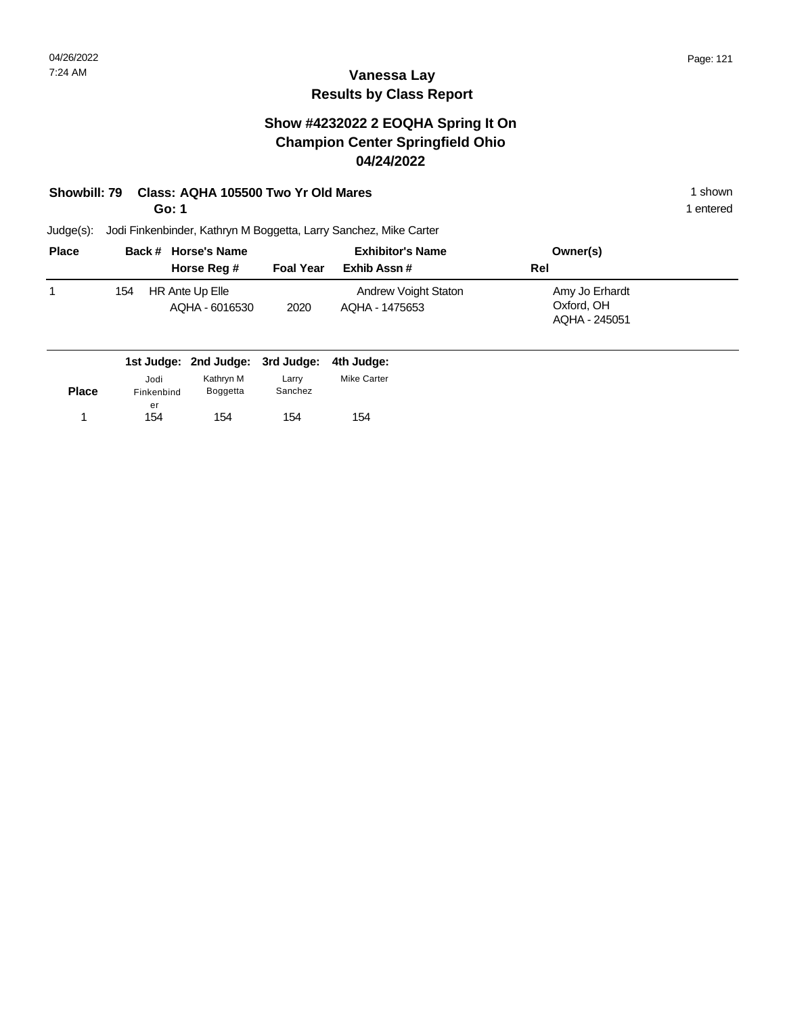#### **Vanessa Lay Results by Class Report**

#### **Show #4232022 2 EOQHA Spring It On Champion Center Springfield Ohio 04/24/2022**

#### **Showbill: 79 Class: AQHA 105500 Two Yr Old Mares** 1 **Shown** 1 shown

**Go: 1**

| <b>Place</b> |     | Back # Horse's Name               | <b>Exhibitor's Name</b> |                                        | Owner(s)                                      |  |
|--------------|-----|-----------------------------------|-------------------------|----------------------------------------|-----------------------------------------------|--|
|              |     | Horse Reg #                       | <b>Foal Year</b>        | Exhib Assn#                            | Rel                                           |  |
|              | 154 | HR Ante Up Elle<br>AQHA - 6016530 | 2020                    | Andrew Voight Staton<br>AQHA - 1475653 | Amy Jo Erhardt<br>Oxford, OH<br>AQHA - 245051 |  |

|              |                    | 1st Judge: 2nd Judge: 3rd Judge: 4th Judge: |                  |             |
|--------------|--------------------|---------------------------------------------|------------------|-------------|
| <b>Place</b> | Jodi<br>Finkenbind | Kathrvn M<br>Boggetta                       | Larrv<br>Sanchez | Mike Carter |
|              | er<br>154          | 154                                         | 154              | 154         |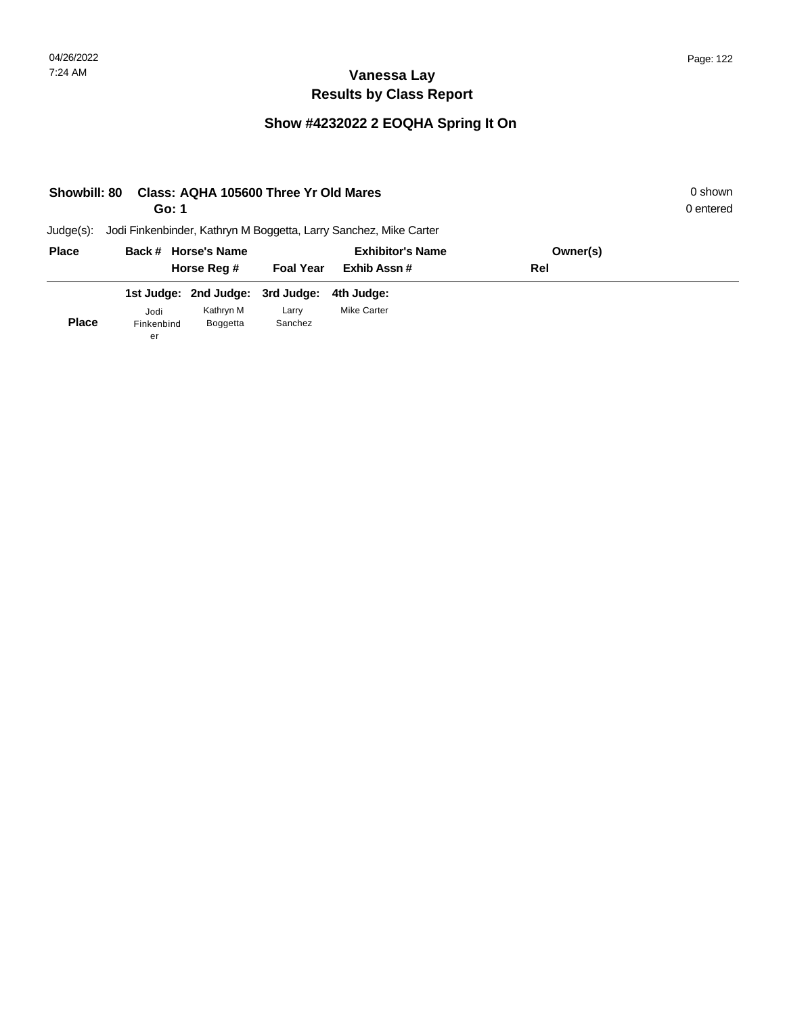| Showbill: 80 | Go: 1            | Class: AQHA 105600 Three Yr Old Mares |                  |                                                                   |          | 0 shown<br>0 entered |
|--------------|------------------|---------------------------------------|------------------|-------------------------------------------------------------------|----------|----------------------|
| $Judge(s)$ : |                  |                                       |                  | Jodi Finkenbinder, Kathryn M Boggetta, Larry Sanchez, Mike Carter |          |                      |
| <b>Place</b> |                  | Back # Horse's Name                   |                  | <b>Exhibitor's Name</b>                                           | Owner(s) |                      |
|              |                  | Horse Reg #                           | <b>Foal Year</b> | Exhib Assn#                                                       | Rel      |                      |
|              |                  | 1st Judge: 2nd Judge: 3rd Judge:      |                  | 4th Judge:                                                        |          |                      |
|              | Jodi             | Kathryn M                             | Larry            | <b>Mike Carter</b>                                                |          |                      |
| <b>Place</b> | Finkenbind<br>er | Boggetta                              | Sanchez          |                                                                   |          |                      |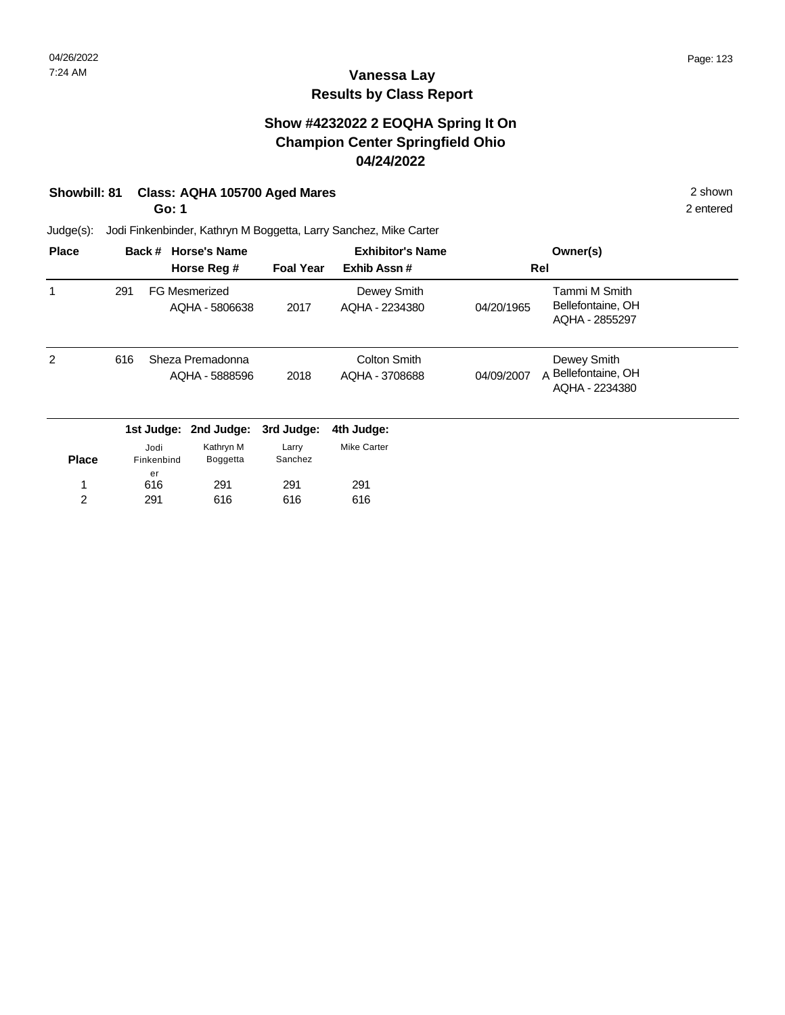### **Vanessa Lay Results by Class Report**

#### **Show #4232022 2 EOQHA Spring It On Champion Center Springfield Ohio 04/24/2022**

### **Showbill: 81 Class: AQHA 105700 Aged Mares** 2 shown

**Go: 1**

| <b>Place</b>   |     | Back #             | <b>Horse's Name</b><br>Horse Reg #     | <b>Foal Year</b> | <b>Exhibitor's Name</b><br>Exhib Assn# | Owner(s)<br>Rel |                                                      |  |
|----------------|-----|--------------------|----------------------------------------|------------------|----------------------------------------|-----------------|------------------------------------------------------|--|
|                | 291 |                    | <b>FG Mesmerized</b><br>AQHA - 5806638 | 2017             | Dewey Smith<br>AQHA - 2234380          | 04/20/1965      | Tammi M Smith<br>Bellefontaine, OH<br>AQHA - 2855297 |  |
| $\overline{2}$ | 616 |                    | Sheza Premadonna<br>AQHA - 5888596     | 2018             | Colton Smith<br>AQHA - 3708688         | 04/09/2007      | Dewey Smith<br>A Bellefontaine, OH<br>AQHA - 2234380 |  |
|                |     |                    | 1st Judge: 2nd Judge:                  | 3rd Judge:       | 4th Judge:                             |                 |                                                      |  |
| <b>Place</b>   |     | Jodi<br>Finkenbind | Kathryn M<br>Boggetta                  | Larry<br>Sanchez | <b>Mike Carter</b>                     |                 |                                                      |  |
| 1              |     | er<br>616          | 291                                    | 291              | 291                                    |                 |                                                      |  |
| 2              |     | 291                | 616                                    | 616              | 616                                    |                 |                                                      |  |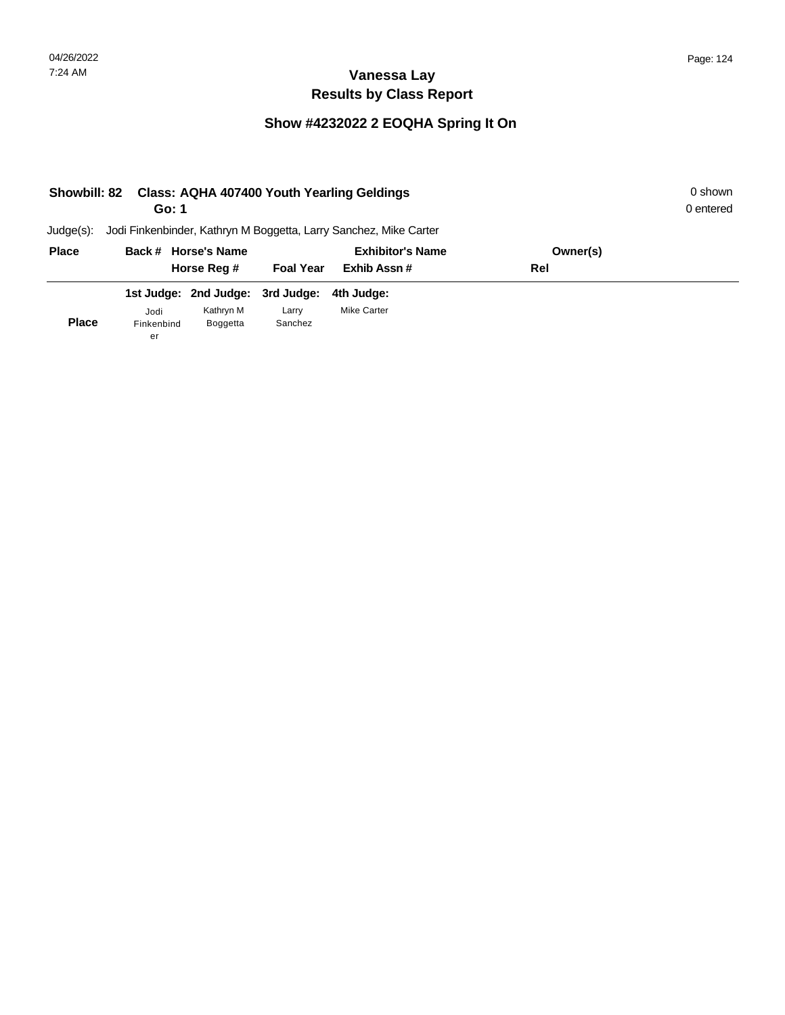|              | <b>Class: AQHA 407400 Youth Yearling Geldings</b><br><b>Showbill: 82</b><br>Go: 1 |                                  |                  |                                                                   |          |  |  |  |
|--------------|-----------------------------------------------------------------------------------|----------------------------------|------------------|-------------------------------------------------------------------|----------|--|--|--|
| $Judge(s)$ : |                                                                                   |                                  |                  | Jodi Finkenbinder, Kathryn M Boggetta, Larry Sanchez, Mike Carter |          |  |  |  |
| <b>Place</b> |                                                                                   | Back # Horse's Name              |                  | <b>Exhibitor's Name</b>                                           | Owner(s) |  |  |  |
|              |                                                                                   | Horse Reg #                      | <b>Foal Year</b> | Exhib Assn#                                                       | Rel      |  |  |  |
|              |                                                                                   | 1st Judge: 2nd Judge: 3rd Judge: |                  | 4th Judge:                                                        |          |  |  |  |
|              | Jodi                                                                              | Kathryn M                        | Larry            | <b>Mike Carter</b>                                                |          |  |  |  |
| <b>Place</b> | Finkenbind<br>er                                                                  | <b>Boggetta</b>                  | Sanchez          |                                                                   |          |  |  |  |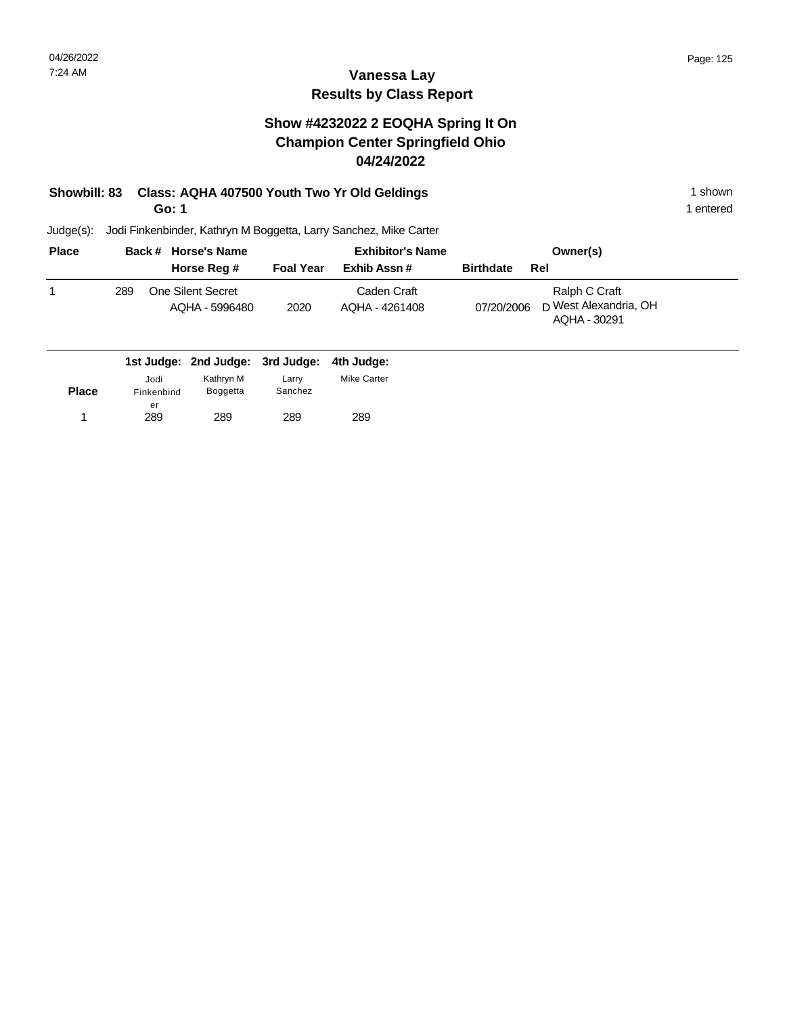### **Vanessa Lay Results by Class Report**

#### **Show #4232022 2 EOQHA Spring It On Champion Center Springfield Ohio 04/24/2022**

## **Showbill: 83 Class: AQHA 407500 Youth Two Yr Old Geldings** 1 Shown 1 shown

**Go: 1**

| <b>Place</b> |     | Back # Horse's Name                 |                  | <b>Exhibitor's Name</b>       |                  | Owner(s)                                               |
|--------------|-----|-------------------------------------|------------------|-------------------------------|------------------|--------------------------------------------------------|
|              |     | Horse Reg #                         | <b>Foal Year</b> | Exhib Assn #                  | <b>Birthdate</b> | Rel                                                    |
|              | 289 | One Silent Secret<br>AQHA - 5996480 | 2020             | Caden Craft<br>AQHA - 4261408 | 07/20/2006       | Ralph C Craft<br>D West Alexandria, OH<br>AQHA - 30291 |

|              |            | 1st Judge: 2nd Judge: 3rd Judge: 4th Judge: |         |             |
|--------------|------------|---------------------------------------------|---------|-------------|
|              | Jodi       | Kathryn M                                   | Larrv   | Mike Carter |
| <b>Place</b> | Finkenbind | Boggetta                                    | Sanchez |             |
|              | er         |                                             |         |             |
|              | 289        | 289                                         | 289     | 289         |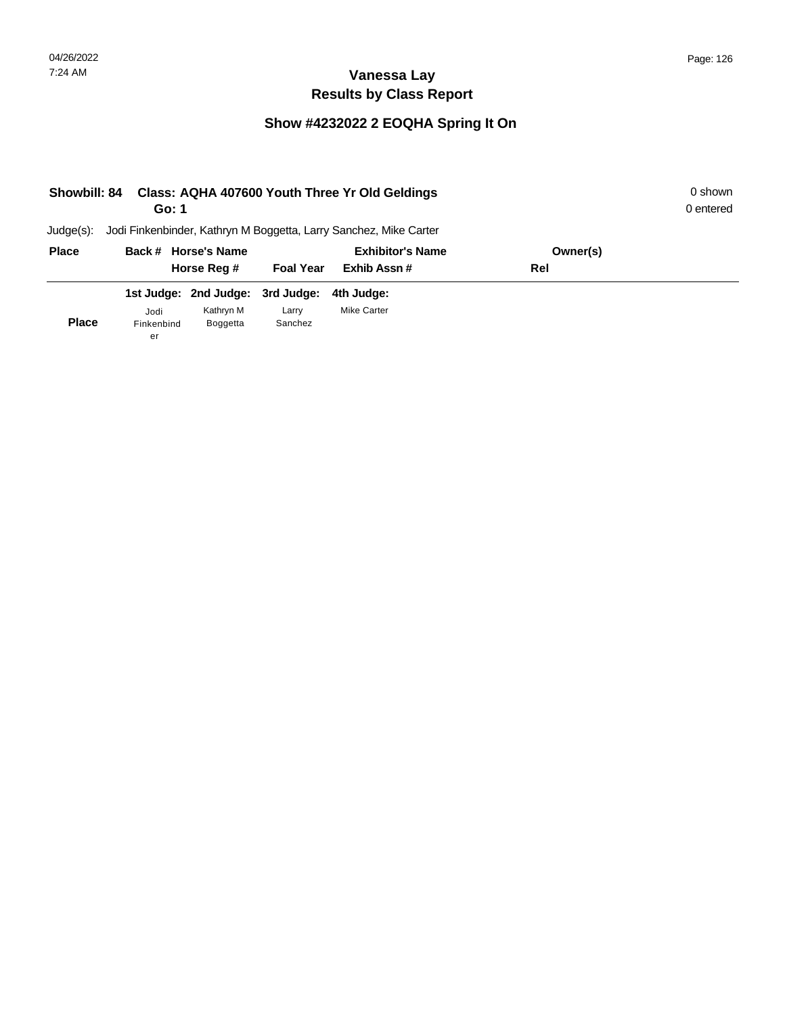| Class: AQHA 407600 Youth Three Yr Old Geldings<br>Showbill: 84<br>Go: 1 |                  |                                  |                  |                                                                   |          | 0 shown<br>0 entered |
|-------------------------------------------------------------------------|------------------|----------------------------------|------------------|-------------------------------------------------------------------|----------|----------------------|
| $Judge(s)$ :                                                            |                  |                                  |                  | Jodi Finkenbinder, Kathryn M Boggetta, Larry Sanchez, Mike Carter |          |                      |
| <b>Place</b>                                                            |                  | Back # Horse's Name              |                  | <b>Exhibitor's Name</b>                                           | Owner(s) |                      |
|                                                                         |                  | Horse Reg #                      | <b>Foal Year</b> | Exhib Assn#                                                       | Rel      |                      |
|                                                                         |                  | 1st Judge: 2nd Judge: 3rd Judge: |                  | 4th Judge:                                                        |          |                      |
|                                                                         | Jodi             | Kathryn M                        | Larry            | <b>Mike Carter</b>                                                |          |                      |
| <b>Place</b>                                                            | Finkenbind<br>er | <b>Boggetta</b>                  | Sanchez          |                                                                   |          |                      |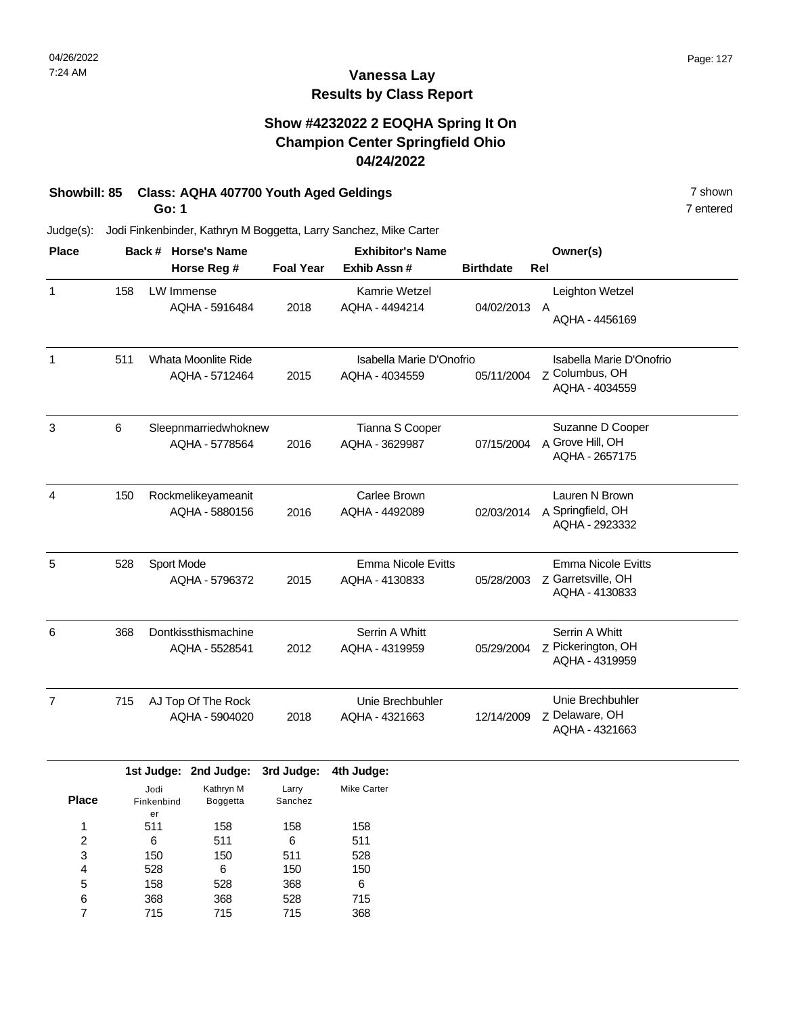### **Vanessa Lay Results by Class Report**

#### **Show #4232022 2 EOQHA Spring It On Champion Center Springfield Ohio 04/24/2022**

## **Showbill: 85 Class: AQHA 407700 Youth Aged Geldings** 7 shown

**Go: 1**

| <b>Place</b>   |     |       | Back # Horse's Name              |                  | <b>Exhibitor's Name</b>   |                  |                | Owner(s)                  |
|----------------|-----|-------|----------------------------------|------------------|---------------------------|------------------|----------------|---------------------------|
|                |     |       | Horse Reg #                      | <b>Foal Year</b> | Exhib Assn #              | <b>Birthdate</b> | Rel            |                           |
| $\mathbf{1}$   | 158 |       | LW Immense                       |                  | Kamrie Wetzel             |                  |                | Leighton Wetzel           |
|                |     |       | AQHA - 5916484                   | 2018             | AQHA - 4494214            | 04/02/2013       | $\overline{A}$ |                           |
|                |     |       |                                  |                  |                           |                  |                | AQHA - 4456169            |
| $\mathbf 1$    | 511 |       | Whata Moonlite Ride              |                  | Isabella Marie D'Onofrio  |                  |                | Isabella Marie D'Onofrio  |
|                |     |       | AQHA - 5712464                   | 2015             | AQHA - 4034559            | 05/11/2004       |                | Z Columbus, OH            |
|                |     |       |                                  |                  |                           |                  |                | AQHA - 4034559            |
| 3              | 6   |       | Sleepnmarriedwhoknew             |                  | Tianna S Cooper           |                  |                | Suzanne D Cooper          |
|                |     |       | AQHA - 5778564                   | 2016             | AQHA - 3629987            | 07/15/2004       |                | A Grove Hill, OH          |
|                |     |       |                                  |                  |                           |                  |                | AQHA - 2657175            |
| 4              | 150 |       | Rockmelikeyameanit               |                  | Carlee Brown              |                  |                | Lauren N Brown            |
|                |     |       | AQHA - 5880156                   | 2016             | AQHA - 4492089            | 02/03/2014       |                | A Springfield, OH         |
|                |     |       |                                  |                  |                           |                  |                | AQHA - 2923332            |
| 5              | 528 |       | Sport Mode                       |                  | <b>Emma Nicole Evitts</b> |                  |                | <b>Emma Nicole Evitts</b> |
|                |     |       | AQHA - 5796372                   | 2015             | AQHA - 4130833            | 05/28/2003       |                | Z Garretsville, OH        |
|                |     |       |                                  |                  |                           |                  |                | AQHA - 4130833            |
| 6              | 368 |       | Dontkissthismachine              |                  | Serrin A Whitt            |                  |                | Serrin A Whitt            |
|                |     |       | AQHA - 5528541                   | 2012             | AQHA - 4319959            | 05/29/2004       |                | Z Pickerington, OH        |
|                |     |       |                                  |                  |                           |                  |                | AQHA - 4319959            |
| $\overline{7}$ | 715 |       | AJ Top Of The Rock               |                  | Unie Brechbuhler          |                  |                | Unie Brechbuhler          |
|                |     |       | AQHA - 5904020                   | 2018             | AQHA - 4321663            | 12/14/2009       |                | z Delaware, OH            |
|                |     |       |                                  |                  |                           |                  |                | AQHA - 4321663            |
|                |     |       | 1st Judge: 2nd Judge: 3rd Judge: |                  | 4th Judge:                |                  |                |                           |
|                |     | ihol. | Kathrvn M                        | Larrv            | Mike Carter               |                  |                |                           |

|              | Jodi       | Kathryn M | Larry   | <b>Mike Carter</b> |
|--------------|------------|-----------|---------|--------------------|
| <b>Place</b> | Finkenbind | Boggetta  | Sanchez |                    |
|              | er         |           |         |                    |
| 1            | 511        | 158       | 158     | 158                |
| 2            | 6          | 511       | 6       | 511                |
| 3            | 150        | 150       | 511     | 528                |
| 4            | 528        | 6         | 150     | 150                |
| 5            | 158        | 528       | 368     | 6                  |
| 6            | 368        | 368       | 528     | 715                |
|              | 715        | 715       | 715     | 368                |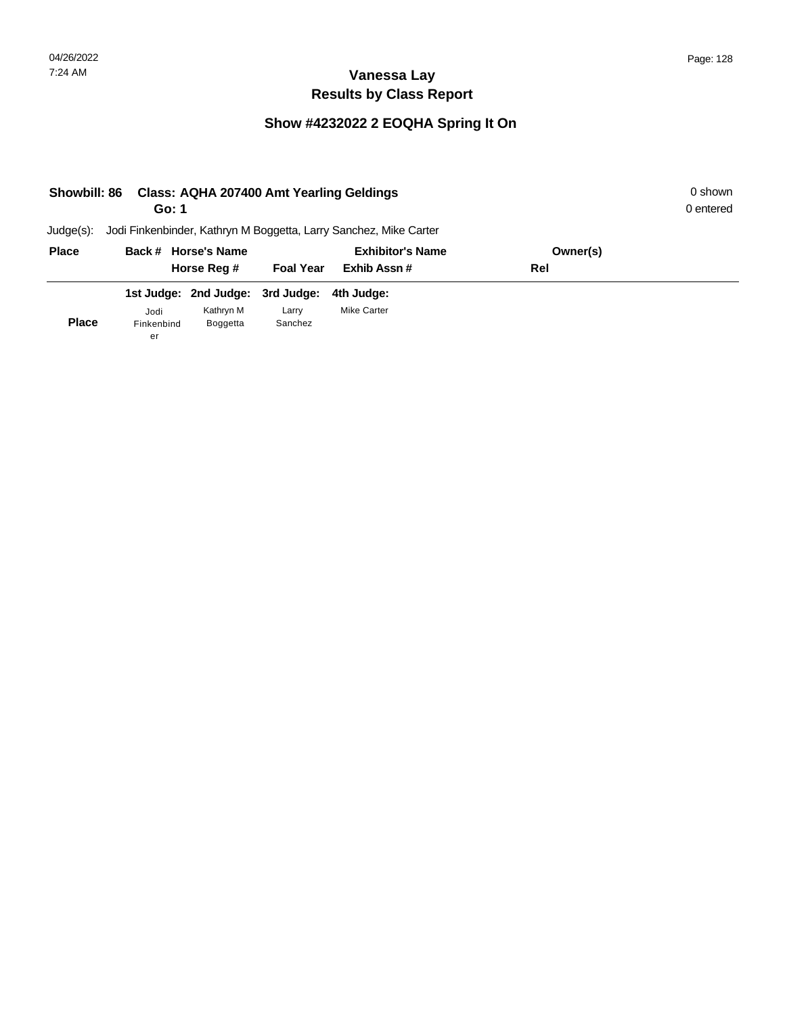|              | <b>Class: AQHA 207400 Amt Yearling Geldings</b><br><b>Showbill: 86</b><br>Go: 1 |                       |                  |                                                                   |          |  |  |
|--------------|---------------------------------------------------------------------------------|-----------------------|------------------|-------------------------------------------------------------------|----------|--|--|
| $Judge(s)$ : |                                                                                 |                       |                  | Jodi Finkenbinder, Kathryn M Boggetta, Larry Sanchez, Mike Carter |          |  |  |
| <b>Place</b> |                                                                                 | Back # Horse's Name   |                  | <b>Exhibitor's Name</b>                                           | Owner(s) |  |  |
|              |                                                                                 | Horse Reg #           | <b>Foal Year</b> | Exhib Assn#                                                       | Rel      |  |  |
|              |                                                                                 | 1st Judge: 2nd Judge: | 3rd Judge:       | 4th Judge:                                                        |          |  |  |
|              | Jodi                                                                            | Kathryn M             | Larry            | <b>Mike Carter</b>                                                |          |  |  |
| <b>Place</b> | Finkenbind<br>er                                                                | <b>Boggetta</b>       | Sanchez          |                                                                   |          |  |  |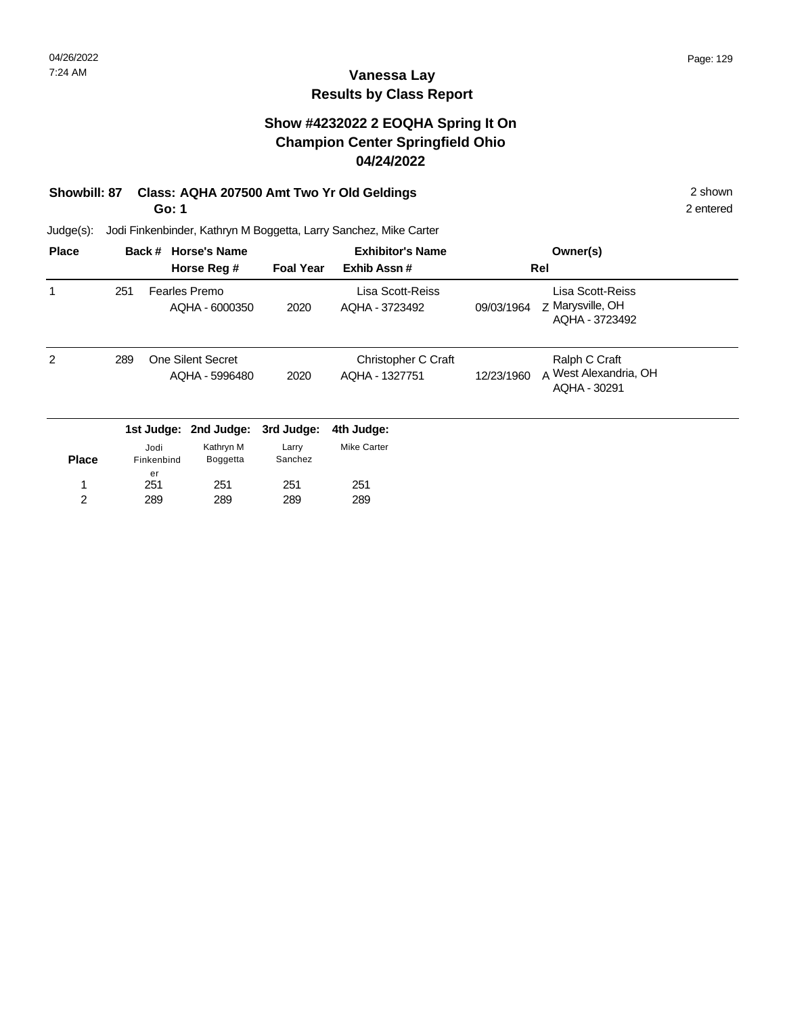#### **Show #4232022 2 EOQHA Spring It On Champion Center Springfield Ohio 04/24/2022**

# **Showbill: 87 Class: AQHA 207500 Amt Two Yr Old Geldings** 2 Shown 2 shown

**Go: 1**

Judge(s): Jodi Finkenbinder, Kathryn M Boggetta, Larry Sanchez, Mike Carter

| <b>Place</b>   |     |                    | Back # Horse's Name<br>Horse Reg #         | <b>Foal Year</b> | <b>Exhibitor's Name</b><br>Exhib Assn# |            | Owner(s)<br>Rel                                        |
|----------------|-----|--------------------|--------------------------------------------|------------------|----------------------------------------|------------|--------------------------------------------------------|
|                | 251 |                    | Fearles Premo<br>AQHA - 6000350            | 2020             | Lisa Scott-Reiss<br>AQHA - 3723492     | 09/03/1964 | Lisa Scott-Reiss<br>Z Marysville, OH<br>AQHA - 3723492 |
| $\overline{2}$ | 289 |                    | <b>One Silent Secret</b><br>AQHA - 5996480 | 2020             | Christopher C Craft<br>AQHA - 1327751  | 12/23/1960 | Ralph C Craft<br>A West Alexandria, OH<br>AQHA - 30291 |
|                |     |                    | 1st Judge: 2nd Judge:                      | 3rd Judge:       | 4th Judge:                             |            |                                                        |
| <b>Place</b>   |     | Jodi<br>Finkenbind | Kathryn M<br>Boggetta                      | Larry<br>Sanchez | <b>Mike Carter</b>                     |            |                                                        |
| 1              |     | er<br>251          | 251                                        | 251              | 251                                    |            |                                                        |
| 2              |     | 289                | 289                                        | 289              | 289                                    |            |                                                        |

2 entered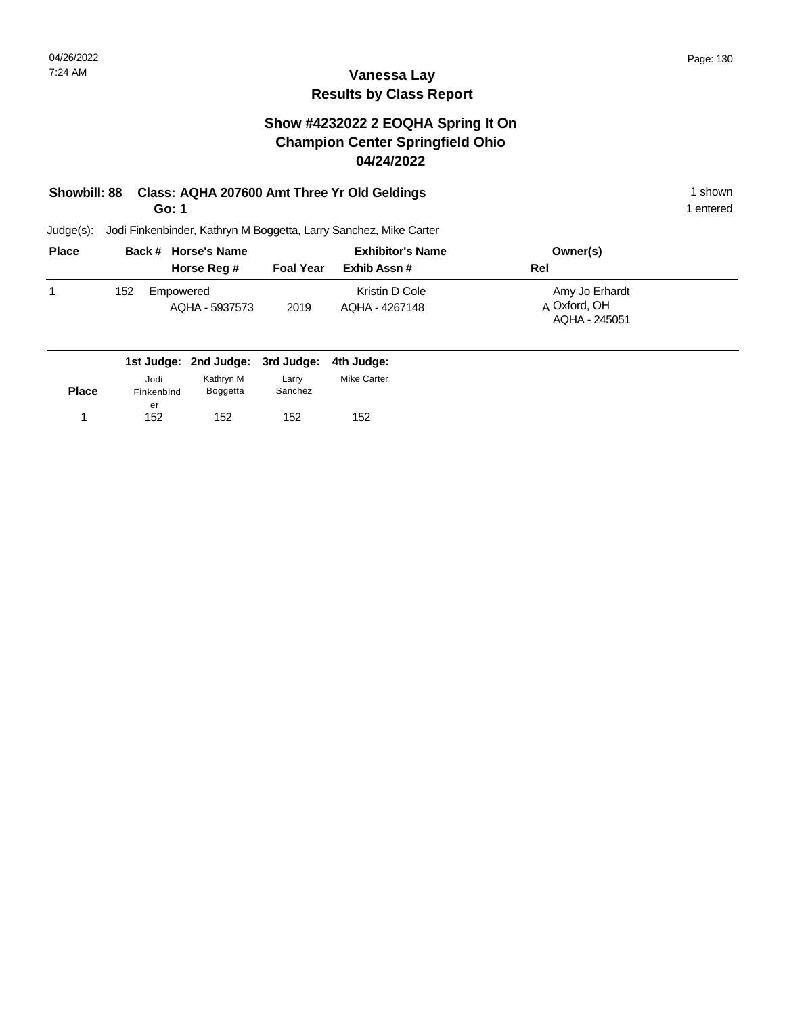### **Vanessa Lay Results by Class Report**

#### **Show #4232022 2 EOQHA Spring It On Champion Center Springfield Ohio 04/24/2022**

# **Showbill: 88 Class: AQHA 207600 Amt Three Yr Old Geldings** 1 Shown 1 shown

**Go: 1**

| <b>Place</b> |     | Back # Horse's Name         |                  | <b>Exhibitor's Name</b>          | Owner(s)                                        |  |
|--------------|-----|-----------------------------|------------------|----------------------------------|-------------------------------------------------|--|
|              |     | Horse Reg #                 | <b>Foal Year</b> | Exhib Assn #                     | Rel                                             |  |
|              | 152 | Empowered<br>AQHA - 5937573 | 2019             | Kristin D Cole<br>AQHA - 4267148 | Amy Jo Erhardt<br>A Oxford, OH<br>AQHA - 245051 |  |

|              |            | 1st Judge: 2nd Judge: 3rd Judge: 4th Judge: |         |             |
|--------------|------------|---------------------------------------------|---------|-------------|
|              | Jodi       | Kathrvn M                                   | Larrv   | Mike Carter |
| <b>Place</b> | Finkenbind | Boggetta                                    | Sanchez |             |
|              | er         |                                             |         |             |
|              | 152        | 152                                         | 152     | 152         |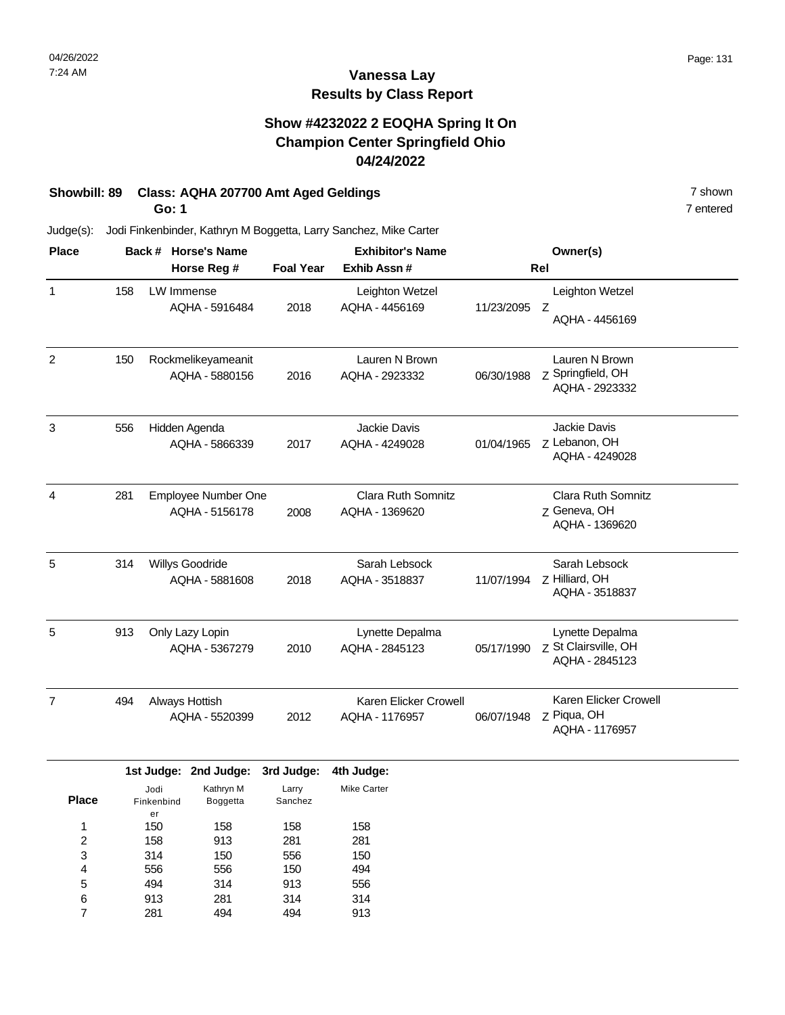### **Vanessa Lay Results by Class Report**

#### **Show #4232022 2 EOQHA Spring It On Champion Center Springfield Ohio 04/24/2022**

## **Showbill: 89 Class: AQHA 207700 Amt Aged Geldings 7 shown** 7 shown

**Go: 1**

| <b>Place</b>   |     | <b>Horse's Name</b><br>Back #         |      | <b>Exhibitor's Name</b>                     |            | Owner(s)                                                    |  |
|----------------|-----|---------------------------------------|------|---------------------------------------------|------------|-------------------------------------------------------------|--|
|                |     | Horse Reg #                           |      | Exhib Assn#                                 | Rel        |                                                             |  |
| 1              | 158 | <b>LW</b> Immense<br>AQHA - 5916484   | 2018 | Leighton Wetzel<br>AQHA - 4456169           | 11/23/2095 | Leighton Wetzel<br>Z<br>AQHA - 4456169                      |  |
| 2              | 150 | Rockmelikeyameanit<br>AQHA - 5880156  | 2016 | Lauren N Brown<br>AQHA - 2923332            | 06/30/1988 | Lauren N Brown<br>Z Springfield, OH<br>AQHA - 2923332       |  |
| 3              | 556 | Hidden Agenda<br>AQHA - 5866339       | 2017 | Jackie Davis<br>AQHA - 4249028              | 01/04/1965 | Jackie Davis<br>z Lebanon, OH<br>AQHA - 4249028             |  |
| $\overline{4}$ | 281 | Employee Number One<br>AQHA - 5156178 | 2008 | <b>Clara Ruth Somnitz</b><br>AQHA - 1369620 |            | <b>Clara Ruth Somnitz</b><br>z Geneva, OH<br>AQHA - 1369620 |  |
| 5              | 314 | Willys Goodride<br>AQHA - 5881608     | 2018 | Sarah Lebsock<br>AQHA - 3518837             | 11/07/1994 | Sarah Lebsock<br>Z Hilliard, OH<br>AQHA - 3518837           |  |
| 5              | 913 | Only Lazy Lopin<br>AQHA - 5367279     | 2010 | Lynette Depalma<br>AQHA - 2845123           | 05/17/1990 | Lynette Depalma<br>Z St Clairsville, OH<br>AQHA - 2845123   |  |
| $\overline{7}$ | 494 | Always Hottish<br>AQHA - 5520399      | 2012 | Karen Elicker Crowell<br>AQHA - 1176957     | 06/07/1948 | Karen Elicker Crowell<br>Z Piqua, OH<br>AQHA - 1176957      |  |

|              |            | 1st Judge: 2nd Judge: | 3rd Judge: | 4th Judge:  |
|--------------|------------|-----------------------|------------|-------------|
|              | Jodi       | Kathryn M             | Larry      | Mike Carter |
| <b>Place</b> | Finkenbind | <b>Boggetta</b>       | Sanchez    |             |
|              | er         |                       |            |             |
| 1            | 150        | 158                   | 158        | 158         |
| 2            | 158        | 913                   | 281        | 281         |
| 3            | 314        | 150                   | 556        | 150         |
| 4            | 556        | 556                   | 150        | 494         |
| 5            | 494        | 314                   | 913        | 556         |
| 6            | 913        | 281                   | 314        | 314         |
|              | 281        | 494                   | 494        | 913         |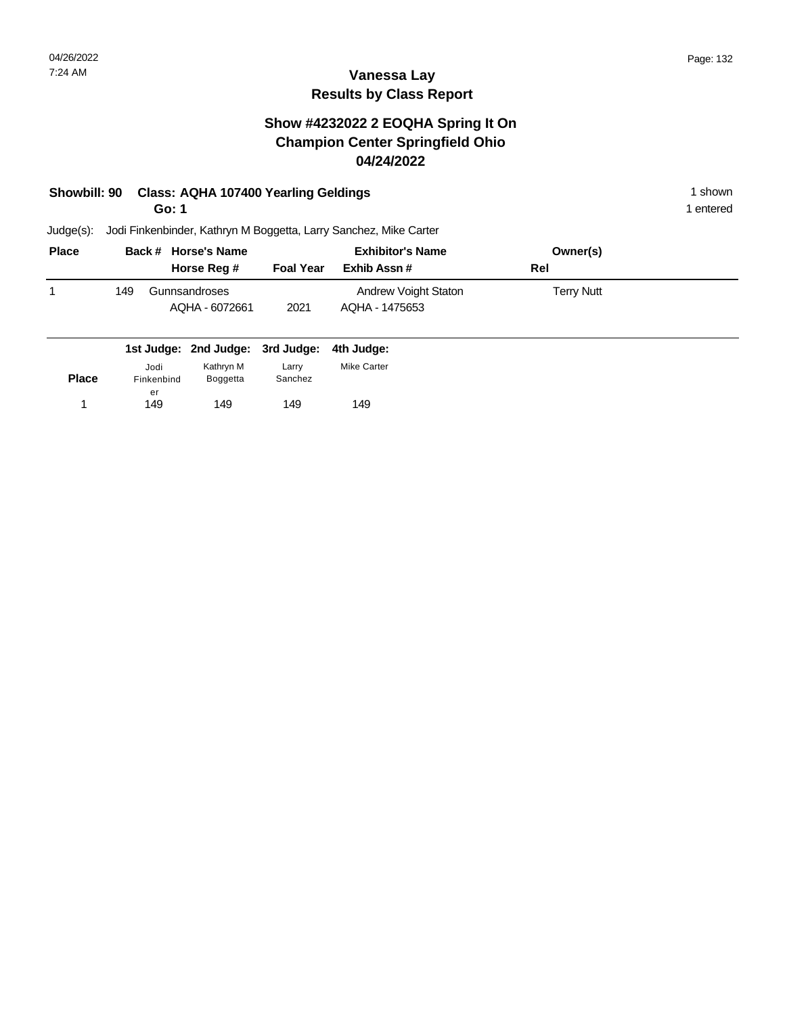#### **Show #4232022 2 EOQHA Spring It On Champion Center Springfield Ohio 04/24/2022**

# **Showbill: 90 Class: AQHA 107400 Yearling Geldings 1 shown 1 shown 1 shown**

**Go: 1**

1 entered

| <b>Place</b> |     | Back # Horse's Name             | <b>Exhibitor's Name</b> |                                               | Owner(s)          |  |
|--------------|-----|---------------------------------|-------------------------|-----------------------------------------------|-------------------|--|
|              |     | Horse Reg #                     | <b>Foal Year</b>        | Exhib Assn #                                  | Rel               |  |
|              | 149 | Gunnsandroses<br>AQHA - 6072661 | 2021                    | <b>Andrew Voight Staton</b><br>AQHA - 1475653 | <b>Terry Nutt</b> |  |

|              |                    | 1st Judge: 2nd Judge: 3rd Judge: |                  | 4th Judae:  |  |
|--------------|--------------------|----------------------------------|------------------|-------------|--|
| <b>Place</b> | Jodi<br>Finkenbind | Kathryn M<br><b>Boggetta</b>     | Larry<br>Sanchez | Mike Carter |  |
| 1            | er<br>149          | 149                              | 149              | 149         |  |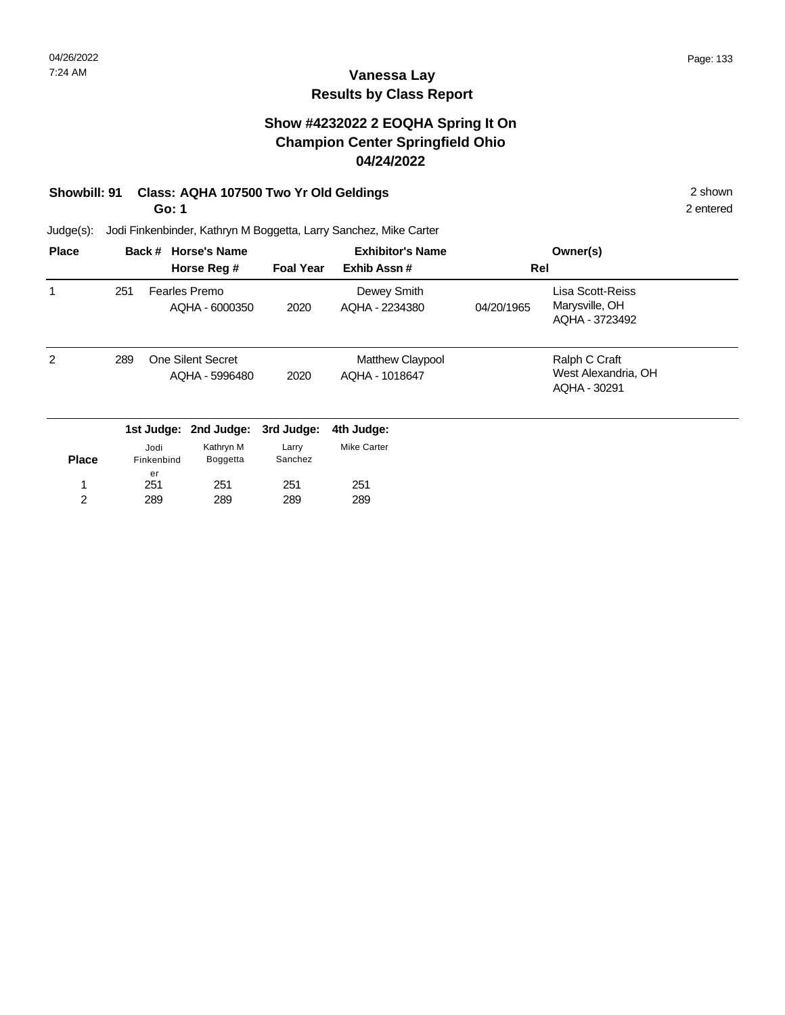### **Vanessa Lay Results by Class Report**

#### **Show #4232022 2 EOQHA Spring It On Champion Center Springfield Ohio 04/24/2022**

#### **Showbill: 91 Class: AQHA 107500 Two Yr Old Geldings** 2 shown 2 shown

289

289

**Go: 1**

289

2

Judge(s): Jodi Finkenbinder, Kathryn M Boggetta, Larry Sanchez, Mike Carter

| <b>Place</b> |     | Back #             | <b>Horse's Name</b><br>Horse Reg #         | <b>Foal Year</b> | <b>Exhibitor's Name</b><br>Exhib Assn# | Rel        | Owner(s)                                             |
|--------------|-----|--------------------|--------------------------------------------|------------------|----------------------------------------|------------|------------------------------------------------------|
|              | 251 |                    | Fearles Premo<br>AQHA - 6000350            | 2020             | Dewey Smith<br>AQHA - 2234380          | 04/20/1965 | Lisa Scott-Reiss<br>Marysville, OH<br>AQHA - 3723492 |
| 2            | 289 |                    | <b>One Silent Secret</b><br>AQHA - 5996480 | 2020             | Matthew Claypool<br>AQHA - 1018647     |            | Ralph C Craft<br>West Alexandria, OH<br>AQHA - 30291 |
|              |     |                    | 1st Judge: 2nd Judge:                      | 3rd Judge:       | 4th Judge:                             |            |                                                      |
| <b>Place</b> |     | Jodi<br>Finkenbind | Kathryn M<br>Boggetta                      | Larry<br>Sanchez | <b>Mike Carter</b>                     |            |                                                      |
| 1            |     | er<br>251          | 251                                        | 251              | 251                                    |            |                                                      |

289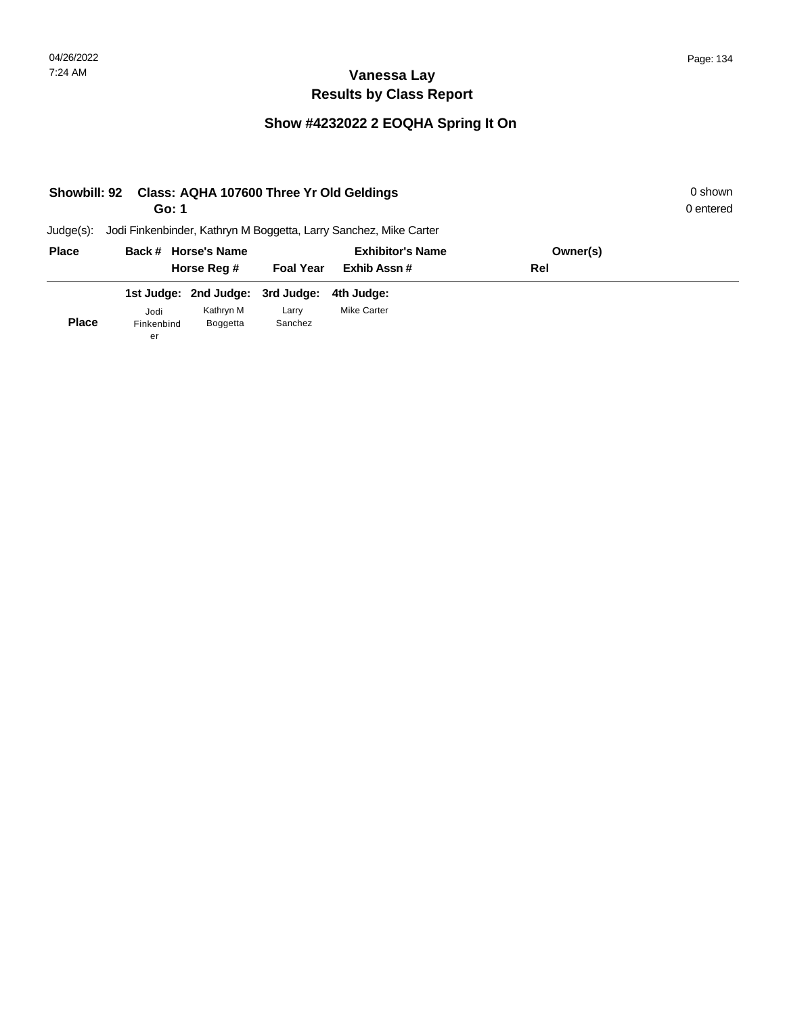| 0 shown<br>0 entered |
|----------------------|
|                      |
|                      |
|                      |
|                      |
|                      |
|                      |
|                      |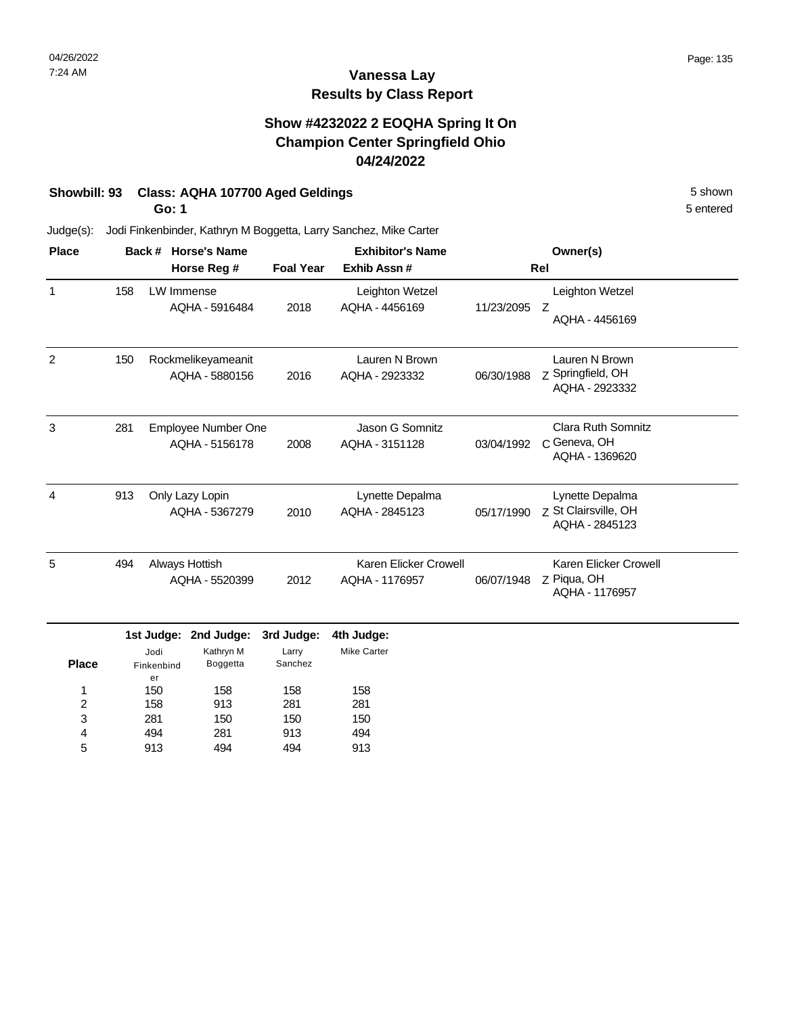#### **Show #4232022 2 EOQHA Spring It On Champion Center Springfield Ohio 04/24/2022**

#### **Showbill: 93 Class: AQHA 107700 Aged Geldings** 5 **Shown** 5 shown

**Go: 1**

5 entered

| <b>Place</b>      |     | Back #                  | <b>Horse's Name</b>                   |                     | <b>Exhibitor's Name</b>                 |            | Owner(s)                                                    |
|-------------------|-----|-------------------------|---------------------------------------|---------------------|-----------------------------------------|------------|-------------------------------------------------------------|
|                   |     |                         | Horse Reg #                           | <b>Foal Year</b>    | Exhib Assn#                             |            | Rel                                                         |
| $\mathbf{1}$      | 158 | LW Immense              | AQHA - 5916484                        | 2018                | Leighton Wetzel<br>AQHA - 4456169       | 11/23/2095 | Leighton Wetzel<br>Z<br>AQHA - 4456169                      |
| 2                 | 150 |                         | Rockmelikeyameanit<br>AQHA - 5880156  | 2016                | Lauren N Brown<br>AQHA - 2923332        | 06/30/1988 | Lauren N Brown<br>Z Springfield, OH<br>AQHA - 2923332       |
| 3                 | 281 |                         | Employee Number One<br>AQHA - 5156178 | 2008                | Jason G Somnitz<br>AQHA - 3151128       | 03/04/1992 | <b>Clara Ruth Somnitz</b><br>C Geneva, OH<br>AQHA - 1369620 |
| 4                 | 913 |                         | Only Lazy Lopin<br>AQHA - 5367279     | 2010                | Lynette Depalma<br>AQHA - 2845123       | 05/17/1990 | Lynette Depalma<br>7 St Clairsville, OH<br>AQHA - 2845123   |
| 5                 | 494 |                         | Always Hottish<br>AQHA - 5520399      | 2012                | Karen Elicker Crowell<br>AQHA - 1176957 | 06/07/1948 | Karen Elicker Crowell<br>Z Piqua, OH<br>AQHA - 1176957      |
|                   |     | Jodi                    | 1st Judge: 2nd Judge:<br>Kathryn M    | 3rd Judge:<br>Larry | 4th Judge:<br><b>Mike Carter</b>        |            |                                                             |
| <b>Place</b><br>1 |     | Finkenbind<br>er<br>150 | Boggetta<br>158                       | Sanchez<br>158      | 158                                     |            |                                                             |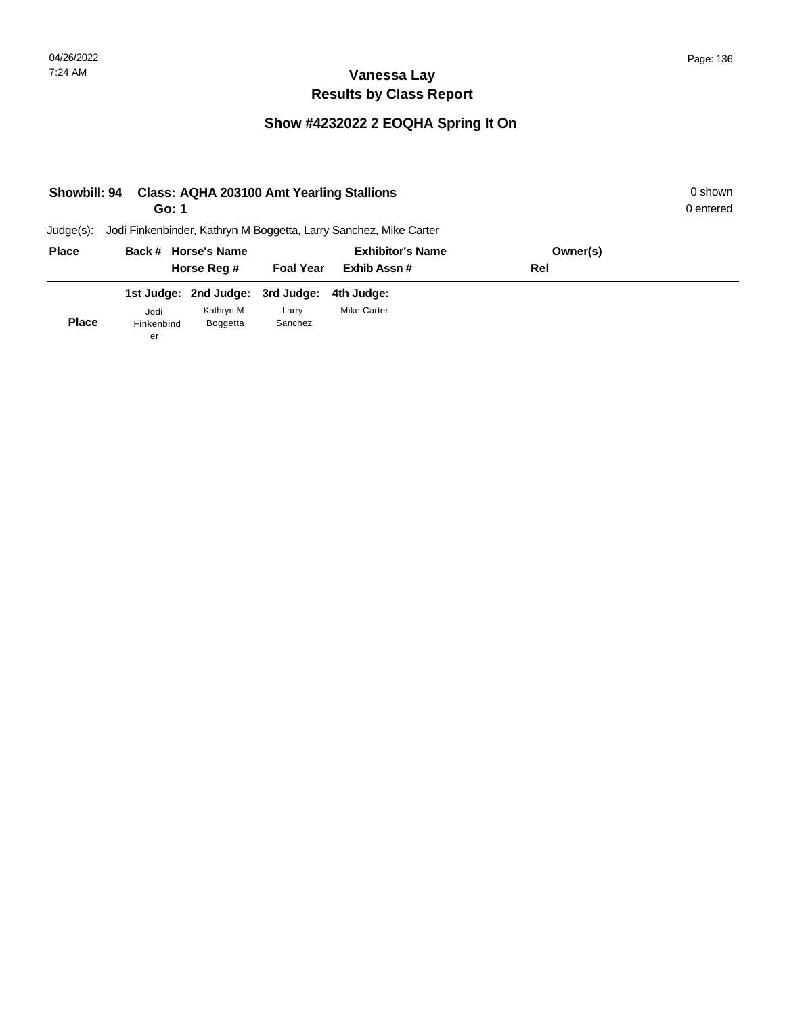| <b>Showbill: 94</b> | Go: 1            | <b>Class: AQHA 203100 Amt Yearling Stallions</b> |                  |                                                                   |          | 0 shown<br>0 entered |
|---------------------|------------------|--------------------------------------------------|------------------|-------------------------------------------------------------------|----------|----------------------|
| $Judge(s)$ :        |                  |                                                  |                  | Jodi Finkenbinder, Kathryn M Boggetta, Larry Sanchez, Mike Carter |          |                      |
| <b>Place</b>        |                  | Back # Horse's Name                              |                  | <b>Exhibitor's Name</b>                                           | Owner(s) |                      |
|                     |                  | Horse Reg #                                      | <b>Foal Year</b> | Exhib Assn#                                                       | Rel      |                      |
|                     |                  | 1st Judge: 2nd Judge: 3rd Judge:                 |                  | 4th Judge:                                                        |          |                      |
|                     | Jodi             | Kathryn M                                        | Larry            | <b>Mike Carter</b>                                                |          |                      |
| <b>Place</b>        | Finkenbind<br>er | <b>Boggetta</b>                                  | Sanchez          |                                                                   |          |                      |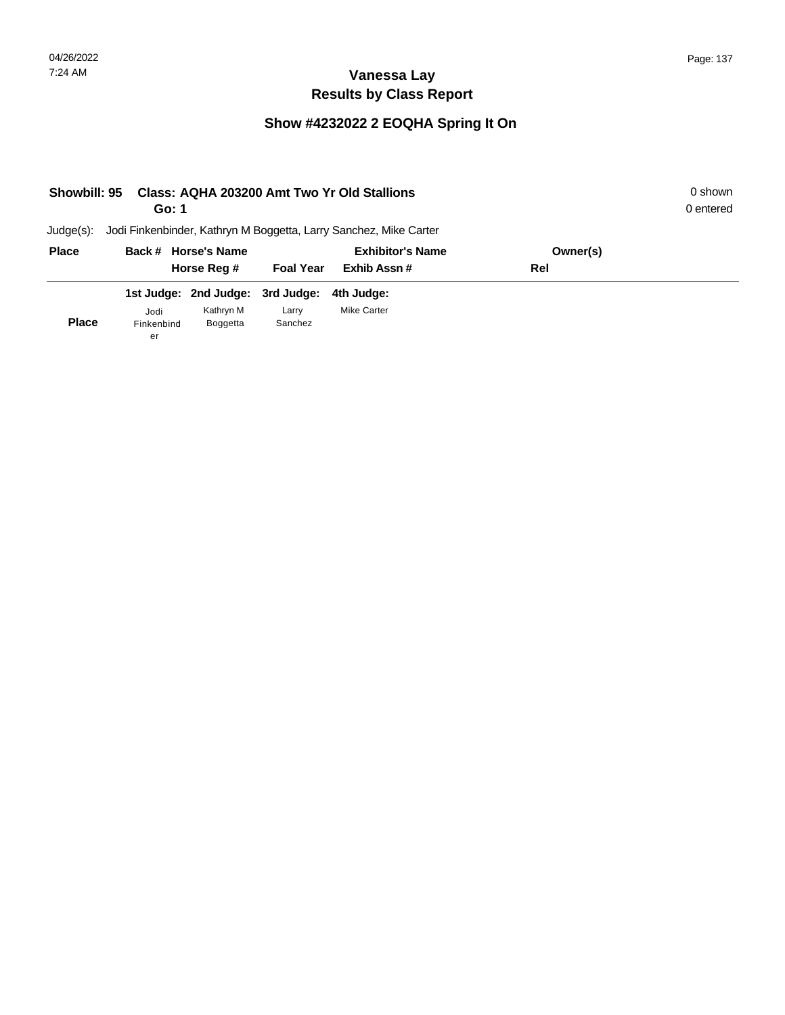| Showbill: 95 | Go: 1            |                                  |                  | Class: AQHA 203200 Amt Two Yr Old Stallions                       |          | 0 shown<br>0 entered |
|--------------|------------------|----------------------------------|------------------|-------------------------------------------------------------------|----------|----------------------|
| $Judge(s)$ : |                  |                                  |                  | Jodi Finkenbinder, Kathryn M Boggetta, Larry Sanchez, Mike Carter |          |                      |
| <b>Place</b> |                  | Back # Horse's Name              |                  | <b>Exhibitor's Name</b>                                           | Owner(s) |                      |
|              |                  | Horse Reg #                      | <b>Foal Year</b> | Exhib Assn#                                                       | Rel      |                      |
|              |                  | 1st Judge: 2nd Judge: 3rd Judge: |                  | 4th Judge:                                                        |          |                      |
|              | Jodi             | Kathryn M                        | Larry            | Mike Carter                                                       |          |                      |
| <b>Place</b> | Finkenbind<br>er | <b>Boggetta</b>                  | Sanchez          |                                                                   |          |                      |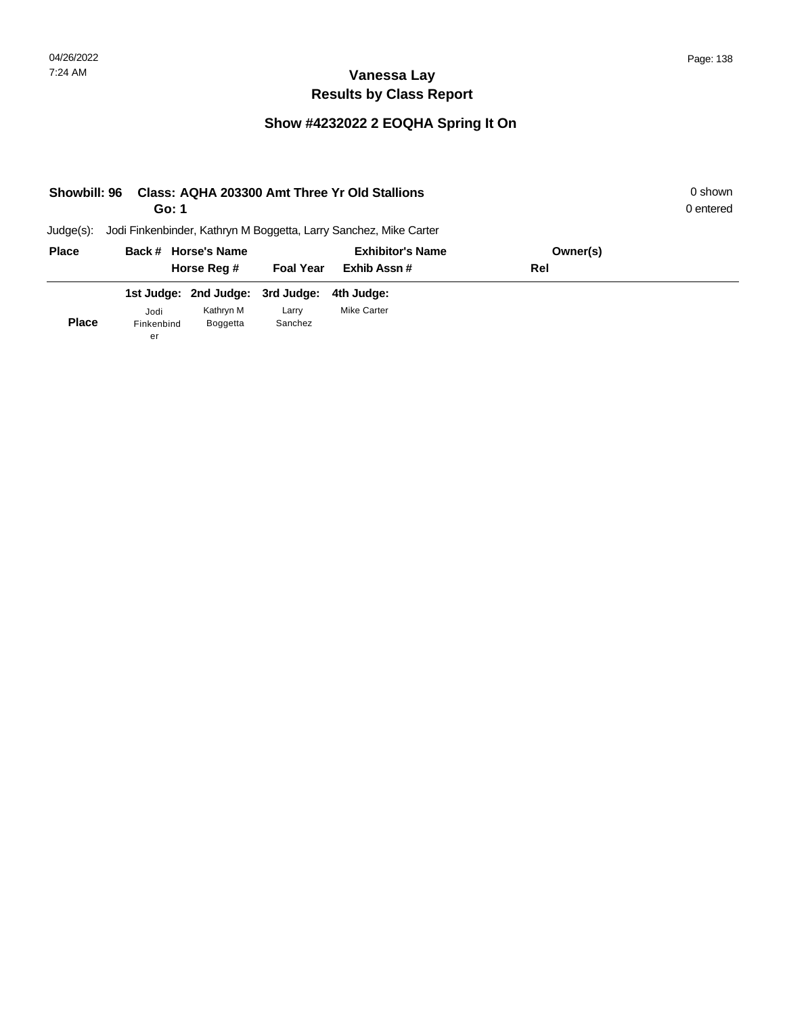| Showbill: 96 |                  | Class: AQHA 203300 Amt Three Yr Old Stallions<br>Go: 1 | 0 shown<br>0 entered |                                                                   |          |  |
|--------------|------------------|--------------------------------------------------------|----------------------|-------------------------------------------------------------------|----------|--|
| $Judge(s)$ : |                  |                                                        |                      | Jodi Finkenbinder, Kathryn M Boggetta, Larry Sanchez, Mike Carter |          |  |
| <b>Place</b> |                  | Back # Horse's Name                                    |                      | <b>Exhibitor's Name</b>                                           | Owner(s) |  |
|              |                  | Horse Reg #                                            | <b>Foal Year</b>     | Exhib Assn#                                                       | Rel      |  |
|              |                  | 1st Judge: 2nd Judge: 3rd Judge:                       |                      | 4th Judge:                                                        |          |  |
|              | Jodi             | Kathryn M                                              | Larry                | Mike Carter                                                       |          |  |
| <b>Place</b> | Finkenbind<br>er | <b>Boggetta</b>                                        | Sanchez              |                                                                   |          |  |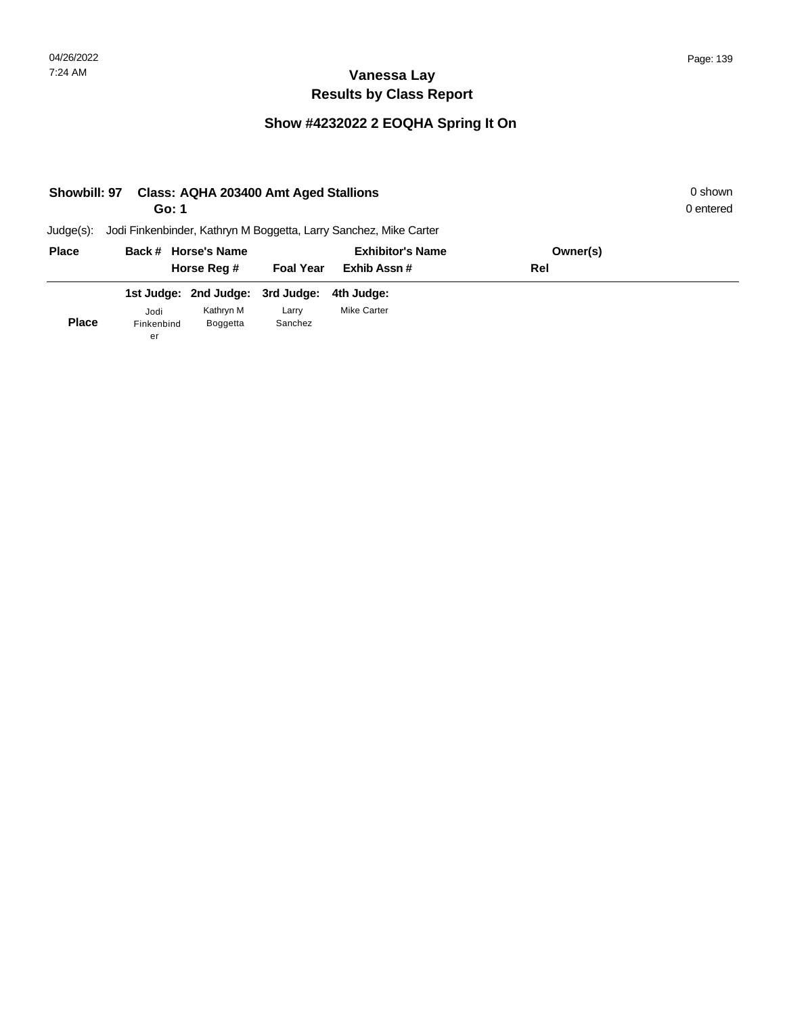| Showbill: 97 |                 |                                             |                                  |                                                                                                            | 0 shown<br>0 entered |
|--------------|-----------------|---------------------------------------------|----------------------------------|------------------------------------------------------------------------------------------------------------|----------------------|
|              |                 |                                             |                                  |                                                                                                            |                      |
|              |                 |                                             | <b>Exhibitor's Name</b>          | Owner(s)                                                                                                   |                      |
|              |                 | <b>Foal Year</b>                            | Exhib Assn#                      | Rel                                                                                                        |                      |
|              |                 |                                             | 4th Judge:                       |                                                                                                            |                      |
| ibol.        | Kathryn M       | Larry                                       | <b>Mike Carter</b>               |                                                                                                            |                      |
| Finkenbind   | <b>Boggetta</b> | Sanchez                                     |                                  |                                                                                                            |                      |
|              | er              | Go: 1<br>Back # Horse's Name<br>Horse Reg # | 1st Judge: 2nd Judge: 3rd Judge: | Class: AQHA 203400 Amt Aged Stallions<br>Jodi Finkenbinder, Kathryn M Boggetta, Larry Sanchez, Mike Carter |                      |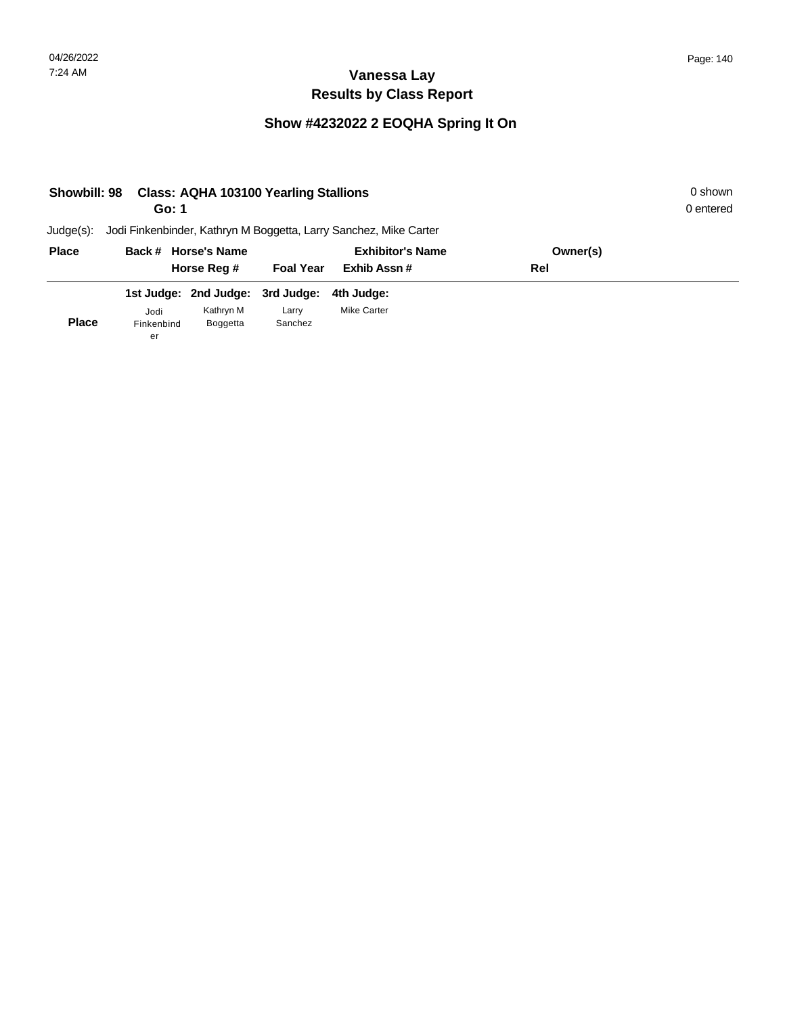| <b>Showbill: 98</b> |                 |                                             |                                  |                                                                                                            | 0 shown<br>0 entered |
|---------------------|-----------------|---------------------------------------------|----------------------------------|------------------------------------------------------------------------------------------------------------|----------------------|
|                     |                 |                                             |                                  |                                                                                                            |                      |
|                     |                 |                                             | <b>Exhibitor's Name</b>          | Owner(s)                                                                                                   |                      |
|                     |                 | <b>Foal Year</b>                            | Exhib Assn#                      | Rel                                                                                                        |                      |
|                     |                 |                                             | 4th Judge:                       |                                                                                                            |                      |
| ibol                | Kathryn M       | Larry                                       | <b>Mike Carter</b>               |                                                                                                            |                      |
| Finkenbind          | <b>Boggetta</b> | Sanchez                                     |                                  |                                                                                                            |                      |
|                     | er              | Go: 1<br>Back # Horse's Name<br>Horse Reg # | 1st Judge: 2nd Judge: 3rd Judge: | Class: AQHA 103100 Yearling Stallions<br>Jodi Finkenbinder, Kathryn M Boggetta, Larry Sanchez, Mike Carter |                      |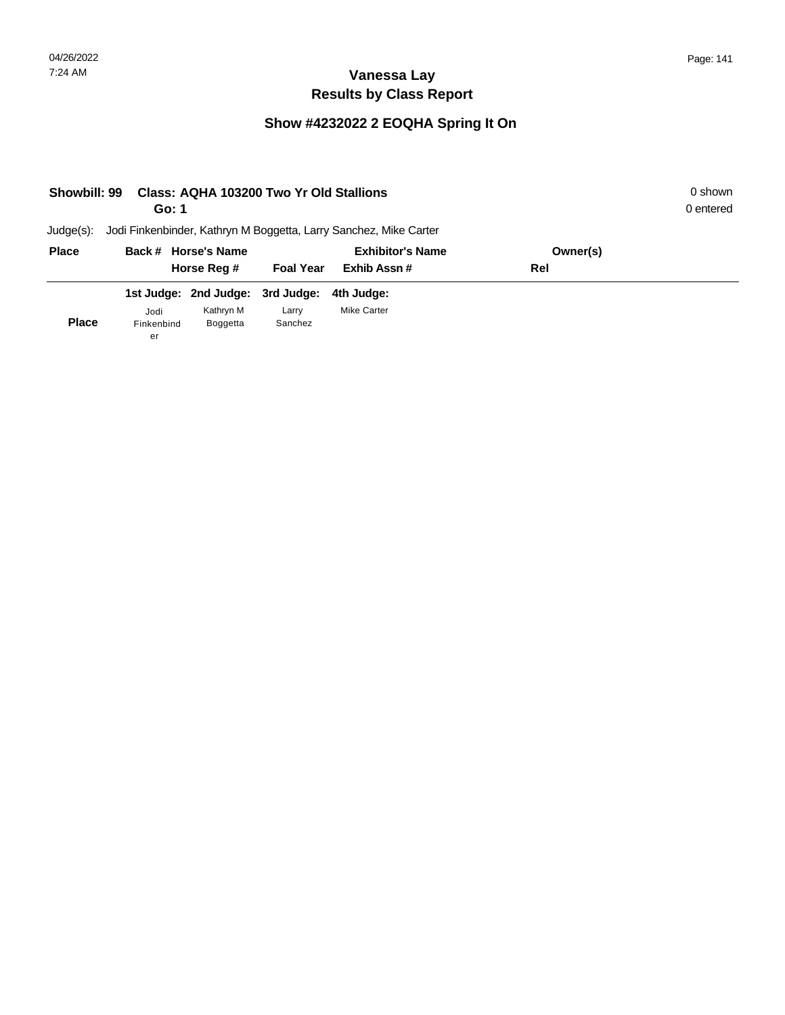| Showbill: 99 | Go: 1            | Class: AQHA 103200 Two Yr Old Stallions |                  |                                                                   |          | 0 shown<br>0 entered |
|--------------|------------------|-----------------------------------------|------------------|-------------------------------------------------------------------|----------|----------------------|
| $Judge(s)$ : |                  |                                         |                  | Jodi Finkenbinder, Kathryn M Boggetta, Larry Sanchez, Mike Carter |          |                      |
| <b>Place</b> |                  | Back # Horse's Name                     |                  | <b>Exhibitor's Name</b>                                           | Owner(s) |                      |
|              |                  | Horse Reg #                             | <b>Foal Year</b> | Exhib Assn#                                                       | Rel      |                      |
|              |                  | 1st Judge: 2nd Judge: 3rd Judge:        |                  | 4th Judge:                                                        |          |                      |
|              | Jodi             | Kathryn M                               | Larry            | <b>Mike Carter</b>                                                |          |                      |
| <b>Place</b> | Finkenbind<br>er | <b>Boggetta</b>                         | Sanchez          |                                                                   |          |                      |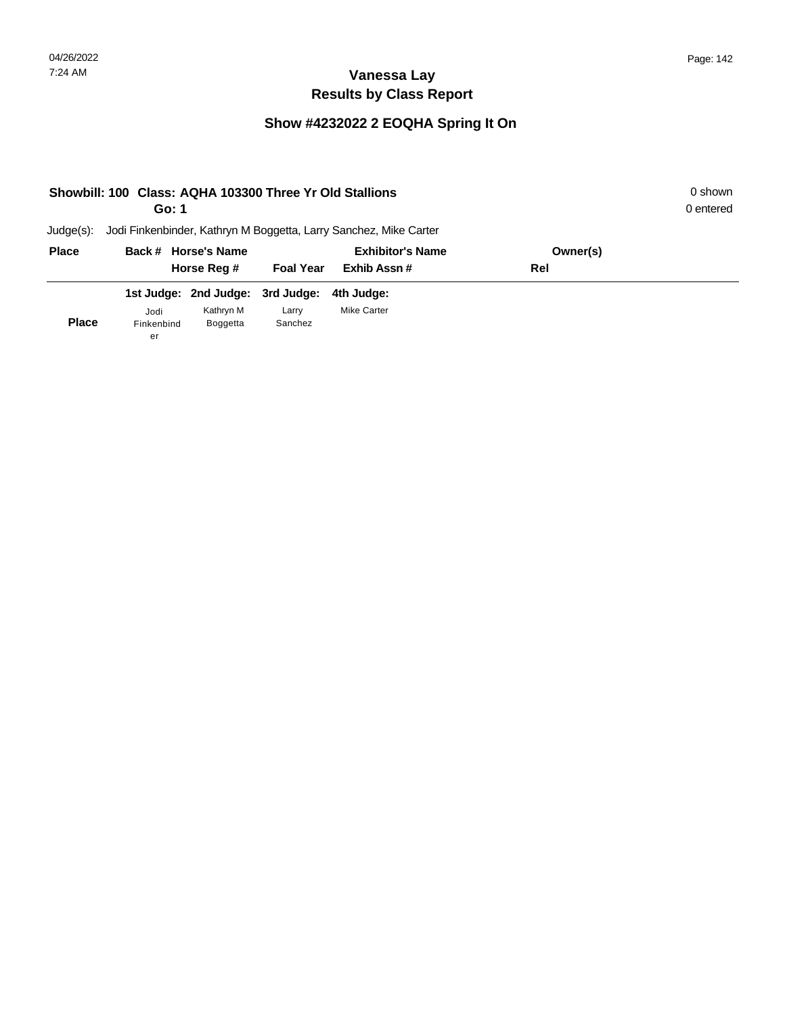|              | Showbill: 100 Class: AQHA 103300 Three Yr Old Stallions<br>Go: 1 |                                  |                  |                                                                   |          | 0 shown<br>0 entered |
|--------------|------------------------------------------------------------------|----------------------------------|------------------|-------------------------------------------------------------------|----------|----------------------|
| $Judge(s)$ : |                                                                  |                                  |                  | Jodi Finkenbinder, Kathryn M Boggetta, Larry Sanchez, Mike Carter |          |                      |
| <b>Place</b> |                                                                  | Back # Horse's Name              |                  | <b>Exhibitor's Name</b>                                           | Owner(s) |                      |
|              |                                                                  | Horse Reg #                      | <b>Foal Year</b> | Exhib Assn#                                                       | Rel      |                      |
|              |                                                                  | 1st Judge: 2nd Judge: 3rd Judge: |                  | 4th Judge:                                                        |          |                      |
|              | ibol.                                                            | Kathryn M                        | Larry            | <b>Mike Carter</b>                                                |          |                      |
| <b>Place</b> | Finkenbind                                                       | Boggetta                         | Sanchez          |                                                                   |          |                      |
|              | er                                                               |                                  |                  |                                                                   |          |                      |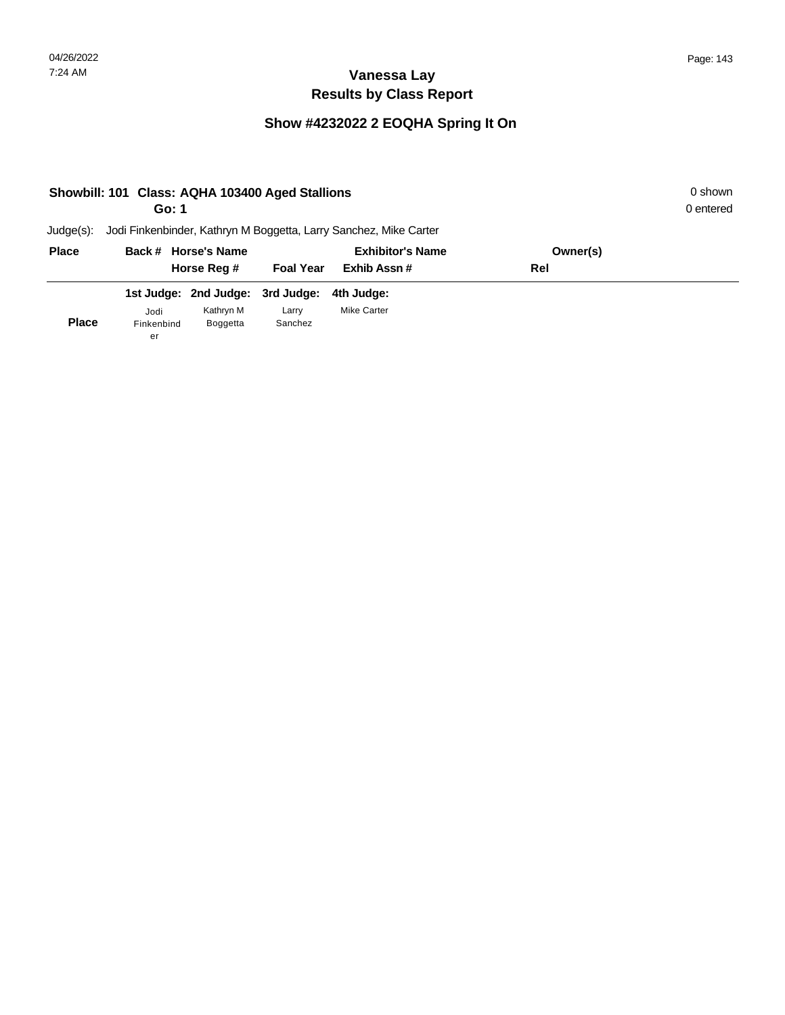| Showbill: 101 Class: AQHA 103400 Aged Stallions |            |                                  |                  |                                                                   |          |           |  |
|-------------------------------------------------|------------|----------------------------------|------------------|-------------------------------------------------------------------|----------|-----------|--|
|                                                 | Go: 1      |                                  |                  |                                                                   |          | 0 entered |  |
| $Judge(s)$ :                                    |            |                                  |                  | Jodi Finkenbinder, Kathryn M Boggetta, Larry Sanchez, Mike Carter |          |           |  |
| <b>Place</b>                                    |            | Back # Horse's Name              |                  | <b>Exhibitor's Name</b>                                           | Owner(s) |           |  |
|                                                 |            | Horse Reg #                      | <b>Foal Year</b> | Exhib Assn#                                                       | Rel      |           |  |
|                                                 |            | 1st Judge: 2nd Judge: 3rd Judge: |                  | 4th Judge:                                                        |          |           |  |
|                                                 | Jodi       | Kathryn M                        | Larry            | <b>Mike Carter</b>                                                |          |           |  |
| <b>Place</b>                                    | Finkenbind | Boggetta                         | Sanchez          |                                                                   |          |           |  |
|                                                 | er         |                                  |                  |                                                                   |          |           |  |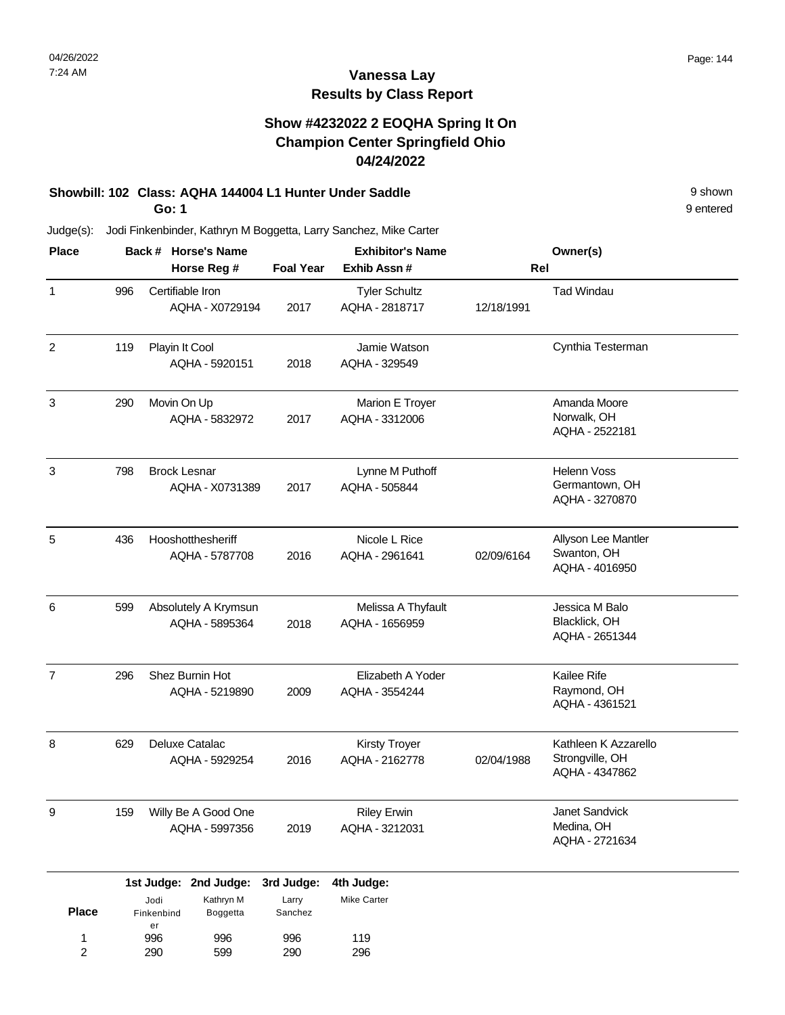#### **Show #4232022 2 EOQHA Spring It On Champion Center Springfield Ohio 04/24/2022**

### **Showbill: 102 Class: AQHA 144004 L1 Hunter Under Saddle** 9 Shown

**Go: 1**

Judge(s): Jodi Finkenbinder, Kathryn M Boggetta, Larry Sanchez, Mike Carter

| <b>Place</b>   |     | Back # Horse's Name                    |                  | <b>Exhibitor's Name</b>                |            | Owner(s)                                                  |
|----------------|-----|----------------------------------------|------------------|----------------------------------------|------------|-----------------------------------------------------------|
|                |     | Horse Reg #                            | <b>Foal Year</b> | Exhib Assn#                            | Rel        |                                                           |
| $\mathbf{1}$   | 996 | Certifiable Iron<br>AQHA - X0729194    | 2017             | <b>Tyler Schultz</b><br>AQHA - 2818717 | 12/18/1991 | <b>Tad Windau</b>                                         |
| $\overline{2}$ | 119 | Playin It Cool<br>AQHA - 5920151       | 2018             | Jamie Watson<br>AQHA - 329549          |            | Cynthia Testerman                                         |
| 3              | 290 | Movin On Up<br>AQHA - 5832972          | 2017             | Marion E Troyer<br>AQHA - 3312006      |            | Amanda Moore<br>Norwalk, OH<br>AQHA - 2522181             |
| 3              | 798 | <b>Brock Lesnar</b><br>AQHA - X0731389 | 2017             | Lynne M Puthoff<br>AQHA - 505844       |            | Helenn Voss<br>Germantown, OH<br>AQHA - 3270870           |
| 5              | 436 | Hooshotthesheriff<br>AQHA - 5787708    | 2016             | Nicole L Rice<br>AQHA - 2961641        | 02/09/6164 | Allyson Lee Mantler<br>Swanton, OH<br>AQHA - 4016950      |
| 6              | 599 | Absolutely A Krymsun<br>AQHA - 5895364 | 2018             | Melissa A Thyfault<br>AQHA - 1656959   |            | Jessica M Balo<br>Blacklick, OH<br>AQHA - 2651344         |
| $\overline{7}$ | 296 | Shez Burnin Hot<br>AQHA - 5219890      | 2009             | Elizabeth A Yoder<br>AQHA - 3554244    |            | Kailee Rife<br>Raymond, OH<br>AQHA - 4361521              |
| 8              | 629 | Deluxe Catalac<br>AQHA - 5929254       | 2016             | <b>Kirsty Troyer</b><br>AQHA - 2162778 | 02/04/1988 | Kathleen K Azzarello<br>Strongville, OH<br>AQHA - 4347862 |
| 9              | 159 | Willy Be A Good One<br>AQHA - 5997356  | 2019             | <b>Riley Erwin</b><br>AQHA - 3212031   |            | Janet Sandvick<br>Medina, OH<br>AQHA - 2721634            |
|                |     | 1st Judge: 2nd Judge: 3rd Judge:       |                  | 4th Judge:                             |            |                                                           |

|              |                    | 1st Judge: 2nd Judge: 3rd Judge: 4th Judge: |                  |                    |
|--------------|--------------------|---------------------------------------------|------------------|--------------------|
| <b>Place</b> | Jodi<br>Finkenbind | Kathryn M<br><b>Boggetta</b>                | Larry<br>Sanchez | <b>Mike Carter</b> |
| 1            | er<br>996          | 996                                         | 996              | 119                |
| 2            | 290                | 599                                         | 290              | 296                |

9 entered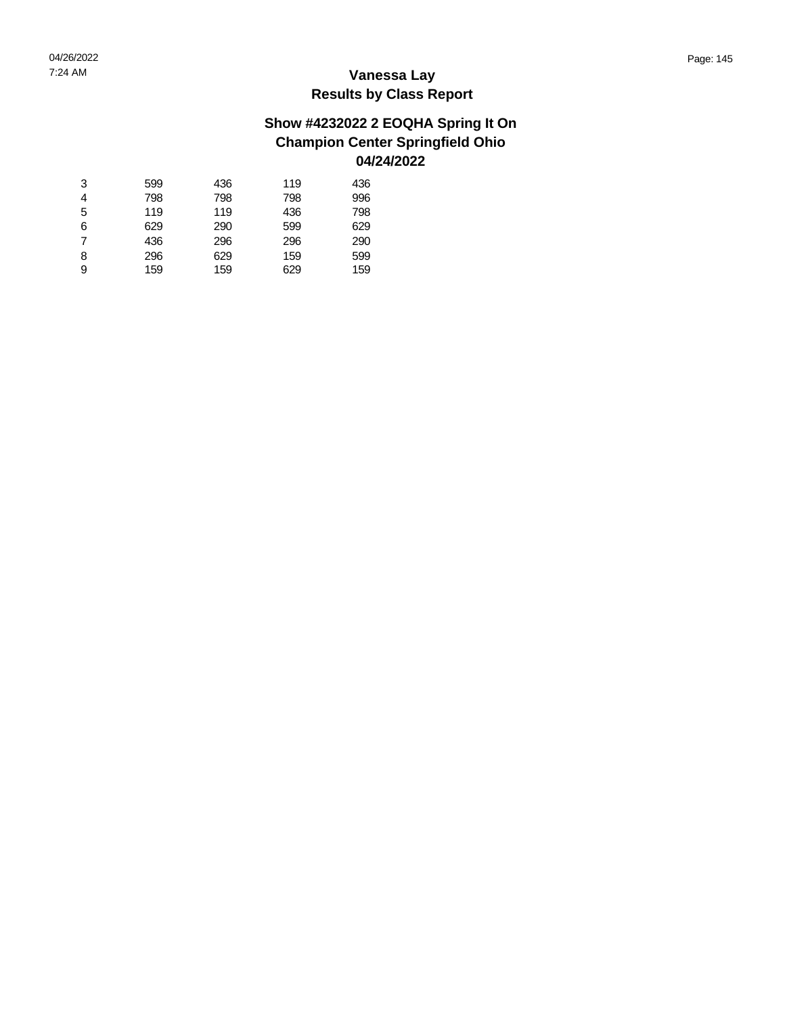#### **Show #4232022 2 EOQHA Spring It On Champion Center Springfield Ohio 04/24/2022**

| 3 | 599 | 436 | 119 | 436 |
|---|-----|-----|-----|-----|
| 4 | 798 | 798 | 798 | 996 |
| 5 | 119 | 119 | 436 | 798 |
| 6 | 629 | 290 | 599 | 629 |
| 7 | 436 | 296 | 296 | 290 |
| 8 | 296 | 629 | 159 | 599 |
| 9 | 159 | 159 | 629 | 159 |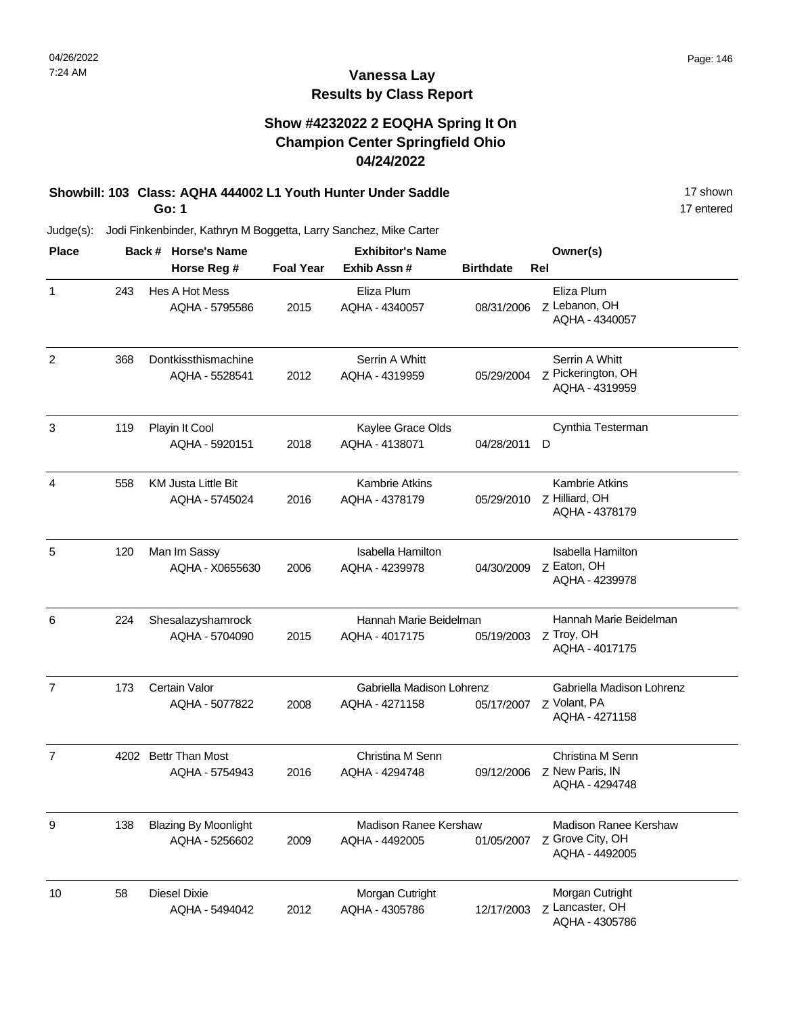### **Vanessa Lay Results by Class Report**

#### **Show #4232022 2 EOQHA Spring It On Champion Center Springfield Ohio 04/24/2022**

#### **Showbill: 103 Class: AQHA 444002 L1 Youth Hunter Under Saddle** 17 Shown **Go: 1**

| <b>Place</b>   |     | Back # Horse's Name                           |                  | <b>Exhibitor's Name</b>                     |                  | Owner(s)                                                           |
|----------------|-----|-----------------------------------------------|------------------|---------------------------------------------|------------------|--------------------------------------------------------------------|
|                |     | Horse Reg #                                   | <b>Foal Year</b> | Exhib Assn#                                 | <b>Birthdate</b> | Rel                                                                |
| $\mathbf{1}$   | 243 | Hes A Hot Mess<br>AQHA - 5795586              | 2015             | Eliza Plum<br>AQHA - 4340057                | 08/31/2006       | Eliza Plum<br>Z Lebanon, OH<br>AQHA - 4340057                      |
| $\overline{2}$ | 368 | Dontkissthismachine<br>AQHA - 5528541         | 2012             | Serrin A Whitt<br>AQHA - 4319959            | 05/29/2004       | Serrin A Whitt<br>Z Pickerington, OH<br>AQHA - 4319959             |
| 3              | 119 | Playin It Cool<br>AQHA - 5920151              | 2018             | Kaylee Grace Olds<br>AQHA - 4138071         | 04/28/2011       | Cynthia Testerman<br>D                                             |
| 4              | 558 | <b>KM Justa Little Bit</b><br>AQHA - 5745024  | 2016             | Kambrie Atkins<br>AQHA - 4378179            | 05/29/2010       | <b>Kambrie Atkins</b><br>Z Hilliard, OH<br>AQHA - 4378179          |
| 5              | 120 | Man Im Sassy<br>AQHA - X0655630               | 2006             | <b>Isabella Hamilton</b><br>AQHA - 4239978  | 04/30/2009       | <b>Isabella Hamilton</b><br>Z Eaton, OH<br>AQHA - 4239978          |
| 6              | 224 | Shesalazyshamrock<br>AQHA - 5704090           | 2015             | Hannah Marie Beidelman<br>AQHA - 4017175    | 05/19/2003       | Hannah Marie Beidelman<br>z Troy, OH<br>AQHA - 4017175             |
| $\overline{7}$ | 173 | Certain Valor<br>AQHA - 5077822               | 2008             | Gabriella Madison Lohrenz<br>AQHA - 4271158 | 05/17/2007       | Gabriella Madison Lohrenz<br>Z Volant, PA<br>AQHA - 4271158        |
| $\overline{7}$ |     | 4202 Bettr Than Most<br>AQHA - 5754943        | 2016             | Christina M Senn<br>AQHA - 4294748          | 09/12/2006       | Christina M Senn<br>Z New Paris, IN<br>AQHA - 4294748              |
| 9              | 138 | <b>Blazing By Moonlight</b><br>AQHA - 5256602 | 2009             | Madison Ranee Kershaw<br>AQHA - 4492005     | 01/05/2007       | <b>Madison Ranee Kershaw</b><br>Z Grove City, OH<br>AQHA - 4492005 |
| 10             | 58  | <b>Diesel Dixie</b><br>AQHA - 5494042         | 2012             | Morgan Cutright<br>AQHA - 4305786           | 12/17/2003       | Morgan Cutright<br>z Lancaster, OH<br>AQHA - 4305786               |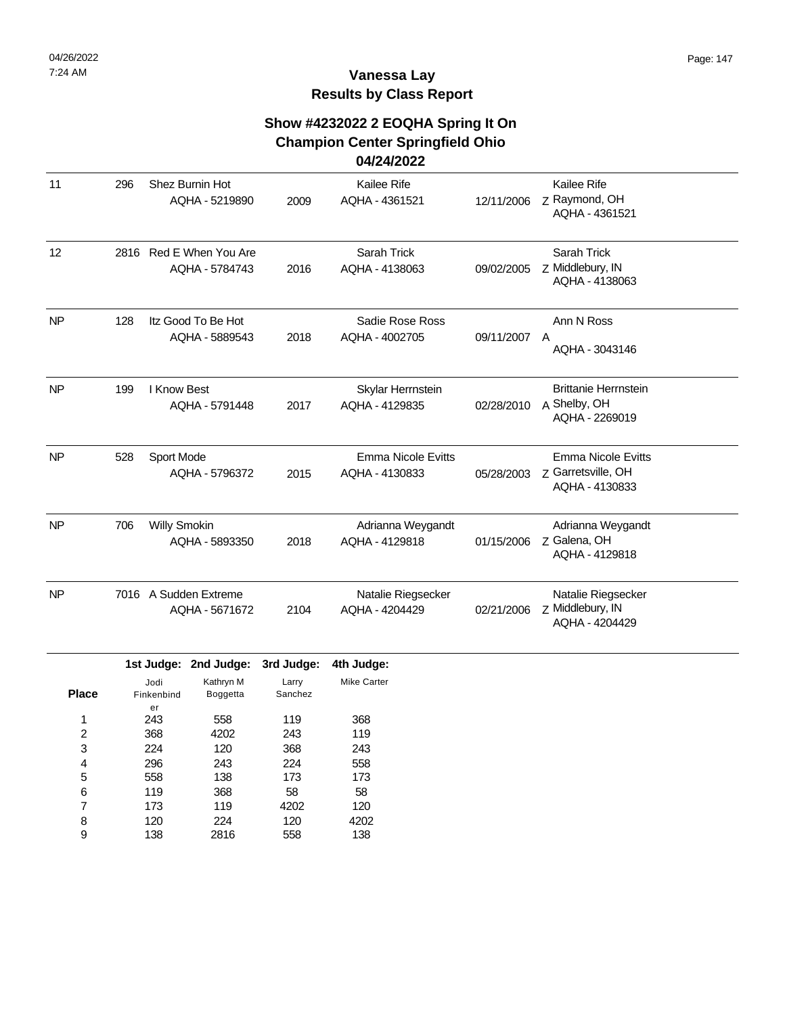### **Show #4232022 2 EOQHA Spring It On Champion Center Springfield Ohio**

#### **04/24/2022**

| 11        | 296  | Shez Burnin Hot                           |      | Kailee Rife                          |            | Kailee Rife                                                   |
|-----------|------|-------------------------------------------|------|--------------------------------------|------------|---------------------------------------------------------------|
|           |      | AQHA - 5219890                            | 2009 | AQHA - 4361521                       | 12/11/2006 | z Raymond, OH<br>AQHA - 4361521                               |
| 12        |      | 2816 Red E When You Are<br>AQHA - 5784743 | 2016 | <b>Sarah Trick</b><br>AQHA - 4138063 | 09/02/2005 | Sarah Trick<br>Z Middlebury, IN<br>AQHA - 4138063             |
| <b>NP</b> | 128  | Itz Good To Be Hot<br>AQHA - 5889543      | 2018 | Sadie Rose Ross<br>AQHA - 4002705    | 09/11/2007 | Ann N Ross<br>A<br>AQHA - 3043146                             |
| <b>NP</b> | 199  | I Know Best<br>AQHA - 5791448             | 2017 | Skylar Herrnstein<br>AQHA - 4129835  | 02/28/2010 | <b>Brittanie Herrnstein</b><br>A Shelby, OH<br>AQHA - 2269019 |
| <b>NP</b> | 528  | Sport Mode<br>AQHA - 5796372              | 2015 | Emma Nicole Evitts<br>AQHA - 4130833 | 05/28/2003 | Emma Nicole Evitts<br>z Garretsville, OH<br>AQHA - 4130833    |
| <b>NP</b> | 706  | Willy Smokin<br>AQHA - 5893350            | 2018 | Adrianna Weygandt<br>AQHA - 4129818  | 01/15/2006 | Adrianna Weygandt<br>Z Galena, OH<br>AQHA - 4129818           |
| <b>NP</b> | 7016 | A Sudden Extreme<br>AQHA - 5671672        | 2104 | Natalie Riegsecker<br>AQHA - 4204429 | 02/21/2006 | Natalie Riegsecker<br>Z Middlebury, IN<br>AQHA - 4204429      |

|              |            | 1st Judge: 2nd Judge: | 3rd Judge: | 4th Judge:  |
|--------------|------------|-----------------------|------------|-------------|
|              | Jodi       | Kathryn M             | Larry      | Mike Carter |
| <b>Place</b> | Finkenbind | <b>Boggetta</b>       | Sanchez    |             |
|              | er         |                       |            |             |
| 1            | 243        | 558                   | 119        | 368         |
| 2            | 368        | 4202                  | 243        | 119         |
| 3            | 224        | 120                   | 368        | 243         |
| 4            | 296        | 243                   | 224        | 558         |
| 5            | 558        | 138                   | 173        | 173         |
| 6            | 119        | 368                   | 58         | 58          |
| 7            | 173        | 119                   | 4202       | 120         |
| 8            | 120        | 224                   | 120        | 4202        |
| 9            | 138        | 2816                  | 558        | 138         |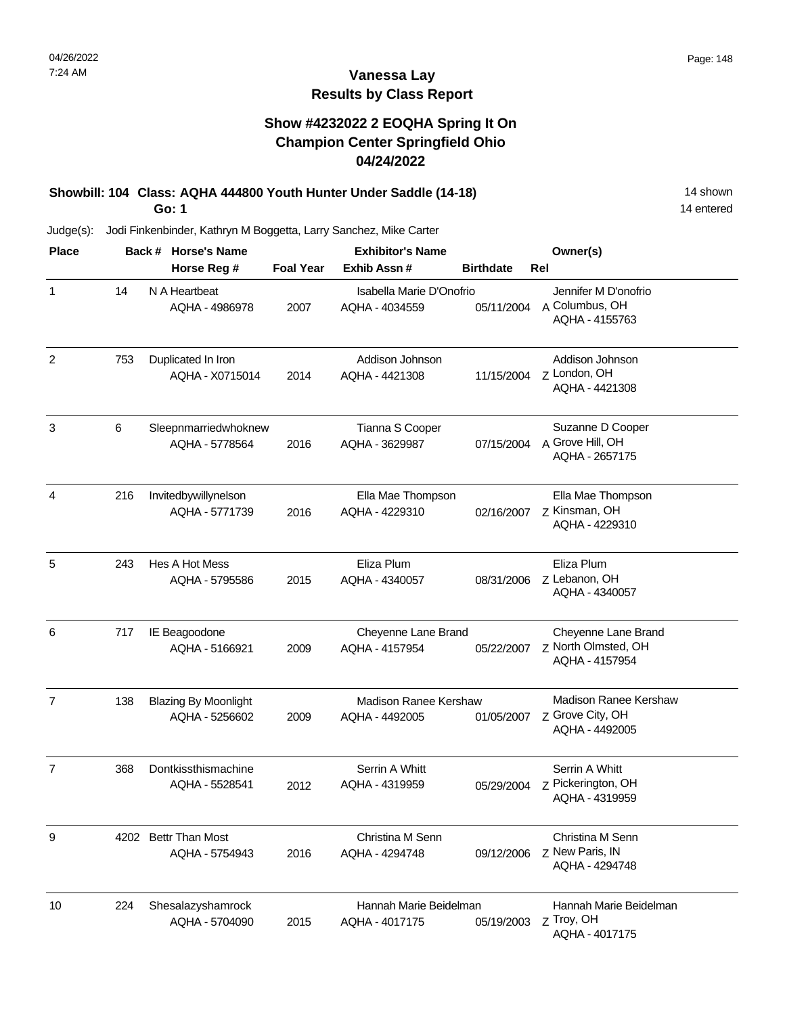### **Vanessa Lay Results by Class Report**

#### **Show #4232022 2 EOQHA Spring It On Champion Center Springfield Ohio 04/24/2022**

# **Showbill: 104 Class: AQHA 444800 Youth Hunter Under Saddle (14-18)** 14 Shown

**Go: 1**

| <b>Place</b>   |     | Back # Horse's Name                    |                  | <b>Exhibitor's Name</b>                  |                  | Owner(s)                                                     |
|----------------|-----|----------------------------------------|------------------|------------------------------------------|------------------|--------------------------------------------------------------|
|                |     | Horse Reg #                            | <b>Foal Year</b> | Exhib Assn#                              | <b>Birthdate</b> | Rel                                                          |
| $\mathbf{1}$   | 14  | N A Heartbeat                          |                  | Isabella Marie D'Onofrio                 |                  | Jennifer M D'onofrio                                         |
|                |     | AQHA - 4986978                         | 2007             | AQHA - 4034559                           | 05/11/2004       | A Columbus, OH<br>AQHA - 4155763                             |
| $\overline{c}$ | 753 | Duplicated In Iron<br>AQHA - X0715014  | 2014             | Addison Johnson<br>AQHA - 4421308        | 11/15/2004       | Addison Johnson<br>Z London, OH<br>AQHA - 4421308            |
| 3              | 6   | Sleepnmarriedwhoknew<br>AQHA - 5778564 | 2016             | Tianna S Cooper<br>AQHA - 3629987        | 07/15/2004       | Suzanne D Cooper<br>A Grove Hill, OH<br>AQHA - 2657175       |
| 4              | 216 | Invitedbywillynelson<br>AQHA - 5771739 | 2016             | Ella Mae Thompson<br>AQHA - 4229310      | 02/16/2007       | Ella Mae Thompson<br>z Kinsman, OH<br>AQHA - 4229310         |
| 5              | 243 | Hes A Hot Mess<br>AQHA - 5795586       | 2015             | Eliza Plum<br>AQHA - 4340057             | 08/31/2006       | Eliza Plum<br>Z Lebanon, OH<br>AQHA - 4340057                |
| 6              | 717 | IE Beagoodone<br>AQHA - 5166921        | 2009             | Cheyenne Lane Brand<br>AQHA - 4157954    | 05/22/2007       | Cheyenne Lane Brand<br>Z North Olmsted, OH<br>AQHA - 4157954 |
| $\overline{7}$ | 138 | <b>Blazing By Moonlight</b>            |                  | Madison Ranee Kershaw                    |                  | Madison Ranee Kershaw                                        |
|                |     | AQHA - 5256602                         | 2009             | AQHA - 4492005                           | 01/05/2007       | Z Grove City, OH<br>AQHA - 4492005                           |
| $\overline{7}$ | 368 | Dontkissthismachine<br>AQHA - 5528541  | 2012             | Serrin A Whitt<br>AQHA - 4319959         | 05/29/2004       | Serrin A Whitt<br>Z Pickerington, OH<br>AQHA - 4319959       |
| 9              |     | 4202 Bettr Than Most<br>AQHA - 5754943 | 2016             | Christina M Senn<br>AQHA - 4294748       | 09/12/2006       | Christina M Senn<br>Z New Paris, IN<br>AQHA - 4294748        |
| 10             | 224 | Shesalazyshamrock<br>AQHA - 5704090    | 2015             | Hannah Marie Beidelman<br>AQHA - 4017175 | 05/19/2003       | Hannah Marie Beidelman<br>Z Troy, OH<br>AQHA - 4017175       |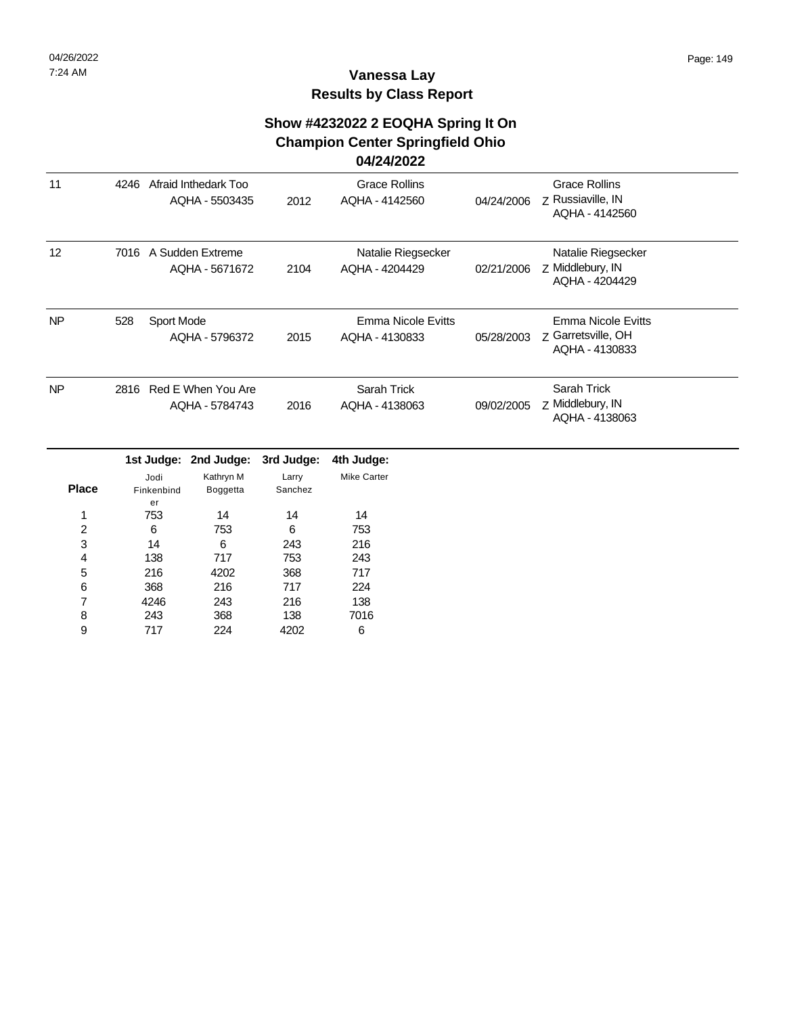#### **Show #4232022 2 EOQHA Spring It On Champion Center Springfield Ohio**

#### **04/24/2022**

| 11           | 4246 |                          | Afraid Inthedark Too<br>AQHA - 5503435  | 2012             | <b>Grace Rollins</b><br>AQHA - 4142560      | 04/24/2006 | <b>Grace Rollins</b><br>z Russiaville, IN<br>AQHA - 4142560       |
|--------------|------|--------------------------|-----------------------------------------|------------------|---------------------------------------------|------------|-------------------------------------------------------------------|
| 12           |      |                          | 7016 A Sudden Extreme<br>AQHA - 5671672 | 2104             | Natalie Riegsecker<br>AQHA - 4204429        | 02/21/2006 | Natalie Riegsecker<br>Z Middlebury, IN<br>AQHA - 4204429          |
| <b>NP</b>    | 528  | Sport Mode               | AQHA - 5796372                          | 2015             | <b>Emma Nicole Evitts</b><br>AQHA - 4130833 | 05/28/2003 | <b>Emma Nicole Evitts</b><br>Z Garretsville, OH<br>AQHA - 4130833 |
| <b>NP</b>    | 2816 |                          | Red E When You Are<br>AQHA - 5784743    | 2016             | Sarah Trick<br>AQHA - 4138063               | 09/02/2005 | Sarah Trick<br>Z Middlebury, IN<br>AQHA - 4138063                 |
|              |      |                          | 1st Judge: 2nd Judge:                   | 3rd Judge:       | 4th Judge:                                  |            |                                                                   |
| <b>Place</b> |      | Jodi<br>Finkenbind<br>er | Kathryn M<br>Boggetta                   | Larry<br>Sanchez | <b>Mike Carter</b>                          |            |                                                                   |
| 1            |      | 753                      | 14                                      | 14               | 14                                          |            |                                                                   |
| 2            |      | 6                        | 753                                     | 6                | 753                                         |            |                                                                   |
| 3            |      | 14                       | 6                                       | 243              | 216                                         |            |                                                                   |
| 4            |      | 138                      | 717                                     | 753              | 243                                         |            |                                                                   |
| 5            |      | 216                      | 4202                                    | 368              | 717                                         |            |                                                                   |
| 6            |      | 368                      | 216                                     | 717              | 224                                         |            |                                                                   |
| 7            |      | 4246                     | 243                                     | 216              | 138                                         |            |                                                                   |
| 8            |      | 243                      | 368                                     | 138              | 7016                                        |            |                                                                   |
| 9            |      | 717                      | 224                                     | 4202             | 6                                           |            |                                                                   |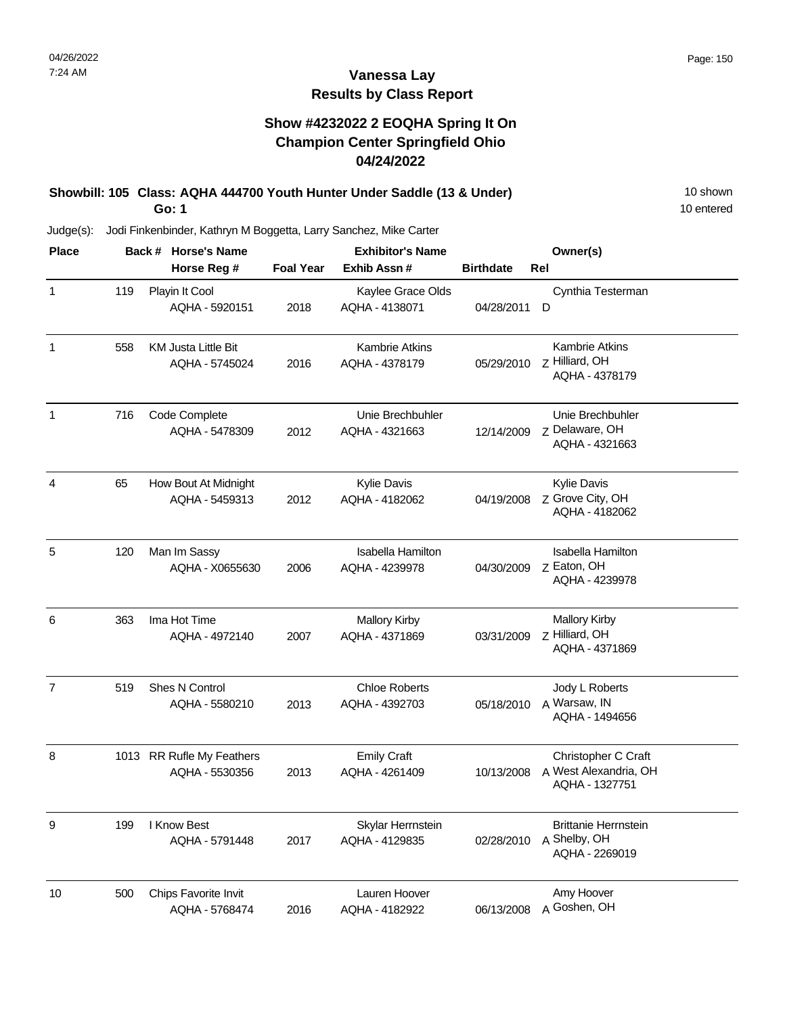### **Vanessa Lay Results by Class Report**

#### **Show #4232022 2 EOQHA Spring It On Champion Center Springfield Ohio 04/24/2022**

#### **Showbill: 105 Class: AQHA 444700 Youth Hunter Under Saddle (13 & Under)** 10 Shown **Go: 1**

| <b>Place</b>   |     | Back # Horse's Name                          |                  | <b>Exhibitor's Name</b>                    |                  | Owner(s)                                                       |
|----------------|-----|----------------------------------------------|------------------|--------------------------------------------|------------------|----------------------------------------------------------------|
|                |     | Horse Reg #                                  | <b>Foal Year</b> | Exhib Assn #                               | <b>Birthdate</b> | Rel                                                            |
| 1              | 119 | Playin It Cool<br>AQHA - 5920151             | 2018             | Kaylee Grace Olds<br>AQHA - 4138071        | 04/28/2011       | Cynthia Testerman<br>D                                         |
| $\mathbf{1}$   | 558 | <b>KM Justa Little Bit</b><br>AQHA - 5745024 | 2016             | Kambrie Atkins<br>AQHA - 4378179           | 05/29/2010       | Kambrie Atkins<br>7 Hilliard, OH<br>AQHA - 4378179             |
| $\mathbf{1}$   | 716 | Code Complete<br>AQHA - 5478309              | 2012             | Unie Brechbuhler<br>AQHA - 4321663         | 12/14/2009       | Unie Brechbuhler<br>z Delaware, OH<br>AQHA - 4321663           |
| 4              | 65  | How Bout At Midnight<br>AQHA - 5459313       | 2012             | <b>Kylie Davis</b><br>AQHA - 4182062       | 04/19/2008       | <b>Kylie Davis</b><br>Z Grove City, OH<br>AQHA - 4182062       |
| 5              | 120 | Man Im Sassy<br>AQHA - X0655630              | 2006             | <b>Isabella Hamilton</b><br>AQHA - 4239978 | 04/30/2009       | Isabella Hamilton<br>Z Eaton, OH<br>AQHA - 4239978             |
| 6              | 363 | Ima Hot Time<br>AQHA - 4972140               | 2007             | <b>Mallory Kirby</b><br>AQHA - 4371869     | 03/31/2009       | <b>Mallory Kirby</b><br>z Hilliard, OH<br>AQHA - 4371869       |
| $\overline{7}$ | 519 | Shes N Control<br>AQHA - 5580210             | 2013             | <b>Chloe Roberts</b><br>AQHA - 4392703     | 05/18/2010       | Jody L Roberts<br>A Warsaw, IN<br>AQHA - 1494656               |
| 8              |     | 1013 RR Rufle My Feathers<br>AQHA - 5530356  | 2013             | <b>Emily Craft</b><br>AQHA - 4261409       | 10/13/2008       | Christopher C Craft<br>A West Alexandria, OH<br>AQHA - 1327751 |
| 9              | 199 | I Know Best<br>AQHA - 5791448                | 2017             | Skylar Herrnstein<br>AQHA - 4129835        | 02/28/2010       | <b>Brittanie Herrnstein</b><br>A Shelby, OH<br>AQHA - 2269019  |
| 10             | 500 | Chips Favorite Invit<br>AQHA - 5768474       | 2016             | Lauren Hoover<br>AQHA - 4182922            | 06/13/2008       | Amy Hoover<br>A Goshen, OH                                     |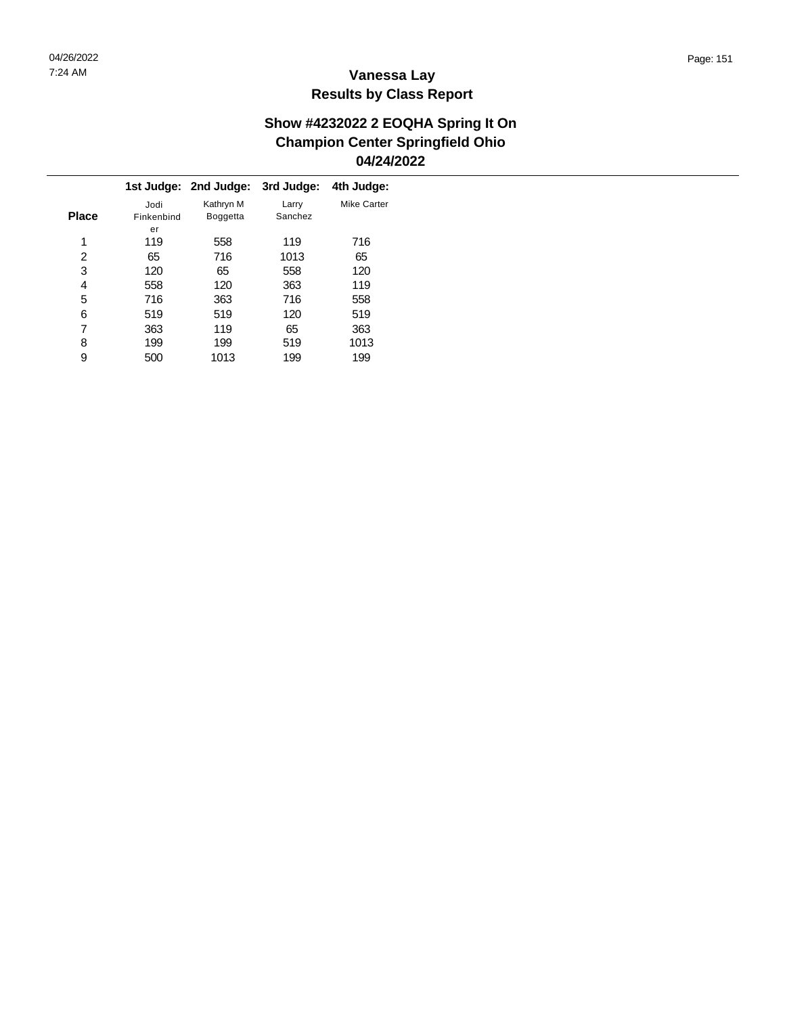$\overline{\phantom{a}}$ 

# **Vanessa Lay Results by Class Report**

#### **Show #4232022 2 EOQHA Spring It On Champion Center Springfield Ohio 04/24/2022**

|              |            | 1st Judge: 2nd Judge: | 3rd Judge: | 4th Judge:  |
|--------------|------------|-----------------------|------------|-------------|
|              | Jodi       | Kathryn M             | Larry      | Mike Carter |
| <b>Place</b> | Finkenbind | <b>Boggetta</b>       | Sanchez    |             |
|              | er         |                       |            |             |
| 1            | 119        | 558                   | 119        | 716         |
| 2            | 65         | 716                   | 1013       | 65          |
| 3            | 120        | 65                    | 558        | 120         |
| 4            | 558        | 120                   | 363        | 119         |
| 5            | 716        | 363                   | 716        | 558         |
| 6            | 519        | 519                   | 120        | 519         |
| 7            | 363        | 119                   | 65         | 363         |
| 8            | 199        | 199                   | 519        | 1013        |
| 9            | 500        | 1013                  | 199        | 199         |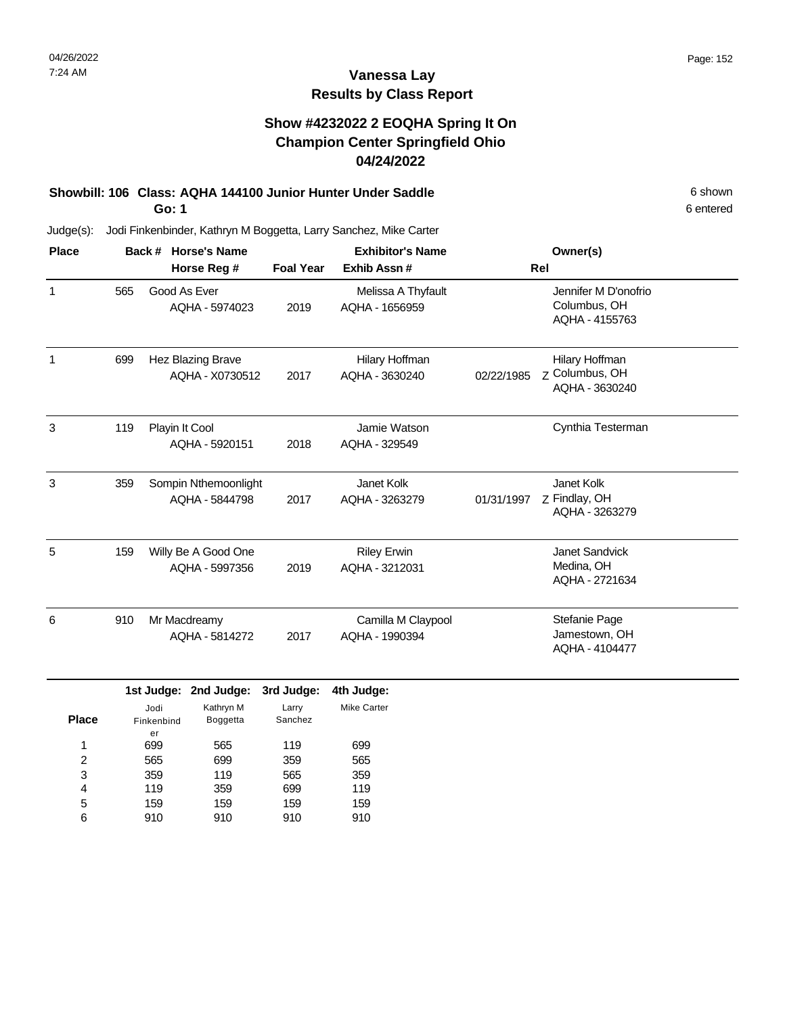#### **Show #4232022 2 EOQHA Spring It On Champion Center Springfield Ohio 04/24/2022**

# **Showbill: 106 Class: AQHA 144100 Junior Hunter Under Saddle** 6 shown

**Go: 1**

Judge(s): Jodi Finkenbinder, Kathryn M Boggetta, Larry Sanchez, Mike Carter

| <b>Place</b> |     | Back # Horse's Name                    |                  | <b>Exhibitor's Name</b>              |            | Owner(s)                                               |
|--------------|-----|----------------------------------------|------------------|--------------------------------------|------------|--------------------------------------------------------|
|              |     | Horse Reg #                            | <b>Foal Year</b> | Exhib Assn#                          | Rel        |                                                        |
| 1            | 565 | Good As Ever<br>AQHA - 5974023         | 2019             | Melissa A Thyfault<br>AQHA - 1656959 |            | Jennifer M D'onofrio<br>Columbus, OH<br>AQHA - 4155763 |
| 1            | 699 | Hez Blazing Brave<br>AQHA - X0730512   | 2017             | Hilary Hoffman<br>AQHA - 3630240     | 02/22/1985 | Hilary Hoffman<br>Z Columbus, OH<br>AQHA - 3630240     |
| 3            | 119 | Playin It Cool<br>AQHA - 5920151       | 2018             | Jamie Watson<br>AQHA - 329549        |            | Cynthia Testerman                                      |
| 3            | 359 | Sompin Nthemoonlight<br>AQHA - 5844798 | 2017             | Janet Kolk<br>AQHA - 3263279         | 01/31/1997 | Janet Kolk<br>Z Findlay, OH<br>AQHA - 3263279          |
| 5            | 159 | Willy Be A Good One<br>AQHA - 5997356  | 2019             | <b>Riley Erwin</b><br>AQHA - 3212031 |            | Janet Sandvick<br>Medina, OH<br>AQHA - 2721634         |
| 6            | 910 | Mr Macdreamy<br>AQHA - 5814272         | 2017             | Camilla M Claypool<br>AQHA - 1990394 |            | Stefanie Page<br>Jamestown, OH<br>AQHA - 4104477       |

|              |            | 1st Judge: 2nd Judge: 3rd Judge: |         | 4th Judge:         |
|--------------|------------|----------------------------------|---------|--------------------|
|              | Jodi       | Kathryn M                        | Larry   | <b>Mike Carter</b> |
| <b>Place</b> | Finkenbind | Boggetta                         | Sanchez |                    |
|              | er         |                                  |         |                    |
|              | 699        | 565                              | 119     | 699                |
| 2            | 565        | 699                              | 359     | 565                |
| 3            | 359        | 119                              | 565     | 359                |
| 4            | 119        | 359                              | 699     | 119                |
| 5            | 159        | 159                              | 159     | 159                |
| 6            | 910        | 910                              | 910     | 910                |

6 entered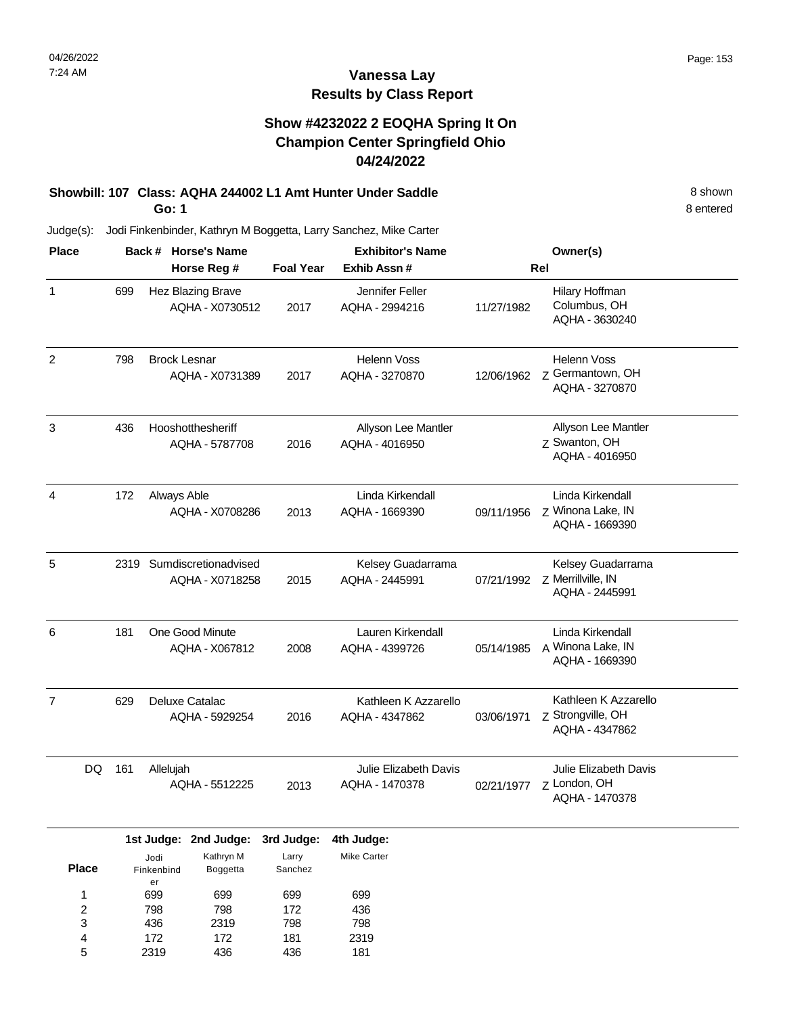### **Vanessa Lay Results by Class Report**

#### **Show #4232022 2 EOQHA Spring It On Champion Center Springfield Ohio 04/24/2022**

# **Showbill: 107 Class: AQHA 244002 L1 Amt Hunter Under Saddle** 8 shown

**Go: 1**

| <b>Place</b>   |      |                     | Back # Horse's Name                            |                                | <b>Exhibitor's Name</b>                 |            | Owner(s)                                                    |
|----------------|------|---------------------|------------------------------------------------|--------------------------------|-----------------------------------------|------------|-------------------------------------------------------------|
|                |      |                     | Horse Reg #                                    | <b>Foal Year</b>               | Exhib Assn#                             |            | Rel                                                         |
| 1              | 699  |                     | Hez Blazing Brave<br>AQHA - X0730512           | 2017                           | Jennifer Feller<br>AQHA - 2994216       | 11/27/1982 | Hilary Hoffman<br>Columbus, OH<br>AQHA - 3630240            |
| $\overline{c}$ | 798  | <b>Brock Lesnar</b> | AQHA - X0731389                                | 2017                           | <b>Helenn Voss</b><br>AQHA - 3270870    | 12/06/1962 | <b>Helenn Voss</b><br>Z Germantown, OH<br>AQHA - 3270870    |
| 3              | 436  |                     | Hooshotthesheriff<br>AQHA - 5787708            | 2016                           | Allyson Lee Mantler<br>AQHA - 4016950   |            | Allyson Lee Mantler<br>Z Swanton, OH<br>AQHA - 4016950      |
| 4              | 172  | Always Able         | AQHA - X0708286                                | 2013                           | Linda Kirkendall<br>AQHA - 1669390      | 09/11/1956 | Linda Kirkendall<br>7 Winona Lake, IN<br>AQHA - 1669390     |
| 5              | 2319 |                     | Sumdiscretionadvised<br>AQHA - X0718258        | 2015                           | Kelsey Guadarrama<br>AQHA - 2445991     | 07/21/1992 | Kelsey Guadarrama<br>Z Merrillville, IN<br>AQHA - 2445991   |
| 6              | 181  |                     | One Good Minute<br>AQHA - X067812              | 2008                           | Lauren Kirkendall<br>AQHA - 4399726     | 05/14/1985 | Linda Kirkendall<br>A Winona Lake, IN<br>AQHA - 1669390     |
| $\overline{7}$ | 629  |                     | Deluxe Catalac<br>AQHA - 5929254               | 2016                           | Kathleen K Azzarello<br>AQHA - 4347862  | 03/06/1971 | Kathleen K Azzarello<br>Z Strongville, OH<br>AQHA - 4347862 |
| DQ             | 161  | Allelujah           | AQHA - 5512225                                 | 2013                           | Julie Elizabeth Davis<br>AQHA - 1470378 | 02/21/1977 | Julie Elizabeth Davis<br>Z London, OH<br>AQHA - 1470378     |
| <b>Place</b>   |      | Jodi<br>Finkenbind  | 1st Judge: 2nd Judge:<br>Kathryn M<br>Boggetta | 3rd Judge:<br>Larry<br>Sanchez | 4th Judge:<br><b>Mike Carter</b>        |            |                                                             |
| 1              |      | er<br>699           | 699                                            | 699                            | 699                                     |            |                                                             |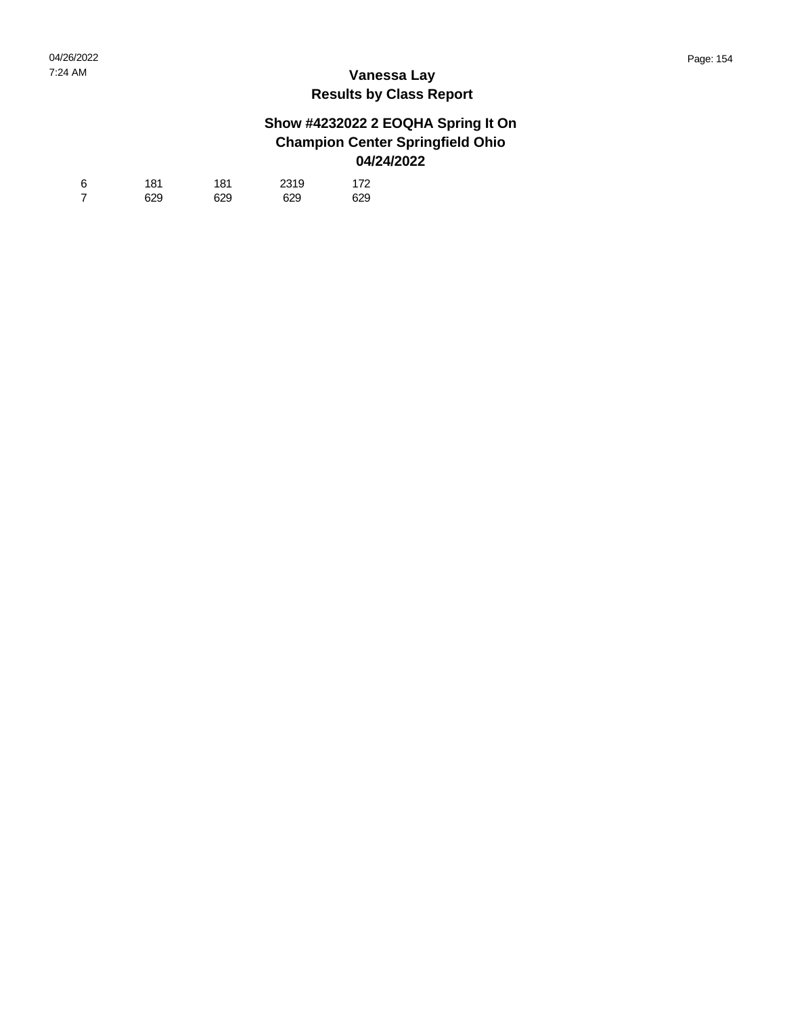#### **Show #4232022 2 EOQHA Spring It On Champion Center Springfield Ohio 04/24/2022**

| -6 | 181 | 181 | 2319 | 172 |
|----|-----|-----|------|-----|
|    | 629 | 629 | 629  | 629 |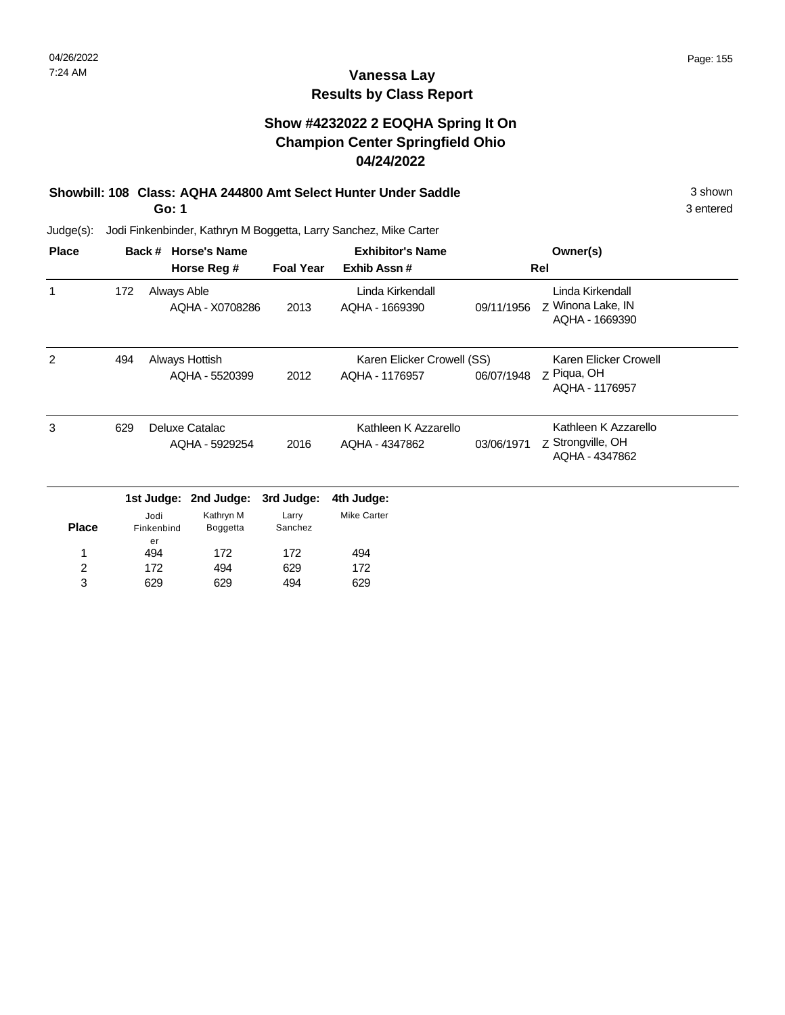### **Vanessa Lay Results by Class Report**

#### **Show #4232022 2 EOQHA Spring It On Champion Center Springfield Ohio 04/24/2022**

# **Showbill: 108 Class: AQHA 244800 Amt Select Hunter Under Saddle** 3 shown

**Go: 1**

| <b>Place</b> |     | Back #                   | <b>Horse's Name</b>   |                            | <b>Exhibitor's Name</b>            |            | Owner(s)                                                |
|--------------|-----|--------------------------|-----------------------|----------------------------|------------------------------------|------------|---------------------------------------------------------|
|              |     |                          | Horse Reg #           | <b>Foal Year</b>           | Exhib Assn#                        |            | Rel                                                     |
| 1            | 172 | Always Able              | AQHA - X0708286       | 2013                       | Linda Kirkendall<br>AQHA - 1669390 | 09/11/1956 | Linda Kirkendall<br>Z Winona Lake, IN<br>AQHA - 1669390 |
| 2            | 494 |                          | Always Hottish        | Karen Elicker Crowell (SS) |                                    |            | Karen Elicker Crowell                                   |
|              |     |                          | AQHA - 5520399        | 2012                       | AQHA - 1176957                     | 06/07/1948 | Z Piqua, OH<br>AQHA - 1176957                           |
| 3            | 629 |                          | Deluxe Catalac        |                            | Kathleen K Azzarello               |            | Kathleen K Azzarello                                    |
|              |     | AQHA - 5929254           |                       | 2016                       | AQHA - 4347862                     | 03/06/1971 | Z Strongville, OH<br>AQHA - 4347862                     |
|              |     | 1st Judge:               | 2nd Judge:            | 3rd Judge:                 | 4th Judge:                         |            |                                                         |
| <b>Place</b> |     | Jodi<br>Finkenbind<br>er | Kathryn M<br>Boggetta | Larry<br>Sanchez           | <b>Mike Carter</b>                 |            |                                                         |
|              |     | 494                      | 172                   | 172                        | 494                                |            |                                                         |
| 2            |     | 172                      | 494                   | 629                        | 172                                |            |                                                         |
| 3            |     | 629                      | 629                   | 494                        | 629                                |            |                                                         |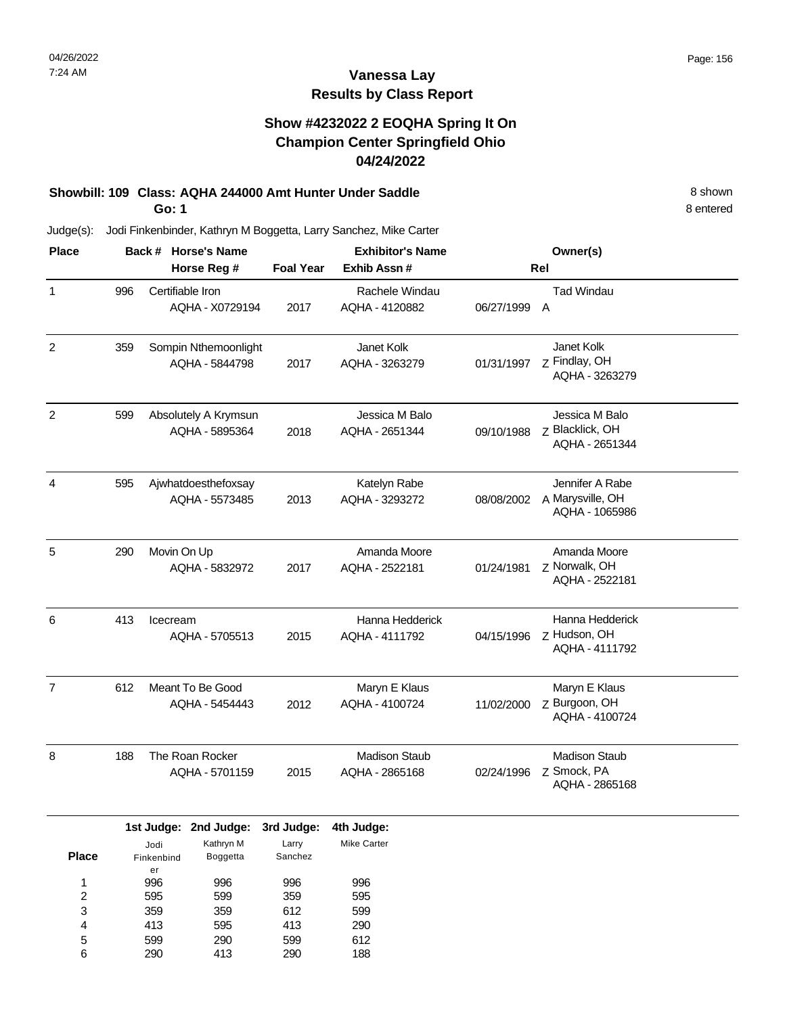## **Vanessa Lay Results by Class Report**

#### **Show #4232022 2 EOQHA Spring It On Champion Center Springfield Ohio 04/24/2022**

# **Showbill: 109 Class: AQHA 244000 Amt Hunter Under Saddle** 8 shown

**Go: 1**

| <b>Place</b>   |     |                          | Back # Horse's Name                    |                  | <b>Exhibitor's Name</b>                |            | Owner(s)                                              |
|----------------|-----|--------------------------|----------------------------------------|------------------|----------------------------------------|------------|-------------------------------------------------------|
|                |     |                          | Horse Reg #                            | <b>Foal Year</b> | Exhib Assn#                            |            | Rel                                                   |
| 1              | 996 |                          | Certifiable Iron<br>AQHA - X0729194    | 2017             | Rachele Windau<br>AQHA - 4120882       | 06/27/1999 | <b>Tad Windau</b><br>$\overline{A}$                   |
| 2              | 359 |                          | Sompin Nthemoonlight<br>AQHA - 5844798 | 2017             | Janet Kolk<br>AQHA - 3263279           | 01/31/1997 | Janet Kolk<br>z Findlay, OH<br>AQHA - 3263279         |
| $\overline{c}$ | 599 |                          | Absolutely A Krymsun<br>AQHA - 5895364 | 2018             | Jessica M Balo<br>AQHA - 2651344       | 09/10/1988 | Jessica M Balo<br>Z Blacklick, OH<br>AQHA - 2651344   |
| $\overline{4}$ | 595 |                          | Ajwhatdoesthefoxsay<br>AQHA - 5573485  | 2013             | Katelyn Rabe<br>AQHA - 3293272         | 08/08/2002 | Jennifer A Rabe<br>A Marysville, OH<br>AQHA - 1065986 |
| 5              | 290 | Movin On Up              | AQHA - 5832972                         | 2017             | Amanda Moore<br>AQHA - 2522181         | 01/24/1981 | Amanda Moore<br>Z Norwalk, OH<br>AQHA - 2522181       |
| 6              | 413 | Icecream                 | AQHA - 5705513                         | 2015             | Hanna Hedderick<br>AQHA - 4111792      | 04/15/1996 | Hanna Hedderick<br>Z Hudson, OH<br>AQHA - 4111792     |
| $\overline{7}$ | 612 |                          | Meant To Be Good<br>AQHA - 5454443     | 2012             | Maryn E Klaus<br>AQHA - 4100724        | 11/02/2000 | Maryn E Klaus<br>Z Burgoon, OH<br>AQHA - 4100724      |
| 8              | 188 |                          | The Roan Rocker<br>AQHA - 5701159      | 2015             | <b>Madison Staub</b><br>AQHA - 2865168 | 02/24/1996 | <b>Madison Staub</b><br>Z Smock, PA<br>AQHA - 2865168 |
|                |     |                          | 1st Judge: 2nd Judge:                  | 3rd Judge:       | 4th Judge:                             |            |                                                       |
| <b>Place</b>   |     | Jodi<br>Finkenbind<br>er | Kathryn M<br>Boggetta                  | Larry<br>Sanchez | <b>Mike Carter</b>                     |            |                                                       |
| 1              |     | 996                      | 996                                    | 996              | 996                                    |            |                                                       |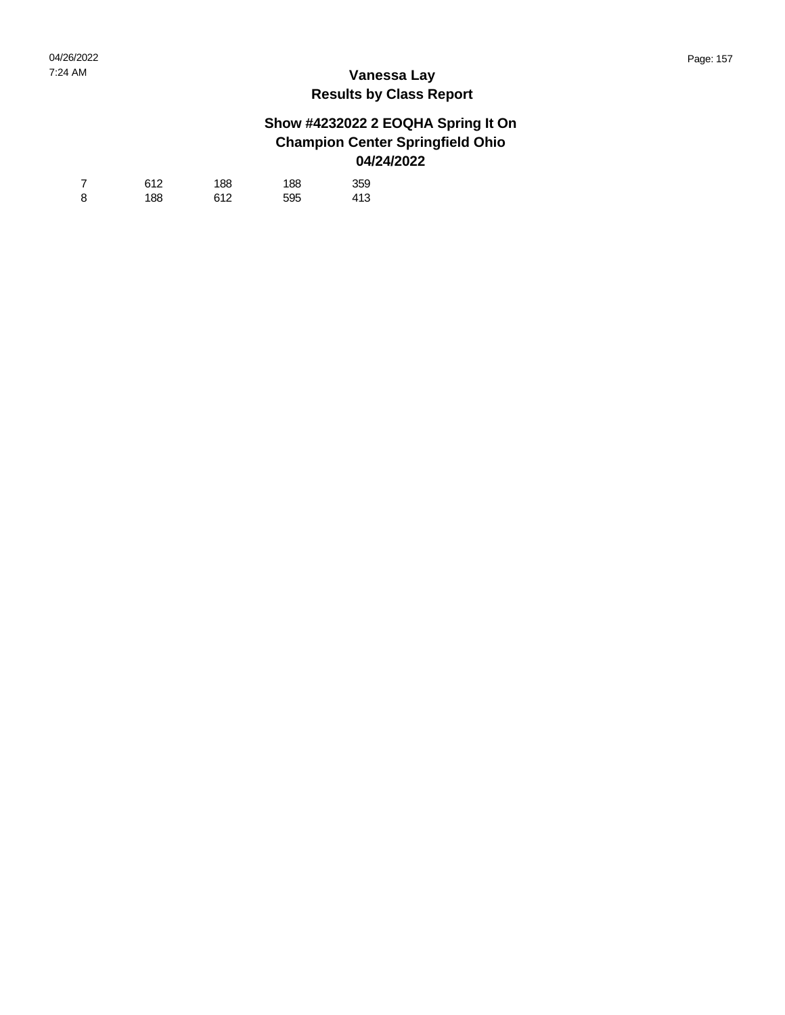#### **Show #4232022 2 EOQHA Spring It On Champion Center Springfield Ohio 04/24/2022**

|    | 612 | 188 | 188 | 359 |
|----|-----|-----|-----|-----|
| -8 | 188 | 612 | 595 | 413 |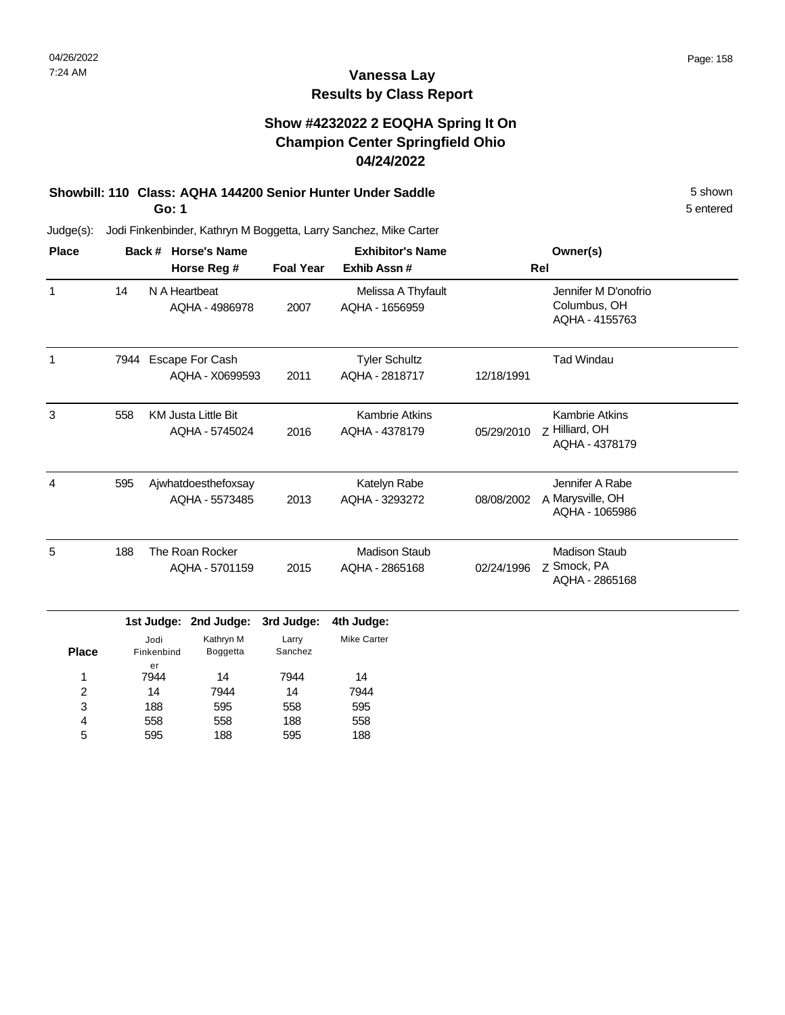### **Vanessa Lay Results by Class Report**

#### **Show #4232022 2 EOQHA Spring It On Champion Center Springfield Ohio 04/24/2022**

# **Showbill: 110 Class: AQHA 144200 Senior Hunter Under Saddle** 5 shown

**Go: 1**

| <b>Place</b> |      | <b>Horse's Name</b><br>Back #                | <b>Exhibitor's Name</b> |                                         |            | Owner(s)                                                  |
|--------------|------|----------------------------------------------|-------------------------|-----------------------------------------|------------|-----------------------------------------------------------|
|              |      | Horse Reg #                                  | <b>Foal Year</b>        | Exhib Assn#                             |            | Rel                                                       |
| 1            | 14   | N A Heartbeat<br>AQHA - 4986978              | 2007                    | Melissa A Thyfault<br>AQHA - 1656959    |            | Jennifer M D'onofrio<br>Columbus, OH<br>AQHA - 4155763    |
|              | 7944 | Escape For Cash<br>AQHA - X0699593           | 2011                    | <b>Tyler Schultz</b><br>AQHA - 2818717  | 12/18/1991 | <b>Tad Windau</b>                                         |
| 3            | 558  | <b>KM Justa Little Bit</b><br>AQHA - 5745024 | 2016                    | <b>Kambrie Atkins</b><br>AQHA - 4378179 | 05/29/2010 | <b>Kambrie Atkins</b><br>Z Hilliard, OH<br>AQHA - 4378179 |
| 4            | 595  | Ajwhatdoesthefoxsay<br>AQHA - 5573485        | 2013                    | Katelyn Rabe<br>AQHA - 3293272          | 08/08/2002 | Jennifer A Rabe<br>A Marysville, OH<br>AQHA - 1065986     |
| 5            | 188  | The Roan Rocker<br>AQHA - 5701159            | 2015                    | <b>Madison Staub</b><br>AQHA - 2865168  | 02/24/1996 | <b>Madison Staub</b><br>Z Smock, PA<br>AQHA - 2865168     |

|              |            | 1st Judge: 2nd Judge: 3rd Judge: |         | 4th Judge:         |
|--------------|------------|----------------------------------|---------|--------------------|
|              | Jodi       | Kathryn M                        | Larry   | <b>Mike Carter</b> |
| <b>Place</b> | Finkenbind | <b>Boggetta</b>                  | Sanchez |                    |
|              | er         |                                  |         |                    |
| 1            | 7944       | 14                               | 7944    | 14                 |
| 2            | 14         | 7944                             | 14      | 7944               |
| 3            | 188        | 595                              | 558     | 595                |
| 4            | 558        | 558                              | 188     | 558                |
| 5            | 595        | 188                              | 595     | 188                |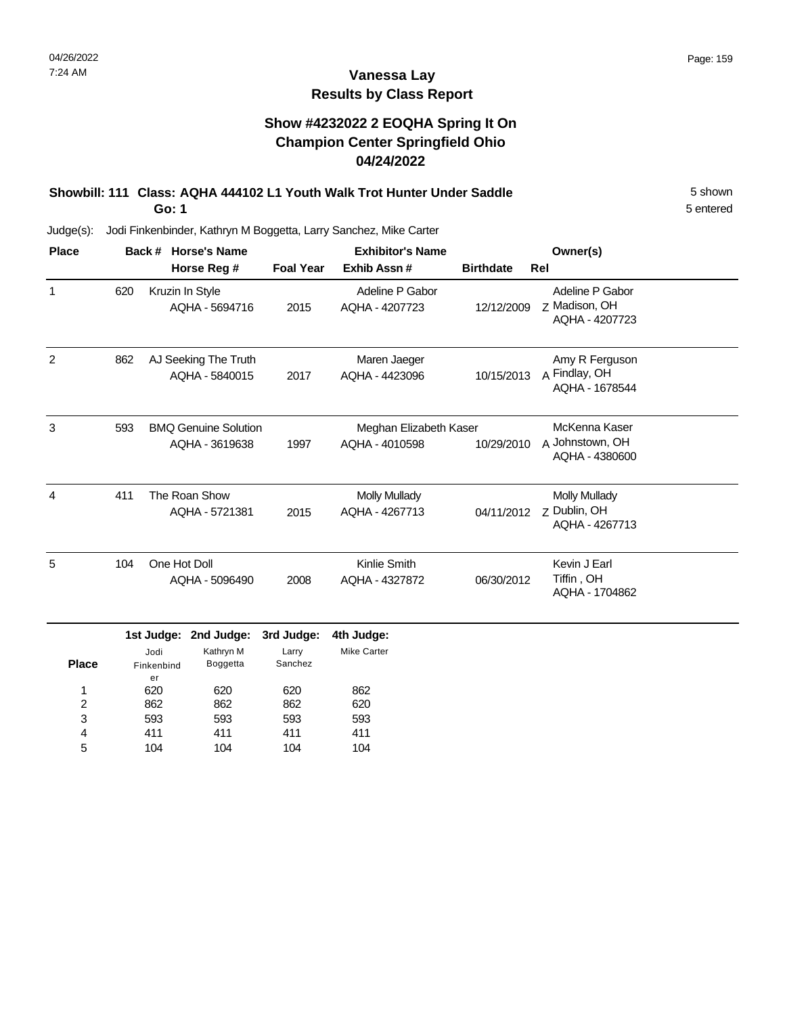### **Vanessa Lay Results by Class Report**

#### **Show #4232022 2 EOQHA Spring It On Champion Center Springfield Ohio 04/24/2022**

#### **Showbill: 111 Class: AQHA 444102 L1 Youth Walk Trot Hunter Under Saddle** 5 shown **Go: 1**

| <b>Place</b> |     | <b>Horse's Name</b><br>Back #                 | <b>Exhibitor's Name</b> |                                          |                  | Owner(s)                                               |
|--------------|-----|-----------------------------------------------|-------------------------|------------------------------------------|------------------|--------------------------------------------------------|
|              |     | Horse Reg #                                   | <b>Foal Year</b>        | Exhib Assn#                              | <b>Birthdate</b> | Rel                                                    |
| 1            | 620 | Kruzin In Style<br>AQHA - 5694716             | 2015                    | Adeline P Gabor<br>AQHA - 4207723        | 12/12/2009       | Adeline P Gabor<br>Z Madison, OH<br>AQHA - 4207723     |
| 2            | 862 | AJ Seeking The Truth<br>AQHA - 5840015        | 2017                    | Maren Jaeger<br>AQHA - 4423096           | 10/15/2013       | Amy R Ferguson<br>A Findlay, OH<br>AQHA - 1678544      |
| 3            | 593 | <b>BMQ Genuine Solution</b><br>AQHA - 3619638 | 1997                    | Meghan Elizabeth Kaser<br>AQHA - 4010598 | 10/29/2010       | McKenna Kaser<br>A Johnstown, OH<br>AQHA - 4380600     |
| 4            | 411 | The Roan Show<br>AQHA - 5721381               | 2015                    | <b>Molly Mullady</b><br>AQHA - 4267713   | 04/11/2012       | <b>Molly Mullady</b><br>z Dublin, OH<br>AQHA - 4267713 |
| 5            | 104 | One Hot Doll<br>AQHA - 5096490                | 2008                    | Kinlie Smith<br>AQHA - 4327872           | 06/30/2012       | Kevin J Earl<br>Tiffin, OH<br>AQHA - 1704862           |
|              |     | 1st Judge: 2nd Judge:                         | 3rd Judge:              | 4th Judge:                               |                  |                                                        |

|              |            | ---------       | .       |                    |
|--------------|------------|-----------------|---------|--------------------|
|              | Jodi       | Kathryn M       | Larry   | <b>Mike Carter</b> |
| <b>Place</b> | Finkenbind | <b>Boggetta</b> | Sanchez |                    |
|              | er         |                 |         |                    |
| 1            | 620        | 620             | 620     | 862                |
| 2            | 862        | 862             | 862     | 620                |
| 3            | 593        | 593             | 593     | 593                |
| 4            | 411        | 411             | 411     | 411                |
| 5            | 104        | 104             | 104     | 104                |
|              |            |                 |         |                    |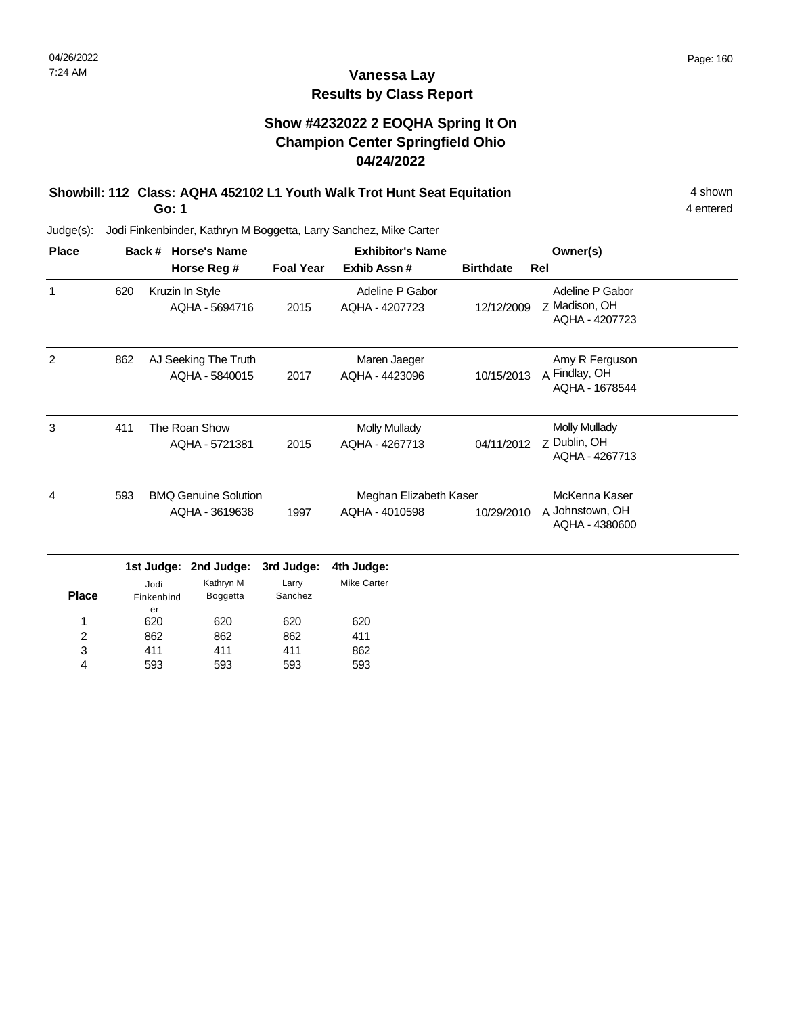### **Vanessa Lay Results by Class Report**

#### **Show #4232022 2 EOQHA Spring It On Champion Center Springfield Ohio 04/24/2022**

#### **Showbill: 112 Class: AQHA 452102 L1 Youth Walk Trot Hunt Seat Equitation** 4 shown 4 shown **Go: 1**

593

4

593

593

593

| <b>Place</b> |     | <b>Horse's Name</b><br>Back # |                                        |                  | <b>Exhibitor's Name</b>                | Owner(s)         |                                                        |  |
|--------------|-----|-------------------------------|----------------------------------------|------------------|----------------------------------------|------------------|--------------------------------------------------------|--|
|              |     |                               | Horse Reg #                            | <b>Foal Year</b> | Exhib Assn#                            | <b>Birthdate</b> | Rel                                                    |  |
| $\mathbf{1}$ | 620 |                               | Kruzin In Style<br>AQHA - 5694716      | 2015             | Adeline P Gabor<br>AQHA - 4207723      | 12/12/2009       | Adeline P Gabor<br>Z Madison, OH<br>AQHA - 4207723     |  |
| 2            | 862 |                               | AJ Seeking The Truth<br>AQHA - 5840015 | 2017             | Maren Jaeger<br>AQHA - 4423096         | 10/15/2013       | Amy R Ferguson<br>A Findlay, OH<br>AQHA - 1678544      |  |
| 3            | 411 |                               | The Roan Show<br>AQHA - 5721381        | 2015             | <b>Molly Mullady</b><br>AQHA - 4267713 | 04/11/2012       | <b>Molly Mullady</b><br>z Dublin, OH<br>AQHA - 4267713 |  |
| 4            | 593 |                               | <b>BMQ Genuine Solution</b>            |                  | Meghan Elizabeth Kaser                 |                  | McKenna Kaser                                          |  |
|              |     |                               | AQHA - 3619638                         | 1997             | AQHA - 4010598                         | 10/29/2010       | A Johnstown, OH<br>AQHA - 4380600                      |  |
|              |     | 1st Judge:                    | 2nd Judge:                             | 3rd Judge:       | 4th Judge:                             |                  |                                                        |  |
| <b>Place</b> |     | Jodi<br>Finkenbind<br>er      | Kathryn M<br>Boggetta                  | Larry<br>Sanchez | <b>Mike Carter</b>                     |                  |                                                        |  |
| 1            |     | 620                           | 620                                    | 620              | 620                                    |                  |                                                        |  |
| 2            |     | 862                           | 862                                    | 862              | 411                                    |                  |                                                        |  |
| 3            |     | 411                           | 411                                    | 411              | 862                                    |                  |                                                        |  |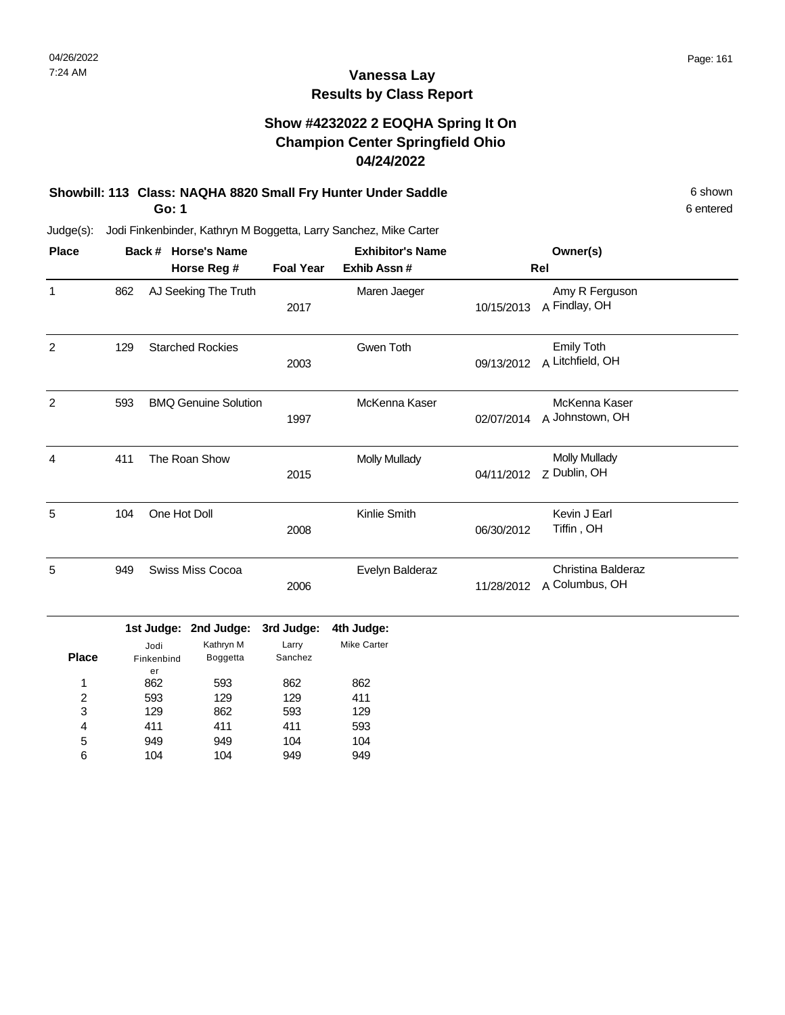#### **Show #4232022 2 EOQHA Spring It On Champion Center Springfield Ohio 04/24/2022**

#### **Showbill: 113 Class: NAQHA 8820 Small Fry Hunter Under Saddle** 6 Shown 6 shown **Go: 1**

Judge(s): Jodi Finkenbinder, Kathryn M Boggetta, Larry Sanchez, Mike Carter

| <b>Place</b>   |     | <b>Horse's Name</b><br>Back # |                  | <b>Exhibitor's Name</b> |            | Owner(s)                              |
|----------------|-----|-------------------------------|------------------|-------------------------|------------|---------------------------------------|
|                |     | Horse Reg #                   | <b>Foal Year</b> | Exhib Assn#             |            | Rel                                   |
| 1              | 862 | AJ Seeking The Truth          | 2017             | Maren Jaeger            | 10/15/2013 | Amy R Ferguson<br>A Findlay, OH       |
| $\overline{2}$ | 129 | <b>Starched Rockies</b>       | 2003             | Gwen Toth               | 09/13/2012 | <b>Emily Toth</b><br>A Litchfield, OH |
| $\overline{2}$ | 593 | <b>BMQ Genuine Solution</b>   | 1997             | McKenna Kaser           | 02/07/2014 | McKenna Kaser<br>A Johnstown, OH      |
| 4              | 411 | The Roan Show                 | 2015             | <b>Molly Mullady</b>    | 04/11/2012 | <b>Molly Mullady</b><br>Z Dublin, OH  |
| 5              | 104 | One Hot Doll                  | 2008             | Kinlie Smith            | 06/30/2012 | Kevin J Earl<br>Tiffin, OH            |
| 5              | 949 | <b>Swiss Miss Cocoa</b>       | 2006             | Evelyn Balderaz         | 11/28/2012 | Christina Balderaz<br>A Columbus, OH  |

|              |            | 1st Judge: 2nd Judge: 3rd Judge: |         | 4th Judge:  |
|--------------|------------|----------------------------------|---------|-------------|
|              | Jodi       | Kathryn M                        | Larry   | Mike Carter |
| <b>Place</b> | Finkenbind | <b>Boggetta</b>                  | Sanchez |             |
|              | er         |                                  |         |             |
| 1            | 862        | 593                              | 862     | 862         |
| 2            | 593        | 129                              | 129     | 411         |
| 3            | 129        | 862                              | 593     | 129         |
| 4            | 411        | 411                              | 411     | 593         |
| 5            | 949        | 949                              | 104     | 104         |
| 6            | 104        | 104                              | 949     | 949         |

6 entered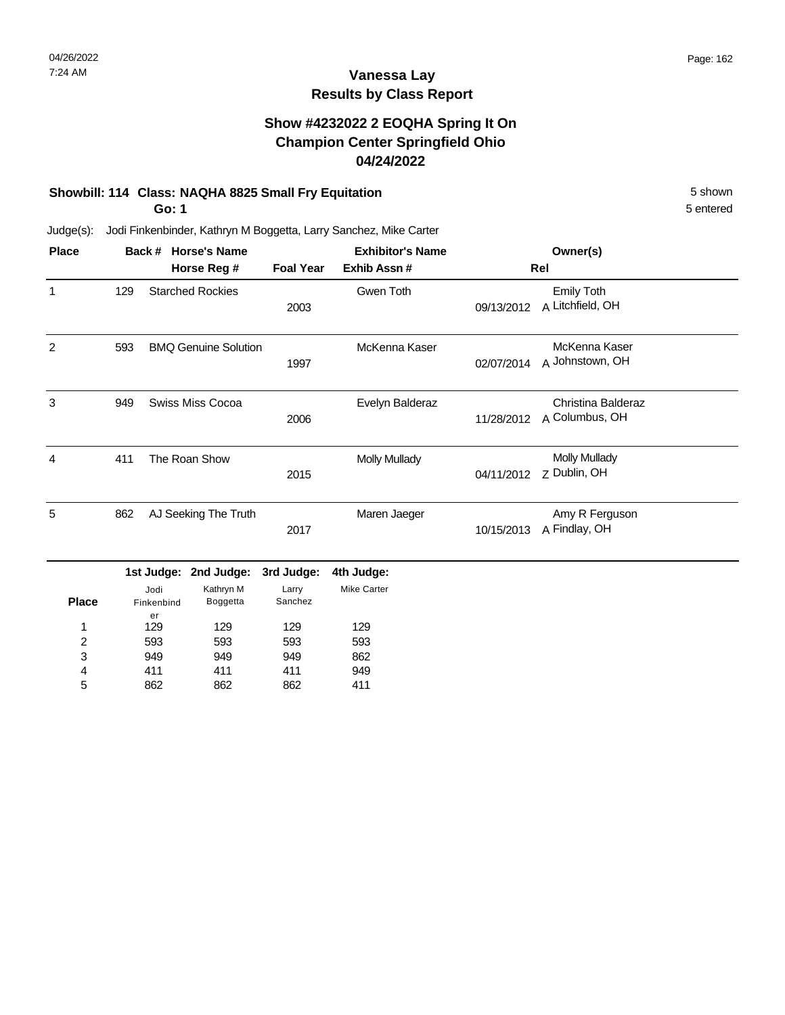#### **Show #4232022 2 EOQHA Spring It On Champion Center Springfield Ohio 04/24/2022**

#### **Showbill: 114 Class: NAQHA 8825 Small Fry Equitation** 5 Shown 5 Shown 5 Shown

**Go: 1**

5 entered

| <b>Place</b>            |     | <b>Horse's Name</b><br>Back # |                             |                  | <b>Exhibitor's Name</b>          |            | Owner(s)                              |  |  |
|-------------------------|-----|-------------------------------|-----------------------------|------------------|----------------------------------|------------|---------------------------------------|--|--|
|                         |     | Horse Reg #                   |                             |                  | <b>Foal Year</b><br>Exhib Assn # |            | Rel                                   |  |  |
| $\mathbf{1}$            | 129 |                               | <b>Starched Rockies</b>     | 2003             | Gwen Toth                        | 09/13/2012 | <b>Emily Toth</b><br>A Litchfield, OH |  |  |
| $\overline{2}$          | 593 |                               | <b>BMQ Genuine Solution</b> | 1997             | McKenna Kaser                    | 02/07/2014 | McKenna Kaser<br>A Johnstown, OH      |  |  |
| 3                       | 949 |                               | <b>Swiss Miss Cocoa</b>     | 2006             | Evelyn Balderaz                  | 11/28/2012 | Christina Balderaz<br>A Columbus, OH  |  |  |
| 4                       | 411 |                               | The Roan Show               | 2015             | <b>Molly Mullady</b>             | 04/11/2012 | <b>Molly Mullady</b><br>Z Dublin, OH  |  |  |
| 5                       | 862 | AJ Seeking The Truth          |                             | 2017             | Maren Jaeger                     | 10/15/2013 | Amy R Ferguson<br>A Findlay, OH       |  |  |
|                         |     |                               | 1st Judge: 2nd Judge:       | 3rd Judge:       | 4th Judge:                       |            |                                       |  |  |
| <b>Place</b>            |     | Jodi<br>Finkenbind<br>er      | Kathryn M<br>Boggetta       | Larry<br>Sanchez | <b>Mike Carter</b>               |            |                                       |  |  |
| 1                       |     | 129                           | 129                         | 129              | 129                              |            |                                       |  |  |
| $\overline{\mathbf{c}}$ |     | 593                           | 593                         | 593              | 593                              |            |                                       |  |  |
| 3                       |     | 949                           | 949                         | 949              | 862                              |            |                                       |  |  |
| 4                       |     | 411                           | 411                         | 411              | 949                              |            |                                       |  |  |
| 5                       |     | 862                           | 862                         | 862              | 411                              |            |                                       |  |  |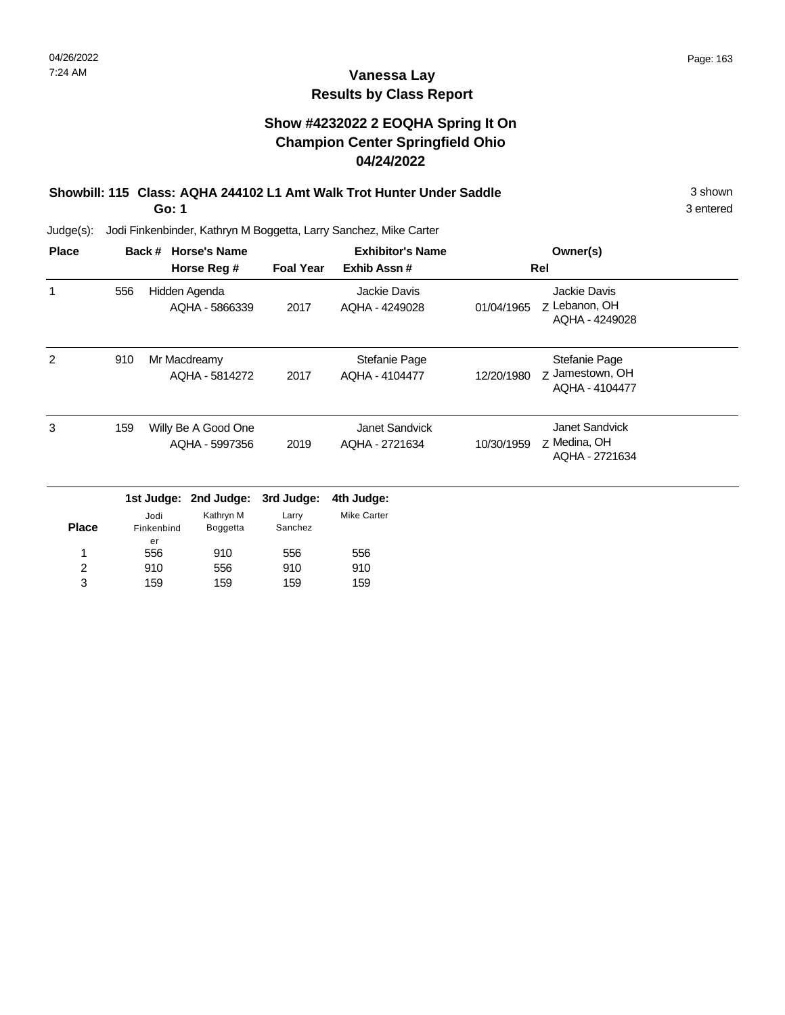### **Vanessa Lay Results by Class Report**

#### **Show #4232022 2 EOQHA Spring It On Champion Center Springfield Ohio 04/24/2022**

#### **Showbill: 115 Class: AQHA 244102 L1 Amt Walk Trot Hunter Under Saddle** 3 shown **Go: 1**

| <b>Place</b> |     | Back #                   | <b>Horse's Name</b>                   |                  | <b>Exhibitor's Name</b>          |            | Owner(s)                                           |  |
|--------------|-----|--------------------------|---------------------------------------|------------------|----------------------------------|------------|----------------------------------------------------|--|
|              |     |                          | Horse Reg #                           | <b>Foal Year</b> | Exhib Assn#                      |            | Rel                                                |  |
| 1            | 556 |                          | Hidden Agenda<br>AQHA - 5866339       | 2017             | Jackie Davis<br>AQHA - 4249028   | 01/04/1965 | Jackie Davis<br>Z Lebanon, OH<br>AQHA - 4249028    |  |
| 2            | 910 |                          | Mr Macdreamy<br>AQHA - 5814272        | 2017             | Stefanie Page<br>AQHA - 4104477  | 12/20/1980 | Stefanie Page<br>Z Jamestown, OH<br>AQHA - 4104477 |  |
| 3            | 159 |                          | Willy Be A Good One<br>AQHA - 5997356 | 2019             | Janet Sandvick<br>AQHA - 2721634 | 10/30/1959 | Janet Sandvick<br>z Medina, OH<br>AQHA - 2721634   |  |
|              |     | 1st Judge:               | 2nd Judge:                            | 3rd Judge:       | 4th Judge:                       |            |                                                    |  |
| <b>Place</b> |     | Jodi<br>Finkenbind<br>er | Kathryn M<br>Boggetta                 | Larry<br>Sanchez | <b>Mike Carter</b>               |            |                                                    |  |
| 1            |     | 556                      | 910                                   | 556              | 556                              |            |                                                    |  |
| 2            |     | 910                      | 556                                   | 910              | 910                              |            |                                                    |  |
| 3            |     | 159                      | 159                                   | 159              | 159                              |            |                                                    |  |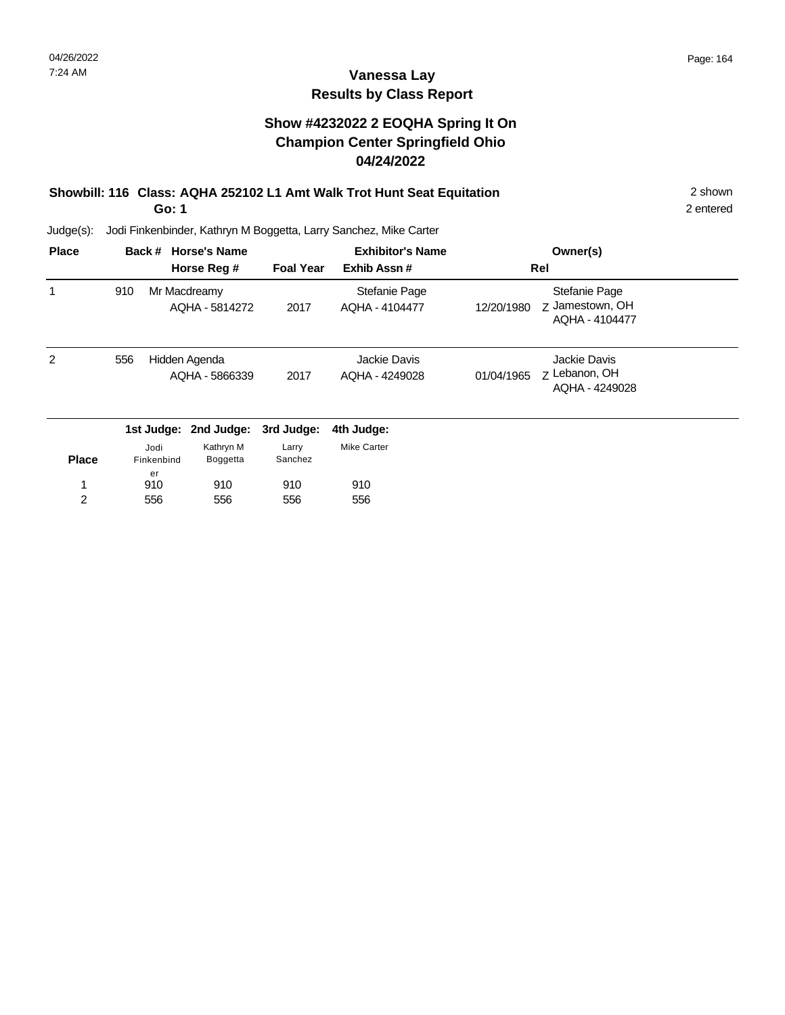### **Vanessa Lay Results by Class Report**

#### **Show #4232022 2 EOQHA Spring It On Champion Center Springfield Ohio 04/24/2022**

# **Showbill: 116 Class: AQHA 252102 L1 Amt Walk Trot Hunt Seat Equitation** 2 shown

**Go: 1**

| <b>Place</b>   |     | Back #             | <b>Horse's Name</b>             |                  | <b>Exhibitor's Name</b>         |            | Owner(s)                                           |  |
|----------------|-----|--------------------|---------------------------------|------------------|---------------------------------|------------|----------------------------------------------------|--|
|                |     |                    | Horse Reg #                     | <b>Foal Year</b> | Exhib Assn#                     |            | Rel                                                |  |
|                | 910 |                    | Mr Macdreamy<br>AQHA - 5814272  | 2017             | Stefanie Page<br>AQHA - 4104477 | 12/20/1980 | Stefanie Page<br>7 Jamestown, OH<br>AQHA - 4104477 |  |
| $\overline{2}$ | 556 |                    | Hidden Agenda<br>AQHA - 5866339 | 2017             | Jackie Davis<br>AQHA - 4249028  | 01/04/1965 | Jackie Davis<br>7 Lebanon, OH<br>AQHA - 4249028    |  |
|                |     |                    | 1st Judge: 2nd Judge:           | 3rd Judge:       | 4th Judge:                      |            |                                                    |  |
| <b>Place</b>   |     | Jodi<br>Finkenbind | Kathryn M<br>Boggetta           | Larry<br>Sanchez | <b>Mike Carter</b>              |            |                                                    |  |
| 1              |     | er<br>910          | 910                             | 910              | 910                             |            |                                                    |  |
| 2              |     | 556                | 556                             | 556              | 556                             |            |                                                    |  |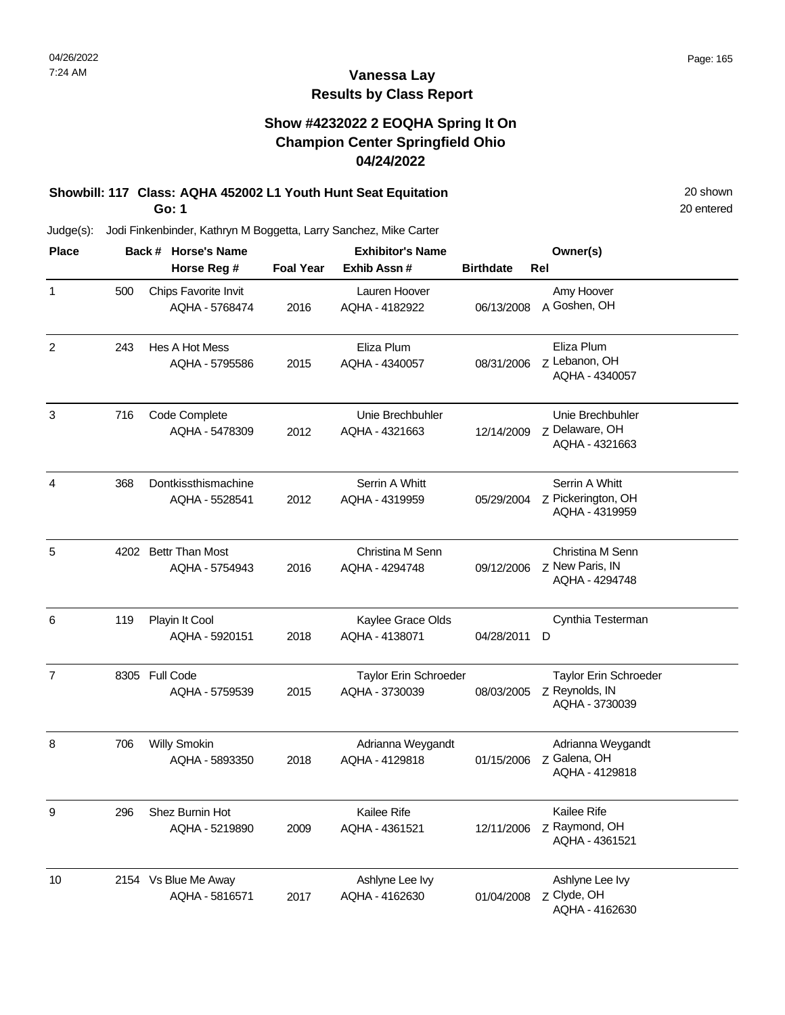### **Vanessa Lay Results by Class Report**

#### **Show #4232022 2 EOQHA Spring It On Champion Center Springfield Ohio 04/24/2022**

#### **Showbill: 117 Class: AQHA 452002 L1 Youth Hunt Seat Equitation** 20 Shown 20 shown **Go: 1**

| <b>Place</b>   |      | Back # Horse's Name                      |                  | <b>Exhibitor's Name</b>                 |                  | Owner(s)                                                  |
|----------------|------|------------------------------------------|------------------|-----------------------------------------|------------------|-----------------------------------------------------------|
|                |      | Horse Reg #                              | <b>Foal Year</b> | Exhib Assn#                             | <b>Birthdate</b> | Rel                                                       |
| $\mathbf 1$    | 500  | Chips Favorite Invit<br>AQHA - 5768474   | 2016             | Lauren Hoover<br>AQHA - 4182922         | 06/13/2008       | Amy Hoover<br>A Goshen, OH                                |
| 2              | 243  | Hes A Hot Mess<br>AQHA - 5795586         | 2015             | Eliza Plum<br>AQHA - 4340057            | 08/31/2006       | Eliza Plum<br>z Lebanon, OH<br>AQHA - 4340057             |
| 3              | 716  | Code Complete<br>AQHA - 5478309          | 2012             | Unie Brechbuhler<br>AQHA - 4321663      | 12/14/2009       | Unie Brechbuhler<br>z Delaware, OH<br>AQHA - 4321663      |
| 4              | 368  | Dontkissthismachine<br>AQHA - 5528541    | 2012             | Serrin A Whitt<br>AQHA - 4319959        | 05/29/2004       | Serrin A Whitt<br>Z Pickerington, OH<br>AQHA - 4319959    |
| 5              | 4202 | <b>Bettr Than Most</b><br>AQHA - 5754943 | 2016             | Christina M Senn<br>AQHA - 4294748      | 09/12/2006       | Christina M Senn<br>Z New Paris, IN<br>AQHA - 4294748     |
| 6              | 119  | Playin It Cool<br>AQHA - 5920151         | 2018             | Kaylee Grace Olds<br>AQHA - 4138071     | 04/28/2011       | Cynthia Testerman<br>D                                    |
| $\overline{7}$ |      | 8305 Full Code<br>AQHA - 5759539         | 2015             | Taylor Erin Schroeder<br>AQHA - 3730039 | 08/03/2005       | Taylor Erin Schroeder<br>Z Reynolds, IN<br>AQHA - 3730039 |
| 8              | 706  | <b>Willy Smokin</b><br>AQHA - 5893350    | 2018             | Adrianna Weygandt<br>AQHA - 4129818     | 01/15/2006       | Adrianna Weygandt<br>Z Galena, OH<br>AQHA - 4129818       |
| 9              | 296  | Shez Burnin Hot<br>AQHA - 5219890        | 2009             | Kailee Rife<br>AQHA - 4361521           | 12/11/2006       | Kailee Rife<br>z Raymond, OH<br>AQHA - 4361521            |
| 10             |      | 2154 Vs Blue Me Away<br>AQHA - 5816571   | 2017             | Ashlyne Lee Ivy<br>AQHA - 4162630       | 01/04/2008       | Ashlyne Lee Ivy<br>Z Clyde, OH<br>AQHA - 4162630          |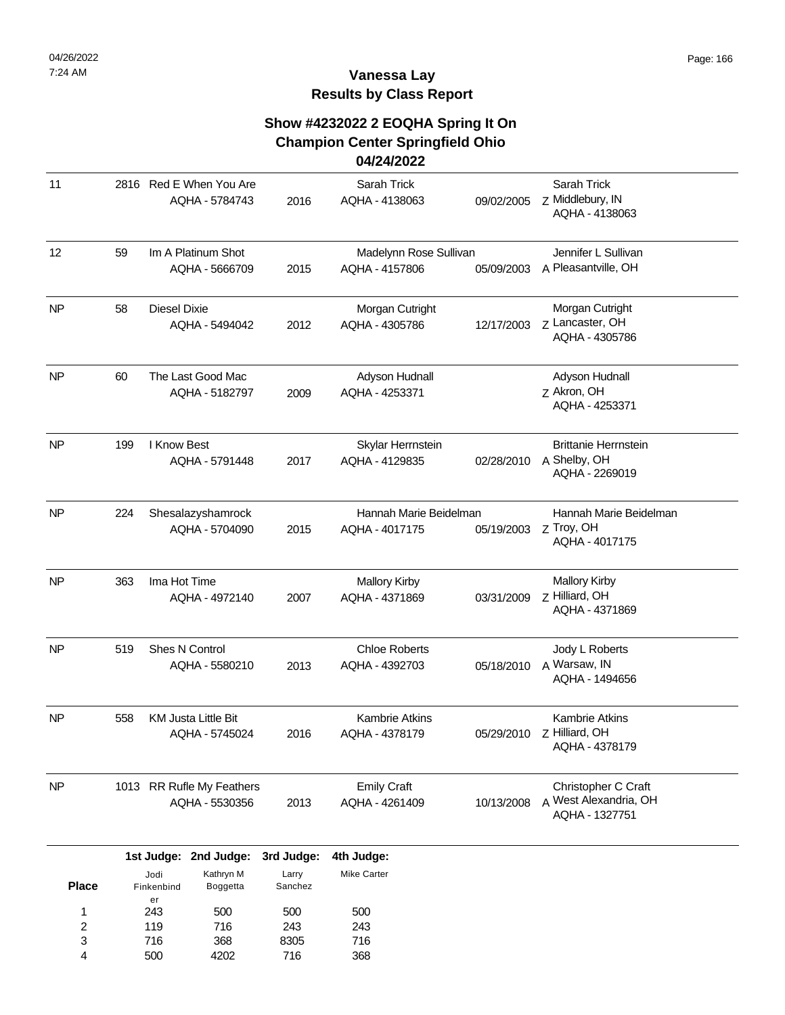716 500

3 4

368 4202 8305 716

716 368

# **Vanessa Lay Results by Class Report**

# **Show #4232022 2 EOQHA Spring It On Champion Center Springfield Ohio**

#### **04/24/2022**

| 11             |     |                     | 2816 Red E When You Are<br>AQHA - 5784743 | 2016             | Sarah Trick<br>AQHA - 4138063 | 09/02/2005 | Sarah Trick<br>Z Middlebury, IN         |
|----------------|-----|---------------------|-------------------------------------------|------------------|-------------------------------|------------|-----------------------------------------|
|                |     |                     |                                           |                  |                               |            | AQHA - 4138063                          |
| 12             | 59  |                     | Im A Platinum Shot                        |                  | Madelynn Rose Sullivan        |            | Jennifer L Sullivan                     |
|                |     |                     | AQHA - 5666709                            | 2015             | AQHA - 4157806                | 05/09/2003 | A Pleasantville, OH                     |
| <b>NP</b>      | 58  | <b>Diesel Dixie</b> |                                           |                  | Morgan Cutright               |            | Morgan Cutright                         |
|                |     |                     | AQHA - 5494042                            | 2012             | AQHA - 4305786                | 12/17/2003 | z Lancaster, OH<br>AQHA - 4305786       |
| <b>NP</b>      | 60  |                     | The Last Good Mac                         |                  | Adyson Hudnall                |            | Adyson Hudnall                          |
|                |     |                     | AQHA - 5182797                            | 2009             | AQHA - 4253371                |            | Z Akron, OH<br>AQHA - 4253371           |
| <b>NP</b>      | 199 | I Know Best         |                                           |                  | Skylar Herrnstein             |            | <b>Brittanie Herrnstein</b>             |
|                |     |                     | AQHA - 5791448                            | 2017             | AQHA - 4129835                | 02/28/2010 | A Shelby, OH<br>AQHA - 2269019          |
| <b>NP</b>      | 224 |                     | Shesalazyshamrock                         |                  | Hannah Marie Beidelman        |            | Hannah Marie Beidelman                  |
|                |     |                     | AQHA - 5704090                            | 2015             | AQHA - 4017175                | 05/19/2003 | Z Troy, OH<br>AQHA - 4017175            |
| <b>NP</b>      | 363 | Ima Hot Time        |                                           |                  | <b>Mallory Kirby</b>          |            | <b>Mallory Kirby</b>                    |
|                |     |                     | AQHA - 4972140                            | 2007             | AQHA - 4371869                | 03/31/2009 | Z Hilliard, OH<br>AQHA - 4371869        |
| <b>NP</b>      | 519 |                     | Shes N Control                            |                  | <b>Chloe Roberts</b>          |            | Jody L Roberts                          |
|                |     |                     | AQHA - 5580210                            | 2013             | AQHA - 4392703                | 05/18/2010 | A Warsaw, IN<br>AQHA - 1494656          |
| <b>NP</b>      | 558 |                     | <b>KM Justa Little Bit</b>                |                  | <b>Kambrie Atkins</b>         |            | <b>Kambrie Atkins</b>                   |
|                |     |                     | AQHA - 5745024                            | 2016             | AQHA - 4378179                | 05/29/2010 | Z Hilliard, OH<br>AQHA - 4378179        |
| ${\sf NP}$     |     |                     | 1013 RR Rufle My Feathers                 |                  | <b>Emily Craft</b>            |            | Christopher C Craft                     |
|                |     |                     | AQHA - 5530356                            | 2013             | AQHA - 4261409                | 10/13/2008 | A West Alexandria, OH<br>AQHA - 1327751 |
|                |     |                     | 1st Judge: 2nd Judge:                     | 3rd Judge:       | 4th Judge:                    |            |                                         |
| <b>Place</b>   |     | Jodi<br>Finkenbind  | Kathryn M<br>Boggetta                     | Larry<br>Sanchez | Mike Carter                   |            |                                         |
| 1              |     | er<br>243           | 500                                       | 500              | 500                           |            |                                         |
| $\overline{c}$ |     | 119                 | 716                                       | 243              | 243                           |            |                                         |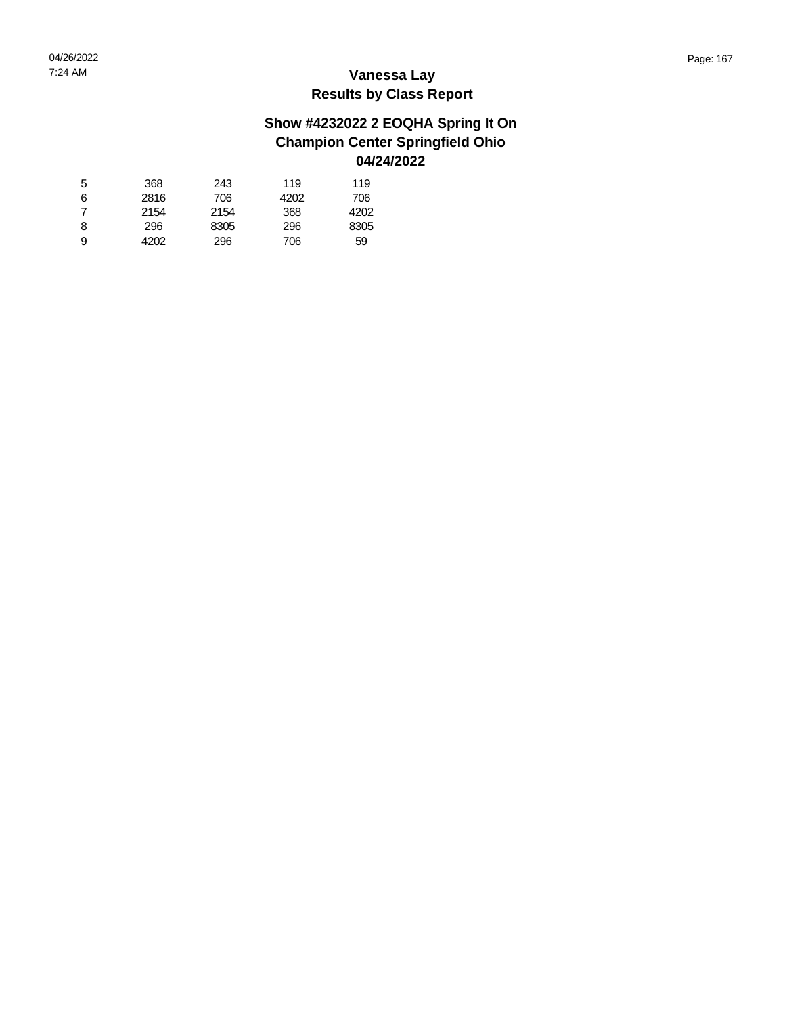#### **Show #4232022 2 EOQHA Spring It On Champion Center Springfield Ohio 04/24/2022**

| 5 | 368  | 243  | 119  | 119  |
|---|------|------|------|------|
| 6 | 2816 | 706  | 4202 | 706  |
| 7 | 2154 | 2154 | 368  | 4202 |
| 8 | 296  | 8305 | 296  | 8305 |
| 9 | 4202 | 296  | 706  | 59   |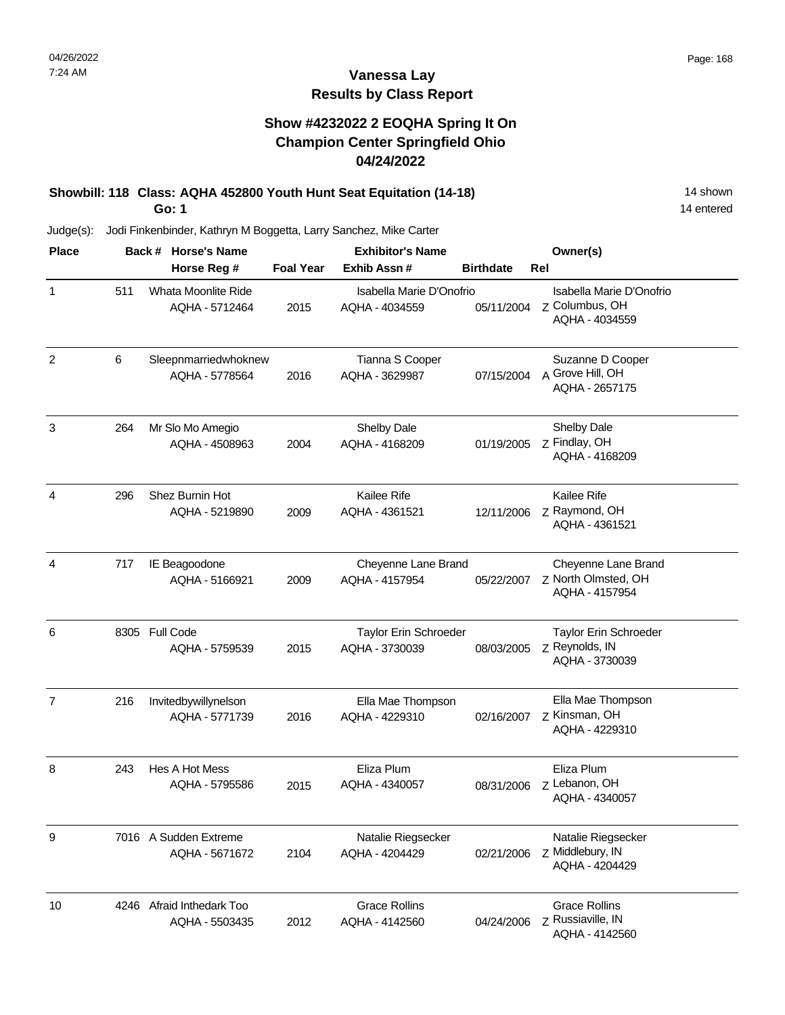### **Vanessa Lay Results by Class Report**

#### **Show #4232022 2 EOQHA Spring It On Champion Center Springfield Ohio 04/24/2022**

# **Showbill: 118 Class: AQHA 452800 Youth Hunt Seat Equitation (14-18)** 14 Shown

**Go: 1**

| <b>Place</b>   |      | Back # Horse's Name                         |                  | <b>Exhibitor's Name</b>                    |                  | Owner(s)                                                     |
|----------------|------|---------------------------------------------|------------------|--------------------------------------------|------------------|--------------------------------------------------------------|
|                |      | Horse Reg #                                 | <b>Foal Year</b> | Exhib Assn#                                | <b>Birthdate</b> | Rel                                                          |
| $\mathbf 1$    | 511  | Whata Moonlite Ride<br>AQHA - 5712464       | 2015             | Isabella Marie D'Onofrio<br>AQHA - 4034559 | 05/11/2004       | Isabella Marie D'Onofrio<br>Z Columbus, OH<br>AQHA - 4034559 |
| $\overline{c}$ | 6    | Sleepnmarriedwhoknew<br>AQHA - 5778564      | 2016             | Tianna S Cooper<br>AQHA - 3629987          | 07/15/2004       | Suzanne D Cooper<br>A Grove Hill, OH<br>AQHA - 2657175       |
| 3              | 264  | Mr Slo Mo Amegio<br>AQHA - 4508963          | 2004             | Shelby Dale<br>AQHA - 4168209              | 01/19/2005       | Shelby Dale<br>Z Findlay, OH<br>AQHA - 4168209               |
| 4              | 296  | Shez Burnin Hot<br>AQHA - 5219890           | 2009             | Kailee Rife<br>AQHA - 4361521              | 12/11/2006       | Kailee Rife<br>z Raymond, OH<br>AQHA - 4361521               |
| 4              | 717  | IE Beagoodone<br>AQHA - 5166921             | 2009             | Cheyenne Lane Brand<br>AQHA - 4157954      | 05/22/2007       | Cheyenne Lane Brand<br>Z North Olmsted, OH<br>AQHA - 4157954 |
| 6              | 8305 | <b>Full Code</b><br>AQHA - 5759539          | 2015             | Taylor Erin Schroeder<br>AQHA - 3730039    | 08/03/2005       | Taylor Erin Schroeder<br>Z Reynolds, IN<br>AQHA - 3730039    |
| 7              | 216  | Invitedbywillynelson<br>AQHA - 5771739      | 2016             | Ella Mae Thompson<br>AQHA - 4229310        | 02/16/2007       | Ella Mae Thompson<br>z Kinsman, OH<br>AQHA - 4229310         |
| 8              | 243  | Hes A Hot Mess<br>AQHA - 5795586            | 2015             | Eliza Plum<br>AQHA - 4340057               | 08/31/2006       | Eliza Plum<br>Z Lebanon, OH<br>AQHA - 4340057                |
| 9              |      | 7016 A Sudden Extreme<br>AQHA - 5671672     | 2104             | Natalie Riegsecker<br>AQHA - 4204429       | 02/21/2006       | Natalie Riegsecker<br>Z Middlebury, IN<br>AQHA - 4204429     |
| 10             |      | 4246 Afraid Inthedark Too<br>AQHA - 5503435 | 2012             | <b>Grace Rollins</b><br>AQHA - 4142560     | 04/24/2006       | <b>Grace Rollins</b><br>Z Russiaville, IN<br>AQHA - 4142560  |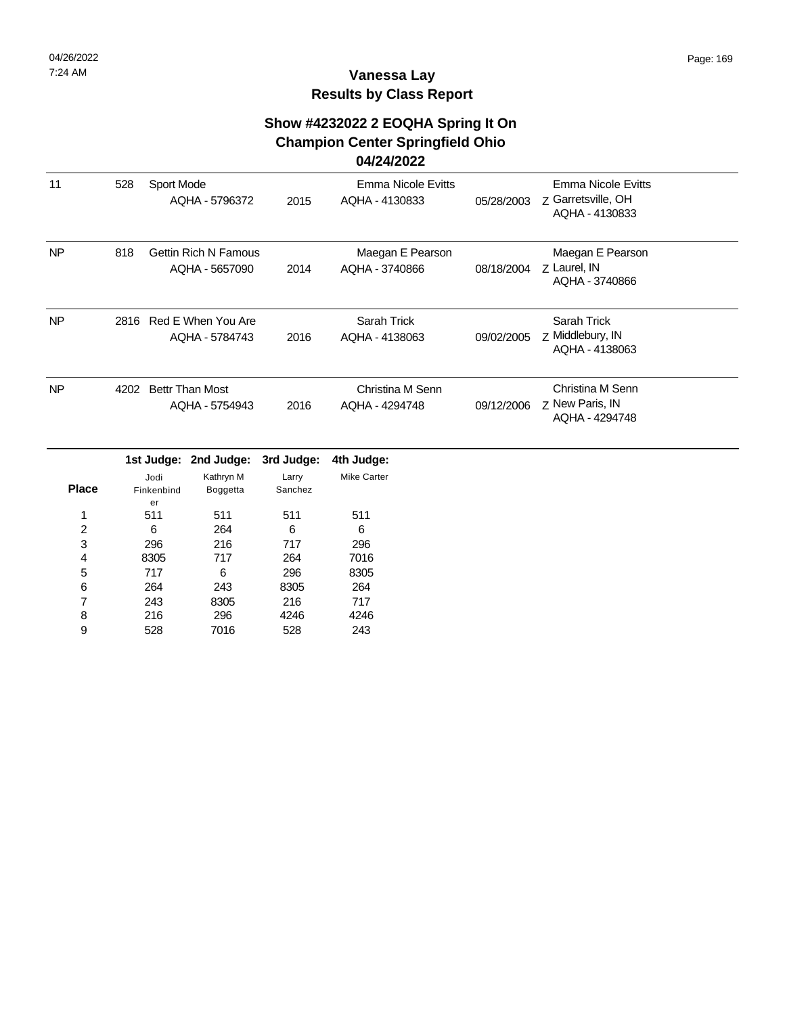#### **Show #4232022 2 EOQHA Spring It On Champion Center Springfield Ohio**

#### **04/24/2022**

| 11           | 528  | Sport Mode               | AQHA - 5796372                                | 2015             | <b>Emma Nicole Evitts</b><br>AQHA - 4130833 | 05/28/2003 | Emma Nicole Evitts<br>z Garretsville, OH<br>AQHA - 4130833 |
|--------------|------|--------------------------|-----------------------------------------------|------------------|---------------------------------------------|------------|------------------------------------------------------------|
| <b>NP</b>    | 818  |                          | <b>Gettin Rich N Famous</b><br>AQHA - 5657090 | 2014             | Maegan E Pearson<br>AQHA - 3740866          | 08/18/2004 | Maegan E Pearson<br>Z Laurel, IN<br>AQHA - 3740866         |
| <b>NP</b>    |      |                          | 2816 Red E When You Are<br>AQHA - 5784743     | 2016             | Sarah Trick<br>AQHA - 4138063               | 09/02/2005 | Sarah Trick<br>Z Middlebury, IN<br>AQHA - 4138063          |
| <b>NP</b>    | 4202 |                          | <b>Bettr Than Most</b><br>AQHA - 5754943      | 2016             | Christina M Senn<br>AQHA - 4294748          | 09/12/2006 | Christina M Senn<br>Z New Paris, IN<br>AQHA - 4294748      |
|              |      |                          | 1st Judge: 2nd Judge:                         | 3rd Judge:       | 4th Judge:                                  |            |                                                            |
| <b>Place</b> |      | Jodi<br>Finkenbind<br>er | Kathryn M<br>Boggetta                         | Larry<br>Sanchez | <b>Mike Carter</b>                          |            |                                                            |
| 1            |      | 511                      | 511                                           | 511              | 511                                         |            |                                                            |
| 2            |      | 6                        | 264                                           | 6                | 6                                           |            |                                                            |
| 3            |      | 296                      | 216                                           | 717              | 296                                         |            |                                                            |
| 4            |      | 8305                     | 717                                           | 264              | 7016                                        |            |                                                            |
| 5            |      | 717                      | 6                                             | 296              | 8305                                        |            |                                                            |
| 6            |      | 264                      | 243                                           | 8305             | 264                                         |            |                                                            |
| 7            |      | 243                      | 8305                                          | 216              | 717                                         |            |                                                            |
| 8<br>9       |      | 216<br>528               | 296<br>7016                                   | 4246<br>528      | 4246<br>243                                 |            |                                                            |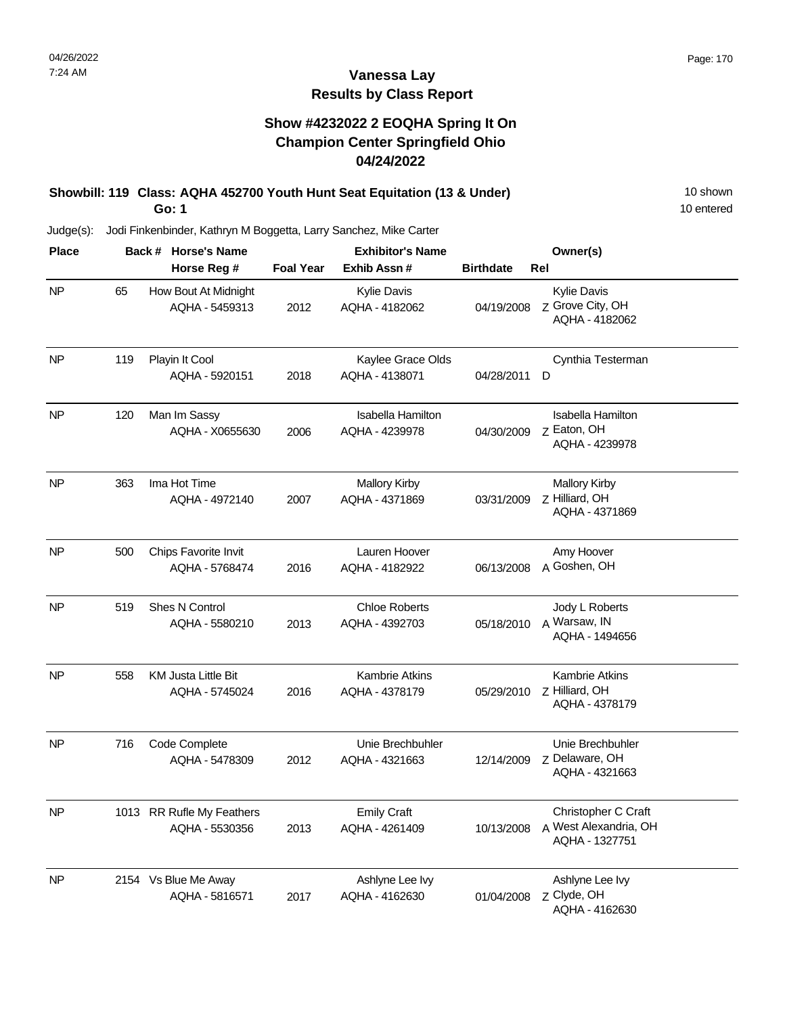### **Vanessa Lay Results by Class Report**

#### **Show #4232022 2 EOQHA Spring It On Champion Center Springfield Ohio 04/24/2022**

#### **Showbill: 119 Class: AQHA 452700 Youth Hunt Seat Equitation (13 & Under)** 10 Shown **Go: 1**

| <b>Place</b> |     | Back # Horse's Name                          | <b>Exhibitor's Name</b> |                                         |                  | Owner(s)                                                       |
|--------------|-----|----------------------------------------------|-------------------------|-----------------------------------------|------------------|----------------------------------------------------------------|
|              |     | Horse Reg #                                  | <b>Foal Year</b>        | Exhib Assn#                             | <b>Birthdate</b> | Rel                                                            |
| <b>NP</b>    | 65  | How Bout At Midnight<br>AQHA - 5459313       | 2012                    | <b>Kylie Davis</b><br>AQHA - 4182062    | 04/19/2008       | Kylie Davis<br>Z Grove City, OH<br>AQHA - 4182062              |
| <b>NP</b>    | 119 | Playin It Cool<br>AQHA - 5920151             | 2018                    | Kaylee Grace Olds<br>AQHA - 4138071     | 04/28/2011       | Cynthia Testerman<br>D                                         |
| <b>NP</b>    | 120 | Man Im Sassy<br>AQHA - X0655630              | 2006                    | Isabella Hamilton<br>AQHA - 4239978     | 04/30/2009       | <b>Isabella Hamilton</b><br>z Eaton, OH<br>AQHA - 4239978      |
| <b>NP</b>    | 363 | Ima Hot Time<br>AQHA - 4972140               | 2007                    | <b>Mallory Kirby</b><br>AQHA - 4371869  | 03/31/2009       | <b>Mallory Kirby</b><br>Z Hilliard, OH<br>AQHA - 4371869       |
| <b>NP</b>    | 500 | Chips Favorite Invit<br>AQHA - 5768474       | 2016                    | Lauren Hoover<br>AQHA - 4182922         | 06/13/2008       | Amy Hoover<br>A Goshen, OH                                     |
| <b>NP</b>    | 519 | Shes N Control<br>AQHA - 5580210             | 2013                    | <b>Chloe Roberts</b><br>AQHA - 4392703  | 05/18/2010       | Jody L Roberts<br>A Warsaw, IN<br>AQHA - 1494656               |
| <b>NP</b>    | 558 | <b>KM Justa Little Bit</b><br>AQHA - 5745024 | 2016                    | <b>Kambrie Atkins</b><br>AQHA - 4378179 | 05/29/2010       | Kambrie Atkins<br>Z Hilliard, OH<br>AQHA - 4378179             |
| <b>NP</b>    | 716 | Code Complete<br>AQHA - 5478309              | 2012                    | Unie Brechbuhler<br>AQHA - 4321663      | 12/14/2009       | Unie Brechbuhler<br>Z Delaware, OH<br>AQHA - 4321663           |
| <b>NP</b>    |     | 1013 RR Rufle My Feathers<br>AQHA - 5530356  | 2013                    | <b>Emily Craft</b><br>AQHA - 4261409    | 10/13/2008       | Christopher C Craft<br>A West Alexandria, OH<br>AQHA - 1327751 |
| <b>NP</b>    |     | 2154 Vs Blue Me Away<br>AQHA - 5816571       | 2017                    | Ashlyne Lee Ivy<br>AQHA - 4162630       | 01/04/2008       | Ashlyne Lee Ivy<br>Z Clyde, OH<br>AQHA - 4162630               |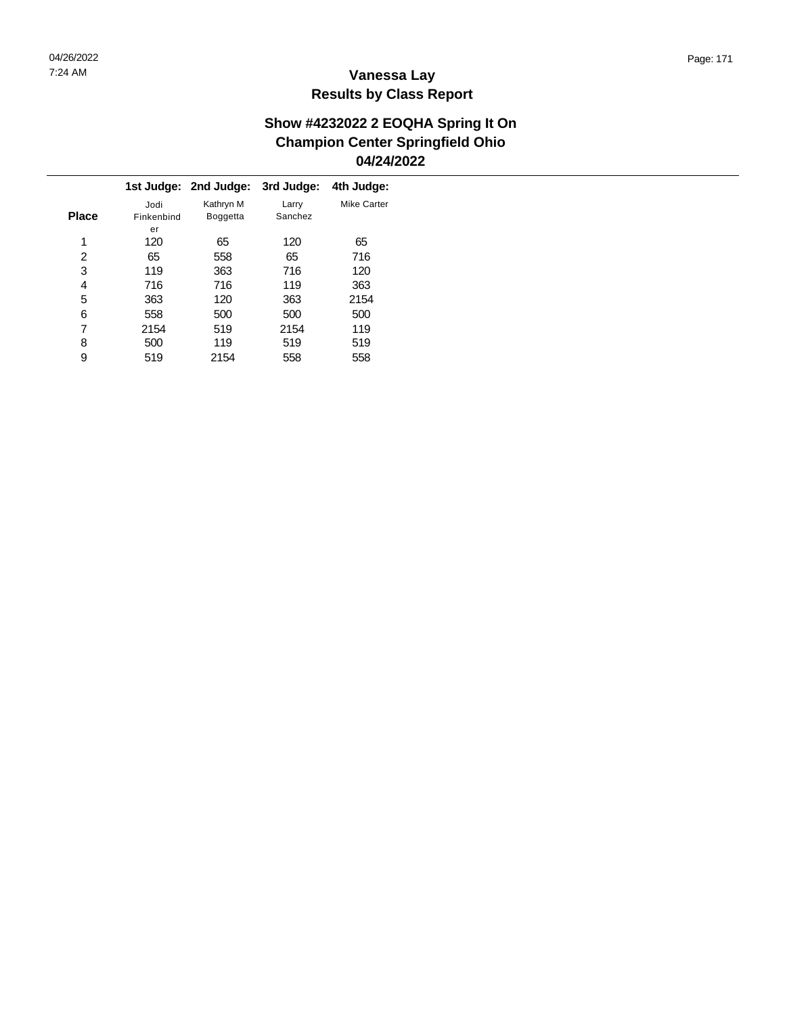#### **Show #4232022 2 EOQHA Spring It On Champion Center Springfield Ohio 04/24/2022**

|              |            | 1st Judge: 2nd Judge: | 3rd Judge: | 4th Judge:  |
|--------------|------------|-----------------------|------------|-------------|
|              | Jodi       | Kathryn M             | Larry      | Mike Carter |
| <b>Place</b> | Finkenbind | <b>Boggetta</b>       | Sanchez    |             |
|              | er         |                       |            |             |
| 1            | 120        | 65                    | 120        | 65          |
| 2            | 65         | 558                   | 65         | 716         |
| 3            | 119        | 363                   | 716        | 120         |
| 4            | 716        | 716                   | 119        | 363         |
| 5            | 363        | 120                   | 363        | 2154        |
| 6            | 558        | 500                   | 500        | 500         |
| 7            | 2154       | 519                   | 2154       | 119         |
| 8            | 500        | 119                   | 519        | 519         |
| 9            | 519        | 2154                  | 558        | 558         |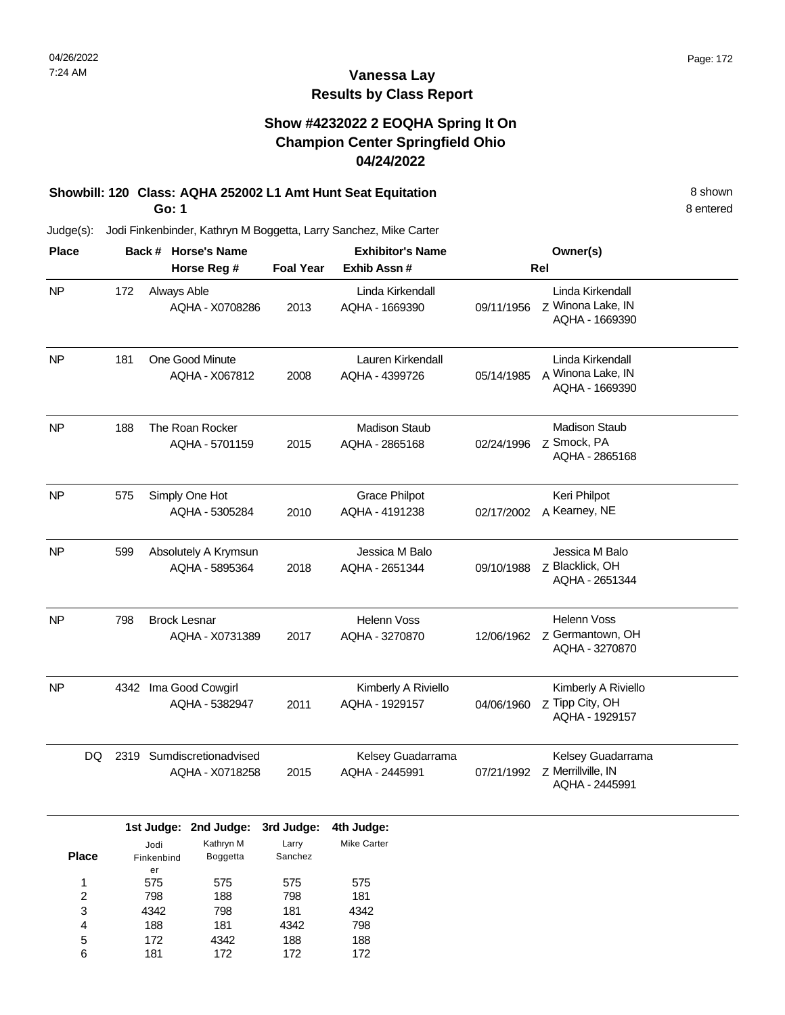#### **Show #4232022 2 EOQHA Spring It On Champion Center Springfield Ohio 04/24/2022**

#### **Showbill: 120 Class: AQHA 252002 L1 Amt Hunt Seat Equitation** 8 shown

**Go: 1**

Judge(s): Jodi Finkenbinder, Kathryn M Boggetta, Larry Sanchez, Mike Carter

| <b>Place</b>        |     | Back # Horse's Name      |                                                | <b>Exhibitor's Name</b>        |                                        | Owner(s)   |                                                           |
|---------------------|-----|--------------------------|------------------------------------------------|--------------------------------|----------------------------------------|------------|-----------------------------------------------------------|
|                     |     |                          | Horse Reg #                                    | <b>Foal Year</b>               | Exhib Assn#                            |            | Rel                                                       |
| <b>NP</b>           | 172 | Always Able              | AQHA - X0708286                                | 2013                           | Linda Kirkendall<br>AQHA - 1669390     | 09/11/1956 | Linda Kirkendall<br>Z Winona Lake, IN<br>AQHA - 1669390   |
| <b>NP</b>           | 181 |                          | One Good Minute<br>AQHA - X067812              | 2008                           | Lauren Kirkendall<br>AQHA - 4399726    | 05/14/1985 | Linda Kirkendall<br>A Winona Lake, IN<br>AQHA - 1669390   |
| NP                  | 188 |                          | The Roan Rocker<br>AQHA - 5701159              | 2015                           | <b>Madison Staub</b><br>AQHA - 2865168 | 02/24/1996 | <b>Madison Staub</b><br>z Smock, PA<br>AQHA - 2865168     |
| <b>NP</b>           | 575 |                          | Simply One Hot<br>AQHA - 5305284               | 2010                           | <b>Grace Philpot</b><br>AQHA - 4191238 | 02/17/2002 | Keri Philpot<br>A Kearney, NE                             |
| <b>NP</b>           | 599 |                          | Absolutely A Krymsun<br>AQHA - 5895364         | 2018                           | Jessica M Balo<br>AQHA - 2651344       | 09/10/1988 | Jessica M Balo<br>Z Blacklick, OH<br>AQHA - 2651344       |
| <b>NP</b>           | 798 | <b>Brock Lesnar</b>      | AQHA - X0731389                                | 2017                           | <b>Helenn Voss</b><br>AQHA - 3270870   | 12/06/1962 | <b>Helenn Voss</b><br>Z Germantown, OH<br>AQHA - 3270870  |
| <b>NP</b>           |     |                          | 4342 Ima Good Cowgirl<br>AQHA - 5382947        | 2011                           | Kimberly A Riviello<br>AQHA - 1929157  | 04/06/1960 | Kimberly A Riviello<br>Z Tipp City, OH<br>AQHA - 1929157  |
| DQ                  |     |                          | 2319 Sumdiscretionadvised<br>AQHA - X0718258   | 2015                           | Kelsey Guadarrama<br>AQHA - 2445991    | 07/21/1992 | Kelsey Guadarrama<br>Z Merrillville, IN<br>AQHA - 2445991 |
| <b>Place</b>        |     | Jodi<br>Finkenbind<br>er | 1st Judge: 2nd Judge:<br>Kathryn M<br>Boggetta | 3rd Judge:<br>Larry<br>Sanchez | 4th Judge:<br><b>Mike Carter</b>       |            |                                                           |
| 1<br>$\overline{2}$ |     | 575<br>798               | 575<br>188                                     | 575<br>798                     | 575<br>181                             |            |                                                           |

8 entered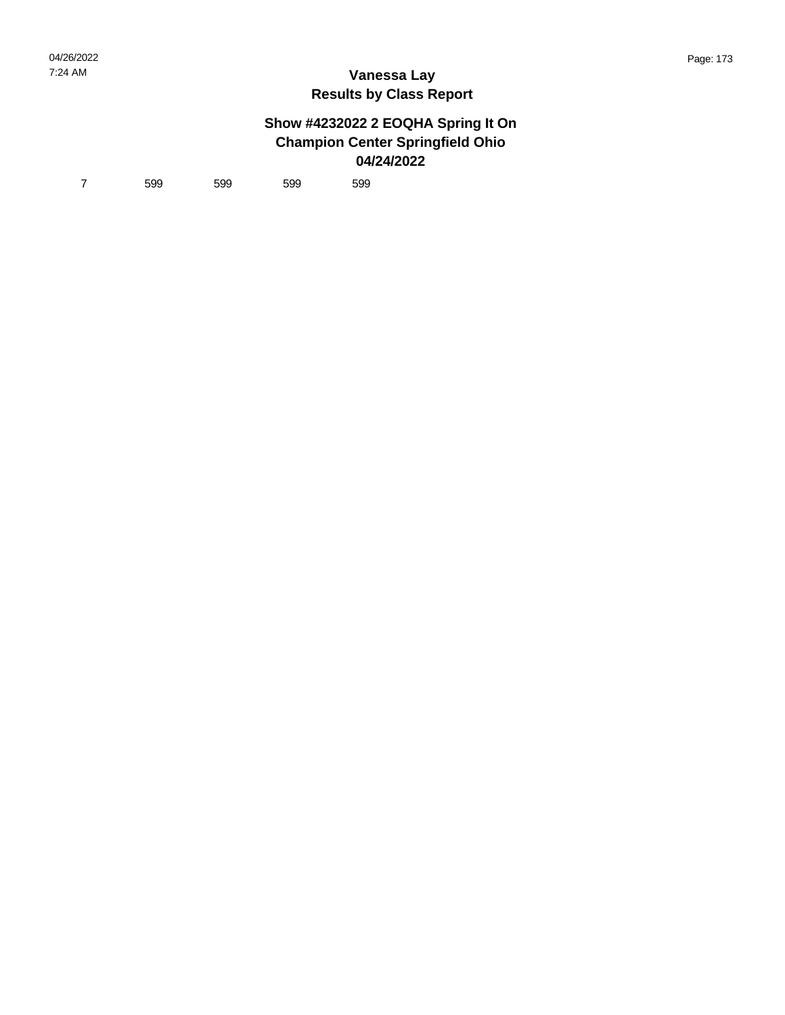### **Show #4232022 2 EOQHA Spring It On Champion Center Springfield Ohio 04/24/2022**

7 599 599 599 599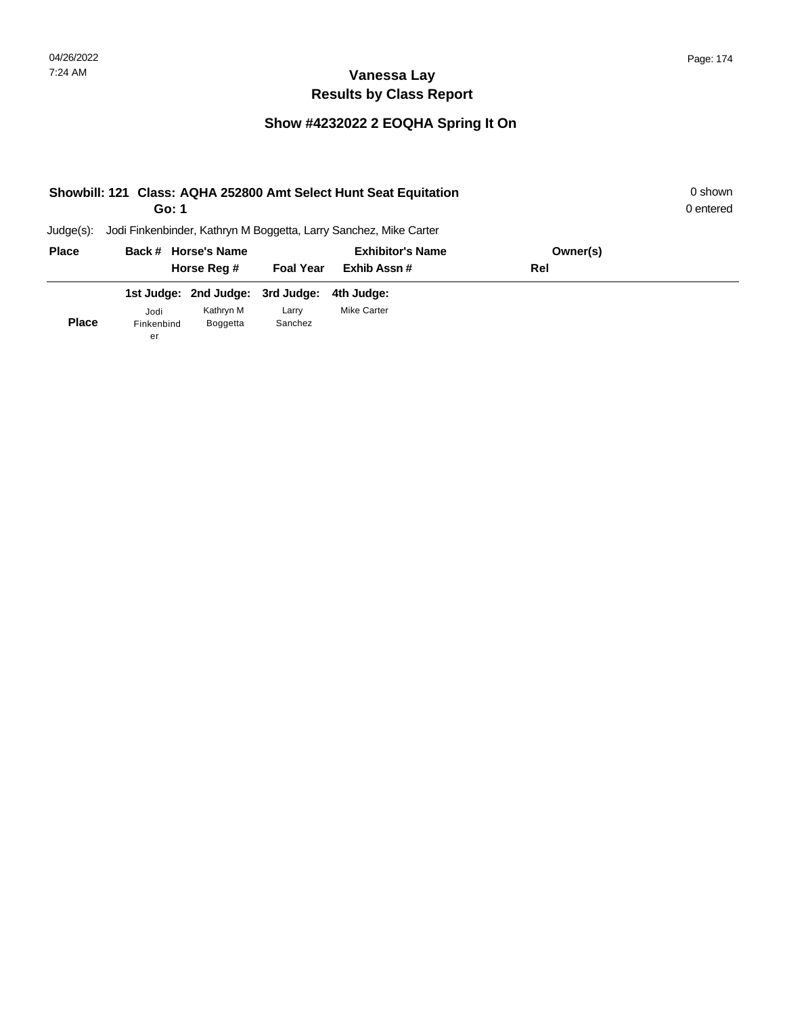# **Show #4232022 2 EOQHA Spring It On**

|              | Go: 1            |                       |                  | Showbill: 121 Class: AQHA 252800 Amt Select Hunt Seat Equitation  |          | 0 shown<br>0 entered |
|--------------|------------------|-----------------------|------------------|-------------------------------------------------------------------|----------|----------------------|
| $Judge(s)$ : |                  |                       |                  | Jodi Finkenbinder, Kathryn M Boggetta, Larry Sanchez, Mike Carter |          |                      |
| <b>Place</b> |                  | Back # Horse's Name   |                  | <b>Exhibitor's Name</b>                                           | Owner(s) |                      |
|              |                  | Horse Reg #           | <b>Foal Year</b> | Exhib Assn#                                                       | Rel      |                      |
|              |                  | 1st Judge: 2nd Judge: | 3rd Judge:       | 4th Judge:                                                        |          |                      |
|              | Jodi             | Kathryn M             | Larry            | Mike Carter                                                       |          |                      |
| <b>Place</b> | Finkenbind<br>er | <b>Boggetta</b>       | Sanchez          |                                                                   |          |                      |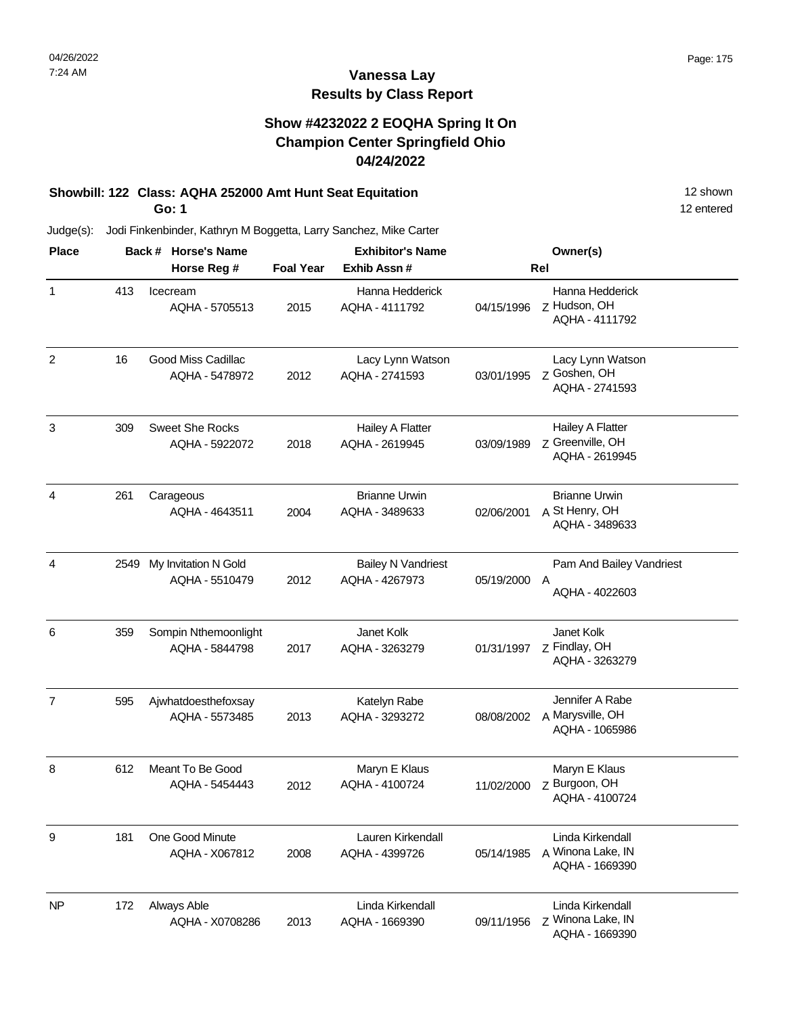### **Vanessa Lay Results by Class Report**

#### **Show #4232022 2 EOQHA Spring It On Champion Center Springfield Ohio 04/24/2022**

# **Showbill: 122 Class: AQHA 252000 Amt Hunt Seat Equitation** 12 Shown 12 shown

**Go: 1**

| <b>Place</b>   |      | Back # Horse's Name                      |                  | <b>Exhibitor's Name</b>                     |            | Owner(s)                                                 |  |
|----------------|------|------------------------------------------|------------------|---------------------------------------------|------------|----------------------------------------------------------|--|
|                |      | Horse Reg #                              | <b>Foal Year</b> | Exhib Assn#                                 | Rel        |                                                          |  |
| $\mathbf{1}$   | 413  | Icecream<br>AQHA - 5705513               | 2015             | Hanna Hedderick<br>AQHA - 4111792           | 04/15/1996 | Hanna Hedderick<br>Z Hudson, OH<br>AQHA - 4111792        |  |
| 2              | 16   | Good Miss Cadillac<br>AQHA - 5478972     | 2012             | Lacy Lynn Watson<br>AQHA - 2741593          | 03/01/1995 | Lacy Lynn Watson<br>Z Goshen, OH<br>AQHA - 2741593       |  |
| 3              | 309  | <b>Sweet She Rocks</b><br>AQHA - 5922072 | 2018             | Hailey A Flatter<br>AQHA - 2619945          | 03/09/1989 | Hailey A Flatter<br>Z Greenville, OH<br>AQHA - 2619945   |  |
| 4              | 261  | Carageous<br>AQHA - 4643511              | 2004             | <b>Brianne Urwin</b><br>AQHA - 3489633      | 02/06/2001 | <b>Brianne Urwin</b><br>A St Henry, OH<br>AQHA - 3489633 |  |
| 4              | 2549 | My Invitation N Gold<br>AQHA - 5510479   | 2012             | <b>Bailey N Vandriest</b><br>AQHA - 4267973 | 05/19/2000 | Pam And Bailey Vandriest<br>A<br>AQHA - 4022603          |  |
| 6              | 359  | Sompin Nthemoonlight<br>AQHA - 5844798   | 2017             | Janet Kolk<br>AQHA - 3263279                | 01/31/1997 | Janet Kolk<br>Z Findlay, OH<br>AQHA - 3263279            |  |
| $\overline{7}$ | 595  | Ajwhatdoesthefoxsay<br>AQHA - 5573485    | 2013             | Katelyn Rabe<br>AQHA - 3293272              | 08/08/2002 | Jennifer A Rabe<br>A Marysville, OH<br>AQHA - 1065986    |  |
| 8              | 612  | Meant To Be Good<br>AQHA - 5454443       | 2012             | Maryn E Klaus<br>AQHA - 4100724             | 11/02/2000 | Maryn E Klaus<br>Z Burgoon, OH<br>AQHA - 4100724         |  |
| 9              | 181  | One Good Minute<br>AQHA - X067812        | 2008             | Lauren Kirkendall<br>AQHA - 4399726         | 05/14/1985 | Linda Kirkendall<br>A Winona Lake, IN<br>AQHA - 1669390  |  |
| <b>NP</b>      | 172  | Always Able<br>AQHA - X0708286           | 2013             | Linda Kirkendall<br>AQHA - 1669390          | 09/11/1956 | Linda Kirkendall<br>Z Winona Lake, IN<br>AQHA - 1669390  |  |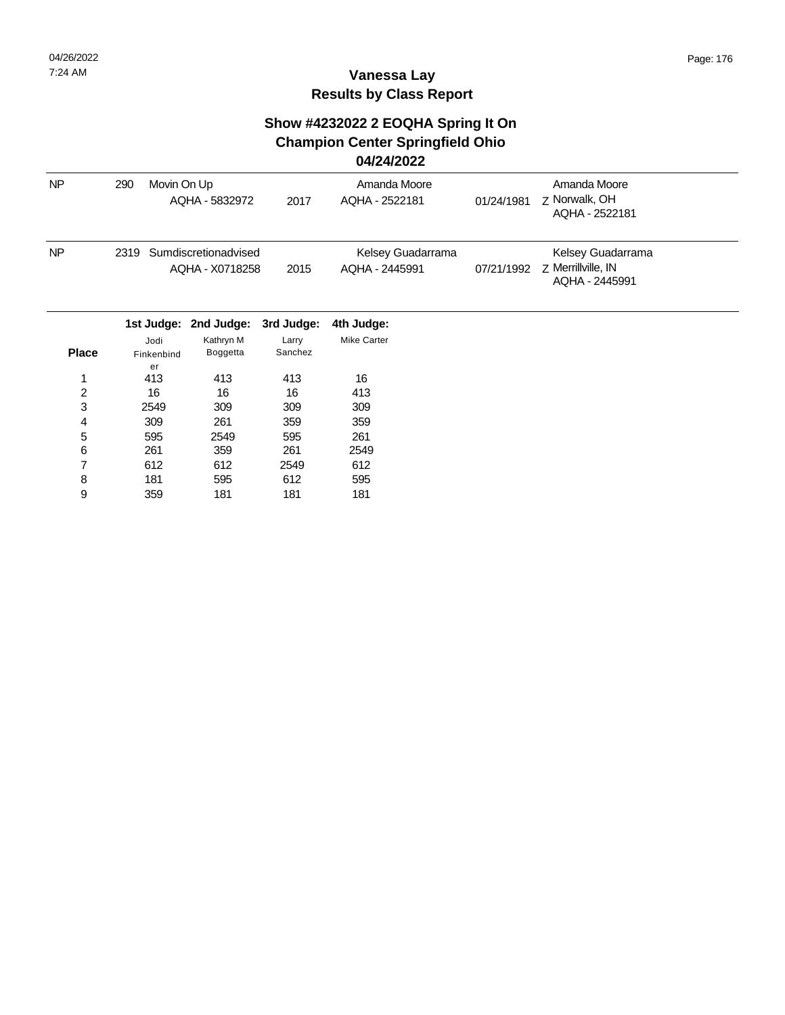#### **Show #4232022 2 EOQHA Spring It On Champion Center Springfield Ohio**

#### **04/24/2022**

| <b>NP</b>    | 290                      | Movin On Up<br>AQHA - 5832972           | 2017             | Amanda Moore<br>AQHA - 2522181      | 01/24/1981 | Amanda Moore<br>z Norwalk, OH<br>AQHA - 2522181           |
|--------------|--------------------------|-----------------------------------------|------------------|-------------------------------------|------------|-----------------------------------------------------------|
| <b>NP</b>    | 2319                     | Sumdiscretionadvised<br>AQHA - X0718258 | 2015             | Kelsey Guadarrama<br>AQHA - 2445991 | 07/21/1992 | Kelsey Guadarrama<br>Z Merrillville, IN<br>AQHA - 2445991 |
|              | 1st Judge:               | 2nd Judge:                              | 3rd Judge:       | 4th Judge:                          |            |                                                           |
| <b>Place</b> | Jodi<br>Finkenbind<br>er | Kathryn M<br>Boggetta                   | Larry<br>Sanchez | <b>Mike Carter</b>                  |            |                                                           |
| 1            | 413                      | 413                                     | 413              | 16                                  |            |                                                           |
| 2            | 16                       | 16                                      | 16               | 413                                 |            |                                                           |
| 3            | 2549                     | 309                                     | 309              | 309                                 |            |                                                           |
| 4            | 309                      | 261                                     | 359              | 359                                 |            |                                                           |
| 5            | 595                      | 2549                                    | 595              | 261                                 |            |                                                           |
| 6            | 261                      | 359                                     | 261              | 2549                                |            |                                                           |
| 7            | 612                      | 612                                     | 2549             | 612                                 |            |                                                           |
| 8            | 181                      | 595                                     | 612              | 595                                 |            |                                                           |
| 9            | 359                      | 181                                     | 181              | 181                                 |            |                                                           |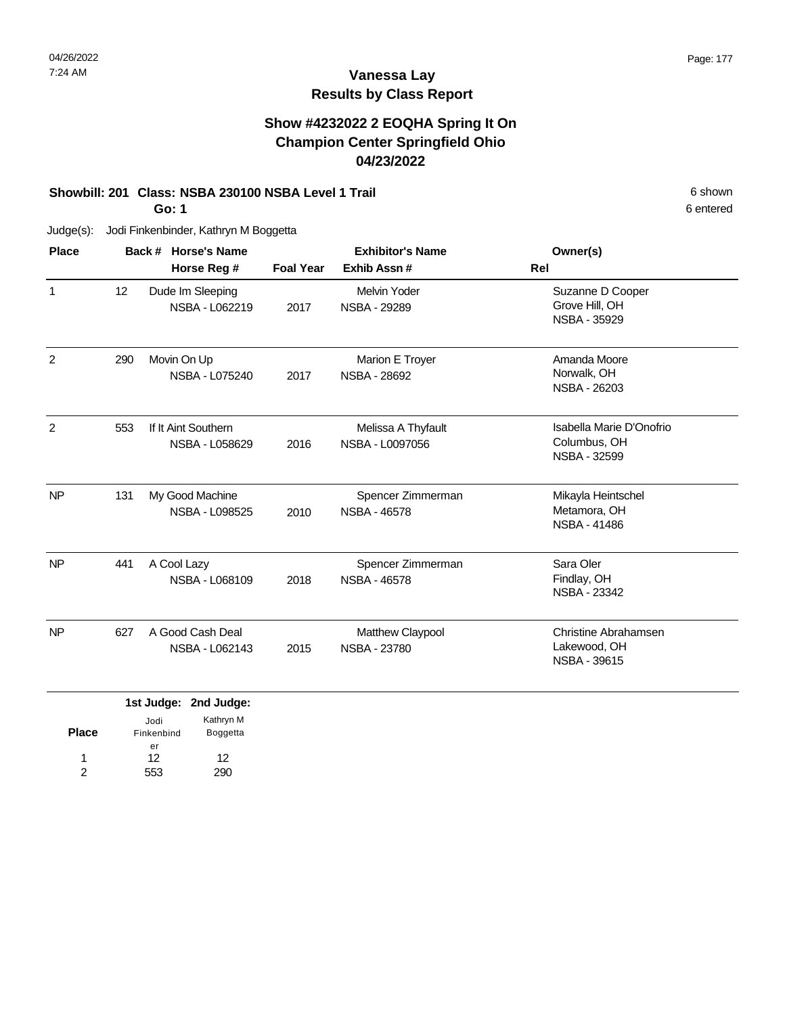#### **Show #4232022 2 EOQHA Spring It On Champion Center Springfield Ohio 04/23/2022**

#### **Showbill: 201 Class: NSBA 230100 NSBA Level 1 Trail 6 Shown 6 Shown 6 Shown 6 Shown**

**Go: 1**

Judge(s): Jodi Finkenbinder, Kathryn M Boggetta

| <b>Place</b> | Back # Horse's Name |                                          | <b>Exhibitor's Name</b> |                                          | Owner(s)                                                        |
|--------------|---------------------|------------------------------------------|-------------------------|------------------------------------------|-----------------------------------------------------------------|
|              |                     | Horse Reg #                              | <b>Foal Year</b>        | Exhib Assn#                              | Rel                                                             |
| $\mathbf{1}$ | 12                  | Dude Im Sleeping<br>NSBA - L062219       | 2017                    | Melvin Yoder<br><b>NSBA - 29289</b>      | Suzanne D Cooper<br>Grove Hill, OH<br>NSBA - 35929              |
| 2            | 290                 | Movin On Up<br><b>NSBA - L075240</b>     | 2017                    | Marion E Troyer<br>NSBA - 28692          | Amanda Moore<br>Norwalk, OH<br>NSBA - 26203                     |
| 2            | 553                 | If It Aint Southern<br>NSBA - L058629    | 2016                    | Melissa A Thyfault<br>NSBA - L0097056    | Isabella Marie D'Onofrio<br>Columbus, OH<br><b>NSBA - 32599</b> |
| <b>NP</b>    | 131                 | My Good Machine<br><b>NSBA - L098525</b> | 2010                    | Spencer Zimmerman<br><b>NSBA - 46578</b> | Mikayla Heintschel<br>Metamora, OH<br>NSBA - 41486              |
| <b>NP</b>    | 441                 | A Cool Lazy<br><b>NSBA - L068109</b>     | 2018                    | Spencer Zimmerman<br><b>NSBA - 46578</b> | Sara Oler<br>Findlay, OH<br>NSBA - 23342                        |
| <b>NP</b>    | 627                 | A Good Cash Deal<br>NSBA - L062143       | 2015                    | Matthew Claypool<br><b>NSBA - 23780</b>  | Christine Abrahamsen<br>Lakewood, OH<br>NSBA - 39615            |
|              |                     |                                          |                         |                                          |                                                                 |

|            | 1st Judge: 2nd Judge: |
|------------|-----------------------|
| Jodi       | Kathryn M             |
| Finkenbind | <b>Boggetta</b>       |
| er         |                       |
| 12         | 12                    |
| 553        | 290                   |
|            |                       |

6 entered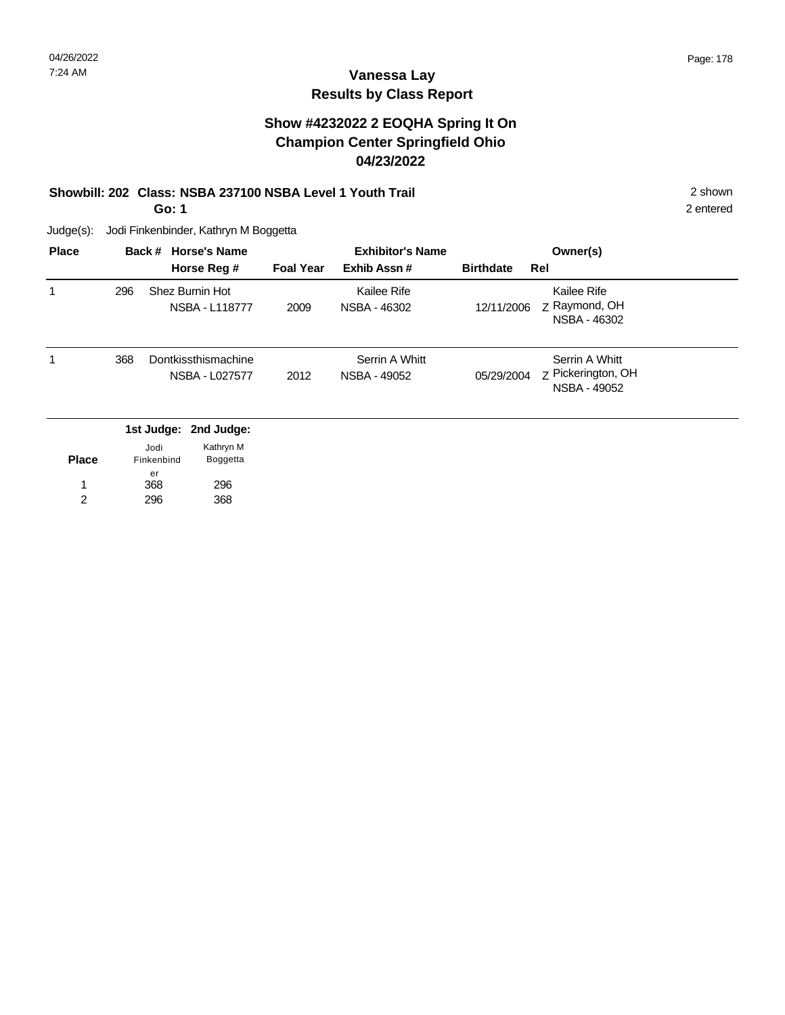#### **Vanessa Lay Results by Class Report**

#### **Show #4232022 2 EOQHA Spring It On Champion Center Springfield Ohio 04/23/2022**

#### **Showbill: 202 Class: NSBA 237100 NSBA Level 1 Youth Trail** 2 shown

296 368

**Go: 1**

Judge(s): Jodi Finkenbinder, Kathryn M Boggetta

368 296

1 2

| <b>Place</b> |     | Back # Horse's Name<br>Horse Reg #                                         | <b>Foal Year</b> | <b>Exhibitor's Name</b><br>Exhib Assn# | Owner(s)<br><b>Birthdate</b><br>Rel                                |
|--------------|-----|----------------------------------------------------------------------------|------------------|----------------------------------------|--------------------------------------------------------------------|
|              | 296 | Shez Burnin Hot<br>NSBA - L118777                                          | 2009             | Kailee Rife<br>NSBA - 46302            | Kailee Rife<br>Z Raymond, OH<br>12/11/2006<br>NSBA - 46302         |
|              | 368 | Dontkissthismachine<br>NSBA - L027577                                      | 2012             | Serrin A Whitt<br>NSBA - 49052         | Serrin A Whitt<br>z Pickerington, OH<br>05/29/2004<br>NSBA - 49052 |
| <b>Place</b> |     | 1st Judge: 2nd Judge:<br>Kathryn M<br>Jodi<br>Finkenbind<br>Boggetta<br>er |                  |                                        |                                                                    |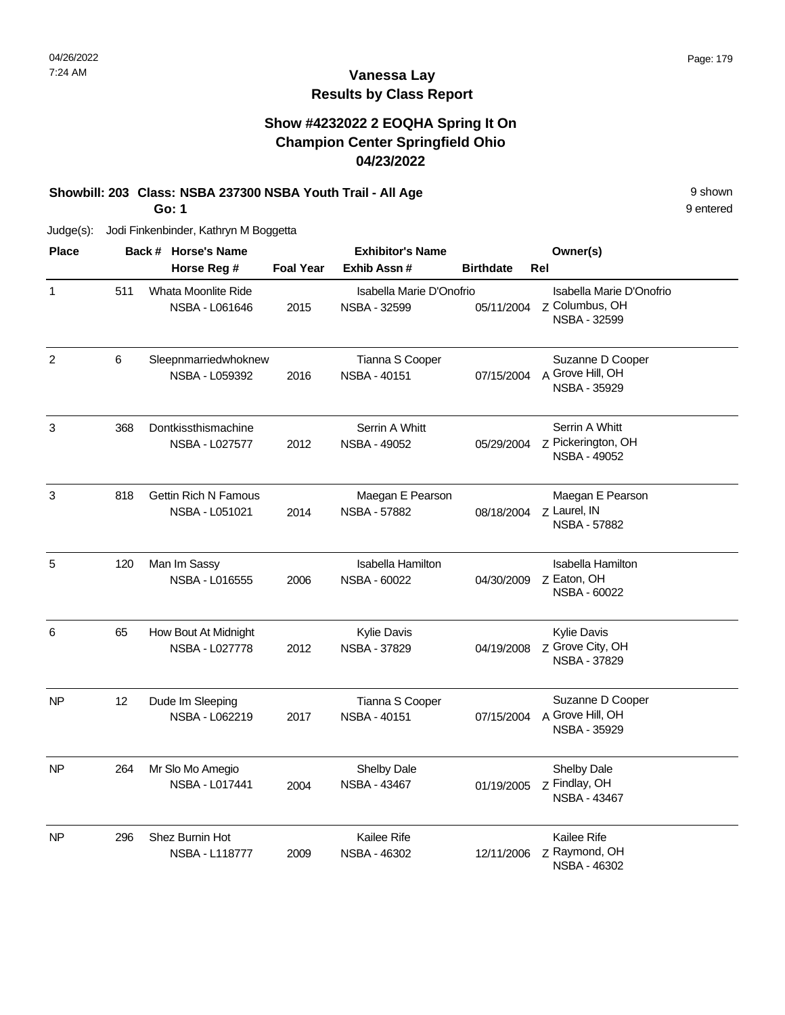#### **Show #4232022 2 EOQHA Spring It On Champion Center Springfield Ohio 04/23/2022**

#### **Showbill: 203 Class: NSBA 237300 NSBA Youth Trail - All Age 9 Shown 9 shown**

**Go: 1**

Judge(s): Jodi Finkenbinder, Kathryn M Boggetta

| <b>Place</b>   |     | Back # Horse's Name                           |                  | <b>Exhibitor's Name</b>                         |                  | Owner(s)                                                    |
|----------------|-----|-----------------------------------------------|------------------|-------------------------------------------------|------------------|-------------------------------------------------------------|
|                |     | Horse Reg #                                   | <b>Foal Year</b> | Exhib Assn#                                     | <b>Birthdate</b> | Rel                                                         |
| $\mathbf{1}$   | 511 | Whata Moonlite Ride<br>NSBA - L061646         | 2015             | Isabella Marie D'Onofrio<br><b>NSBA - 32599</b> | 05/11/2004       | Isabella Marie D'Onofrio<br>Z Columbus, OH<br>NSBA - 32599  |
| $\overline{2}$ | 6   | Sleepnmarriedwhoknew<br>NSBA - L059392        | 2016             | Tianna S Cooper<br>NSBA - 40151                 | 07/15/2004       | Suzanne D Cooper<br>A Grove Hill, OH<br><b>NSBA - 35929</b> |
| 3              | 368 | Dontkissthismachine<br>NSBA - L027577         | 2012             | Serrin A Whitt<br><b>NSBA - 49052</b>           | 05/29/2004       | Serrin A Whitt<br>Z Pickerington, OH<br>NSBA - 49052        |
| 3              | 818 | <b>Gettin Rich N Famous</b><br>NSBA - L051021 | 2014             | Maegan E Pearson<br>NSBA - 57882                | 08/18/2004       | Maegan E Pearson<br>z Laurel, IN<br>NSBA - 57882            |
| 5              | 120 | Man Im Sassy<br>NSBA - L016555                | 2006             | <b>Isabella Hamilton</b><br>NSBA - 60022        | 04/30/2009       | <b>Isabella Hamilton</b><br>Z Eaton, OH<br>NSBA - 60022     |
| 6              | 65  | How Bout At Midnight<br>NSBA - L027778        | 2012             | Kylie Davis<br><b>NSBA - 37829</b>              | 04/19/2008       | <b>Kylie Davis</b><br>Z Grove City, OH<br>NSBA - 37829      |
| <b>NP</b>      | 12  | Dude Im Sleeping<br>NSBA - L062219            | 2017             | Tianna S Cooper<br><b>NSBA - 40151</b>          | 07/15/2004       | Suzanne D Cooper<br>A Grove Hill, OH<br>NSBA - 35929        |
| <b>NP</b>      | 264 | Mr Slo Mo Amegio<br>NSBA - L017441            | 2004             | Shelby Dale<br><b>NSBA - 43467</b>              | 01/19/2005       | Shelby Dale<br>z Findlay, OH<br>NSBA - 43467                |
| N <sub>P</sub> | 296 | Shez Burnin Hot<br><b>NSBA - L118777</b>      | 2009             | Kailee Rife<br>NSBA - 46302                     | 12/11/2006       | Kailee Rife<br>Z Raymond, OH<br>NSBA - 46302                |

9 entered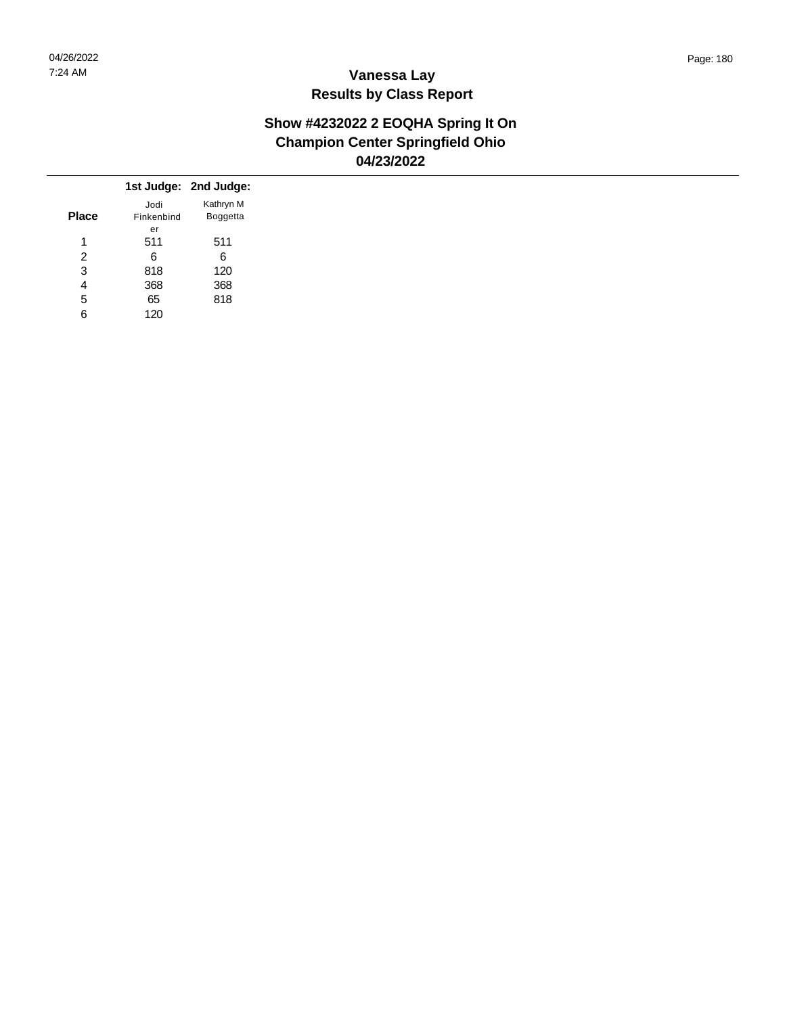#### **Show #4232022 2 EOQHA Spring It On Champion Center Springfield Ohio 04/23/2022**

|              |            | 1st Judge: 2nd Judge: |
|--------------|------------|-----------------------|
|              | Jodi       | Kathryn M             |
| <b>Place</b> | Finkenbind | Boggetta              |
|              | er         |                       |
| 1            | 511        | 511                   |
| 2            | 6          | 6                     |
| 3            | 818        | 120                   |
| 4            | 368        | 368                   |
| 5            | 65         | 818                   |
| 6            | 120        |                       |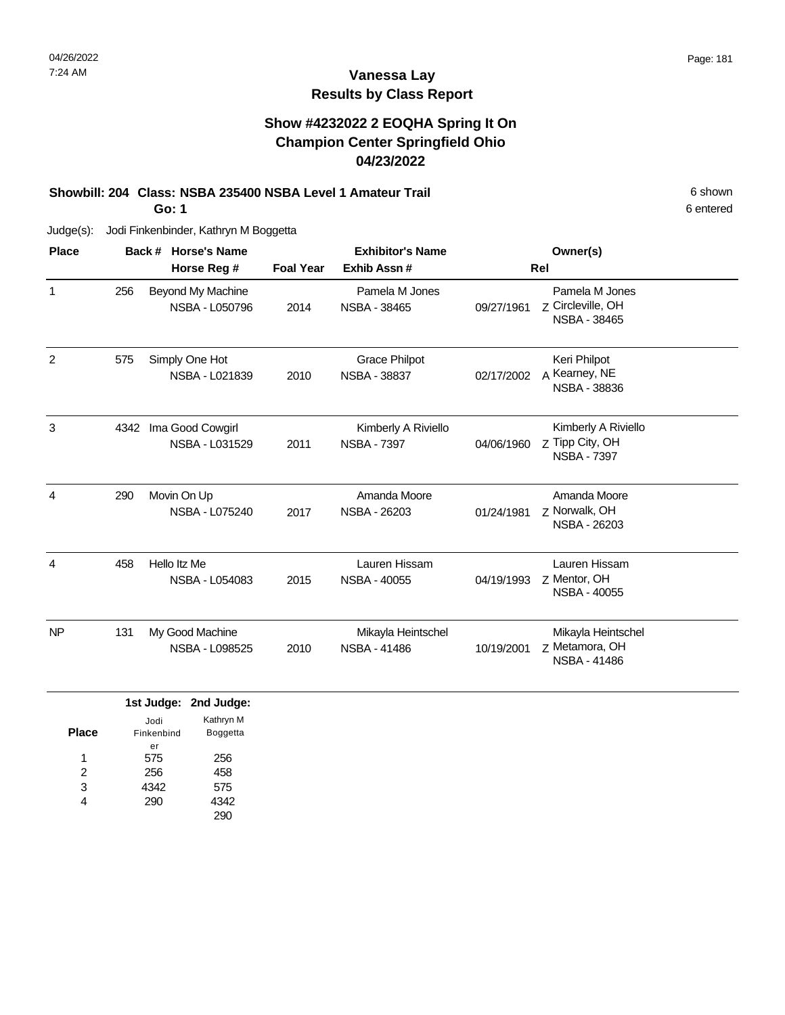### **Show #4232022 2 EOQHA Spring It On Champion Center Springfield Ohio 04/23/2022**

### **Showbill: 204 Class: NSBA 235400 NSBA Level 1 Amateur Trail** 6 shown

**Go: 1**

Judge(s): Jodi Finkenbinder, Kathryn M Boggetta

| <b>Place</b>   |      | <b>Horse's Name</b><br>Back #            |                  | <b>Exhibitor's Name</b>                     |            | Owner(s)                                                     |  |
|----------------|------|------------------------------------------|------------------|---------------------------------------------|------------|--------------------------------------------------------------|--|
|                |      | Horse Reg #                              | <b>Foal Year</b> | Exhib Assn#                                 |            | Rel                                                          |  |
| 1              | 256  | Beyond My Machine<br>NSBA - L050796      | 2014             | Pamela M Jones<br><b>NSBA - 38465</b>       | 09/27/1961 | Pamela M Jones<br>Z Circleville, OH<br><b>NSBA - 38465</b>   |  |
| 2              | 575  | Simply One Hot<br>NSBA - L021839         | 2010             | <b>Grace Philpot</b><br><b>NSBA - 38837</b> | 02/17/2002 | Keri Philpot<br>A Kearney, NE<br><b>NSBA - 38836</b>         |  |
| 3              | 4342 | Ima Good Cowgirl<br>NSBA - L031529       | 2011             | Kimberly A Riviello<br><b>NSBA - 7397</b>   | 04/06/1960 | Kimberly A Riviello<br>Z Tipp City, OH<br><b>NSBA - 7397</b> |  |
| 4              | 290  | Movin On Up<br><b>NSBA - L075240</b>     | 2017             | Amanda Moore<br><b>NSBA - 26203</b>         | 01/24/1981 | Amanda Moore<br>z Norwalk, OH<br>NSBA - 26203                |  |
| $\overline{4}$ | 458  | Hello Itz Me<br>NSBA - L054083           | 2015             | Lauren Hissam<br><b>NSBA - 40055</b>        | 04/19/1993 | Lauren Hissam<br>Z Mentor, OH<br><b>NSBA - 40055</b>         |  |
| <b>NP</b>      | 131  | My Good Machine<br><b>NSBA - L098525</b> | 2010             | Mikayla Heintschel<br>NSBA - 41486          | 10/19/2001 | Mikayla Heintschel<br>Z Metamora, OH<br>NSBA - 41486         |  |

|              |            | 1st Judge: 2nd Judge: |
|--------------|------------|-----------------------|
|              | Jodi       | Kathryn M             |
| <b>Place</b> | Finkenbind | Boggetta              |
|              | er         |                       |
| 1            | 575        | 256                   |
| 2            | 256        | 458                   |
| 3            | 4342       | 575                   |
| 4            | 290        | 4342                  |
|              |            |                       |

6 entered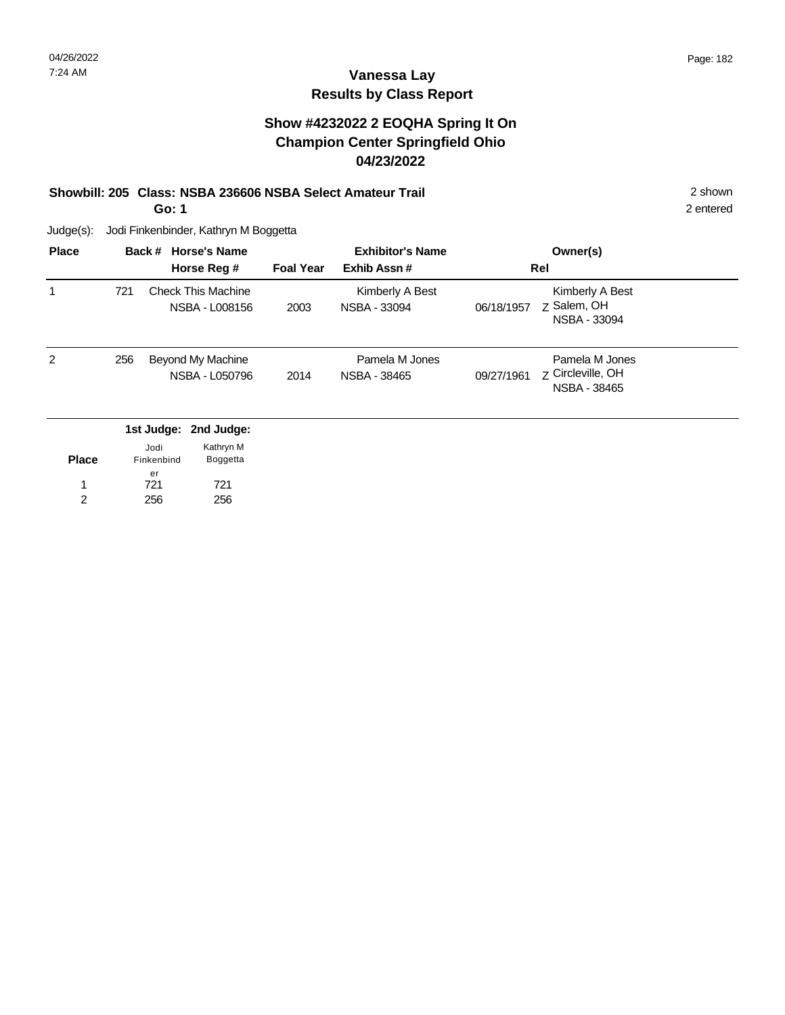### **Vanessa Lay Results by Class Report**

### **Show #4232022 2 EOQHA Spring It On Champion Center Springfield Ohio 04/23/2022**

### **Showbill: 205 Class: NSBA 236606 NSBA Select Amateur Trail** 2 shown

**Go: 1**

Judge(s): Jodi Finkenbinder, Kathryn M Boggetta

721 256

1 2

| <b>Place</b> |     | Back # Horse's Name<br>Horse Reg #                                         | <b>Foal Year</b> | <b>Exhibitor's Name</b><br>Exhib Assn# | Owner(s)<br>Rel                                                                 |  |
|--------------|-----|----------------------------------------------------------------------------|------------------|----------------------------------------|---------------------------------------------------------------------------------|--|
|              | 721 | <b>Check This Machine</b><br>NSBA - L008156                                | 2003             | Kimberly A Best<br>NSBA - 33094        | Kimberly A Best<br>Z Salem, OH<br>06/18/1957<br><b>NSBA - 33094</b>             |  |
| 2            | 256 | Beyond My Machine<br>NSBA - L050796                                        | 2014             | Pamela M Jones<br><b>NSBA - 38465</b>  | Pamela M Jones<br><b>Z</b> Circleville, OH<br>09/27/1961<br><b>NSBA - 38465</b> |  |
| <b>Place</b> |     | 1st Judge: 2nd Judge:<br>Kathryn M<br>Jodi<br>Finkenbind<br>Boggetta<br>er |                  |                                        |                                                                                 |  |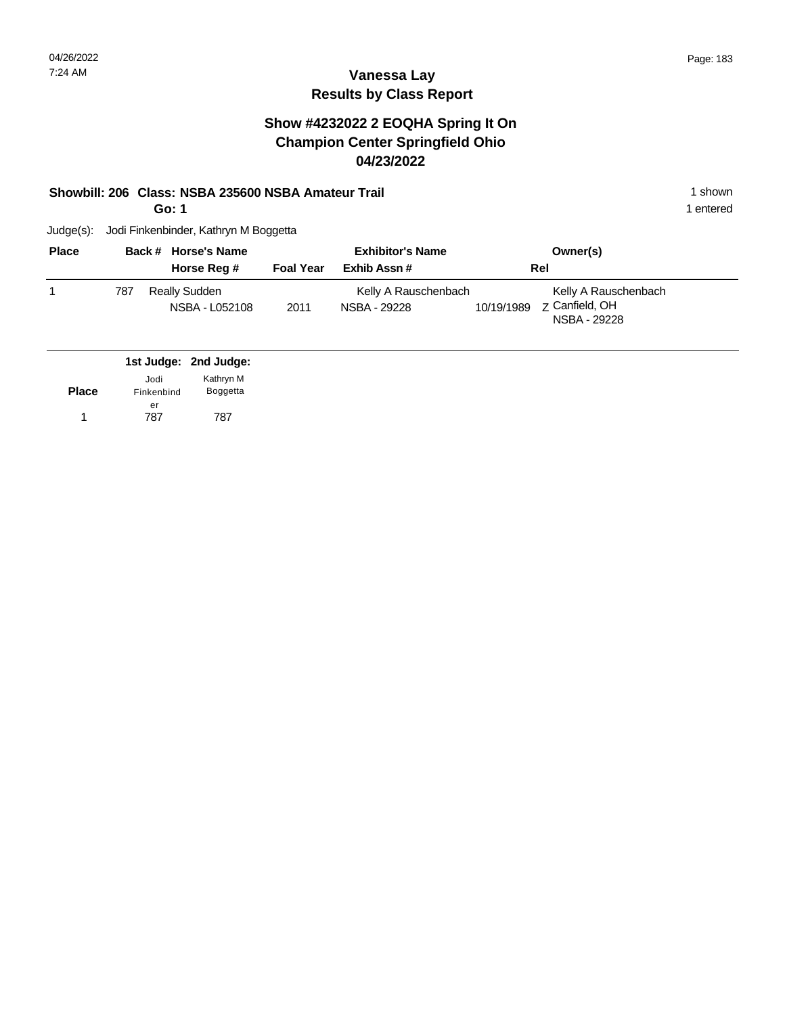### **Show #4232022 2 EOQHA Spring It On Champion Center Springfield Ohio 04/23/2022**

### **Showbill: 206 Class: NSBA 235600 NSBA Amateur Trail 1 Shown 1 shown 1 shown**

**Go: 1**

1 entered

| <b>Place</b> |     | Back # Horse's Name             |                  | <b>Exhibitor's Name</b>              |            | Owner(s)                                               |
|--------------|-----|---------------------------------|------------------|--------------------------------------|------------|--------------------------------------------------------|
|              |     | Horse Reg #                     | <b>Foal Year</b> | Exhib Assn #                         |            | Rel                                                    |
|              | 787 | Really Sudden<br>NSBA - L052108 | 2011             | Kelly A Rauschenbach<br>NSBA - 29228 | 10/19/1989 | Kelly A Rauschenbach<br>Z Canfield, OH<br>NSBA - 29228 |

|              |            | 1st Judge: 2nd Judge: |
|--------------|------------|-----------------------|
|              | Jodi       | Kathryn M             |
| <b>Place</b> | Finkenbind | <b>Boggetta</b>       |
|              | er         |                       |
|              | 787        | 787                   |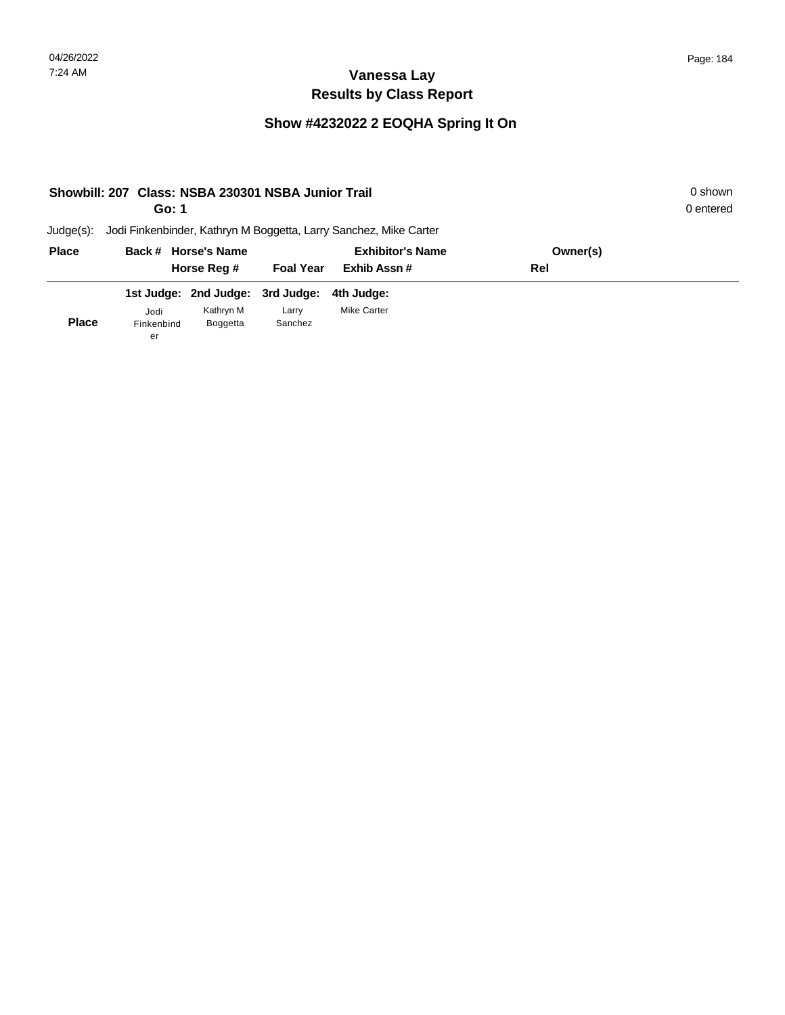# **Show #4232022 2 EOQHA Spring It On**

|              | Showbill: 207 Class: NSBA 230301 NSBA Junior Trail |                                  |                  |                                                                   |          | 0 shown   |
|--------------|----------------------------------------------------|----------------------------------|------------------|-------------------------------------------------------------------|----------|-----------|
|              | Go: 1                                              |                                  |                  |                                                                   |          | 0 entered |
| $Judge(s)$ : |                                                    |                                  |                  | Jodi Finkenbinder, Kathryn M Boggetta, Larry Sanchez, Mike Carter |          |           |
| <b>Place</b> |                                                    | Back # Horse's Name              |                  | <b>Exhibitor's Name</b>                                           | Owner(s) |           |
|              |                                                    | Horse Reg #                      | <b>Foal Year</b> | Exhib Assn#                                                       | Rel      |           |
|              |                                                    | 1st Judge: 2nd Judge: 3rd Judge: |                  | 4th Judge:                                                        |          |           |
|              | Jodi                                               | Kathryn M                        | Larry            | <b>Mike Carter</b>                                                |          |           |
|              | Finkenbind                                         | Boggetta                         | Sanchez          |                                                                   |          |           |
| <b>Place</b> | er                                                 |                                  |                  |                                                                   |          |           |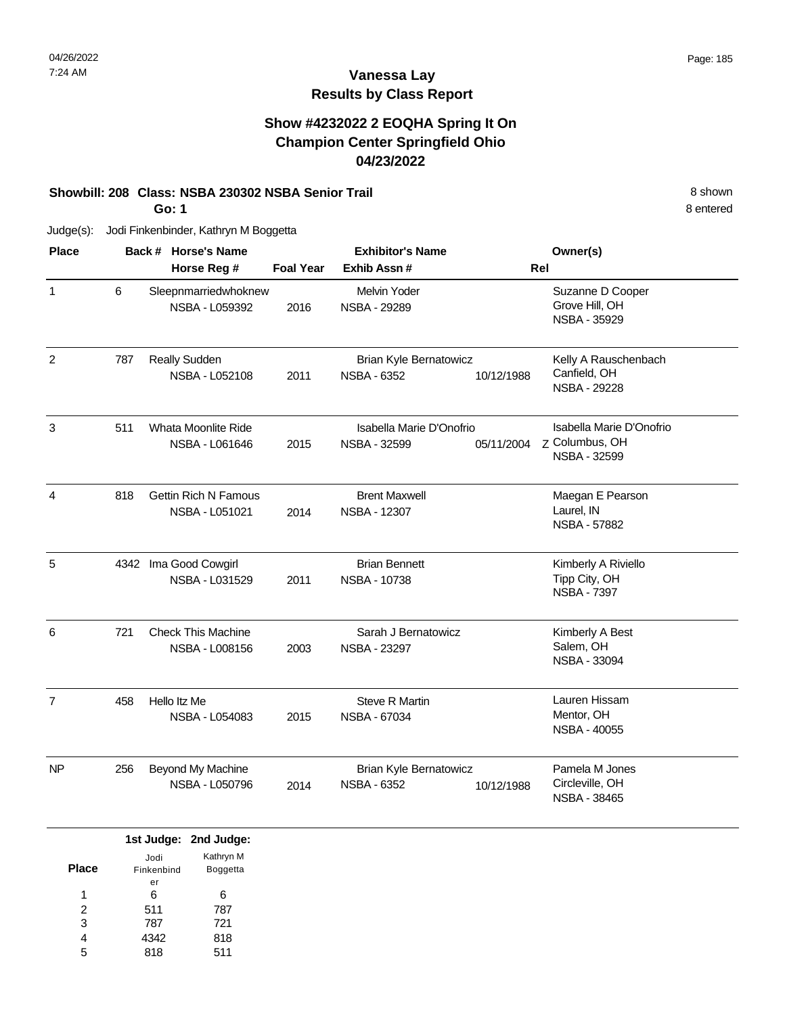### **Show #4232022 2 EOQHA Spring It On Champion Center Springfield Ohio 04/23/2022**

#### **Showbill: 208 Class: NSBA 230302 NSBA Senior Trail** 8 shown

**Go: 1**

Judge(s): Jodi Finkenbinder, Kathryn M Boggetta

| <b>Place</b>   |     | Back # Horse's Name                                |                  | <b>Exhibitor's Name</b>                             |            | Owner(s)                                                   |
|----------------|-----|----------------------------------------------------|------------------|-----------------------------------------------------|------------|------------------------------------------------------------|
|                |     | Horse Reg #                                        | <b>Foal Year</b> | Exhib Assn #                                        |            | Rel                                                        |
| 1              | 6   | Sleepnmarriedwhoknew<br>NSBA - L059392             | 2016             | Melvin Yoder<br>NSBA - 29289                        |            | Suzanne D Cooper<br>Grove Hill, OH<br>NSBA - 35929         |
| $\overline{c}$ | 787 | Really Sudden<br><b>NSBA - L052108</b>             | 2011             | <b>Brian Kyle Bernatowicz</b><br><b>NSBA - 6352</b> | 10/12/1988 | Kelly A Rauschenbach<br>Canfield, OH<br>NSBA - 29228       |
| 3              | 511 | Whata Moonlite Ride<br>NSBA - L061646              | 2015             | Isabella Marie D'Onofrio<br><b>NSBA - 32599</b>     | 05/11/2004 | Isabella Marie D'Onofrio<br>Z Columbus, OH<br>NSBA - 32599 |
| $\overline{4}$ | 818 | <b>Gettin Rich N Famous</b><br>NSBA - L051021      | 2014             | <b>Brent Maxwell</b><br>NSBA - 12307                |            | Maegan E Pearson<br>Laurel, IN<br><b>NSBA - 57882</b>      |
| 5              |     | 4342 Ima Good Cowgirl<br>NSBA - L031529            | 2011             | <b>Brian Bennett</b><br>NSBA - 10738                |            | Kimberly A Riviello<br>Tipp City, OH<br><b>NSBA - 7397</b> |
| 6              | 721 | <b>Check This Machine</b><br><b>NSBA - L008156</b> | 2003             | Sarah J Bernatowicz<br>NSBA - 23297                 |            | Kimberly A Best<br>Salem, OH<br>NSBA - 33094               |
| $\overline{7}$ | 458 | Hello Itz Me<br>NSBA - L054083                     | 2015             | <b>Steve R Martin</b><br>NSBA - 67034               |            | Lauren Hissam<br>Mentor, OH<br>NSBA - 40055                |
| <b>NP</b>      | 256 | Beyond My Machine<br><b>NSBA - L050796</b>         | 2014             | <b>Brian Kyle Bernatowicz</b><br><b>NSBA - 6352</b> | 10/12/1988 | Pamela M Jones<br>Circleville, OH<br>NSBA - 38465          |

|              |            | 1st Judge: 2nd Judge: |
|--------------|------------|-----------------------|
|              | Jodi       | Kathryn M             |
| <b>Place</b> | Finkenbind | Boggetta              |
|              | er         |                       |
| 1            | 6          | 6                     |
| 2            | 511        | 787                   |
| 3            | 787        | 721                   |
| 4            | 4342       | 818                   |
| 5            | 818        | 511                   |

8 entered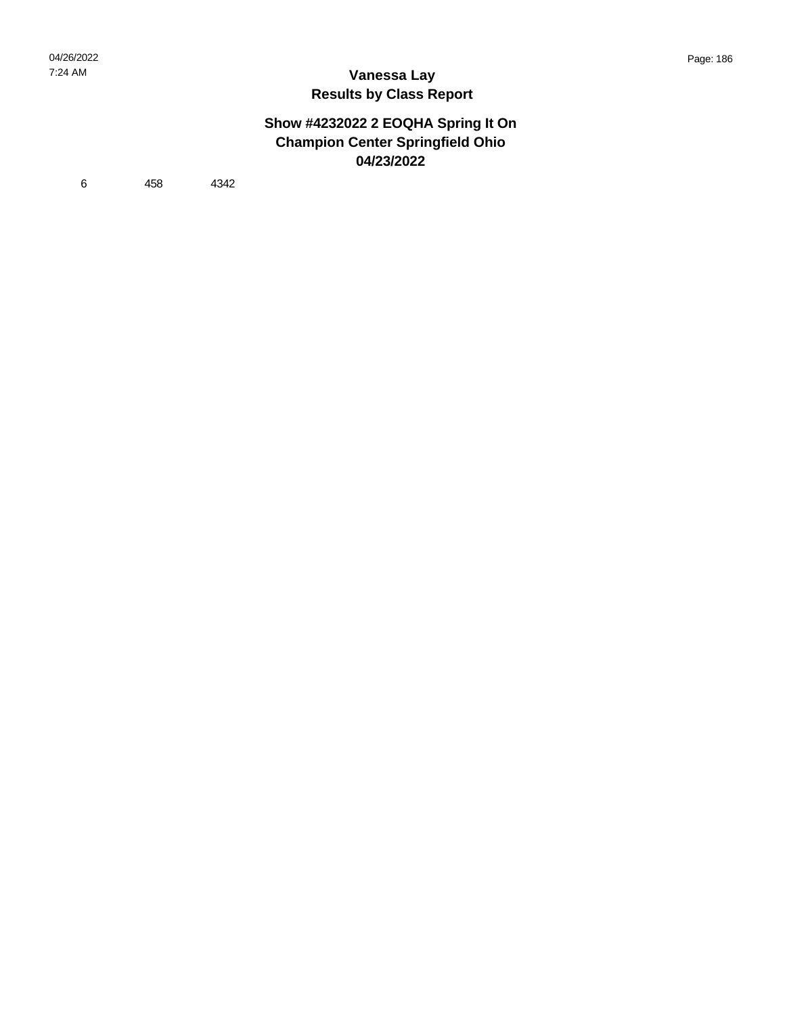### **Show #4232022 2 EOQHA Spring It On Champion Center Springfield Ohio 04/23/2022**

6 458 4342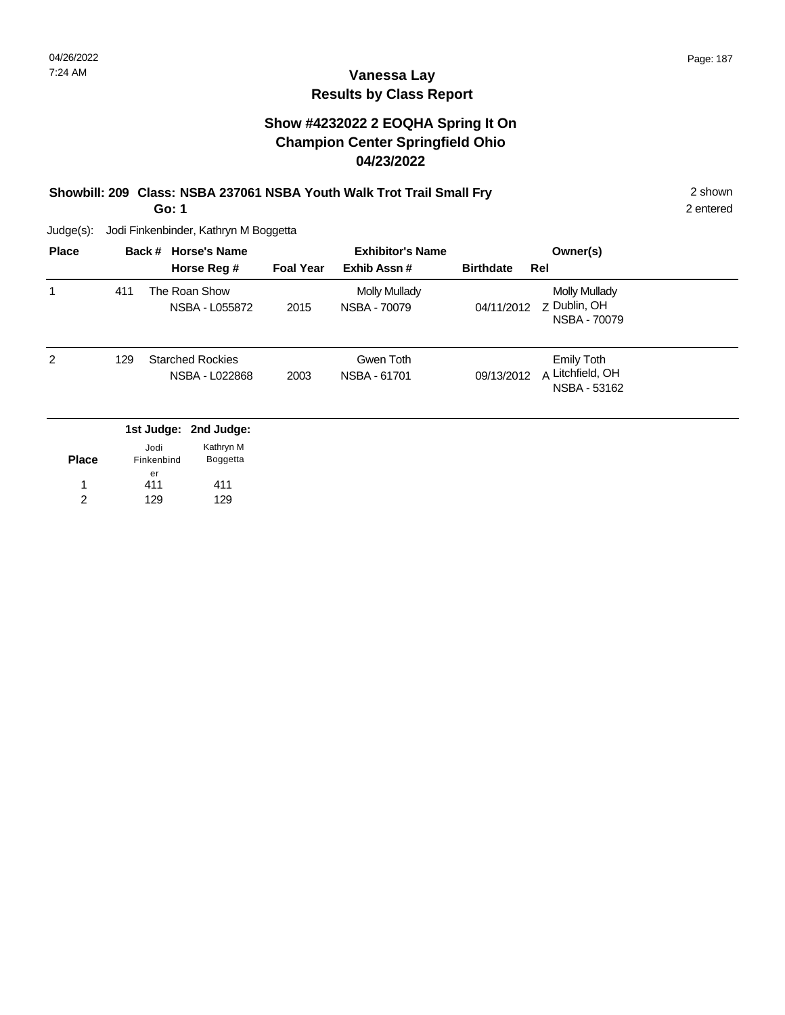### **Vanessa Lay Results by Class Report**

### **Show #4232022 2 EOQHA Spring It On Champion Center Springfield Ohio 04/23/2022**

### **Showbill: 209 Class: NSBA 237061 NSBA Youth Walk Trot Trail Small Fry** 2 shown 2 shown

**Go: 1**

Judge(s): Jodi Finkenbinder, Kathryn M Boggetta

| <b>Place</b> |     |                          | Back # Horse's Name<br>Horse Reg #        | <b>Foal Year</b> | <b>Exhibitor's Name</b><br>Exhib Assn# | <b>Birthdate</b> | Owner(s)<br>Rel                                       |
|--------------|-----|--------------------------|-------------------------------------------|------------------|----------------------------------------|------------------|-------------------------------------------------------|
|              | 411 |                          | The Roan Show<br>NSBA - L055872           | 2015             | <b>Molly Mullady</b><br>NSBA - 70079   | 04/11/2012       | <b>Molly Mullady</b><br>Z Dublin, OH<br>NSBA - 70079  |
| 2            | 129 |                          | <b>Starched Rockies</b><br>NSBA - L022868 | 2003             | Gwen Toth<br>NSBA - 61701              | 09/13/2012       | <b>Emily Toth</b><br>A Litchfield, OH<br>NSBA - 53162 |
|              |     |                          | 1st Judge: 2nd Judge:                     |                  |                                        |                  |                                                       |
| <b>Place</b> |     | Jodi<br>Finkenbind<br>er | Kathryn M<br>Boggetta                     |                  |                                        |                  |                                                       |
|              |     | 411                      | 411                                       |                  |                                        |                  |                                                       |

411 1

129 2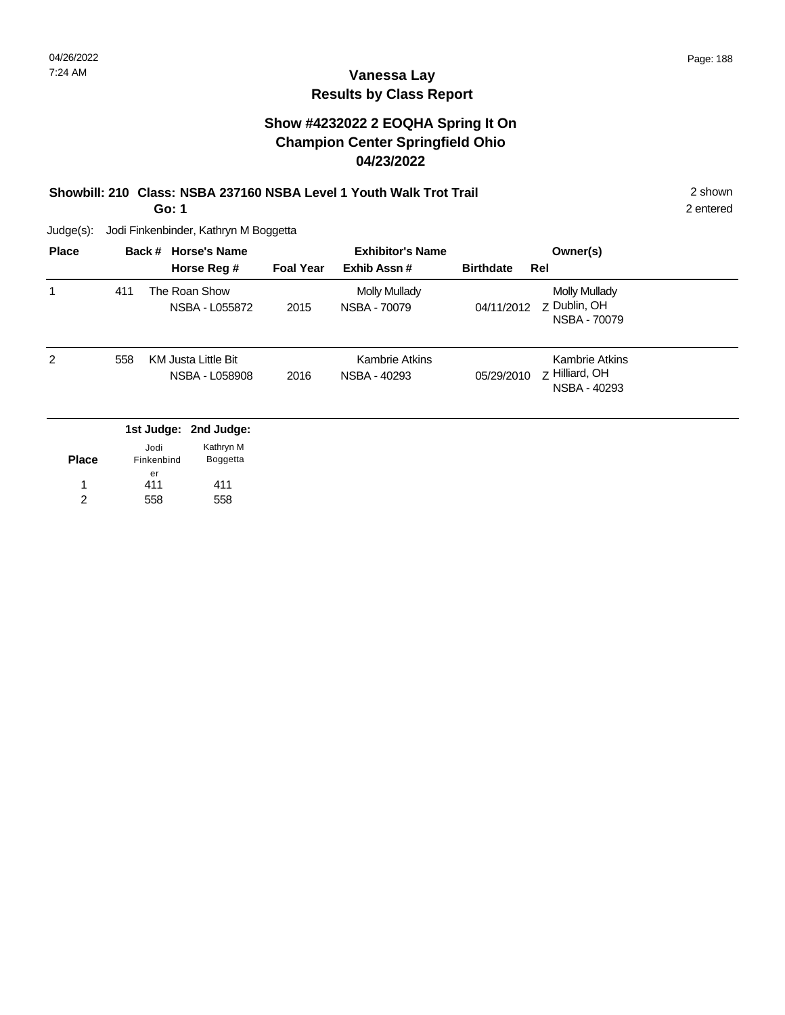### **Show #4232022 2 EOQHA Spring It On Champion Center Springfield Ohio 04/23/2022**

# **Showbill: 210 Class: NSBA 237160 NSBA Level 1 Youth Walk Trot Trail** 2 shown

**Go: 1**

2 entered

Judge(s): Jodi Finkenbinder, Kathryn M Boggetta

| <b>Place</b> | Back # |            | <b>Horse's Name</b>                   |                  | <b>Exhibitor's Name</b>               |                  | Owner(s)                                                |
|--------------|--------|------------|---------------------------------------|------------------|---------------------------------------|------------------|---------------------------------------------------------|
|              |        |            | Horse Reg #                           | <b>Foal Year</b> | Exhib Assn#                           | <b>Birthdate</b> | Rel                                                     |
| 1            | 411    |            | The Roan Show<br>NSBA - L055872       | 2015             | <b>Molly Mullady</b><br>NSBA - 70079  | 04/11/2012       | <b>Molly Mullady</b><br>z Dublin, OH<br>NSBA - 70079    |
| 2            | 558    |            | KM Justa Little Bit<br>NSBA - L058908 | 2016             | <b>Kambrie Atkins</b><br>NSBA - 40293 | 05/29/2010       | <b>Kambrie Atkins</b><br>Z Hilliard, OH<br>NSBA - 40293 |
|              |        |            | 1st Judge: 2nd Judge:                 |                  |                                       |                  |                                                         |
|              |        | Jodi       | Kathryn M                             |                  |                                       |                  |                                                         |
| <b>Place</b> |        | Finkenbind | Boggetta                              |                  |                                       |                  |                                                         |
|              |        | er<br>411  | 411                                   |                  |                                       |                  |                                                         |

411 558 2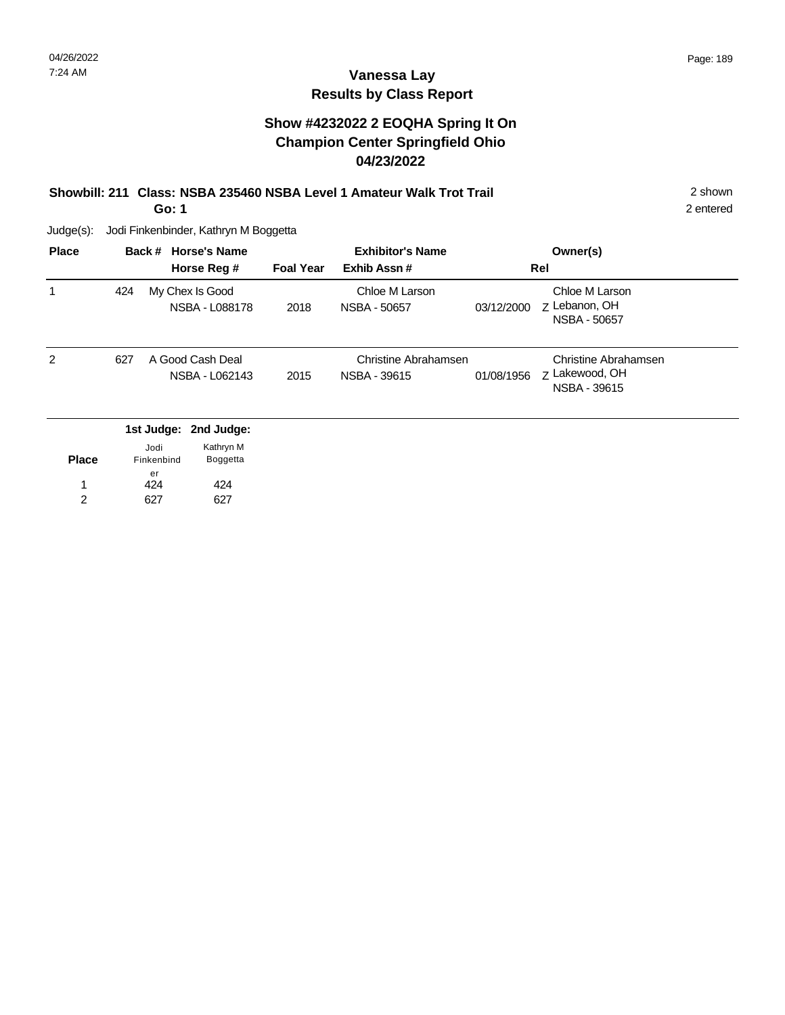### **Vanessa Lay Results by Class Report**

### **Show #4232022 2 EOQHA Spring It On Champion Center Springfield Ohio 04/23/2022**

# **Showbill: 211 Class: NSBA 235460 NSBA Level 1 Amateur Walk Trot Trail** 2 shown

**Go: 1**

424 627

1 2 424 627

| <b>Place</b> |     |                          | Back # Horse's Name<br>Horse Reg #             | <b>Foal Year</b> | <b>Exhibitor's Name</b><br>Exhib Assn# |            | Owner(s)<br>Rel                                        |
|--------------|-----|--------------------------|------------------------------------------------|------------------|----------------------------------------|------------|--------------------------------------------------------|
|              | 424 |                          | My Chex Is Good<br><b>NSBA - L088178</b>       | 2018             | Chloe M Larson<br>NSBA - 50657         | 03/12/2000 | Chloe M Larson<br>Z Lebanon, OH<br><b>NSBA - 50657</b> |
| 2            | 627 |                          | A Good Cash Deal<br>NSBA - L062143             | 2015             | Christine Abrahamsen<br>NSBA - 39615   | 01/08/1956 | Christine Abrahamsen<br>7 Lakewood, OH<br>NSBA - 39615 |
| <b>Place</b> |     | Jodi<br>Finkenbind<br>er | 1st Judge: 2nd Judge:<br>Kathryn M<br>Boggetta |                  |                                        |            |                                                        |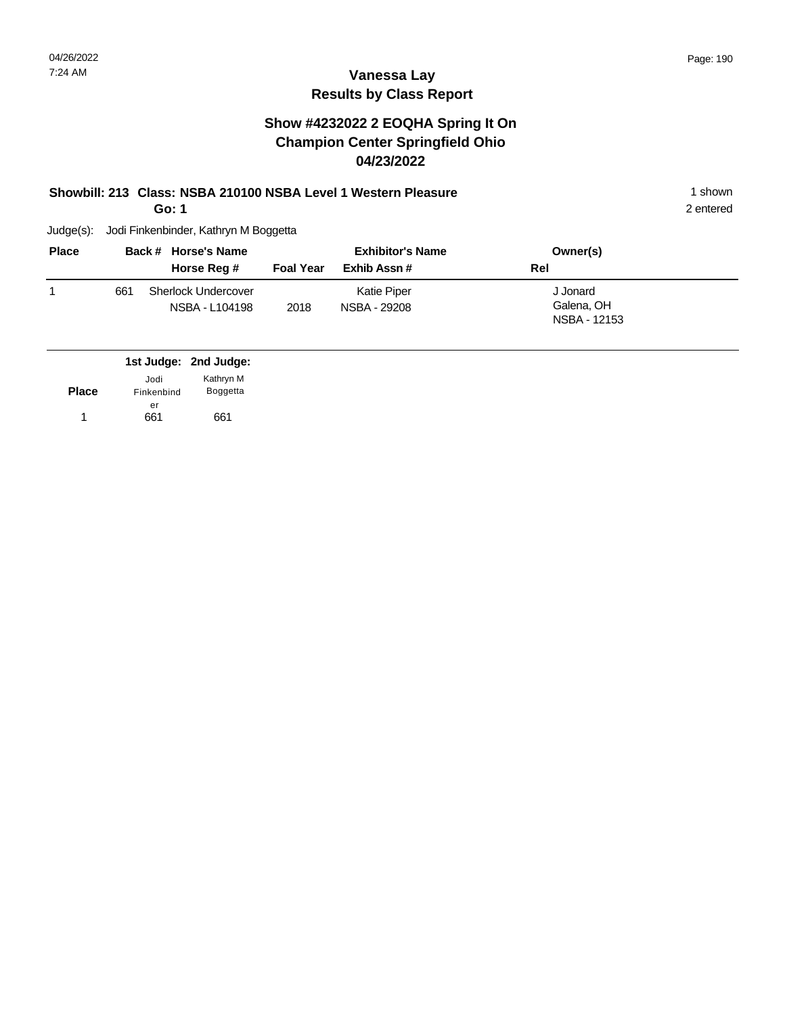### **Show #4232022 2 EOQHA Spring It On Champion Center Springfield Ohio 04/23/2022**

### **Showbill: 213 Class: NSBA 210100 NSBA Level 1 Western Pleasure** 1 **Shown** 1 shown

**Go: 1**

2 entered

| <b>Place</b> |     | Back # Horse's Name<br>Horse Reg #    | <b>Foal Year</b> | <b>Exhibitor's Name</b><br>Exhib Assn# | Owner(s)<br>Rel                        |
|--------------|-----|---------------------------------------|------------------|----------------------------------------|----------------------------------------|
|              | 661 | Sherlock Undercover<br>NSBA - L104198 | 2018             | <b>Katie Piper</b><br>NSBA - 29208     | J Jonard<br>Galena, OH<br>NSBA - 12153 |

|              |                    | 1st Judge: 2nd Judge:        |
|--------------|--------------------|------------------------------|
| <b>Place</b> | Jodi<br>Finkenbind | Kathryn M<br><b>Boggetta</b> |
|              | er                 |                              |
| 1.           | 661                | 661                          |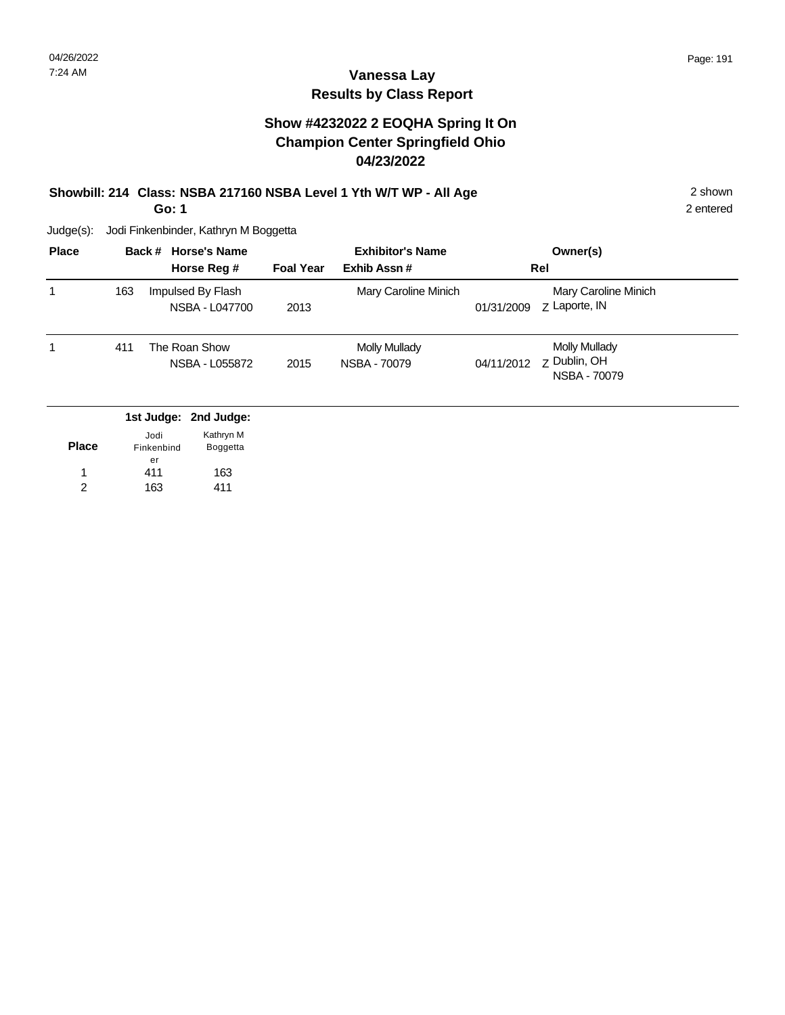### **Vanessa Lay Results by Class Report**

### **Show #4232022 2 EOQHA Spring It On Champion Center Springfield Ohio 04/23/2022**

### **Showbill: 214 Class: NSBA 217160 NSBA Level 1 Yth W/T WP - All Age 2 shown 2 shown**

**Go: 1**

| <b>Place</b> |     | Back # Horse's Name<br>Horse Reg #         | <b>Foal Year</b> | <b>Exhibitor's Name</b><br>Exhib Assn# |            | Owner(s)<br>Rel                               |  |
|--------------|-----|--------------------------------------------|------------------|----------------------------------------|------------|-----------------------------------------------|--|
| 1            | 163 | Impulsed By Flash<br>NSBA - L047700        | 2013             | Mary Caroline Minich                   | 01/31/2009 | Mary Caroline Minich<br>Z Laporte, IN         |  |
| 1            | 411 | The Roan Show<br>NSBA - L055872            | 2015             | <b>Molly Mullady</b><br>NSBA - 70079   | 04/11/2012 | Molly Mullady<br>z Dublin, OH<br>NSBA - 70079 |  |
| --           |     | 1st Judge: 2nd Judge:<br>Kathryn M<br>Jodi |                  |                                        |            |                                               |  |

| <b>Place</b> | Finkenbind | Boggetta |
|--------------|------------|----------|
|              | er         |          |
|              | 411        | 163      |
| 2            | 163        | 411      |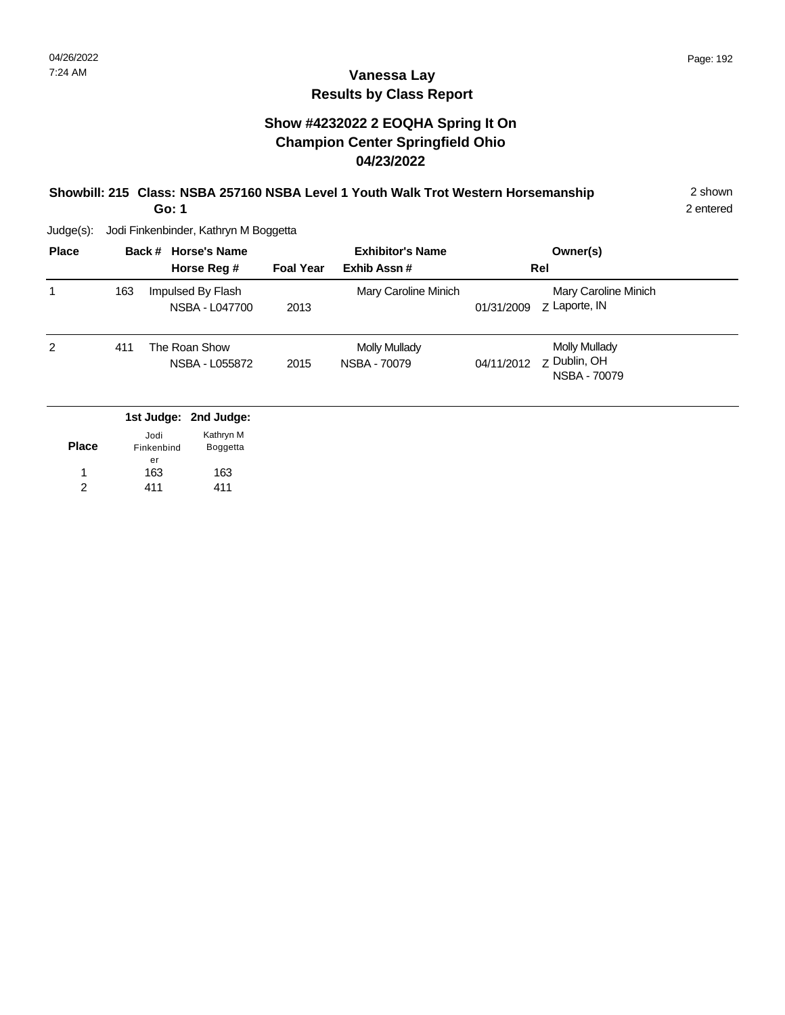### **Show #4232022 2 EOQHA Spring It On Champion Center Springfield Ohio 04/23/2022**

#### **Showbill: 215 Class: NSBA 257160 NSBA Level 1 Youth Walk Trot Western Horsemanship** 2 shown **Go: 1**

2 entered

Judge(s): Jodi Finkenbinder, Kathryn M Boggetta

411

2

| <b>Place</b> |     |                          | Back # Horse's Name<br>Horse Reg #  | <b>Foal Year</b> | <b>Exhibitor's Name</b><br>Exhib Assn#      |            | Owner(s)<br>Rel                                      |  |
|--------------|-----|--------------------------|-------------------------------------|------------------|---------------------------------------------|------------|------------------------------------------------------|--|
| 1            | 163 |                          | Impulsed By Flash<br>NSBA - L047700 | 2013             | Mary Caroline Minich                        | 01/31/2009 | Mary Caroline Minich<br>Z Laporte, IN                |  |
| 2            | 411 |                          | The Roan Show<br>NSBA - L055872     | 2015             | <b>Molly Mullady</b><br><b>NSBA - 70079</b> | 04/11/2012 | <b>Molly Mullady</b><br>z Dublin, OH<br>NSBA - 70079 |  |
|              |     |                          | 1st Judge: 2nd Judge:               |                  |                                             |            |                                                      |  |
| <b>Place</b> |     | Jodi<br>Finkenbind<br>er | Kathryn M<br>Boggetta               |                  |                                             |            |                                                      |  |
|              |     | 163                      | 163                                 |                  |                                             |            |                                                      |  |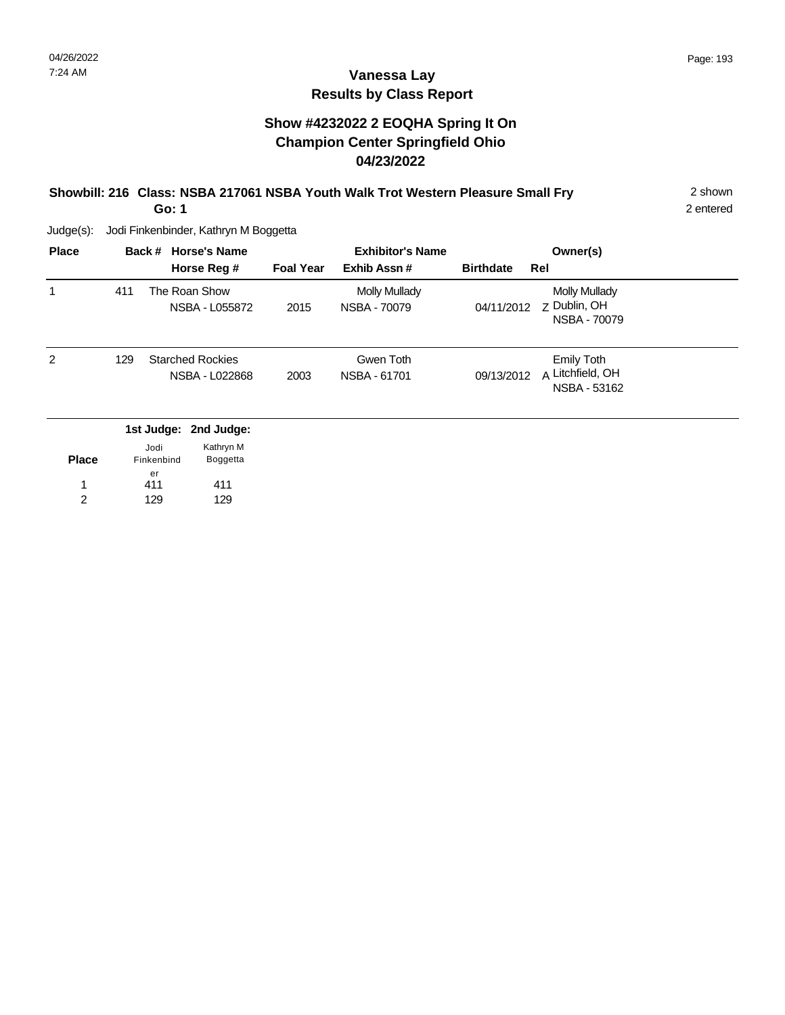### **Show #4232022 2 EOQHA Spring It On Champion Center Springfield Ohio 04/23/2022**

#### **Showbill: 216 Class: NSBA 217061 NSBA Youth Walk Trot Western Pleasure Small Fry** 2 shown **Go: 1**

2 entered

Judge(s): Jodi Finkenbinder, Kathryn M Boggetta

| <b>Place</b> |     | Back # Horse's Name |                                           |                  | <b>Exhibitor's Name</b>              |                  | Owner(s)                                                    |
|--------------|-----|---------------------|-------------------------------------------|------------------|--------------------------------------|------------------|-------------------------------------------------------------|
|              |     |                     | Horse Reg #                               | <b>Foal Year</b> | Exhib Assn#                          | <b>Birthdate</b> | Rel                                                         |
| 1            | 411 |                     | The Roan Show<br>NSBA - L055872           | 2015             | <b>Molly Mullady</b><br>NSBA - 70079 | 04/11/2012       | <b>Molly Mullady</b><br>Z Dublin, OH<br><b>NSBA - 70079</b> |
| 2            | 129 |                     | <b>Starched Rockies</b><br>NSBA - L022868 | 2003             | Gwen Toth<br>NSBA - 61701            | 09/13/2012       | <b>Emily Toth</b><br>A Litchfield, OH<br>NSBA - 53162       |
|              |     |                     | 1st Judge: 2nd Judge:                     |                  |                                      |                  |                                                             |
| <b>Place</b> |     | Jodi<br>Finkenbind  | Kathryn M<br>Boggetta                     |                  |                                      |                  |                                                             |
|              |     | er<br>411           | 411                                       |                  |                                      |                  |                                                             |

411 129 2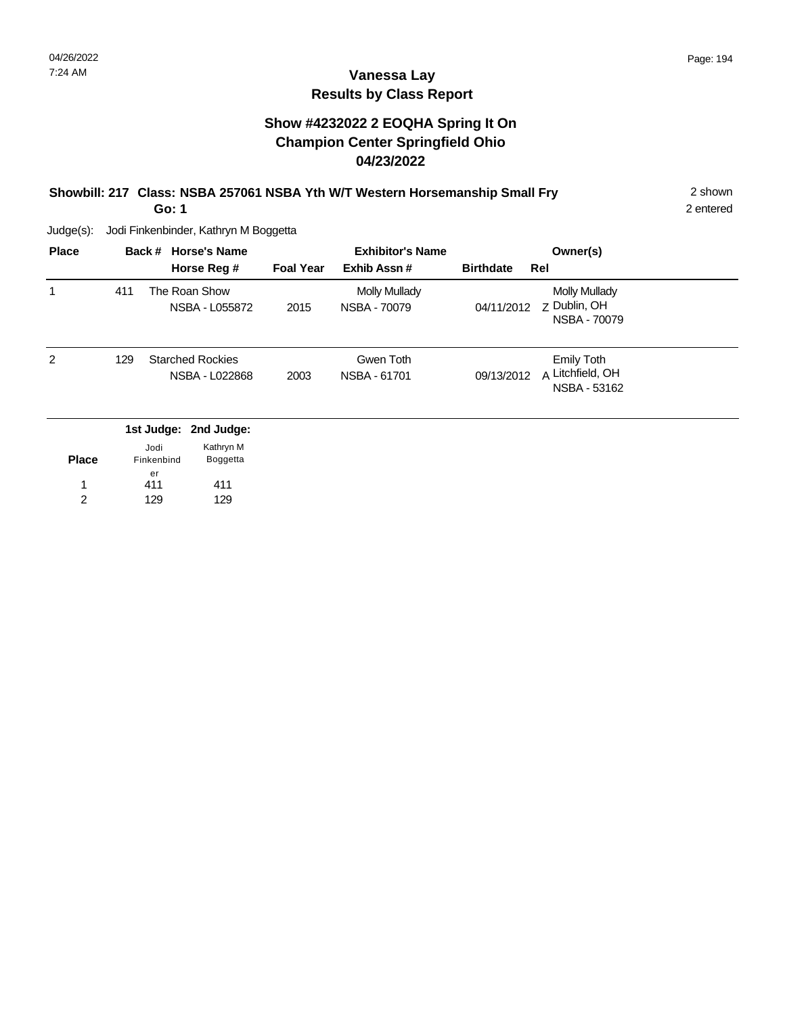### **Show #4232022 2 EOQHA Spring It On Champion Center Springfield Ohio 04/23/2022**

#### **Showbill: 217 Class: NSBA 257061 NSBA Yth W/T Western Horsemanship Small Fry** 2 shown **Go: 1**

2 entered

Judge(s): Jodi Finkenbinder, Kathryn M Boggetta

| <b>Place</b>   |     | <b>Horse's Name</b><br>Back # |                                           |                  | <b>Exhibitor's Name</b>              |                  |     | Owner(s)                                                    |
|----------------|-----|-------------------------------|-------------------------------------------|------------------|--------------------------------------|------------------|-----|-------------------------------------------------------------|
|                |     |                               | Horse Reg #                               | <b>Foal Year</b> | Exhib Assn#                          | <b>Birthdate</b> | Rel |                                                             |
|                | 411 |                               | The Roan Show<br>NSBA - L055872           | 2015             | <b>Molly Mullady</b><br>NSBA - 70079 | 04/11/2012       |     | <b>Molly Mullady</b><br>Z Dublin, OH<br><b>NSBA - 70079</b> |
| $\overline{2}$ | 129 |                               | <b>Starched Rockies</b><br>NSBA - L022868 | 2003             | Gwen Toth<br>NSBA - 61701            | 09/13/2012       |     | Emily Toth<br>A Litchfield, OH<br>NSBA - 53162              |
|                |     |                               | 1st Judge: 2nd Judge:                     |                  |                                      |                  |     |                                                             |
|                |     | Jodi                          | Kathryn M                                 |                  |                                      |                  |     |                                                             |
| <b>Place</b>   |     | Finkenbind                    | Boggetta                                  |                  |                                      |                  |     |                                                             |
| 1              |     | er<br>411                     | 411                                       |                  |                                      |                  |     |                                                             |

411 1

129 2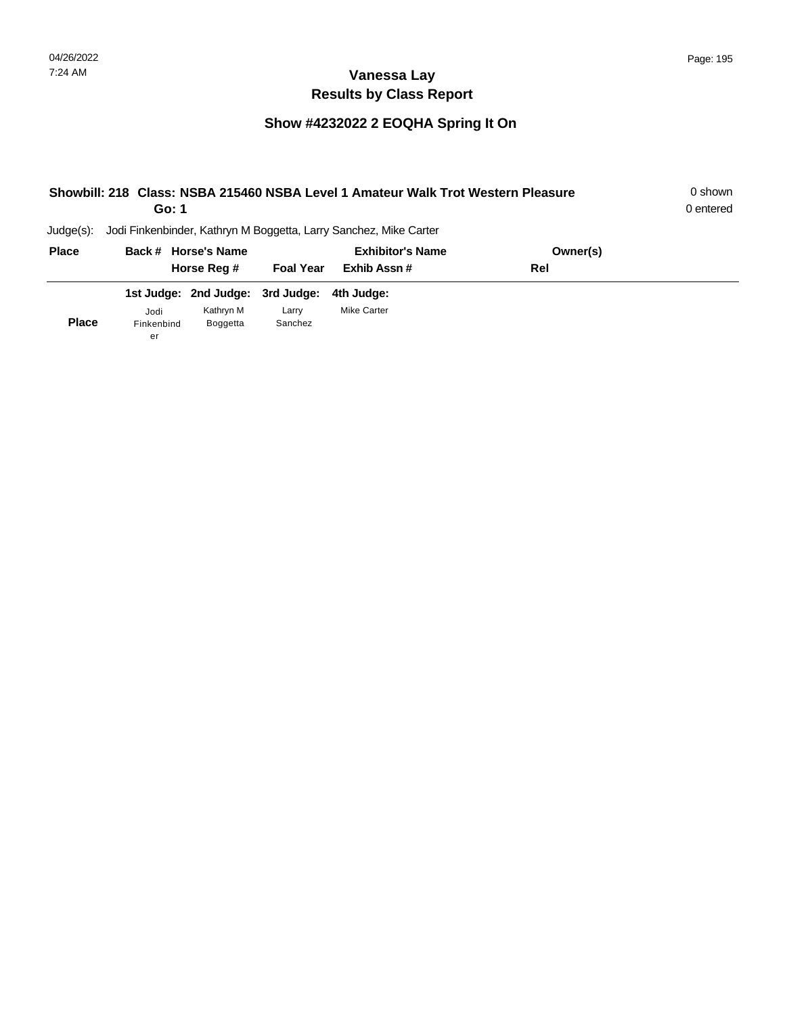# **Show #4232022 2 EOQHA Spring It On**

|              | Showbill: 218 Class: NSBA 215460 NSBA Level 1 Amateur Walk Trot Western Pleasure<br>Go: 1 |                              |                  |                                                                   |          |  |
|--------------|-------------------------------------------------------------------------------------------|------------------------------|------------------|-------------------------------------------------------------------|----------|--|
| $Judge(s)$ : |                                                                                           |                              |                  | Jodi Finkenbinder, Kathryn M Boggetta, Larry Sanchez, Mike Carter |          |  |
| <b>Place</b> |                                                                                           | Back # Horse's Name          |                  | <b>Exhibitor's Name</b>                                           | Owner(s) |  |
|              |                                                                                           | Horse Reg #                  | <b>Foal Year</b> | Exhib Assn#                                                       | Rel      |  |
|              |                                                                                           | 1st Judge: 2nd Judge:        | 3rd Judge:       | 4th Judge:                                                        |          |  |
| <b>Place</b> | Jodi<br>Finkenbind<br>er                                                                  | Kathryn M<br><b>Boggetta</b> | Larry<br>Sanchez | <b>Mike Carter</b>                                                |          |  |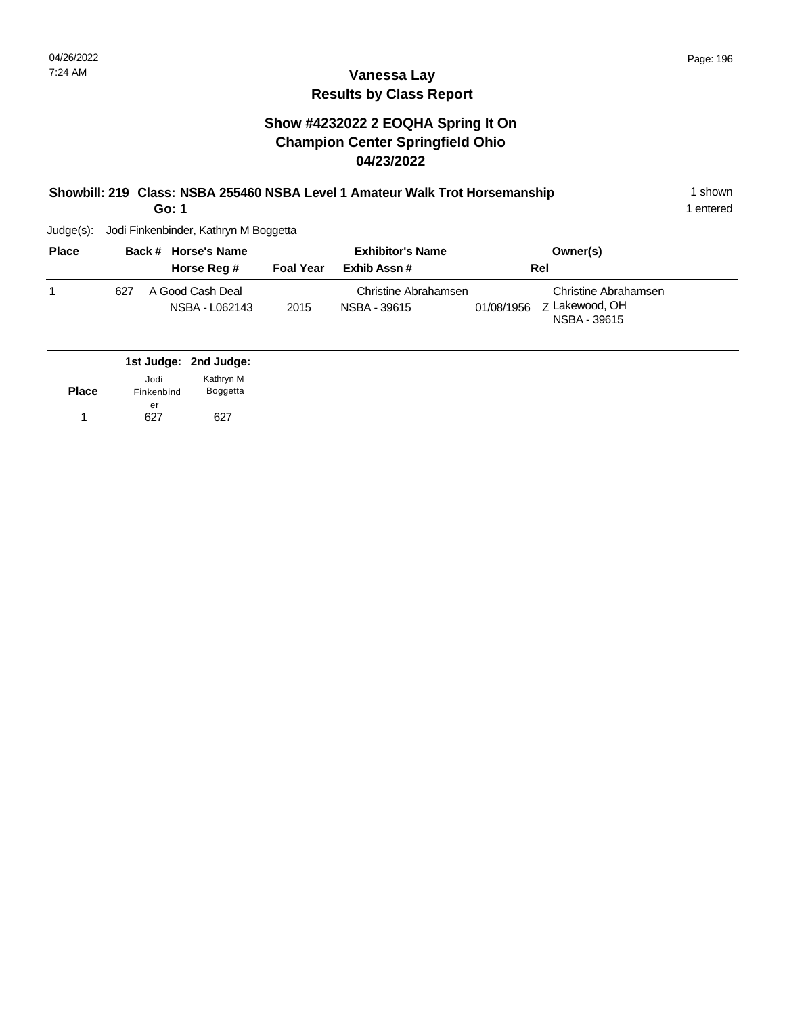### **Show #4232022 2 EOQHA Spring It On Champion Center Springfield Ohio 04/23/2022**

#### **Showbill: 219 Class: NSBA 255460 NSBA Level 1 Amateur Walk Trot Horsemanship** 1 shown **Go: 1**

1 entered

| <b>Place</b> |     | Back # Horse's Name                | <b>Exhibitor's Name</b> |                                      |            | Owner(s)                                               |  |
|--------------|-----|------------------------------------|-------------------------|--------------------------------------|------------|--------------------------------------------------------|--|
|              |     | Horse Reg #                        | <b>Foal Year</b>        | Exhib Assn#                          |            | Rel                                                    |  |
|              | 627 | A Good Cash Deal<br>NSBA - L062143 | 2015                    | Christine Abrahamsen<br>NSBA - 39615 | 01/08/1956 | Christine Abrahamsen<br>7 Lakewood, OH<br>NSBA - 39615 |  |

|              |            | 1st Judge: 2nd Judge: |
|--------------|------------|-----------------------|
|              | Jodi       | Kathryn M             |
| <b>Place</b> | Finkenbind | <b>Boggetta</b>       |
|              | er         |                       |
|              | <b>777</b> | 527                   |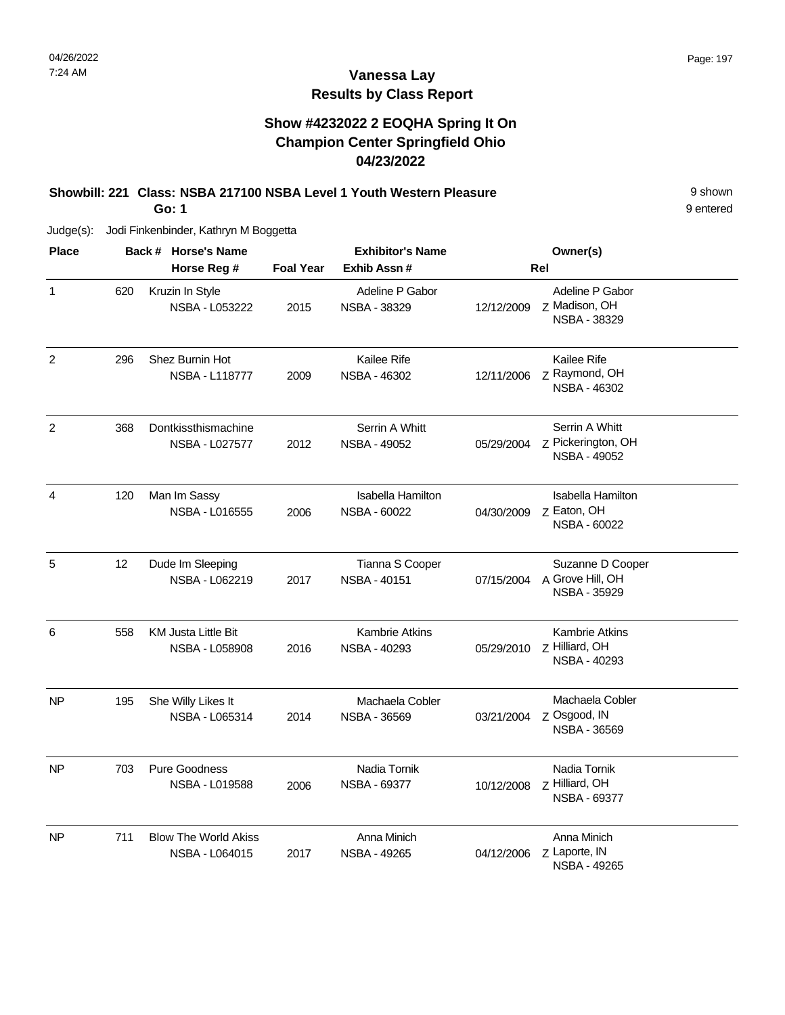### **Show #4232022 2 EOQHA Spring It On Champion Center Springfield Ohio 04/23/2022**

#### **Showbill: 221 Class: NSBA 217100 NSBA Level 1 Youth Western Pleasure 11 100 Shown** 9 shown **Go: 1**

Judge(s): Jodi Finkenbinder, Kathryn M Boggetta

| <b>Place</b>   |     | Back # Horse's Name                                  | <b>Exhibitor's Name</b> |                                        |            | Owner(s)                                               |  |
|----------------|-----|------------------------------------------------------|-------------------------|----------------------------------------|------------|--------------------------------------------------------|--|
|                |     | Horse Reg #                                          | <b>Foal Year</b>        | Exhib Assn#                            |            | Rel                                                    |  |
| 1              | 620 | Kruzin In Style<br>NSBA - L053222                    | 2015                    | Adeline P Gabor<br>NSBA - 38329        | 12/12/2009 | Adeline P Gabor<br>Z Madison, OH<br>NSBA - 38329       |  |
| $\overline{2}$ | 296 | Shez Burnin Hot<br><b>NSBA - L118777</b>             | 2009                    | Kailee Rife<br>NSBA - 46302            | 12/11/2006 | Kailee Rife<br>Z Raymond, OH<br>NSBA - 46302           |  |
| $\overline{c}$ | 368 | Dontkissthismachine<br>NSBA - L027577                | 2012                    | Serrin A Whitt<br>NSBA - 49052         | 05/29/2004 | Serrin A Whitt<br>Z Pickerington, OH<br>NSBA - 49052   |  |
| $\overline{4}$ | 120 | Man Im Sassy<br>NSBA - L016555                       | 2006                    | Isabella Hamilton<br>NSBA - 60022      | 04/30/2009 | Isabella Hamilton<br>Z Eaton, OH<br>NSBA - 60022       |  |
| 5              | 12  | Dude Im Sleeping<br>NSBA - L062219                   | 2017                    | Tianna S Cooper<br>NSBA - 40151        | 07/15/2004 | Suzanne D Cooper<br>A Grove Hill, OH<br>NSBA - 35929   |  |
| 6              | 558 | <b>KM Justa Little Bit</b><br><b>NSBA - L058908</b>  | 2016                    | Kambrie Atkins<br>NSBA - 40293         | 05/29/2010 | Kambrie Atkins<br>Z Hilliard, OH<br>NSBA - 40293       |  |
| N <sub>P</sub> | 195 | She Willy Likes It<br>NSBA - L065314                 | 2014                    | Machaela Cobler<br><b>NSBA - 36569</b> | 03/21/2004 | Machaela Cobler<br>Z Osgood, IN<br><b>NSBA - 36569</b> |  |
| N <sub>P</sub> | 703 | Pure Goodness<br>NSBA - L019588                      | 2006                    | Nadia Tornik<br><b>NSBA - 69377</b>    | 10/12/2008 | Nadia Tornik<br>z Hilliard, OH<br>NSBA - 69377         |  |
| NP             | 711 | <b>Blow The World Akiss</b><br><b>NSBA - L064015</b> | 2017                    | Anna Minich<br>NSBA - 49265            | 04/12/2006 | Anna Minich<br>Z Laporte, IN<br>NSBA - 49265           |  |

9 entered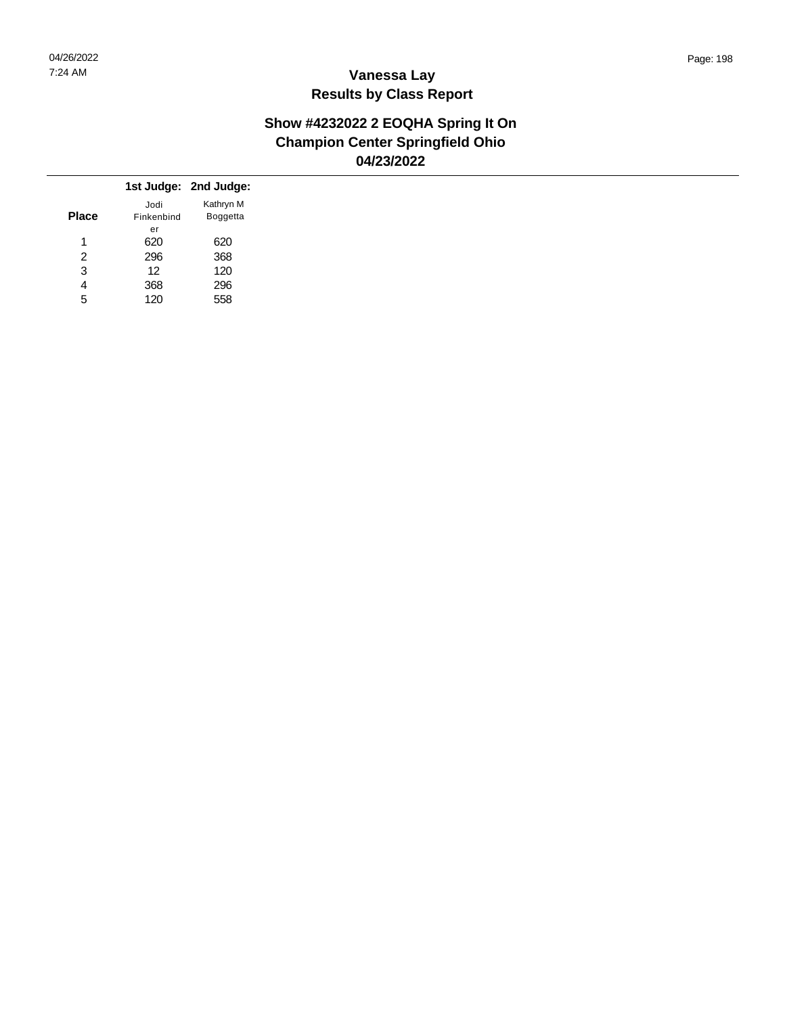### **Show #4232022 2 EOQHA Spring It On Champion Center Springfield Ohio 04/23/2022**

|              |            | 1st Judge: 2nd Judge: |
|--------------|------------|-----------------------|
|              | Jodi       | Kathryn M             |
| <b>Place</b> | Finkenbind | Boggetta              |
|              | er         |                       |
| 1            | 620        | 620                   |
| 2            | 296        | 368                   |
| 3            | 12         | 120                   |
| 4            | 368        | 296                   |
| 5            | 120        |                       |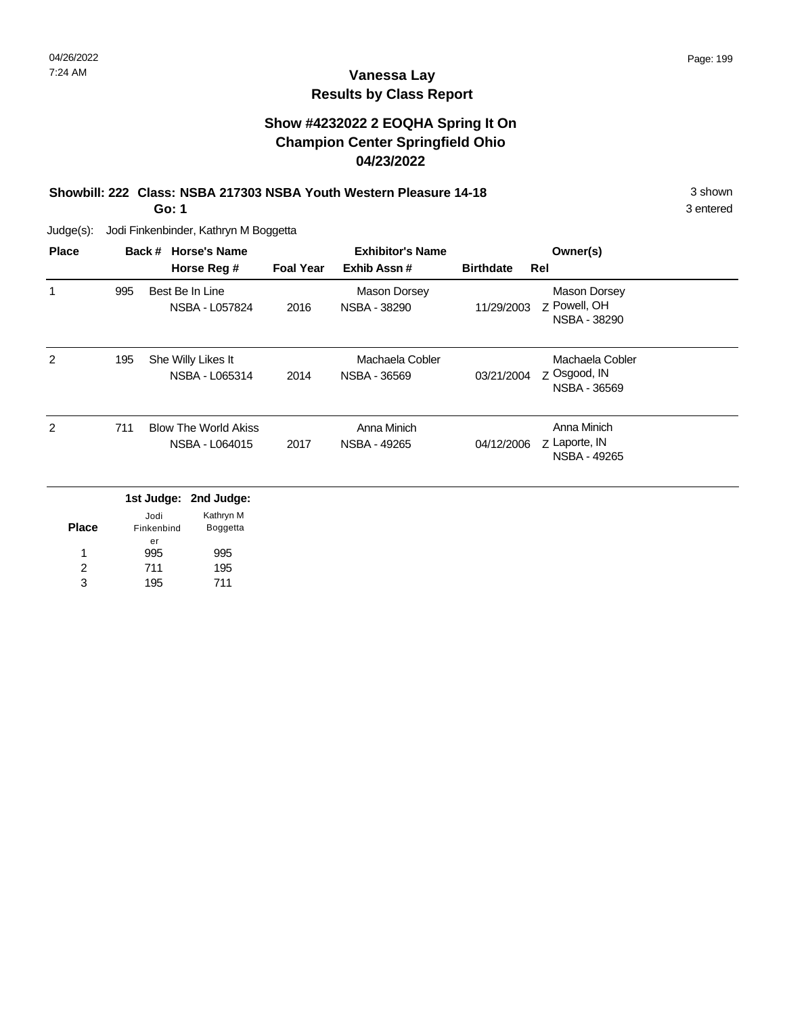### **Vanessa Lay Results by Class Report**

### **Show #4232022 2 EOQHA Spring It On Champion Center Springfield Ohio 04/23/2022**

### **Showbill: 222 Class: NSBA 217303 NSBA Youth Western Pleasure 14-18** 3 Shown

**Go: 1**

Judge(s): Jodi Finkenbinder, Kathryn M Boggetta

195

3

| <b>Place</b>   |     | Back # Horse's Name               |                  | <b>Exhibitor's Name</b>      | Owner(s)         |                               |  |
|----------------|-----|-----------------------------------|------------------|------------------------------|------------------|-------------------------------|--|
|                |     | Horse Reg #                       | <b>Foal Year</b> | Exhib Assn#                  | <b>Birthdate</b> | Rel                           |  |
| 1              | 995 | Best Be In Line<br>NSBA - L057824 | 2016             | Mason Dorsey<br>NSBA - 38290 | 11/29/2003       | Mason Dorsey<br>Z Powell, OH  |  |
|                |     |                                   |                  |                              |                  | NSBA - 38290                  |  |
| $\overline{2}$ | 195 | She Willy Likes It                |                  | Machaela Cobler              |                  | Machaela Cobler               |  |
|                |     | NSBA - L065314                    | 2014             | NSBA - 36569                 | 03/21/2004       | Z Osgood, IN<br>NSBA - 36569  |  |
| 2              | 711 | <b>Blow The World Akiss</b>       |                  | Anna Minich                  |                  | Anna Minich                   |  |
|                |     | NSBA - L064015                    | 2017             | NSBA - 49265                 | 04/12/2006       | Z Laporte, IN<br>NSBA - 49265 |  |
|                |     | 1st Judge: 2nd Judge:             |                  |                              |                  |                               |  |
| <b>Place</b>   |     | Kathryn M<br>Jodi                 |                  |                              |                  |                               |  |
|                |     | Boggetta<br>Finkenbind<br>er      |                  |                              |                  |                               |  |
| 1              |     | 995<br>995                        |                  |                              |                  |                               |  |
| 2              |     | 711<br>195                        |                  |                              |                  |                               |  |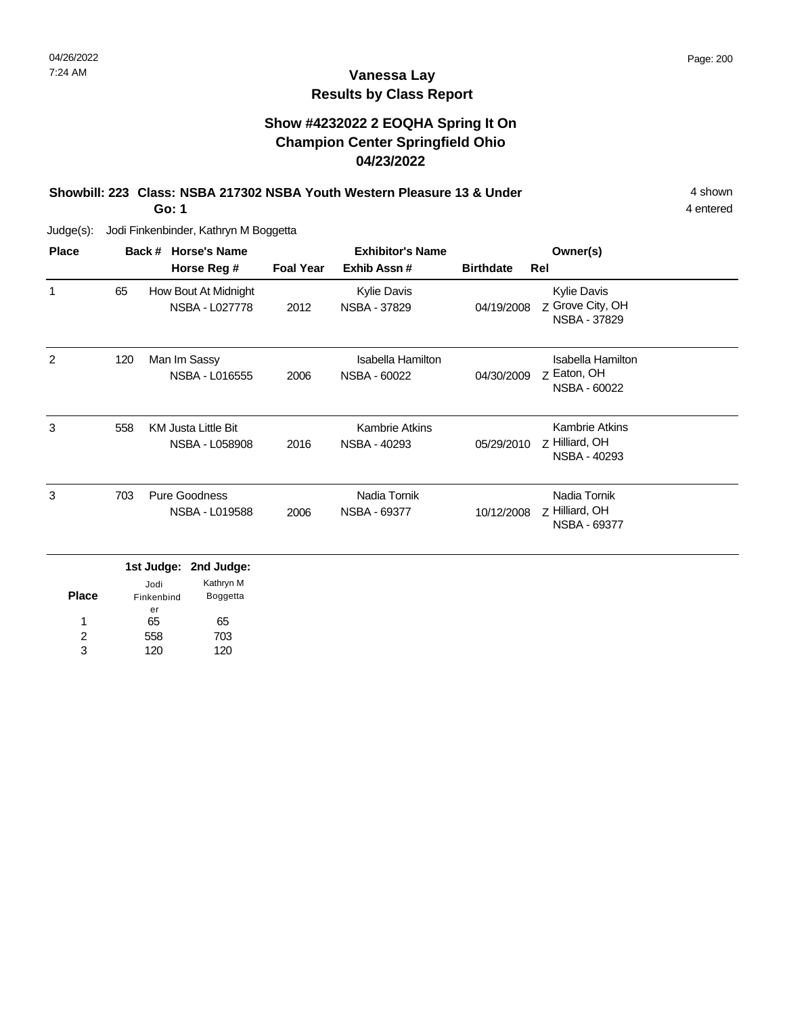### **Vanessa Lay Results by Class Report**

### **Show #4232022 2 EOQHA Spring It On Champion Center Springfield Ohio 04/23/2022**

#### **Showbill: 223 Class: NSBA 217302 NSBA Youth Western Pleasure 13 & Under** 4 Shown 4 shown **Go: 1**

Judge(s): Jodi Finkenbinder, Kathryn M Boggetta

65 558 120

er

1 2 3

| <b>Place</b> |     | <b>Horse's Name</b><br>Back #<br>Horse Reg #                            | <b>Foal Year</b> | <b>Exhibitor's Name</b><br>Exhib Assn# | <b>Birthdate</b> | Owner(s)<br>Rel                                               |
|--------------|-----|-------------------------------------------------------------------------|------------------|----------------------------------------|------------------|---------------------------------------------------------------|
| 1            | 65  | How Bout At Midnight<br><b>NSBA - L027778</b>                           | 2012             | Kylie Davis<br><b>NSBA - 37829</b>     | 04/19/2008       | <b>Kylie Davis</b><br>Z Grove City, OH<br><b>NSBA - 37829</b> |
| 2            | 120 | Man Im Sassy<br>NSBA - L016555                                          | 2006             | Isabella Hamilton<br>NSBA - 60022      | 04/30/2009       | <b>Isabella Hamilton</b><br>Z Eaton, OH<br>NSBA - 60022       |
| 3            | 558 | <b>KM Justa Little Bit</b><br>NSBA - L058908                            | 2016             | <b>Kambrie Atkins</b><br>NSBA - 40293  | 05/29/2010       | <b>Kambrie Atkins</b><br>Z Hilliard, OH<br>NSBA - 40293       |
| 3            | 703 | Pure Goodness<br>NSBA - L019588                                         | 2006             | Nadia Tornik<br>NSBA - 69377           | 10/12/2008       | Nadia Tornik<br>z Hilliard, OH<br>NSBA - 69377                |
| <b>Place</b> |     | 1st Judge:<br>2nd Judge:<br>Kathryn M<br>Jodi<br>Boggetta<br>Finkenbind |                  |                                        |                  |                                                               |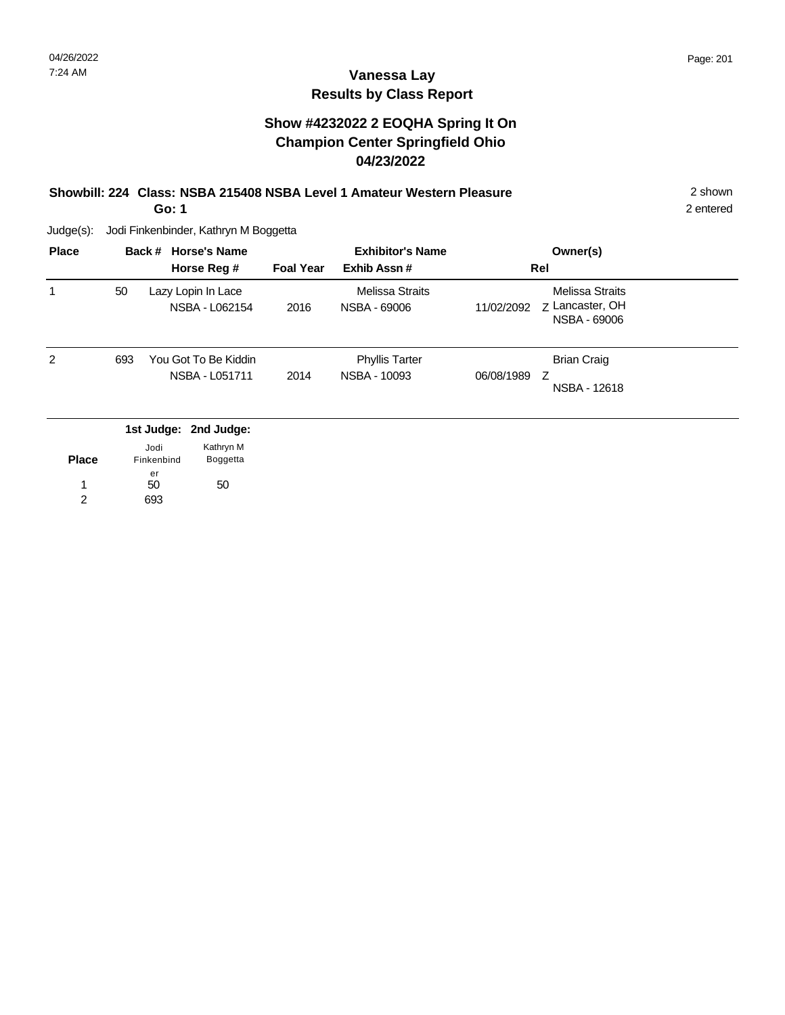### **Show #4232022 2 EOQHA Spring It On Champion Center Springfield Ohio 04/23/2022**

#### **Showbill: 224 Class: NSBA 215408 NSBA Level 1 Amateur Western Pleasure** 2 shown **Go: 1**

2 entered

Judge(s): Jodi Finkenbinder, Kathryn M Boggetta

50 1 50 693

| <b>Place</b> |     | Back # Horse's Name<br>Horse Reg #                                         | <b>Foal Year</b> | <b>Exhibitor's Name</b><br>Exhib Assn# | Owner(s)<br>Rel                                                  |  |
|--------------|-----|----------------------------------------------------------------------------|------------------|----------------------------------------|------------------------------------------------------------------|--|
| 1            | 50  | Lazy Lopin In Lace<br>NSBA - L062154                                       | 2016             | Melissa Straits<br>NSBA - 69006        | Melissa Straits<br>Z Lancaster, OH<br>11/02/2092<br>NSBA - 69006 |  |
| 2            | 693 | You Got To Be Kiddin<br>NSBA - L051711                                     | 2014             | <b>Phyllis Tarter</b><br>NSBA - 10093  | <b>Brian Craig</b><br>06/08/1989<br>7<br>NSBA - 12618            |  |
| <b>Place</b> |     | 1st Judge: 2nd Judge:<br>Kathryn M<br>Jodi<br>Finkenbind<br>Boggetta<br>er |                  |                                        |                                                                  |  |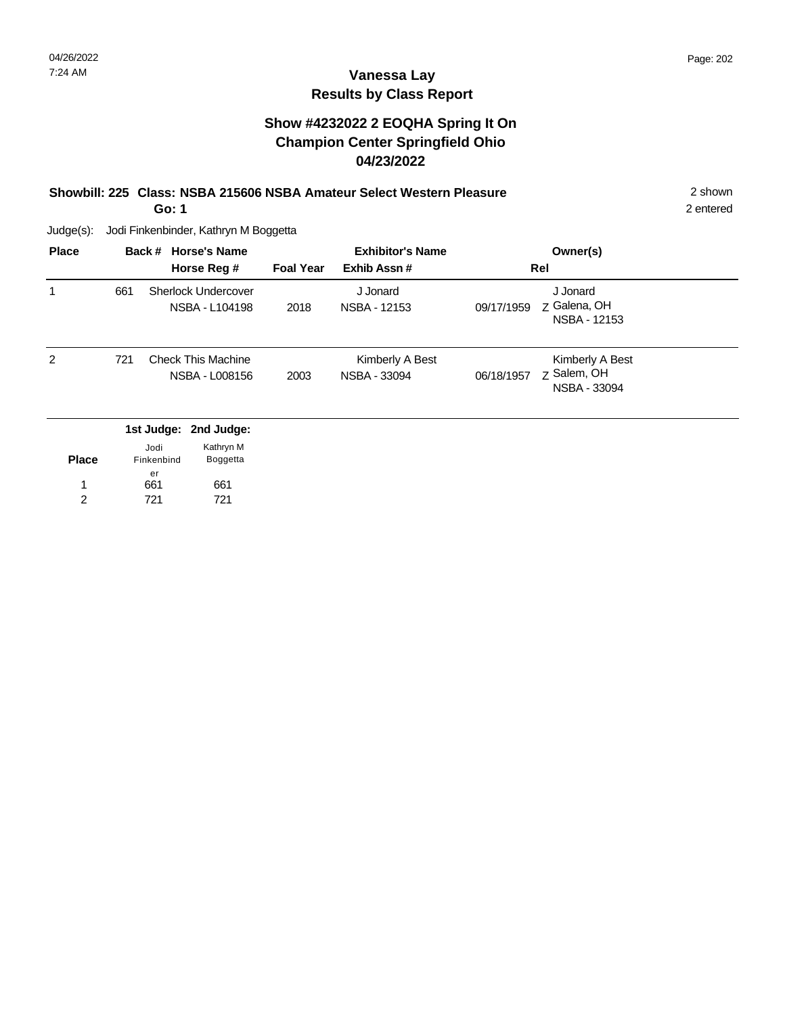### **Show #4232022 2 EOQHA Spring It On Champion Center Springfield Ohio 04/23/2022**

#### **Showbill: 225 Class: NSBA 215606 NSBA Amateur Select Western Pleasure** 2 shown **Go: 1**

2 entered

Judge(s): Jodi Finkenbinder, Kathryn M Boggetta

721

2

| <b>Place</b> |     | Back # Horse's Name |                                              |                  | <b>Exhibitor's Name</b>                |            | Owner(s)                                       |  |
|--------------|-----|---------------------|----------------------------------------------|------------------|----------------------------------------|------------|------------------------------------------------|--|
|              |     |                     | Horse Reg #                                  | <b>Foal Year</b> | Exhib Assn#                            |            | Rel                                            |  |
| 1            | 661 |                     | <b>Sherlock Undercover</b><br>NSBA - L104198 | 2018             | J Jonard<br>NSBA - 12153               | 09/17/1959 | J Jonard<br>Z Galena, OH<br>NSBA - 12153       |  |
| 2            | 721 |                     | <b>Check This Machine</b><br>NSBA - L008156  | 2003             | Kimberly A Best<br><b>NSBA - 33094</b> | 06/18/1957 | Kimberly A Best<br>Z Salem, OH<br>NSBA - 33094 |  |
|              |     |                     | 1st Judge: 2nd Judge:                        |                  |                                        |            |                                                |  |
|              |     | Jodi                | Kathryn M                                    |                  |                                        |            |                                                |  |
| <b>Place</b> |     | Finkenbind<br>er    | Boggetta                                     |                  |                                        |            |                                                |  |
|              |     | 661                 | 661                                          |                  |                                        |            |                                                |  |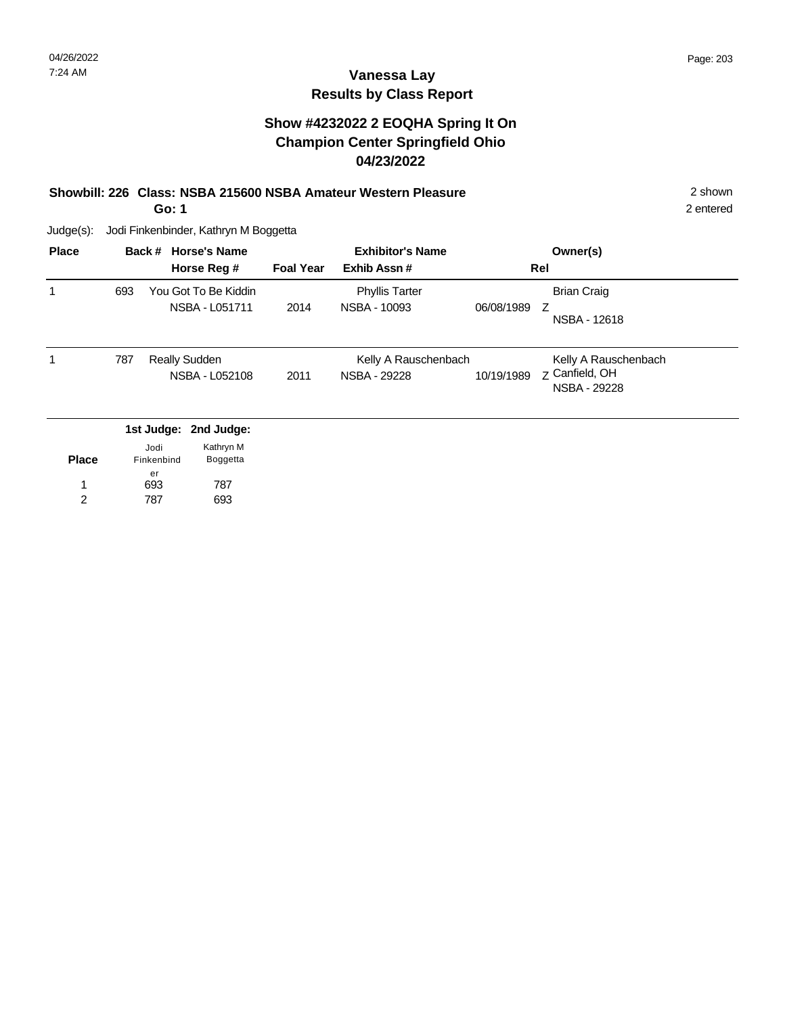### **Show #4232022 2 EOQHA Spring It On Champion Center Springfield Ohio 04/23/2022**

### **Showbill: 226 Class: NSBA 215600 NSBA Amateur Western Pleasure** 2 shown

**Go: 1**

2 entered

Judge(s): Jodi Finkenbinder, Kathryn M Boggetta

787

2

| <b>Place</b> |     | Back #     | <b>Horse's Name</b>                    |                  | <b>Exhibitor's Name</b>               |            | Owner(s)                                                      |
|--------------|-----|------------|----------------------------------------|------------------|---------------------------------------|------------|---------------------------------------------------------------|
|              |     |            | Horse Reg #                            | <b>Foal Year</b> | Exhib Assn#                           |            | Rel                                                           |
| 1            | 693 |            | You Got To Be Kiddin<br>NSBA - L051711 | 2014             | <b>Phyllis Tarter</b><br>NSBA - 10093 | 06/08/1989 | <b>Brian Craig</b><br>Z<br>NSBA - 12618                       |
| 1            | 787 |            | <b>Really Sudden</b><br>NSBA - L052108 | 2011             | Kelly A Rauschenbach<br>NSBA - 29228  | 10/19/1989 | Kelly A Rauschenbach<br>z Canfield, OH<br><b>NSBA - 29228</b> |
|              |     |            | 1st Judge: 2nd Judge:                  |                  |                                       |            |                                                               |
|              |     | Jodi       | Kathryn M                              |                  |                                       |            |                                                               |
| <b>Place</b> |     | Finkenbind | Boggetta                               |                  |                                       |            |                                                               |
|              |     | er<br>693  | 787                                    |                  |                                       |            |                                                               |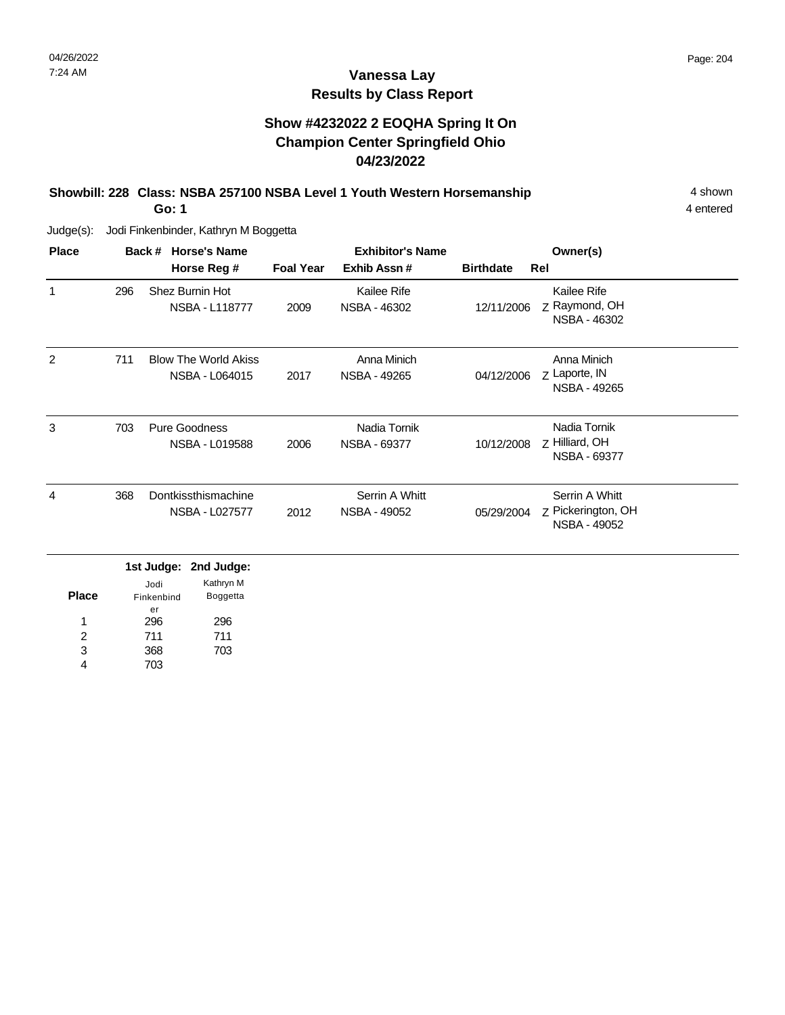**Place**

Finkenbind er

296 711 703

Boggetta

4 entered

### **Vanessa Lay Results by Class Report**

### **Show #4232022 2 EOQHA Spring It On Champion Center Springfield Ohio 04/23/2022**

#### **Showbill: 228 Class: NSBA 257100 NSBA Level 1 Youth Western Horsemanship** 4 shown **Go: 1**

| <b>Place</b> |     | Back #<br><b>Horse's Name</b><br>Horse Reg #  | <b>Foal Year</b> | <b>Exhibitor's Name</b><br>Exhib Assn# | <b>Birthdate</b> | Owner(s)<br>Rel                                      |
|--------------|-----|-----------------------------------------------|------------------|----------------------------------------|------------------|------------------------------------------------------|
| 1            | 296 | Shez Burnin Hot<br>NSBA - L118777             | 2009             | Kailee Rife<br>NSBA - 46302            | 12/11/2006       | Kailee Rife<br>Z Raymond, OH<br>NSBA - 46302         |
| 2            | 711 | <b>Blow The World Akiss</b><br>NSBA - L064015 | 2017             | Anna Minich<br>NSBA - 49265            | 04/12/2006       | Anna Minich<br>Z Laporte, IN<br>NSBA - 49265         |
| 3            | 703 | Pure Goodness<br>NSBA - L019588               | 2006             | Nadia Tornik<br>NSBA - 69377           | 10/12/2008       | Nadia Tornik<br>Z Hilliard, OH<br>NSBA - 69377       |
| 4            | 368 | Dontkissthismachine<br>NSBA - L027577         | 2012             | Serrin A Whitt<br>NSBA - 49052         | 05/29/2004       | Serrin A Whitt<br>z Pickerington, OH<br>NSBA - 49052 |
|              |     | 1st Judge:<br>2nd Judge:<br>Kathryn M<br>Jodi |                  |                                        |                  |                                                      |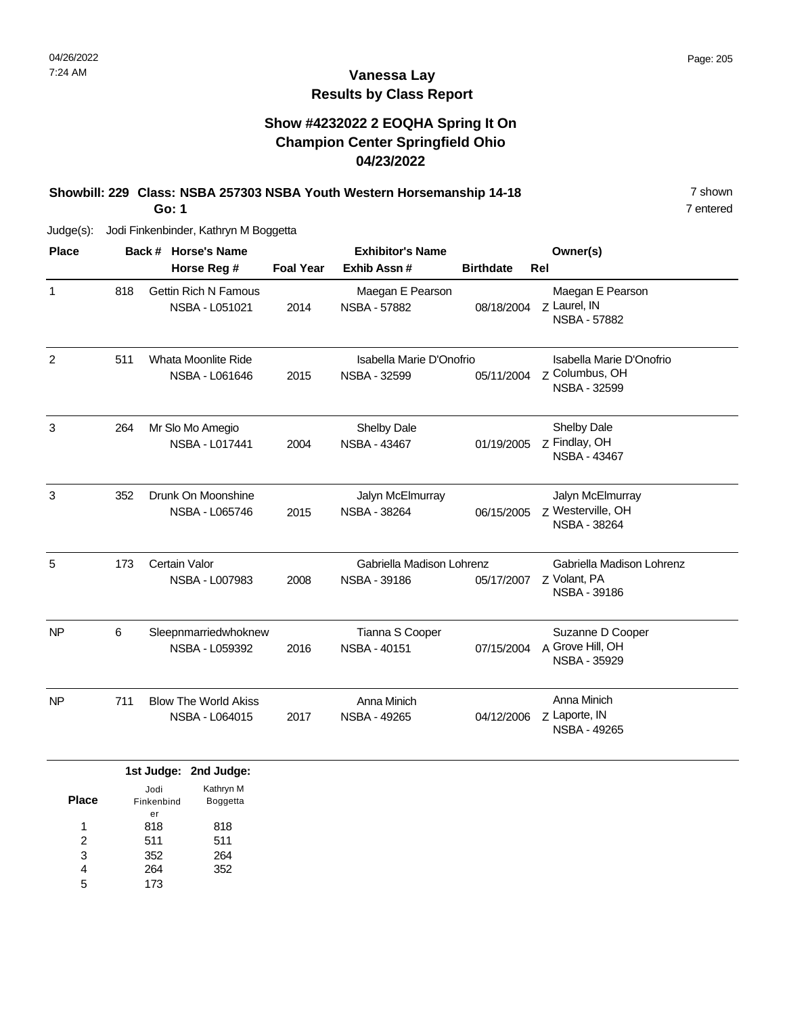### **Show #4232022 2 EOQHA Spring It On Champion Center Springfield Ohio 04/23/2022**

# **Showbill: 229 Class: NSBA 257303 NSBA Youth Western Horsemanship 14-18** 7 shown

**Go: 1**

Judge(s): Jodi Finkenbinder, Kathryn M Boggetta

| <b>Place</b>   |     | <b>Horse's Name</b><br>Back #                 |                  | <b>Exhibitor's Name</b>                   |                  | Owner(s)                                                    |
|----------------|-----|-----------------------------------------------|------------------|-------------------------------------------|------------------|-------------------------------------------------------------|
|                |     | Horse Reg #                                   | <b>Foal Year</b> | Exhib Assn#                               | <b>Birthdate</b> | Rel                                                         |
| $\mathbf{1}$   | 818 | <b>Gettin Rich N Famous</b><br>NSBA - L051021 | 2014             | Maegan E Pearson<br><b>NSBA - 57882</b>   | 08/18/2004       | Maegan E Pearson<br>Z Laurel, IN<br><b>NSBA - 57882</b>     |
| $\overline{2}$ | 511 | Whata Moonlite Ride<br>NSBA - L061646         | 2015             | Isabella Marie D'Onofrio<br>NSBA - 32599  | 05/11/2004       | Isabella Marie D'Onofrio<br>7 Columbus, OH<br>NSBA - 32599  |
| 3              | 264 | Mr Slo Mo Amegio<br>NSBA - L017441            | 2004             | Shelby Dale<br><b>NSBA - 43467</b>        | 01/19/2005       | Shelby Dale<br>z Findlay, OH<br>NSBA - 43467                |
| 3              | 352 | Drunk On Moonshine<br><b>NSBA - L065746</b>   | 2015             | Jalyn McElmurray<br><b>NSBA - 38264</b>   | 06/15/2005       | Jalyn McElmurray<br>z Westerville, OH<br>NSBA - 38264       |
| 5              | 173 | Certain Valor<br>NSBA - L007983               | 2008             | Gabriella Madison Lohrenz<br>NSBA - 39186 | 05/17/2007       | Gabriella Madison Lohrenz<br>Z Volant, PA<br>NSBA - 39186   |
| <b>NP</b>      | 6   | Sleepnmarriedwhoknew<br>NSBA - L059392        | 2016             | Tianna S Cooper<br><b>NSBA - 40151</b>    | 07/15/2004       | Suzanne D Cooper<br>A Grove Hill, OH<br><b>NSBA - 35929</b> |
| <b>NP</b>      | 711 | <b>Blow The World Akiss</b><br>NSBA - L064015 | 2017             | Anna Minich<br><b>NSBA - 49265</b>        | 04/12/2006       | Anna Minich<br>Z Laporte, IN<br>NSBA - 49265                |

|              |            | 1st Judge: 2nd Judge: |
|--------------|------------|-----------------------|
|              | Jodi       | Kathryn M             |
| <b>Place</b> | Finkenbind | Boggetta              |
|              | er         |                       |
| 1            | 818        | 818                   |
| 2            | 511        | 511                   |
| 3            | 352        | 264                   |
| 4            | 264        | 352                   |
| 5            | 173        |                       |

7 entered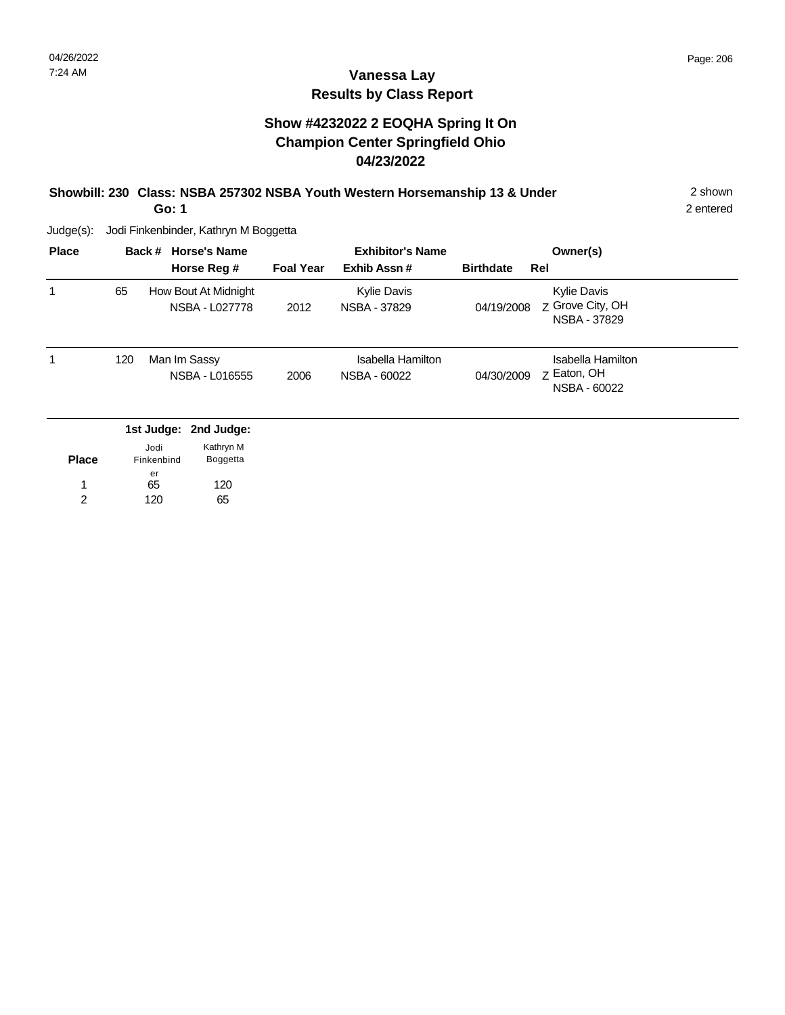### **Show #4232022 2 EOQHA Spring It On Champion Center Springfield Ohio 04/23/2022**

#### **Showbill: 230 Class: NSBA 257302 NSBA Youth Western Horsemanship 13 & Under** 2 shown **Go: 1**

2 entered

Judge(s): Jodi Finkenbinder, Kathryn M Boggetta

| <b>Place</b> |     |                  | Back # Horse's Name                    | <b>Exhibitor's Name</b> |                                    |                  | Owner(s)                                         |
|--------------|-----|------------------|----------------------------------------|-------------------------|------------------------------------|------------------|--------------------------------------------------|
|              |     |                  | Horse Reg #                            | <b>Foal Year</b>        | Exhib Assn#                        | <b>Birthdate</b> | Rel                                              |
| 1            | 65  |                  | How Bout At Midnight<br>NSBA - L027778 | 2012                    | Kylie Davis<br><b>NSBA - 37829</b> | 04/19/2008       | Kylie Davis<br>Z Grove City, OH                  |
|              |     |                  |                                        |                         |                                    |                  | NSBA - 37829                                     |
|              | 120 |                  | Man Im Sassy<br>NSBA - L016555         | 2006                    | Isabella Hamilton<br>NSBA - 60022  | 04/30/2009       | Isabella Hamilton<br>z Eaton, OH<br>NSBA - 60022 |
|              |     |                  | 1st Judge: 2nd Judge:                  |                         |                                    |                  |                                                  |
|              |     | Jodi             | Kathryn M                              |                         |                                    |                  |                                                  |
| <b>Place</b> |     | Finkenbind<br>er | Boggetta                               |                         |                                    |                  |                                                  |
|              |     | 65               | 120                                    |                         |                                    |                  |                                                  |

120 2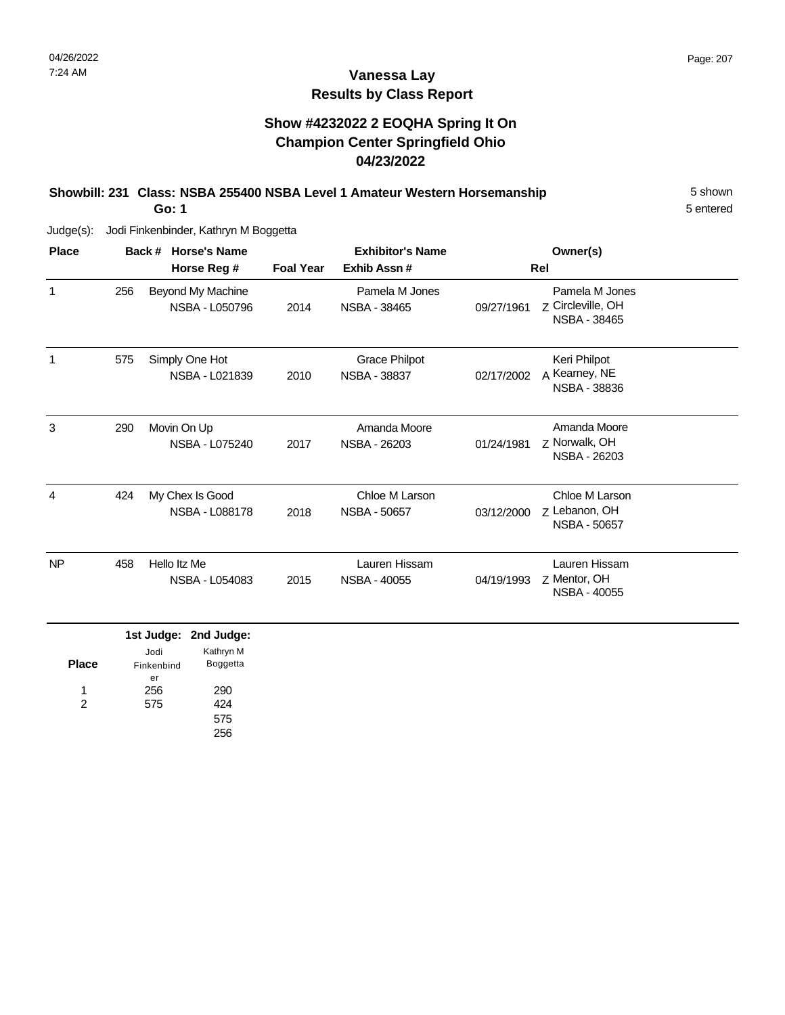### **Show #4232022 2 EOQHA Spring It On Champion Center Springfield Ohio 04/23/2022**

#### **Showbill: 231 Class: NSBA 255400 NSBA Level 1 Amateur Western Horsemanship** 5 Shown **Go: 1**

Judge(s): Jodi Finkenbinder, Kathryn M Boggetta

| <b>Place</b> |     | <b>Horse's Name</b><br>Back #<br>Horse Reg # | <b>Foal Year</b> | <b>Exhibitor's Name</b><br>Exhib Assn#      |            | Owner(s)<br>Rel                                     |
|--------------|-----|----------------------------------------------|------------------|---------------------------------------------|------------|-----------------------------------------------------|
| 1            | 256 | Beyond My Machine<br>NSBA - L050796          | 2014             | Pamela M Jones<br>NSBA - 38465              | 09/27/1961 | Pamela M Jones<br>Z Circleville, OH<br>NSBA - 38465 |
|              | 575 | Simply One Hot<br>NSBA - L021839             | 2010             | <b>Grace Philpot</b><br><b>NSBA - 38837</b> | 02/17/2002 | Keri Philpot<br>A Kearney, NE<br>NSBA - 38836       |
| 3            | 290 | Movin On Up<br>NSBA - L075240                | 2017             | Amanda Moore<br>NSBA - 26203                | 01/24/1981 | Amanda Moore<br>z Norwalk, OH<br>NSBA - 26203       |
| 4            | 424 | My Chex Is Good<br>NSBA - L088178            | 2018             | Chloe M Larson<br>NSBA - 50657              | 03/12/2000 | Chloe M Larson<br>z Lebanon, OH<br>NSBA - 50657     |
| <b>NP</b>    | 458 | Hello Itz Me<br><b>NSBA - L054083</b>        | 2015             | Lauren Hissam<br>NSBA - 40055               | 04/19/1993 | Lauren Hissam<br>Z Mentor, OH<br>NSBA - 40055       |

|              |            | 1st Judge: 2nd Judge: |
|--------------|------------|-----------------------|
|              | Jodi       | Kathryn M             |
| <b>Place</b> | Finkenbind | Boggetta              |
|              | er         |                       |
| 1            | 256        | 290                   |
| 2            | 575        | 424                   |
|              |            | 575                   |
|              |            |                       |

5 entered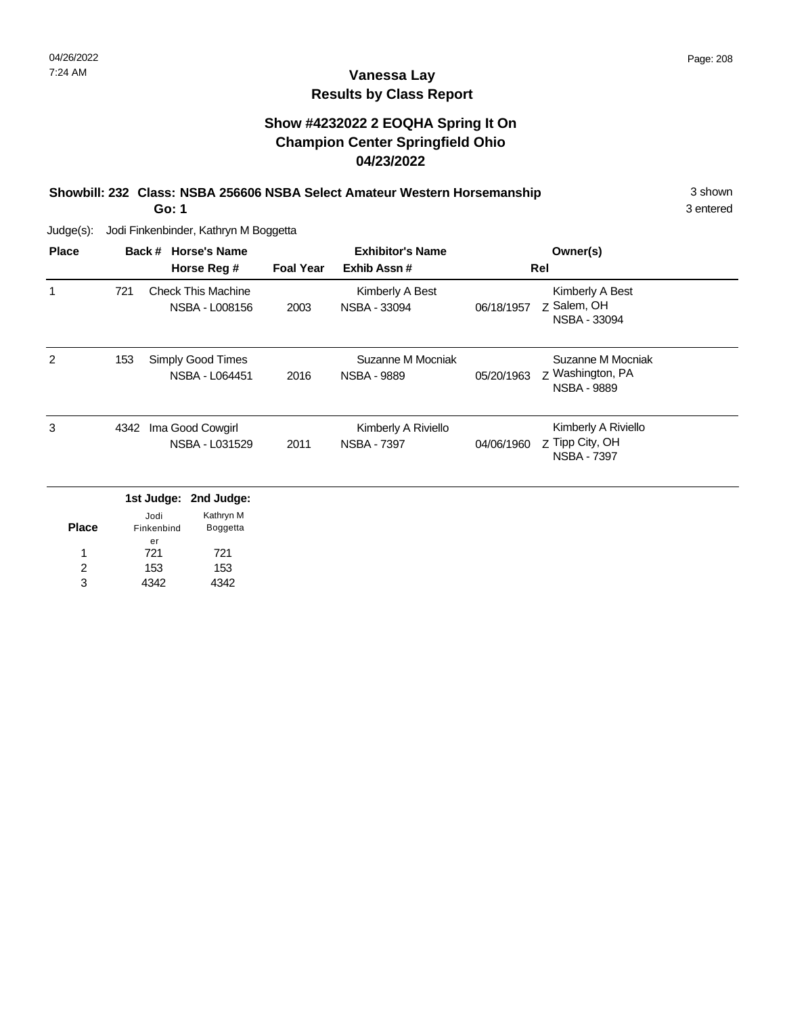## **Vanessa Lay Results by Class Report**

### **Show #4232022 2 EOQHA Spring It On Champion Center Springfield Ohio 04/23/2022**

#### **Showbill: 232 Class: NSBA 256606 NSBA Select Amateur Western Horsemanship** 3 shown **Go: 1**

Judge(s): Jodi Finkenbinder, Kathryn M Boggetta

721 153 4342

1 2 3

| <b>Place</b>   | Back #                                 | <b>Horse's Name</b>                 |                             | <b>Exhibitor's Name</b> |            | Owner(s)                                                     |
|----------------|----------------------------------------|-------------------------------------|-----------------------------|-------------------------|------------|--------------------------------------------------------------|
|                | Horse Reg #                            |                                     | <b>Foal Year</b>            | Exhib Assn#             | Rel        |                                                              |
|                | <b>Check This Machine</b><br>721       | NSBA - L008156                      | <b>NSBA - 33094</b><br>2003 | Kimberly A Best         | 06/18/1957 | Kimberly A Best<br>Z Salem, OH<br>NSBA - 33094               |
| $\overline{2}$ | 153<br>Simply Good Times               | NSBA - L064451                      | 2016<br><b>NSBA - 9889</b>  | Suzanne M Mocniak       | 05/20/1963 | Suzanne M Mocniak<br>Z Washington, PA<br><b>NSBA - 9889</b>  |
| 3              | Ima Good Cowgirl<br>4342               | NSBA - L031529                      | <b>NSBA - 7397</b><br>2011  | Kimberly A Riviello     | 04/06/1960 | Kimberly A Riviello<br>Z Tipp City, OH<br><b>NSBA - 7397</b> |
| <b>Place</b>   | 1st Judge:<br>Jodi<br>Finkenbind<br>er | 2nd Judge:<br>Kathryn M<br>Boggetta |                             |                         |            |                                                              |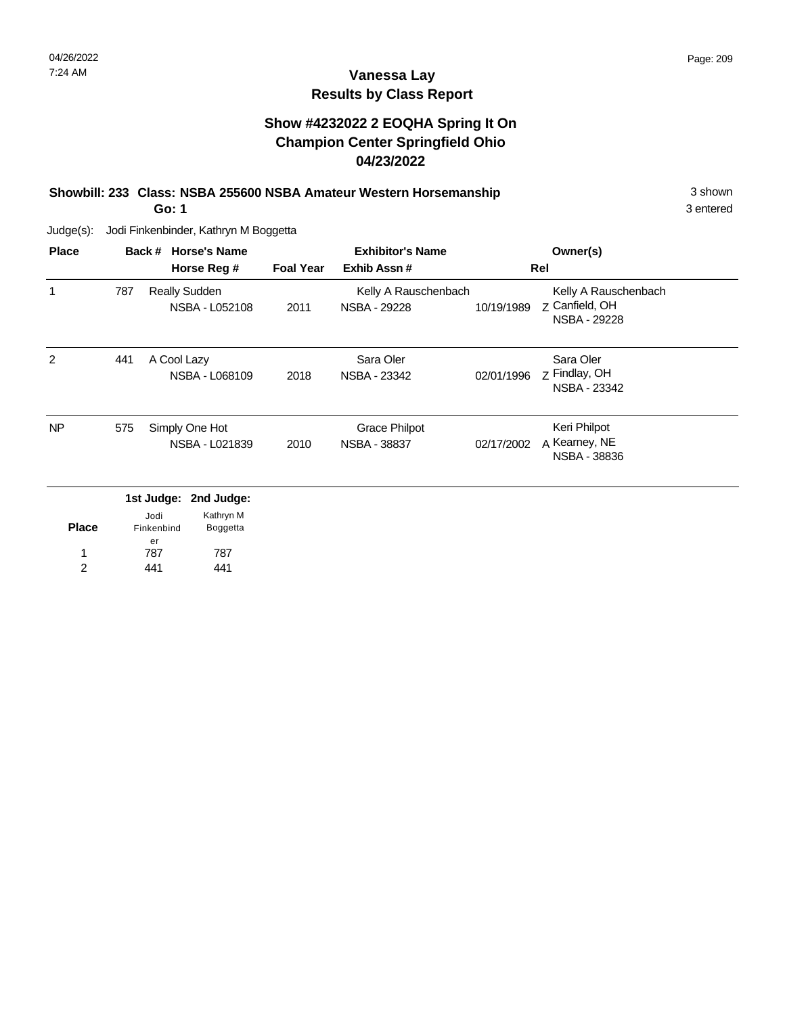### **Vanessa Lay Results by Class Report**

### **Show #4232022 2 EOQHA Spring It On Champion Center Springfield Ohio 04/23/2022**

# **Showbill: 233 Class: NSBA 255600 NSBA Amateur Western Horsemanship** 3 Shown 3 shown

**Go: 1**

| <b>Place</b>   |     | Back # Horse's Name                         |                  | <b>Exhibitor's Name</b> |            | Owner(s)                       |
|----------------|-----|---------------------------------------------|------------------|-------------------------|------------|--------------------------------|
|                |     | Horse Reg #                                 | <b>Foal Year</b> | Exhib Assn#             |            | Rel                            |
| 1              | 787 | <b>Really Sudden</b>                        |                  | Kelly A Rauschenbach    |            | Kelly A Rauschenbach           |
|                |     | NSBA - L052108                              | 2011             | <b>NSBA - 29228</b>     | 10/19/1989 | Z Canfield, OH<br>NSBA - 29228 |
| $\overline{2}$ | 441 | A Cool Lazy                                 |                  | Sara Oler               |            | Sara Oler                      |
|                |     | NSBA - L068109                              | 2018             | NSBA - 23342            | 02/01/1996 | Z Findlay, OH<br>NSBA - 23342  |
| <b>NP</b>      | 575 | Simply One Hot                              |                  | Grace Philpot           |            | Keri Philpot                   |
|                |     | NSBA - L021839                              | 2010             | <b>NSBA - 38837</b>     | 02/17/2002 | A Kearney, NE<br>NSBA - 38836  |
|                |     | 1st Judge: 2nd Judge:                       |                  |                         |            |                                |
| <b>Place</b>   |     | Kathryn M<br>Jodi<br>Boggetta<br>Finkenbind |                  |                         |            |                                |
|                |     | er                                          |                  |                         |            |                                |
| 1              |     | 787<br>787                                  |                  |                         |            |                                |
| $\overline{2}$ |     | 441<br>441                                  |                  |                         |            |                                |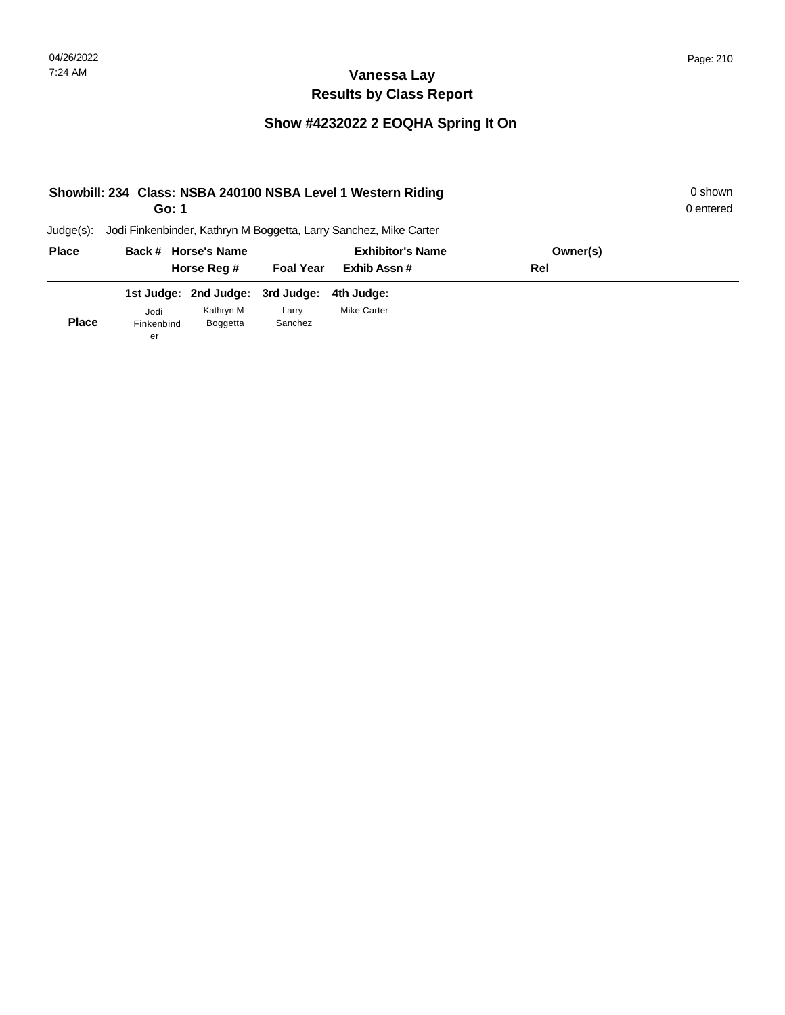# **Show #4232022 2 EOQHA Spring It On**

|              | Go: 1            |                                  |                  | Showbill: 234 Class: NSBA 240100 NSBA Level 1 Western Riding      |          | 0 shown<br>0 entered |
|--------------|------------------|----------------------------------|------------------|-------------------------------------------------------------------|----------|----------------------|
| Judge(s):    |                  |                                  |                  | Jodi Finkenbinder, Kathryn M Boggetta, Larry Sanchez, Mike Carter |          |                      |
| <b>Place</b> |                  | Back # Horse's Name              |                  | <b>Exhibitor's Name</b>                                           | Owner(s) |                      |
|              |                  | Horse Reg #                      | <b>Foal Year</b> | Exhib Assn#                                                       | Rel      |                      |
|              |                  | 1st Judge: 2nd Judge: 3rd Judge: |                  | 4th Judge:                                                        |          |                      |
|              | Jodi             | Kathryn M                        | Larry            | <b>Mike Carter</b>                                                |          |                      |
| <b>Place</b> | Finkenbind<br>er | Boggetta                         | Sanchez          |                                                                   |          |                      |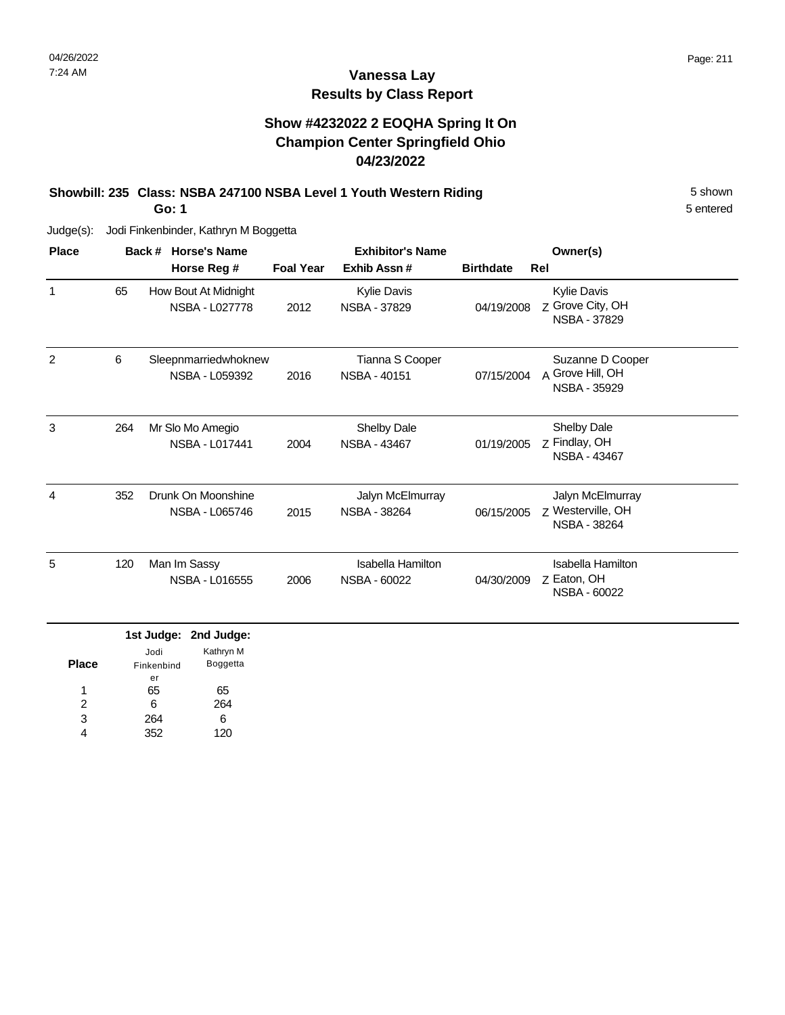### **Show #4232022 2 EOQHA Spring It On Champion Center Springfield Ohio 04/23/2022**

#### **Showbill: 235 Class: NSBA 247100 NSBA Level 1 Youth Western Riding 5 Shown 5 shown Go: 1**

Judge(s): Jodi Finkenbinder, Kathryn M Boggetta

| <b>Place</b>   |     | <b>Horse's Name</b><br>Back #                 |                  | <b>Exhibitor's Name</b>                  |                  | Owner(s)                                              |
|----------------|-----|-----------------------------------------------|------------------|------------------------------------------|------------------|-------------------------------------------------------|
|                |     | Horse Reg #                                   | <b>Foal Year</b> | Exhib Assn#                              | <b>Birthdate</b> | Rel                                                   |
| 1              | 65  | How Bout At Midnight<br><b>NSBA - L027778</b> | 2012             | Kylie Davis<br><b>NSBA - 37829</b>       | 04/19/2008       | Kylie Davis<br>Z Grove City, OH<br>NSBA - 37829       |
| $\mathfrak{p}$ | 6   | Sleepnmarriedwhoknew<br>NSBA - L059392        | 2016             | Tianna S Cooper<br>NSBA - 40151          | 07/15/2004       | Suzanne D Cooper<br>A Grove Hill, OH<br>NSBA - 35929  |
| 3              | 264 | Mr Slo Mo Amegio<br><b>NSBA - L017441</b>     | 2004             | Shelby Dale<br><b>NSBA - 43467</b>       | 01/19/2005       | Shelby Dale<br>Z Findlay, OH<br>NSBA - 43467          |
| 4              | 352 | Drunk On Moonshine<br>NSBA - L065746          | 2015             | Jalyn McElmurray<br><b>NSBA - 38264</b>  | 06/15/2005       | Jalyn McElmurray<br>z Westerville, OH<br>NSBA - 38264 |
| 5              | 120 | Man Im Sassy<br>NSBA - L016555                | 2006             | <b>Isabella Hamilton</b><br>NSBA - 60022 | 04/30/2009       | Isabella Hamilton<br>Z Eaton, OH<br>NSBA - 60022      |

|              |            | 1st Judge: 2nd Judge: |
|--------------|------------|-----------------------|
|              | Jodi       | Kathryn M             |
| <b>Place</b> | Finkenbind | Boggetta              |
|              | er         |                       |
| 1            | 65         | 65                    |
| 2            | 6          | 264                   |
| 3            | 264        | 6                     |
|              |            | 120                   |

5 entered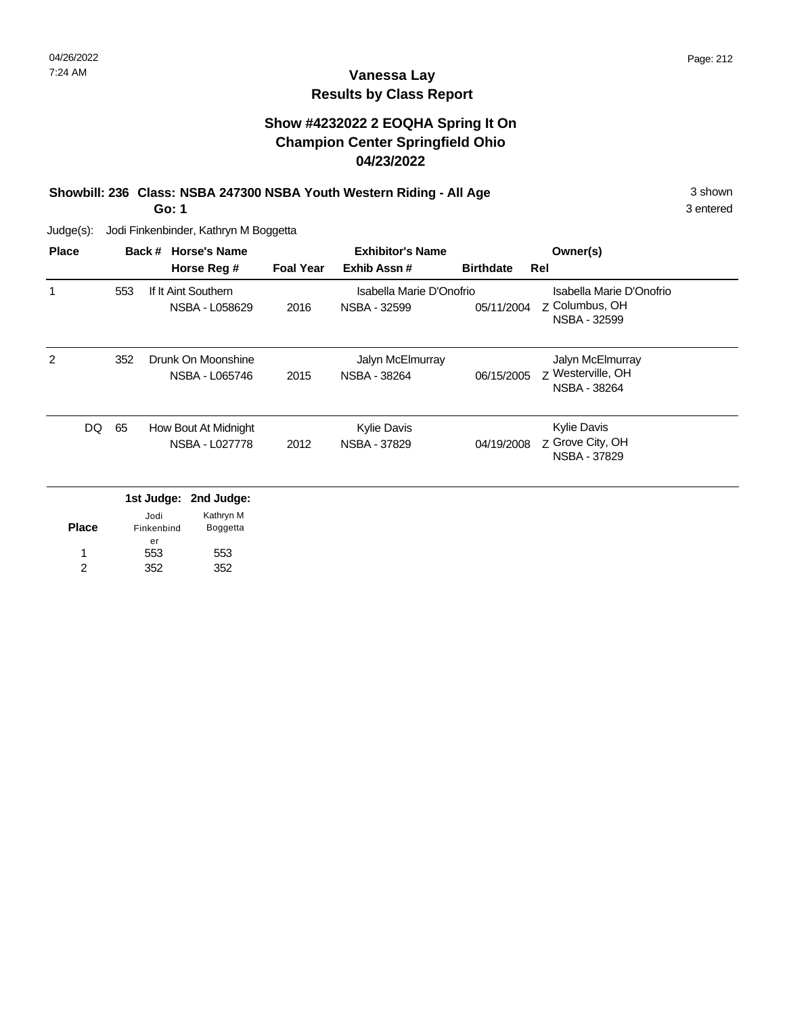### **Vanessa Lay Results by Class Report**

### **Show #4232022 2 EOQHA Spring It On Champion Center Springfield Ohio 04/23/2022**

### **Showbill: 236 Class: NSBA 247300 NSBA Youth Western Riding - All Age 3 Shown 3 shown**

**Go: 1**

| <b>Place</b> |     |                  | Back # Horse's Name  |                  | <b>Exhibitor's Name</b>  |                  | Owner(s)                          |
|--------------|-----|------------------|----------------------|------------------|--------------------------|------------------|-----------------------------------|
|              |     |                  | Horse Reg #          | <b>Foal Year</b> | Exhib Assn#              | <b>Birthdate</b> | Rel                               |
| 1            | 553 |                  | If It Aint Southern  |                  | Isabella Marie D'Onofrio |                  | Isabella Marie D'Onofrio          |
|              |     |                  | NSBA - L058629       | 2016             | NSBA - 32599             | 05/11/2004       | Z Columbus, OH<br>NSBA - 32599    |
| 2            | 352 |                  | Drunk On Moonshine   |                  | Jalyn McElmurray         |                  | Jalyn McElmurray                  |
|              |     |                  | NSBA - L065746       | 2015             | NSBA - 38264             | 06/15/2005       | z Westerville, OH<br>NSBA - 38264 |
| DQ           | 65  |                  | How Bout At Midnight |                  | <b>Kylie Davis</b>       |                  | <b>Kylie Davis</b>                |
|              |     |                  | NSBA - L027778       | 2012             | <b>NSBA - 37829</b>      | 04/19/2008       | Z Grove City, OH<br>NSBA - 37829  |
|              |     | 1st Judge:       | 2nd Judge:           |                  |                          |                  |                                   |
|              |     | Jodi             | Kathryn M            |                  |                          |                  |                                   |
| <b>Place</b> |     | Finkenbind<br>er | Boggetta             |                  |                          |                  |                                   |
| 1            |     | 553              | 553                  |                  |                          |                  |                                   |
| 2            |     | 352              | 352                  |                  |                          |                  |                                   |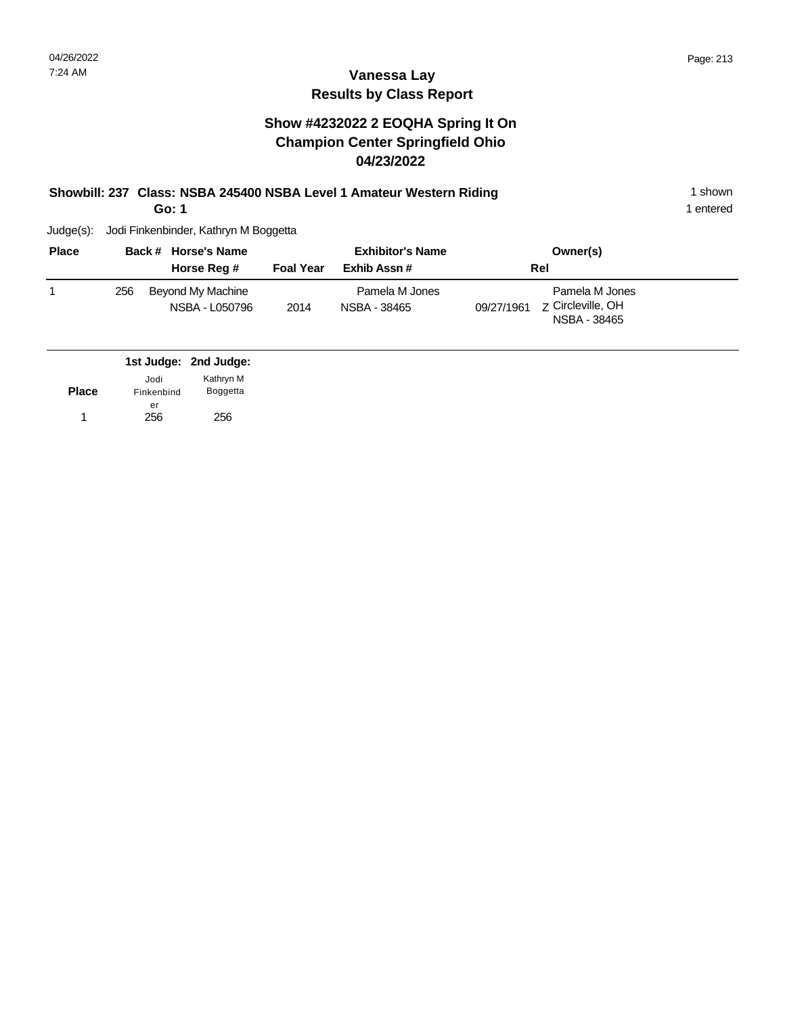### **Show #4232022 2 EOQHA Spring It On Champion Center Springfield Ohio 04/23/2022**

# **Showbill: 237 Class: NSBA 245400 NSBA Level 1 Amateur Western Riding 1 Shown 1 shown**

**Go: 1**

1 entered

| <b>Place</b> |     | Back # Horse's Name                 |                  | <b>Exhibitor's Name</b>        | Owner(s)                                                                 |
|--------------|-----|-------------------------------------|------------------|--------------------------------|--------------------------------------------------------------------------|
|              |     | Horse Reg #                         | <b>Foal Year</b> | Exhib Assn #                   | Rel                                                                      |
|              | 256 | Beyond My Machine<br>NSBA - L050796 | 2014             | Pamela M Jones<br>NSBA - 38465 | Pamela M Jones<br><b>Z</b> Circleville, OH<br>09/27/1961<br>NSBA - 38465 |

|              |            | 1st Judge: 2nd Judge: |  |
|--------------|------------|-----------------------|--|
|              | Jodi       | Kathryn M             |  |
| <b>Place</b> | Finkenbind | <b>Boggetta</b>       |  |
|              | er<br>256  | 256                   |  |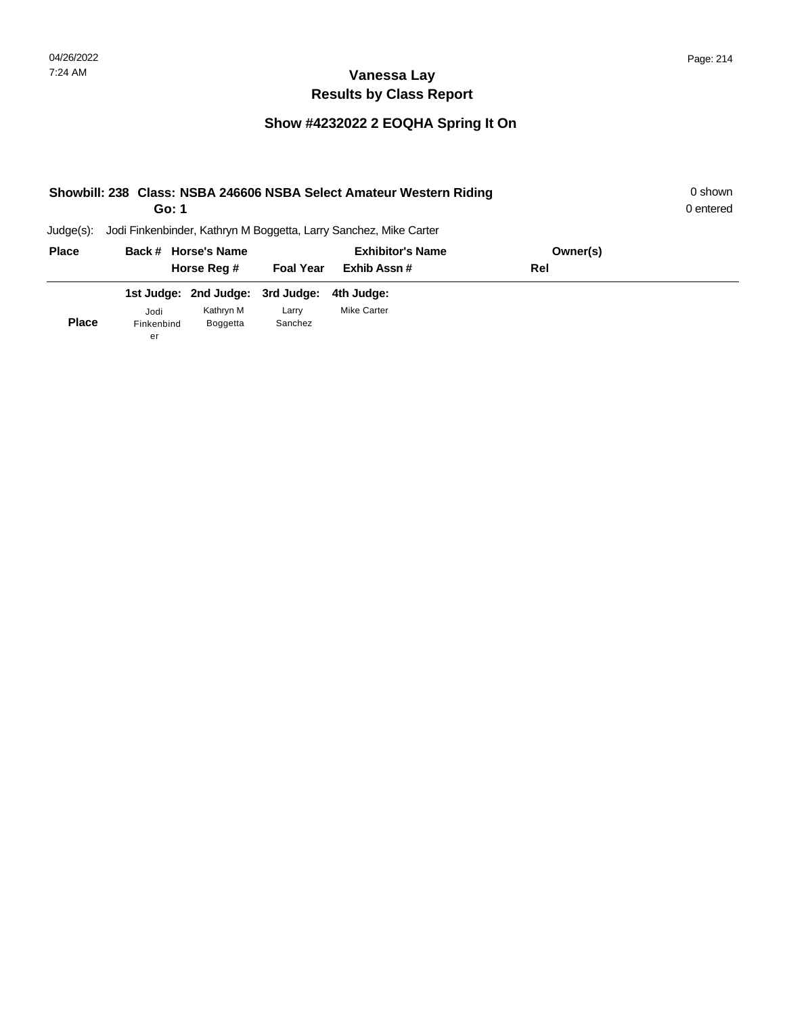# **Show #4232022 2 EOQHA Spring It On**

|              | Go: 1            |                                  |                  | Showbill: 238 Class: NSBA 246606 NSBA Select Amateur Western Riding |          | 0 shown<br>0 entered |
|--------------|------------------|----------------------------------|------------------|---------------------------------------------------------------------|----------|----------------------|
| $Judge(s)$ : |                  |                                  |                  | Jodi Finkenbinder, Kathryn M Boggetta, Larry Sanchez, Mike Carter   |          |                      |
| <b>Place</b> |                  | Back # Horse's Name              |                  | <b>Exhibitor's Name</b>                                             | Owner(s) |                      |
|              |                  | Horse Reg #                      | <b>Foal Year</b> | Exhib Assn#                                                         | Rel      |                      |
|              |                  | 1st Judge: 2nd Judge: 3rd Judge: |                  | 4th Judae:                                                          |          |                      |
|              | Jodi             | Kathryn M                        | Larry            | <b>Mike Carter</b>                                                  |          |                      |
| <b>Place</b> | Finkenbind<br>er | Boggetta                         | Sanchez          |                                                                     |          |                      |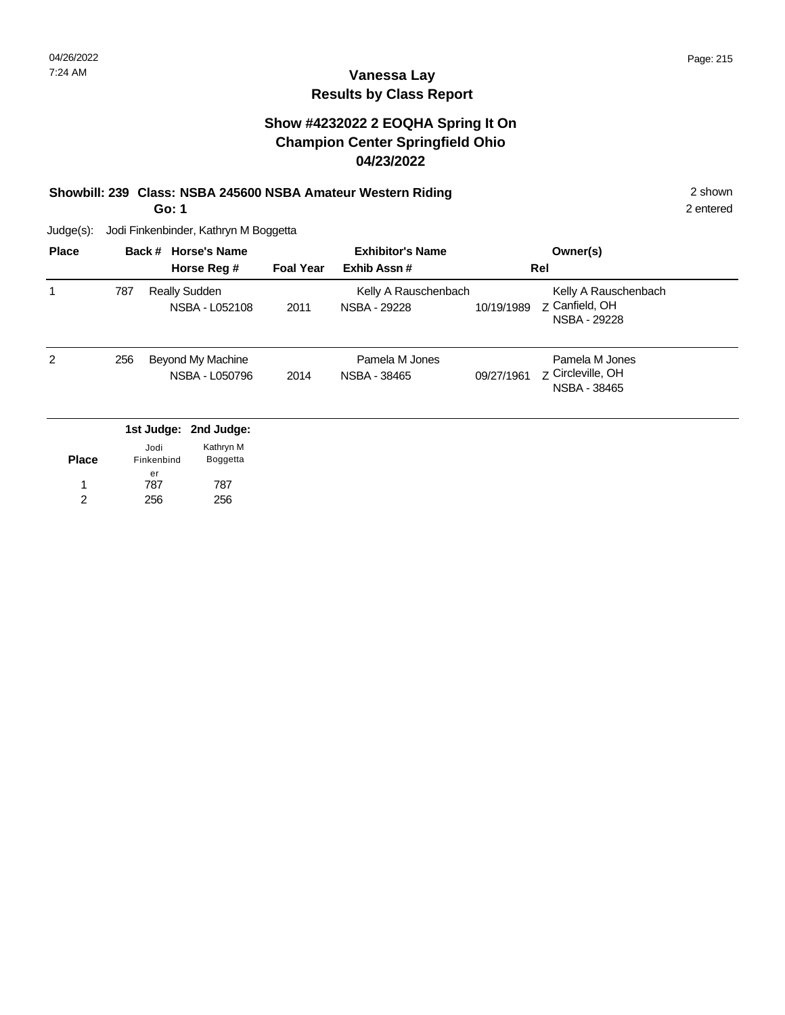### **Show #4232022 2 EOQHA Spring It On Champion Center Springfield Ohio 04/23/2022**

### **Showbill: 239 Class: NSBA 245600 NSBA Amateur Western Riding** 2 shown

**Go: 1**

2 entered

Judge(s): Jodi Finkenbinder, Kathryn M Boggetta

| <b>Place</b> |     | Back #             | <b>Horse's Name</b>                 |                  | <b>Exhibitor's Name</b>              |            | Owner(s)                                                          |
|--------------|-----|--------------------|-------------------------------------|------------------|--------------------------------------|------------|-------------------------------------------------------------------|
|              |     |                    | Horse Reg #                         | <b>Foal Year</b> | Exhib Assn#                          |            | Rel                                                               |
| 1            | 787 |                    | Really Sudden<br>NSBA - L052108     | 2011             | Kelly A Rauschenbach<br>NSBA - 29228 | 10/19/1989 | Kelly A Rauschenbach<br>Z Canfield, OH<br><b>NSBA - 29228</b>     |
| 2            | 256 |                    | Beyond My Machine<br>NSBA - L050796 | 2014             | Pamela M Jones<br>NSBA - 38465       | 09/27/1961 | Pamela M Jones<br><b>Z</b> Circleville, OH<br><b>NSBA - 38465</b> |
|              |     | 1st Judge:         | 2nd Judge:                          |                  |                                      |            |                                                                   |
| <b>Place</b> |     | Jodi<br>Finkenbind | Kathryn M<br>Boggetta               |                  |                                      |            |                                                                   |
|              |     | er<br>787          | 787                                 |                  |                                      |            |                                                                   |

787 256 1 2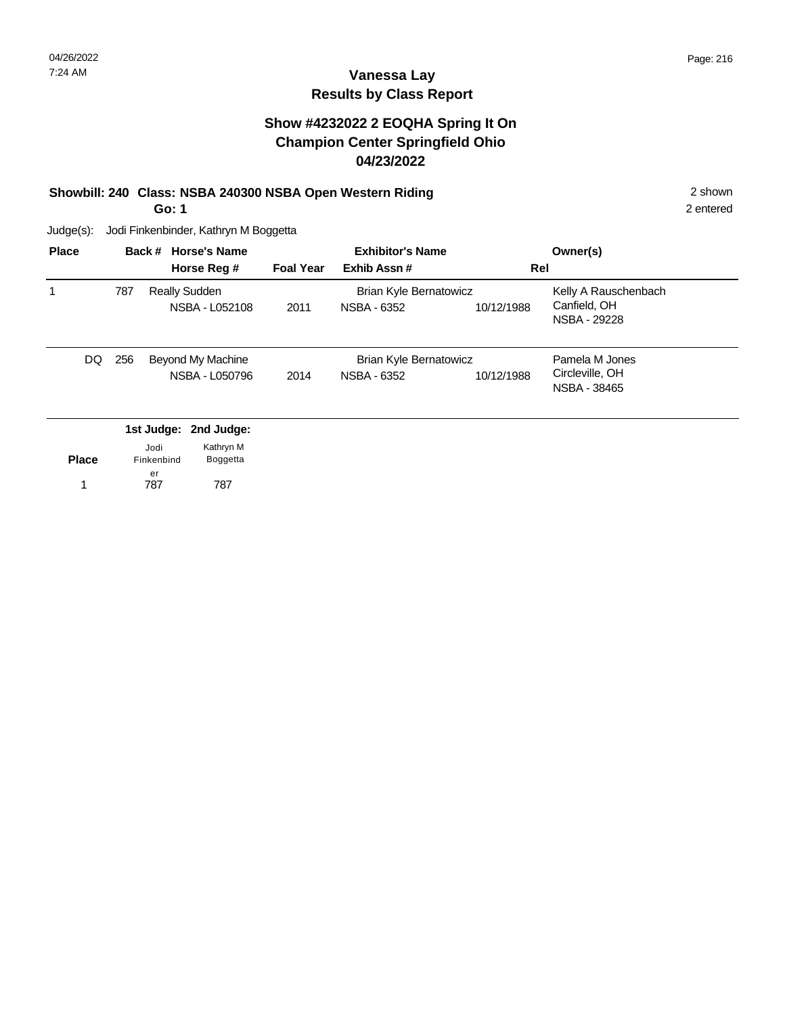### **Vanessa Lay Results by Class Report**

### **Show #4232022 2 EOQHA Spring It On Champion Center Springfield Ohio 04/23/2022**

### **Showbill: 240 Class: NSBA 240300 NSBA Open Western Riding 25 Shown 2 shown 2 shown**

**Go: 1**

Judge(s): Jodi Finkenbinder, Kathryn M Boggetta

1 787 787

er

| <b>Place</b> |     | Back # Horse's Name<br>Horse Reg #                                   | <b>Foal Year</b> | <b>Exhibitor's Name</b><br>Exhib Assn#              |            | Owner(s)<br>Rel                                      |
|--------------|-----|----------------------------------------------------------------------|------------------|-----------------------------------------------------|------------|------------------------------------------------------|
|              | 787 | <b>Really Sudden</b><br>NSBA - L052108                               | 2011             | <b>Brian Kyle Bernatowicz</b><br><b>NSBA - 6352</b> | 10/12/1988 | Kelly A Rauschenbach<br>Canfield, OH<br>NSBA - 29228 |
| DQ.          | 256 | Beyond My Machine<br>NSBA - L050796                                  | 2014             | <b>Brian Kyle Bernatowicz</b><br><b>NSBA - 6352</b> | 10/12/1988 | Pamela M Jones<br>Circleville, OH<br>NSBA - 38465    |
| <b>Place</b> |     | 1st Judge: 2nd Judge:<br>Kathryn M<br>Jodi<br>Finkenbind<br>Boggetta |                  |                                                     |            |                                                      |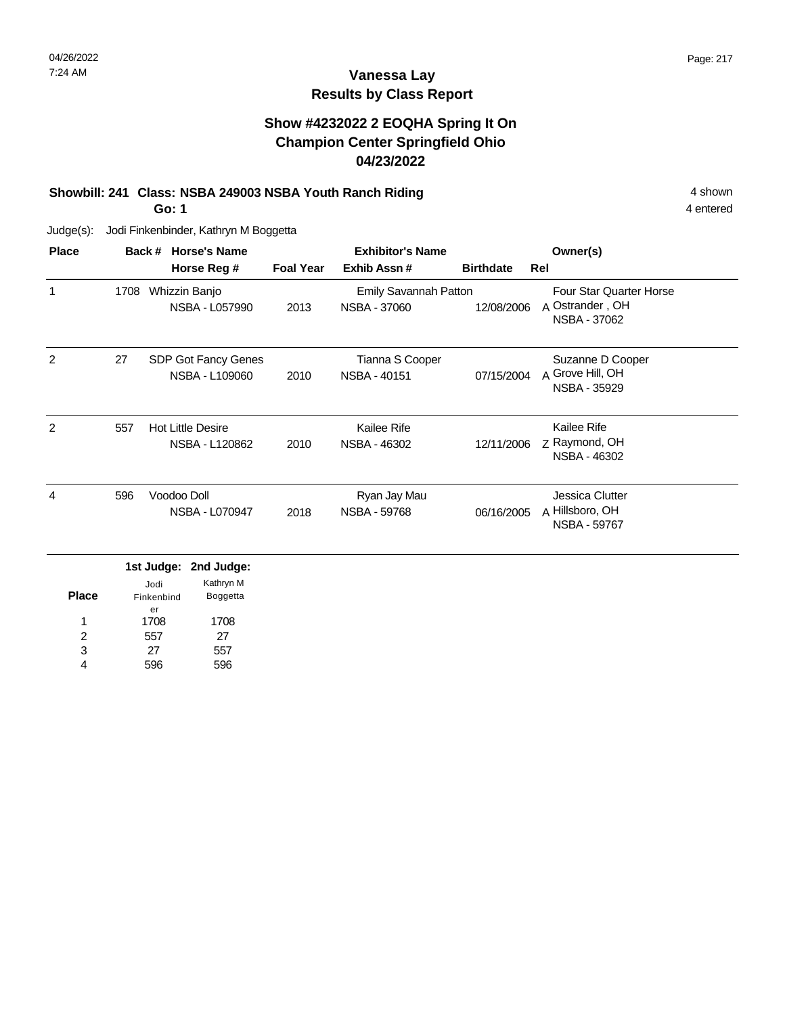### **Vanessa Lay Results by Class Report**

#### **Show #4232022 2 EOQHA Spring It On Champion Center Springfield Ohio 04/23/2022**

#### **Showbill: 241 Class: NSBA 249003 NSBA Youth Ranch Riding All and Ashown** 4 shown

**Go: 1**

Judge(s): Jodi Finkenbinder, Kathryn M Boggetta

er

| <b>Place</b> |      | <b>Horse's Name</b><br>Back #                                           |                  | <b>Exhibitor's Name</b>               |                  | Owner(s)                                                          |
|--------------|------|-------------------------------------------------------------------------|------------------|---------------------------------------|------------------|-------------------------------------------------------------------|
|              |      | Horse Reg #                                                             | <b>Foal Year</b> | Exhib Assn#                           | <b>Birthdate</b> | Rel                                                               |
| 1            | 1708 | Whizzin Banjo<br>NSBA - L057990                                         | 2013             | Emily Savannah Patton<br>NSBA - 37060 | 12/08/2006       | <b>Four Star Quarter Horse</b><br>A Ostrander, OH<br>NSBA - 37062 |
| 2            | 27   | SDP Got Fancy Genes<br>NSBA - L109060                                   | 2010             | Tianna S Cooper<br>NSBA - 40151       | 07/15/2004       | Suzanne D Cooper<br>A Grove Hill, OH<br>NSBA - 35929              |
| 2            | 557  | <b>Hot Little Desire</b><br>NSBA - L120862                              | 2010             | Kailee Rife<br>NSBA - 46302           | 12/11/2006       | Kailee Rife<br>z Raymond, OH<br>NSBA - 46302                      |
| 4            | 596  | Voodoo Doll<br>NSBA - L070947                                           | 2018             | Ryan Jay Mau<br><b>NSBA - 59768</b>   | 06/16/2005       | Jessica Clutter<br>A Hillsboro, OH<br><b>NSBA - 59767</b>         |
| <b>Place</b> |      | 1st Judge:<br>2nd Judge:<br>Kathryn M<br>Jodi<br>Boggetta<br>Finkenbind |                  |                                       |                  |                                                                   |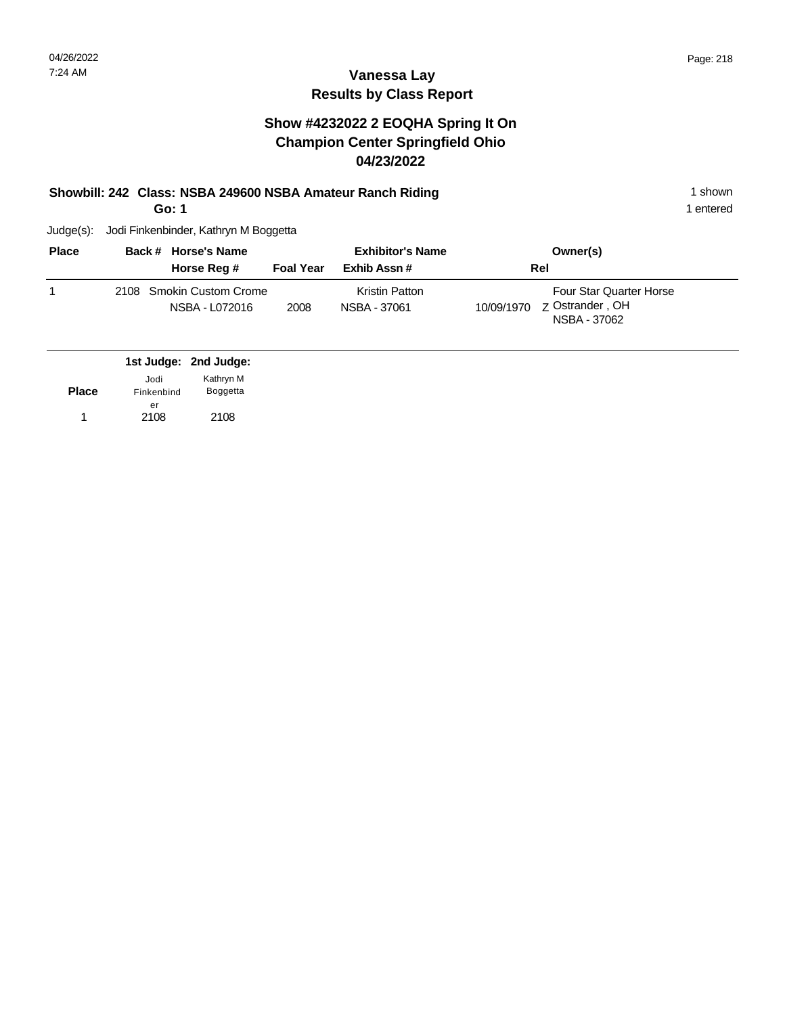#### **Show #4232022 2 EOQHA Spring It On Champion Center Springfield Ohio 04/23/2022**

#### **Showbill: 242 Class: NSBA 249600 NSBA Amateur Ranch Riding** 1 Shown 1 shown

**Go: 1**

1 entered

| <b>Place</b> |             | Back # Horse's Name                        |                                 | <b>Exhibitor's Name</b>        | Owner(s)                                       |  |
|--------------|-------------|--------------------------------------------|---------------------------------|--------------------------------|------------------------------------------------|--|
|              | Horse Reg # |                                            | Exhib Assn#<br><b>Foal Year</b> |                                | Rel                                            |  |
|              |             | 2108 Smokin Custom Crome<br>NSBA - L072016 | 2008                            | Kristin Patton<br>NSBA - 37061 | <b>Four Star Quarter Horse</b><br>NSBA - 37062 |  |

|              |                    | 1st Judge: 2nd Judge:        |  |
|--------------|--------------------|------------------------------|--|
| <b>Place</b> | Jodi<br>Finkenbind | Kathryn M<br><b>Boggetta</b> |  |
|              | er<br>2108         | 2108                         |  |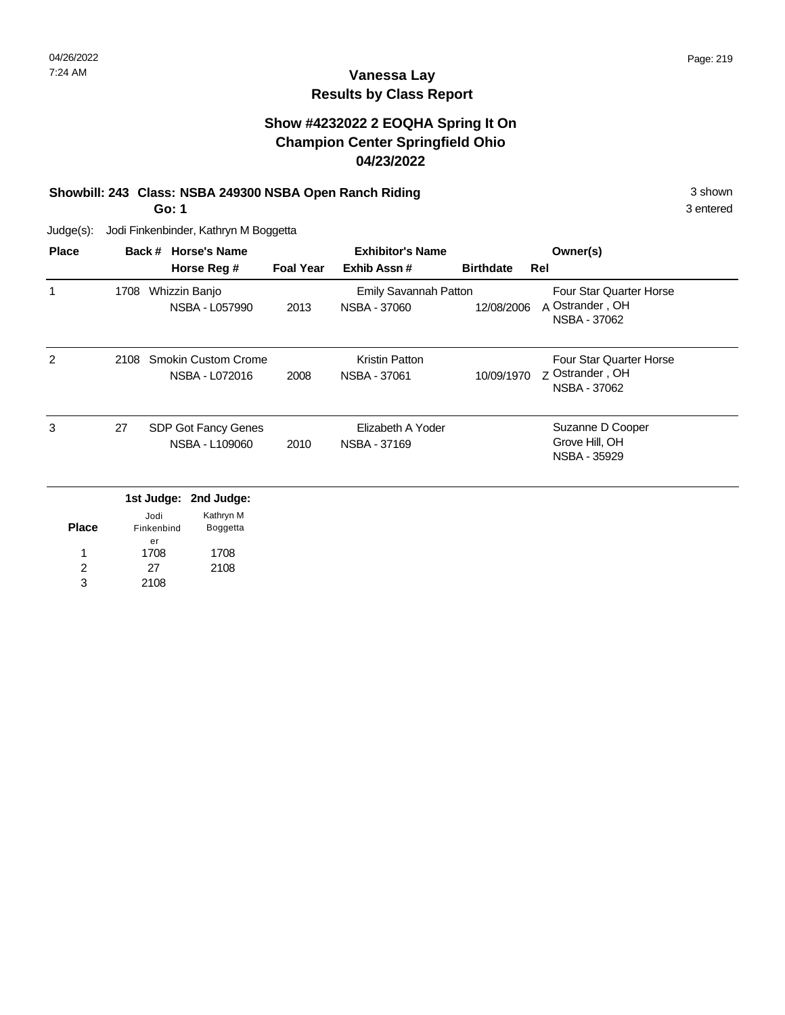### **Vanessa Lay Results by Class Report**

#### **Show #4232022 2 EOQHA Spring It On Champion Center Springfield Ohio 04/23/2022**

#### **Showbill: 243 Class: NSBA 249300 NSBA Open Ranch Riding** 3 Shown 3 shown

**Go: 1**

Judge(s): Jodi Finkenbinder, Kathryn M Boggetta

2108

| <b>Place</b> |      | Back #             | <b>Horse's Name</b>   |                  | <b>Exhibitor's Name</b> |                  | Owner(s)                        |
|--------------|------|--------------------|-----------------------|------------------|-------------------------|------------------|---------------------------------|
|              |      |                    | Horse Reg #           | <b>Foal Year</b> | Exhib Assn#             | <b>Birthdate</b> | Rel                             |
| 1            | 1708 |                    | Whizzin Banjo         |                  | Emily Savannah Patton   |                  | Four Star Quarter Horse         |
|              |      |                    | NSBA - L057990        | 2013             | NSBA - 37060            | 12/08/2006       | A Ostrander, OH<br>NSBA - 37062 |
| 2            | 2108 |                    | Smokin Custom Crome   |                  | Kristin Patton          |                  | <b>Four Star Quarter Horse</b>  |
|              |      |                    | NSBA - L072016        | 2008             | NSBA - 37061            | 10/09/1970       | 7 Ostrander, OH<br>NSBA - 37062 |
| 3            | 27   |                    | SDP Got Fancy Genes   |                  | Elizabeth A Yoder       |                  | Suzanne D Cooper                |
|              |      |                    | NSBA - L109060        | 2010             | <b>NSBA - 37169</b>     |                  | Grove Hill, OH<br>NSBA - 35929  |
|              |      |                    | 1st Judge: 2nd Judge: |                  |                         |                  |                                 |
| <b>Place</b> |      | Jodi<br>Finkenbind | Kathryn M<br>Boggetta |                  |                         |                  |                                 |
|              |      | er                 |                       |                  |                         |                  |                                 |
| 1            |      | 1708               | 1708                  |                  |                         |                  |                                 |
| 2            |      | 27                 | 2108                  |                  |                         |                  |                                 |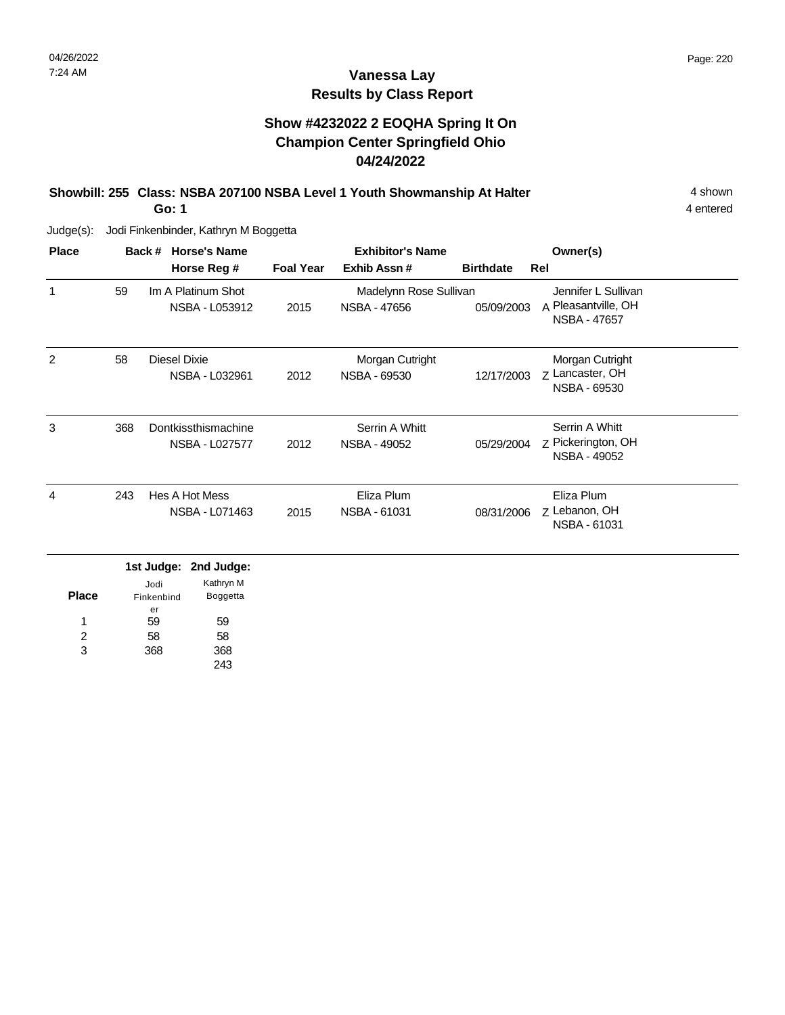**Place**

1 2 3

59 58 368

Finkenbind er

Boggetta

4 entered

### **Vanessa Lay Results by Class Report**

#### **Show #4232022 2 EOQHA Spring It On Champion Center Springfield Ohio 04/24/2022**

**Showbill: 255 Class: NSBA 207100 NSBA Level 1 Youth Showmanship At Halter** 4 shown **Go: 1**

| <b>Place</b> |     | <b>Horse's Name</b><br>Back #              |                  | <b>Exhibitor's Name</b>                |                  | Owner(s)                                                          |
|--------------|-----|--------------------------------------------|------------------|----------------------------------------|------------------|-------------------------------------------------------------------|
|              |     | Horse Reg #                                | <b>Foal Year</b> | Exhib Assn#                            | <b>Birthdate</b> | Rel                                                               |
| 1            | 59  | Im A Platinum Shot<br>NSBA - L053912       | 2015             | Madelynn Rose Sullivan<br>NSBA - 47656 | 05/09/2003       | Jennifer L Sullivan<br>A Pleasantville, OH<br><b>NSBA - 47657</b> |
| 2            | 58  | Diesel Dixie<br>NSBA - L032961             | 2012             | Morgan Cutright<br>NSBA - 69530        | 12/17/2003       | Morgan Cutright<br>7 Lancaster, OH<br>NSBA - 69530                |
| 3            | 368 | Dontkissthismachine<br>NSBA - L027577      | 2012             | Serrin A Whitt<br>NSBA - 49052         | 05/29/2004       | Serrin A Whitt<br>Z Pickerington, OH<br>NSBA - 49052              |
| 4            | 243 | Hes A Hot Mess<br>NSBA - L071463           | 2015             | Eliza Plum<br>NSBA - 61031             | 08/31/2006       | Eliza Plum<br>Z Lebanon, OH<br>NSBA - 61031                       |
|              |     | 1st Judge: 2nd Judge:<br>Kathryn M<br>Jodi |                  |                                        |                  |                                                                   |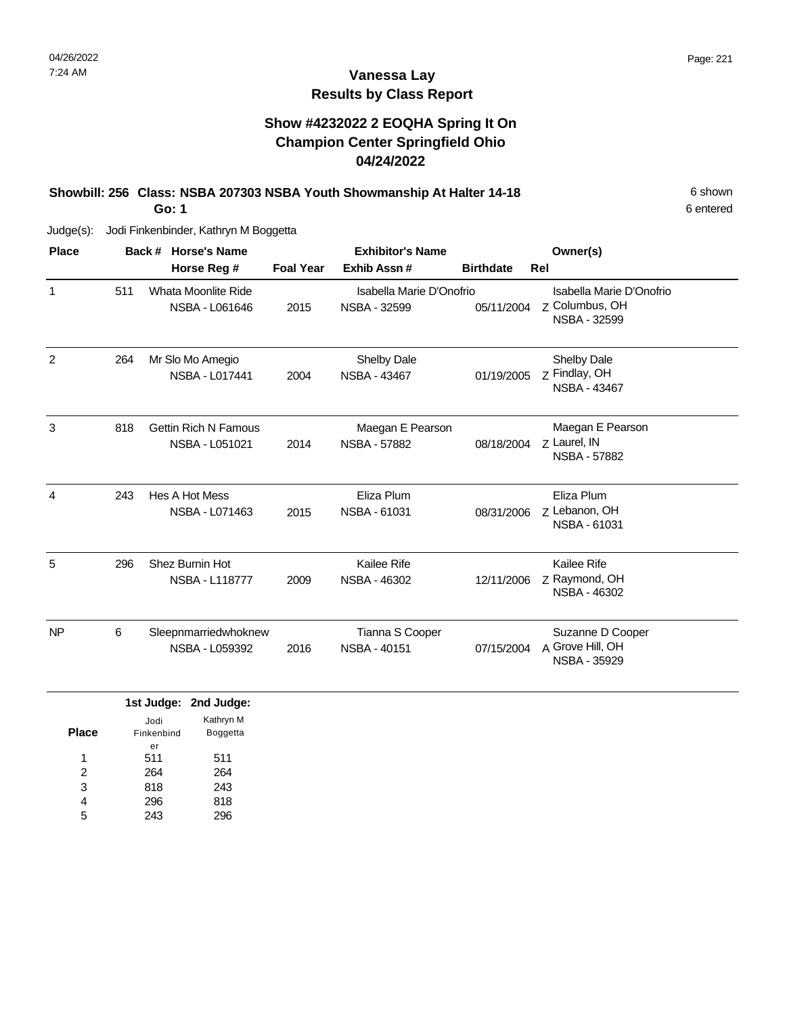### **Vanessa Lay Results by Class Report**

### **Show #4232022 2 EOQHA Spring It On Champion Center Springfield Ohio 04/24/2022**

# **Showbill: 256 Class: NSBA 207303 NSBA Youth Showmanship At Halter 14-18** 6 Shown

**Go: 1**

| <b>Place</b> |     | <b>Horse's Name</b><br>Back #                 | <b>Exhibitor's Name</b> |                                                 |                  | Owner(s)                                                          |
|--------------|-----|-----------------------------------------------|-------------------------|-------------------------------------------------|------------------|-------------------------------------------------------------------|
|              |     | Horse Reg #                                   | <b>Foal Year</b>        | Exhib Assn#                                     | <b>Birthdate</b> | Rel                                                               |
| $\mathbf{1}$ | 511 | <b>Whata Moonlite Ride</b><br>NSBA - L061646  | 2015                    | Isabella Marie D'Onofrio<br><b>NSBA - 32599</b> | 05/11/2004       | Isabella Marie D'Onofrio<br>Z Columbus, OH<br><b>NSBA - 32599</b> |
| 2            | 264 | Mr Slo Mo Amegio<br>NSBA - L017441            | 2004                    | Shelby Dale<br><b>NSBA - 43467</b>              | 01/19/2005       | Shelby Dale<br>Z Findlay, OH<br>NSBA - 43467                      |
| 3            | 818 | <b>Gettin Rich N Famous</b><br>NSBA - L051021 | 2014                    | Maegan E Pearson<br><b>NSBA - 57882</b>         | 08/18/2004       | Maegan E Pearson<br>z Laurel, IN<br><b>NSBA - 57882</b>           |
| 4            | 243 | Hes A Hot Mess<br>NSBA - L071463              | 2015                    | Eliza Plum<br>NSBA - 61031                      | 08/31/2006       | Eliza Plum<br>Z Lebanon, OH<br>NSBA - 61031                       |
| 5            | 296 | Shez Burnin Hot<br><b>NSBA - L118777</b>      | 2009                    | Kailee Rife<br>NSBA - 46302                     | 12/11/2006       | Kailee Rife<br>Z Raymond, OH<br>NSBA - 46302                      |
| <b>NP</b>    | 6   | Sleepnmarriedwhoknew<br>NSBA - L059392        | 2016                    | Tianna S Cooper<br>NSBA - 40151                 | 07/15/2004       | Suzanne D Cooper<br>A Grove Hill, OH<br>NSBA - 35929              |

|              |                    | 1st Judge: 2nd Judge: |
|--------------|--------------------|-----------------------|
| <b>Place</b> | Jodi<br>Finkenbind | Kathryn M<br>Boggetta |
|              | er                 |                       |
| 1            | 511                | 511                   |
| 2            | 264                | 264                   |
| 3            | 818                | 243                   |
| 4            | 296                | 818                   |
| 5            | 243                |                       |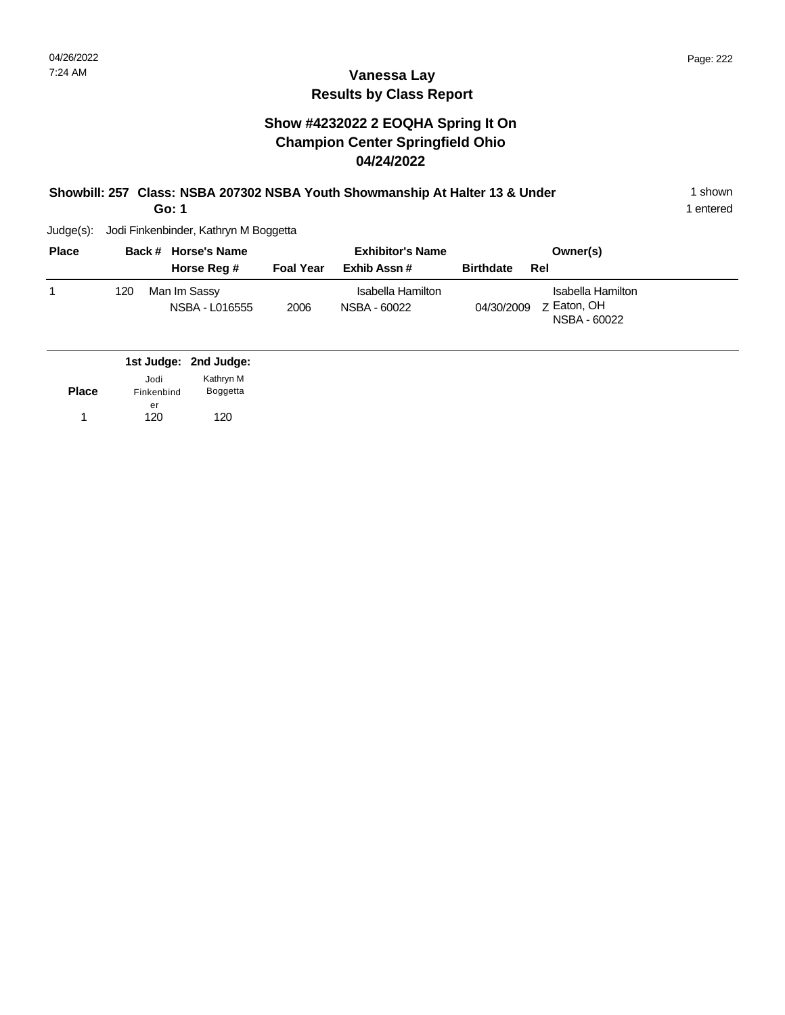#### **Show #4232022 2 EOQHA Spring It On Champion Center Springfield Ohio 04/24/2022**

#### **Showbill: 257 Class: NSBA 207302 NSBA Youth Showmanship At Halter 13 & Under** 1 Shown **Go: 1**

1 entered

| <b>Place</b> |     | Back # Horse's Name            |                  | <b>Exhibitor's Name</b>           | Owner(s)                                                       |
|--------------|-----|--------------------------------|------------------|-----------------------------------|----------------------------------------------------------------|
|              |     | Horse Reg #                    | <b>Foal Year</b> | Exhib Assn #                      | <b>Birthdate</b><br>Rel                                        |
|              | 120 | Man Im Sassy<br>NSBA - L016555 | 2006             | Isabella Hamilton<br>NSBA - 60022 | Isabella Hamilton<br>z Eaton, OH<br>04/30/2009<br>NSBA - 60022 |

|              |                  | 1st Judge: 2nd Judge: |
|--------------|------------------|-----------------------|
|              | Jodi             | Kathryn M             |
| <b>Place</b> | Finkenbind<br>er | <b>Boggetta</b>       |
|              | 120              | 120                   |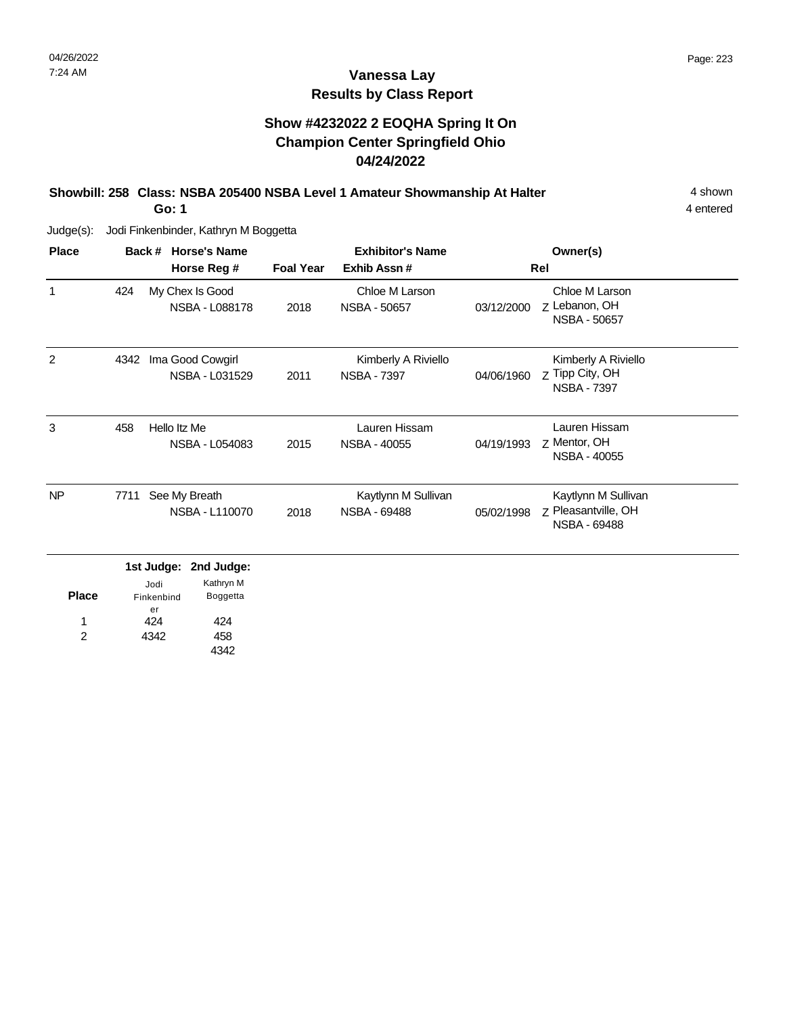### **Vanessa Lay Results by Class Report**

#### **Show #4232022 2 EOQHA Spring It On Champion Center Springfield Ohio 04/24/2022**

#### **Showbill: 258 Class: NSBA 205400 NSBA Level 1 Amateur Showmanship At Halter** 4 shown **Go: 1**

Judge(s): Jodi Finkenbinder, Kathryn M Boggetta

424 4342

1 2

| <b>Place</b> |      | <b>Horse's Name</b><br>Back #<br>Horse Reg #                                  | <b>Foal Year</b> | <b>Exhibitor's Name</b><br>Exhib Assn#     |            | Owner(s)<br>Rel                                              |
|--------------|------|-------------------------------------------------------------------------------|------------------|--------------------------------------------|------------|--------------------------------------------------------------|
| 1            | 424  | My Chex Is Good<br><b>NSBA - L088178</b>                                      | 2018             | Chloe M Larson<br>NSBA - 50657             | 03/12/2000 | Chloe M Larson<br>Z Lebanon, OH<br>NSBA - 50657              |
| 2            | 4342 | Ima Good Cowgirl<br>NSBA - L031529                                            | 2011             | Kimberly A Riviello<br><b>NSBA - 7397</b>  | 04/06/1960 | Kimberly A Riviello<br>Z Tipp City, OH<br><b>NSBA - 7397</b> |
| 3            | 458  | Hello Itz Me<br><b>NSBA - L054083</b>                                         | 2015             | Lauren Hissam<br>NSBA - 40055              | 04/19/1993 | Lauren Hissam<br>Z Mentor, OH<br>NSBA - 40055                |
| <b>NP</b>    | 7711 | See My Breath<br>NSBA - L110070                                               | 2018             | Kaytlynn M Sullivan<br><b>NSBA - 69488</b> | 05/02/1998 | Kaytlynn M Sullivan<br>Z Pleasantville, OH<br>NSBA - 69488   |
| <b>Place</b> |      | 1st Judge:<br>2nd Judge:<br>Kathryn M<br>Jodi<br>Boggetta<br>Finkenbind<br>er |                  |                                            |            |                                                              |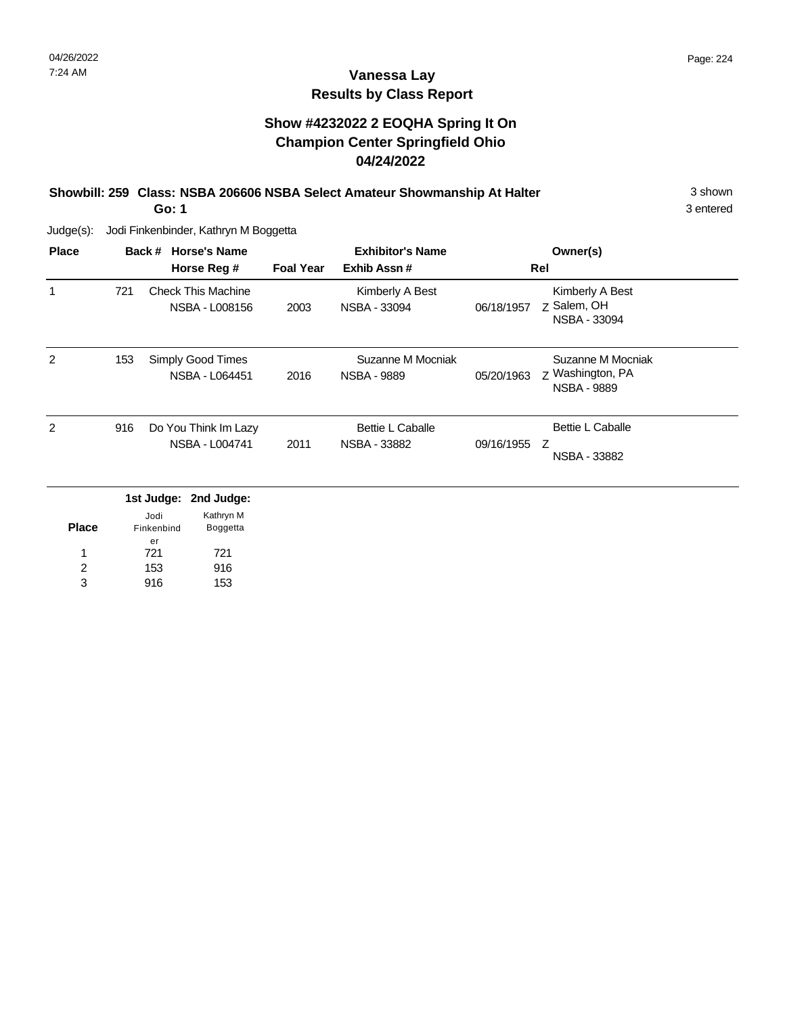### **Vanessa Lay Results by Class Report**

#### **Show #4232022 2 EOQHA Spring It On Champion Center Springfield Ohio 04/24/2022**

# **Showbill: 259 Class: NSBA 206606 NSBA Select Amateur Showmanship At Halter** 3 shown

**Go: 1**

Judge(s): Jodi Finkenbinder, Kathryn M Boggetta

153 916

2 3

| <b>Place</b> |     | <b>Horse's Name</b><br>Back #                                           |                  | <b>Exhibitor's Name</b>                        |            | Owner(s)                                                    |
|--------------|-----|-------------------------------------------------------------------------|------------------|------------------------------------------------|------------|-------------------------------------------------------------|
|              |     | Horse Reg #                                                             | <b>Foal Year</b> | Exhib Assn#                                    |            | Rel                                                         |
|              | 721 | <b>Check This Machine</b><br>NSBA - L008156                             | 2003             | Kimberly A Best<br>NSBA - 33094                | 06/18/1957 | Kimberly A Best<br>Z Salem, OH<br>NSBA - 33094              |
| 2            | 153 | Simply Good Times<br>NSBA - L064451                                     | 2016             | Suzanne M Mocniak<br><b>NSBA - 9889</b>        | 05/20/1963 | Suzanne M Mocniak<br>Z Washington, PA<br><b>NSBA - 9889</b> |
| 2            | 916 | Do You Think Im Lazy<br>NSBA - L004741                                  | 2011             | <b>Bettie L Caballe</b><br><b>NSBA - 33882</b> | 09/16/1955 | Bettie L Caballe<br>Z<br>NSBA - 33882                       |
| <b>Place</b> |     | 1st Judge:<br>2nd Judge:<br>Kathryn M<br>Jodi<br>Boggetta<br>Finkenbind |                  |                                                |            |                                                             |
| 1            |     | er<br>721<br>721                                                        |                  |                                                |            |                                                             |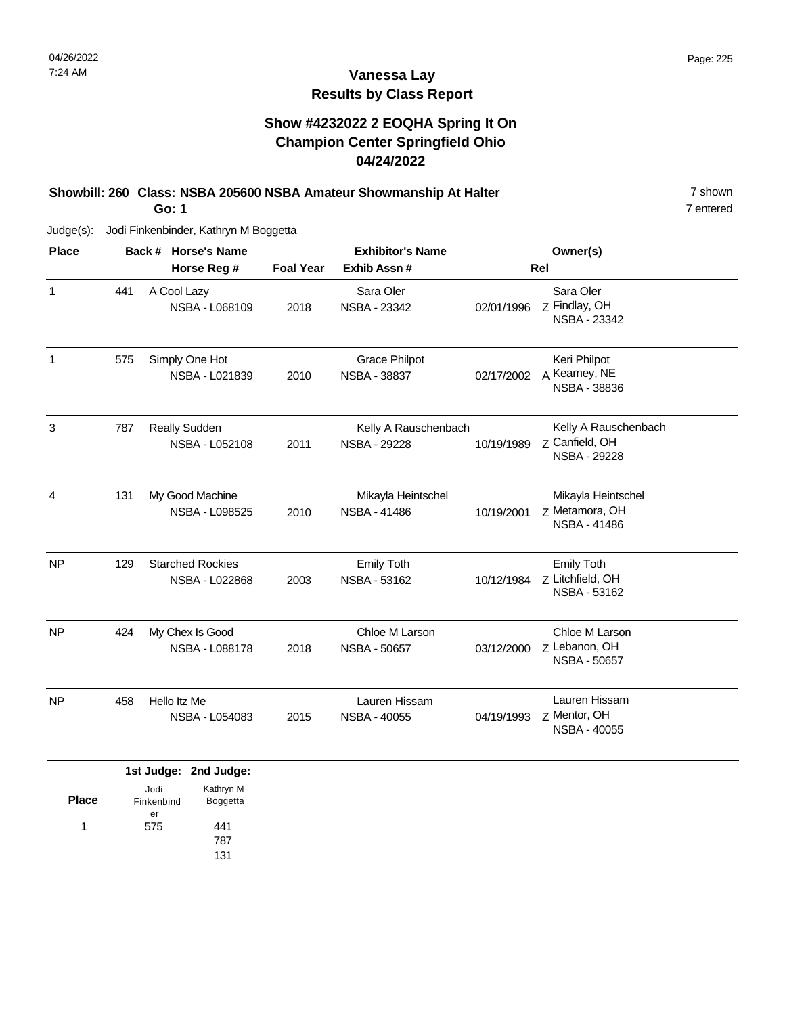### **Vanessa Lay Results by Class Report**

#### **Show #4232022 2 EOQHA Spring It On Champion Center Springfield Ohio 04/24/2022**

# **Showbill: 260 Class: NSBA 205600 NSBA Amateur Showmanship At Halter** 7 Shown

**Go: 1**

Judge(s): Jodi Finkenbinder, Kathryn M Boggetta

| <b>Place</b> |             | Back # Horse's Name                                                  |                  | <b>Exhibitor's Name</b>                   |            | Owner(s)                                                      |
|--------------|-------------|----------------------------------------------------------------------|------------------|-------------------------------------------|------------|---------------------------------------------------------------|
|              | Horse Reg # |                                                                      | <b>Foal Year</b> | Exhib Assn#                               | Rel        |                                                               |
| 1            | 441         | A Cool Lazy<br>NSBA - L068109                                        | 2018             | Sara Oler<br>NSBA - 23342                 | 02/01/1996 | Sara Oler<br>Z Findlay, OH<br>NSBA - 23342                    |
| 1            | 575         | Simply One Hot<br>NSBA - L021839                                     | 2010             | <b>Grace Philpot</b><br>NSBA - 38837      | 02/17/2002 | Keri Philpot<br>A Kearney, NE<br><b>NSBA - 38836</b>          |
| 3            | 787         | <b>Really Sudden</b><br>NSBA - L052108                               | 2011             | Kelly A Rauschenbach<br>NSBA - 29228      | 10/19/1989 | Kelly A Rauschenbach<br>z Canfield, OH<br><b>NSBA - 29228</b> |
| 4            | 131         | My Good Machine<br>NSBA - L098525                                    | 2010             | Mikayla Heintschel<br><b>NSBA - 41486</b> | 10/19/2001 | Mikayla Heintschel<br>z Metamora, OH<br><b>NSBA - 41486</b>   |
| <b>NP</b>    | 129         | <b>Starched Rockies</b><br>NSBA - L022868                            | 2003             | <b>Emily Toth</b><br>NSBA - 53162         | 10/12/1984 | <b>Emily Toth</b><br>Z Litchfield, OH<br><b>NSBA - 53162</b>  |
| <b>NP</b>    | 424         | My Chex Is Good<br>NSBA - L088178                                    | 2018             | Chloe M Larson<br>NSBA - 50657            | 03/12/2000 | Chloe M Larson<br>Z Lebanon, OH<br><b>NSBA - 50657</b>        |
| <b>NP</b>    | 458         | Hello Itz Me<br>NSBA - L054083                                       | 2015             | Lauren Hissam<br>NSBA - 40055             | 04/19/1993 | Lauren Hissam<br>z Mentor, OH<br>NSBA - 40055                 |
| <b>Place</b> |             | 1st Judge: 2nd Judge:<br>Kathryn M<br>Jodi<br>Boggetta<br>Finkenbind |                  |                                           |            |                                                               |

787

575 441

er

1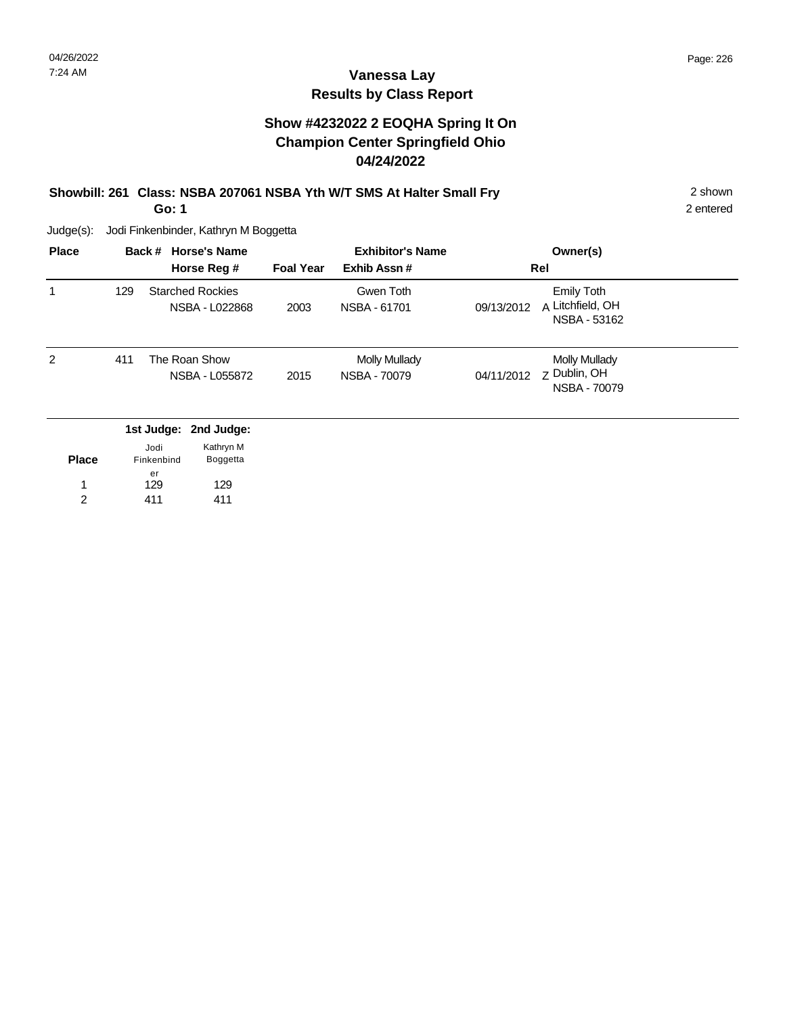### **Vanessa Lay Results by Class Report**

#### **Show #4232022 2 EOQHA Spring It On Champion Center Springfield Ohio 04/24/2022**

# **Showbill: 261 Class: NSBA 207061 NSBA Yth W/T SMS At Halter Small Fry** 2 shown 2 shown

**Go: 1**

Judge(s): Jodi Finkenbinder, Kathryn M Boggetta

129 411

1 2

| <b>Place</b> |     | Back # Horse's Name<br>Horse Reg #                                         | <b>Foal Year</b> | <b>Exhibitor's Name</b><br>Exhib Assn# | Owner(s)<br>Rel                                                     |  |
|--------------|-----|----------------------------------------------------------------------------|------------------|----------------------------------------|---------------------------------------------------------------------|--|
| 1            | 129 | <b>Starched Rockies</b><br>NSBA - L022868                                  | 2003             | Gwen Toth<br>NSBA - 61701              | <b>Emily Toth</b><br>A Litchfield, OH<br>09/13/2012<br>NSBA - 53162 |  |
| 2            | 411 | The Roan Show<br>NSBA - L055872                                            | 2015             | <b>Molly Mullady</b><br>NSBA - 70079   | <b>Molly Mullady</b><br>Z Dublin, OH<br>04/11/2012<br>NSBA - 70079  |  |
| <b>Place</b> |     | 1st Judge: 2nd Judge:<br>Kathryn M<br>Jodi<br>Finkenbind<br>Boggetta<br>er |                  |                                        |                                                                     |  |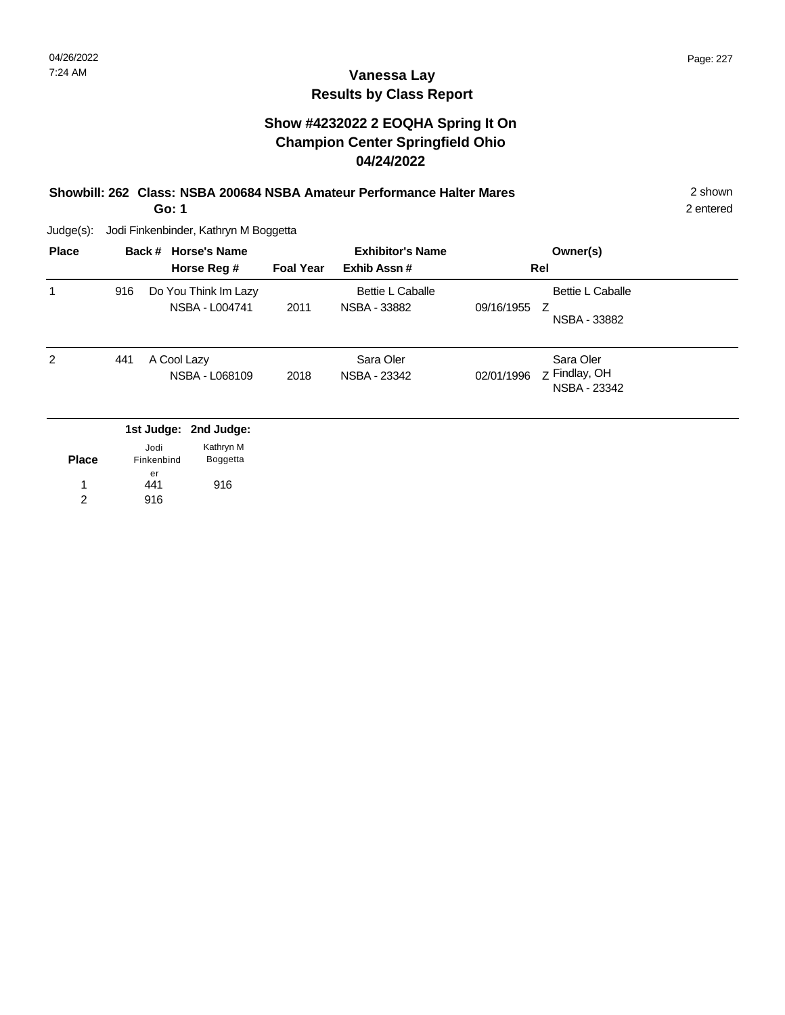### **Vanessa Lay Results by Class Report**

#### **Show #4232022 2 EOQHA Spring It On Champion Center Springfield Ohio 04/24/2022**

# **Showbill: 262 Class: NSBA 200684 NSBA Amateur Performance Halter Mares** 2 shown

**Go: 1**

Judge(s): Jodi Finkenbinder, Kathryn M Boggetta

441 916 1 916

er

| <b>Place</b> |     | Back # Horse's Name<br>Horse Reg #                                   | <b>Foal Year</b> | <b>Exhibitor's Name</b><br>Exhib Assn#         | Owner(s)<br>Rel                                             |  |
|--------------|-----|----------------------------------------------------------------------|------------------|------------------------------------------------|-------------------------------------------------------------|--|
| 1            | 916 | Do You Think Im Lazy<br>NSBA - L004741                               | 2011             | <b>Bettie L Caballe</b><br><b>NSBA - 33882</b> | <b>Bettie L Caballe</b><br>09/16/1955<br>Z.<br>NSBA - 33882 |  |
| 2            | 441 | A Cool Lazy<br>NSBA - L068109                                        | 2018             | Sara Oler<br>NSBA - 23342                      | Sara Oler<br>Z Findlay, OH<br>02/01/1996<br>NSBA - 23342    |  |
| <b>Place</b> |     | 1st Judge: 2nd Judge:<br>Kathryn M<br>Jodi<br>Boggetta<br>Finkenbind |                  |                                                |                                                             |  |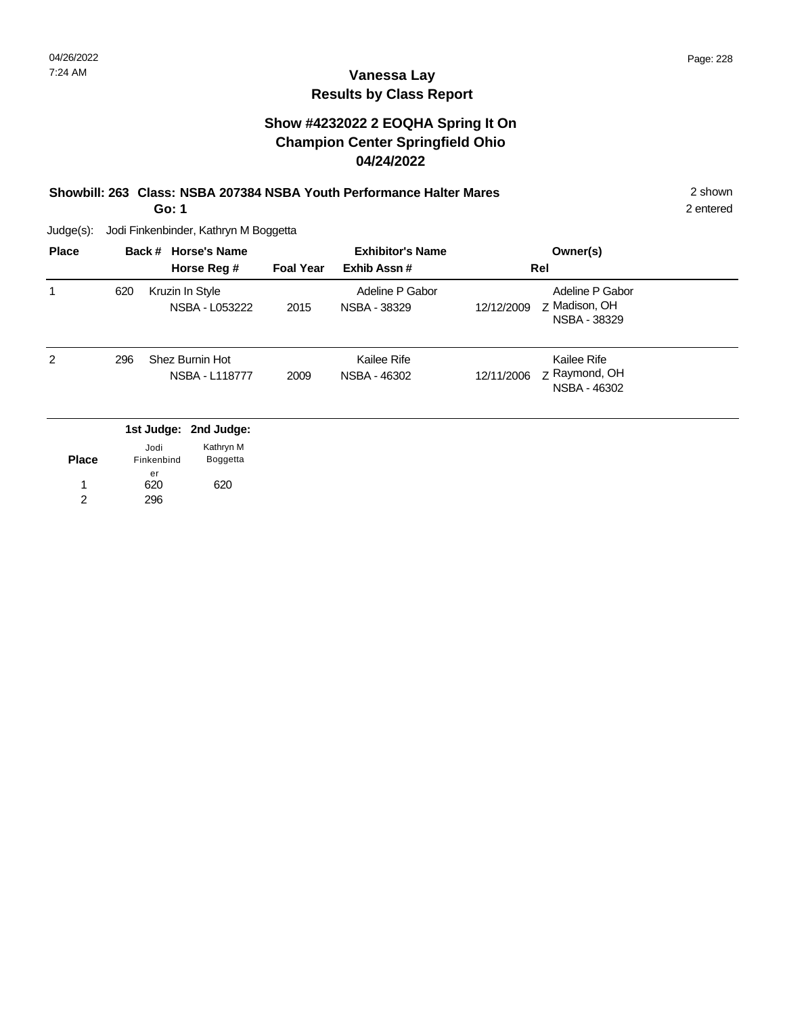### **Vanessa Lay Results by Class Report**

#### **Show #4232022 2 EOQHA Spring It On Champion Center Springfield Ohio 04/24/2022**

#### **Showbill: 263 Class: NSBA 207384 NSBA Youth Performance Halter Mares** 2 shown

**Go: 1**

Judge(s): Jodi Finkenbinder, Kathryn M Boggetta

620 1 620 296

er

| <b>Place</b> |     | Back # Horse's Name<br>Horse Reg #                                   | <b>Foal Year</b> | <b>Exhibitor's Name</b><br>Exhib Assn# | Owner(s)<br>Rel                                                |  |
|--------------|-----|----------------------------------------------------------------------|------------------|----------------------------------------|----------------------------------------------------------------|--|
|              | 620 | Kruzin In Style<br>NSBA - L053222                                    | 2015             | Adeline P Gabor<br>NSBA - 38329        | Adeline P Gabor<br>Z Madison, OH<br>12/12/2009<br>NSBA - 38329 |  |
| 2            | 296 | Shez Burnin Hot<br>NSBA - L118777                                    | 2009             | Kailee Rife<br>NSBA - 46302            | Kailee Rife<br>z Raymond, OH<br>12/11/2006<br>NSBA - 46302     |  |
| <b>Place</b> |     | 1st Judge: 2nd Judge:<br>Kathryn M<br>Jodi<br>Boggetta<br>Finkenbind |                  |                                        |                                                                |  |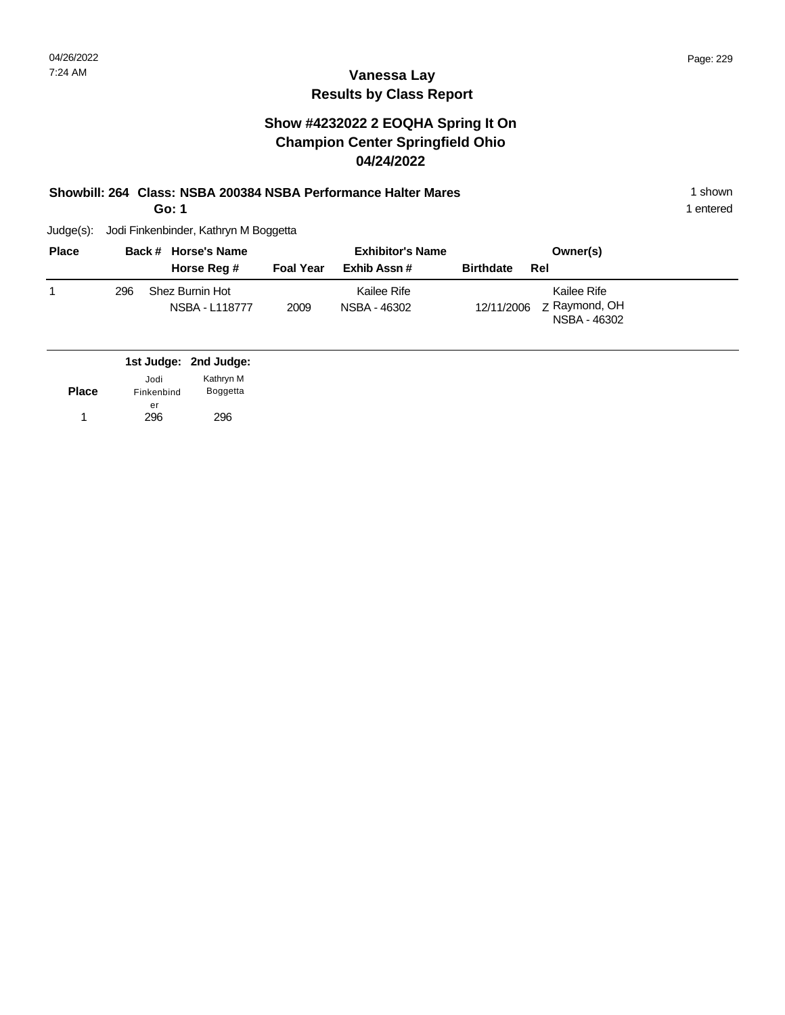#### **Show #4232022 2 EOQHA Spring It On Champion Center Springfield Ohio 04/24/2022**

#### **Showbill: 264 Class: NSBA 200384 NSBA Performance Halter Mares** 1 shown

**Go: 1**

1 entered

| <b>Place</b> |     | Back # Horse's Name<br>Horse Reg # | <b>Foal Year</b> | <b>Exhibitor's Name</b><br>Exhib Assn # | <b>Birthdate</b> | Owner(s)<br>Rel                              |
|--------------|-----|------------------------------------|------------------|-----------------------------------------|------------------|----------------------------------------------|
|              | 296 | Shez Burnin Hot<br>NSBA - L118777  | 2009             | Kailee Rife<br>NSBA - 46302             | 12/11/2006       | Kailee Rife<br>Z Raymond, OH<br>NSBA - 46302 |

|              |                    | 1st Judge: 2nd Judge:        |  |
|--------------|--------------------|------------------------------|--|
| <b>Place</b> | Jodi<br>Finkenbind | Kathryn M<br><b>Boggetta</b> |  |
|              | er<br>296          | 296                          |  |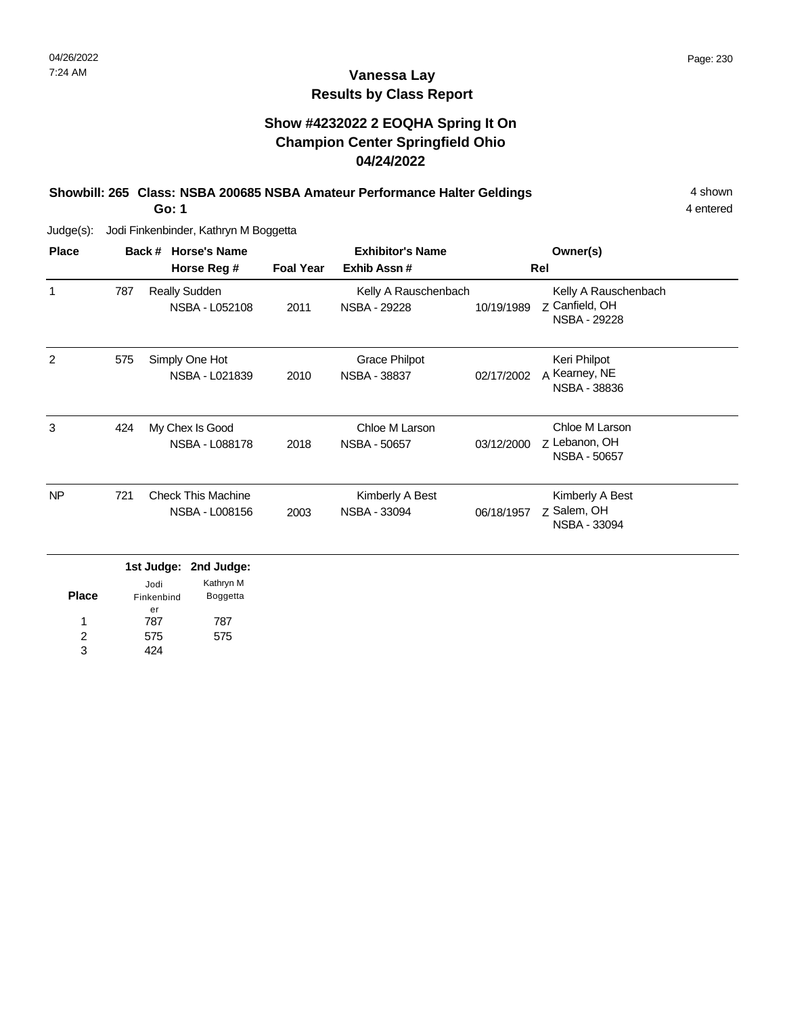### **Vanessa Lay Results by Class Report**

#### **Show #4232022 2 EOQHA Spring It On Champion Center Springfield Ohio 04/24/2022**

# **Showbill: 265 Class: NSBA 200685 NSBA Amateur Performance Halter Geldings** 4 shown

**Go: 1**

Judge(s): Jodi Finkenbinder, Kathryn M Boggetta

787 575 424

er

1 2 3

| <b>Place</b> |     | <b>Horse's Name</b><br>Back #                                           |                  | <b>Exhibitor's Name</b>                |            | Owner(s)                                               |
|--------------|-----|-------------------------------------------------------------------------|------------------|----------------------------------------|------------|--------------------------------------------------------|
|              |     | Horse Reg #                                                             | <b>Foal Year</b> | Exhib Assn#                            |            | Rel                                                    |
|              | 787 | <b>Really Sudden</b><br><b>NSBA - L052108</b>                           | 2011             | Kelly A Rauschenbach<br>NSBA - 29228   | 10/19/1989 | Kelly A Rauschenbach<br>Z Canfield, OH<br>NSBA - 29228 |
| 2            | 575 | Simply One Hot<br>NSBA - L021839                                        | 2010             | Grace Philpot<br><b>NSBA - 38837</b>   | 02/17/2002 | Keri Philpot<br>A Kearney, NE<br>NSBA - 38836          |
| 3            | 424 | My Chex Is Good<br>NSBA - L088178                                       | 2018             | Chloe M Larson<br><b>NSBA - 50657</b>  | 03/12/2000 | Chloe M Larson<br>Z Lebanon, OH<br>NSBA - 50657        |
| <b>NP</b>    | 721 | <b>Check This Machine</b><br>NSBA - L008156                             | 2003             | Kimberly A Best<br><b>NSBA - 33094</b> | 06/18/1957 | Kimberly A Best<br>z Salem, OH<br><b>NSBA - 33094</b>  |
| <b>Place</b> |     | 1st Judge:<br>2nd Judge:<br>Kathryn M<br>Jodi<br>Boggetta<br>Finkenbind |                  |                                        |            |                                                        |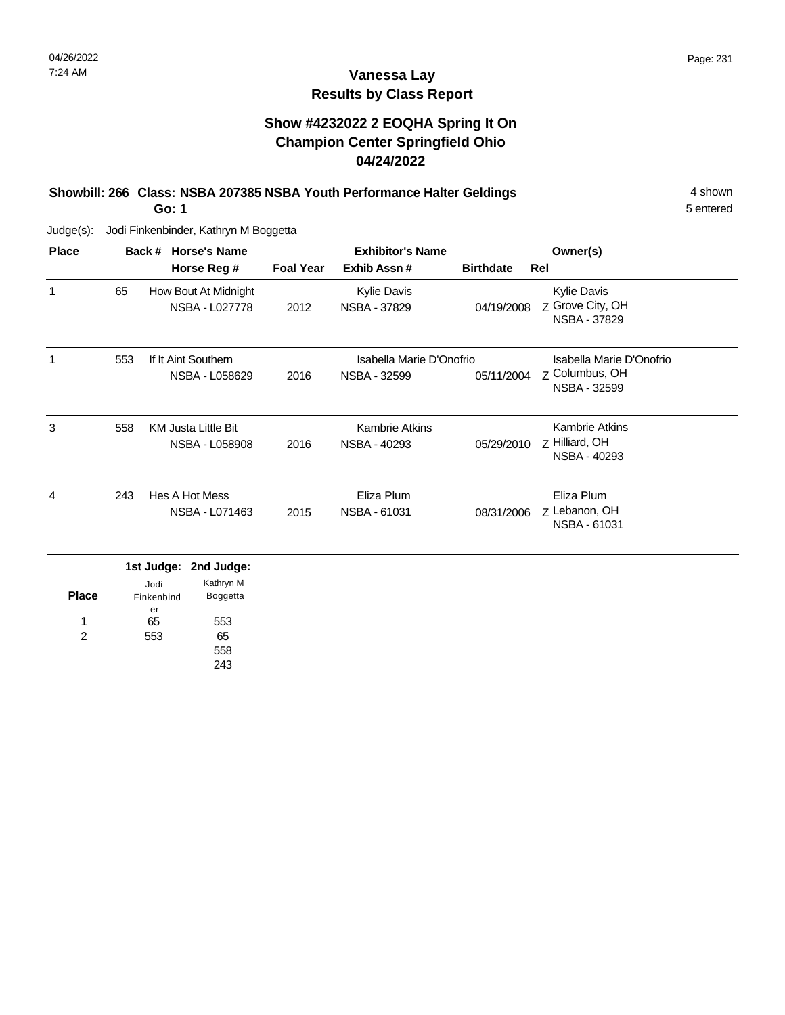### **Vanessa Lay Results by Class Report**

#### **Show #4232022 2 EOQHA Spring It On Champion Center Springfield Ohio 04/24/2022**

# **Showbill: 266 Class: NSBA 207385 NSBA Youth Performance Halter Geldings** 4 shown

**Go: 1**

Judge(s): Jodi Finkenbinder, Kathryn M Boggetta

65 553

er

1 2

| <b>Place</b> |     | <b>Horse's Name</b><br>Back #                 |                  | <b>Exhibitor's Name</b>                   |                  | Owner(s)                                               |
|--------------|-----|-----------------------------------------------|------------------|-------------------------------------------|------------------|--------------------------------------------------------|
|              |     | Horse Reg #                                   | <b>Foal Year</b> | Exhib Assn#                               | <b>Birthdate</b> | Rel                                                    |
| 1            | 65  | How Bout At Midnight<br><b>NSBA - L027778</b> | 2012             | <b>Kylie Davis</b><br><b>NSBA - 37829</b> | 04/19/2008       | <b>Kylie Davis</b><br>Z Grove City, OH<br>NSBA - 37829 |
|              | 553 | If It Aint Southern                           |                  | Isabella Marie D'Onofrio                  |                  | Isabella Marie D'Onofrio                               |
|              |     | NSBA - L058629                                | 2016             | NSBA - 32599                              | 05/11/2004       | Z Columbus, OH<br>NSBA - 32599                         |
| 3            | 558 | <b>KM Justa Little Bit</b>                    |                  | <b>Kambrie Atkins</b>                     |                  | <b>Kambrie Atkins</b>                                  |
|              |     | <b>NSBA - L058908</b>                         | 2016             | NSBA - 40293                              | 05/29/2010       | Z Hilliard, OH<br>NSBA - 40293                         |
| 4            | 243 | Hes A Hot Mess                                |                  | Eliza Plum                                |                  | Eliza Plum                                             |
|              |     | NSBA - L071463                                | 2015             | NSBA - 61031                              | 08/31/2006       | Z Lebanon, OH<br>NSBA - 61031                          |
|              |     | 1st Judge: 2nd Judge:                         |                  |                                           |                  |                                                        |
| <b>Place</b> |     | Kathryn M<br>Jodi<br>Boggetta<br>Finkenbind   |                  |                                           |                  |                                                        |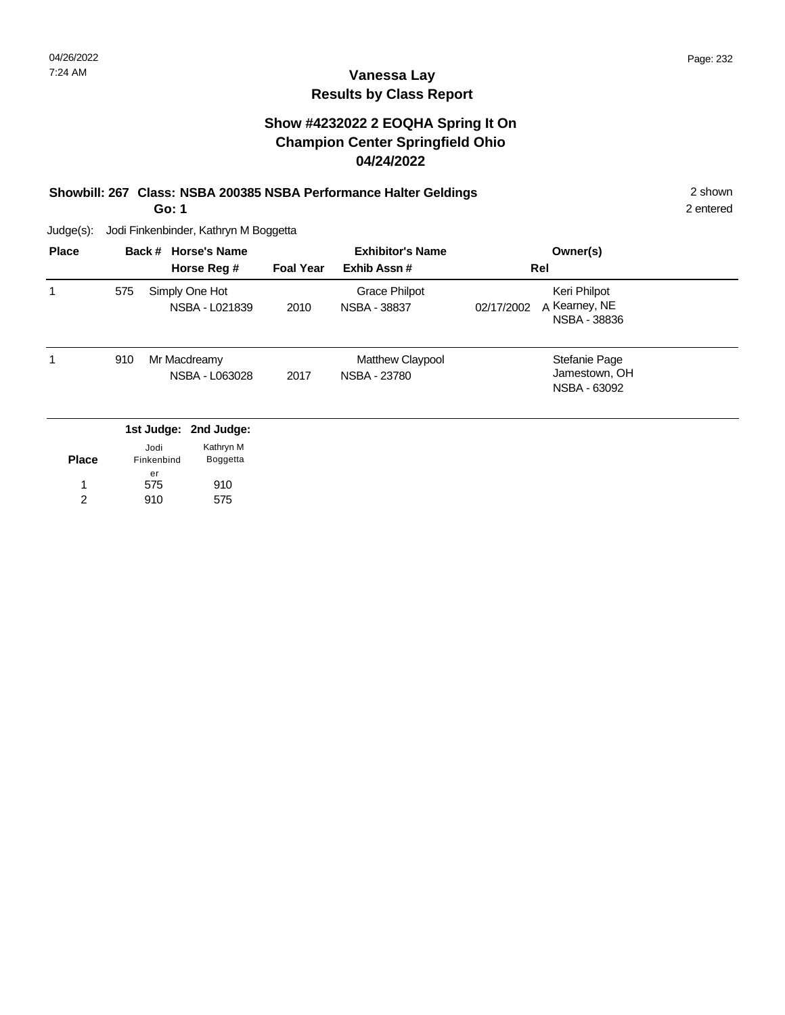### **Vanessa Lay Results by Class Report**

#### **Show #4232022 2 EOQHA Spring It On Champion Center Springfield Ohio 04/24/2022**

#### **Showbill: 267 Class: NSBA 200385 NSBA Performance Halter Geldings** 2 shown

**Go: 1**

575 910

er

1 2 910 575

| <b>Place</b> |     | Back # Horse's Name<br>Horse Reg #                                   | <b>Foal Year</b> | <b>Exhibitor's Name</b><br>Exhib Assn#      | Owner(s)<br>Rel                                             |  |
|--------------|-----|----------------------------------------------------------------------|------------------|---------------------------------------------|-------------------------------------------------------------|--|
|              | 575 | Simply One Hot<br>NSBA - L021839                                     | 2010             | <b>Grace Philpot</b><br><b>NSBA - 38837</b> | Keri Philpot<br>A Kearney, NE<br>02/17/2002<br>NSBA - 38836 |  |
|              | 910 | Mr Macdreamy<br>NSBA - L063028                                       | 2017             | Matthew Claypool<br>NSBA - 23780            | Stefanie Page<br>Jamestown, OH<br>NSBA - 63092              |  |
| <b>Place</b> |     | 1st Judge: 2nd Judge:<br>Kathryn M<br>Jodi<br>Finkenbind<br>Boggetta |                  |                                             |                                                             |  |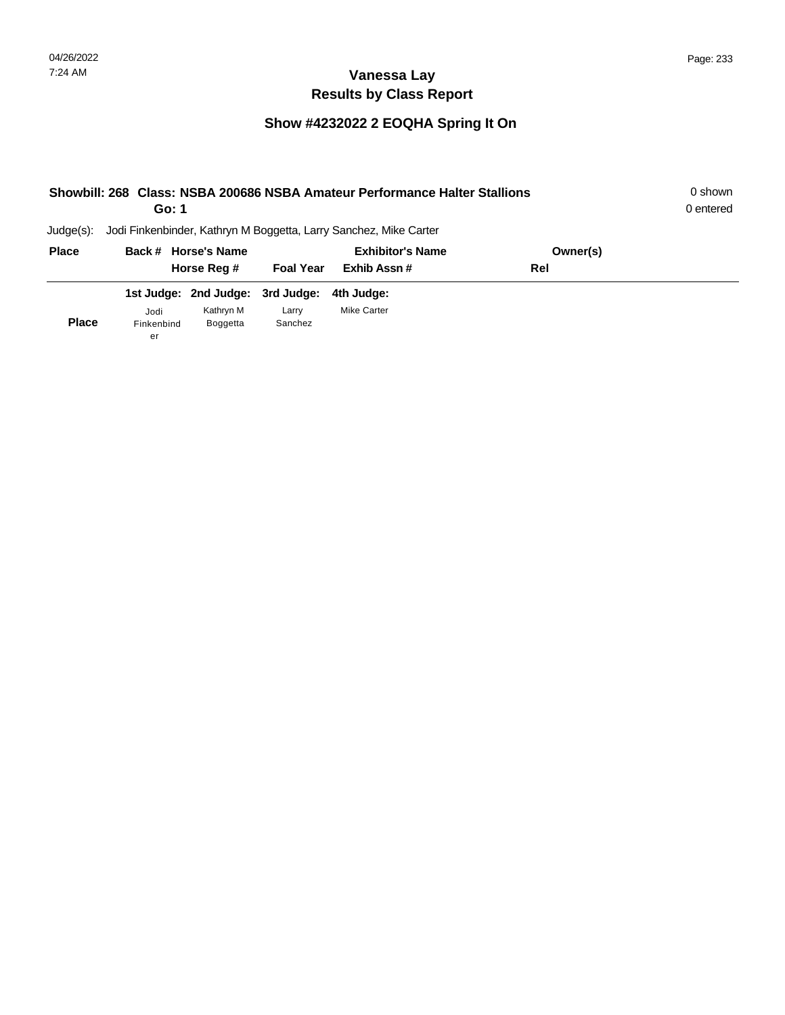|              | Go: 1            |                                  |                  | Showbill: 268 Class: NSBA 200686 NSBA Amateur Performance Halter Stallions |          | 0 shown<br>0 entered |
|--------------|------------------|----------------------------------|------------------|----------------------------------------------------------------------------|----------|----------------------|
| $Judge(s)$ : |                  |                                  |                  | Jodi Finkenbinder, Kathryn M Boggetta, Larry Sanchez, Mike Carter          |          |                      |
| <b>Place</b> |                  | Back # Horse's Name              |                  | <b>Exhibitor's Name</b>                                                    | Owner(s) |                      |
|              |                  | Horse Reg #                      | <b>Foal Year</b> | Exhib Assn#                                                                | Rel      |                      |
|              |                  | 1st Judge: 2nd Judge: 3rd Judge: |                  | 4th Judge:                                                                 |          |                      |
|              | Jodi             | Kathryn M                        | Larry            | <b>Mike Carter</b>                                                         |          |                      |
| <b>Place</b> | Finkenbind<br>er | <b>Boggetta</b>                  | Sanchez          |                                                                            |          |                      |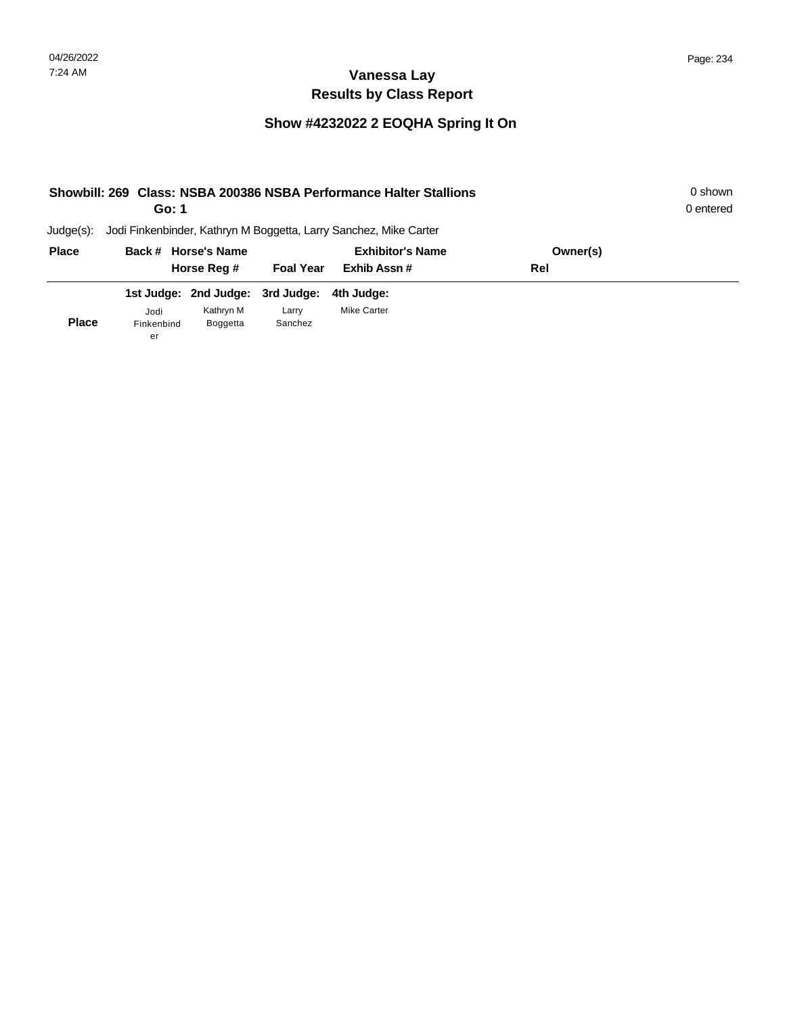| Showbill: 269 Class: NSBA 200386 NSBA Performance Halter Stallions<br>Go: 1 |           |                                    |                                  |                                                                                       |  |
|-----------------------------------------------------------------------------|-----------|------------------------------------|----------------------------------|---------------------------------------------------------------------------------------|--|
|                                                                             |           |                                    |                                  |                                                                                       |  |
|                                                                             |           |                                    | <b>Exhibitor's Name</b>          | Owner(s)                                                                              |  |
|                                                                             |           |                                    | Exhib Assn#                      | Rel                                                                                   |  |
|                                                                             |           |                                    | 4th Judae:                       |                                                                                       |  |
| Jodi                                                                        | Kathryn M | Larry                              | <b>Mike Carter</b>               |                                                                                       |  |
| Finkenbind                                                                  | Boggetta  | Sanchez                            |                                  |                                                                                       |  |
|                                                                             | er        | Back # Horse's Name<br>Horse Reg # | 1st Judge: 2nd Judge: 3rd Judge: | Jodi Finkenbinder, Kathryn M Boggetta, Larry Sanchez, Mike Carter<br><b>Foal Year</b> |  |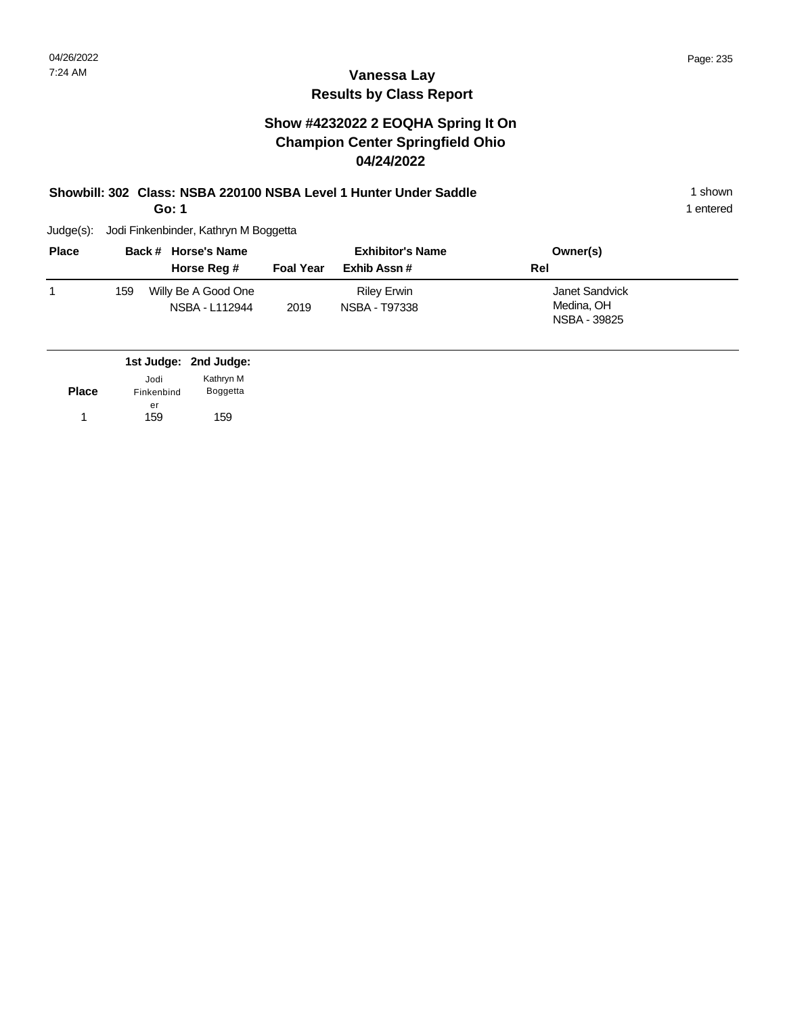#### **Show #4232022 2 EOQHA Spring It On Champion Center Springfield Ohio 04/24/2022**

### **Showbill: 302 Class: NSBA 220100 NSBA Level 1 Hunter Under Saddle** 1 **1 shown** 1 shown

**Go: 1**

1 entered

| <b>Place</b> | Back # Horse's Name<br>Horse Reg #           | <b>Foal Year</b> | <b>Exhibitor's Name</b><br>Exhib Assn # | Owner(s)<br>Rel                              |
|--------------|----------------------------------------------|------------------|-----------------------------------------|----------------------------------------------|
|              | Willy Be A Good One<br>159<br>NSBA - L112944 | 2019             | <b>Riley Erwin</b><br>NSBA - T97338     | Janet Sandvick<br>Medina, OH<br>NSBA - 39825 |

|              |                  | 1st Judge: 2nd Judge:        |
|--------------|------------------|------------------------------|
| <b>Place</b> | Jodi             | Kathryn M<br><b>Boggetta</b> |
|              | Finkenbind<br>er |                              |
| 1.           | 159              | 159                          |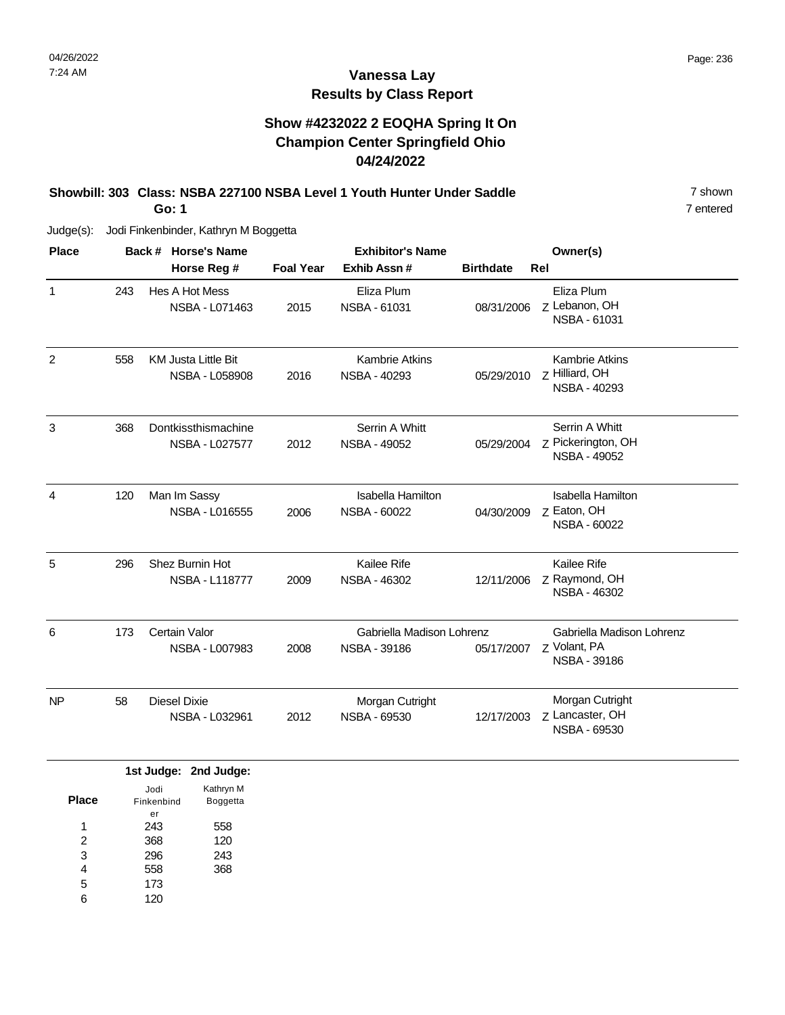### **Vanessa Lay Results by Class Report**

### **Show #4232022 2 EOQHA Spring It On Champion Center Springfield Ohio 04/24/2022**

#### **Showbill: 303 Class: NSBA 227100 NSBA Level 1 Youth Hunter Under Saddle** 7 shown **Go: 1**

| <b>Place</b><br>Back # |     | <b>Horse's Name</b>                                 |                  | <b>Exhibitor's Name</b>                         |                  | Owner(s)                                                    |
|------------------------|-----|-----------------------------------------------------|------------------|-------------------------------------------------|------------------|-------------------------------------------------------------|
|                        |     | Horse Reg #                                         | <b>Foal Year</b> | Exhib Assn#                                     | <b>Birthdate</b> | Rel                                                         |
| 1                      | 243 | Hes A Hot Mess<br>NSBA - L071463                    | 2015             | Eliza Plum<br>NSBA - 61031                      | 08/31/2006       | Eliza Plum<br>Z Lebanon, OH<br>NSBA - 61031                 |
| 2                      | 558 | <b>KM Justa Little Bit</b><br><b>NSBA - L058908</b> | 2016             | <b>Kambrie Atkins</b><br><b>NSBA - 40293</b>    | 05/29/2010       | <b>Kambrie Atkins</b><br>Z Hilliard, OH<br>NSBA - 40293     |
| 3                      | 368 | Dontkissthismachine<br>NSBA - L027577               | 2012             | Serrin A Whitt<br><b>NSBA - 49052</b>           | 05/29/2004       | Serrin A Whitt<br>Z Pickerington, OH<br><b>NSBA - 49052</b> |
| 4                      | 120 | Man Im Sassy<br><b>NSBA - L016555</b>               | 2006             | <b>Isabella Hamilton</b><br><b>NSBA - 60022</b> | 04/30/2009       | <b>Isabella Hamilton</b><br>Z Eaton, OH<br>NSBA - 60022     |
| 5                      | 296 | Shez Burnin Hot<br>NSBA - L118777                   | 2009             | Kailee Rife<br>NSBA - 46302                     | 12/11/2006       | <b>Kailee Rife</b><br>Z Raymond, OH<br>NSBA - 46302         |
| 6                      | 173 | Certain Valor<br>NSBA - L007983                     | 2008             | Gabriella Madison Lohrenz<br>NSBA - 39186       | 05/17/2007       | Gabriella Madison Lohrenz<br>Z Volant, PA<br>NSBA - 39186   |
| <b>NP</b>              | 58  | <b>Diesel Dixie</b><br>NSBA - L032961               | 2012             | Morgan Cutright<br>NSBA - 69530                 | 12/17/2003       | Morgan Cutright<br>z Lancaster, OH<br>NSBA - 69530          |

|       |                  | 1st Judge: 2nd Judge: |
|-------|------------------|-----------------------|
|       | Jodi             | Kathryn M             |
| Place | Finkenbind<br>er | <b>Boggetta</b>       |
| 1     | 243              | 558                   |
| 2     | 368              | 120                   |
| 3     | 296              | 243                   |
| 4     | 558              | 368                   |
| 5     | 173              |                       |
| 6     | 120              |                       |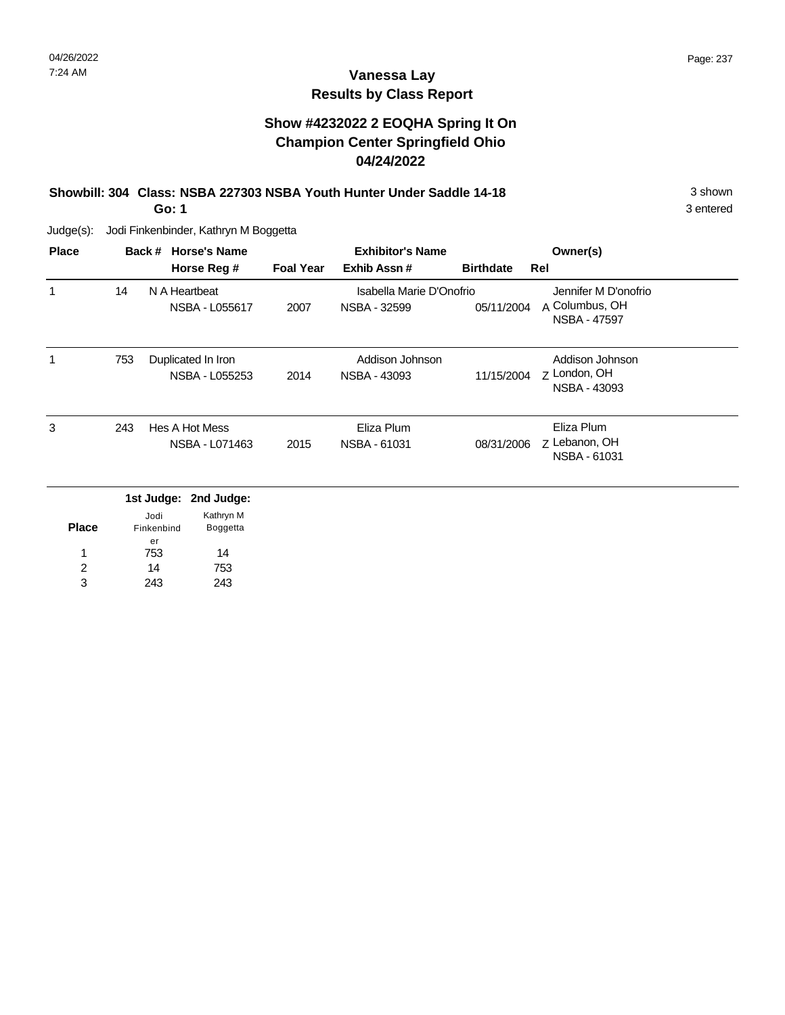### **Vanessa Lay Results by Class Report**

#### **Show #4232022 2 EOQHA Spring It On Champion Center Springfield Ohio 04/24/2022**

**Showbill: 304 Class: NSBA 227303 NSBA Youth Hunter Under Saddle 14-18** 3 Shown

**Go: 1**

Judge(s): Jodi Finkenbinder, Kathryn M Boggetta

243

3

| <b>Place</b> |     | Back # Horse's Name          |                  | <b>Exhibitor's Name</b>  |                  | Owner(s)                       |
|--------------|-----|------------------------------|------------------|--------------------------|------------------|--------------------------------|
|              |     | Horse Reg #                  | <b>Foal Year</b> | Exhib Assn#              | <b>Birthdate</b> | Rel                            |
| 1            | 14  | N A Heartbeat                |                  | Isabella Marie D'Onofrio |                  | Jennifer M D'onofrio           |
|              |     | NSBA - L055617               | 2007             | NSBA - 32599             | 05/11/2004       | A Columbus, OH<br>NSBA - 47597 |
| 1            | 753 | Duplicated In Iron           |                  | Addison Johnson          |                  | Addison Johnson                |
|              |     | NSBA - L055253               | 2014             | NSBA - 43093             | 11/15/2004       | Z London, OH<br>NSBA - 43093   |
| 3            | 243 | Hes A Hot Mess               |                  | Eliza Plum               |                  | Eliza Plum                     |
|              |     | NSBA - L071463               | 2015             | NSBA - 61031             | 08/31/2006       | Z Lebanon, OH<br>NSBA - 61031  |
|              |     | 1st Judge: 2nd Judge:        |                  |                          |                  |                                |
| <b>Place</b> |     | Kathryn M<br>Jodi            |                  |                          |                  |                                |
|              |     | Boggetta<br>Finkenbind<br>er |                  |                          |                  |                                |
| 1            |     | 14<br>753                    |                  |                          |                  |                                |
| 2            |     | 14<br>753                    |                  |                          |                  |                                |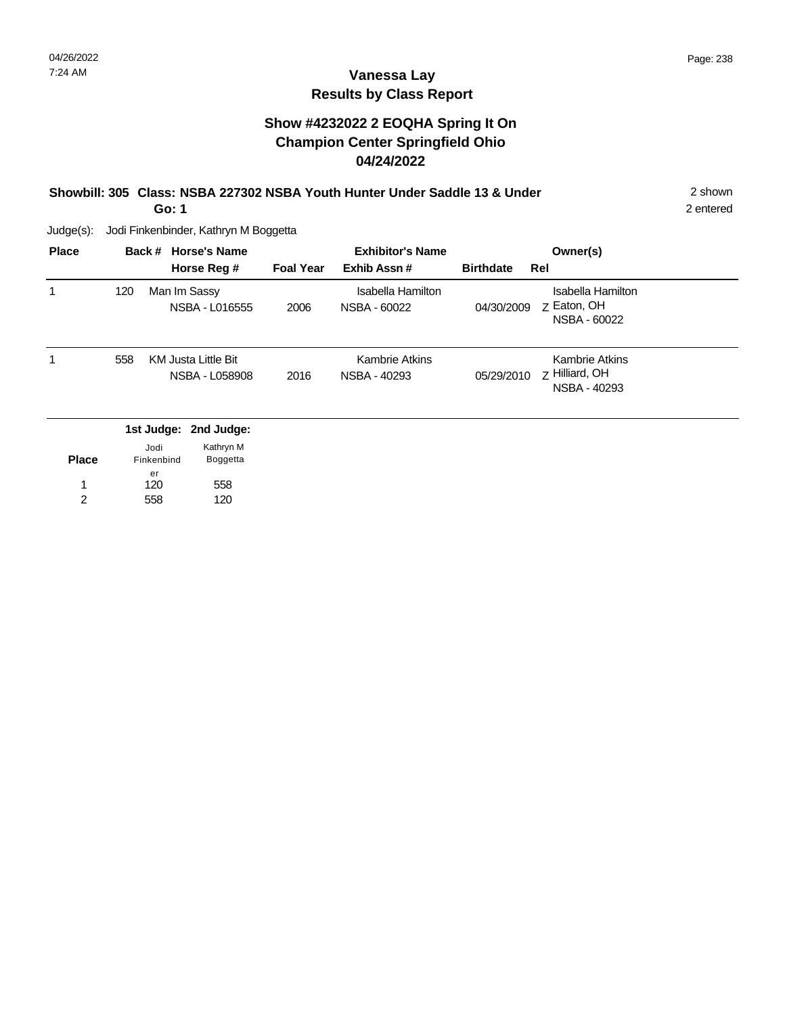### **Vanessa Lay Results by Class Report**

#### **Show #4232022 2 EOQHA Spring It On Champion Center Springfield Ohio 04/24/2022**

## **Showbill: 305 Class: NSBA 227302 NSBA Youth Hunter Under Saddle 13 & Under** 2 shown

**Go: 1**

Judge(s): Jodi Finkenbinder, Kathryn M Boggetta

558

2

| <b>Place</b> |     | Back #           | <b>Horse's Name</b>                   |                  | <b>Exhibitor's Name</b>                  |                  | Owner(s)                                                |
|--------------|-----|------------------|---------------------------------------|------------------|------------------------------------------|------------------|---------------------------------------------------------|
|              |     |                  | Horse Reg #                           | <b>Foal Year</b> | Exhib Assn#                              | <b>Birthdate</b> | Rel                                                     |
|              | 120 |                  | Man Im Sassy<br>NSBA - L016555        | 2006             | <b>Isabella Hamilton</b><br>NSBA - 60022 | 04/30/2009       | Isabella Hamilton<br>Z Eaton, OH<br>NSBA - 60022        |
|              | 558 |                  | KM Justa Little Bit<br>NSBA - L058908 | 2016             | <b>Kambrie Atkins</b><br>NSBA - 40293    | 05/29/2010       | <b>Kambrie Atkins</b><br>Z Hilliard, OH<br>NSBA - 40293 |
|              |     |                  | 1st Judge: 2nd Judge:                 |                  |                                          |                  |                                                         |
|              |     | Jodi             | Kathryn M                             |                  |                                          |                  |                                                         |
| <b>Place</b> |     | Finkenbind<br>er | Boggetta                              |                  |                                          |                  |                                                         |
| 1            |     | 120              | 558                                   |                  |                                          |                  |                                                         |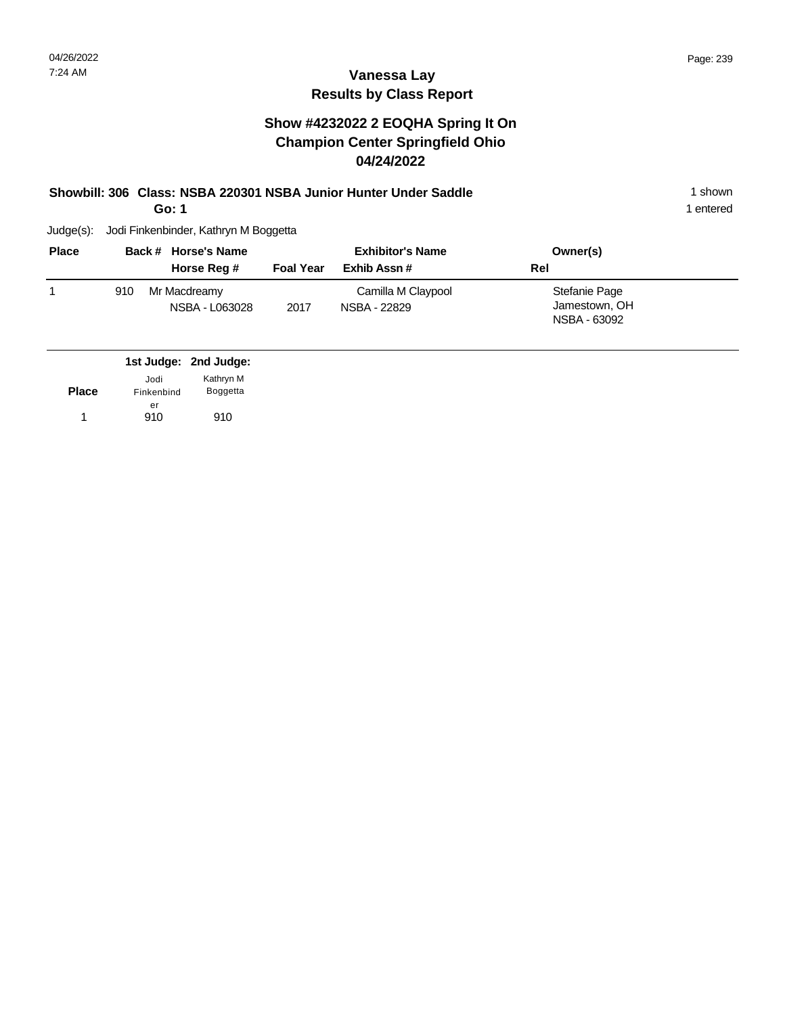### **Vanessa Lay Results by Class Report**

#### **Show #4232022 2 EOQHA Spring It On Champion Center Springfield Ohio 04/24/2022**

#### **Showbill: 306 Class: NSBA 220301 NSBA Junior Hunter Under Saddle** 1 shown 1 shown

**Go: 1**

| <b>Place</b> |     | Back # Horse's Name            | <b>Exhibitor's Name</b> |                                    | Owner(s)                                       |  |
|--------------|-----|--------------------------------|-------------------------|------------------------------------|------------------------------------------------|--|
|              |     | Horse Reg #                    | <b>Foal Year</b>        | Exhib Assn #                       | Rel                                            |  |
|              | 910 | Mr Macdreamy<br>NSBA - L063028 | 2017                    | Camilla M Claypool<br>NSBA - 22829 | Stefanie Page<br>Jamestown, OH<br>NSBA - 63092 |  |

|              |            | 1st Judge: 2nd Judge: |
|--------------|------------|-----------------------|
|              | Jodi       | Kathryn M             |
| <b>Place</b> | Finkenbind | <b>Boggetta</b>       |
|              | er         |                       |
| 1            | 910        | 910                   |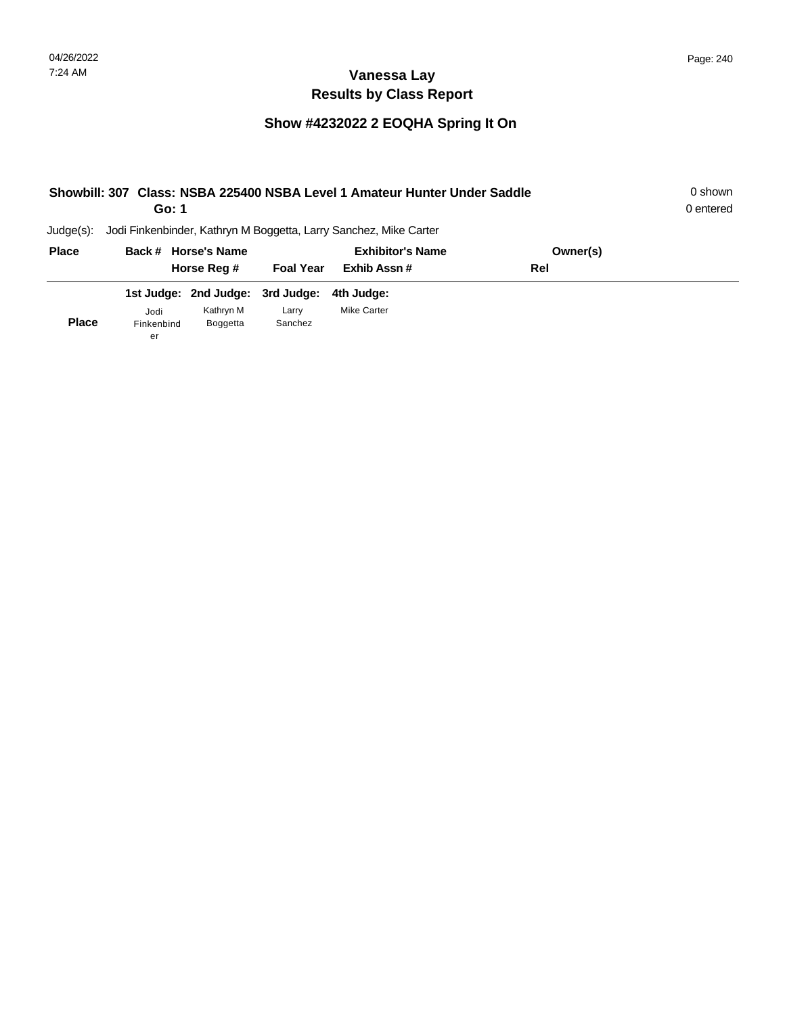|              | Showbill: 307 Class: NSBA 225400 NSBA Level 1 Amateur Hunter Under Saddle | 0 shown<br>0 entered                                      |                  |                                                                   |          |  |
|--------------|---------------------------------------------------------------------------|-----------------------------------------------------------|------------------|-------------------------------------------------------------------|----------|--|
| $Judge(s)$ : |                                                                           |                                                           |                  | Jodi Finkenbinder, Kathryn M Boggetta, Larry Sanchez, Mike Carter |          |  |
| <b>Place</b> |                                                                           | Back # Horse's Name                                       |                  | <b>Exhibitor's Name</b>                                           | Owner(s) |  |
|              |                                                                           | Horse Reg #                                               | <b>Foal Year</b> | Exhib Assn#                                                       | Rel      |  |
| <b>Place</b> | Jodi<br>Finkenbind<br>er                                                  | 1st Judge: 2nd Judge: 3rd Judge:<br>Kathryn M<br>Boggetta | Larry<br>Sanchez | 4th Judge:<br><b>Mike Carter</b>                                  |          |  |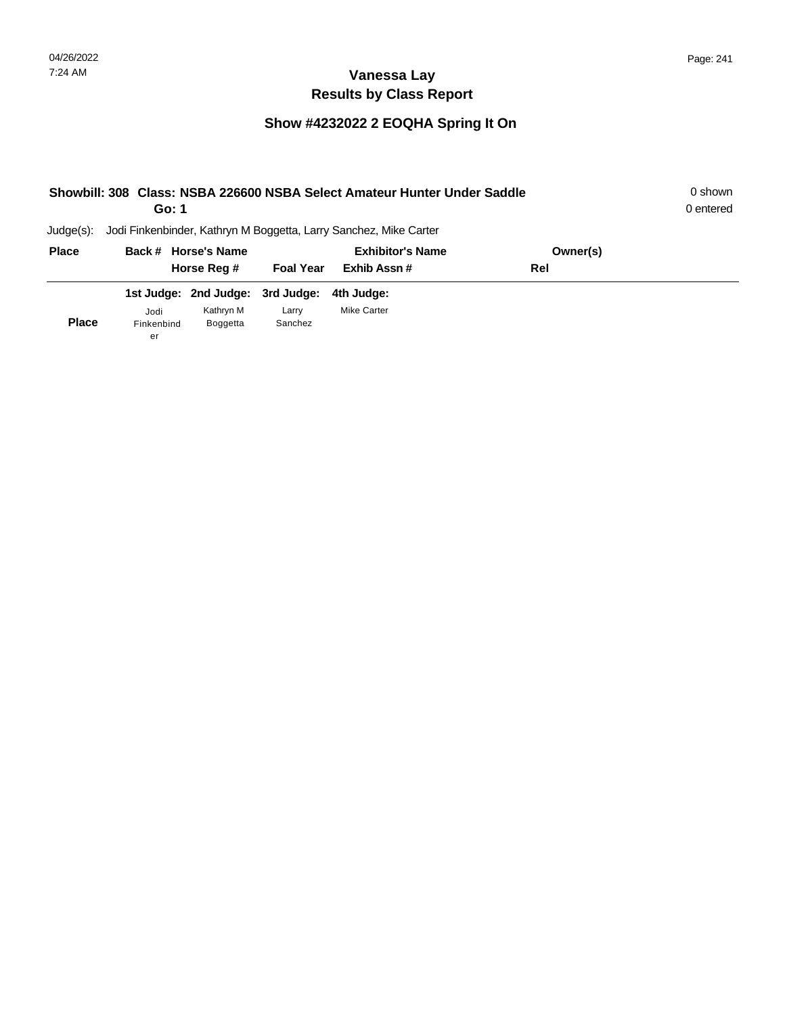| Showbill: 308 Class: NSBA 226600 NSBA Select Amateur Hunter Under Saddle |                  | 0 shown<br>0 entered             |                  |                                                                   |          |  |
|--------------------------------------------------------------------------|------------------|----------------------------------|------------------|-------------------------------------------------------------------|----------|--|
| $Judge(s)$ :                                                             |                  |                                  |                  | Jodi Finkenbinder, Kathryn M Boggetta, Larry Sanchez, Mike Carter |          |  |
| <b>Place</b>                                                             |                  | Back # Horse's Name              |                  | <b>Exhibitor's Name</b>                                           | Owner(s) |  |
|                                                                          |                  | Horse Reg #                      | <b>Foal Year</b> | Exhib Assn#                                                       | Rel      |  |
|                                                                          |                  | 1st Judge: 2nd Judge: 3rd Judge: |                  | 4th Judge:                                                        |          |  |
|                                                                          | Jodi             | Kathryn M                        | Larry            | <b>Mike Carter</b>                                                |          |  |
| <b>Place</b>                                                             | Finkenbind<br>er | <b>Boggetta</b>                  | Sanchez          |                                                                   |          |  |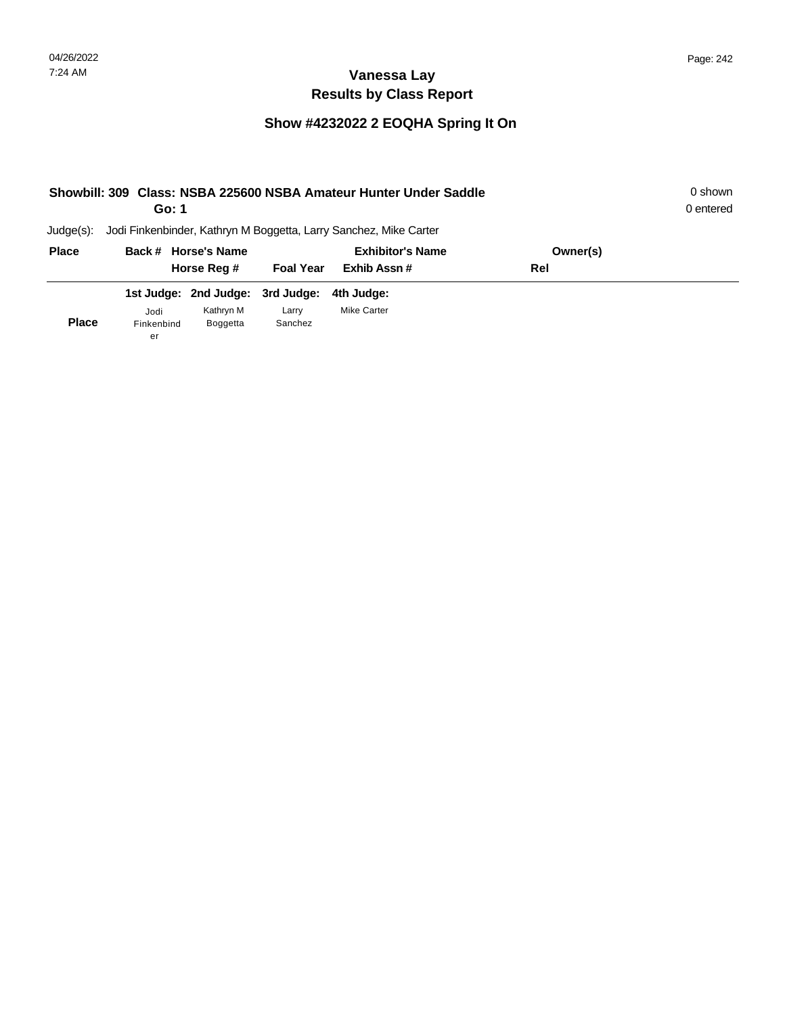| Showbill: 309 Class: NSBA 225600 NSBA Amateur Hunter Under Saddle<br>Go: 1 |           |                                    |                                  |                                                                                       |  |  |  |
|----------------------------------------------------------------------------|-----------|------------------------------------|----------------------------------|---------------------------------------------------------------------------------------|--|--|--|
|                                                                            |           |                                    |                                  |                                                                                       |  |  |  |
|                                                                            |           |                                    | <b>Exhibitor's Name</b>          | Owner(s)                                                                              |  |  |  |
|                                                                            |           |                                    | Exhib Assn#                      | Rel                                                                                   |  |  |  |
|                                                                            |           |                                    | 4th Judae:                       |                                                                                       |  |  |  |
| Jodi                                                                       | Kathryn M | Larry                              | <b>Mike Carter</b>               |                                                                                       |  |  |  |
| Finkenbind                                                                 | Boggetta  | Sanchez                            |                                  |                                                                                       |  |  |  |
|                                                                            | er        | Back # Horse's Name<br>Horse Reg # | 1st Judge: 2nd Judge: 3rd Judge: | Jodi Finkenbinder, Kathryn M Boggetta, Larry Sanchez, Mike Carter<br><b>Foal Year</b> |  |  |  |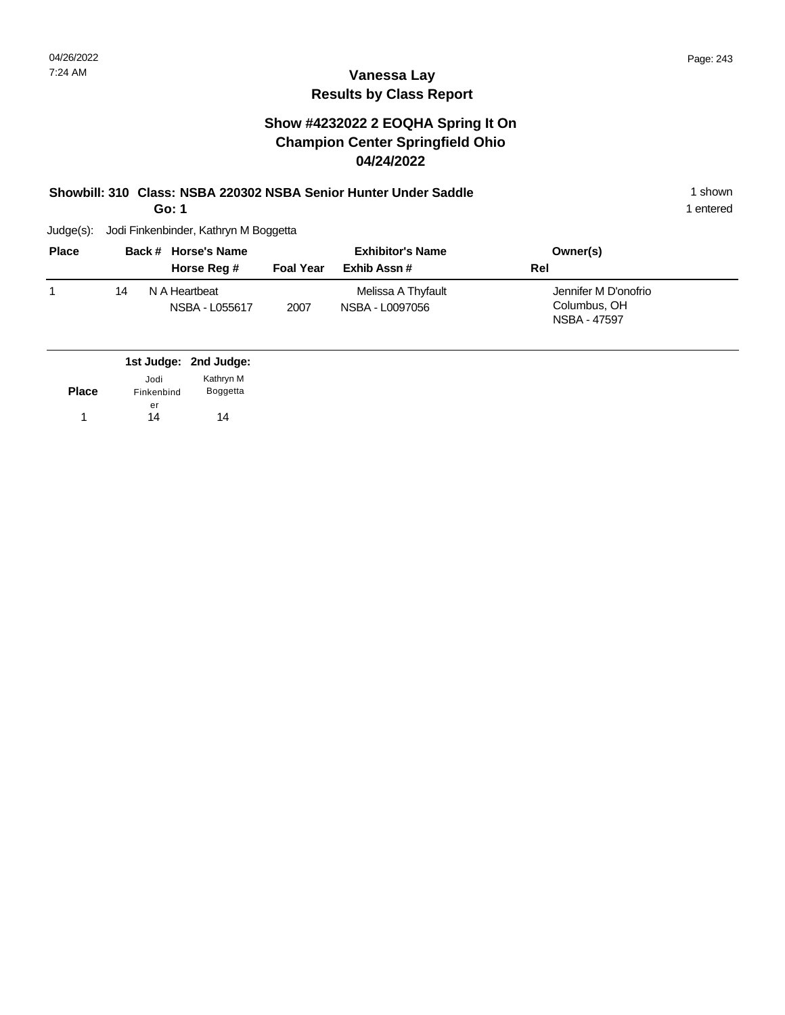### **Vanessa Lay Results by Class Report**

#### **Show #4232022 2 EOQHA Spring It On Champion Center Springfield Ohio 04/24/2022**

#### **Showbill: 310 Class: NSBA 220302 NSBA Senior Hunter Under Saddle** 1 shown 1 shown

**Go: 1**

| <b>Place</b> |    | Back # Horse's Name             | <b>Exhibitor's Name</b> |                                       | Owner(s)                                             |
|--------------|----|---------------------------------|-------------------------|---------------------------------------|------------------------------------------------------|
|              |    | Horse Reg #                     | <b>Foal Year</b>        | Exhib Assn #                          | Rel                                                  |
|              | 14 | N A Heartbeat<br>NSBA - L055617 | 2007                    | Melissa A Thyfault<br>NSBA - L0097056 | Jennifer M D'onofrio<br>Columbus, OH<br>NSBA - 47597 |

|              |            | 1st Judge: 2nd Judge: |
|--------------|------------|-----------------------|
|              | Jodi       | Kathryn M             |
| <b>Place</b> | Finkenbind | <b>Boggetta</b>       |
|              | er         |                       |
| 1            | 14         | 14                    |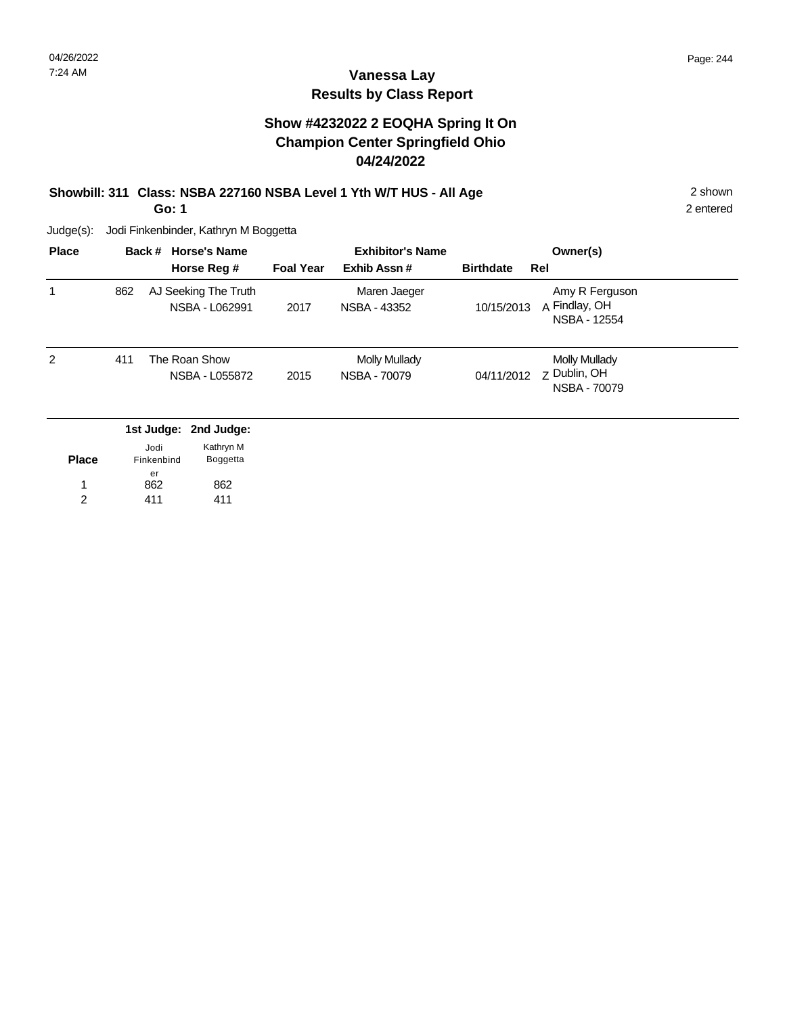### **Vanessa Lay Results by Class Report**

#### **Show #4232022 2 EOQHA Spring It On Champion Center Springfield Ohio 04/24/2022**

# **Showbill: 311 Class: NSBA 227160 NSBA Level 1 Yth W/T HUS - All Age 2 Shown 2 shown**

**Go: 1**

Judge(s): Jodi Finkenbinder, Kathryn M Boggetta

| <b>Place</b> |     | Back #           | <b>Horse's Name</b>                    |                  | <b>Exhibitor's Name</b>                     |                  | Owner(s)                                                    |
|--------------|-----|------------------|----------------------------------------|------------------|---------------------------------------------|------------------|-------------------------------------------------------------|
|              |     |                  | Horse Reg #                            | <b>Foal Year</b> | Exhib Assn#                                 | <b>Birthdate</b> | Rel                                                         |
|              | 862 |                  | AJ Seeking The Truth<br>NSBA - L062991 | 2017             | Maren Jaeger<br>NSBA - 43352                | 10/15/2013       | Amy R Ferguson<br>A Findlay, OH<br>NSBA - 12554             |
| 2            | 411 |                  | The Roan Show<br>NSBA - L055872        | 2015             | <b>Molly Mullady</b><br><b>NSBA - 70079</b> | 04/11/2012       | <b>Molly Mullady</b><br>Z Dublin, OH<br><b>NSBA - 70079</b> |
|              |     |                  | 1st Judge: 2nd Judge:                  |                  |                                             |                  |                                                             |
|              |     | Jodi             | Kathryn M                              |                  |                                             |                  |                                                             |
| <b>Place</b> |     | Finkenbind<br>er | Boggetta                               |                  |                                             |                  |                                                             |
| 1            |     | 862              | 862                                    |                  |                                             |                  |                                                             |

862 1

411 2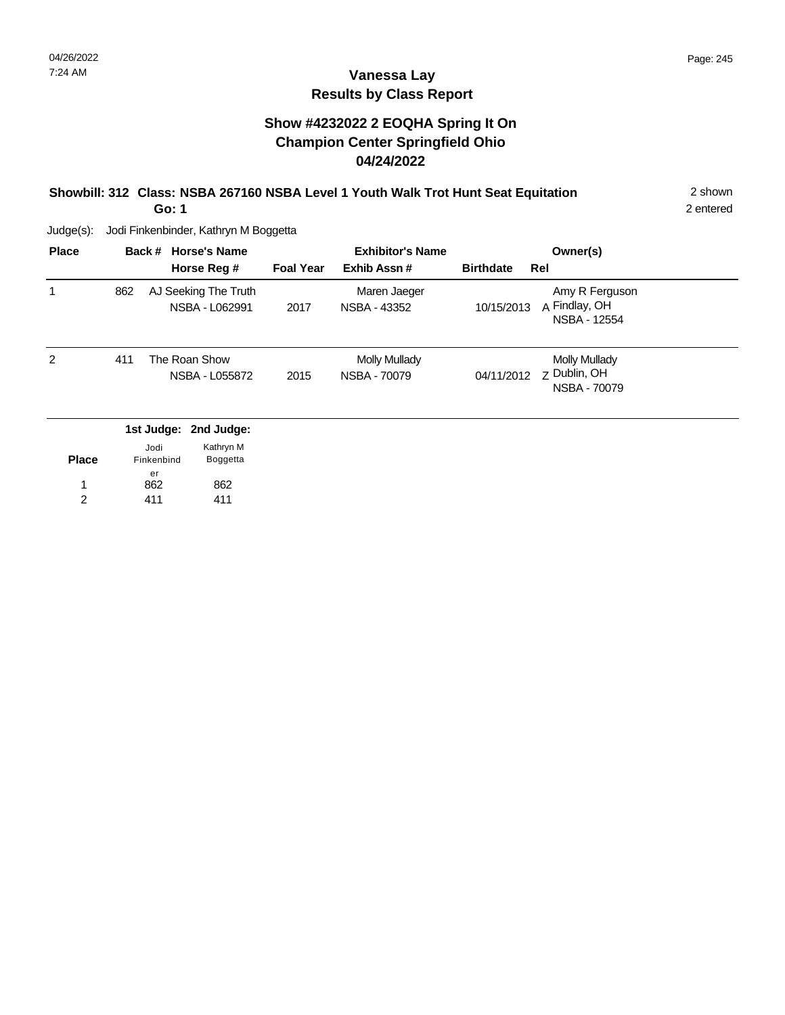### **Vanessa Lay Results by Class Report**

#### **Show #4232022 2 EOQHA Spring It On Champion Center Springfield Ohio 04/24/2022**

#### **Showbill: 312 Class: NSBA 267160 NSBA Level 1 Youth Walk Trot Hunt Seat Equitation** 2 shown **Go: 1**

Judge(s): Jodi Finkenbinder, Kathryn M Boggetta

| <b>Place</b>   |     |                  | Back # Horse's Name                    | <b>Exhibitor's Name</b> |                                      |                  |     | Owner(s)                                                    |  |
|----------------|-----|------------------|----------------------------------------|-------------------------|--------------------------------------|------------------|-----|-------------------------------------------------------------|--|
|                |     |                  | Horse Reg #                            | <b>Foal Year</b>        | Exhib Assn#                          | <b>Birthdate</b> | Rel |                                                             |  |
|                | 862 |                  | AJ Seeking The Truth<br>NSBA - L062991 | 2017                    | Maren Jaeger<br>NSBA - 43352         | 10/15/2013       |     | Amy R Ferguson<br>A Findlay, OH<br>NSBA - 12554             |  |
| $\overline{2}$ | 411 |                  | The Roan Show<br>NSBA - L055872        | 2015                    | <b>Molly Mullady</b><br>NSBA - 70079 | 04/11/2012       |     | <b>Molly Mullady</b><br>z Dublin, OH<br><b>NSBA - 70079</b> |  |
|                |     |                  | 1st Judge: 2nd Judge:                  |                         |                                      |                  |     |                                                             |  |
|                |     | Jodi             | Kathryn M                              |                         |                                      |                  |     |                                                             |  |
| <b>Place</b>   |     | Finkenbind<br>er | Boggetta                               |                         |                                      |                  |     |                                                             |  |
|                |     | 862              | 862                                    |                         |                                      |                  |     |                                                             |  |

862 1

411 2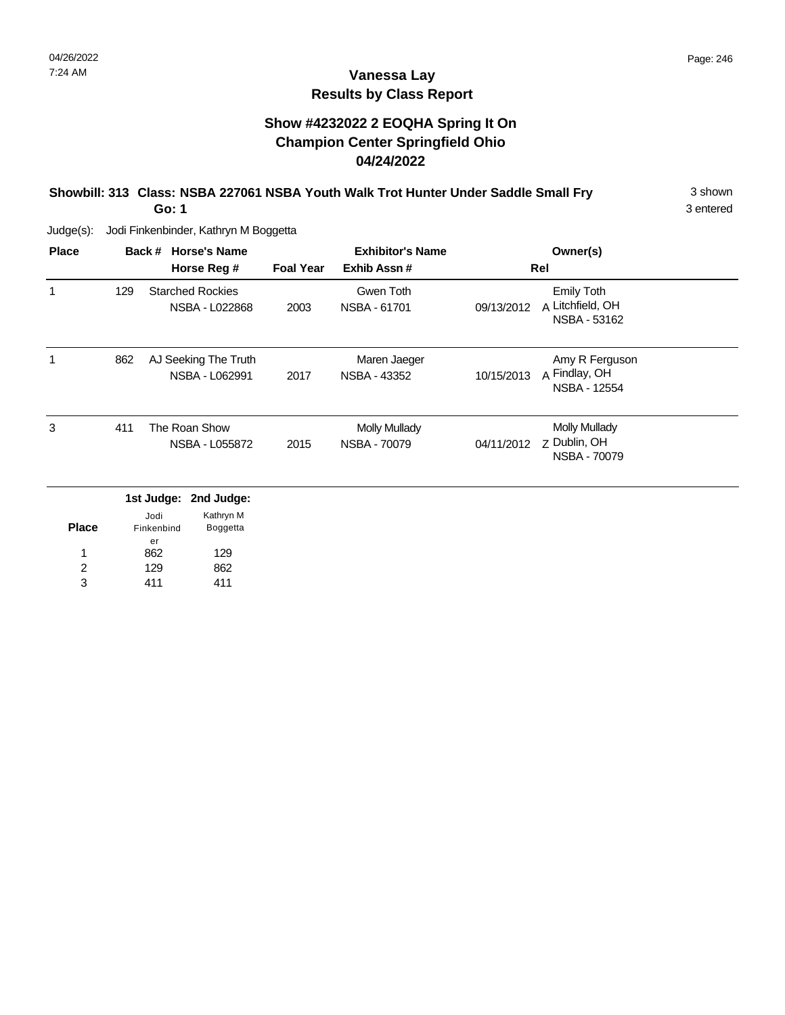#### **Show #4232022 2 EOQHA Spring It On Champion Center Springfield Ohio 04/24/2022**

#### **Showbill: 313 Class: NSBA 227061 NSBA Youth Walk Trot Hunter Under Saddle Small Fry** 3 shown **Go: 1**

3 entered

| <b>Place</b>   |     |                    | Back # Horse's Name     |                  | <b>Exhibitor's Name</b> |            | Owner(s)                         |  |
|----------------|-----|--------------------|-------------------------|------------------|-------------------------|------------|----------------------------------|--|
|                |     |                    | Horse Reg #             | <b>Foal Year</b> | Exhib Assn#             |            | Rel                              |  |
| 1              | 129 |                    | <b>Starched Rockies</b> |                  | Gwen Toth               |            | <b>Emily Toth</b>                |  |
|                |     |                    | NSBA - L022868          | 2003             | NSBA - 61701            | 09/13/2012 | A Litchfield, OH<br>NSBA - 53162 |  |
|                | 862 |                    | AJ Seeking The Truth    |                  | Maren Jaeger            |            | Amy R Ferguson                   |  |
|                |     |                    | NSBA - L062991          | 2017             | NSBA - 43352            | 10/15/2013 | A Findlay, OH<br>NSBA - 12554    |  |
| 3              | 411 |                    | The Roan Show           |                  | <b>Molly Mullady</b>    |            | <b>Molly Mullady</b>             |  |
|                |     |                    | NSBA - L055872          | 2015             | NSBA - 70079            | 04/11/2012 | Z Dublin, OH<br>NSBA - 70079     |  |
|                |     | 1st Judge:         | 2nd Judge:              |                  |                         |            |                                  |  |
| <b>Place</b>   |     | Jodi<br>Finkenbind | Kathryn M<br>Boggetta   |                  |                         |            |                                  |  |
|                |     | er                 |                         |                  |                         |            |                                  |  |
|                |     | 862                | 129                     |                  |                         |            |                                  |  |
| $\overline{2}$ |     | 129                | 862                     |                  |                         |            |                                  |  |
| 3              |     | 411                | 411                     |                  |                         |            |                                  |  |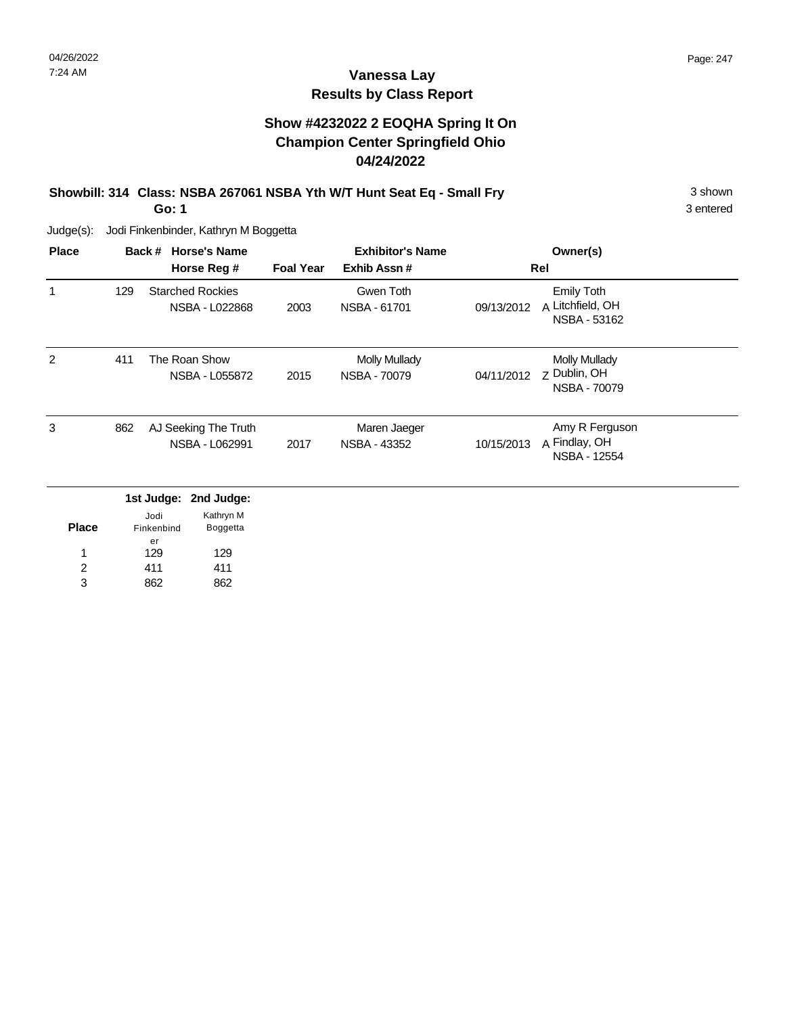### **Vanessa Lay Results by Class Report**

#### **Show #4232022 2 EOQHA Spring It On Champion Center Springfield Ohio 04/24/2022**

# **Showbill: 314 Class: NSBA 267061 NSBA Yth W/T Hunt Seat Eq - Small Fry** 3 Shown 3 shown

**Go: 1**

Judge(s): Jodi Finkenbinder, Kathryn M Boggetta

862

3

| <b>Place</b> |     | <b>Horse's Name</b><br>Back #               |                  | <b>Exhibitor's Name</b> |            | Owner(s)                            |
|--------------|-----|---------------------------------------------|------------------|-------------------------|------------|-------------------------------------|
|              |     | Horse Reg #                                 | <b>Foal Year</b> | Exhib Assn#             |            | Rel                                 |
| 1            | 129 | <b>Starched Rockies</b>                     |                  | Gwen Toth               |            | <b>Emily Toth</b>                   |
|              |     | NSBA - L022868                              | 2003             | NSBA - 61701            | 09/13/2012 | A Litchfield, OH<br>NSBA - 53162    |
| 2            | 411 | The Roan Show                               |                  | <b>Molly Mullady</b>    |            | <b>Molly Mullady</b>                |
|              |     | NSBA - L055872                              | 2015             | <b>NSBA - 70079</b>     | 04/11/2012 | Z Dublin, OH<br><b>NSBA - 70079</b> |
| 3            | 862 | AJ Seeking The Truth                        |                  | Maren Jaeger            |            | Amy R Ferguson                      |
|              |     | NSBA - L062991                              | 2017             | NSBA - 43352            | 10/15/2013 | A Findlay, OH<br>NSBA - 12554       |
|              |     | 1st Judge: 2nd Judge:                       |                  |                         |            |                                     |
| <b>Place</b> |     | Kathryn M<br>Jodi<br>Finkenbind<br>Boggetta |                  |                         |            |                                     |
|              |     | er                                          |                  |                         |            |                                     |
| 1            |     | 129<br>129                                  |                  |                         |            |                                     |
| 2            |     | 411<br>411                                  |                  |                         |            |                                     |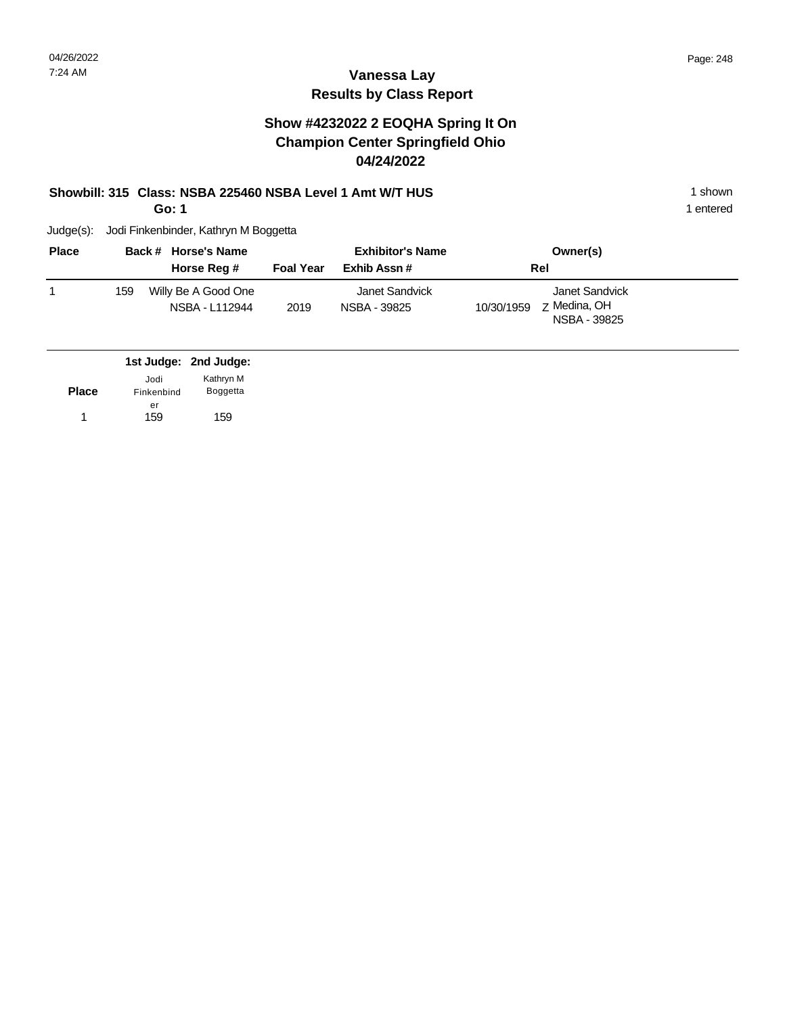#### **Show #4232022 2 EOQHA Spring It On Champion Center Springfield Ohio 04/24/2022**

#### **Showbill: 315 Class: NSBA 225460 NSBA Level 1 Amt W/T HUS** 1 Shown 1 shown

**Go: 1**

1 entered

| <b>Place</b> |     | Back # Horse's Name                   |                  | <b>Exhibitor's Name</b>        | Owner(s)                                                     |  |
|--------------|-----|---------------------------------------|------------------|--------------------------------|--------------------------------------------------------------|--|
|              |     | Horse Reg #                           | <b>Foal Year</b> | Exhib Assn #                   | Rel                                                          |  |
|              | 159 | Willy Be A Good One<br>NSBA - L112944 | 2019             | Janet Sandvick<br>NSBA - 39825 | Janet Sandvick<br>Z Medina, OH<br>10/30/1959<br>NSBA - 39825 |  |

|              |            | 1st Judge: 2nd Judge: |
|--------------|------------|-----------------------|
|              | Jodi       | Kathryn M             |
| <b>Place</b> | Finkenbind | <b>Boggetta</b>       |
|              | er         |                       |
| 1            | 159        | 159                   |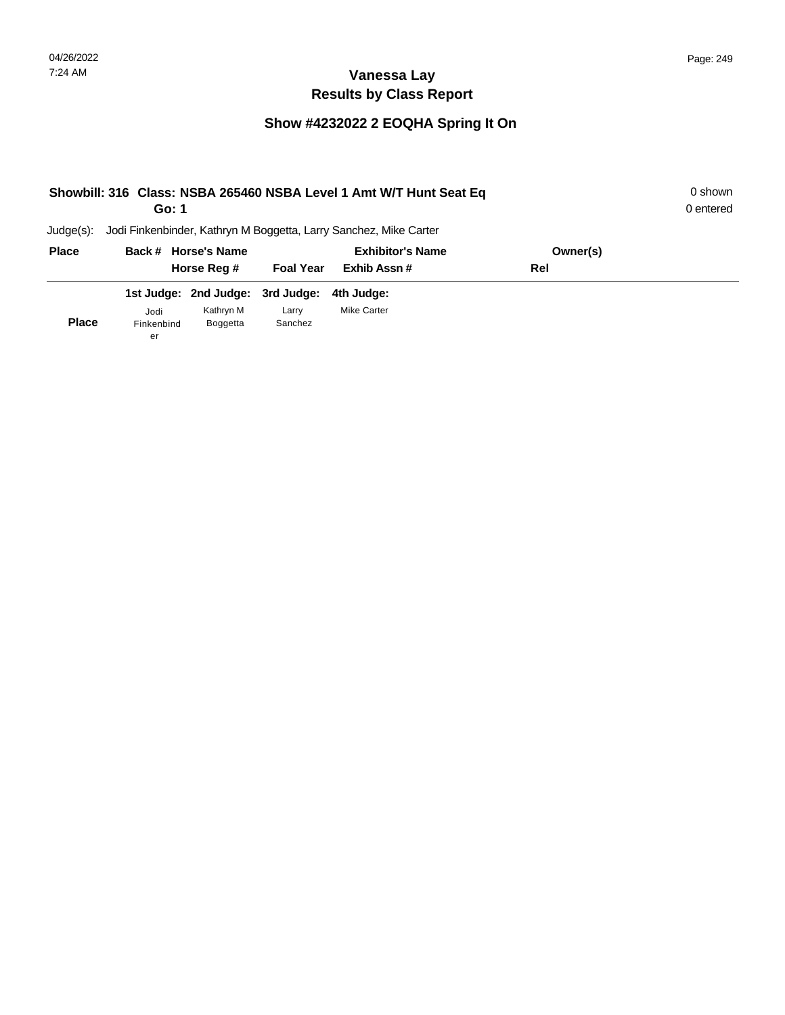|            |           |                                             |                                  |                                                                                       | 0 shown<br>0 entered                                               |
|------------|-----------|---------------------------------------------|----------------------------------|---------------------------------------------------------------------------------------|--------------------------------------------------------------------|
|            |           |                                             |                                  |                                                                                       |                                                                    |
|            |           |                                             | <b>Exhibitor's Name</b>          | Owner(s)                                                                              |                                                                    |
|            |           |                                             | Exhib Assn#                      | Rel                                                                                   |                                                                    |
|            |           |                                             | 4th Judae:                       |                                                                                       |                                                                    |
| Jodi       | Kathryn M | Larry                                       | <b>Mike Carter</b>               |                                                                                       |                                                                    |
| Finkenbind | Boggetta  | Sanchez                                     |                                  |                                                                                       |                                                                    |
|            | er        | Go: 1<br>Back # Horse's Name<br>Horse Reg # | 1st Judge: 2nd Judge: 3rd Judge: | Jodi Finkenbinder, Kathryn M Boggetta, Larry Sanchez, Mike Carter<br><b>Foal Year</b> | Showbill: 316 Class: NSBA 265460 NSBA Level 1 Amt W/T Hunt Seat Eq |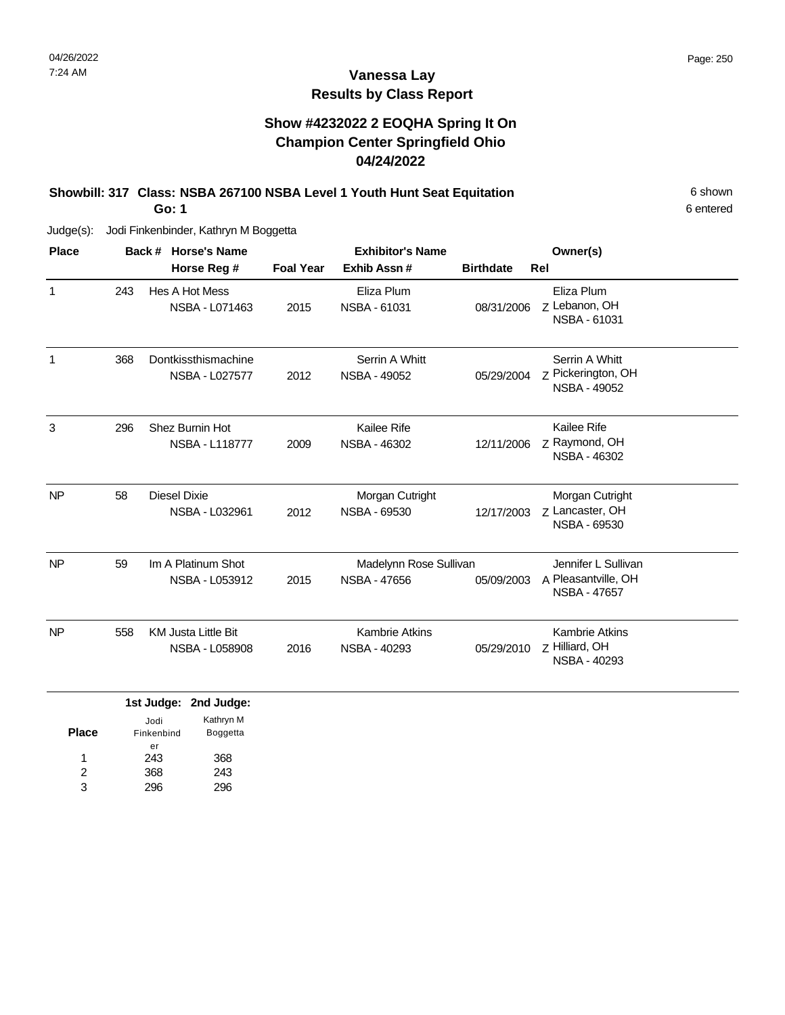#### **Show #4232022 2 EOQHA Spring It On Champion Center Springfield Ohio 04/24/2022**

#### **Showbill: 317 Class: NSBA 267100 NSBA Level 1 Youth Hunt Seat Equitation** 6 Shown 6 shown **Go: 1**

Judge(s): Jodi Finkenbinder, Kathryn M Boggetta

| <b>Place</b> |     | Back # Horse's Name                          |                  | <b>Exhibitor's Name</b>                       |                  | Owner(s)                                                    |
|--------------|-----|----------------------------------------------|------------------|-----------------------------------------------|------------------|-------------------------------------------------------------|
|              |     | Horse Reg #                                  | <b>Foal Year</b> | Exhib Assn#                                   | <b>Birthdate</b> | Rel                                                         |
| 1            | 243 | Hes A Hot Mess<br>NSBA - L071463             | 2015             | Eliza Plum<br>NSBA - 61031                    | 08/31/2006       | Eliza Plum<br>Z Lebanon, OH<br>NSBA - 61031                 |
| 1            | 368 | Dontkissthismachine<br><b>NSBA - L027577</b> | 2012             | Serrin A Whitt<br><b>NSBA - 49052</b>         | 05/29/2004       | Serrin A Whitt<br>Z Pickerington, OH<br><b>NSBA - 49052</b> |
| 3            | 296 | Shez Burnin Hot<br>NSBA - L118777            | 2009             | Kailee Rife<br>NSBA - 46302                   | 12/11/2006       | Kailee Rife<br>z Raymond, OH<br>NSBA - 46302                |
| <b>NP</b>    | 58  | Diesel Dixie<br>NSBA - L032961               | 2012             | Morgan Cutright<br><b>NSBA - 69530</b>        | 12/17/2003       | Morgan Cutright<br>z Lancaster, OH<br>NSBA - 69530          |
| <b>NP</b>    | 59  | Im A Platinum Shot<br>NSBA - L053912         | 2015             | Madelynn Rose Sullivan<br><b>NSBA - 47656</b> | 05/09/2003       | Jennifer L Sullivan<br>A Pleasantville, OH<br>NSBA - 47657  |
| <b>NP</b>    | 558 | <b>KM Justa Little Bit</b><br>NSBA - L058908 | 2016             | <b>Kambrie Atkins</b><br>NSBA - 40293         | 05/29/2010       | <b>Kambrie Atkins</b><br>Z Hilliard, OH<br>NSBA - 40293     |

|       |                    | 1st Judge: 2nd Judge:        |
|-------|--------------------|------------------------------|
| Place | Jodi<br>Finkenbind | Kathryn M<br><b>Boggetta</b> |
|       | er                 |                              |
| 1     | 243                | 368                          |
| 2     | 368                | 243                          |
| 3     | 296                | 296                          |

6 entered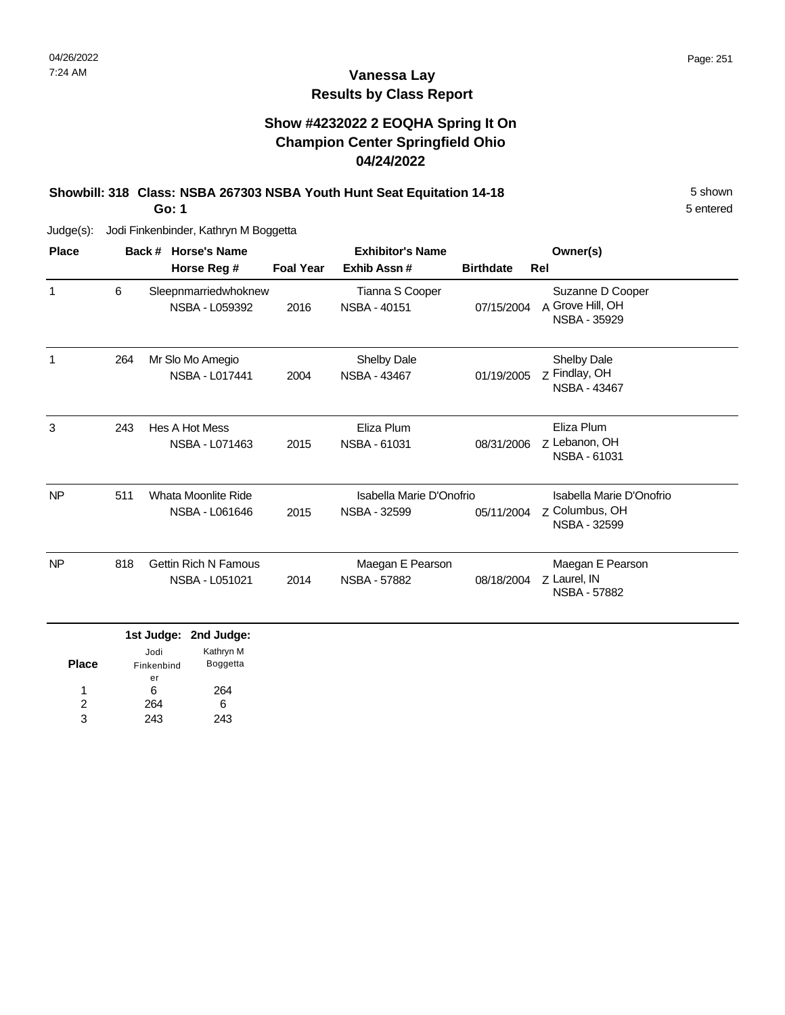### **Vanessa Lay Results by Class Report**

#### **Show #4232022 2 EOQHA Spring It On Champion Center Springfield Ohio 04/24/2022**

#### **Showbill: 318 Class: NSBA 267303 NSBA Youth Hunt Seat Equitation 14-18** 5 Shown **Go: 1**

| <b>Place</b> |     | <b>Horse's Name</b><br>Back #                 | <b>Exhibitor's Name</b>                                               |                                         |                                                                   | Owner(s)                                                    |
|--------------|-----|-----------------------------------------------|-----------------------------------------------------------------------|-----------------------------------------|-------------------------------------------------------------------|-------------------------------------------------------------|
|              |     | Horse Reg #                                   | <b>Foal Year</b>                                                      | Exhib Assn#                             | <b>Birthdate</b>                                                  | Rel                                                         |
| 1            | 6   | Sleepnmarriedwhoknew<br>NSBA - L059392        | 2016                                                                  | Tianna S Cooper<br>NSBA - 40151         | 07/15/2004                                                        | Suzanne D Cooper<br>A Grove Hill, OH<br><b>NSBA - 35929</b> |
| 1            | 264 | Mr Slo Mo Amegio<br><b>NSBA - L017441</b>     | 2004                                                                  | Shelby Dale<br><b>NSBA - 43467</b>      | 01/19/2005                                                        | Shelby Dale<br>Z Findlay, OH<br>NSBA - 43467                |
| 3            | 243 | Hes A Hot Mess<br>NSBA - L071463              | 2015                                                                  | Eliza Plum<br>NSBA - 61031              | 08/31/2006                                                        | Eliza Plum<br>Z Lebanon, OH<br>NSBA - 61031                 |
| <b>NP</b>    | 511 | <b>Whata Moonlite Ride</b><br>NSBA - L061646  | Isabella Marie D'Onofrio<br><b>NSBA - 32599</b><br>05/11/2004<br>2015 |                                         | Isabella Marie D'Onofrio<br>Z Columbus, OH<br><b>NSBA - 32599</b> |                                                             |
| <b>NP</b>    | 818 | <b>Gettin Rich N Famous</b><br>NSBA - L051021 | 2014                                                                  | Maegan E Pearson<br><b>NSBA - 57882</b> | 08/18/2004                                                        | Maegan E Pearson<br>Z Laurel, IN<br><b>NSBA - 57882</b>     |
|              |     | بمعاسرا اسمره بمعاسرا لمصه                    |                                                                       |                                         |                                                                   |                                                             |

|       |                    | 1st Judge: 2nd Judge:        |
|-------|--------------------|------------------------------|
| Place | Jodi<br>Finkenbind | Kathryn M<br><b>Boggetta</b> |
|       | er                 |                              |
| 1     | 6                  | 264                          |
| 2     | 264                | հ                            |
| 3     | 243                | 243                          |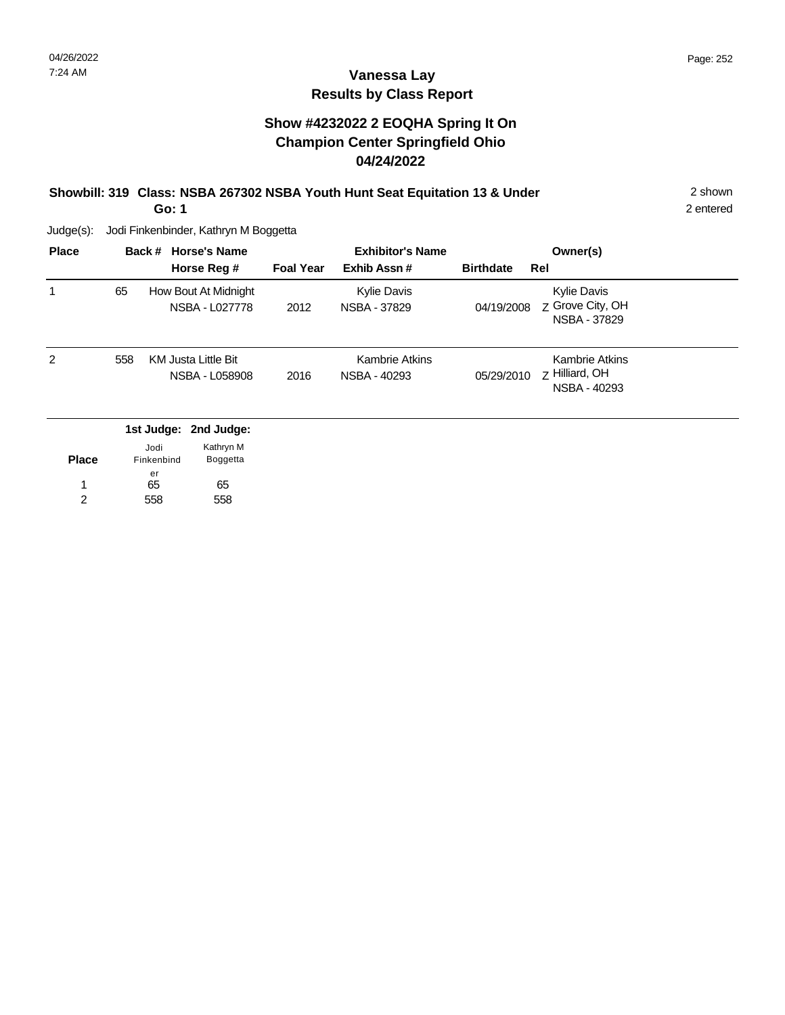#### **Show #4232022 2 EOQHA Spring It On Champion Center Springfield Ohio 04/24/2022**

#### **Showbill: 319 Class: NSBA 267302 NSBA Youth Hunt Seat Equitation 13 & Under** 2 shown **Go: 1**

2 entered

Judge(s): Jodi Finkenbinder, Kathryn M Boggetta

558

2

| <b>Place</b> |     | Back #     | <b>Horse's Name</b>                    |                  | <b>Exhibitor's Name</b>               |                  | Owner(s)                                               |
|--------------|-----|------------|----------------------------------------|------------------|---------------------------------------|------------------|--------------------------------------------------------|
|              |     |            | Horse Reg #                            | <b>Foal Year</b> | Exhib Assn #                          | <b>Birthdate</b> | Rel                                                    |
| 1            | 65  |            | How Bout At Midnight<br>NSBA - L027778 | 2012             | Kylie Davis<br>NSBA - 37829           | 04/19/2008       | Kylie Davis<br>Z Grove City, OH<br><b>NSBA - 37829</b> |
| 2            | 558 |            | KM Justa Little Bit<br>NSBA - L058908  | 2016             | <b>Kambrie Atkins</b><br>NSBA - 40293 | 05/29/2010       | Kambrie Atkins<br>z Hilliard, OH<br>NSBA - 40293       |
|              |     |            | 1st Judge: 2nd Judge:                  |                  |                                       |                  |                                                        |
|              |     | Jodi       | Kathryn M                              |                  |                                       |                  |                                                        |
| <b>Place</b> |     | Finkenbind | Boggetta                               |                  |                                       |                  |                                                        |
|              |     | er<br>65   | 65                                     |                  |                                       |                  |                                                        |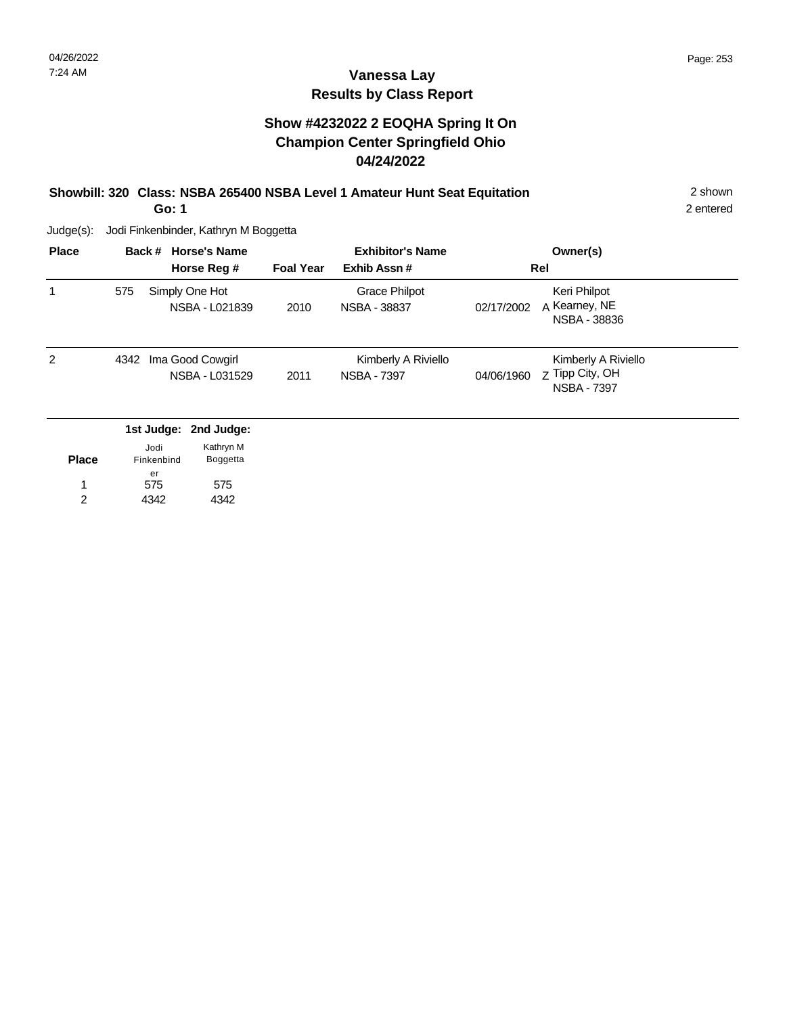### **Vanessa Lay Results by Class Report**

### **Show #4232022 2 EOQHA Spring It On Champion Center Springfield Ohio 04/24/2022**

#### **Showbill: 320 Class: NSBA 265400 NSBA Level 1 Amateur Hunt Seat Equitation** 2 shown **Go: 1**

Judge(s): Jodi Finkenbinder, Kathryn M Boggetta

575 4342

1 2

575 4342

| <b>Place</b> | Back # Horse's Name<br>Horse Reg #                                         | <b>Foal Year</b> | <b>Exhibitor's Name</b><br>Exhib Assn#    | Owner(s)<br>Rel                                                            |  |
|--------------|----------------------------------------------------------------------------|------------------|-------------------------------------------|----------------------------------------------------------------------------|--|
|              | 575<br>Simply One Hot<br>NSBA - L021839                                    | 2010             | Grace Philpot<br><b>NSBA - 38837</b>      | Keri Philpot<br>A Kearney, NE<br>02/17/2002<br><b>NSBA - 38836</b>         |  |
| 2            | Ima Good Cowgirl<br>4342<br>NSBA - L031529                                 | 2011             | Kimberly A Riviello<br><b>NSBA - 7397</b> | Kimberly A Riviello<br>Z Tipp City, OH<br>04/06/1960<br><b>NSBA - 7397</b> |  |
| <b>Place</b> | 1st Judge: 2nd Judge:<br>Kathryn M<br>Jodi<br>Finkenbind<br>Boggetta<br>er |                  |                                           |                                                                            |  |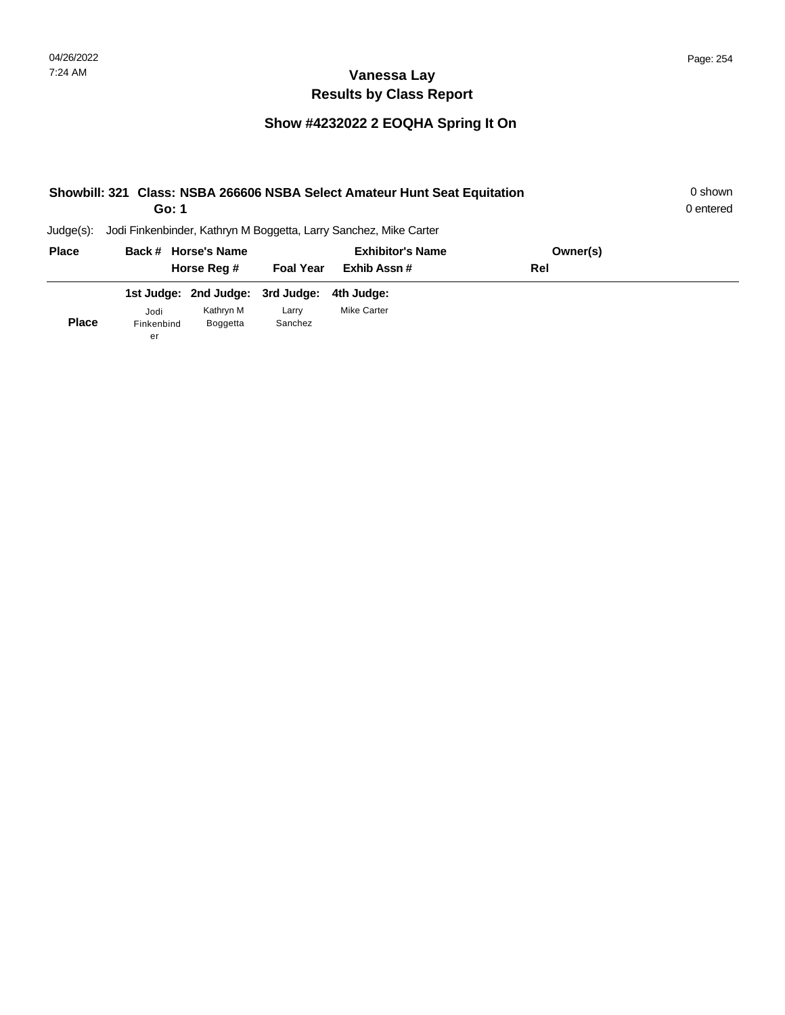| Showbill: 321 Class: NSBA 266606 NSBA Select Amateur Hunt Seat Equitation |                  | 0 shown<br>0 entered             |                  |                                                                   |          |  |
|---------------------------------------------------------------------------|------------------|----------------------------------|------------------|-------------------------------------------------------------------|----------|--|
| $Judge(s)$ :                                                              |                  |                                  |                  | Jodi Finkenbinder, Kathryn M Boggetta, Larry Sanchez, Mike Carter |          |  |
| <b>Place</b>                                                              |                  | Back # Horse's Name              |                  | <b>Exhibitor's Name</b>                                           | Owner(s) |  |
|                                                                           |                  | Horse Reg #                      | <b>Foal Year</b> | Exhib Assn#                                                       | Rel      |  |
|                                                                           |                  | 1st Judge: 2nd Judge: 3rd Judge: |                  | 4th Judae:                                                        |          |  |
|                                                                           | Jodi             | Kathryn M                        | Larry            | <b>Mike Carter</b>                                                |          |  |
| <b>Place</b>                                                              | Finkenbind<br>er | Boggetta                         | Sanchez          |                                                                   |          |  |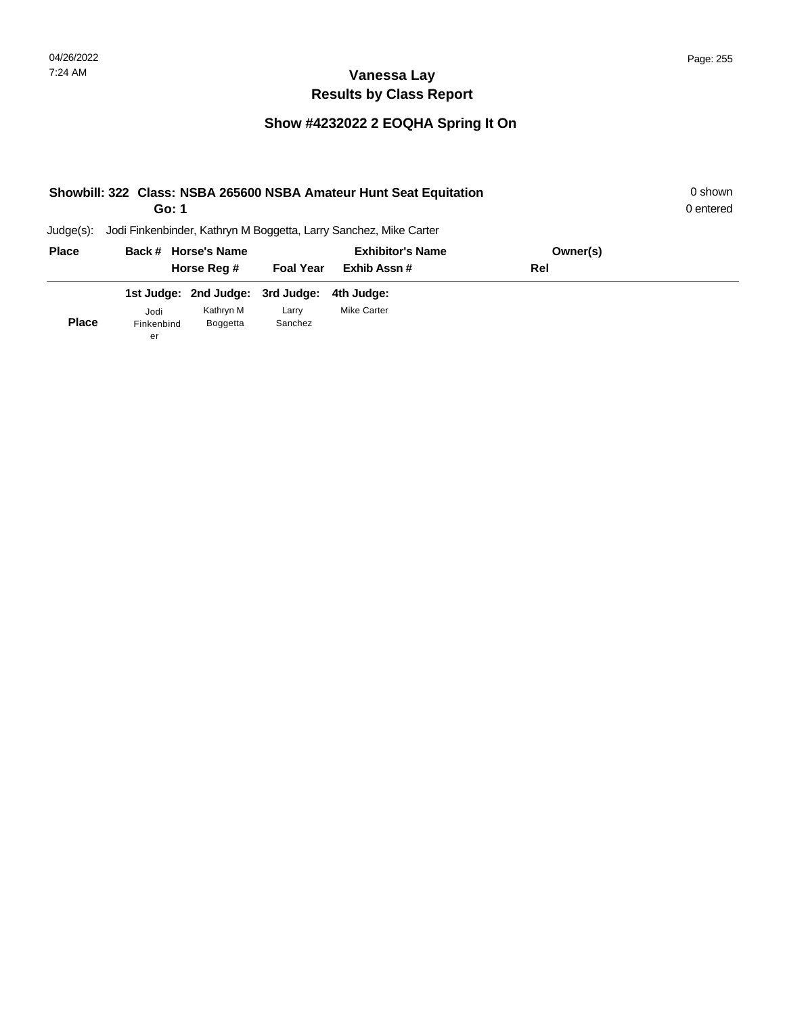| Showbill: 322 Class: NSBA 265600 NSBA Amateur Hunt Seat Equitation | 0 shown<br>0 entered |                                  |                  |                                                                   |          |  |
|--------------------------------------------------------------------|----------------------|----------------------------------|------------------|-------------------------------------------------------------------|----------|--|
| $Judge(s)$ :                                                       |                      |                                  |                  | Jodi Finkenbinder, Kathryn M Boggetta, Larry Sanchez, Mike Carter |          |  |
| <b>Place</b>                                                       |                      | Back # Horse's Name              |                  | <b>Exhibitor's Name</b>                                           | Owner(s) |  |
|                                                                    |                      | Horse Reg #                      | <b>Foal Year</b> | Exhib Assn#                                                       | Rel      |  |
|                                                                    |                      | 1st Judge: 2nd Judge: 3rd Judge: |                  | 4th Judae:                                                        |          |  |
|                                                                    | Jodi                 | Kathryn M                        | Larry            | <b>Mike Carter</b>                                                |          |  |
| <b>Place</b>                                                       | Finkenbind<br>er     | Boggetta                         | Sanchez          |                                                                   |          |  |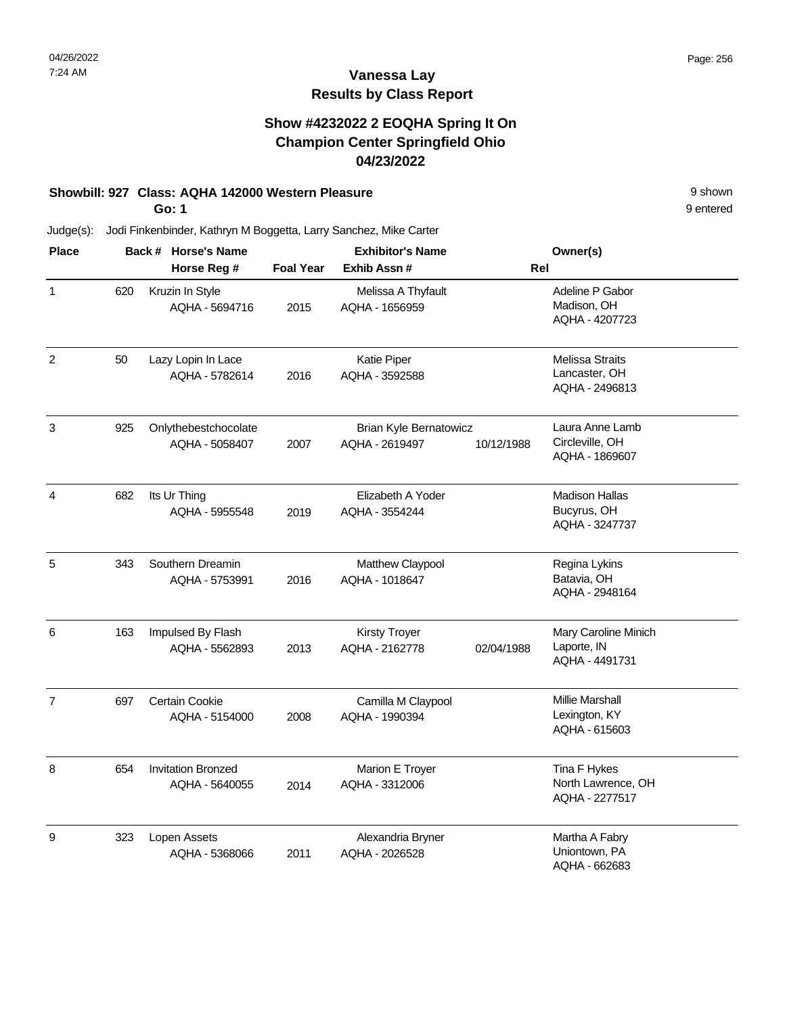### **Show #4232022 2 EOQHA Spring It On Champion Center Springfield Ohio 04/23/2022**

#### **Showbill: 927 Class: AQHA 142000 Western Pleasure** 8 **Shown** 9 shown

**Go: 1**

Judge(s): Jodi Finkenbinder, Kathryn M Boggetta, Larry Sanchez, Mike Carter

| <b>Place</b>   |     | Back # Horse's Name                         |                  | <b>Exhibitor's Name</b>                         | Owner(s)                                                            |  |
|----------------|-----|---------------------------------------------|------------------|-------------------------------------------------|---------------------------------------------------------------------|--|
|                |     | Horse Reg #                                 | <b>Foal Year</b> | Exhib Assn#                                     | Rel                                                                 |  |
| $\mathbf{1}$   | 620 | Kruzin In Style<br>AQHA - 5694716           | 2015             | Melissa A Thyfault<br>AQHA - 1656959            | Adeline P Gabor<br>Madison, OH<br>AQHA - 4207723                    |  |
| $\overline{2}$ | 50  | Lazy Lopin In Lace<br>AQHA - 5782614        | 2016             | Katie Piper<br>AQHA - 3592588                   | <b>Melissa Straits</b><br>Lancaster, OH<br>AQHA - 2496813           |  |
| $\mathsf 3$    | 925 | Onlythebestchocolate<br>AQHA - 5058407      | 2007             | <b>Brian Kyle Bernatowicz</b><br>AQHA - 2619497 | Laura Anne Lamb<br>Circleville, OH<br>10/12/1988<br>AQHA - 1869607  |  |
| $\overline{4}$ | 682 | Its Ur Thing<br>AQHA - 5955548              | 2019             | Elizabeth A Yoder<br>AQHA - 3554244             | <b>Madison Hallas</b><br>Bucyrus, OH<br>AQHA - 3247737              |  |
| 5              | 343 | Southern Dreamin<br>AQHA - 5753991          | 2016             | Matthew Claypool<br>AQHA - 1018647              | Regina Lykins<br>Batavia, OH<br>AQHA - 2948164                      |  |
| 6              | 163 | Impulsed By Flash<br>AQHA - 5562893         | 2013             | <b>Kirsty Troyer</b><br>AQHA - 2162778          | Mary Caroline Minich<br>Laporte, IN<br>02/04/1988<br>AQHA - 4491731 |  |
| $\overline{7}$ | 697 | Certain Cookie<br>AQHA - 5154000            | 2008             | Camilla M Claypool<br>AQHA - 1990394            | Millie Marshall<br>Lexington, KY<br>AQHA - 615603                   |  |
| 8              | 654 | <b>Invitation Bronzed</b><br>AQHA - 5640055 | 2014             | Marion E Troyer<br>AQHA - 3312006               | Tina F Hykes<br>North Lawrence, OH<br>AQHA - 2277517                |  |
| 9              | 323 | Lopen Assets<br>AQHA - 5368066              | 2011             | Alexandria Bryner<br>AQHA - 2026528             | Martha A Fabry<br>Uniontown, PA<br>AQHA - 662683                    |  |

9 entered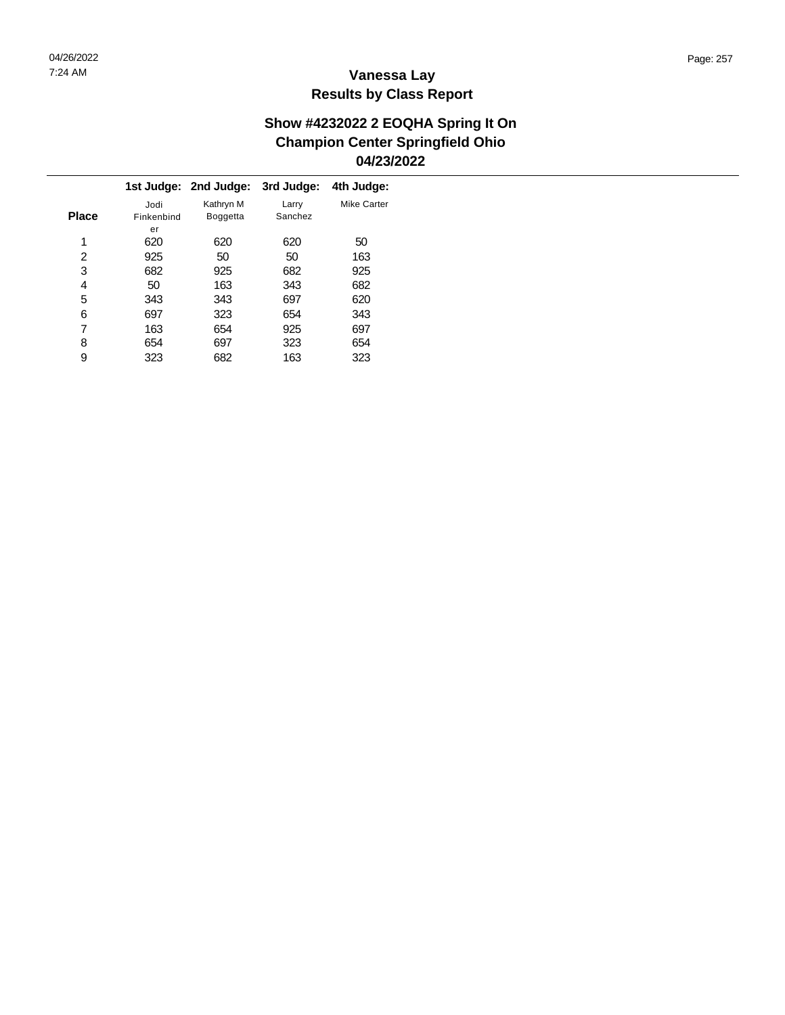#### **Show #4232022 2 EOQHA Spring It On Champion Center Springfield Ohio 04/23/2022**

|              |            | 1st Judge: 2nd Judge: | 3rd Judge: | 4th Judge:  |
|--------------|------------|-----------------------|------------|-------------|
|              | Jodi       | Kathryn M             | Larry      | Mike Carter |
| <b>Place</b> | Finkenbind | <b>Boggetta</b>       | Sanchez    |             |
|              | er         |                       |            |             |
| 1            | 620        | 620                   | 620        | 50          |
| 2            | 925        | 50                    | 50         | 163         |
| 3            | 682        | 925                   | 682        | 925         |
| 4            | 50         | 163                   | 343        | 682         |
| 5            | 343        | 343                   | 697        | 620         |
| 6            | 697        | 323                   | 654        | 343         |
| 7            | 163        | 654                   | 925        | 697         |
| 8            | 654        | 697                   | 323        | 654         |
| 9            | 323        | 682                   | 163        | 323         |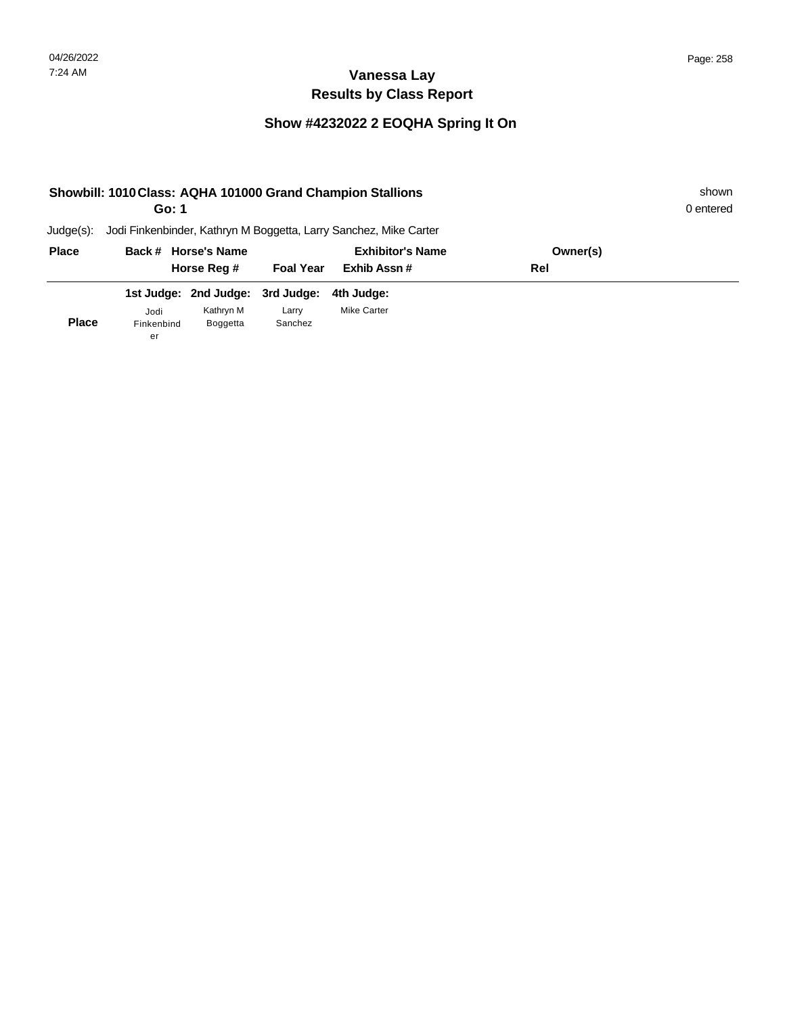| Showbill: 1010 Class: AQHA 101000 Grand Champion Stallions<br>Go: 1 |            |                       |                  |                                                                   |          |  |  |  |
|---------------------------------------------------------------------|------------|-----------------------|------------------|-------------------------------------------------------------------|----------|--|--|--|
| $Judge(s)$ :                                                        |            |                       |                  | Jodi Finkenbinder, Kathryn M Boggetta, Larry Sanchez, Mike Carter |          |  |  |  |
| <b>Place</b>                                                        |            | Back # Horse's Name   |                  | <b>Exhibitor's Name</b>                                           | Owner(s) |  |  |  |
|                                                                     |            | Horse Reg #           | <b>Foal Year</b> | Exhib Assn#                                                       | Rel      |  |  |  |
|                                                                     |            | 1st Judge: 2nd Judge: | 3rd Judge:       | 4th Judge:                                                        |          |  |  |  |
|                                                                     | ibol.      | Kathryn M             | Larry            | <b>Mike Carter</b>                                                |          |  |  |  |
| <b>Place</b>                                                        | Finkenbind | Boggetta              | Sanchez          |                                                                   |          |  |  |  |
|                                                                     | er         |                       |                  |                                                                   |          |  |  |  |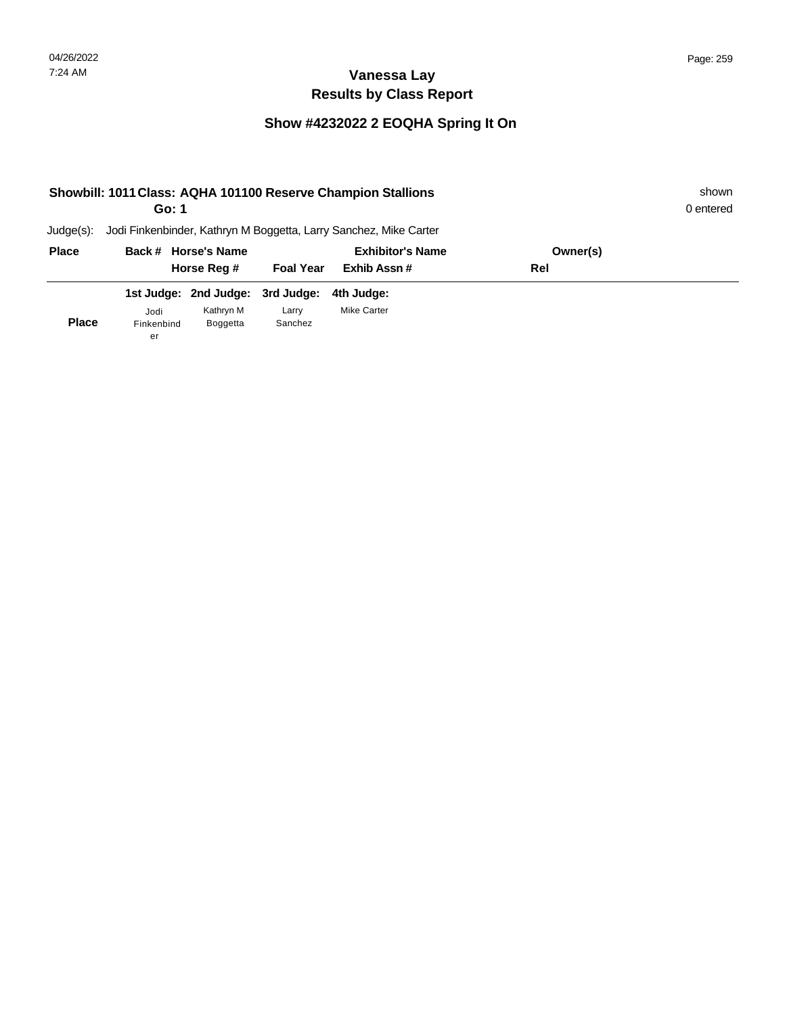| Showbill: 1011 Class: AQHA 101100 Reserve Champion Stallions<br>Go: 1 |            |                       |                  |                                                                   |          |  |  |  |
|-----------------------------------------------------------------------|------------|-----------------------|------------------|-------------------------------------------------------------------|----------|--|--|--|
| Judge(s):                                                             |            |                       |                  | Jodi Finkenbinder, Kathryn M Boggetta, Larry Sanchez, Mike Carter |          |  |  |  |
| <b>Place</b>                                                          |            | Back # Horse's Name   |                  | <b>Exhibitor's Name</b>                                           | Owner(s) |  |  |  |
|                                                                       |            | Horse Reg #           | <b>Foal Year</b> | Exhib Assn#                                                       | Rel      |  |  |  |
|                                                                       |            | 1st Judge: 2nd Judge: | 3rd Judge:       | 4th Judge:                                                        |          |  |  |  |
|                                                                       | ibol       | Kathryn M             | Larry            | Mike Carter                                                       |          |  |  |  |
| <b>Place</b>                                                          | Finkenbind | <b>Boggetta</b>       | Sanchez          |                                                                   |          |  |  |  |
|                                                                       | er         |                       |                  |                                                                   |          |  |  |  |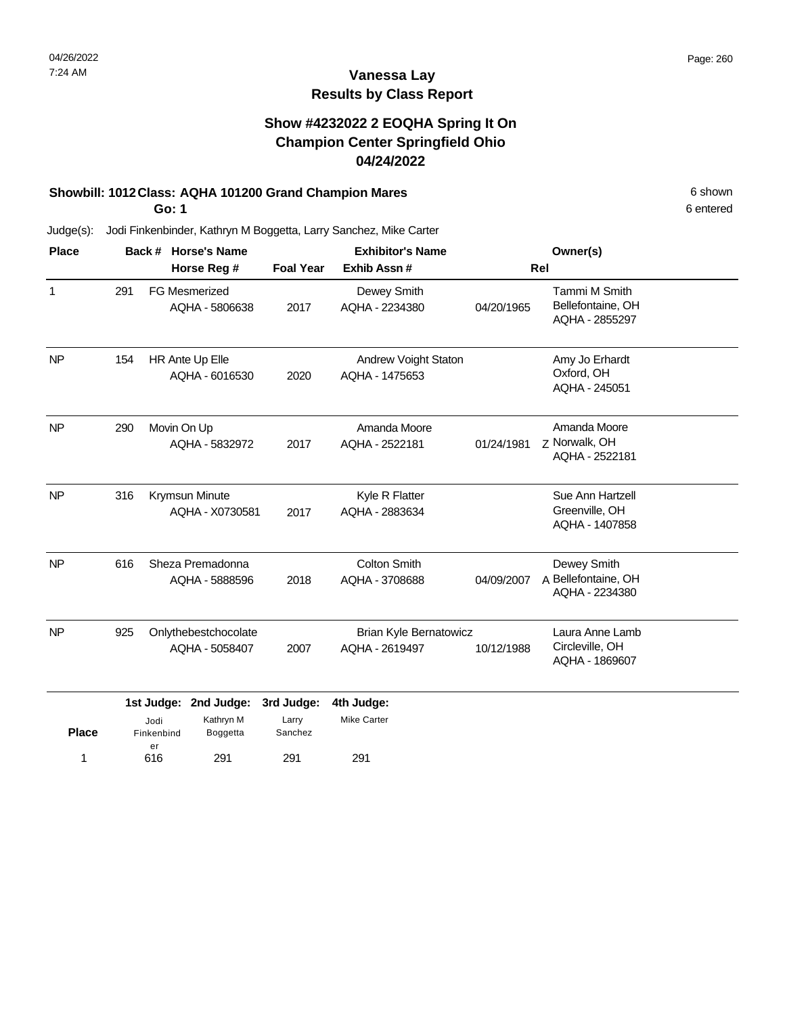**Place**

616 291

Finkenbind er

1 616 291 291 291

Boggetta

291

**Sanchez** 

6 entered

### **Vanessa Lay Results by Class Report**

### **Show #4232022 2 EOQHA Spring It On Champion Center Springfield Ohio 04/24/2022**

#### **Showbill: 1012 Class: AQHA 101200 Grand Champion Mares** 6 Shown 6 shown

**Go: 1**

| <b>Place</b> |     |            | Back # Horse's Name                    |                  | <b>Exhibitor's Name</b>                         |            | Owner(s)                                             |  |
|--------------|-----|------------|----------------------------------------|------------------|-------------------------------------------------|------------|------------------------------------------------------|--|
|              |     |            | Horse Reg #                            | <b>Foal Year</b> | Exhib Assn #                                    |            | Rel                                                  |  |
| $\mathbf{1}$ | 291 |            | <b>FG Mesmerized</b><br>AQHA - 5806638 | 2017             | Dewey Smith<br>AQHA - 2234380                   | 04/20/1965 | Tammi M Smith<br>Bellefontaine, OH<br>AQHA - 2855297 |  |
| <b>NP</b>    | 154 |            | HR Ante Up Elle<br>AQHA - 6016530      | 2020             | Andrew Voight Staton<br>AQHA - 1475653          |            | Amy Jo Erhardt<br>Oxford, OH<br>AQHA - 245051        |  |
| <b>NP</b>    | 290 |            | Movin On Up<br>AQHA - 5832972          | 2017             | Amanda Moore<br>AQHA - 2522181                  | 01/24/1981 | Amanda Moore<br>7 Norwalk, OH<br>AQHA - 2522181      |  |
| <b>NP</b>    | 316 |            | Krymsun Minute<br>AQHA - X0730581      | 2017             | Kyle R Flatter<br>AQHA - 2883634                |            | Sue Ann Hartzell<br>Greenville, OH<br>AQHA - 1407858 |  |
| <b>NP</b>    | 616 |            | Sheza Premadonna<br>AQHA - 5888596     | 2018             | <b>Colton Smith</b><br>AQHA - 3708688           | 04/09/2007 | Dewey Smith<br>A Bellefontaine, OH<br>AQHA - 2234380 |  |
| <b>NP</b>    | 925 |            | Onlythebestchocolate<br>AQHA - 5058407 | 2007             | <b>Brian Kyle Bernatowicz</b><br>AQHA - 2619497 | 10/12/1988 | Laura Anne Lamb<br>Circleville, OH<br>AQHA - 1869607 |  |
|              |     | 1st Judge: | 2nd Judge:                             | 3rd Judge:       | 4th Judge:                                      |            |                                                      |  |
|              |     | Jodi       | Kathrvn M                              | Larry            | <b>Mike Carter</b>                              |            |                                                      |  |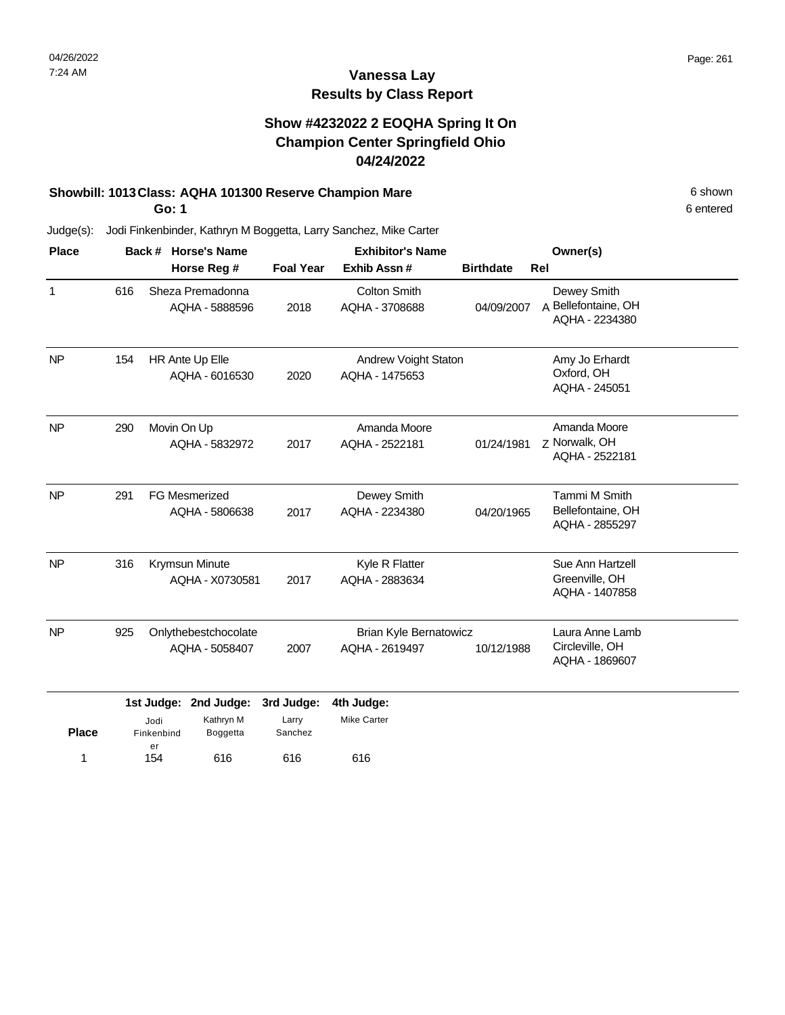### **Vanessa Lay Results by Class Report**

### **Show #4232022 2 EOQHA Spring It On Champion Center Springfield Ohio 04/24/2022**

#### **Showbill: 1013 Class: AQHA 101300 Reserve Champion Mare** 6 **Shown** 6 shown

**Go: 1**

| <b>Place</b> |     | <b>Horse's Name</b><br>Back #          |                  | <b>Exhibitor's Name</b>                         |                  | Owner(s)                                             |
|--------------|-----|----------------------------------------|------------------|-------------------------------------------------|------------------|------------------------------------------------------|
|              |     | Horse Reg #                            | <b>Foal Year</b> | Exhib Assn #                                    | <b>Birthdate</b> | Rel                                                  |
| 1            | 616 | Sheza Premadonna<br>AQHA - 5888596     | 2018             | <b>Colton Smith</b><br>AQHA - 3708688           | 04/09/2007       | Dewey Smith<br>A Bellefontaine, OH<br>AQHA - 2234380 |
| <b>NP</b>    | 154 | HR Ante Up Elle<br>AQHA - 6016530      | 2020             | <b>Andrew Voight Staton</b><br>AQHA - 1475653   |                  | Amy Jo Erhardt<br>Oxford, OH<br>AQHA - 245051        |
| <b>NP</b>    | 290 | Movin On Up<br>AQHA - 5832972          | 2017             | Amanda Moore<br>AQHA - 2522181                  | 01/24/1981       | Amanda Moore<br>z Norwalk, OH<br>AQHA - 2522181      |
| <b>NP</b>    | 291 | <b>FG Mesmerized</b><br>AQHA - 5806638 | 2017             | Dewey Smith<br>AQHA - 2234380                   | 04/20/1965       | Tammi M Smith<br>Bellefontaine, OH<br>AQHA - 2855297 |
| <b>NP</b>    | 316 | Krymsun Minute<br>AQHA - X0730581      | 2017             | Kyle R Flatter<br>AQHA - 2883634                |                  | Sue Ann Hartzell<br>Greenville, OH<br>AQHA - 1407858 |
| <b>NP</b>    | 925 | Onlythebestchocolate<br>AQHA - 5058407 | 2007             | <b>Brian Kyle Bernatowicz</b><br>AQHA - 2619497 | 10/12/1988       | Laura Anne Lamb<br>Circleville, OH<br>AQHA - 1869607 |
|              |     | 1st Judge: 2nd Judge:                  | 3rd Judge:       | 4th Judge:                                      |                  |                                                      |

| <b>Place</b> | Jodi<br>Finkenbind | Kathryn M<br>Boggetta | Larry<br>Sanchez | <b>Mike Carter</b> |
|--------------|--------------------|-----------------------|------------------|--------------------|
|              | er<br>154          | 616                   | 616              | 616                |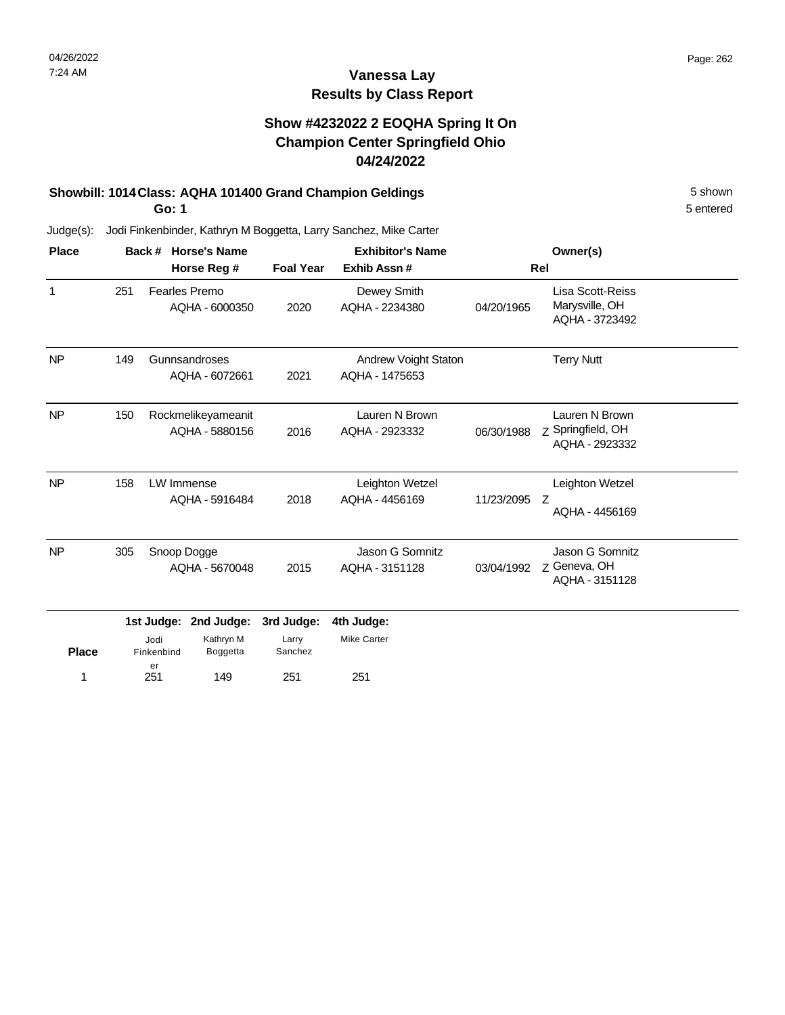### **Vanessa Lay Results by Class Report**

### **Show #4232022 2 EOQHA Spring It On Champion Center Springfield Ohio 04/24/2022**

#### **Showbill: 1014 Class: AQHA 101400 Grand Champion Geldings** 5 Shown 5 shown

**Go: 1**

251 149

1 251 149 251 251

251

| <b>Place</b> |     | Back #                   | <b>Horse's Name</b>                  |                  | <b>Exhibitor's Name</b>                |            | Owner(s)                                              |  |
|--------------|-----|--------------------------|--------------------------------------|------------------|----------------------------------------|------------|-------------------------------------------------------|--|
|              |     |                          | Horse Reg #                          | <b>Foal Year</b> | Exhib Assn#                            |            | Rel                                                   |  |
| 1            | 251 |                          | Fearles Premo<br>AQHA - 6000350      | 2020             | Dewey Smith<br>AQHA - 2234380          | 04/20/1965 | Lisa Scott-Reiss<br>Marysville, OH<br>AQHA - 3723492  |  |
| <b>NP</b>    | 149 |                          | Gunnsandroses<br>AQHA - 6072661      | 2021             | Andrew Voight Staton<br>AQHA - 1475653 |            | <b>Terry Nutt</b>                                     |  |
| <b>NP</b>    | 150 |                          | Rockmelikeyameanit<br>AQHA - 5880156 | 2016             | Lauren N Brown<br>AQHA - 2923332       | 06/30/1988 | Lauren N Brown<br>Z Springfield, OH<br>AQHA - 2923332 |  |
| <b>NP</b>    | 158 |                          | <b>LW</b> Immense<br>AQHA - 5916484  | 2018             | Leighton Wetzel<br>AQHA - 4456169      | 11/23/2095 | Leighton Wetzel<br>Z<br>AQHA - 4456169                |  |
| <b>NP</b>    | 305 |                          | Snoop Dogge<br>AQHA - 5670048        | 2015             | Jason G Somnitz<br>AQHA - 3151128      | 03/04/1992 | Jason G Somnitz<br>Z Geneva, OH<br>AQHA - 3151128     |  |
|              |     | 1st Judge:               | 2nd Judge:                           | 3rd Judge:       | 4th Judge:                             |            |                                                       |  |
| <b>Place</b> |     | Jodi<br>Finkenbind<br>er | Kathryn M<br>Boggetta                | Larry<br>Sanchez | <b>Mike Carter</b>                     |            |                                                       |  |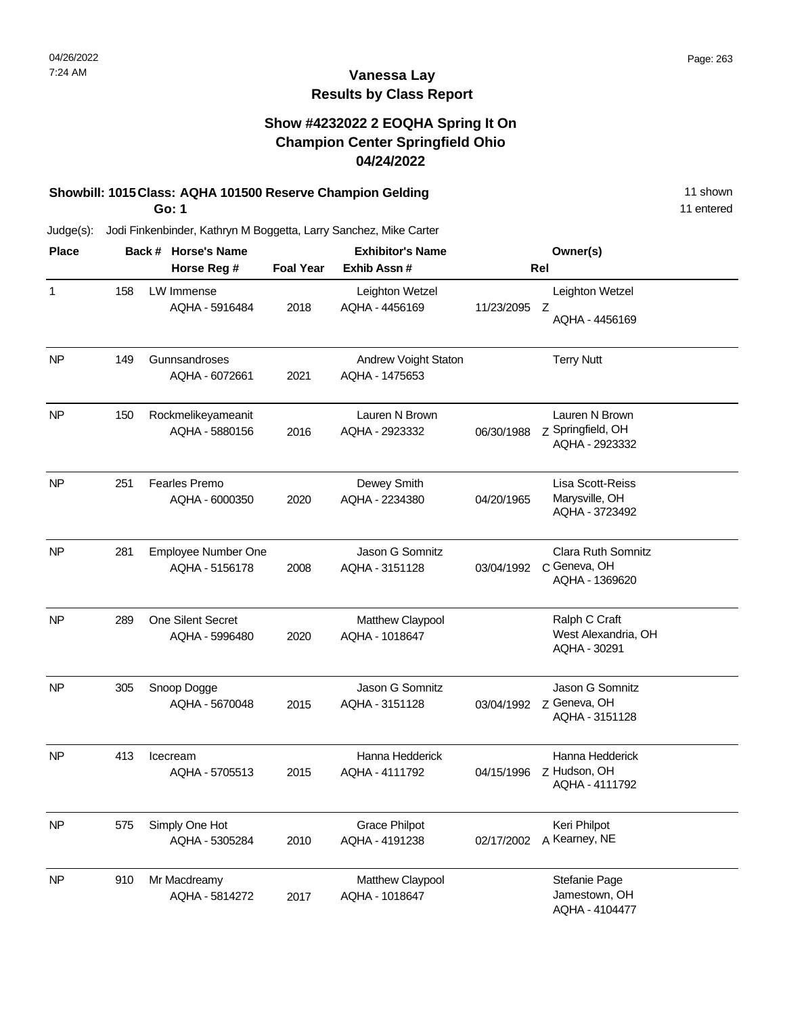### **Vanessa Lay Results by Class Report**

### **Show #4232022 2 EOQHA Spring It On Champion Center Springfield Ohio 04/24/2022**

#### **Showbill: 1015 Class: AQHA 101500 Reserve Champion Gelding 11 Shown 11 shown**

**Go: 1**

| <b>Place</b> |     | Back # Horse's Name                   |                  | <b>Exhibitor's Name</b>                | Owner(s)   |                                                             |  |
|--------------|-----|---------------------------------------|------------------|----------------------------------------|------------|-------------------------------------------------------------|--|
|              |     | Horse Reg #                           | <b>Foal Year</b> | Exhib Assn #                           |            | Rel                                                         |  |
| $\mathbf 1$  | 158 | LW Immense<br>AQHA - 5916484          | 2018             | Leighton Wetzel<br>AQHA - 4456169      | 11/23/2095 | Leighton Wetzel<br>Z<br>AQHA - 4456169                      |  |
| <b>NP</b>    | 149 | Gunnsandroses<br>AQHA - 6072661       | 2021             | Andrew Voight Staton<br>AQHA - 1475653 |            | <b>Terry Nutt</b>                                           |  |
| <b>NP</b>    | 150 | Rockmelikeyameanit<br>AQHA - 5880156  | 2016             | Lauren N Brown<br>AQHA - 2923332       | 06/30/1988 | Lauren N Brown<br>Z Springfield, OH<br>AQHA - 2923332       |  |
| <b>NP</b>    | 251 | Fearles Premo<br>AQHA - 6000350       | 2020             | Dewey Smith<br>AQHA - 2234380          | 04/20/1965 | Lisa Scott-Reiss<br>Marysville, OH<br>AQHA - 3723492        |  |
| <b>NP</b>    | 281 | Employee Number One<br>AQHA - 5156178 | 2008             | Jason G Somnitz<br>AQHA - 3151128      | 03/04/1992 | <b>Clara Ruth Somnitz</b><br>C Geneva, OH<br>AQHA - 1369620 |  |
| <b>NP</b>    | 289 | One Silent Secret<br>AQHA - 5996480   | 2020             | Matthew Claypool<br>AQHA - 1018647     |            | Ralph C Craft<br>West Alexandria, OH<br>AQHA - 30291        |  |
| <b>NP</b>    | 305 | Snoop Dogge<br>AQHA - 5670048         | 2015             | Jason G Somnitz<br>AQHA - 3151128      | 03/04/1992 | Jason G Somnitz<br>Z Geneva, OH<br>AQHA - 3151128           |  |
| <b>NP</b>    | 413 | Icecream<br>AQHA - 5705513            | 2015             | Hanna Hedderick<br>AQHA - 4111792      | 04/15/1996 | Hanna Hedderick<br>Z Hudson, OH<br>AQHA - 4111792           |  |
| <b>NP</b>    | 575 | Simply One Hot<br>AQHA - 5305284      | 2010             | <b>Grace Philpot</b><br>AQHA - 4191238 | 02/17/2002 | Keri Philpot<br>A Kearney, NE                               |  |
| <b>NP</b>    | 910 | Mr Macdreamy<br>AQHA - 5814272        | 2017             | Matthew Claypool<br>AQHA - 1018647     |            | Stefanie Page<br>Jamestown, OH<br>AQHA - 4104477            |  |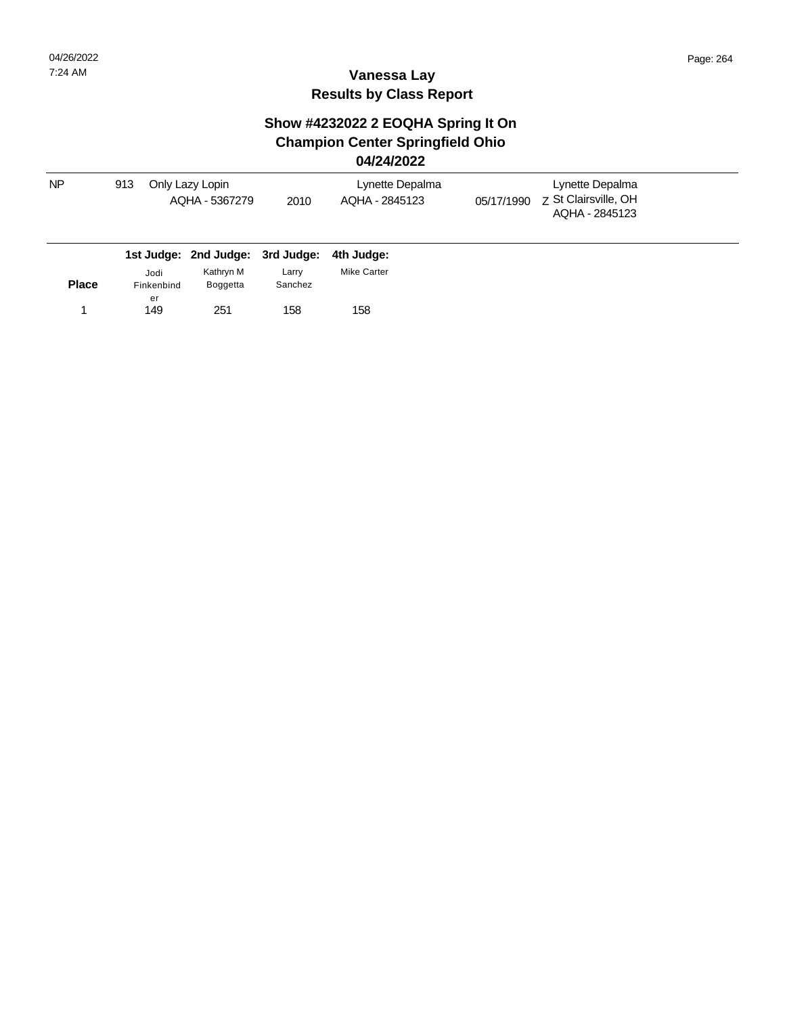$\overline{\phantom{a}}$ 

 $\overline{\phantom{a}}$ 

# **Vanessa Lay Results by Class Report**

#### **Show #4232022 2 EOQHA Spring It On Champion Center Springfield Ohio 04/24/2022**

| N <sub>P</sub> | 913                | Only Lazy Lopin<br>AQHA - 5367279 | 2010             | Lynette Depalma<br>AQHA - 2845123 | 05/17/1990 | Lynette Depalma<br>7 St Clairsville, OH<br>AQHA - 2845123 |  |
|----------------|--------------------|-----------------------------------|------------------|-----------------------------------|------------|-----------------------------------------------------------|--|
|                |                    | 1st Judge: 2nd Judge: 3rd Judge:  |                  | 4th Judge:                        |            |                                                           |  |
| <b>Place</b>   | Jodi<br>Finkenbind | Kathryn M<br>Boggetta             | Larry<br>Sanchez | Mike Carter                       |            |                                                           |  |
|                | er                 |                                   |                  |                                   |            |                                                           |  |

149 251 1 158

158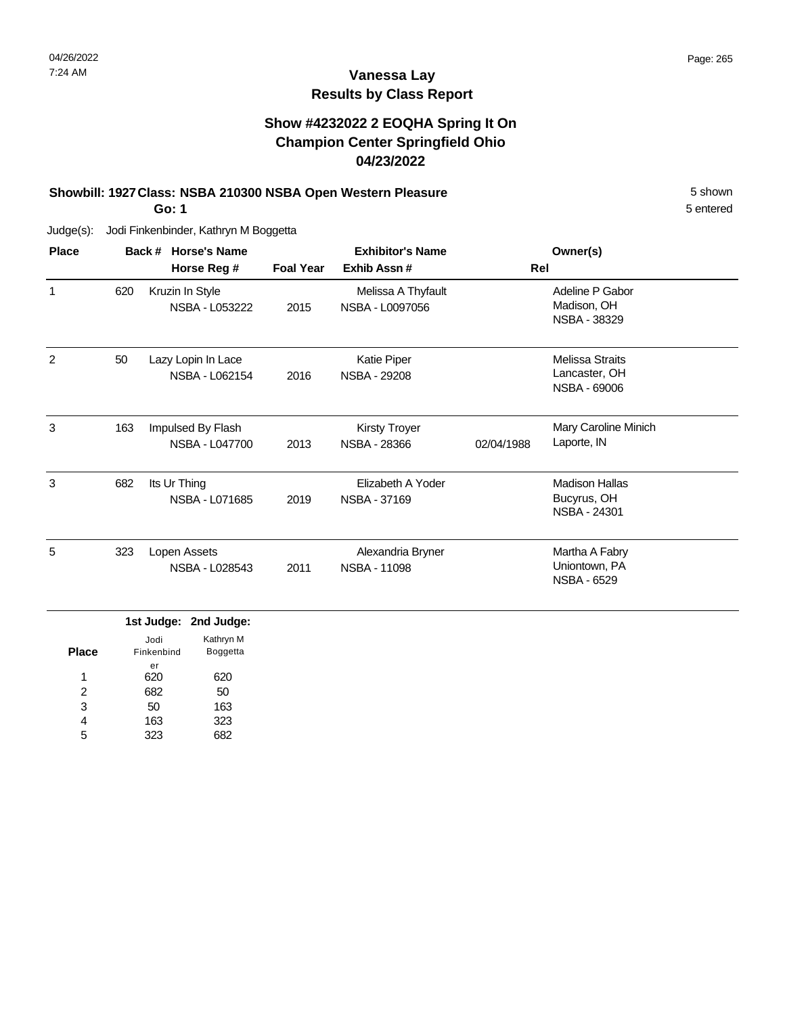### **Show #4232022 2 EOQHA Spring It On Champion Center Springfield Ohio 04/23/2022**

#### **Showbill: 1927 Class: NSBA 210300 NSBA Open Western Pleasure** 5 Shown 5 shown

**Go: 1**

Judge(s): Jodi Finkenbinder, Kathryn M Boggetta

| <b>Place</b>   |     | Back # Horse's Name<br>Horse Reg #   | <b>Foal Year</b><br>Exhib Assn# |                                           | Rel        | Owner(s)                                                |  |
|----------------|-----|--------------------------------------|---------------------------------|-------------------------------------------|------------|---------------------------------------------------------|--|
| 1              | 620 | Kruzin In Style<br>NSBA - L053222    | 2015                            | Melissa A Thyfault<br>NSBA - L0097056     |            | Adeline P Gabor<br>Madison, OH<br>NSBA - 38329          |  |
| $\mathfrak{p}$ | 50  | Lazy Lopin In Lace<br>NSBA - L062154 | 2016                            | <b>Katie Piper</b><br><b>NSBA - 29208</b> |            | <b>Melissa Straits</b><br>Lancaster, OH<br>NSBA - 69006 |  |
| 3              | 163 | Impulsed By Flash<br>NSBA - L047700  | 2013                            | <b>Kirsty Troyer</b><br>NSBA - 28366      | 02/04/1988 | Mary Caroline Minich<br>Laporte, IN                     |  |
| 3              | 682 | Its Ur Thing<br>NSBA - L071685       | 2019                            | Elizabeth A Yoder<br>NSBA - 37169         |            | <b>Madison Hallas</b><br>Bucyrus, OH<br>NSBA - 24301    |  |
| 5              | 323 | Lopen Assets<br>NSBA - L028543       | 2011                            | Alexandria Bryner<br>NSBA - 11098         |            | Martha A Fabry<br>Uniontown, PA<br><b>NSBA - 6529</b>   |  |

|              |            | 1st Judge: 2nd Judge: |
|--------------|------------|-----------------------|
|              | Jodi       | Kathryn M             |
| <b>Place</b> | Finkenbind | <b>Boggetta</b>       |
|              | er         |                       |
|              | 620        | 620                   |
| 2            | 682        | 50                    |
| 3            | 50         | 163                   |
| 4            | 163        | 323                   |
| 5            | 323        |                       |

5 entered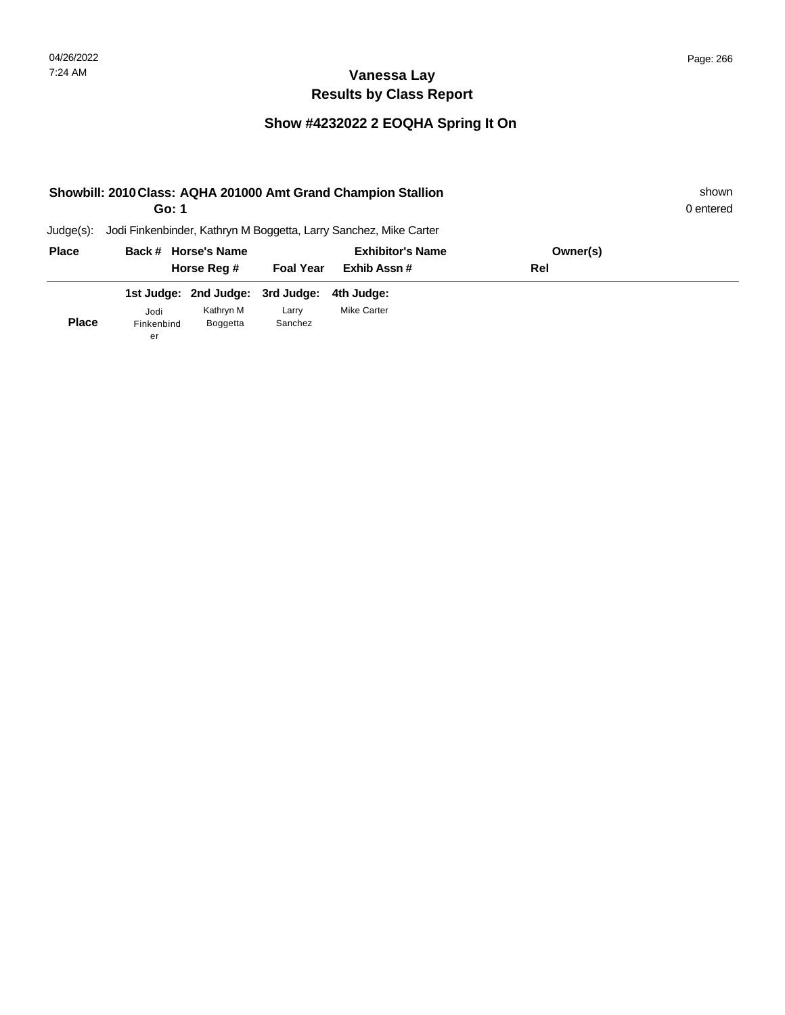|      |                 |                                                                 |                                                         |                                                                                                                                    | shown<br>0 entered |
|------|-----------------|-----------------------------------------------------------------|---------------------------------------------------------|------------------------------------------------------------------------------------------------------------------------------------|--------------------|
|      |                 |                                                                 |                                                         |                                                                                                                                    |                    |
|      |                 |                                                                 | <b>Exhibitor's Name</b>                                 | Owner(s)                                                                                                                           |                    |
|      |                 |                                                                 | Exhib Assn#                                             | Rel                                                                                                                                |                    |
|      |                 |                                                                 | 4th Judge:                                              |                                                                                                                                    |                    |
| Jodi | Kathryn M       | Larry                                                           | <b>Mike Carter</b>                                      |                                                                                                                                    |                    |
|      | <b>Boggetta</b> | Sanchez                                                         |                                                         |                                                                                                                                    |                    |
|      |                 | Go: 1<br>Back # Horse's Name<br>Horse Reg #<br>Finkenbind<br>er | <b>Foal Year</b><br>1st Judge: 2nd Judge:<br>3rd Judge: | Showbill: 2010 Class: AQHA 201000 Amt Grand Champion Stallion<br>Jodi Finkenbinder, Kathryn M Boggetta, Larry Sanchez, Mike Carter |                    |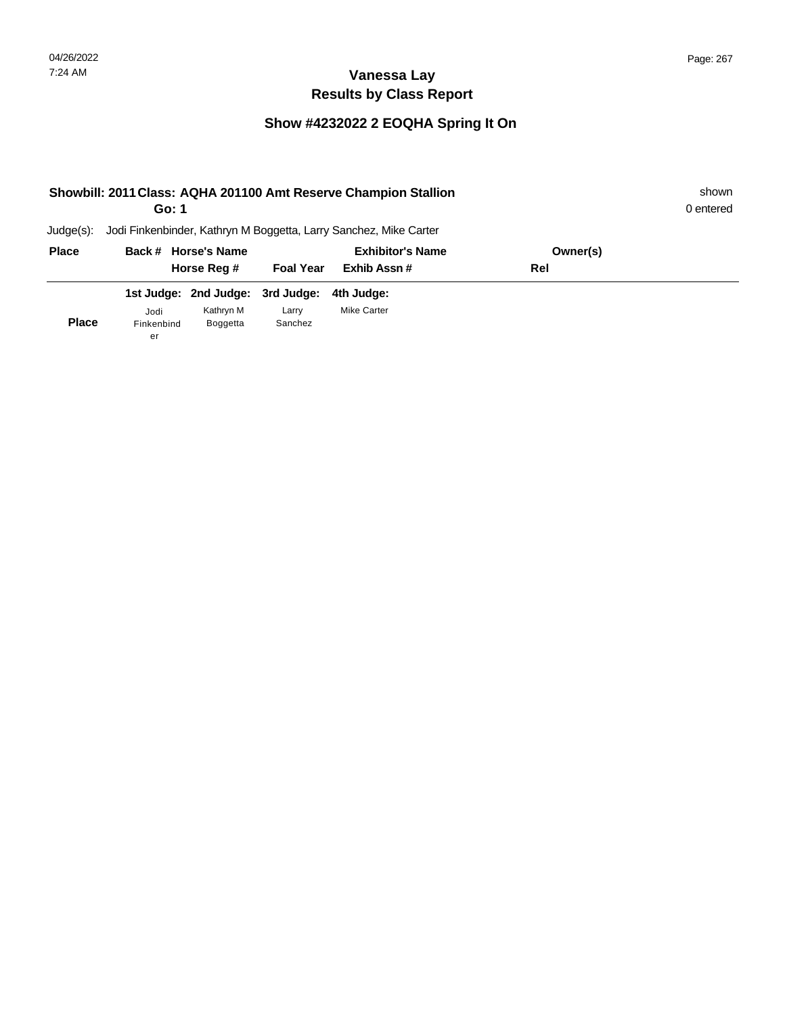|              | Go: 1            |                                  |                  | Showbill: 2011 Class: AQHA 201100 Amt Reserve Champion Stallion   |          | shown<br>0 entered |
|--------------|------------------|----------------------------------|------------------|-------------------------------------------------------------------|----------|--------------------|
| Judge(s):    |                  |                                  |                  | Jodi Finkenbinder, Kathryn M Boggetta, Larry Sanchez, Mike Carter |          |                    |
| <b>Place</b> |                  | Back # Horse's Name              |                  | <b>Exhibitor's Name</b>                                           | Owner(s) |                    |
|              |                  | Horse Reg #                      | <b>Foal Year</b> | Exhib Assn#                                                       | Rel      |                    |
|              |                  | 1st Judge: 2nd Judge: 3rd Judge: |                  | 4th Judge:                                                        |          |                    |
|              | Jodi             | Kathryn M                        | Larry            | <b>Mike Carter</b>                                                |          |                    |
| <b>Place</b> | Finkenbind<br>er | Boggetta                         | Sanchez          |                                                                   |          |                    |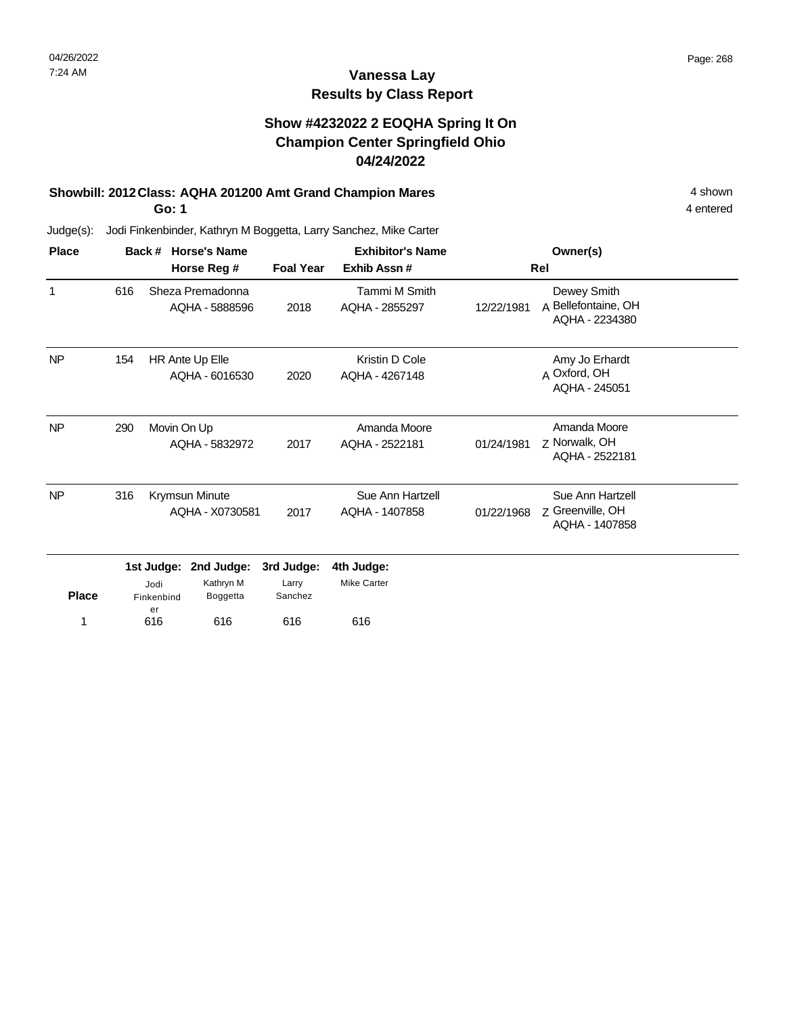### **Vanessa Lay Results by Class Report**

### **Show #4232022 2 EOQHA Spring It On Champion Center Springfield Ohio 04/24/2022**

#### **Showbill: 2012 Class: AQHA 201200 Amt Grand Champion Mares** 4 shown 4 shown

**Go: 1**

| <b>Place</b> | <b>Horse's Name</b><br>Back # |                          |                                    |                  | <b>Exhibitor's Name</b><br>Exhib Assn# |            | Owner(s)                                               |  |
|--------------|-------------------------------|--------------------------|------------------------------------|------------------|----------------------------------------|------------|--------------------------------------------------------|--|
|              | Horse Reg #                   |                          | <b>Foal Year</b>                   | Rel              |                                        |            |                                                        |  |
| 1            | 616                           |                          | Sheza Premadonna<br>AQHA - 5888596 | 2018             | Tammi M Smith<br>AQHA - 2855297        | 12/22/1981 | Dewey Smith<br>A Bellefontaine, OH<br>AQHA - 2234380   |  |
| <b>NP</b>    | 154                           |                          | HR Ante Up Elle<br>AQHA - 6016530  | 2020             | Kristin D Cole<br>AQHA - 4267148       |            | Amy Jo Erhardt<br>A Oxford, OH<br>AQHA - 245051        |  |
| <b>NP</b>    | 290                           | Movin On Up              | AQHA - 5832972                     | 2017             | Amanda Moore<br>AQHA - 2522181         | 01/24/1981 | Amanda Moore<br>z Norwalk, OH<br>AQHA - 2522181        |  |
| <b>NP</b>    | 316                           |                          | Krymsun Minute<br>AQHA - X0730581  | 2017             | Sue Ann Hartzell<br>AQHA - 1407858     | 01/22/1968 | Sue Ann Hartzell<br>Z Greenville, OH<br>AQHA - 1407858 |  |
|              |                               | 1st Judge:               | 2nd Judge:                         | 3rd Judge:       | 4th Judge:                             |            |                                                        |  |
| <b>Place</b> |                               | Jodi<br>Finkenbind<br>er | Kathryn M<br>Boggetta              | Larry<br>Sanchez | <b>Mike Carter</b>                     |            |                                                        |  |
| 1            |                               | 616                      | 616                                | 616              | 616                                    |            |                                                        |  |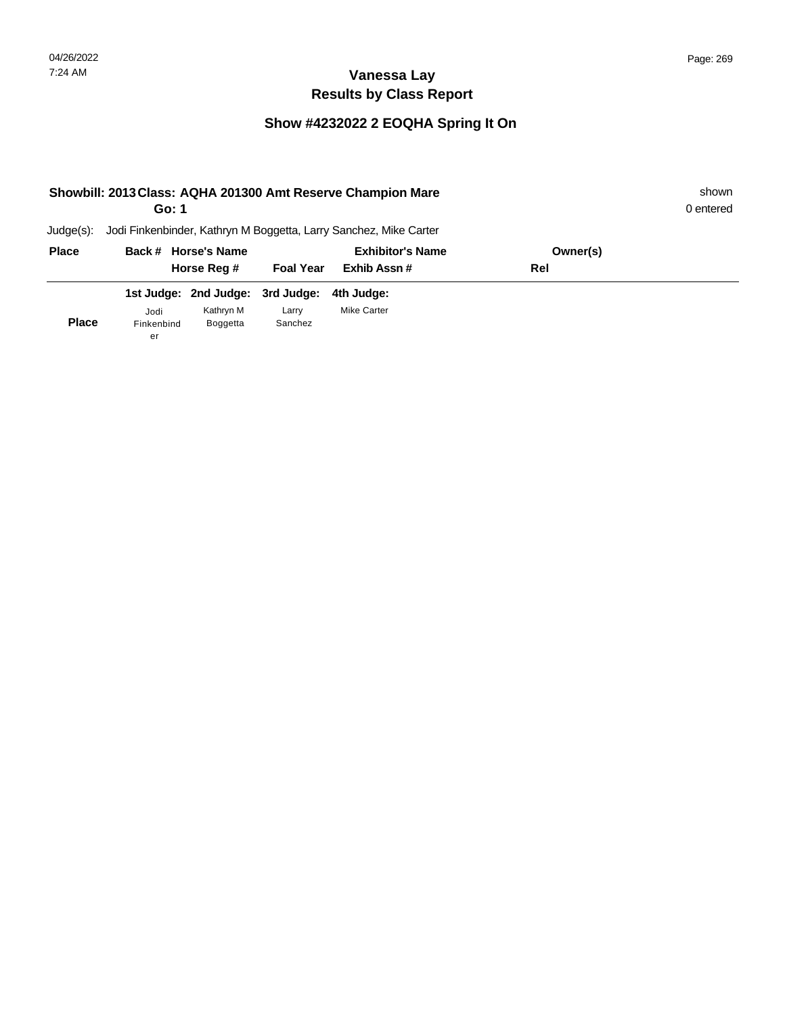| 0 entered |
|-----------|
|           |
|           |
|           |
|           |
|           |
|           |
|           |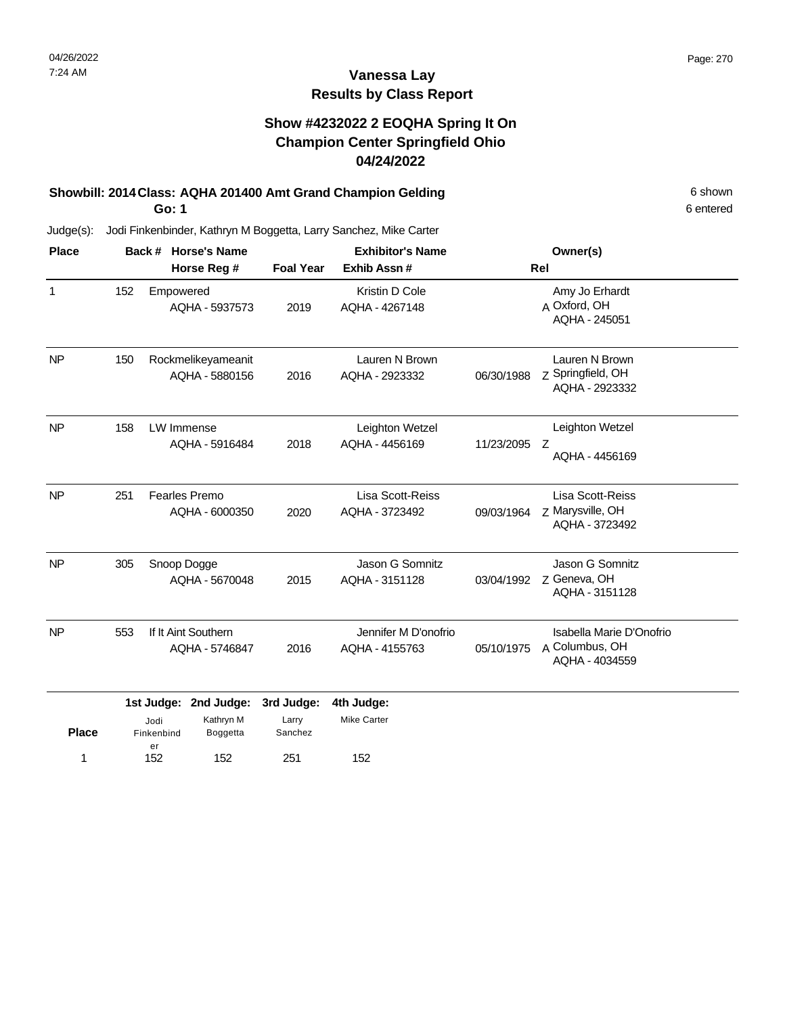### **Show #4232022 2 EOQHA Spring It On Champion Center Springfield Ohio 04/24/2022**

### **Showbill: 2014 Class: AQHA 201400 Amt Grand Champion Gelding 6 Shown 6 shown 6 shown**

**Go: 1**

Judge(s): Jodi Finkenbinder, Kathryn M Boggetta, Larry Sanchez, Mike Carter

| <b>Place</b> | <b>Horse's Name</b><br>Back # |                                        |            | <b>Exhibitor's Name</b>                |            | Owner(s)                                                     |
|--------------|-------------------------------|----------------------------------------|------------|----------------------------------------|------------|--------------------------------------------------------------|
|              |                               | Horse Reg #                            |            | Exhib Assn#                            |            | Rel                                                          |
| $\mathbf{1}$ | 152                           | Empowered<br>AQHA - 5937573            | 2019       | Kristin D Cole<br>AQHA - 4267148       |            | Amy Jo Erhardt<br>A Oxford, OH<br>AOHA - 245051              |
| <b>NP</b>    | 150                           | Rockmelikeyameanit<br>AQHA - 5880156   | 2016       | Lauren N Brown<br>AQHA - 2923332       | 06/30/1988 | Lauren N Brown<br>Z Springfield, OH<br>AQHA - 2923332        |
| <b>NP</b>    | 158                           | LW Immense<br>AQHA - 5916484           | 2018       | Leighton Wetzel<br>AQHA - 4456169      | 11/23/2095 | Leighton Wetzel<br>Z<br>AQHA - 4456169                       |
| <b>NP</b>    | 251                           | <b>Fearles Premo</b><br>AQHA - 6000350 | 2020       | Lisa Scott-Reiss<br>AQHA - 3723492     | 09/03/1964 | Lisa Scott-Reiss<br>z Marysville, OH<br>AQHA - 3723492       |
| <b>NP</b>    | 305                           | Snoop Dogge<br>AQHA - 5670048          | 2015       | Jason G Somnitz<br>AQHA - 3151128      | 03/04/1992 | Jason G Somnitz<br>Z Geneva, OH<br>AQHA - 3151128            |
| <b>NP</b>    | 553                           | If It Aint Southern<br>AQHA - 5746847  | 2016       | Jennifer M D'onofrio<br>AQHA - 4155763 | 05/10/1975 | Isabella Marie D'Onofrio<br>A Columbus, OH<br>AQHA - 4034559 |
|              |                               | 1st Judge: 2nd Judge:                  | 3rd Judge: | 4th Judge:                             |            |                                                              |

| <b>Place</b> | Jodi<br>Finkenbind | Kathryn M<br>Boggetta | Larry<br>Sanchez | <b>Mike Carter</b> |
|--------------|--------------------|-----------------------|------------------|--------------------|
|              | er<br>152          | 152                   | 251              | 152                |

6 entered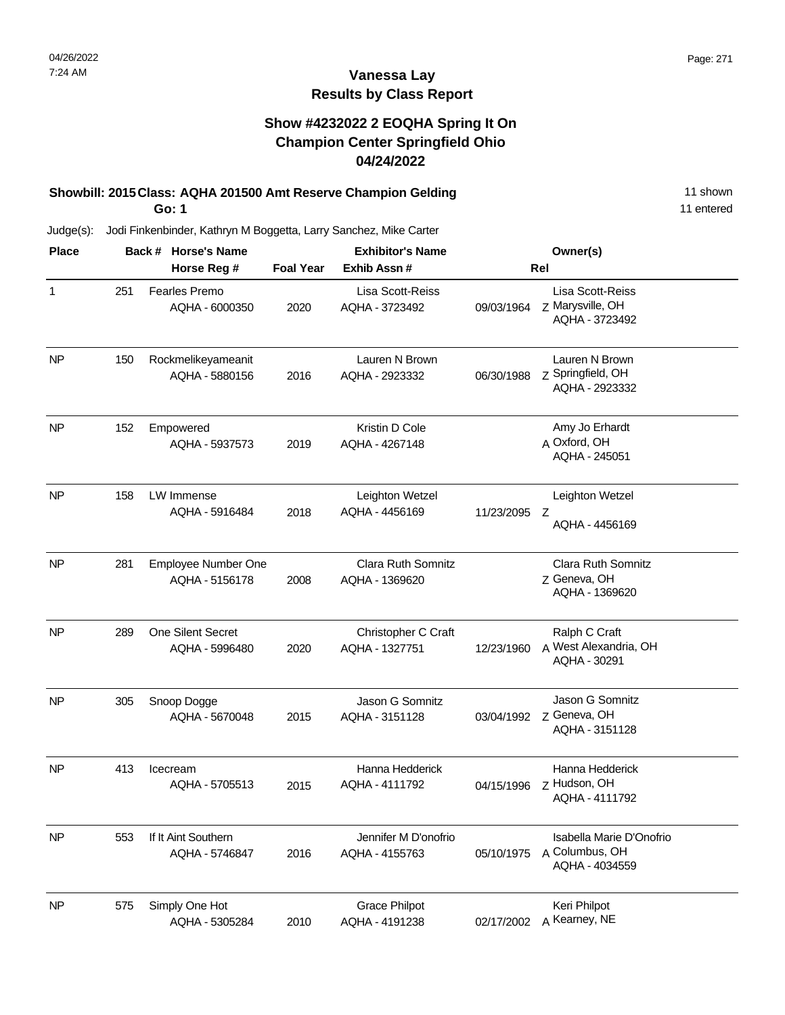### **Show #4232022 2 EOQHA Spring It On Champion Center Springfield Ohio 04/24/2022**

# **Showbill: 2015 Class: AQHA 201500 Amt Reserve Champion Gelding 11 Shown 11 shown**

**Go: 1**

11 entered

| <b>Place</b> |     | Back # Horse's Name                   |                  | <b>Exhibitor's Name</b>                |            | Owner(s)                                                     |
|--------------|-----|---------------------------------------|------------------|----------------------------------------|------------|--------------------------------------------------------------|
|              |     | Horse Reg #                           | <b>Foal Year</b> | Exhib Assn#                            |            | Rel                                                          |
| $\mathbf{1}$ | 251 | Fearles Premo<br>AQHA - 6000350       | 2020             | Lisa Scott-Reiss<br>AQHA - 3723492     | 09/03/1964 | Lisa Scott-Reiss<br>Z Marysville, OH<br>AQHA - 3723492       |
| <b>NP</b>    | 150 | Rockmelikeyameanit<br>AQHA - 5880156  | 2016             | Lauren N Brown<br>AQHA - 2923332       | 06/30/1988 | Lauren N Brown<br>Z Springfield, OH<br>AQHA - 2923332        |
| <b>NP</b>    | 152 | Empowered<br>AQHA - 5937573           | 2019             | Kristin D Cole<br>AQHA - 4267148       |            | Amy Jo Erhardt<br>A Oxford, OH<br>AQHA - 245051              |
| <b>NP</b>    | 158 | LW Immense<br>AQHA - 5916484          | 2018             | Leighton Wetzel<br>AQHA - 4456169      | 11/23/2095 | Leighton Wetzel<br>Z<br>AQHA - 4456169                       |
| <b>NP</b>    | 281 | Employee Number One<br>AQHA - 5156178 | 2008             | Clara Ruth Somnitz<br>AQHA - 1369620   |            | Clara Ruth Somnitz<br>Z Geneva, OH<br>AQHA - 1369620         |
| <b>NP</b>    | 289 | One Silent Secret<br>AQHA - 5996480   | 2020             | Christopher C Craft<br>AQHA - 1327751  | 12/23/1960 | Ralph C Craft<br>A West Alexandria, OH<br>AQHA - 30291       |
| <b>NP</b>    | 305 | Snoop Dogge<br>AQHA - 5670048         | 2015             | Jason G Somnitz<br>AQHA - 3151128      | 03/04/1992 | Jason G Somnitz<br>Z Geneva, OH<br>AQHA - 3151128            |
| <b>NP</b>    | 413 | Icecream<br>AQHA - 5705513            | 2015             | Hanna Hedderick<br>AQHA - 4111792      | 04/15/1996 | Hanna Hedderick<br>Z Hudson, OH<br>AQHA - 4111792            |
| <b>NP</b>    | 553 | If It Aint Southern<br>AQHA - 5746847 | 2016             | Jennifer M D'onofrio<br>AQHA - 4155763 | 05/10/1975 | Isabella Marie D'Onofrio<br>A Columbus, OH<br>AQHA - 4034559 |
| <b>NP</b>    | 575 | Simply One Hot<br>AQHA - 5305284      | 2010             | <b>Grace Philpot</b><br>AQHA - 4191238 | 02/17/2002 | Keri Philpot<br>A Kearney, NE                                |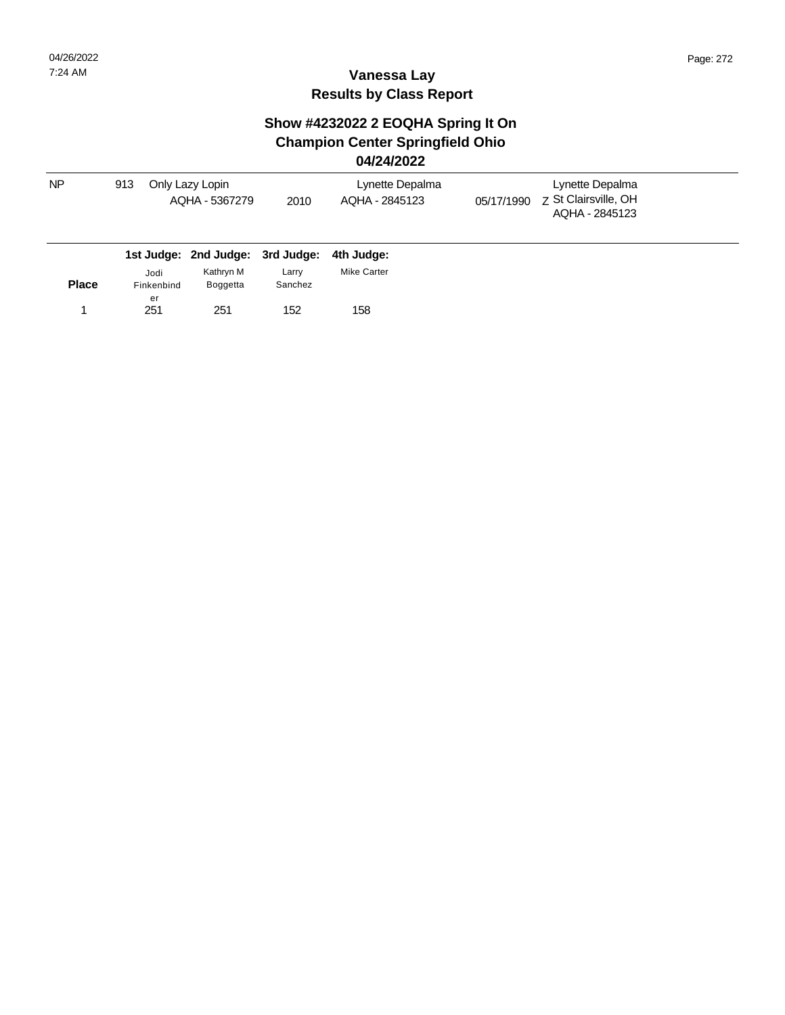# **Show #4232022 2 EOQHA Spring It On Champion Center Springfield Ohio**

#### **04/24/2022**

| <b>NP</b>    | 913                | Only Lazy Lopin<br>AQHA - 5367279 | 2010             | Lynette Depalma<br>AQHA - 2845123 | Lynette Depalma<br>05/17/1990 | 7 St Clairsville, OH<br>AQHA - 2845123 |
|--------------|--------------------|-----------------------------------|------------------|-----------------------------------|-------------------------------|----------------------------------------|
|              |                    | 1st Judge: 2nd Judge: 3rd Judge:  |                  | 4th Judge:                        |                               |                                        |
| <b>Place</b> | Jodi<br>Finkenbind | Kathryn M<br>Boggetta             | Larry<br>Sanchez | <b>Mike Carter</b>                |                               |                                        |
|              | er<br>251          | 251                               | 152              | 158                               |                               |                                        |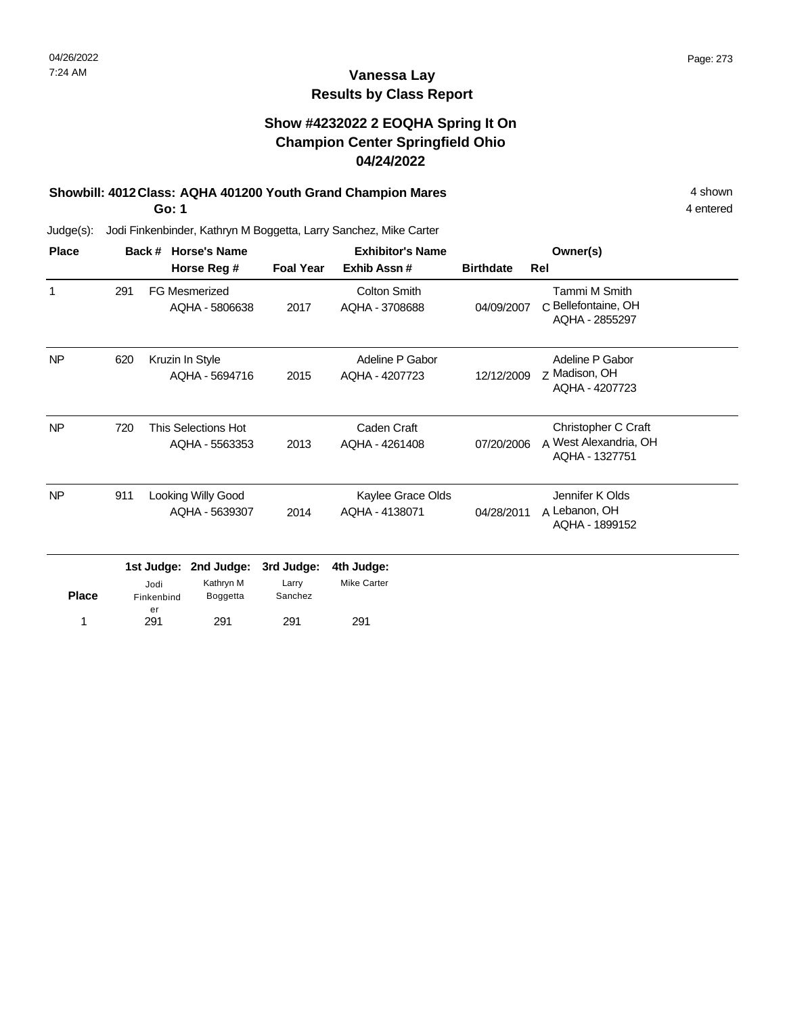### **Show #4232022 2 EOQHA Spring It On Champion Center Springfield Ohio 04/24/2022**

### **Showbill: 4012 Class: AQHA 401200 Youth Grand Champion Mares** 4 Shown 4 shown

**Go: 1**

4 entered

| <b>Place</b> |     | Back # Horse's Name      |                                        | <b>Exhibitor's Name</b> |                                       |                  | Owner(s)                                                       |
|--------------|-----|--------------------------|----------------------------------------|-------------------------|---------------------------------------|------------------|----------------------------------------------------------------|
|              |     |                          | Horse Reg #                            | <b>Foal Year</b>        | Exhib Assn#                           | <b>Birthdate</b> | Rel                                                            |
| 1            | 291 |                          | <b>FG Mesmerized</b><br>AQHA - 5806638 | 2017                    | <b>Colton Smith</b><br>AQHA - 3708688 | 04/09/2007       | Tammi M Smith<br>C Bellefontaine, OH<br>AQHA - 2855297         |
| <b>NP</b>    | 620 |                          | Kruzin In Style<br>AQHA - 5694716      | 2015                    | Adeline P Gabor<br>AQHA - 4207723     | 12/12/2009       | Adeline P Gabor<br>Z Madison, OH<br>AQHA - 4207723             |
| <b>NP</b>    | 720 |                          | This Selections Hot<br>AQHA - 5563353  | 2013                    | Caden Craft<br>AQHA - 4261408         | 07/20/2006       | Christopher C Craft<br>A West Alexandria, OH<br>AQHA - 1327751 |
| <b>NP</b>    | 911 |                          | Looking Willy Good<br>AQHA - 5639307   | 2014                    | Kaylee Grace Olds<br>AQHA - 4138071   | 04/28/2011       | Jennifer K Olds<br>A Lebanon, OH<br>AQHA - 1899152             |
|              |     | 1st Judge:               | 2nd Judge:                             | 3rd Judge:              | 4th Judge:                            |                  |                                                                |
| <b>Place</b> |     | Jodi<br>Finkenbind<br>er | Kathryn M<br>Boggetta                  | Larry<br>Sanchez        | <b>Mike Carter</b>                    |                  |                                                                |
| 1            |     | 291                      | 291                                    | 291                     | 291                                   |                  |                                                                |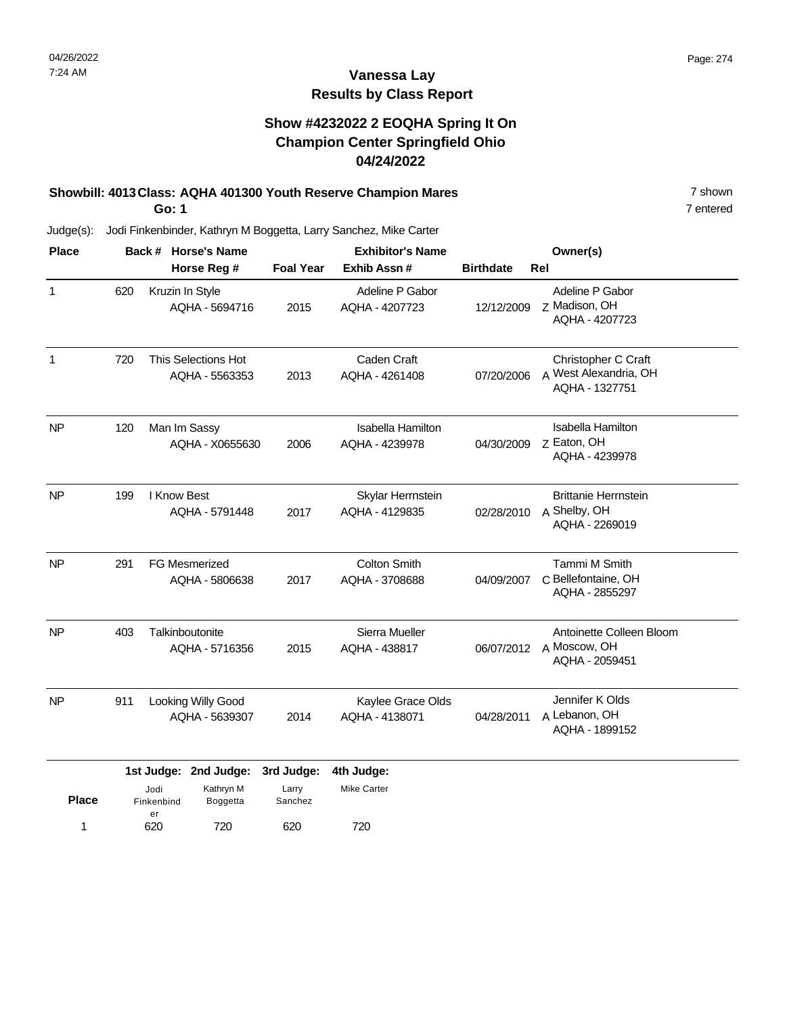### **Show #4232022 2 EOQHA Spring It On Champion Center Springfield Ohio 04/24/2022**

#### **Showbill: 4013 Class: AQHA 401300 Youth Reserve Champion Mares 1988 120 12 13 13 13 14 14 15 16 16 17 shown**

**Go: 1**

Judge(s): Jodi Finkenbinder, Kathryn M Boggetta, Larry Sanchez, Mike Carter

| <b>Place</b> |                       |                                        | Back # Horse's Name<br>Horse Reg #    | <b>Foal Year</b> | <b>Exhibitor's Name</b><br>Exhib Assn# | <b>Birthdate</b> | Owner(s)<br>Rel                                                |  |
|--------------|-----------------------|----------------------------------------|---------------------------------------|------------------|----------------------------------------|------------------|----------------------------------------------------------------|--|
| $\mathbf 1$  | 620                   |                                        | Kruzin In Style<br>AQHA - 5694716     | 2015             | Adeline P Gabor<br>AQHA - 4207723      | 12/12/2009       | Adeline P Gabor<br>Z Madison, OH<br>AQHA - 4207723             |  |
| $\mathbf{1}$ | 720                   |                                        | This Selections Hot<br>AQHA - 5563353 | 2013             | Caden Craft<br>AQHA - 4261408          | 07/20/2006       | Christopher C Craft<br>A West Alexandria, OH<br>AQHA - 1327751 |  |
| <b>NP</b>    | 120                   | Man Im Sassy<br>AQHA - X0655630        |                                       | 2006             | Isabella Hamilton<br>AQHA - 4239978    | 04/30/2009       | Isabella Hamilton<br>Z Eaton, OH<br>AQHA - 4239978             |  |
| <b>NP</b>    | 199                   | I Know Best<br>AQHA - 5791448          |                                       | 2017             | Skylar Herrnstein<br>AQHA - 4129835    | 02/28/2010       | <b>Brittanie Herrnstein</b><br>A Shelby, OH<br>AQHA - 2269019  |  |
| <b>NP</b>    | 291                   | <b>FG Mesmerized</b><br>AQHA - 5806638 |                                       | 2017             | <b>Colton Smith</b><br>AQHA - 3708688  | 04/09/2007       | Tammi M Smith<br>C Bellefontaine, OH<br>AQHA - 2855297         |  |
| <b>NP</b>    | 403                   | Talkinboutonite<br>AQHA - 5716356      |                                       | 2015             | Sierra Mueller<br>AQHA - 438817        | 06/07/2012       | Antoinette Colleen Bloom<br>A Moscow, OH<br>AQHA - 2059451     |  |
| <b>NP</b>    | 911                   |                                        | Looking Willy Good<br>AQHA - 5639307  | 2014             | Kaylee Grace Olds<br>AQHA - 4138071    | 04/28/2011       | Jennifer K Olds<br>A Lebanon, OH<br>AQHA - 1899152             |  |
|              | 1st Judge: 2nd Judge: |                                        |                                       | 3rd Judge:       | 4th Judge:                             |                  |                                                                |  |
| <b>Place</b> |                       | Jodi<br>Finkenbind<br>er               | Kathryn M<br>Boggetta                 | Larry<br>Sanchez | <b>Mike Carter</b>                     |                  |                                                                |  |
| 1            |                       | 620                                    | 720                                   | 620              | 720                                    |                  |                                                                |  |

7 entered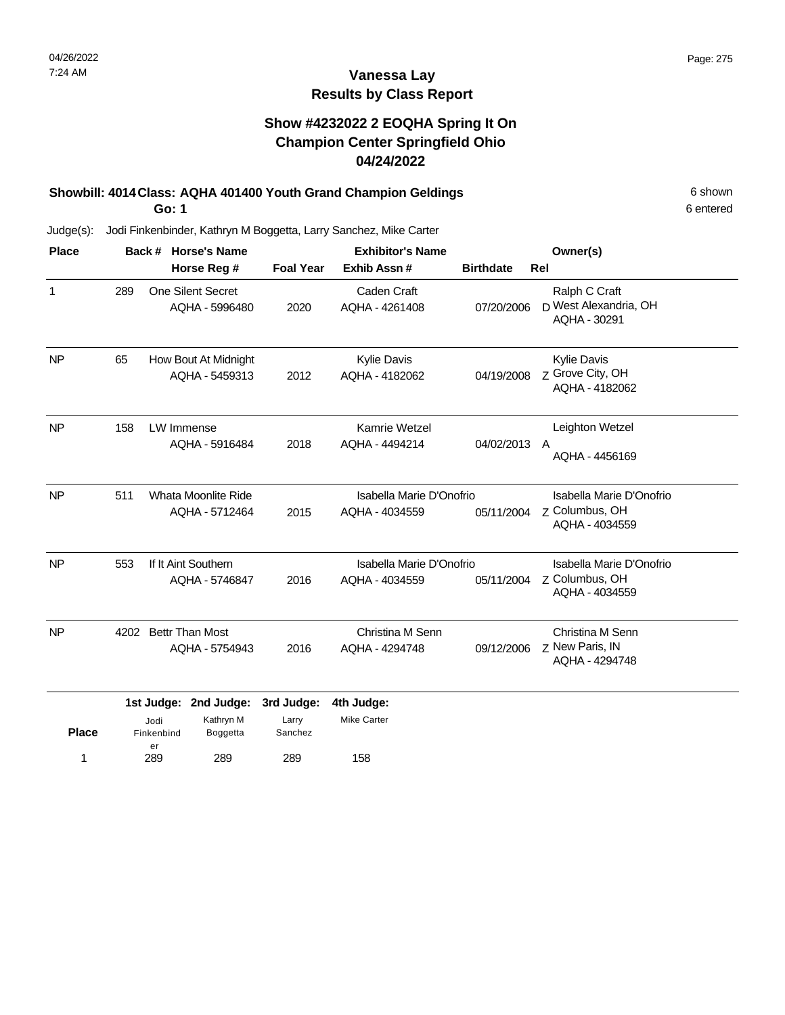### **Vanessa Lay Results by Class Report**

### **Show #4232022 2 EOQHA Spring It On Champion Center Springfield Ohio 04/24/2022**

# **Showbill: 4014 Class: AQHA 401400 Youth Grand Champion Geldings** 6 Shown 6 shown

**Go: 1**

289 289

er

1 289 289 289 158

289

| <b>Place</b> | Back # Horse's Name |                                              |                                                | <b>Exhibitor's Name</b>        |                                            |                  | Owner(s)                                                     |  |
|--------------|---------------------|----------------------------------------------|------------------------------------------------|--------------------------------|--------------------------------------------|------------------|--------------------------------------------------------------|--|
|              |                     |                                              | Horse Reg #                                    | <b>Foal Year</b>               | Exhib Assn#                                | <b>Birthdate</b> | Rel                                                          |  |
| $\mathbf 1$  | 289                 |                                              | <b>One Silent Secret</b><br>AQHA - 5996480     | 2020                           | Caden Craft<br>AQHA - 4261408              | 07/20/2006       | Ralph C Craft<br>D West Alexandria, OH<br>AQHA - 30291       |  |
| <b>NP</b>    | 65                  |                                              | How Bout At Midnight<br>AQHA - 5459313         | 2012                           | <b>Kylie Davis</b><br>AQHA - 4182062       | 04/19/2008       | <b>Kylie Davis</b><br>Z Grove City, OH<br>AQHA - 4182062     |  |
| <b>NP</b>    | 158                 | LW Immense                                   | AQHA - 5916484                                 | 2018                           | Kamrie Wetzel<br>AQHA - 4494214            | 04/02/2013       | Leighton Wetzel<br>$\overline{A}$<br>AQHA - 4456169          |  |
| <b>NP</b>    | 511                 | <b>Whata Moonlite Ride</b><br>AQHA - 5712464 |                                                | 2015                           | Isabella Marie D'Onofrio<br>AQHA - 4034559 | 05/11/2004       | Isabella Marie D'Onofrio<br>z Columbus, OH<br>AQHA - 4034559 |  |
| <b>NP</b>    | 553                 | If It Aint Southern<br>AQHA - 5746847        |                                                | 2016                           | Isabella Marie D'Onofrio<br>AQHA - 4034559 | 05/11/2004       | Isabella Marie D'Onofrio<br>Z Columbus, OH<br>AQHA - 4034559 |  |
| <b>NP</b>    | 4202                | <b>Bettr Than Most</b><br>AQHA - 5754943     |                                                | 2016                           | Christina M Senn<br>AQHA - 4294748         | 09/12/2006       | Christina M Senn<br>Z New Paris, IN<br>AQHA - 4294748        |  |
| <b>Place</b> |                     | Jodi<br>Finkenbind                           | 1st Judge: 2nd Judge:<br>Kathryn M<br>Boggetta | 3rd Judge:<br>Larry<br>Sanchez | 4th Judge:<br><b>Mike Carter</b>           |                  |                                                              |  |